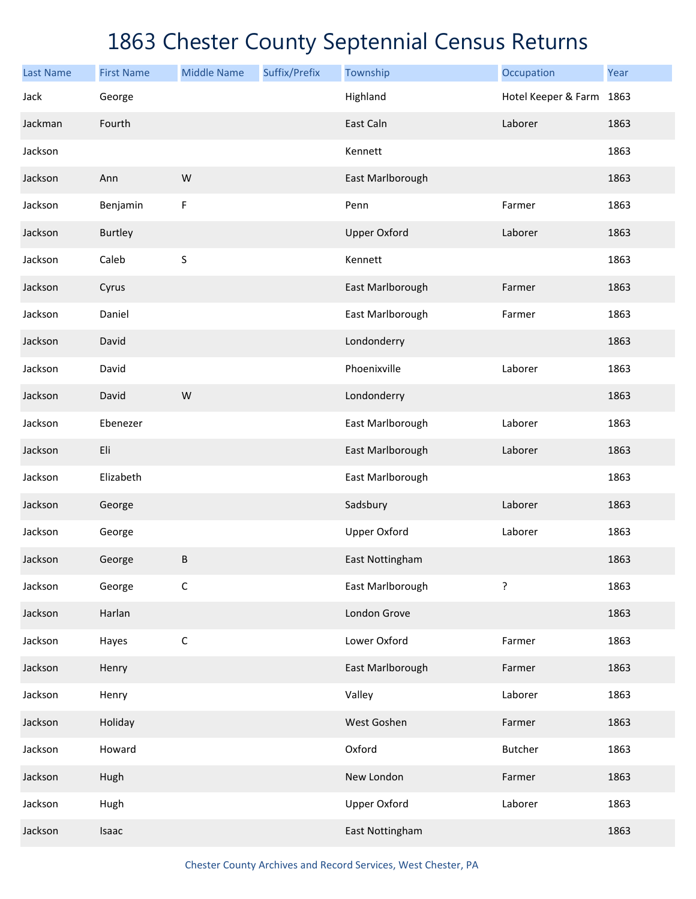| <b>Last Name</b> | <b>First Name</b> | <b>Middle Name</b> | Suffix/Prefix | Township            | Occupation               | Year |
|------------------|-------------------|--------------------|---------------|---------------------|--------------------------|------|
| Jack             | George            |                    |               | Highland            | Hotel Keeper & Farm 1863 |      |
| Jackman          | Fourth            |                    |               | East Caln           | Laborer                  | 1863 |
| Jackson          |                   |                    |               | Kennett             |                          | 1863 |
| Jackson          | Ann               | W                  |               | East Marlborough    |                          | 1863 |
| Jackson          | Benjamin          | F                  |               | Penn                | Farmer                   | 1863 |
| Jackson          | Burtley           |                    |               | <b>Upper Oxford</b> | Laborer                  | 1863 |
| Jackson          | Caleb             | $\sf S$            |               | Kennett             |                          | 1863 |
| Jackson          | Cyrus             |                    |               | East Marlborough    | Farmer                   | 1863 |
| Jackson          | Daniel            |                    |               | East Marlborough    | Farmer                   | 1863 |
| Jackson          | David             |                    |               | Londonderry         |                          | 1863 |
| Jackson          | David             |                    |               | Phoenixville        | Laborer                  | 1863 |
| Jackson          | David             | W                  |               | Londonderry         |                          | 1863 |
| Jackson          | Ebenezer          |                    |               | East Marlborough    | Laborer                  | 1863 |
| Jackson          | Eli               |                    |               | East Marlborough    | Laborer                  | 1863 |
| Jackson          | Elizabeth         |                    |               | East Marlborough    |                          | 1863 |
| Jackson          | George            |                    |               | Sadsbury            | Laborer                  | 1863 |
| Jackson          | George            |                    |               | <b>Upper Oxford</b> | Laborer                  | 1863 |
| Jackson          | George            | $\sf B$            |               | East Nottingham     |                          | 1863 |
| Jackson          | George            | $\mathsf C$        |               | East Marlborough    | ?                        | 1863 |
| Jackson          | Harlan            |                    |               | London Grove        |                          | 1863 |
| Jackson          | Hayes             | $\mathsf C$        |               | Lower Oxford        | Farmer                   | 1863 |
| Jackson          | Henry             |                    |               | East Marlborough    | Farmer                   | 1863 |
| Jackson          | Henry             |                    |               | Valley              | Laborer                  | 1863 |
| Jackson          | Holiday           |                    |               | West Goshen         | Farmer                   | 1863 |
| Jackson          | Howard            |                    |               | Oxford              | Butcher                  | 1863 |
| Jackson          | Hugh              |                    |               | New London          | Farmer                   | 1863 |
| Jackson          | Hugh              |                    |               | <b>Upper Oxford</b> | Laborer                  | 1863 |
| Jackson          | Isaac             |                    |               | East Nottingham     |                          | 1863 |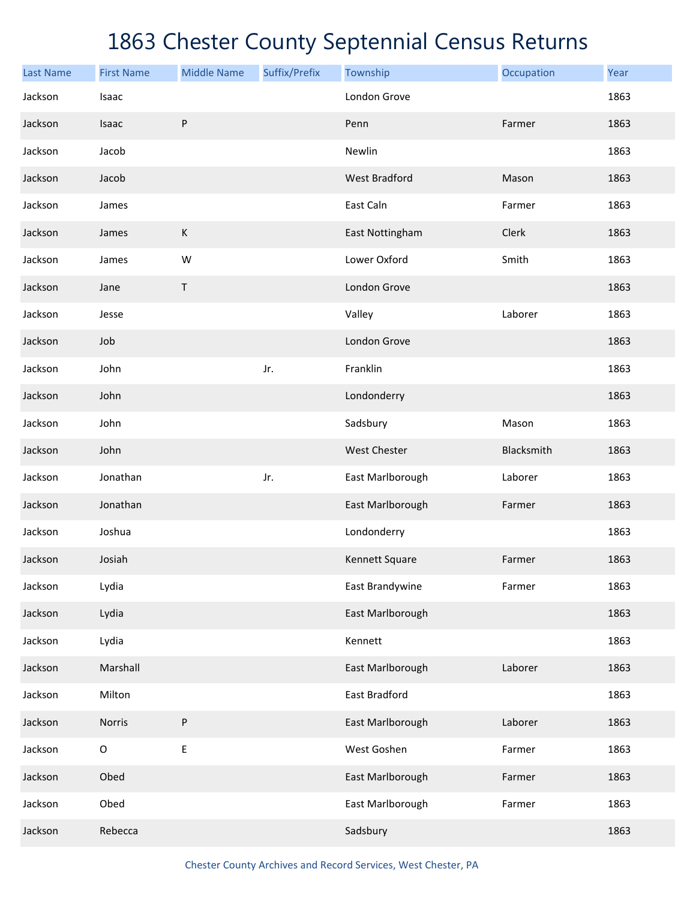| <b>Last Name</b> | <b>First Name</b> | <b>Middle Name</b> | Suffix/Prefix | Township             | Occupation | Year |
|------------------|-------------------|--------------------|---------------|----------------------|------------|------|
| Jackson          | Isaac             |                    |               | London Grove         |            | 1863 |
| Jackson          | Isaac             | ${\sf P}$          |               | Penn                 | Farmer     | 1863 |
| Jackson          | Jacob             |                    |               | Newlin               |            | 1863 |
| Jackson          | Jacob             |                    |               | <b>West Bradford</b> | Mason      | 1863 |
| Jackson          | James             |                    |               | East Caln            | Farmer     | 1863 |
| Jackson          | James             | $\mathsf K$        |               | East Nottingham      | Clerk      | 1863 |
| Jackson          | James             | W                  |               | Lower Oxford         | Smith      | 1863 |
| Jackson          | Jane              | $\sf T$            |               | London Grove         |            | 1863 |
| Jackson          | Jesse             |                    |               | Valley               | Laborer    | 1863 |
| Jackson          | Job               |                    |               | London Grove         |            | 1863 |
| Jackson          | John              |                    | Jr.           | Franklin             |            | 1863 |
| Jackson          | John              |                    |               | Londonderry          |            | 1863 |
| Jackson          | John              |                    |               | Sadsbury             | Mason      | 1863 |
| Jackson          | John              |                    |               | West Chester         | Blacksmith | 1863 |
| Jackson          | Jonathan          |                    | Jr.           | East Marlborough     | Laborer    | 1863 |
| Jackson          | Jonathan          |                    |               | East Marlborough     | Farmer     | 1863 |
| Jackson          | Joshua            |                    |               | Londonderry          |            | 1863 |
| Jackson          | Josiah            |                    |               | Kennett Square       | Farmer     | 1863 |
| Jackson          | Lydia             |                    |               | East Brandywine      | Farmer     | 1863 |
| Jackson          | Lydia             |                    |               | East Marlborough     |            | 1863 |
| Jackson          | Lydia             |                    |               | Kennett              |            | 1863 |
| Jackson          | Marshall          |                    |               | East Marlborough     | Laborer    | 1863 |
| Jackson          | Milton            |                    |               | East Bradford        |            | 1863 |
| Jackson          | Norris            | ${\sf P}$          |               | East Marlborough     | Laborer    | 1863 |
| Jackson          | $\mathsf O$       | E                  |               | West Goshen          | Farmer     | 1863 |
| Jackson          | Obed              |                    |               | East Marlborough     | Farmer     | 1863 |
| Jackson          | Obed              |                    |               | East Marlborough     | Farmer     | 1863 |
| Jackson          | Rebecca           |                    |               | Sadsbury             |            | 1863 |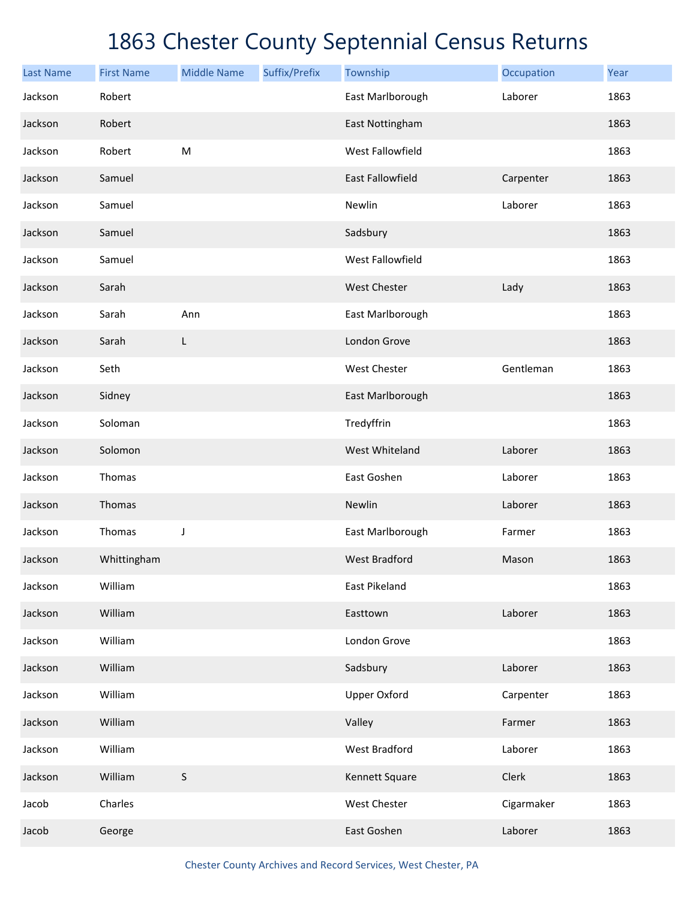| <b>Last Name</b> | <b>First Name</b> | <b>Middle Name</b> | Suffix/Prefix | Township                | Occupation | Year |
|------------------|-------------------|--------------------|---------------|-------------------------|------------|------|
| Jackson          | Robert            |                    |               | East Marlborough        | Laborer    | 1863 |
| Jackson          | Robert            |                    |               | East Nottingham         |            | 1863 |
| Jackson          | Robert            | M                  |               | West Fallowfield        |            | 1863 |
| Jackson          | Samuel            |                    |               | <b>East Fallowfield</b> | Carpenter  | 1863 |
| Jackson          | Samuel            |                    |               | Newlin                  | Laborer    | 1863 |
| Jackson          | Samuel            |                    |               | Sadsbury                |            | 1863 |
| Jackson          | Samuel            |                    |               | West Fallowfield        |            | 1863 |
| Jackson          | Sarah             |                    |               | <b>West Chester</b>     | Lady       | 1863 |
| Jackson          | Sarah             | Ann                |               | East Marlborough        |            | 1863 |
| Jackson          | Sarah             | L                  |               | London Grove            |            | 1863 |
| Jackson          | Seth              |                    |               | West Chester            | Gentleman  | 1863 |
| Jackson          | Sidney            |                    |               | East Marlborough        |            | 1863 |
| Jackson          | Soloman           |                    |               | Tredyffrin              |            | 1863 |
| Jackson          | Solomon           |                    |               | West Whiteland          | Laborer    | 1863 |
| Jackson          | Thomas            |                    |               | East Goshen             | Laborer    | 1863 |
| Jackson          | Thomas            |                    |               | Newlin                  | Laborer    | 1863 |
| Jackson          | Thomas            | J                  |               | East Marlborough        | Farmer     | 1863 |
| Jackson          | Whittingham       |                    |               | <b>West Bradford</b>    | Mason      | 1863 |
| Jackson          | William           |                    |               | <b>East Pikeland</b>    |            | 1863 |
| Jackson          | William           |                    |               | Easttown                | Laborer    | 1863 |
| Jackson          | William           |                    |               | London Grove            |            | 1863 |
| Jackson          | William           |                    |               | Sadsbury                | Laborer    | 1863 |
| Jackson          | William           |                    |               | <b>Upper Oxford</b>     | Carpenter  | 1863 |
| Jackson          | William           |                    |               | Valley                  | Farmer     | 1863 |
| Jackson          | William           |                    |               | West Bradford           | Laborer    | 1863 |
| Jackson          | William           | $\sf S$            |               | Kennett Square          | Clerk      | 1863 |
| Jacob            | Charles           |                    |               | West Chester            | Cigarmaker | 1863 |
| Jacob            | George            |                    |               | East Goshen             | Laborer    | 1863 |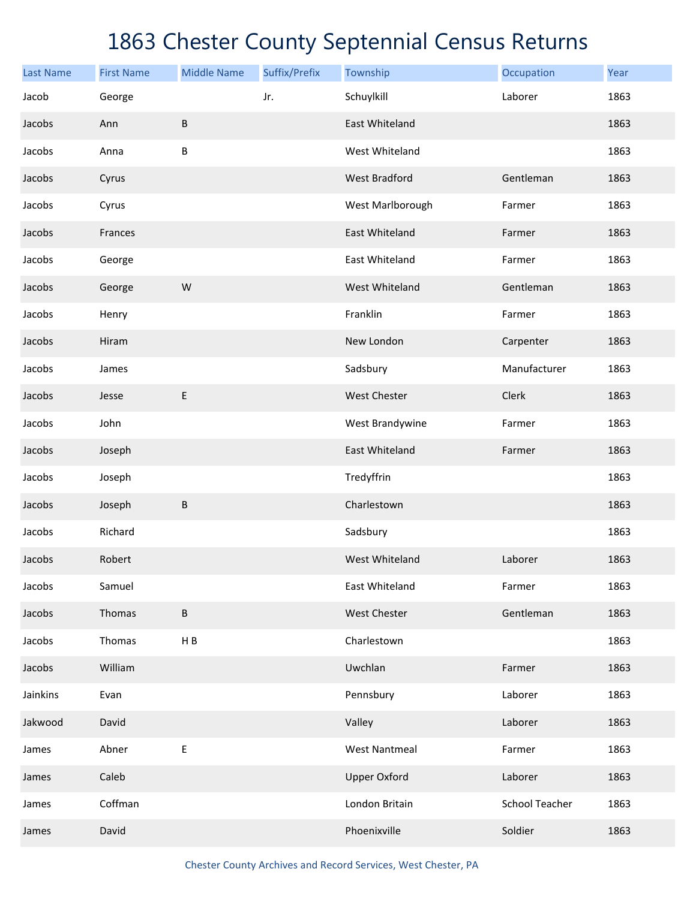| <b>Last Name</b> | <b>First Name</b> | <b>Middle Name</b> | Suffix/Prefix | Township              | Occupation            | Year |
|------------------|-------------------|--------------------|---------------|-----------------------|-----------------------|------|
| Jacob            | George            |                    | Jr.           | Schuylkill            | Laborer               | 1863 |
| Jacobs           | Ann               | $\sf B$            |               | <b>East Whiteland</b> |                       | 1863 |
| Jacobs           | Anna              | B                  |               | West Whiteland        |                       | 1863 |
| Jacobs           | Cyrus             |                    |               | <b>West Bradford</b>  | Gentleman             | 1863 |
| Jacobs           | Cyrus             |                    |               | West Marlborough      | Farmer                | 1863 |
| Jacobs           | Frances           |                    |               | East Whiteland        | Farmer                | 1863 |
| Jacobs           | George            |                    |               | East Whiteland        | Farmer                | 1863 |
| Jacobs           | George            | W                  |               | West Whiteland        | Gentleman             | 1863 |
| Jacobs           | Henry             |                    |               | Franklin              | Farmer                | 1863 |
| Jacobs           | Hiram             |                    |               | New London            | Carpenter             | 1863 |
| Jacobs           | James             |                    |               | Sadsbury              | Manufacturer          | 1863 |
| Jacobs           | Jesse             | $\sf E$            |               | West Chester          | Clerk                 | 1863 |
| Jacobs           | John              |                    |               | West Brandywine       | Farmer                | 1863 |
| Jacobs           | Joseph            |                    |               | East Whiteland        | Farmer                | 1863 |
| Jacobs           | Joseph            |                    |               | Tredyffrin            |                       | 1863 |
| Jacobs           | Joseph            | $\sf B$            |               | Charlestown           |                       | 1863 |
| Jacobs           | Richard           |                    |               | Sadsbury              |                       | 1863 |
| Jacobs           | Robert            |                    |               | West Whiteland        | Laborer               | 1863 |
| Jacobs           | Samuel            |                    |               | East Whiteland        | Farmer                | 1863 |
| Jacobs           | Thomas            | $\sf B$            |               | West Chester          | Gentleman             | 1863 |
| Jacobs           | Thomas            | $\sf H$ B          |               | Charlestown           |                       | 1863 |
| Jacobs           | William           |                    |               | Uwchlan               | Farmer                | 1863 |
| Jainkins         | Evan              |                    |               | Pennsbury             | Laborer               | 1863 |
| Jakwood          | David             |                    |               | Valley                | Laborer               | 1863 |
| James            | Abner             | $\mathsf E$        |               | <b>West Nantmeal</b>  | Farmer                | 1863 |
| James            | Caleb             |                    |               | <b>Upper Oxford</b>   | Laborer               | 1863 |
| James            | Coffman           |                    |               | London Britain        | <b>School Teacher</b> | 1863 |
| James            | David             |                    |               | Phoenixville          | Soldier               | 1863 |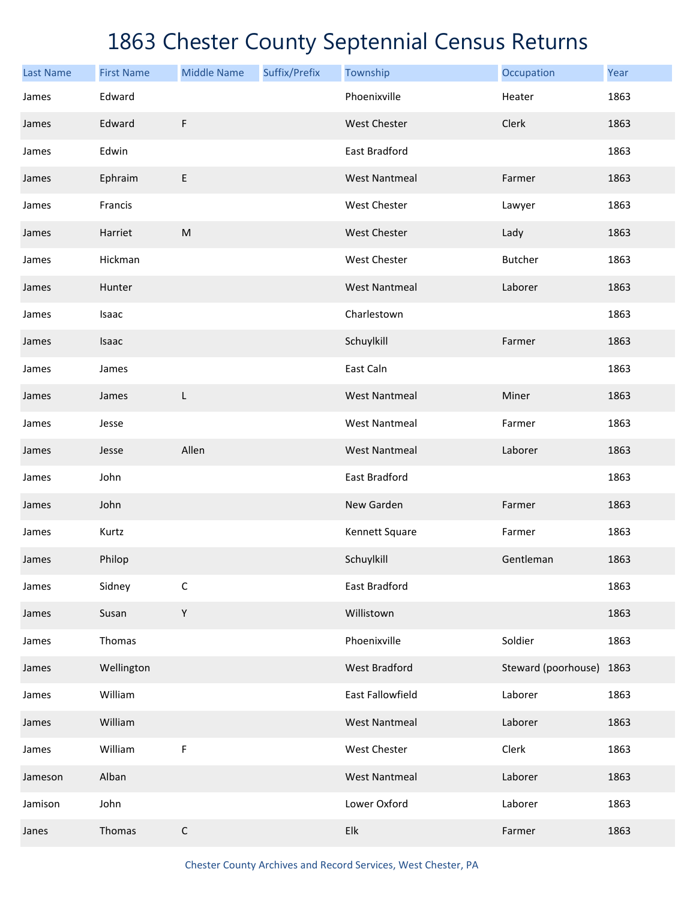| <b>Last Name</b> | <b>First Name</b> | <b>Middle Name</b> | Suffix/Prefix | Township             | Occupation               | Year |
|------------------|-------------------|--------------------|---------------|----------------------|--------------------------|------|
| James            | Edward            |                    |               | Phoenixville         | Heater                   | 1863 |
| James            | Edward            | F                  |               | <b>West Chester</b>  | Clerk                    | 1863 |
| James            | Edwin             |                    |               | East Bradford        |                          | 1863 |
| James            | Ephraim           | E                  |               | <b>West Nantmeal</b> | Farmer                   | 1863 |
| James            | Francis           |                    |               | West Chester         | Lawyer                   | 1863 |
| James            | Harriet           | ${\sf M}$          |               | <b>West Chester</b>  | Lady                     | 1863 |
| James            | Hickman           |                    |               | West Chester         | Butcher                  | 1863 |
| James            | Hunter            |                    |               | <b>West Nantmeal</b> | Laborer                  | 1863 |
| James            | Isaac             |                    |               | Charlestown          |                          | 1863 |
| James            | Isaac             |                    |               | Schuylkill           | Farmer                   | 1863 |
| James            | James             |                    |               | East Caln            |                          | 1863 |
| James            | James             | L                  |               | <b>West Nantmeal</b> | Miner                    | 1863 |
| James            | Jesse             |                    |               | <b>West Nantmeal</b> | Farmer                   | 1863 |
| James            | Jesse             | Allen              |               | <b>West Nantmeal</b> | Laborer                  | 1863 |
| James            | John              |                    |               | East Bradford        |                          | 1863 |
| James            | John              |                    |               | New Garden           | Farmer                   | 1863 |
| James            | Kurtz             |                    |               | Kennett Square       | Farmer                   | 1863 |
| James            | Philop            |                    |               | Schuylkill           | Gentleman                | 1863 |
| James            | Sidney            | $\mathsf C$        |               | East Bradford        |                          | 1863 |
| James            | Susan             | Y                  |               | Willistown           |                          | 1863 |
| James            | Thomas            |                    |               | Phoenixville         | Soldier                  | 1863 |
| James            | Wellington        |                    |               | <b>West Bradford</b> | Steward (poorhouse) 1863 |      |
| James            | William           |                    |               | East Fallowfield     | Laborer                  | 1863 |
| James            | William           |                    |               | <b>West Nantmeal</b> | Laborer                  | 1863 |
| James            | William           | F                  |               | West Chester         | Clerk                    | 1863 |
| Jameson          | Alban             |                    |               | <b>West Nantmeal</b> | Laborer                  | 1863 |
| Jamison          | John              |                    |               | Lower Oxford         | Laborer                  | 1863 |
| Janes            | Thomas            | $\mathsf C$        |               | Elk                  | Farmer                   | 1863 |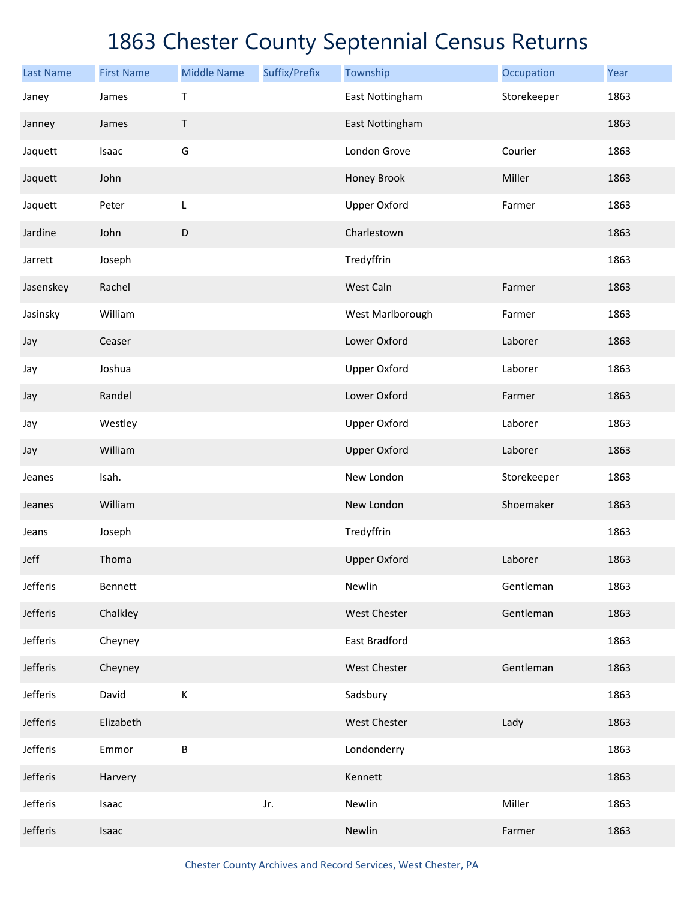| <b>Last Name</b> | <b>First Name</b> | <b>Middle Name</b> | Suffix/Prefix | Township            | Occupation  | Year |
|------------------|-------------------|--------------------|---------------|---------------------|-------------|------|
| Janey            | James             | Τ                  |               | East Nottingham     | Storekeeper | 1863 |
| Janney           | James             | Τ                  |               | East Nottingham     |             | 1863 |
| Jaquett          | Isaac             | G                  |               | London Grove        | Courier     | 1863 |
| Jaquett          | John              |                    |               | Honey Brook         | Miller      | 1863 |
| Jaquett          | Peter             | L                  |               | <b>Upper Oxford</b> | Farmer      | 1863 |
| Jardine          | John              | $\mathsf D$        |               | Charlestown         |             | 1863 |
| Jarrett          | Joseph            |                    |               | Tredyffrin          |             | 1863 |
| Jasenskey        | Rachel            |                    |               | West Caln           | Farmer      | 1863 |
| Jasinsky         | William           |                    |               | West Marlborough    | Farmer      | 1863 |
| Jay              | Ceaser            |                    |               | Lower Oxford        | Laborer     | 1863 |
| Jay              | Joshua            |                    |               | <b>Upper Oxford</b> | Laborer     | 1863 |
| Jay              | Randel            |                    |               | Lower Oxford        | Farmer      | 1863 |
| Jay              | Westley           |                    |               | <b>Upper Oxford</b> | Laborer     | 1863 |
| Jay              | William           |                    |               | <b>Upper Oxford</b> | Laborer     | 1863 |
| Jeanes           | Isah.             |                    |               | New London          | Storekeeper | 1863 |
| Jeanes           | William           |                    |               | New London          | Shoemaker   | 1863 |
| Jeans            | Joseph            |                    |               | Tredyffrin          |             | 1863 |
| Jeff             | Thoma             |                    |               | <b>Upper Oxford</b> | Laborer     | 1863 |
| Jefferis         | Bennett           |                    |               | Newlin              | Gentleman   | 1863 |
| Jefferis         | Chalkley          |                    |               | West Chester        | Gentleman   | 1863 |
| Jefferis         | Cheyney           |                    |               | East Bradford       |             | 1863 |
| Jefferis         | Cheyney           |                    |               | West Chester        | Gentleman   | 1863 |
| Jefferis         | David             | К                  |               | Sadsbury            |             | 1863 |
| Jefferis         | Elizabeth         |                    |               | West Chester        | Lady        | 1863 |
| Jefferis         | Emmor             | $\sf B$            |               | Londonderry         |             | 1863 |
| Jefferis         | Harvery           |                    |               | Kennett             |             | 1863 |
| Jefferis         | Isaac             |                    | Jr.           | Newlin              | Miller      | 1863 |
| Jefferis         | Isaac             |                    |               | Newlin              | Farmer      | 1863 |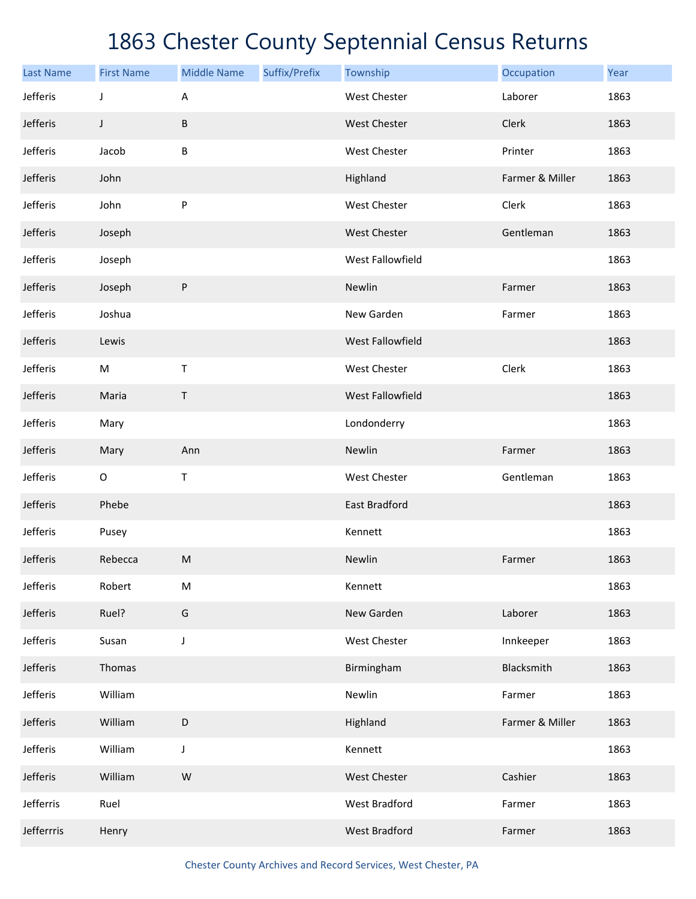| <b>Last Name</b> | <b>First Name</b> | <b>Middle Name</b> | Suffix/Prefix | Township             | Occupation      | Year |
|------------------|-------------------|--------------------|---------------|----------------------|-----------------|------|
| Jefferis         | J                 | A                  |               | West Chester         | Laborer         | 1863 |
| Jefferis         | J                 | В                  |               | West Chester         | Clerk           | 1863 |
| Jefferis         | Jacob             | В                  |               | West Chester         | Printer         | 1863 |
| Jefferis         | John              |                    |               | Highland             | Farmer & Miller | 1863 |
| Jefferis         | John              | P                  |               | <b>West Chester</b>  | Clerk           | 1863 |
| Jefferis         | Joseph            |                    |               | West Chester         | Gentleman       | 1863 |
| Jefferis         | Joseph            |                    |               | West Fallowfield     |                 | 1863 |
| Jefferis         | Joseph            | P                  |               | Newlin               | Farmer          | 1863 |
| Jefferis         | Joshua            |                    |               | New Garden           | Farmer          | 1863 |
| Jefferis         | Lewis             |                    |               | West Fallowfield     |                 | 1863 |
| Jefferis         | M                 | $\mathsf T$        |               | West Chester         | Clerk           | 1863 |
| Jefferis         | Maria             | $\mathsf T$        |               | West Fallowfield     |                 | 1863 |
| Jefferis         | Mary              |                    |               | Londonderry          |                 | 1863 |
| Jefferis         | Mary              | Ann                |               | Newlin               | Farmer          | 1863 |
| Jefferis         | $\mathsf O$       | $\mathsf T$        |               | West Chester         | Gentleman       | 1863 |
| Jefferis         | Phebe             |                    |               | East Bradford        |                 | 1863 |
| Jefferis         | Pusey             |                    |               | Kennett              |                 | 1863 |
| Jefferis         | Rebecca           | M                  |               | Newlin               | Farmer          | 1863 |
| Jefferis         | Robert            | M                  |               | Kennett              |                 | 1863 |
| Jefferis         | Ruel?             | G                  |               | New Garden           | Laborer         | 1863 |
| Jefferis         | Susan             | J                  |               | West Chester         | Innkeeper       | 1863 |
| Jefferis         | Thomas            |                    |               | Birmingham           | Blacksmith      | 1863 |
| Jefferis         | William           |                    |               | Newlin               | Farmer          | 1863 |
| Jefferis         | William           | D                  |               | Highland             | Farmer & Miller | 1863 |
| Jefferis         | William           | J                  |               | Kennett              |                 | 1863 |
| Jefferis         | William           | W                  |               | <b>West Chester</b>  | Cashier         | 1863 |
| Jefferris        | Ruel              |                    |               | <b>West Bradford</b> | Farmer          | 1863 |
| Jefferrris       | Henry             |                    |               | <b>West Bradford</b> | Farmer          | 1863 |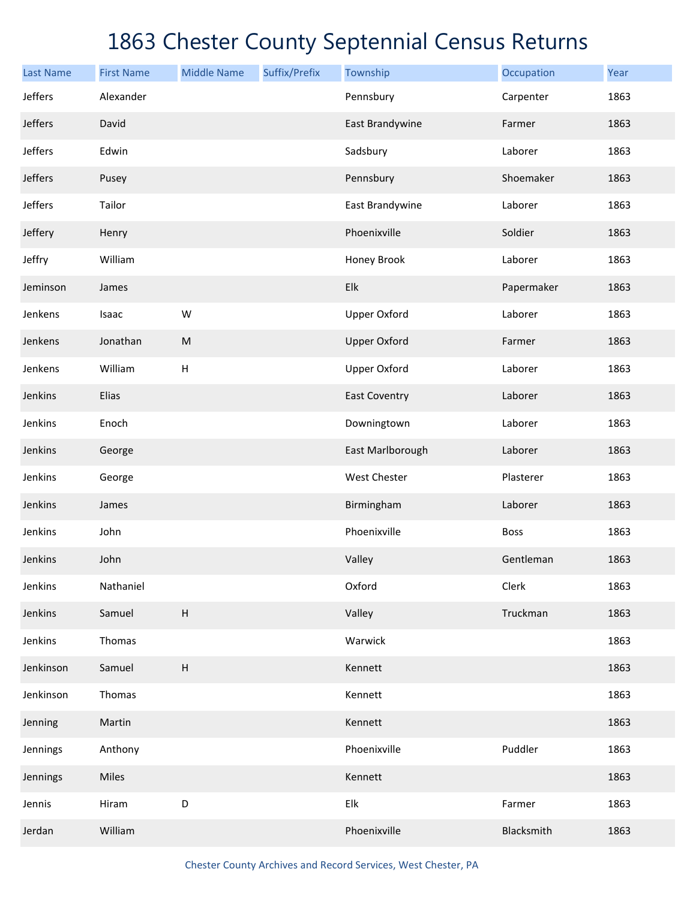| <b>Last Name</b> | <b>First Name</b> | <b>Middle Name</b>        | Suffix/Prefix | Township             | Occupation  | Year |
|------------------|-------------------|---------------------------|---------------|----------------------|-------------|------|
| Jeffers          | Alexander         |                           |               | Pennsbury            | Carpenter   | 1863 |
| Jeffers          | David             |                           |               | East Brandywine      | Farmer      | 1863 |
| Jeffers          | Edwin             |                           |               | Sadsbury             | Laborer     | 1863 |
| Jeffers          | Pusey             |                           |               | Pennsbury            | Shoemaker   | 1863 |
| Jeffers          | Tailor            |                           |               | East Brandywine      | Laborer     | 1863 |
| Jeffery          | Henry             |                           |               | Phoenixville         | Soldier     | 1863 |
| Jeffry           | William           |                           |               | Honey Brook          | Laborer     | 1863 |
| Jeminson         | James             |                           |               | Elk                  | Papermaker  | 1863 |
| Jenkens          | Isaac             | W                         |               | <b>Upper Oxford</b>  | Laborer     | 1863 |
| Jenkens          | Jonathan          | ${\sf M}$                 |               | <b>Upper Oxford</b>  | Farmer      | 1863 |
| Jenkens          | William           | H                         |               | <b>Upper Oxford</b>  | Laborer     | 1863 |
| Jenkins          | <b>Elias</b>      |                           |               | <b>East Coventry</b> | Laborer     | 1863 |
| Jenkins          | Enoch             |                           |               | Downingtown          | Laborer     | 1863 |
| Jenkins          | George            |                           |               | East Marlborough     | Laborer     | 1863 |
| Jenkins          | George            |                           |               | West Chester         | Plasterer   | 1863 |
| Jenkins          | James             |                           |               | Birmingham           | Laborer     | 1863 |
| Jenkins          | John              |                           |               | Phoenixville         | <b>Boss</b> | 1863 |
| Jenkins          | John              |                           |               | Valley               | Gentleman   | 1863 |
| Jenkins          | Nathaniel         |                           |               | Oxford               | Clerk       | 1863 |
| Jenkins          | Samuel            | $\boldsymbol{\mathsf{H}}$ |               | Valley               | Truckman    | 1863 |
| Jenkins          | Thomas            |                           |               | Warwick              |             | 1863 |
| Jenkinson        | Samuel            | $\boldsymbol{\mathsf{H}}$ |               | Kennett              |             | 1863 |
| Jenkinson        | Thomas            |                           |               | Kennett              |             | 1863 |
| Jenning          | Martin            |                           |               | Kennett              |             | 1863 |
| Jennings         | Anthony           |                           |               | Phoenixville         | Puddler     | 1863 |
| Jennings         | Miles             |                           |               | Kennett              |             | 1863 |
| Jennis           | Hiram             | D                         |               | Elk                  | Farmer      | 1863 |
| Jerdan           | William           |                           |               | Phoenixville         | Blacksmith  | 1863 |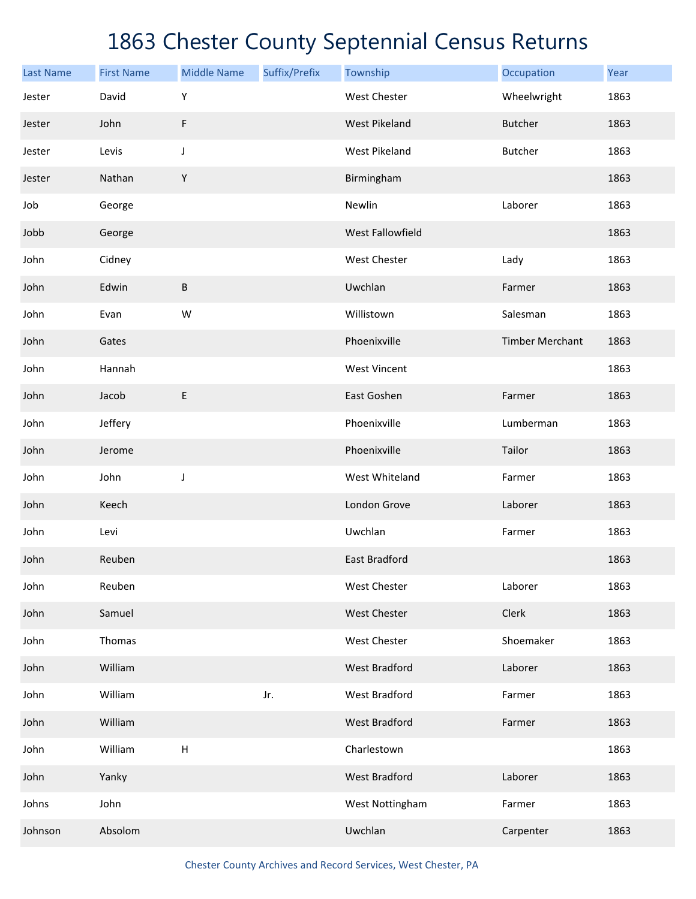| <b>Last Name</b> | <b>First Name</b> | <b>Middle Name</b>        | Suffix/Prefix | Township             | Occupation             | Year |
|------------------|-------------------|---------------------------|---------------|----------------------|------------------------|------|
| Jester           | David             | Υ                         |               | <b>West Chester</b>  | Wheelwright            | 1863 |
| Jester           | John              | F                         |               | <b>West Pikeland</b> | <b>Butcher</b>         | 1863 |
| Jester           | Levis             | J                         |               | <b>West Pikeland</b> | Butcher                | 1863 |
| Jester           | Nathan            | $\mathsf Y$               |               | Birmingham           |                        | 1863 |
| Job              | George            |                           |               | Newlin               | Laborer                | 1863 |
| Jobb             | George            |                           |               | West Fallowfield     |                        | 1863 |
| John             | Cidney            |                           |               | West Chester         | Lady                   | 1863 |
| John             | Edwin             | $\sf B$                   |               | Uwchlan              | Farmer                 | 1863 |
| John             | Evan              | W                         |               | Willistown           | Salesman               | 1863 |
| John             | Gates             |                           |               | Phoenixville         | <b>Timber Merchant</b> | 1863 |
| John             | Hannah            |                           |               | <b>West Vincent</b>  |                        | 1863 |
| John             | Jacob             | E                         |               | East Goshen          | Farmer                 | 1863 |
| John             | Jeffery           |                           |               | Phoenixville         | Lumberman              | 1863 |
| John             | Jerome            |                           |               | Phoenixville         | Tailor                 | 1863 |
| John             | John              | J                         |               | West Whiteland       | Farmer                 | 1863 |
| John             | Keech             |                           |               | London Grove         | Laborer                | 1863 |
| John             | Levi              |                           |               | Uwchlan              | Farmer                 | 1863 |
| John             | Reuben            |                           |               | <b>East Bradford</b> |                        | 1863 |
| John             | Reuben            |                           |               | West Chester         | Laborer                | 1863 |
| John             | Samuel            |                           |               | <b>West Chester</b>  | Clerk                  | 1863 |
| John             | Thomas            |                           |               | West Chester         | Shoemaker              | 1863 |
| John             | William           |                           |               | <b>West Bradford</b> | Laborer                | 1863 |
| John             | William           |                           | Jr.           | West Bradford        | Farmer                 | 1863 |
| John             | William           |                           |               | <b>West Bradford</b> | Farmer                 | 1863 |
| John             | William           | $\boldsymbol{\mathsf{H}}$ |               | Charlestown          |                        | 1863 |
| John             | Yanky             |                           |               | <b>West Bradford</b> | Laborer                | 1863 |
| Johns            | John              |                           |               | West Nottingham      | Farmer                 | 1863 |
| Johnson          | Absolom           |                           |               | Uwchlan              | Carpenter              | 1863 |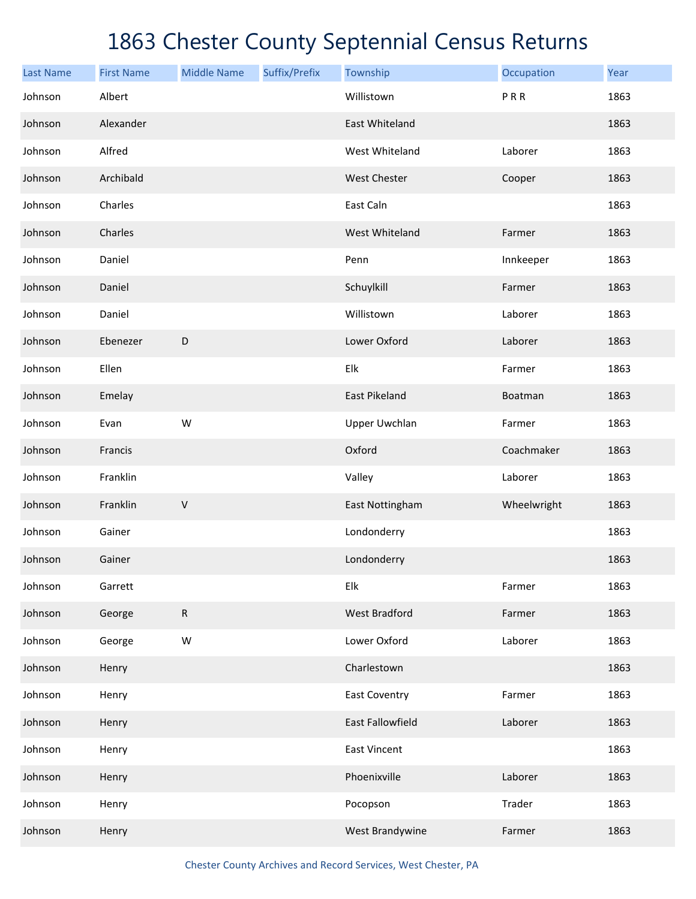| <b>Last Name</b> | <b>First Name</b> | <b>Middle Name</b> | Suffix/Prefix | Township                | Occupation  | Year |
|------------------|-------------------|--------------------|---------------|-------------------------|-------------|------|
| Johnson          | Albert            |                    |               | Willistown              | PRR         | 1863 |
| Johnson          | Alexander         |                    |               | East Whiteland          |             | 1863 |
| Johnson          | Alfred            |                    |               | West Whiteland          | Laborer     | 1863 |
| Johnson          | Archibald         |                    |               | <b>West Chester</b>     | Cooper      | 1863 |
| Johnson          | Charles           |                    |               | East Caln               |             | 1863 |
| Johnson          | Charles           |                    |               | West Whiteland          | Farmer      | 1863 |
| Johnson          | Daniel            |                    |               | Penn                    | Innkeeper   | 1863 |
| Johnson          | Daniel            |                    |               | Schuylkill              | Farmer      | 1863 |
| Johnson          | Daniel            |                    |               | Willistown              | Laborer     | 1863 |
| Johnson          | Ebenezer          | D                  |               | Lower Oxford            | Laborer     | 1863 |
| Johnson          | Ellen             |                    |               | Elk                     | Farmer      | 1863 |
| Johnson          | Emelay            |                    |               | <b>East Pikeland</b>    | Boatman     | 1863 |
| Johnson          | Evan              | W                  |               | <b>Upper Uwchlan</b>    | Farmer      | 1863 |
| Johnson          | Francis           |                    |               | Oxford                  | Coachmaker  | 1863 |
| Johnson          | Franklin          |                    |               | Valley                  | Laborer     | 1863 |
| Johnson          | Franklin          | $\sf V$            |               | East Nottingham         | Wheelwright | 1863 |
| Johnson          | Gainer            |                    |               | Londonderry             |             | 1863 |
| Johnson          | Gainer            |                    |               | Londonderry             |             | 1863 |
| Johnson          | Garrett           |                    |               | Elk                     | Farmer      | 1863 |
| Johnson          | George            | ${\sf R}$          |               | <b>West Bradford</b>    | Farmer      | 1863 |
| Johnson          | George            | W                  |               | Lower Oxford            | Laborer     | 1863 |
| Johnson          | Henry             |                    |               | Charlestown             |             | 1863 |
| Johnson          | Henry             |                    |               | <b>East Coventry</b>    | Farmer      | 1863 |
| Johnson          | Henry             |                    |               | <b>East Fallowfield</b> | Laborer     | 1863 |
| Johnson          | Henry             |                    |               | <b>East Vincent</b>     |             | 1863 |
| Johnson          | Henry             |                    |               | Phoenixville            | Laborer     | 1863 |
| Johnson          | Henry             |                    |               | Pocopson                | Trader      | 1863 |
| Johnson          | Henry             |                    |               | West Brandywine         | Farmer      | 1863 |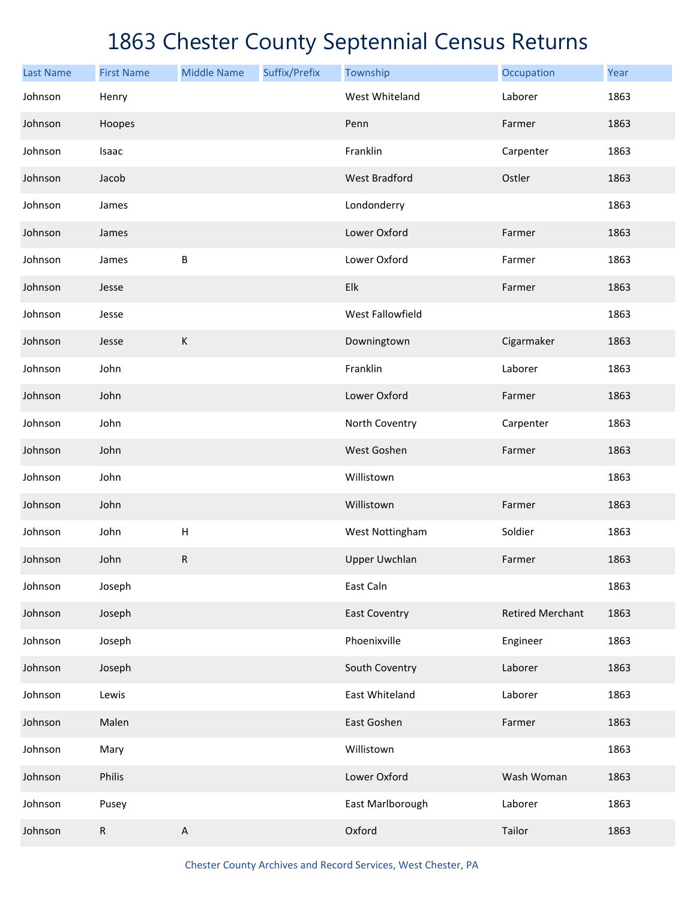| <b>Last Name</b> | <b>First Name</b> | <b>Middle Name</b> | Suffix/Prefix | Township             | Occupation              | Year |
|------------------|-------------------|--------------------|---------------|----------------------|-------------------------|------|
| Johnson          | Henry             |                    |               | West Whiteland       | Laborer                 | 1863 |
| Johnson          | Hoopes            |                    |               | Penn                 | Farmer                  | 1863 |
| Johnson          | Isaac             |                    |               | Franklin             | Carpenter               | 1863 |
| Johnson          | Jacob             |                    |               | <b>West Bradford</b> | Ostler                  | 1863 |
| Johnson          | James             |                    |               | Londonderry          |                         | 1863 |
| Johnson          | James             |                    |               | Lower Oxford         | Farmer                  | 1863 |
| Johnson          | James             | B                  |               | Lower Oxford         | Farmer                  | 1863 |
| Johnson          | Jesse             |                    |               | Elk                  | Farmer                  | 1863 |
| Johnson          | Jesse             |                    |               | West Fallowfield     |                         | 1863 |
| Johnson          | Jesse             | $\mathsf K$        |               | Downingtown          | Cigarmaker              | 1863 |
| Johnson          | John              |                    |               | Franklin             | Laborer                 | 1863 |
| Johnson          | John              |                    |               | Lower Oxford         | Farmer                  | 1863 |
| Johnson          | John              |                    |               | North Coventry       | Carpenter               | 1863 |
| Johnson          | John              |                    |               | West Goshen          | Farmer                  | 1863 |
| Johnson          | John              |                    |               | Willistown           |                         | 1863 |
| Johnson          | John              |                    |               | Willistown           | Farmer                  | 1863 |
| Johnson          | John              | $\sf H$            |               | West Nottingham      | Soldier                 | 1863 |
| Johnson          | John              | ${\sf R}$          |               | <b>Upper Uwchlan</b> | Farmer                  | 1863 |
| Johnson          | Joseph            |                    |               | East Caln            |                         | 1863 |
| Johnson          | Joseph            |                    |               | <b>East Coventry</b> | <b>Retired Merchant</b> | 1863 |
| Johnson          | Joseph            |                    |               | Phoenixville         | Engineer                | 1863 |
| Johnson          | Joseph            |                    |               | South Coventry       | Laborer                 | 1863 |
| Johnson          | Lewis             |                    |               | East Whiteland       | Laborer                 | 1863 |
| Johnson          | Malen             |                    |               | East Goshen          | Farmer                  | 1863 |
| Johnson          | Mary              |                    |               | Willistown           |                         | 1863 |
| Johnson          | Philis            |                    |               | Lower Oxford         | Wash Woman              | 1863 |
| Johnson          | Pusey             |                    |               | East Marlborough     | Laborer                 | 1863 |
| Johnson          | R                 | $\sf A$            |               | Oxford               | Tailor                  | 1863 |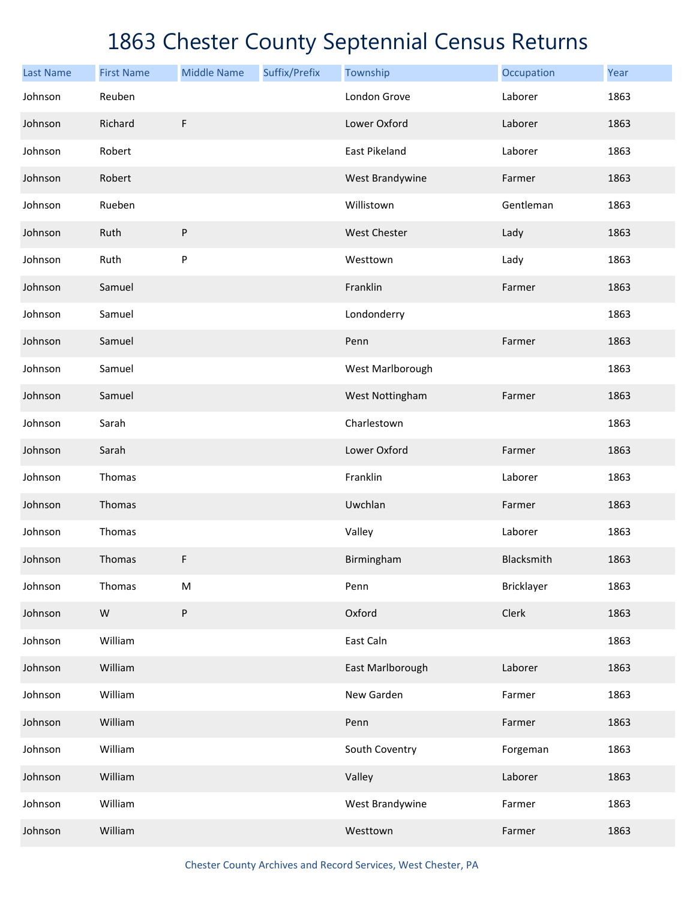| <b>Last Name</b> | <b>First Name</b> | <b>Middle Name</b> | Suffix/Prefix | Township         | Occupation | Year |
|------------------|-------------------|--------------------|---------------|------------------|------------|------|
| Johnson          | Reuben            |                    |               | London Grove     | Laborer    | 1863 |
| Johnson          | Richard           | $\mathsf F$        |               | Lower Oxford     | Laborer    | 1863 |
| Johnson          | Robert            |                    |               | East Pikeland    | Laborer    | 1863 |
| Johnson          | Robert            |                    |               | West Brandywine  | Farmer     | 1863 |
| Johnson          | Rueben            |                    |               | Willistown       | Gentleman  | 1863 |
| Johnson          | Ruth              | P                  |               | West Chester     | Lady       | 1863 |
| Johnson          | Ruth              | P                  |               | Westtown         | Lady       | 1863 |
| Johnson          | Samuel            |                    |               | Franklin         | Farmer     | 1863 |
| Johnson          | Samuel            |                    |               | Londonderry      |            | 1863 |
| Johnson          | Samuel            |                    |               | Penn             | Farmer     | 1863 |
| Johnson          | Samuel            |                    |               | West Marlborough |            | 1863 |
| Johnson          | Samuel            |                    |               | West Nottingham  | Farmer     | 1863 |
| Johnson          | Sarah             |                    |               | Charlestown      |            | 1863 |
| Johnson          | Sarah             |                    |               | Lower Oxford     | Farmer     | 1863 |
| Johnson          | Thomas            |                    |               | Franklin         | Laborer    | 1863 |
| Johnson          | Thomas            |                    |               | Uwchlan          | Farmer     | 1863 |
| Johnson          | Thomas            |                    |               | Valley           | Laborer    | 1863 |
| Johnson          | Thomas            | F                  |               | Birmingham       | Blacksmith | 1863 |
| Johnson          | Thomas            | ${\sf M}$          |               | Penn             | Bricklayer | 1863 |
| Johnson          | ${\sf W}$         | P                  |               | Oxford           | Clerk      | 1863 |
| Johnson          | William           |                    |               | East Caln        |            | 1863 |
| Johnson          | William           |                    |               | East Marlborough | Laborer    | 1863 |
| Johnson          | William           |                    |               | New Garden       | Farmer     | 1863 |
| Johnson          | William           |                    |               | Penn             | Farmer     | 1863 |
| Johnson          | William           |                    |               | South Coventry   | Forgeman   | 1863 |
| Johnson          | William           |                    |               | Valley           | Laborer    | 1863 |
| Johnson          | William           |                    |               | West Brandywine  | Farmer     | 1863 |
| Johnson          | William           |                    |               | Westtown         | Farmer     | 1863 |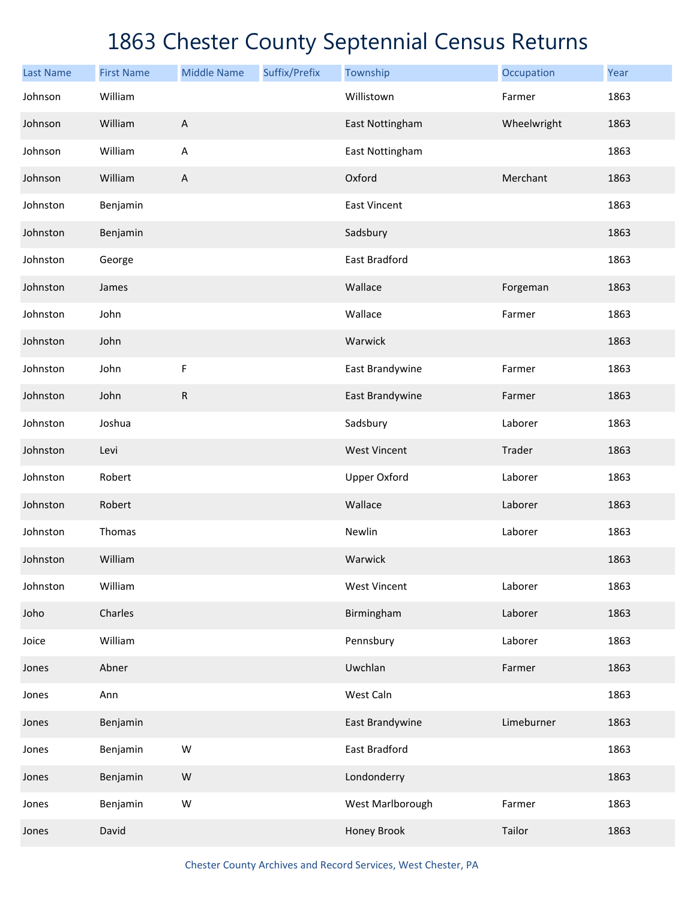| <b>Last Name</b> | <b>First Name</b> | <b>Middle Name</b>        | Suffix/Prefix | Township            | Occupation  | Year |
|------------------|-------------------|---------------------------|---------------|---------------------|-------------|------|
| Johnson          | William           |                           |               | Willistown          | Farmer      | 1863 |
| Johnson          | William           | $\boldsymbol{\mathsf{A}}$ |               | East Nottingham     | Wheelwright | 1863 |
| Johnson          | William           | $\mathsf A$               |               | East Nottingham     |             | 1863 |
| Johnson          | William           | $\boldsymbol{\mathsf{A}}$ |               | Oxford              | Merchant    | 1863 |
| Johnston         | Benjamin          |                           |               | <b>East Vincent</b> |             | 1863 |
| Johnston         | Benjamin          |                           |               | Sadsbury            |             | 1863 |
| Johnston         | George            |                           |               | East Bradford       |             | 1863 |
| Johnston         | James             |                           |               | Wallace             | Forgeman    | 1863 |
| Johnston         | John              |                           |               | Wallace             | Farmer      | 1863 |
| Johnston         | John              |                           |               | Warwick             |             | 1863 |
| Johnston         | John              | $\mathsf F$               |               | East Brandywine     | Farmer      | 1863 |
| Johnston         | John              | ${\sf R}$                 |               | East Brandywine     | Farmer      | 1863 |
| Johnston         | Joshua            |                           |               | Sadsbury            | Laborer     | 1863 |
| Johnston         | Levi              |                           |               | <b>West Vincent</b> | Trader      | 1863 |
| Johnston         | Robert            |                           |               | <b>Upper Oxford</b> | Laborer     | 1863 |
| Johnston         | Robert            |                           |               | Wallace             | Laborer     | 1863 |
| Johnston         | Thomas            |                           |               | Newlin              | Laborer     | 1863 |
| Johnston         | William           |                           |               | Warwick             |             | 1863 |
| Johnston         | William           |                           |               | <b>West Vincent</b> | Laborer     | 1863 |
| Joho             | Charles           |                           |               | Birmingham          | Laborer     | 1863 |
| Joice            | William           |                           |               | Pennsbury           | Laborer     | 1863 |
| Jones            | Abner             |                           |               | Uwchlan             | Farmer      | 1863 |
| Jones            | Ann               |                           |               | West Caln           |             | 1863 |
| Jones            | Benjamin          |                           |               | East Brandywine     | Limeburner  | 1863 |
| Jones            | Benjamin          | W                         |               | East Bradford       |             | 1863 |
| Jones            | Benjamin          | W                         |               | Londonderry         |             | 1863 |
| Jones            | Benjamin          | W                         |               | West Marlborough    | Farmer      | 1863 |
| Jones            | David             |                           |               | Honey Brook         | Tailor      | 1863 |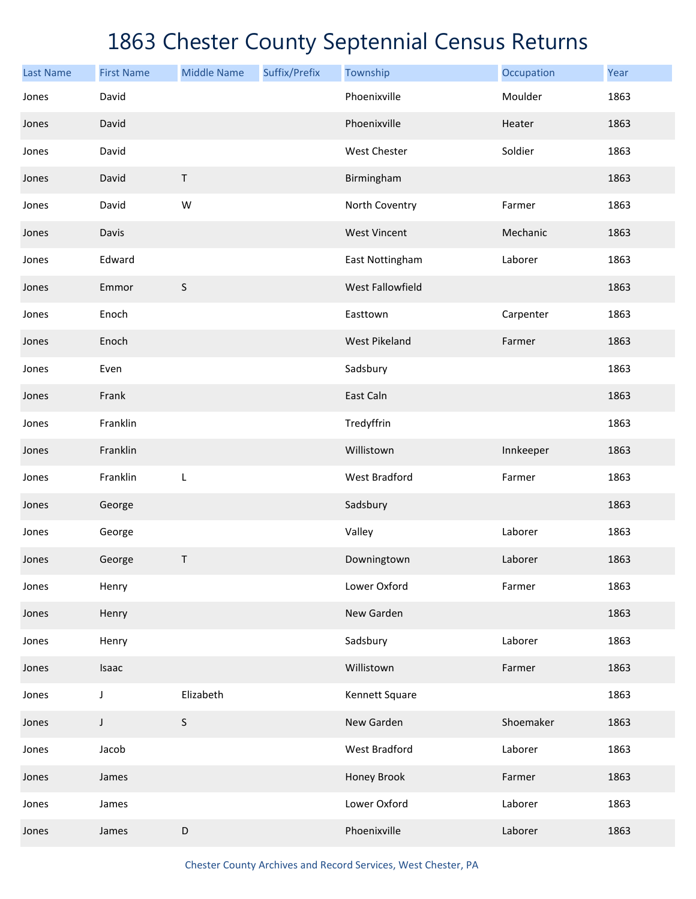| <b>Last Name</b> | <b>First Name</b> | <b>Middle Name</b> | Suffix/Prefix | Township             | Occupation | Year |
|------------------|-------------------|--------------------|---------------|----------------------|------------|------|
| Jones            | David             |                    |               | Phoenixville         | Moulder    | 1863 |
| Jones            | David             |                    |               | Phoenixville         | Heater     | 1863 |
| Jones            | David             |                    |               | West Chester         | Soldier    | 1863 |
| Jones            | David             | $\sf T$            |               | Birmingham           |            | 1863 |
| Jones            | David             | W                  |               | North Coventry       | Farmer     | 1863 |
| Jones            | Davis             |                    |               | <b>West Vincent</b>  | Mechanic   | 1863 |
| Jones            | Edward            |                    |               | East Nottingham      | Laborer    | 1863 |
| Jones            | Emmor             | $\sf S$            |               | West Fallowfield     |            | 1863 |
| Jones            | Enoch             |                    |               | Easttown             | Carpenter  | 1863 |
| Jones            | Enoch             |                    |               | <b>West Pikeland</b> | Farmer     | 1863 |
| Jones            | Even              |                    |               | Sadsbury             |            | 1863 |
| Jones            | Frank             |                    |               | East Caln            |            | 1863 |
| Jones            | Franklin          |                    |               | Tredyffrin           |            | 1863 |
| Jones            | Franklin          |                    |               | Willistown           | Innkeeper  | 1863 |
| Jones            | Franklin          | L                  |               | West Bradford        | Farmer     | 1863 |
| Jones            | George            |                    |               | Sadsbury             |            | 1863 |
| Jones            | George            |                    |               | Valley               | Laborer    | 1863 |
| Jones            | George            | Τ                  |               | Downingtown          | Laborer    | 1863 |
| Jones            | Henry             |                    |               | Lower Oxford         | Farmer     | 1863 |
| Jones            | Henry             |                    |               | New Garden           |            | 1863 |
| Jones            | Henry             |                    |               | Sadsbury             | Laborer    | 1863 |
| Jones            | Isaac             |                    |               | Willistown           | Farmer     | 1863 |
| Jones            | J                 | Elizabeth          |               | Kennett Square       |            | 1863 |
| Jones            | $\mathsf J$       | S                  |               | New Garden           | Shoemaker  | 1863 |
| Jones            | Jacob             |                    |               | <b>West Bradford</b> | Laborer    | 1863 |
| Jones            | James             |                    |               | Honey Brook          | Farmer     | 1863 |
| Jones            | James             |                    |               | Lower Oxford         | Laborer    | 1863 |
| Jones            | James             | $\mathsf D$        |               | Phoenixville         | Laborer    | 1863 |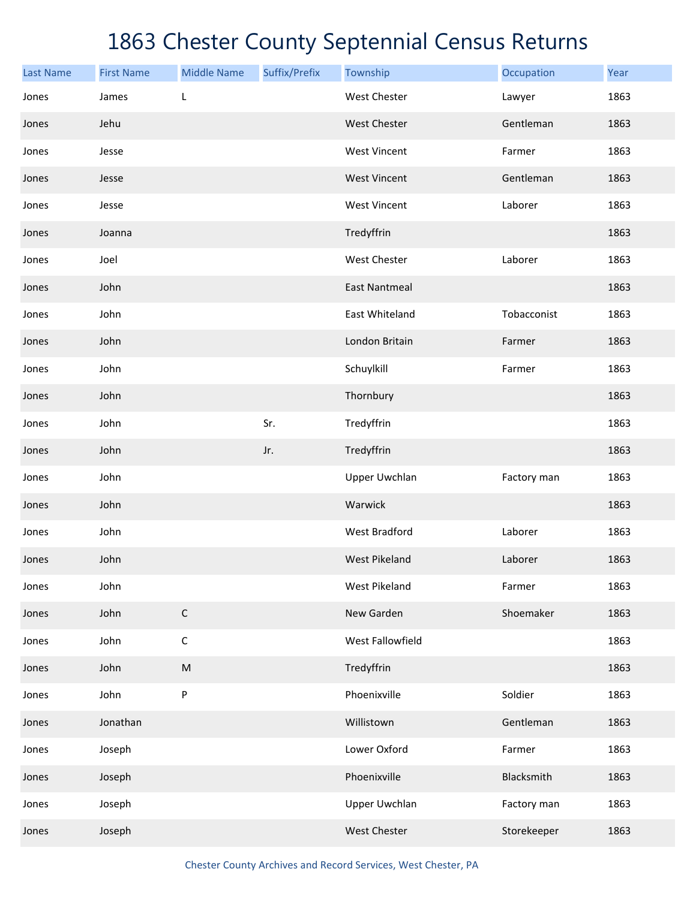| <b>Last Name</b> | <b>First Name</b> | <b>Middle Name</b> | Suffix/Prefix | Township             | Occupation  | Year |
|------------------|-------------------|--------------------|---------------|----------------------|-------------|------|
| Jones            | James             | L                  |               | <b>West Chester</b>  | Lawyer      | 1863 |
| Jones            | Jehu              |                    |               | West Chester         | Gentleman   | 1863 |
| Jones            | Jesse             |                    |               | <b>West Vincent</b>  | Farmer      | 1863 |
| Jones            | Jesse             |                    |               | <b>West Vincent</b>  | Gentleman   | 1863 |
| Jones            | Jesse             |                    |               | <b>West Vincent</b>  | Laborer     | 1863 |
| Jones            | Joanna            |                    |               | Tredyffrin           |             | 1863 |
| Jones            | Joel              |                    |               | West Chester         | Laborer     | 1863 |
| Jones            | John              |                    |               | <b>East Nantmeal</b> |             | 1863 |
| Jones            | John              |                    |               | East Whiteland       | Tobacconist | 1863 |
| Jones            | John              |                    |               | London Britain       | Farmer      | 1863 |
| Jones            | John              |                    |               | Schuylkill           | Farmer      | 1863 |
| Jones            | John              |                    |               | Thornbury            |             | 1863 |
| Jones            | John              |                    | Sr.           | Tredyffrin           |             | 1863 |
| Jones            | John              |                    | Jr.           | Tredyffrin           |             | 1863 |
| Jones            | John              |                    |               | <b>Upper Uwchlan</b> | Factory man | 1863 |
| Jones            | John              |                    |               | Warwick              |             | 1863 |
| Jones            | John              |                    |               | <b>West Bradford</b> | Laborer     | 1863 |
| Jones            | John              |                    |               | <b>West Pikeland</b> | Laborer     | 1863 |
| Jones            | John              |                    |               | <b>West Pikeland</b> | Farmer      | 1863 |
| Jones            | John              | $\mathsf C$        |               | New Garden           | Shoemaker   | 1863 |
| Jones            | John              | $\mathsf C$        |               | West Fallowfield     |             | 1863 |
| Jones            | John              | ${\sf M}$          |               | Tredyffrin           |             | 1863 |
| Jones            | John              | P                  |               | Phoenixville         | Soldier     | 1863 |
| Jones            | Jonathan          |                    |               | Willistown           | Gentleman   | 1863 |
| Jones            | Joseph            |                    |               | Lower Oxford         | Farmer      | 1863 |
| Jones            | Joseph            |                    |               | Phoenixville         | Blacksmith  | 1863 |
| Jones            | Joseph            |                    |               | <b>Upper Uwchlan</b> | Factory man | 1863 |
| Jones            | Joseph            |                    |               | West Chester         | Storekeeper | 1863 |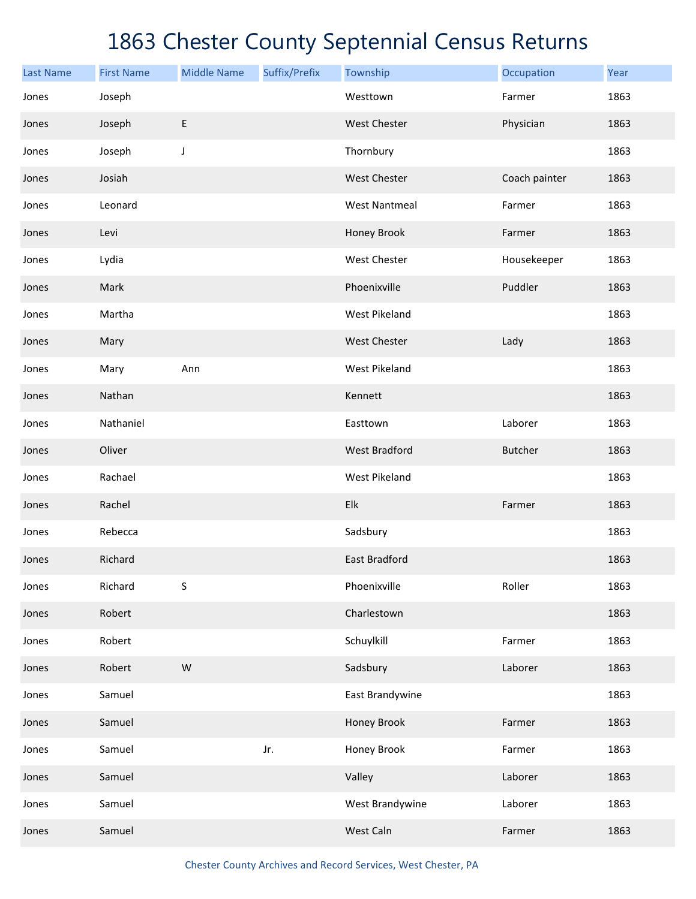| <b>Last Name</b> | <b>First Name</b> | <b>Middle Name</b> | Suffix/Prefix | Township             | Occupation     | Year |
|------------------|-------------------|--------------------|---------------|----------------------|----------------|------|
| Jones            | Joseph            |                    |               | Westtown             | Farmer         | 1863 |
| Jones            | Joseph            | E                  |               | West Chester         | Physician      | 1863 |
| Jones            | Joseph            | J                  |               | Thornbury            |                | 1863 |
| Jones            | Josiah            |                    |               | West Chester         | Coach painter  | 1863 |
| Jones            | Leonard           |                    |               | <b>West Nantmeal</b> | Farmer         | 1863 |
| Jones            | Levi              |                    |               | Honey Brook          | Farmer         | 1863 |
| Jones            | Lydia             |                    |               | West Chester         | Housekeeper    | 1863 |
| Jones            | Mark              |                    |               | Phoenixville         | Puddler        | 1863 |
| Jones            | Martha            |                    |               | <b>West Pikeland</b> |                | 1863 |
| Jones            | Mary              |                    |               | West Chester         | Lady           | 1863 |
| Jones            | Mary              | Ann                |               | <b>West Pikeland</b> |                | 1863 |
| Jones            | Nathan            |                    |               | Kennett              |                | 1863 |
| Jones            | Nathaniel         |                    |               | Easttown             | Laborer        | 1863 |
| Jones            | Oliver            |                    |               | <b>West Bradford</b> | <b>Butcher</b> | 1863 |
| Jones            | Rachael           |                    |               | West Pikeland        |                | 1863 |
| Jones            | Rachel            |                    |               | Elk                  | Farmer         | 1863 |
| Jones            | Rebecca           |                    |               | Sadsbury             |                | 1863 |
| Jones            | Richard           |                    |               | <b>East Bradford</b> |                | 1863 |
| Jones            | Richard           | S                  |               | Phoenixville         | Roller         | 1863 |
| Jones            | Robert            |                    |               | Charlestown          |                | 1863 |
| Jones            | Robert            |                    |               | Schuylkill           | Farmer         | 1863 |
| Jones            | Robert            | ${\sf W}$          |               | Sadsbury             | Laborer        | 1863 |
| Jones            | Samuel            |                    |               | East Brandywine      |                | 1863 |
| Jones            | Samuel            |                    |               | Honey Brook          | Farmer         | 1863 |
| Jones            | Samuel            |                    | Jr.           | Honey Brook          | Farmer         | 1863 |
| Jones            | Samuel            |                    |               | Valley               | Laborer        | 1863 |
| Jones            | Samuel            |                    |               | West Brandywine      | Laborer        | 1863 |
| Jones            | Samuel            |                    |               | West Caln            | Farmer         | 1863 |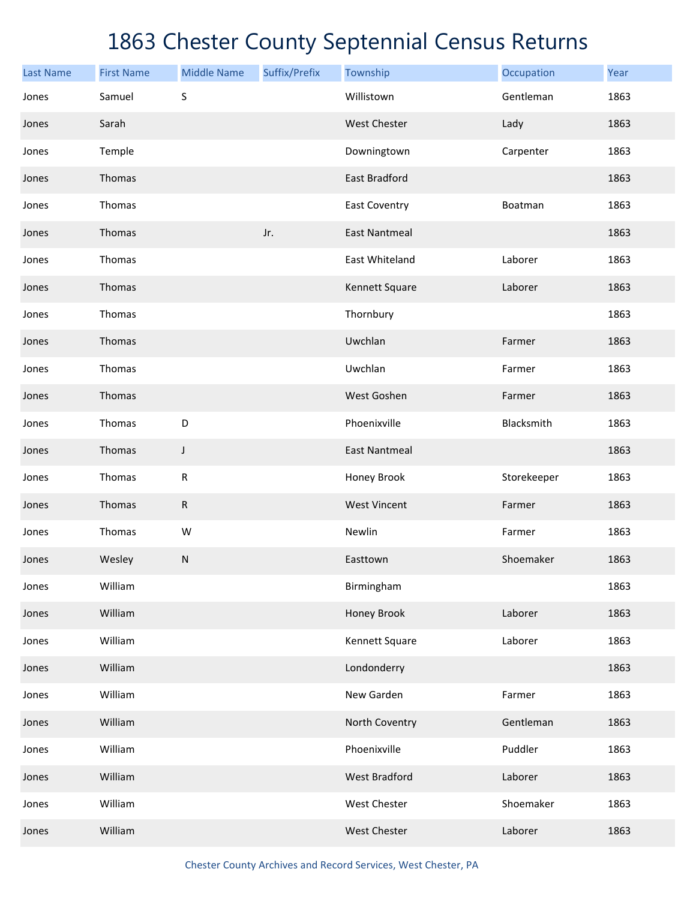| <b>Last Name</b> | <b>First Name</b> | <b>Middle Name</b> | Suffix/Prefix | Township             | Occupation  | Year |
|------------------|-------------------|--------------------|---------------|----------------------|-------------|------|
| Jones            | Samuel            | S                  |               | Willistown           | Gentleman   | 1863 |
| Jones            | Sarah             |                    |               | West Chester         | Lady        | 1863 |
| Jones            | Temple            |                    |               | Downingtown          | Carpenter   | 1863 |
| Jones            | Thomas            |                    |               | East Bradford        |             | 1863 |
| Jones            | Thomas            |                    |               | East Coventry        | Boatman     | 1863 |
| Jones            | Thomas            |                    | Jr.           | <b>East Nantmeal</b> |             | 1863 |
| Jones            | Thomas            |                    |               | East Whiteland       | Laborer     | 1863 |
| Jones            | Thomas            |                    |               | Kennett Square       | Laborer     | 1863 |
| Jones            | Thomas            |                    |               | Thornbury            |             | 1863 |
| Jones            | Thomas            |                    |               | Uwchlan              | Farmer      | 1863 |
| Jones            | Thomas            |                    |               | Uwchlan              | Farmer      | 1863 |
| Jones            | Thomas            |                    |               | West Goshen          | Farmer      | 1863 |
| Jones            | Thomas            | D                  |               | Phoenixville         | Blacksmith  | 1863 |
| Jones            | Thomas            | J                  |               | <b>East Nantmeal</b> |             | 1863 |
| Jones            | Thomas            | ${\sf R}$          |               | Honey Brook          | Storekeeper | 1863 |
| Jones            | Thomas            | ${\sf R}$          |               | <b>West Vincent</b>  | Farmer      | 1863 |
| Jones            | Thomas            | W                  |               | Newlin               | Farmer      | 1863 |
| Jones            | Wesley            | ${\sf N}$          |               | Easttown             | Shoemaker   | 1863 |
| Jones            | William           |                    |               | Birmingham           |             | 1863 |
| Jones            | William           |                    |               | Honey Brook          | Laborer     | 1863 |
| Jones            | William           |                    |               | Kennett Square       | Laborer     | 1863 |
| Jones            | William           |                    |               | Londonderry          |             | 1863 |
| Jones            | William           |                    |               | New Garden           | Farmer      | 1863 |
| Jones            | William           |                    |               | North Coventry       | Gentleman   | 1863 |
| Jones            | William           |                    |               | Phoenixville         | Puddler     | 1863 |
| Jones            | William           |                    |               | <b>West Bradford</b> | Laborer     | 1863 |
| Jones            | William           |                    |               | West Chester         | Shoemaker   | 1863 |
| Jones            | William           |                    |               | West Chester         | Laborer     | 1863 |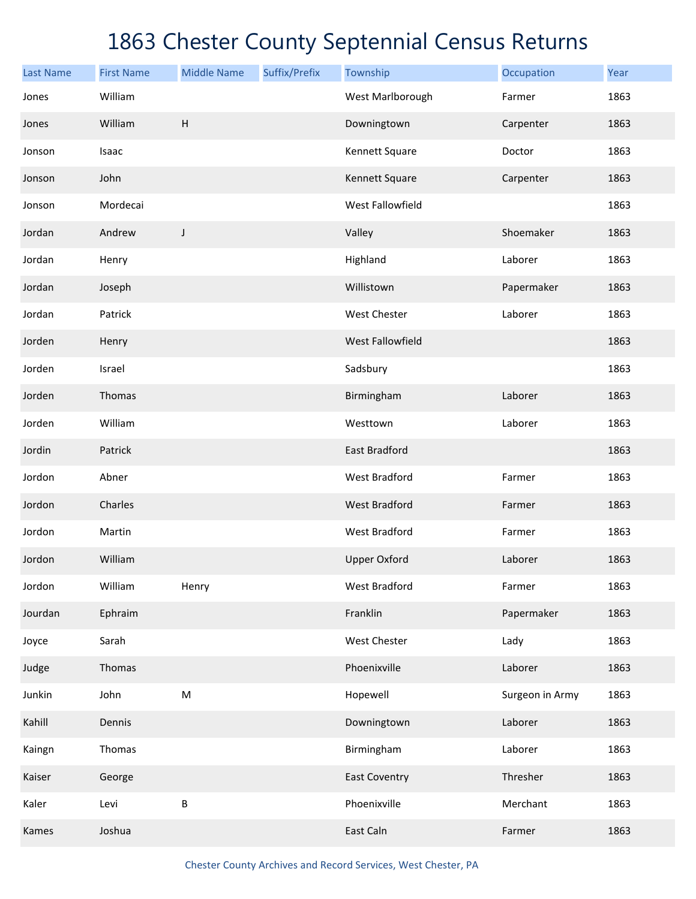| <b>Last Name</b> | <b>First Name</b> | <b>Middle Name</b> | Suffix/Prefix | Township             | Occupation      | Year |
|------------------|-------------------|--------------------|---------------|----------------------|-----------------|------|
| Jones            | William           |                    |               | West Marlborough     | Farmer          | 1863 |
| Jones            | William           | H                  |               | Downingtown          | Carpenter       | 1863 |
| Jonson           | Isaac             |                    |               | Kennett Square       | Doctor          | 1863 |
| Jonson           | John              |                    |               | Kennett Square       | Carpenter       | 1863 |
| Jonson           | Mordecai          |                    |               | West Fallowfield     |                 | 1863 |
| Jordan           | Andrew            | J                  |               | Valley               | Shoemaker       | 1863 |
| Jordan           | Henry             |                    |               | Highland             | Laborer         | 1863 |
| Jordan           | Joseph            |                    |               | Willistown           | Papermaker      | 1863 |
| Jordan           | Patrick           |                    |               | West Chester         | Laborer         | 1863 |
| Jorden           | Henry             |                    |               | West Fallowfield     |                 | 1863 |
| Jorden           | Israel            |                    |               | Sadsbury             |                 | 1863 |
| Jorden           | Thomas            |                    |               | Birmingham           | Laborer         | 1863 |
| Jorden           | William           |                    |               | Westtown             | Laborer         | 1863 |
| Jordin           | Patrick           |                    |               | <b>East Bradford</b> |                 | 1863 |
| Jordon           | Abner             |                    |               | <b>West Bradford</b> | Farmer          | 1863 |
| Jordon           | Charles           |                    |               | <b>West Bradford</b> | Farmer          | 1863 |
| Jordon           | Martin            |                    |               | <b>West Bradford</b> | Farmer          | 1863 |
| Jordon           | William           |                    |               | <b>Upper Oxford</b>  | Laborer         | 1863 |
| Jordon           | William           | Henry              |               | West Bradford        | Farmer          | 1863 |
| Jourdan          | Ephraim           |                    |               | Franklin             | Papermaker      | 1863 |
| Joyce            | Sarah             |                    |               | West Chester         | Lady            | 1863 |
| Judge            | Thomas            |                    |               | Phoenixville         | Laborer         | 1863 |
| Junkin           | John              | $\sf M$            |               | Hopewell             | Surgeon in Army | 1863 |
| Kahill           | Dennis            |                    |               | Downingtown          | Laborer         | 1863 |
| Kaingn           | Thomas            |                    |               | Birmingham           | Laborer         | 1863 |
| Kaiser           | George            |                    |               | <b>East Coventry</b> | Thresher        | 1863 |
| Kaler            | Levi              | B                  |               | Phoenixville         | Merchant        | 1863 |
| Kames            | Joshua            |                    |               | East Caln            | Farmer          | 1863 |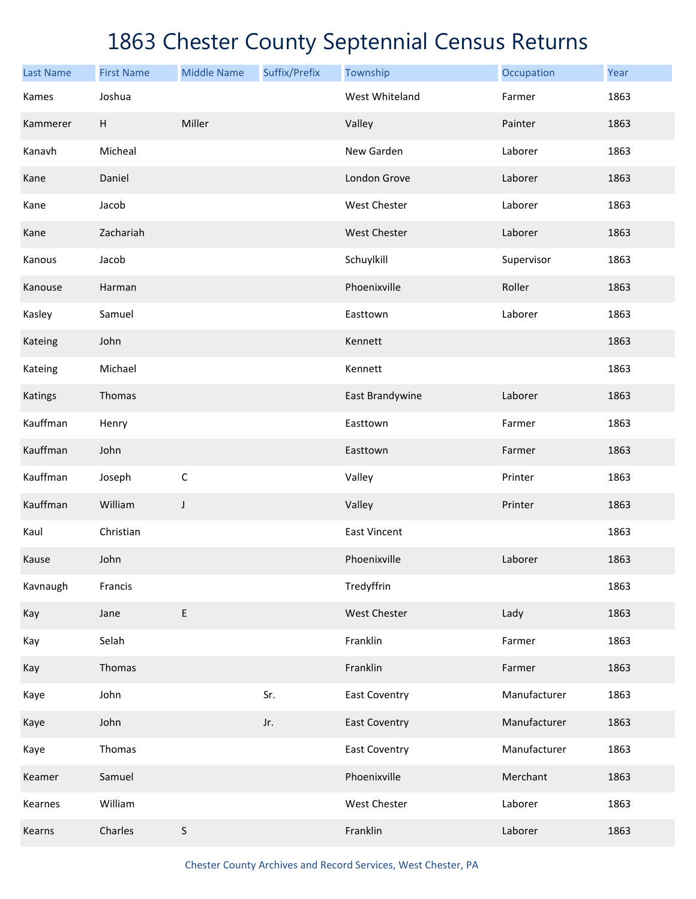| <b>Last Name</b> | <b>First Name</b> | <b>Middle Name</b> | Suffix/Prefix | Township             | Occupation   | Year |
|------------------|-------------------|--------------------|---------------|----------------------|--------------|------|
| Kames            | Joshua            |                    |               | West Whiteland       | Farmer       | 1863 |
| Kammerer         | H                 | Miller             |               | Valley               | Painter      | 1863 |
| Kanavh           | Micheal           |                    |               | New Garden           | Laborer      | 1863 |
| Kane             | Daniel            |                    |               | London Grove         | Laborer      | 1863 |
| Kane             | Jacob             |                    |               | West Chester         | Laborer      | 1863 |
| Kane             | Zachariah         |                    |               | West Chester         | Laborer      | 1863 |
| Kanous           | Jacob             |                    |               | Schuylkill           | Supervisor   | 1863 |
| Kanouse          | Harman            |                    |               | Phoenixville         | Roller       | 1863 |
| Kasley           | Samuel            |                    |               | Easttown             | Laborer      | 1863 |
| Kateing          | John              |                    |               | Kennett              |              | 1863 |
| Kateing          | Michael           |                    |               | Kennett              |              | 1863 |
| Katings          | Thomas            |                    |               | East Brandywine      | Laborer      | 1863 |
| Kauffman         | Henry             |                    |               | Easttown             | Farmer       | 1863 |
| Kauffman         | John              |                    |               | Easttown             | Farmer       | 1863 |
| Kauffman         | Joseph            | $\mathsf C$        |               | Valley               | Printer      | 1863 |
| Kauffman         | William           | J                  |               | Valley               | Printer      | 1863 |
| Kaul             | Christian         |                    |               | <b>East Vincent</b>  |              | 1863 |
| Kause            | John              |                    |               | Phoenixville         | Laborer      | 1863 |
| Kavnaugh         | Francis           |                    |               | Tredyffrin           |              | 1863 |
| Kay              | Jane              | E                  |               | West Chester         | Lady         | 1863 |
| Kay              | Selah             |                    |               | Franklin             | Farmer       | 1863 |
| Kay              | Thomas            |                    |               | Franklin             | Farmer       | 1863 |
| Kaye             | John              |                    | Sr.           | <b>East Coventry</b> | Manufacturer | 1863 |
| Kaye             | John              |                    | Jr.           | <b>East Coventry</b> | Manufacturer | 1863 |
| Kaye             | Thomas            |                    |               | <b>East Coventry</b> | Manufacturer | 1863 |
| Keamer           | Samuel            |                    |               | Phoenixville         | Merchant     | 1863 |
| Kearnes          | William           |                    |               | West Chester         | Laborer      | 1863 |
| Kearns           | Charles           | $\sf S$            |               | Franklin             | Laborer      | 1863 |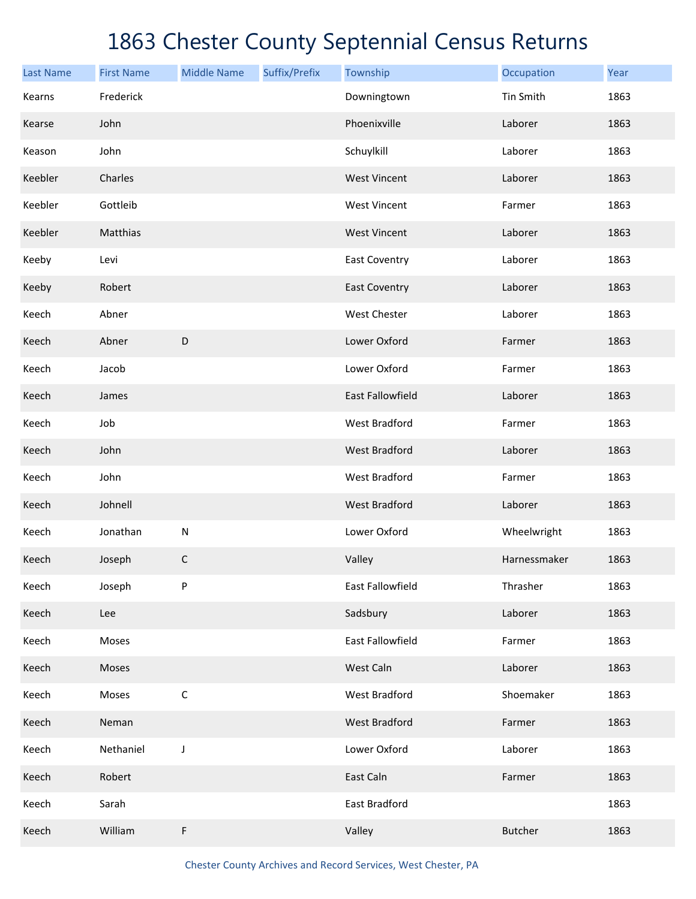| <b>Last Name</b> | <b>First Name</b> | <b>Middle Name</b> | Suffix/Prefix | Township                | Occupation     | Year |
|------------------|-------------------|--------------------|---------------|-------------------------|----------------|------|
| Kearns           | Frederick         |                    |               | Downingtown             | Tin Smith      | 1863 |
| Kearse           | John              |                    |               | Phoenixville            | Laborer        | 1863 |
| Keason           | John              |                    |               | Schuylkill              | Laborer        | 1863 |
| Keebler          | Charles           |                    |               | <b>West Vincent</b>     | Laborer        | 1863 |
| Keebler          | Gottleib          |                    |               | <b>West Vincent</b>     | Farmer         | 1863 |
| Keebler          | Matthias          |                    |               | <b>West Vincent</b>     | Laborer        | 1863 |
| Keeby            | Levi              |                    |               | East Coventry           | Laborer        | 1863 |
| Keeby            | Robert            |                    |               | <b>East Coventry</b>    | Laborer        | 1863 |
| Keech            | Abner             |                    |               | <b>West Chester</b>     | Laborer        | 1863 |
| Keech            | Abner             | $\mathsf D$        |               | Lower Oxford            | Farmer         | 1863 |
| Keech            | Jacob             |                    |               | Lower Oxford            | Farmer         | 1863 |
| Keech            | James             |                    |               | <b>East Fallowfield</b> | Laborer        | 1863 |
| Keech            | Job               |                    |               | <b>West Bradford</b>    | Farmer         | 1863 |
| Keech            | John              |                    |               | <b>West Bradford</b>    | Laborer        | 1863 |
| Keech            | John              |                    |               | <b>West Bradford</b>    | Farmer         | 1863 |
| Keech            | Johnell           |                    |               | <b>West Bradford</b>    | Laborer        | 1863 |
| Keech            | Jonathan          | ${\sf N}$          |               | Lower Oxford            | Wheelwright    | 1863 |
| Keech            | Joseph            | $\mathsf C$        |               | Valley                  | Harnessmaker   | 1863 |
| Keech            | Joseph            | P                  |               | East Fallowfield        | Thrasher       | 1863 |
| Keech            | Lee               |                    |               | Sadsbury                | Laborer        | 1863 |
| Keech            | Moses             |                    |               | East Fallowfield        | Farmer         | 1863 |
| Keech            | Moses             |                    |               | West Caln               | Laborer        | 1863 |
| Keech            | Moses             | $\mathsf C$        |               | West Bradford           | Shoemaker      | 1863 |
| Keech            | Neman             |                    |               | <b>West Bradford</b>    | Farmer         | 1863 |
| Keech            | Nethaniel         | J                  |               | Lower Oxford            | Laborer        | 1863 |
| Keech            | Robert            |                    |               | East Caln               | Farmer         | 1863 |
| Keech            | Sarah             |                    |               | East Bradford           |                | 1863 |
| Keech            | William           | F                  |               | Valley                  | <b>Butcher</b> | 1863 |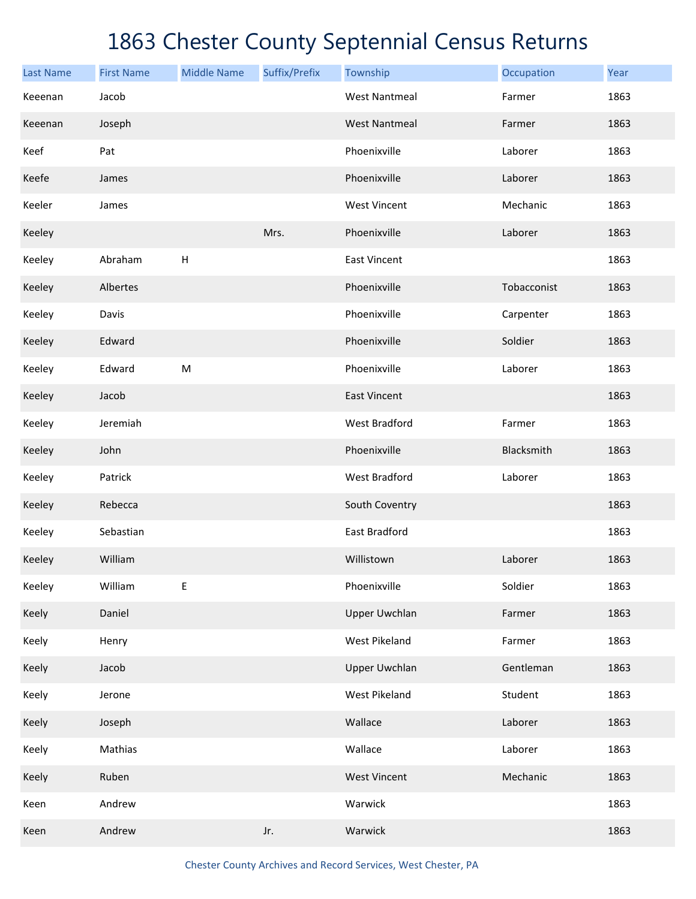| <b>Last Name</b> | <b>First Name</b> | <b>Middle Name</b> | Suffix/Prefix | Township             | Occupation  | Year |
|------------------|-------------------|--------------------|---------------|----------------------|-------------|------|
| Keeenan          | Jacob             |                    |               | <b>West Nantmeal</b> | Farmer      | 1863 |
| Keeenan          | Joseph            |                    |               | <b>West Nantmeal</b> | Farmer      | 1863 |
| Keef             | Pat               |                    |               | Phoenixville         | Laborer     | 1863 |
| Keefe            | James             |                    |               | Phoenixville         | Laborer     | 1863 |
| Keeler           | James             |                    |               | <b>West Vincent</b>  | Mechanic    | 1863 |
| Keeley           |                   |                    | Mrs.          | Phoenixville         | Laborer     | 1863 |
| Keeley           | Abraham           | H                  |               | <b>East Vincent</b>  |             | 1863 |
| Keeley           | Albertes          |                    |               | Phoenixville         | Tobacconist | 1863 |
| Keeley           | Davis             |                    |               | Phoenixville         | Carpenter   | 1863 |
| Keeley           | Edward            |                    |               | Phoenixville         | Soldier     | 1863 |
| Keeley           | Edward            | M                  |               | Phoenixville         | Laborer     | 1863 |
| Keeley           | Jacob             |                    |               | <b>East Vincent</b>  |             | 1863 |
| Keeley           | Jeremiah          |                    |               | <b>West Bradford</b> | Farmer      | 1863 |
| Keeley           | John              |                    |               | Phoenixville         | Blacksmith  | 1863 |
| Keeley           | Patrick           |                    |               | <b>West Bradford</b> | Laborer     | 1863 |
| Keeley           | Rebecca           |                    |               | South Coventry       |             | 1863 |
| Keeley           | Sebastian         |                    |               | East Bradford        |             | 1863 |
| Keeley           | William           |                    |               | Willistown           | Laborer     | 1863 |
| Keeley           | William           | Е                  |               | Phoenixville         | Soldier     | 1863 |
| Keely            | Daniel            |                    |               | <b>Upper Uwchlan</b> | Farmer      | 1863 |
| Keely            | Henry             |                    |               | West Pikeland        | Farmer      | 1863 |
| Keely            | Jacob             |                    |               | <b>Upper Uwchlan</b> | Gentleman   | 1863 |
| Keely            | Jerone            |                    |               | West Pikeland        | Student     | 1863 |
| Keely            | Joseph            |                    |               | Wallace              | Laborer     | 1863 |
| Keely            | Mathias           |                    |               | Wallace              | Laborer     | 1863 |
| Keely            | Ruben             |                    |               | <b>West Vincent</b>  | Mechanic    | 1863 |
| Keen             | Andrew            |                    |               | Warwick              |             | 1863 |
| Keen             | Andrew            |                    | Jr.           | Warwick              |             | 1863 |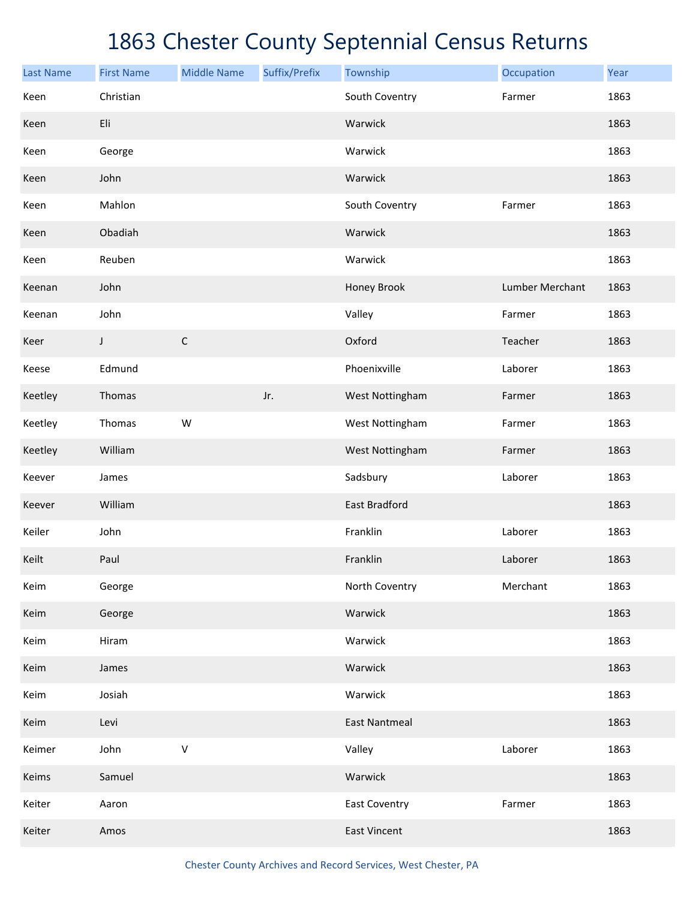| <b>Last Name</b> | <b>First Name</b> | <b>Middle Name</b> | Suffix/Prefix | Township             | Occupation      | Year |
|------------------|-------------------|--------------------|---------------|----------------------|-----------------|------|
| Keen             | Christian         |                    |               | South Coventry       | Farmer          | 1863 |
| Keen             | Eli               |                    |               | Warwick              |                 | 1863 |
| Keen             | George            |                    |               | Warwick              |                 | 1863 |
| Keen             | John              |                    |               | Warwick              |                 | 1863 |
| Keen             | Mahlon            |                    |               | South Coventry       | Farmer          | 1863 |
| Keen             | Obadiah           |                    |               | Warwick              |                 | 1863 |
| Keen             | Reuben            |                    |               | Warwick              |                 | 1863 |
| Keenan           | John              |                    |               | Honey Brook          | Lumber Merchant | 1863 |
| Keenan           | John              |                    |               | Valley               | Farmer          | 1863 |
| Keer             | J                 | $\mathsf C$        |               | Oxford               | Teacher         | 1863 |
| Keese            | Edmund            |                    |               | Phoenixville         | Laborer         | 1863 |
| Keetley          | Thomas            |                    | Jr.           | West Nottingham      | Farmer          | 1863 |
| Keetley          | Thomas            | W                  |               | West Nottingham      | Farmer          | 1863 |
| Keetley          | William           |                    |               | West Nottingham      | Farmer          | 1863 |
| Keever           | James             |                    |               | Sadsbury             | Laborer         | 1863 |
| Keever           | William           |                    |               | <b>East Bradford</b> |                 | 1863 |
| Keiler           | John              |                    |               | Franklin             | Laborer         | 1863 |
| Keilt            | Paul              |                    |               | Franklin             | Laborer         | 1863 |
| Keim             | George            |                    |               | North Coventry       | Merchant        | 1863 |
| Keim             | George            |                    |               | Warwick              |                 | 1863 |
| Keim             | Hiram             |                    |               | Warwick              |                 | 1863 |
| Keim             | James             |                    |               | Warwick              |                 | 1863 |
| Keim             | Josiah            |                    |               | Warwick              |                 | 1863 |
| Keim             | Levi              |                    |               | <b>East Nantmeal</b> |                 | 1863 |
| Keimer           | John              | $\sf V$            |               | Valley               | Laborer         | 1863 |
| Keims            | Samuel            |                    |               | Warwick              |                 | 1863 |
| Keiter           | Aaron             |                    |               | <b>East Coventry</b> | Farmer          | 1863 |
| Keiter           | Amos              |                    |               | <b>East Vincent</b>  |                 | 1863 |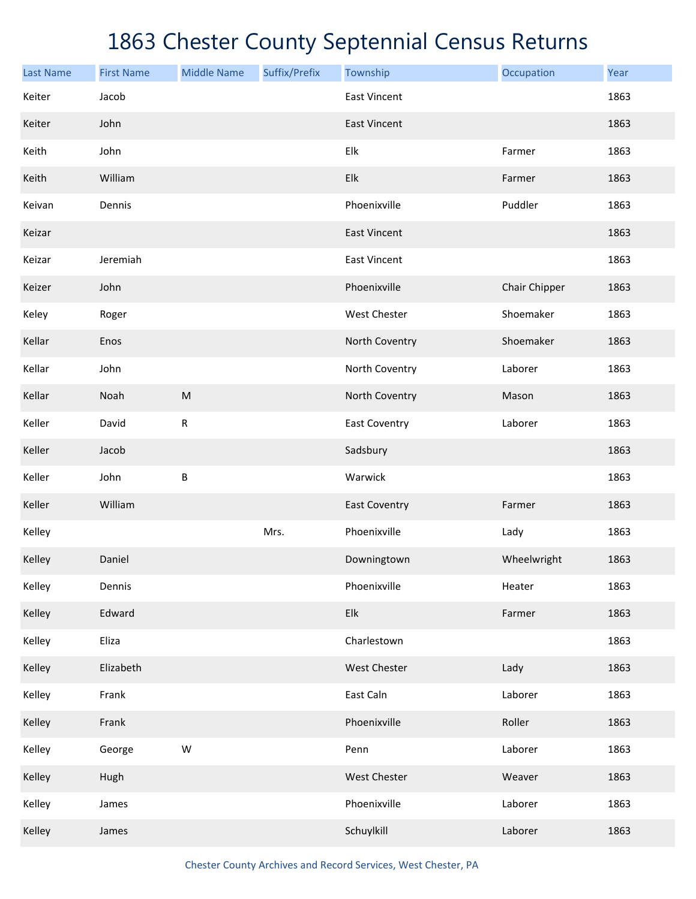| <b>Last Name</b> | <b>First Name</b> | <b>Middle Name</b> | Suffix/Prefix | Township             | Occupation    | Year |
|------------------|-------------------|--------------------|---------------|----------------------|---------------|------|
| Keiter           | Jacob             |                    |               | <b>East Vincent</b>  |               | 1863 |
| Keiter           | John              |                    |               | <b>East Vincent</b>  |               | 1863 |
| Keith            | John              |                    |               | Elk                  | Farmer        | 1863 |
| Keith            | William           |                    |               | Elk                  | Farmer        | 1863 |
| Keivan           | Dennis            |                    |               | Phoenixville         | Puddler       | 1863 |
| Keizar           |                   |                    |               | <b>East Vincent</b>  |               | 1863 |
| Keizar           | Jeremiah          |                    |               | <b>East Vincent</b>  |               | 1863 |
| Keizer           | John              |                    |               | Phoenixville         | Chair Chipper | 1863 |
| Keley            | Roger             |                    |               | West Chester         | Shoemaker     | 1863 |
| Kellar           | Enos              |                    |               | North Coventry       | Shoemaker     | 1863 |
| Kellar           | John              |                    |               | North Coventry       | Laborer       | 1863 |
| Kellar           | Noah              | ${\sf M}$          |               | North Coventry       | Mason         | 1863 |
| Keller           | David             | ${\sf R}$          |               | <b>East Coventry</b> | Laborer       | 1863 |
| Keller           | Jacob             |                    |               | Sadsbury             |               | 1863 |
| Keller           | John              | B                  |               | Warwick              |               | 1863 |
| Keller           | William           |                    |               | <b>East Coventry</b> | Farmer        | 1863 |
| Kelley           |                   |                    | Mrs.          | Phoenixville         | Lady          | 1863 |
| Kelley           | Daniel            |                    |               | Downingtown          | Wheelwright   | 1863 |
| Kelley           | Dennis            |                    |               | Phoenixville         | Heater        | 1863 |
| Kelley           | Edward            |                    |               | Elk                  | Farmer        | 1863 |
| Kelley           | Eliza             |                    |               | Charlestown          |               | 1863 |
| Kelley           | Elizabeth         |                    |               | West Chester         | Lady          | 1863 |
| Kelley           | Frank             |                    |               | East Caln            | Laborer       | 1863 |
| Kelley           | Frank             |                    |               | Phoenixville         | Roller        | 1863 |
| Kelley           | George            | W                  |               | Penn                 | Laborer       | 1863 |
| Kelley           | Hugh              |                    |               | West Chester         | Weaver        | 1863 |
| Kelley           | James             |                    |               | Phoenixville         | Laborer       | 1863 |
| Kelley           | James             |                    |               | Schuylkill           | Laborer       | 1863 |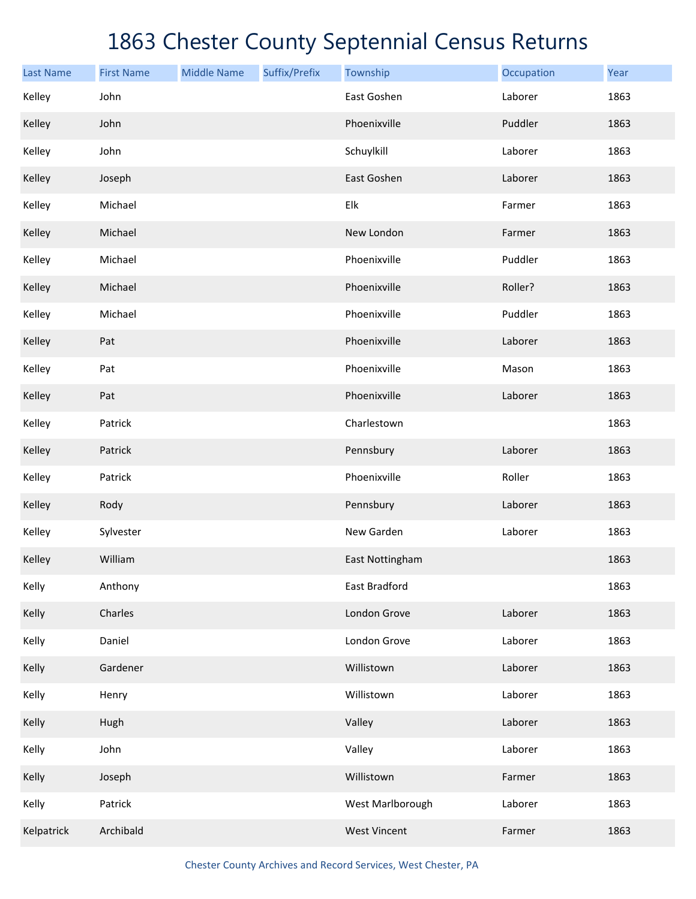| <b>Last Name</b> | <b>First Name</b> | <b>Middle Name</b> | Suffix/Prefix | Township            | Occupation | Year |
|------------------|-------------------|--------------------|---------------|---------------------|------------|------|
| Kelley           | John              |                    |               | East Goshen         | Laborer    | 1863 |
| Kelley           | John              |                    |               | Phoenixville        | Puddler    | 1863 |
| Kelley           | John              |                    |               | Schuylkill          | Laborer    | 1863 |
| Kelley           | Joseph            |                    |               | East Goshen         | Laborer    | 1863 |
| Kelley           | Michael           |                    |               | Elk                 | Farmer     | 1863 |
| Kelley           | Michael           |                    |               | New London          | Farmer     | 1863 |
| Kelley           | Michael           |                    |               | Phoenixville        | Puddler    | 1863 |
| Kelley           | Michael           |                    |               | Phoenixville        | Roller?    | 1863 |
| Kelley           | Michael           |                    |               | Phoenixville        | Puddler    | 1863 |
| Kelley           | Pat               |                    |               | Phoenixville        | Laborer    | 1863 |
| Kelley           | Pat               |                    |               | Phoenixville        | Mason      | 1863 |
| Kelley           | Pat               |                    |               | Phoenixville        | Laborer    | 1863 |
| Kelley           | Patrick           |                    |               | Charlestown         |            | 1863 |
| Kelley           | Patrick           |                    |               | Pennsbury           | Laborer    | 1863 |
| Kelley           | Patrick           |                    |               | Phoenixville        | Roller     | 1863 |
| Kelley           | Rody              |                    |               | Pennsbury           | Laborer    | 1863 |
| Kelley           | Sylvester         |                    |               | New Garden          | Laborer    | 1863 |
| Kelley           | William           |                    |               | East Nottingham     |            | 1863 |
| Kelly            | Anthony           |                    |               | East Bradford       |            | 1863 |
| Kelly            | Charles           |                    |               | London Grove        | Laborer    | 1863 |
| Kelly            | Daniel            |                    |               | London Grove        | Laborer    | 1863 |
| Kelly            | Gardener          |                    |               | Willistown          | Laborer    | 1863 |
| Kelly            | Henry             |                    |               | Willistown          | Laborer    | 1863 |
| Kelly            | Hugh              |                    |               | Valley              | Laborer    | 1863 |
| Kelly            | John              |                    |               | Valley              | Laborer    | 1863 |
| Kelly            | Joseph            |                    |               | Willistown          | Farmer     | 1863 |
| Kelly            | Patrick           |                    |               | West Marlborough    | Laborer    | 1863 |
| Kelpatrick       | Archibald         |                    |               | <b>West Vincent</b> | Farmer     | 1863 |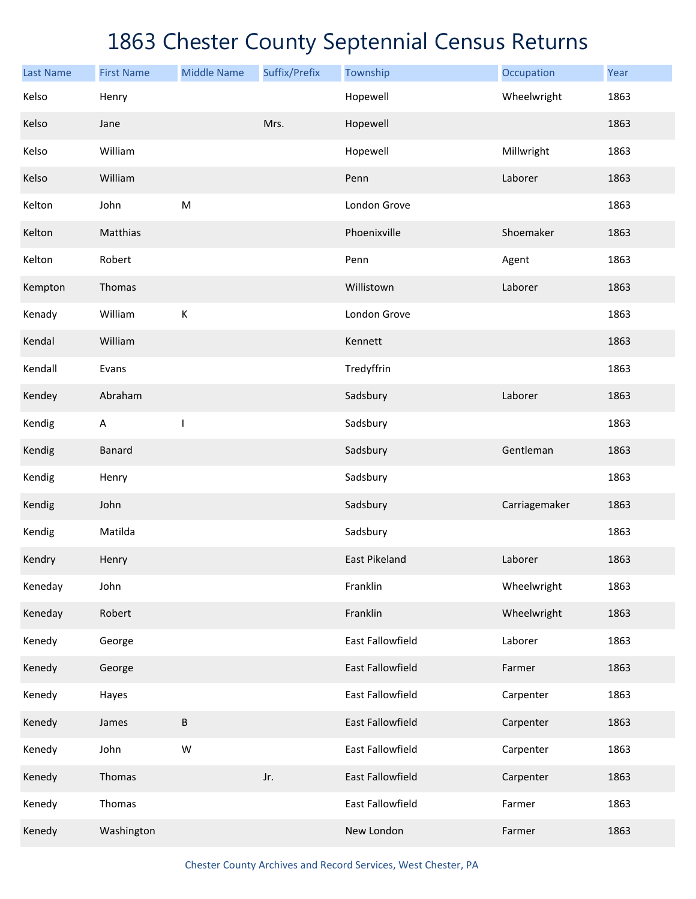| <b>Last Name</b> | <b>First Name</b>         | <b>Middle Name</b> | Suffix/Prefix | Township             | Occupation    | Year |
|------------------|---------------------------|--------------------|---------------|----------------------|---------------|------|
| Kelso            | Henry                     |                    |               | Hopewell             | Wheelwright   | 1863 |
| Kelso            | Jane                      |                    | Mrs.          | Hopewell             |               | 1863 |
| Kelso            | William                   |                    |               | Hopewell             | Millwright    | 1863 |
| Kelso            | William                   |                    |               | Penn                 | Laborer       | 1863 |
| Kelton           | John                      | M                  |               | London Grove         |               | 1863 |
| Kelton           | Matthias                  |                    |               | Phoenixville         | Shoemaker     | 1863 |
| Kelton           | Robert                    |                    |               | Penn                 | Agent         | 1863 |
| Kempton          | Thomas                    |                    |               | Willistown           | Laborer       | 1863 |
| Kenady           | William                   | $\mathsf K$        |               | London Grove         |               | 1863 |
| Kendal           | William                   |                    |               | Kennett              |               | 1863 |
| Kendall          | Evans                     |                    |               | Tredyffrin           |               | 1863 |
| Kendey           | Abraham                   |                    |               | Sadsbury             | Laborer       | 1863 |
| Kendig           | $\boldsymbol{\mathsf{A}}$ | T                  |               | Sadsbury             |               | 1863 |
| Kendig           | Banard                    |                    |               | Sadsbury             | Gentleman     | 1863 |
| Kendig           | Henry                     |                    |               | Sadsbury             |               | 1863 |
| Kendig           | John                      |                    |               | Sadsbury             | Carriagemaker | 1863 |
| Kendig           | Matilda                   |                    |               | Sadsbury             |               | 1863 |
| Kendry           | Henry                     |                    |               | <b>East Pikeland</b> | Laborer       | 1863 |
| Keneday          | John                      |                    |               | Franklin             | Wheelwright   | 1863 |
| Keneday          | Robert                    |                    |               | Franklin             | Wheelwright   | 1863 |
| Kenedy           | George                    |                    |               | East Fallowfield     | Laborer       | 1863 |
| Kenedy           | George                    |                    |               | East Fallowfield     | Farmer        | 1863 |
| Kenedy           | Hayes                     |                    |               | East Fallowfield     | Carpenter     | 1863 |
| Kenedy           | James                     | B                  |               | East Fallowfield     | Carpenter     | 1863 |
| Kenedy           | John                      | W                  |               | East Fallowfield     | Carpenter     | 1863 |
| Kenedy           | Thomas                    |                    | Jr.           | East Fallowfield     | Carpenter     | 1863 |
| Kenedy           | Thomas                    |                    |               | East Fallowfield     | Farmer        | 1863 |
| Kenedy           | Washington                |                    |               | New London           | Farmer        | 1863 |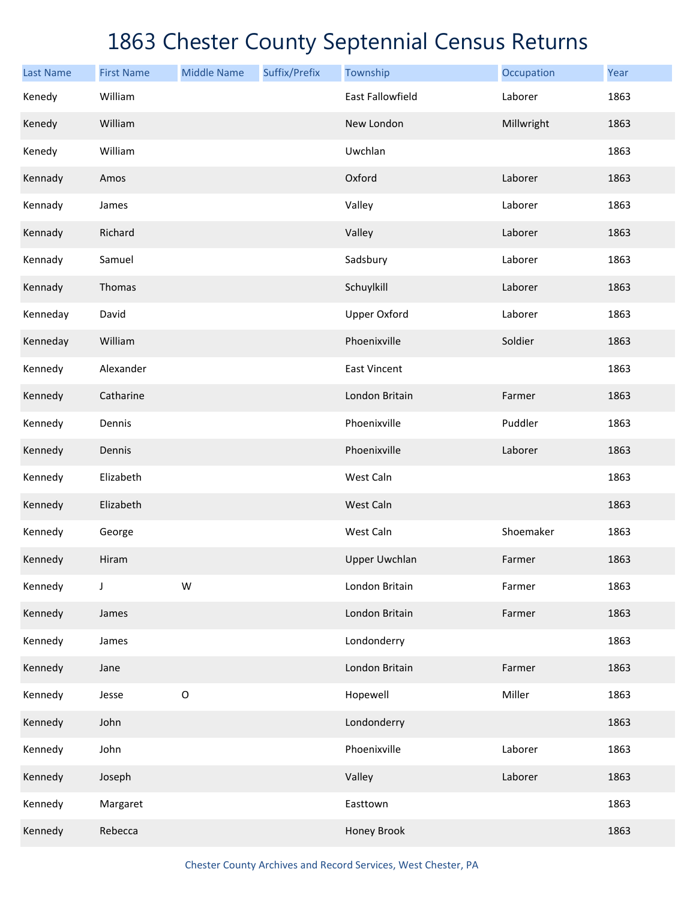| <b>Last Name</b> | <b>First Name</b> | <b>Middle Name</b> | Suffix/Prefix | Township                | Occupation | Year |
|------------------|-------------------|--------------------|---------------|-------------------------|------------|------|
| Kenedy           | William           |                    |               | <b>East Fallowfield</b> | Laborer    | 1863 |
| Kenedy           | William           |                    |               | New London              | Millwright | 1863 |
| Kenedy           | William           |                    |               | Uwchlan                 |            | 1863 |
| Kennady          | Amos              |                    |               | Oxford                  | Laborer    | 1863 |
| Kennady          | James             |                    |               | Valley                  | Laborer    | 1863 |
| Kennady          | Richard           |                    |               | Valley                  | Laborer    | 1863 |
| Kennady          | Samuel            |                    |               | Sadsbury                | Laborer    | 1863 |
| Kennady          | Thomas            |                    |               | Schuylkill              | Laborer    | 1863 |
| Kenneday         | David             |                    |               | <b>Upper Oxford</b>     | Laborer    | 1863 |
| Kenneday         | William           |                    |               | Phoenixville            | Soldier    | 1863 |
| Kennedy          | Alexander         |                    |               | <b>East Vincent</b>     |            | 1863 |
| Kennedy          | Catharine         |                    |               | London Britain          | Farmer     | 1863 |
| Kennedy          | Dennis            |                    |               | Phoenixville            | Puddler    | 1863 |
| Kennedy          | Dennis            |                    |               | Phoenixville            | Laborer    | 1863 |
| Kennedy          | Elizabeth         |                    |               | West Caln               |            | 1863 |
| Kennedy          | Elizabeth         |                    |               | West Caln               |            | 1863 |
| Kennedy          | George            |                    |               | West Caln               | Shoemaker  | 1863 |
| Kennedy          | Hiram             |                    |               | <b>Upper Uwchlan</b>    | Farmer     | 1863 |
| Kennedy          | J                 | W                  |               | London Britain          | Farmer     | 1863 |
| Kennedy          | James             |                    |               | London Britain          | Farmer     | 1863 |
| Kennedy          | James             |                    |               | Londonderry             |            | 1863 |
| Kennedy          | Jane              |                    |               | London Britain          | Farmer     | 1863 |
| Kennedy          | Jesse             | $\mathsf O$        |               | Hopewell                | Miller     | 1863 |
| Kennedy          | John              |                    |               | Londonderry             |            | 1863 |
| Kennedy          | John              |                    |               | Phoenixville            | Laborer    | 1863 |
| Kennedy          | Joseph            |                    |               | Valley                  | Laborer    | 1863 |
| Kennedy          | Margaret          |                    |               | Easttown                |            | 1863 |
| Kennedy          | Rebecca           |                    |               | Honey Brook             |            | 1863 |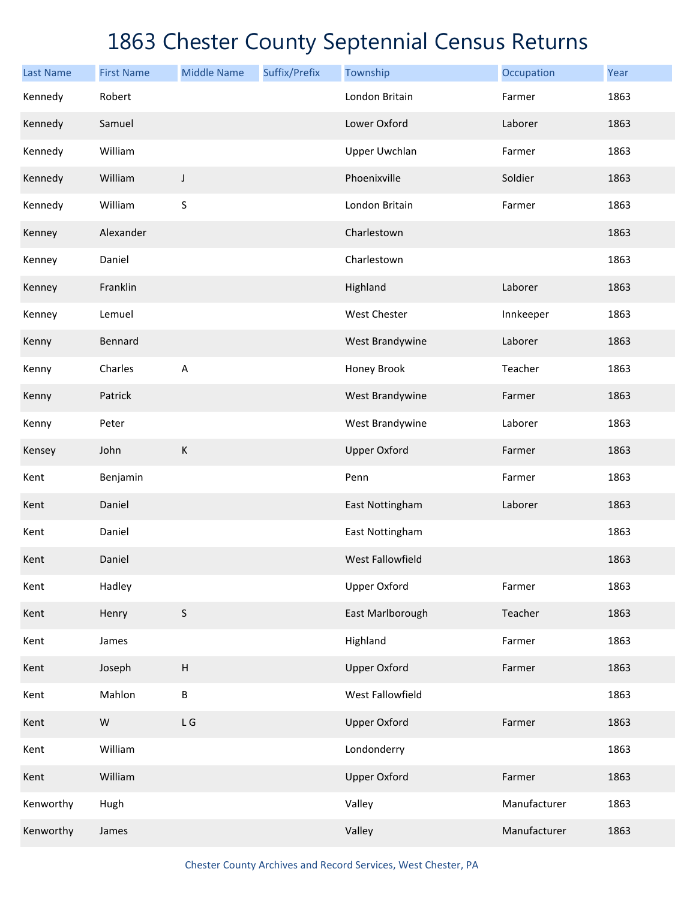| <b>Last Name</b> | <b>First Name</b> | <b>Middle Name</b>        | Suffix/Prefix | Township            | Occupation   | Year |
|------------------|-------------------|---------------------------|---------------|---------------------|--------------|------|
| Kennedy          | Robert            |                           |               | London Britain      | Farmer       | 1863 |
| Kennedy          | Samuel            |                           |               | Lower Oxford        | Laborer      | 1863 |
| Kennedy          | William           |                           |               | Upper Uwchlan       | Farmer       | 1863 |
| Kennedy          | William           | J                         |               | Phoenixville        | Soldier      | 1863 |
| Kennedy          | William           | $\sf S$                   |               | London Britain      | Farmer       | 1863 |
| Kenney           | Alexander         |                           |               | Charlestown         |              | 1863 |
| Kenney           | Daniel            |                           |               | Charlestown         |              | 1863 |
| Kenney           | Franklin          |                           |               | Highland            | Laborer      | 1863 |
| Kenney           | Lemuel            |                           |               | West Chester        | Innkeeper    | 1863 |
| Kenny            | Bennard           |                           |               | West Brandywine     | Laborer      | 1863 |
| Kenny            | Charles           | A                         |               | Honey Brook         | Teacher      | 1863 |
| Kenny            | Patrick           |                           |               | West Brandywine     | Farmer       | 1863 |
| Kenny            | Peter             |                           |               | West Brandywine     | Laborer      | 1863 |
| Kensey           | John              | K                         |               | <b>Upper Oxford</b> | Farmer       | 1863 |
| Kent             | Benjamin          |                           |               | Penn                | Farmer       | 1863 |
| Kent             | Daniel            |                           |               | East Nottingham     | Laborer      | 1863 |
| Kent             | Daniel            |                           |               | East Nottingham     |              | 1863 |
| Kent             | Daniel            |                           |               | West Fallowfield    |              | 1863 |
| Kent             | Hadley            |                           |               | <b>Upper Oxford</b> | Farmer       | 1863 |
| Kent             | Henry             | $\mathsf S$               |               | East Marlborough    | Teacher      | 1863 |
| Kent             | James             |                           |               | Highland            | Farmer       | 1863 |
| Kent             | Joseph            | $\boldsymbol{\mathsf{H}}$ |               | <b>Upper Oxford</b> | Farmer       | 1863 |
| Kent             | Mahlon            | B                         |               | West Fallowfield    |              | 1863 |
| Kent             | ${\sf W}$         | L G                       |               | <b>Upper Oxford</b> | Farmer       | 1863 |
| Kent             | William           |                           |               | Londonderry         |              | 1863 |
| Kent             | William           |                           |               | <b>Upper Oxford</b> | Farmer       | 1863 |
| Kenworthy        | Hugh              |                           |               | Valley              | Manufacturer | 1863 |
| Kenworthy        | James             |                           |               | Valley              | Manufacturer | 1863 |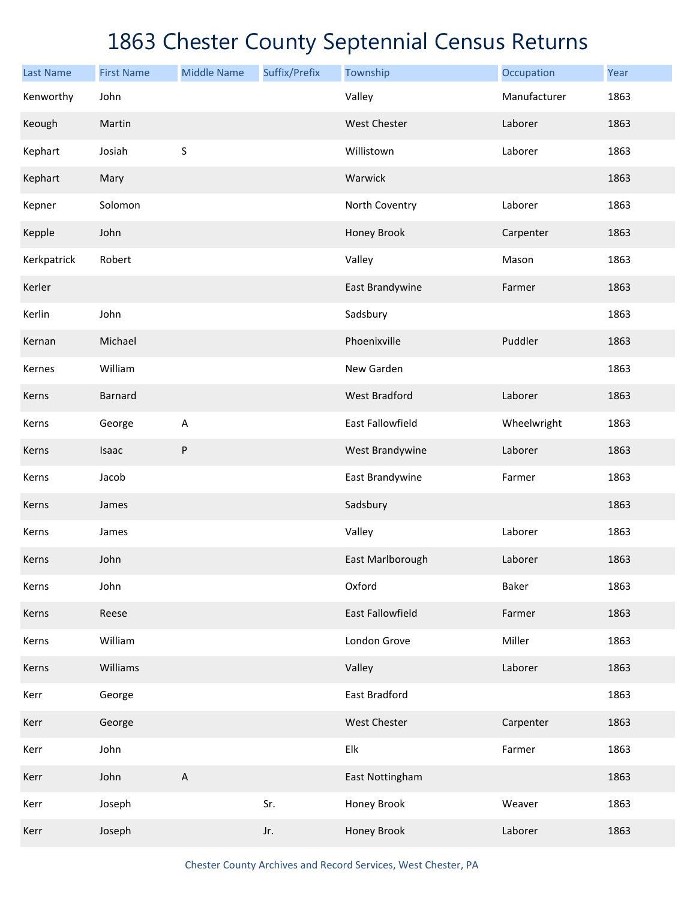| <b>Last Name</b> | <b>First Name</b> | <b>Middle Name</b> | Suffix/Prefix | Township                  | Occupation   | Year |
|------------------|-------------------|--------------------|---------------|---------------------------|--------------|------|
| Kenworthy        | John              |                    |               | Valley                    | Manufacturer | 1863 |
| Keough           | Martin            |                    |               | West Chester              | Laborer      | 1863 |
| Kephart          | Josiah            | $\sf S$            |               | Willistown                | Laborer      | 1863 |
| Kephart          | Mary              |                    |               | Warwick                   |              | 1863 |
| Kepner           | Solomon           |                    |               | North Coventry            | Laborer      | 1863 |
| Kepple           | John              |                    |               | Honey Brook               | Carpenter    | 1863 |
| Kerkpatrick      | Robert            |                    |               | Valley                    | Mason        | 1863 |
| Kerler           |                   |                    |               | East Brandywine           | Farmer       | 1863 |
| Kerlin           | John              |                    |               | Sadsbury                  |              | 1863 |
| Kernan           | Michael           |                    |               | Phoenixville              | Puddler      | 1863 |
| Kernes           | William           |                    |               | New Garden                |              | 1863 |
| Kerns            | Barnard           |                    |               | <b>West Bradford</b>      | Laborer      | 1863 |
| Kerns            | George            | A                  |               | East Fallowfield          | Wheelwright  | 1863 |
| Kerns            | Isaac             | ${\sf P}$          |               | West Brandywine           | Laborer      | 1863 |
| Kerns            | Jacob             |                    |               | East Brandywine           | Farmer       | 1863 |
| Kerns            | James             |                    |               | Sadsbury                  |              | 1863 |
| Kerns            | James             |                    |               | Valley                    | Laborer      | 1863 |
| Kerns            | John              |                    |               | East Marlborough          | Laborer      | 1863 |
| Kerns            | John              |                    |               | Oxford                    | Baker        | 1863 |
| Kerns            | Reese             |                    |               | East Fallowfield          | Farmer       | 1863 |
| Kerns            | William           |                    |               | London Grove              | Miller       | 1863 |
| Kerns            | Williams          |                    |               | Valley                    | Laborer      | 1863 |
| Kerr             | George            |                    |               | East Bradford             |              | 1863 |
| Kerr             | George            |                    |               | West Chester              | Carpenter    | 1863 |
| Kerr             | John              |                    |               | ${\sf E} {\sf I} {\sf k}$ | Farmer       | 1863 |
| Kerr             | John              | $\sf A$            |               | East Nottingham           |              | 1863 |
| Kerr             | Joseph            |                    | Sr.           | Honey Brook               | Weaver       | 1863 |
| Kerr             | Joseph            |                    | Jr.           | Honey Brook               | Laborer      | 1863 |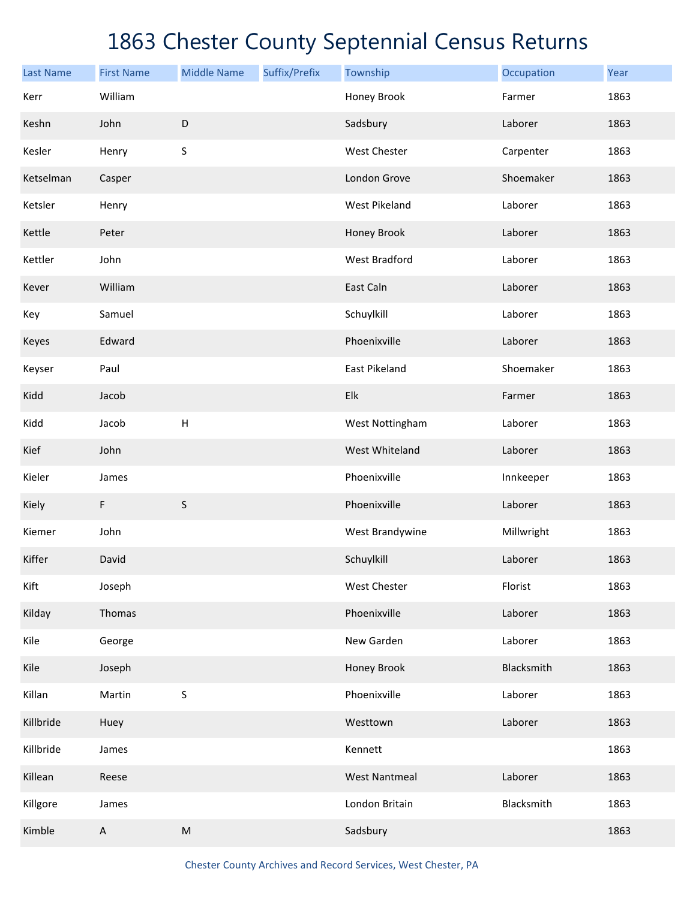| <b>Last Name</b> | <b>First Name</b> | <b>Middle Name</b> | Suffix/Prefix | Township             | Occupation | Year |
|------------------|-------------------|--------------------|---------------|----------------------|------------|------|
| Kerr             | William           |                    |               | Honey Brook          | Farmer     | 1863 |
| Keshn            | John              | D                  |               | Sadsbury             | Laborer    | 1863 |
| Kesler           | Henry             | $\sf S$            |               | West Chester         | Carpenter  | 1863 |
| Ketselman        | Casper            |                    |               | London Grove         | Shoemaker  | 1863 |
| Ketsler          | Henry             |                    |               | <b>West Pikeland</b> | Laborer    | 1863 |
| Kettle           | Peter             |                    |               | Honey Brook          | Laborer    | 1863 |
| Kettler          | John              |                    |               | <b>West Bradford</b> | Laborer    | 1863 |
| Kever            | William           |                    |               | East Caln            | Laborer    | 1863 |
| Key              | Samuel            |                    |               | Schuylkill           | Laborer    | 1863 |
| Keyes            | Edward            |                    |               | Phoenixville         | Laborer    | 1863 |
| Keyser           | Paul              |                    |               | East Pikeland        | Shoemaker  | 1863 |
| Kidd             | Jacob             |                    |               | Elk                  | Farmer     | 1863 |
| Kidd             | Jacob             | $\sf H$            |               | West Nottingham      | Laborer    | 1863 |
| Kief             | John              |                    |               | West Whiteland       | Laborer    | 1863 |
| Kieler           | James             |                    |               | Phoenixville         | Innkeeper  | 1863 |
| Kiely            | $\mathsf F$       | $\sf S$            |               | Phoenixville         | Laborer    | 1863 |
| Kiemer           | John              |                    |               | West Brandywine      | Millwright | 1863 |
| Kiffer           | David             |                    |               | Schuylkill           | Laborer    | 1863 |
| Kift             | Joseph            |                    |               | West Chester         | Florist    | 1863 |
| Kilday           | Thomas            |                    |               | Phoenixville         | Laborer    | 1863 |
| Kile             | George            |                    |               | New Garden           | Laborer    | 1863 |
| Kile             | Joseph            |                    |               | Honey Brook          | Blacksmith | 1863 |
| Killan           | Martin            | S                  |               | Phoenixville         | Laborer    | 1863 |
| Killbride        | Huey              |                    |               | Westtown             | Laborer    | 1863 |
| Killbride        | James             |                    |               | Kennett              |            | 1863 |
| Killean          | Reese             |                    |               | <b>West Nantmeal</b> | Laborer    | 1863 |
| Killgore         | James             |                    |               | London Britain       | Blacksmith | 1863 |
| Kimble           | $\mathsf A$       | ${\sf M}$          |               | Sadsbury             |            | 1863 |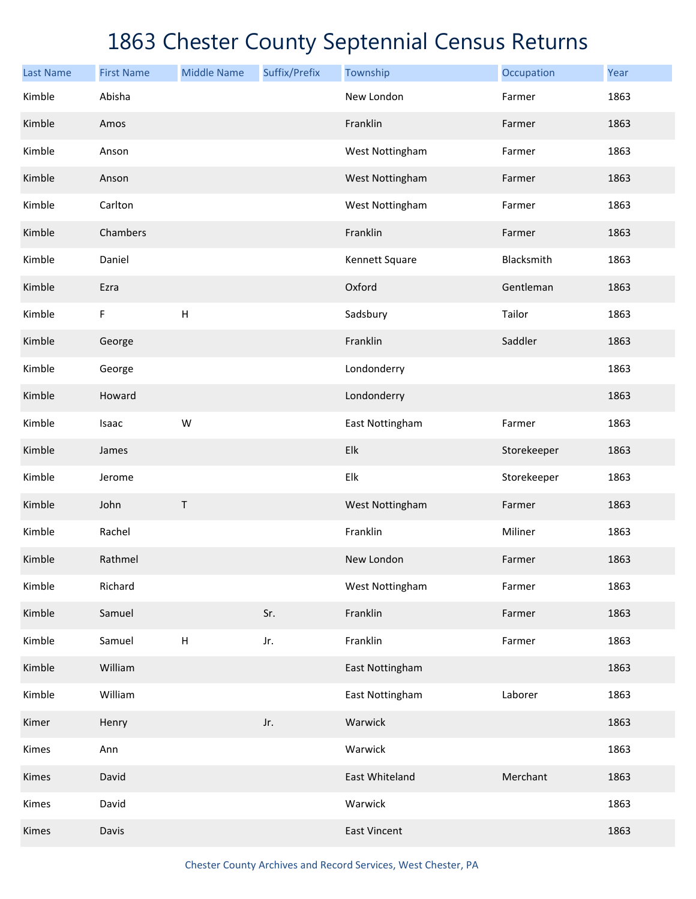| <b>Last Name</b> | <b>First Name</b> | <b>Middle Name</b>        | Suffix/Prefix | Township            | Occupation  | Year |
|------------------|-------------------|---------------------------|---------------|---------------------|-------------|------|
| Kimble           | Abisha            |                           |               | New London          | Farmer      | 1863 |
| Kimble           | Amos              |                           |               | Franklin            | Farmer      | 1863 |
| Kimble           | Anson             |                           |               | West Nottingham     | Farmer      | 1863 |
| Kimble           | Anson             |                           |               | West Nottingham     | Farmer      | 1863 |
| Kimble           | Carlton           |                           |               | West Nottingham     | Farmer      | 1863 |
| Kimble           | Chambers          |                           |               | Franklin            | Farmer      | 1863 |
| Kimble           | Daniel            |                           |               | Kennett Square      | Blacksmith  | 1863 |
| Kimble           | Ezra              |                           |               | Oxford              | Gentleman   | 1863 |
| Kimble           | F                 | $\mathsf H$               |               | Sadsbury            | Tailor      | 1863 |
| Kimble           | George            |                           |               | Franklin            | Saddler     | 1863 |
| Kimble           | George            |                           |               | Londonderry         |             | 1863 |
| Kimble           | Howard            |                           |               | Londonderry         |             | 1863 |
| Kimble           | Isaac             | W                         |               | East Nottingham     | Farmer      | 1863 |
| Kimble           | James             |                           |               | Elk                 | Storekeeper | 1863 |
| Kimble           | Jerome            |                           |               | Elk                 | Storekeeper | 1863 |
| Kimble           | John              | Τ                         |               | West Nottingham     | Farmer      | 1863 |
| Kimble           | Rachel            |                           |               | Franklin            | Miliner     | 1863 |
| Kimble           | Rathmel           |                           |               | New London          | Farmer      | 1863 |
| Kimble           | Richard           |                           |               | West Nottingham     | Farmer      | 1863 |
| Kimble           | Samuel            |                           | Sr.           | Franklin            | Farmer      | 1863 |
| Kimble           | Samuel            | $\boldsymbol{\mathsf{H}}$ | Jr.           | Franklin            | Farmer      | 1863 |
| Kimble           | William           |                           |               | East Nottingham     |             | 1863 |
| Kimble           | William           |                           |               | East Nottingham     | Laborer     | 1863 |
| Kimer            | Henry             |                           | Jr.           | Warwick             |             | 1863 |
| Kimes            | Ann               |                           |               | Warwick             |             | 1863 |
| Kimes            | David             |                           |               | East Whiteland      | Merchant    | 1863 |
| Kimes            | David             |                           |               | Warwick             |             | 1863 |
| Kimes            | Davis             |                           |               | <b>East Vincent</b> |             | 1863 |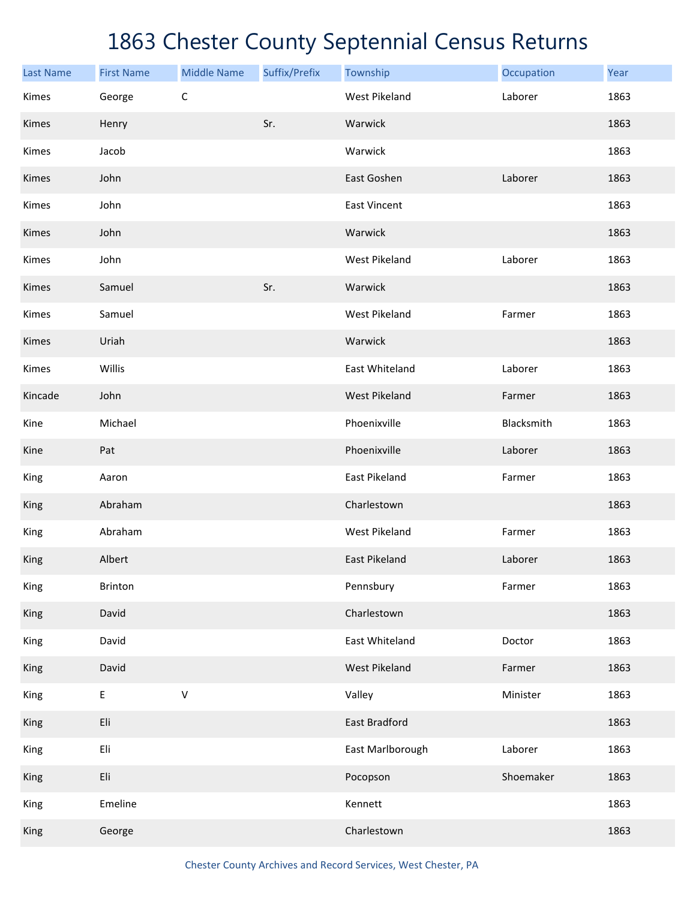| <b>Last Name</b> | <b>First Name</b> | <b>Middle Name</b> | Suffix/Prefix | Township             | Occupation | Year |
|------------------|-------------------|--------------------|---------------|----------------------|------------|------|
| Kimes            | George            | $\mathsf C$        |               | <b>West Pikeland</b> | Laborer    | 1863 |
| Kimes            | Henry             |                    | Sr.           | Warwick              |            | 1863 |
| Kimes            | Jacob             |                    |               | Warwick              |            | 1863 |
| Kimes            | John              |                    |               | East Goshen          | Laborer    | 1863 |
| Kimes            | John              |                    |               | <b>East Vincent</b>  |            | 1863 |
| Kimes            | John              |                    |               | Warwick              |            | 1863 |
| Kimes            | John              |                    |               | <b>West Pikeland</b> | Laborer    | 1863 |
| Kimes            | Samuel            |                    | Sr.           | Warwick              |            | 1863 |
| Kimes            | Samuel            |                    |               | <b>West Pikeland</b> | Farmer     | 1863 |
| Kimes            | Uriah             |                    |               | Warwick              |            | 1863 |
| Kimes            | Willis            |                    |               | East Whiteland       | Laborer    | 1863 |
| Kincade          | John              |                    |               | <b>West Pikeland</b> | Farmer     | 1863 |
| Kine             | Michael           |                    |               | Phoenixville         | Blacksmith | 1863 |
| Kine             | Pat               |                    |               | Phoenixville         | Laborer    | 1863 |
| King             | Aaron             |                    |               | East Pikeland        | Farmer     | 1863 |
| King             | Abraham           |                    |               | Charlestown          |            | 1863 |
| King             | Abraham           |                    |               | <b>West Pikeland</b> | Farmer     | 1863 |
| King             | Albert            |                    |               | East Pikeland        | Laborer    | 1863 |
| King             | Brinton           |                    |               | Pennsbury            | Farmer     | 1863 |
| King             | David             |                    |               | Charlestown          |            | 1863 |
| King             | David             |                    |               | East Whiteland       | Doctor     | 1863 |
| <b>King</b>      | David             |                    |               | West Pikeland        | Farmer     | 1863 |
| King             | $\mathsf E$       | $\mathsf V$        |               | Valley               | Minister   | 1863 |
| King             | Eli               |                    |               | East Bradford        |            | 1863 |
| King             | Eli               |                    |               | East Marlborough     | Laborer    | 1863 |
| King             | Eli               |                    |               | Pocopson             | Shoemaker  | 1863 |
| King             | Emeline           |                    |               | Kennett              |            | 1863 |
| King             | George            |                    |               | Charlestown          |            | 1863 |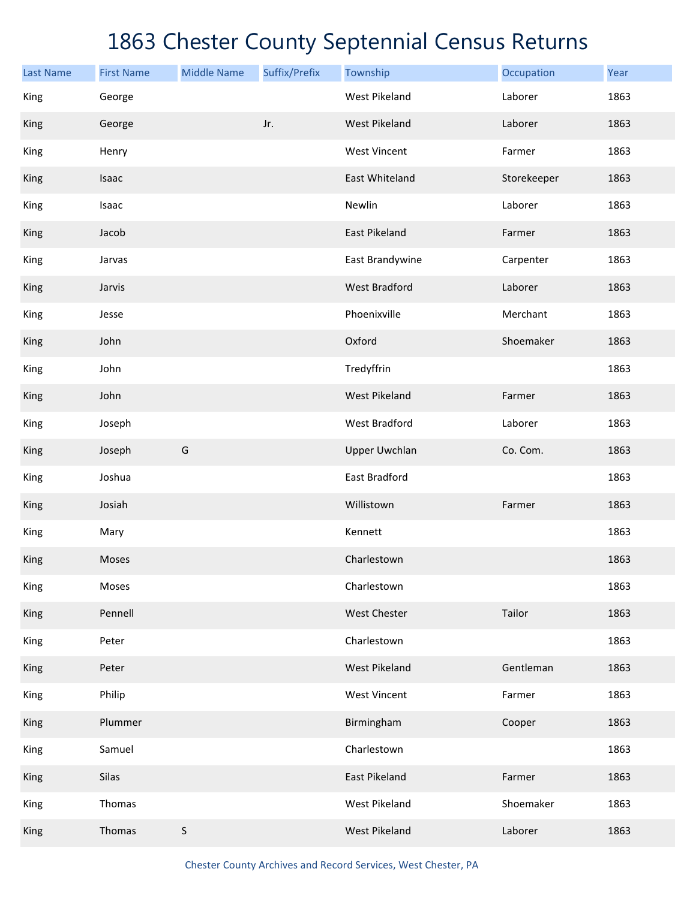| <b>Last Name</b> | <b>First Name</b> | <b>Middle Name</b> | Suffix/Prefix | Township             | Occupation  | Year |
|------------------|-------------------|--------------------|---------------|----------------------|-------------|------|
| King             | George            |                    |               | <b>West Pikeland</b> | Laborer     | 1863 |
| King             | George            |                    | Jr.           | West Pikeland        | Laborer     | 1863 |
| King             | Henry             |                    |               | <b>West Vincent</b>  | Farmer      | 1863 |
| King             | Isaac             |                    |               | East Whiteland       | Storekeeper | 1863 |
| King             | Isaac             |                    |               | Newlin               | Laborer     | 1863 |
| King             | Jacob             |                    |               | East Pikeland        | Farmer      | 1863 |
| King             | Jarvas            |                    |               | East Brandywine      | Carpenter   | 1863 |
| King             | Jarvis            |                    |               | <b>West Bradford</b> | Laborer     | 1863 |
| King             | Jesse             |                    |               | Phoenixville         | Merchant    | 1863 |
| King             | John              |                    |               | Oxford               | Shoemaker   | 1863 |
| King             | John              |                    |               | Tredyffrin           |             | 1863 |
| King             | John              |                    |               | <b>West Pikeland</b> | Farmer      | 1863 |
| King             | Joseph            |                    |               | West Bradford        | Laborer     | 1863 |
| King             | Joseph            | G                  |               | <b>Upper Uwchlan</b> | Co. Com.    | 1863 |
| King             | Joshua            |                    |               | East Bradford        |             | 1863 |
| King             | Josiah            |                    |               | Willistown           | Farmer      | 1863 |
| King             | Mary              |                    |               | Kennett              |             | 1863 |
| King             | Moses             |                    |               | Charlestown          |             | 1863 |
| King             | Moses             |                    |               | Charlestown          |             | 1863 |
| King             | Pennell           |                    |               | West Chester         | Tailor      | 1863 |
| King             | Peter             |                    |               | Charlestown          |             | 1863 |
| King             | Peter             |                    |               | <b>West Pikeland</b> | Gentleman   | 1863 |
| King             | Philip            |                    |               | <b>West Vincent</b>  | Farmer      | 1863 |
| King             | Plummer           |                    |               | Birmingham           | Cooper      | 1863 |
| King             | Samuel            |                    |               | Charlestown          |             | 1863 |
| King             | Silas             |                    |               | East Pikeland        | Farmer      | 1863 |
| King             | Thomas            |                    |               | West Pikeland        | Shoemaker   | 1863 |
| King             | Thomas            | $\sf S$            |               | <b>West Pikeland</b> | Laborer     | 1863 |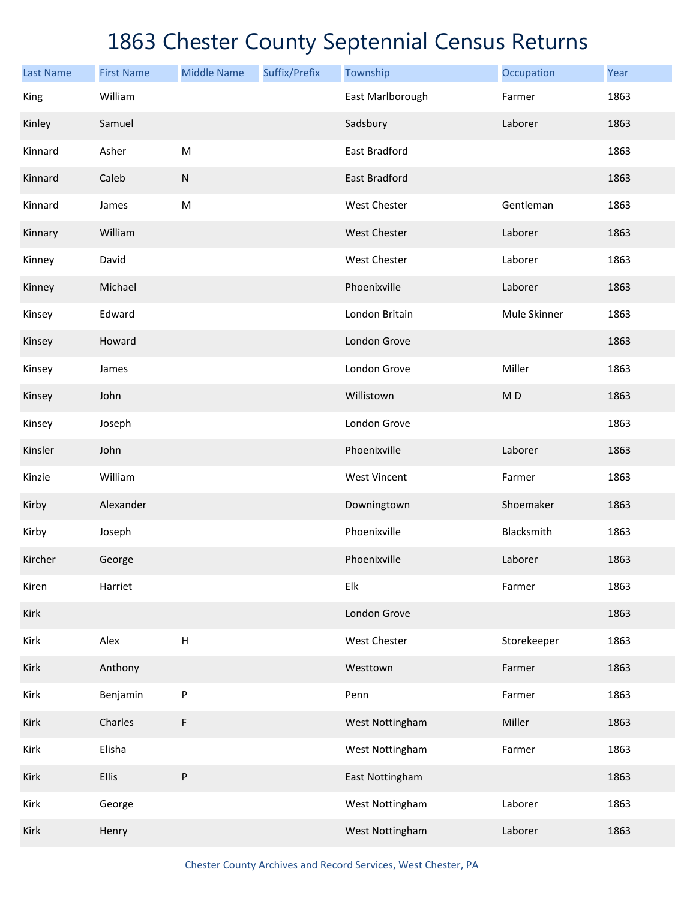| <b>Last Name</b> | <b>First Name</b> | <b>Middle Name</b> | Suffix/Prefix | Township            | Occupation     | Year |
|------------------|-------------------|--------------------|---------------|---------------------|----------------|------|
| King             | William           |                    |               | East Marlborough    | Farmer         | 1863 |
| Kinley           | Samuel            |                    |               | Sadsbury            | Laborer        | 1863 |
| Kinnard          | Asher             | M                  |               | East Bradford       |                | 1863 |
| Kinnard          | Caleb             | ${\sf N}$          |               | East Bradford       |                | 1863 |
| Kinnard          | James             | M                  |               | West Chester        | Gentleman      | 1863 |
| Kinnary          | William           |                    |               | West Chester        | Laborer        | 1863 |
| Kinney           | David             |                    |               | West Chester        | Laborer        | 1863 |
| Kinney           | Michael           |                    |               | Phoenixville        | Laborer        | 1863 |
| Kinsey           | Edward            |                    |               | London Britain      | Mule Skinner   | 1863 |
| Kinsey           | Howard            |                    |               | London Grove        |                | 1863 |
| Kinsey           | James             |                    |               | London Grove        | Miller         | 1863 |
| Kinsey           | John              |                    |               | Willistown          | M <sub>D</sub> | 1863 |
| Kinsey           | Joseph            |                    |               | London Grove        |                | 1863 |
| Kinsler          | John              |                    |               | Phoenixville        | Laborer        | 1863 |
| Kinzie           | William           |                    |               | <b>West Vincent</b> | Farmer         | 1863 |
| Kirby            | Alexander         |                    |               | Downingtown         | Shoemaker      | 1863 |
| Kirby            | Joseph            |                    |               | Phoenixville        | Blacksmith     | 1863 |
| Kircher          | George            |                    |               | Phoenixville        | Laborer        | 1863 |
| Kiren            | Harriet           |                    |               | Elk                 | Farmer         | 1863 |
| Kirk             |                   |                    |               | London Grove        |                | 1863 |
| Kirk             | Alex              | $\sf H$            |               | West Chester        | Storekeeper    | 1863 |
| Kirk             | Anthony           |                    |               | Westtown            | Farmer         | 1863 |
| Kirk             | Benjamin          | ${\sf P}$          |               | Penn                | Farmer         | 1863 |
| Kirk             | Charles           | F                  |               | West Nottingham     | Miller         | 1863 |
| Kirk             | Elisha            |                    |               | West Nottingham     | Farmer         | 1863 |
| Kirk             | Ellis             | ${\sf P}$          |               | East Nottingham     |                | 1863 |
| Kirk             | George            |                    |               | West Nottingham     | Laborer        | 1863 |
| Kirk             | Henry             |                    |               | West Nottingham     | Laborer        | 1863 |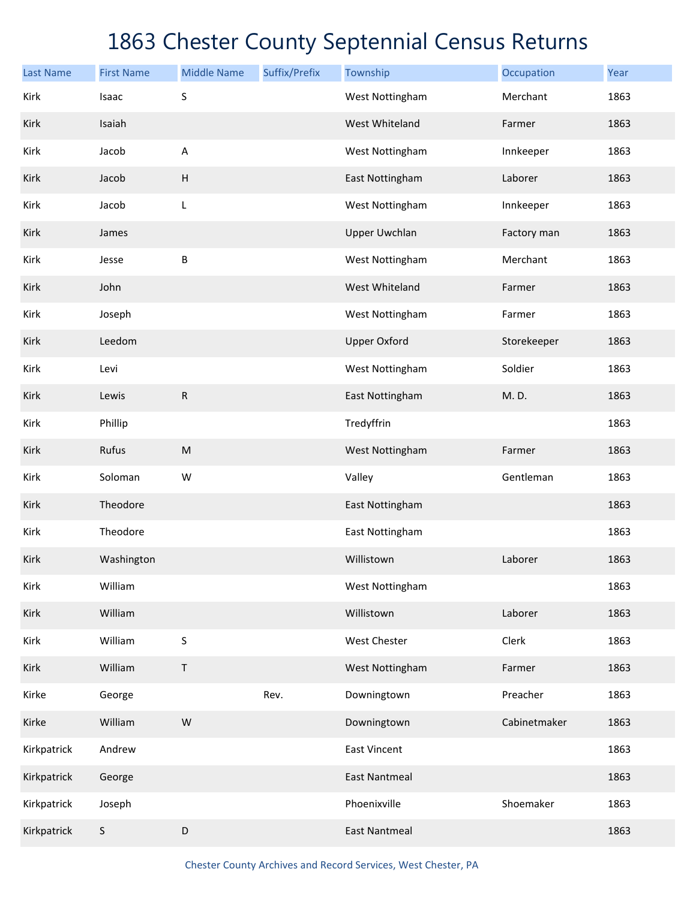| <b>Last Name</b> | <b>First Name</b> | <b>Middle Name</b>        | Suffix/Prefix | Township             | Occupation   | Year |
|------------------|-------------------|---------------------------|---------------|----------------------|--------------|------|
| Kirk             | Isaac             | S                         |               | West Nottingham      | Merchant     | 1863 |
| Kirk             | Isaiah            |                           |               | West Whiteland       | Farmer       | 1863 |
| Kirk             | Jacob             | $\boldsymbol{\mathsf{A}}$ |               | West Nottingham      | Innkeeper    | 1863 |
| Kirk             | Jacob             | $\boldsymbol{\mathsf{H}}$ |               | East Nottingham      | Laborer      | 1863 |
| Kirk             | Jacob             | L                         |               | West Nottingham      | Innkeeper    | 1863 |
| Kirk             | James             |                           |               | <b>Upper Uwchlan</b> | Factory man  | 1863 |
| Kirk             | Jesse             | В                         |               | West Nottingham      | Merchant     | 1863 |
| Kirk             | John              |                           |               | West Whiteland       | Farmer       | 1863 |
| Kirk             | Joseph            |                           |               | West Nottingham      | Farmer       | 1863 |
| Kirk             | Leedom            |                           |               | <b>Upper Oxford</b>  | Storekeeper  | 1863 |
| Kirk             | Levi              |                           |               | West Nottingham      | Soldier      | 1863 |
| Kirk             | Lewis             | ${\sf R}$                 |               | East Nottingham      | M.D.         | 1863 |
| Kirk             | Phillip           |                           |               | Tredyffrin           |              | 1863 |
| Kirk             | Rufus             | ${\sf M}$                 |               | West Nottingham      | Farmer       | 1863 |
| Kirk             | Soloman           | W                         |               | Valley               | Gentleman    | 1863 |
| Kirk             | Theodore          |                           |               | East Nottingham      |              | 1863 |
| Kirk             | Theodore          |                           |               | East Nottingham      |              | 1863 |
| Kirk             | Washington        |                           |               | Willistown           | Laborer      | 1863 |
| Kirk             | William           |                           |               | West Nottingham      |              | 1863 |
| Kirk             | William           |                           |               | Willistown           | Laborer      | 1863 |
| Kirk             | William           | $\sf S$                   |               | West Chester         | Clerk        | 1863 |
| Kirk             | William           | $\mathsf{T}$              |               | West Nottingham      | Farmer       | 1863 |
| Kirke            | George            |                           | Rev.          | Downingtown          | Preacher     | 1863 |
| Kirke            | William           | W                         |               | Downingtown          | Cabinetmaker | 1863 |
| Kirkpatrick      | Andrew            |                           |               | <b>East Vincent</b>  |              | 1863 |
| Kirkpatrick      | George            |                           |               | <b>East Nantmeal</b> |              | 1863 |
| Kirkpatrick      | Joseph            |                           |               | Phoenixville         | Shoemaker    | 1863 |
| Kirkpatrick      | $\mathsf S$       | D                         |               | <b>East Nantmeal</b> |              | 1863 |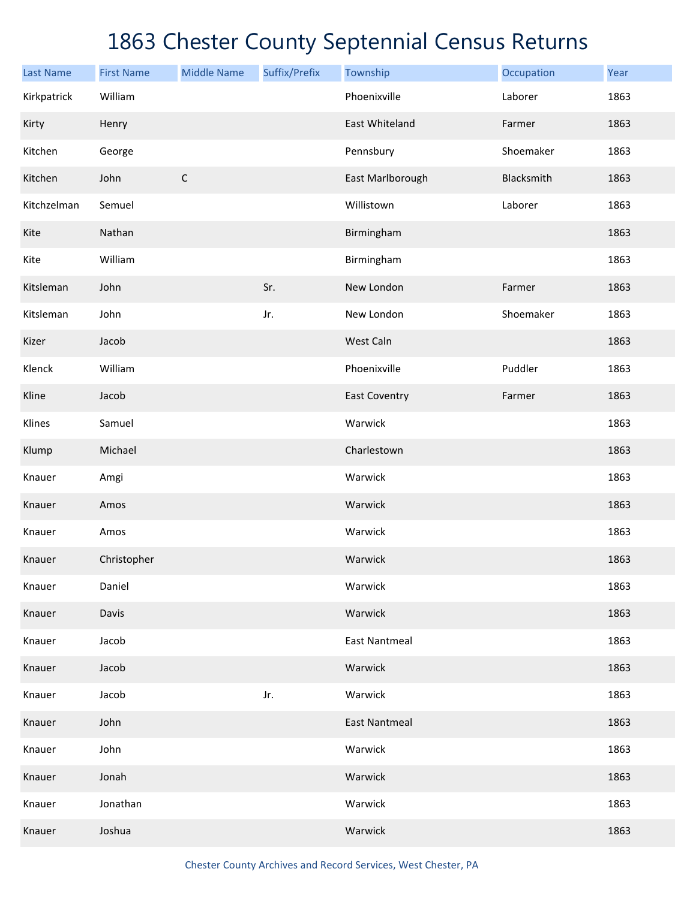| <b>Last Name</b> | <b>First Name</b> | <b>Middle Name</b> | Suffix/Prefix | Township             | Occupation | Year |
|------------------|-------------------|--------------------|---------------|----------------------|------------|------|
| Kirkpatrick      | William           |                    |               | Phoenixville         | Laborer    | 1863 |
| Kirty            | Henry             |                    |               | East Whiteland       | Farmer     | 1863 |
| Kitchen          | George            |                    |               | Pennsbury            | Shoemaker  | 1863 |
| Kitchen          | John              | $\mathsf C$        |               | East Marlborough     | Blacksmith | 1863 |
| Kitchzelman      | Semuel            |                    |               | Willistown           | Laborer    | 1863 |
| Kite             | Nathan            |                    |               | Birmingham           |            | 1863 |
| Kite             | William           |                    |               | Birmingham           |            | 1863 |
| Kitsleman        | John              |                    | Sr.           | New London           | Farmer     | 1863 |
| Kitsleman        | John              |                    | Jr.           | New London           | Shoemaker  | 1863 |
| Kizer            | Jacob             |                    |               | West Caln            |            | 1863 |
| Klenck           | William           |                    |               | Phoenixville         | Puddler    | 1863 |
| Kline            | Jacob             |                    |               | <b>East Coventry</b> | Farmer     | 1863 |
| Klines           | Samuel            |                    |               | Warwick              |            | 1863 |
| Klump            | Michael           |                    |               | Charlestown          |            | 1863 |
| Knauer           | Amgi              |                    |               | Warwick              |            | 1863 |
| Knauer           | Amos              |                    |               | Warwick              |            | 1863 |
| Knauer           | Amos              |                    |               | Warwick              |            | 1863 |
| Knauer           | Christopher       |                    |               | Warwick              |            | 1863 |
| Knauer           | Daniel            |                    |               | Warwick              |            | 1863 |
| Knauer           | Davis             |                    |               | Warwick              |            | 1863 |
| Knauer           | Jacob             |                    |               | <b>East Nantmeal</b> |            | 1863 |
| Knauer           | Jacob             |                    |               | Warwick              |            | 1863 |
| Knauer           | Jacob             |                    | Jr.           | Warwick              |            | 1863 |
| Knauer           | John              |                    |               | <b>East Nantmeal</b> |            | 1863 |
| Knauer           | John              |                    |               | Warwick              |            | 1863 |
| Knauer           | Jonah             |                    |               | Warwick              |            | 1863 |
| Knauer           | Jonathan          |                    |               | Warwick              |            | 1863 |
| Knauer           | Joshua            |                    |               | Warwick              |            | 1863 |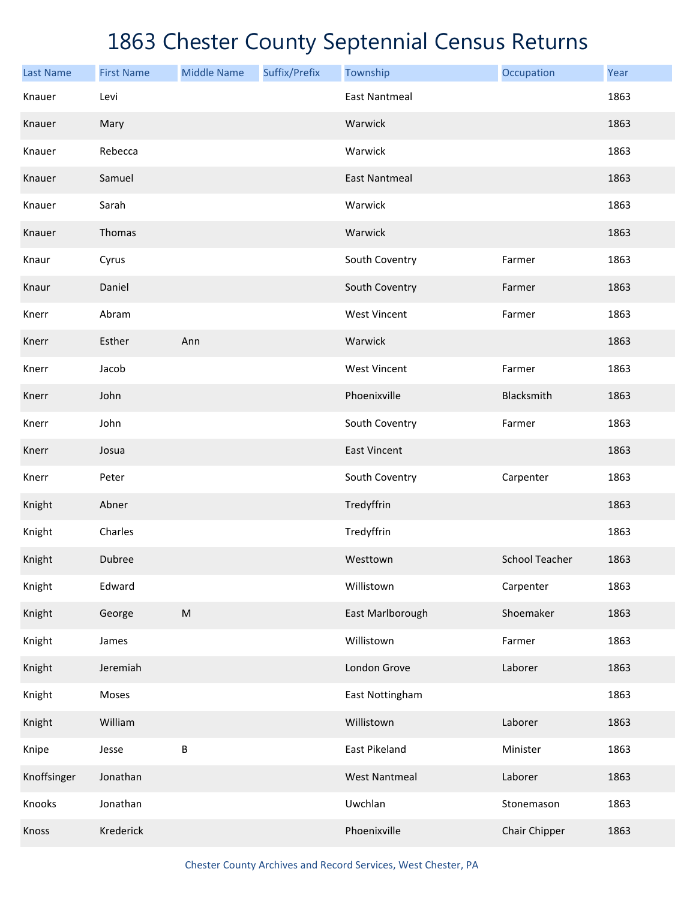| <b>Last Name</b> | <b>First Name</b> | <b>Middle Name</b> | Suffix/Prefix | Township             | Occupation            | Year |
|------------------|-------------------|--------------------|---------------|----------------------|-----------------------|------|
| Knauer           | Levi              |                    |               | <b>East Nantmeal</b> |                       | 1863 |
| Knauer           | Mary              |                    |               | Warwick              |                       | 1863 |
| Knauer           | Rebecca           |                    |               | Warwick              |                       | 1863 |
| Knauer           | Samuel            |                    |               | <b>East Nantmeal</b> |                       | 1863 |
| Knauer           | Sarah             |                    |               | Warwick              |                       | 1863 |
| Knauer           | Thomas            |                    |               | Warwick              |                       | 1863 |
| Knaur            | Cyrus             |                    |               | South Coventry       | Farmer                | 1863 |
| Knaur            | Daniel            |                    |               | South Coventry       | Farmer                | 1863 |
| Knerr            | Abram             |                    |               | <b>West Vincent</b>  | Farmer                | 1863 |
| Knerr            | Esther            | Ann                |               | Warwick              |                       | 1863 |
| Knerr            | Jacob             |                    |               | <b>West Vincent</b>  | Farmer                | 1863 |
| Knerr            | John              |                    |               | Phoenixville         | Blacksmith            | 1863 |
| Knerr            | John              |                    |               | South Coventry       | Farmer                | 1863 |
| Knerr            | Josua             |                    |               | <b>East Vincent</b>  |                       | 1863 |
| Knerr            | Peter             |                    |               | South Coventry       | Carpenter             | 1863 |
| Knight           | Abner             |                    |               | Tredyffrin           |                       | 1863 |
| Knight           | Charles           |                    |               | Tredyffrin           |                       | 1863 |
| Knight           | Dubree            |                    |               | Westtown             | <b>School Teacher</b> | 1863 |
| Knight           | Edward            |                    |               | Willistown           | Carpenter             | 1863 |
| Knight           | George            | ${\sf M}$          |               | East Marlborough     | Shoemaker             | 1863 |
| Knight           | James             |                    |               | Willistown           | Farmer                | 1863 |
| Knight           | Jeremiah          |                    |               | London Grove         | Laborer               | 1863 |
| Knight           | Moses             |                    |               | East Nottingham      |                       | 1863 |
| Knight           | William           |                    |               | Willistown           | Laborer               | 1863 |
| Knipe            | Jesse             | $\sf B$            |               | East Pikeland        | Minister              | 1863 |
| Knoffsinger      | Jonathan          |                    |               | <b>West Nantmeal</b> | Laborer               | 1863 |
| Knooks           | Jonathan          |                    |               | Uwchlan              | Stonemason            | 1863 |
| Knoss            | Krederick         |                    |               | Phoenixville         | Chair Chipper         | 1863 |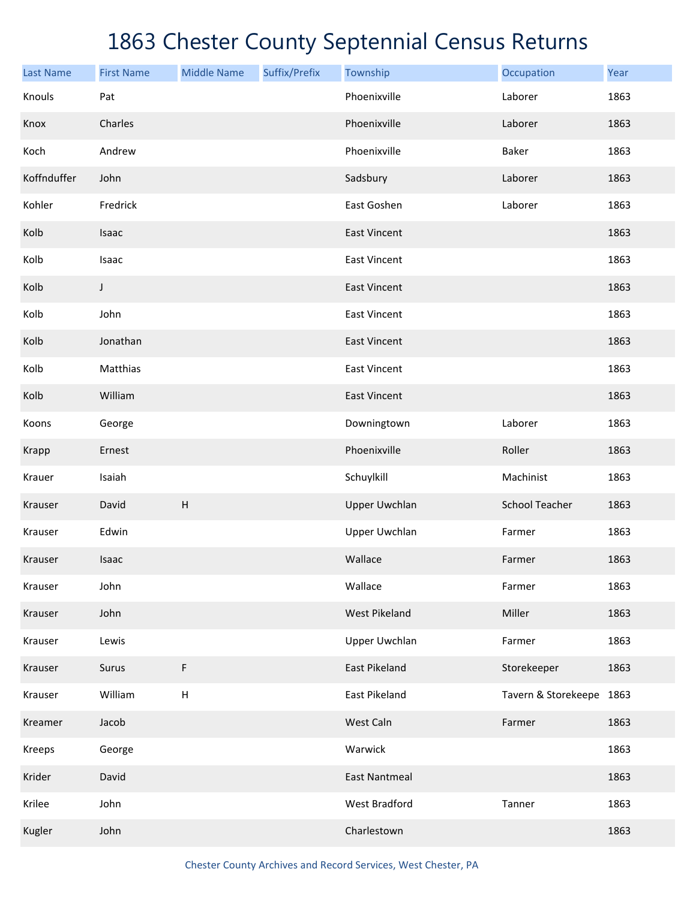| <b>Last Name</b> | <b>First Name</b> | <b>Middle Name</b>        | Suffix/Prefix | Township             | Occupation               | Year |
|------------------|-------------------|---------------------------|---------------|----------------------|--------------------------|------|
| Knouls           | Pat               |                           |               | Phoenixville         | Laborer                  | 1863 |
| Knox             | Charles           |                           |               | Phoenixville         | Laborer                  | 1863 |
| Koch             | Andrew            |                           |               | Phoenixville         | Baker                    | 1863 |
| Koffnduffer      | John              |                           |               | Sadsbury             | Laborer                  | 1863 |
| Kohler           | Fredrick          |                           |               | East Goshen          | Laborer                  | 1863 |
| Kolb             | Isaac             |                           |               | <b>East Vincent</b>  |                          | 1863 |
| Kolb             | Isaac             |                           |               | <b>East Vincent</b>  |                          | 1863 |
| Kolb             | J                 |                           |               | <b>East Vincent</b>  |                          | 1863 |
| Kolb             | John              |                           |               | <b>East Vincent</b>  |                          | 1863 |
| Kolb             | Jonathan          |                           |               | <b>East Vincent</b>  |                          | 1863 |
| Kolb             | Matthias          |                           |               | <b>East Vincent</b>  |                          | 1863 |
| Kolb             | William           |                           |               | <b>East Vincent</b>  |                          | 1863 |
| Koons            | George            |                           |               | Downingtown          | Laborer                  | 1863 |
| <b>Krapp</b>     | Ernest            |                           |               | Phoenixville         | Roller                   | 1863 |
| Krauer           | Isaiah            |                           |               | Schuylkill           | Machinist                | 1863 |
| Krauser          | David             | $\boldsymbol{\mathsf{H}}$ |               | <b>Upper Uwchlan</b> | <b>School Teacher</b>    | 1863 |
| Krauser          | Edwin             |                           |               | <b>Upper Uwchlan</b> | Farmer                   | 1863 |
| Krauser          | Isaac             |                           |               | Wallace              | Farmer                   | 1863 |
| Krauser          | John              |                           |               | Wallace              | Farmer                   | 1863 |
| Krauser          | John              |                           |               | <b>West Pikeland</b> | Miller                   | 1863 |
| Krauser          | Lewis             |                           |               | <b>Upper Uwchlan</b> | Farmer                   | 1863 |
| Krauser          | Surus             | F                         |               | East Pikeland        | Storekeeper              | 1863 |
| Krauser          | William           | Н                         |               | East Pikeland        | Tavern & Storekeepe 1863 |      |
| Kreamer          | Jacob             |                           |               | West Caln            | Farmer                   | 1863 |
| Kreeps           | George            |                           |               | Warwick              |                          | 1863 |
| Krider           | David             |                           |               | <b>East Nantmeal</b> |                          | 1863 |
| Krilee           | John              |                           |               | West Bradford        | Tanner                   | 1863 |
| Kugler           | John              |                           |               | Charlestown          |                          | 1863 |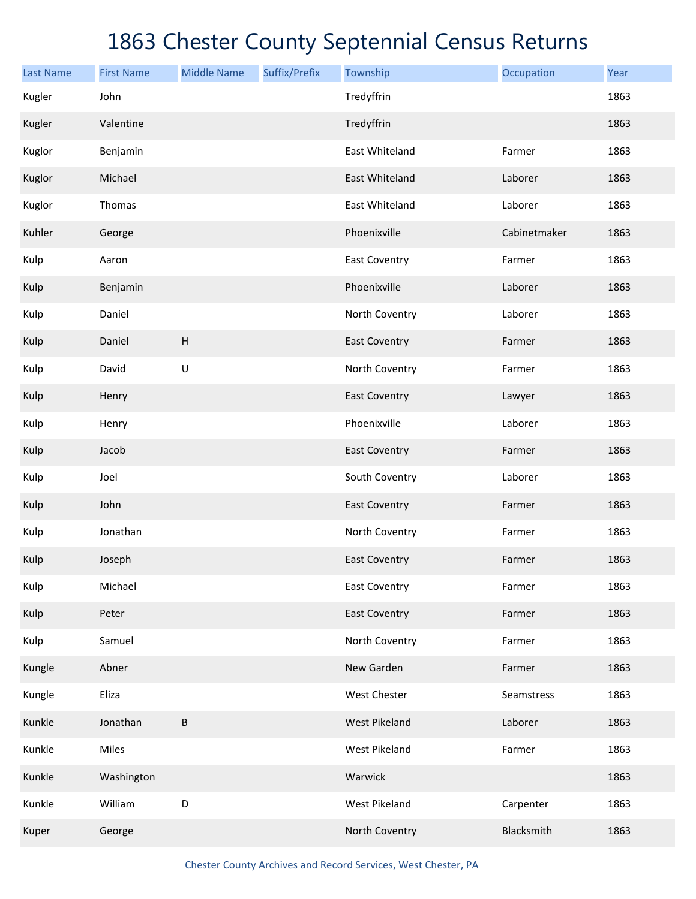| <b>Last Name</b> | <b>First Name</b> | <b>Middle Name</b>        | Suffix/Prefix | Township             | Occupation   | Year |
|------------------|-------------------|---------------------------|---------------|----------------------|--------------|------|
| Kugler           | John              |                           |               | Tredyffrin           |              | 1863 |
| Kugler           | Valentine         |                           |               | Tredyffrin           |              | 1863 |
| Kuglor           | Benjamin          |                           |               | East Whiteland       | Farmer       | 1863 |
| Kuglor           | Michael           |                           |               | East Whiteland       | Laborer      | 1863 |
| Kuglor           | Thomas            |                           |               | East Whiteland       | Laborer      | 1863 |
| Kuhler           | George            |                           |               | Phoenixville         | Cabinetmaker | 1863 |
| Kulp             | Aaron             |                           |               | East Coventry        | Farmer       | 1863 |
| Kulp             | Benjamin          |                           |               | Phoenixville         | Laborer      | 1863 |
| Kulp             | Daniel            |                           |               | North Coventry       | Laborer      | 1863 |
| Kulp             | Daniel            | $\boldsymbol{\mathsf{H}}$ |               | <b>East Coventry</b> | Farmer       | 1863 |
| Kulp             | David             | $\sf U$                   |               | North Coventry       | Farmer       | 1863 |
| Kulp             | Henry             |                           |               | <b>East Coventry</b> | Lawyer       | 1863 |
| Kulp             | Henry             |                           |               | Phoenixville         | Laborer      | 1863 |
| Kulp             | Jacob             |                           |               | <b>East Coventry</b> | Farmer       | 1863 |
| Kulp             | Joel              |                           |               | South Coventry       | Laborer      | 1863 |
| Kulp             | John              |                           |               | <b>East Coventry</b> | Farmer       | 1863 |
| Kulp             | Jonathan          |                           |               | North Coventry       | Farmer       | 1863 |
| Kulp             | Joseph            |                           |               | <b>East Coventry</b> | Farmer       | 1863 |
| Kulp             | Michael           |                           |               | <b>East Coventry</b> | Farmer       | 1863 |
| Kulp             | Peter             |                           |               | <b>East Coventry</b> | Farmer       | 1863 |
| Kulp             | Samuel            |                           |               | North Coventry       | Farmer       | 1863 |
| Kungle           | Abner             |                           |               | New Garden           | Farmer       | 1863 |
| Kungle           | Eliza             |                           |               | West Chester         | Seamstress   | 1863 |
| Kunkle           | Jonathan          | В                         |               | <b>West Pikeland</b> | Laborer      | 1863 |
| Kunkle           | Miles             |                           |               | West Pikeland        | Farmer       | 1863 |
| Kunkle           | Washington        |                           |               | Warwick              |              | 1863 |
| Kunkle           | William           | D                         |               | West Pikeland        | Carpenter    | 1863 |
| Kuper            | George            |                           |               | North Coventry       | Blacksmith   | 1863 |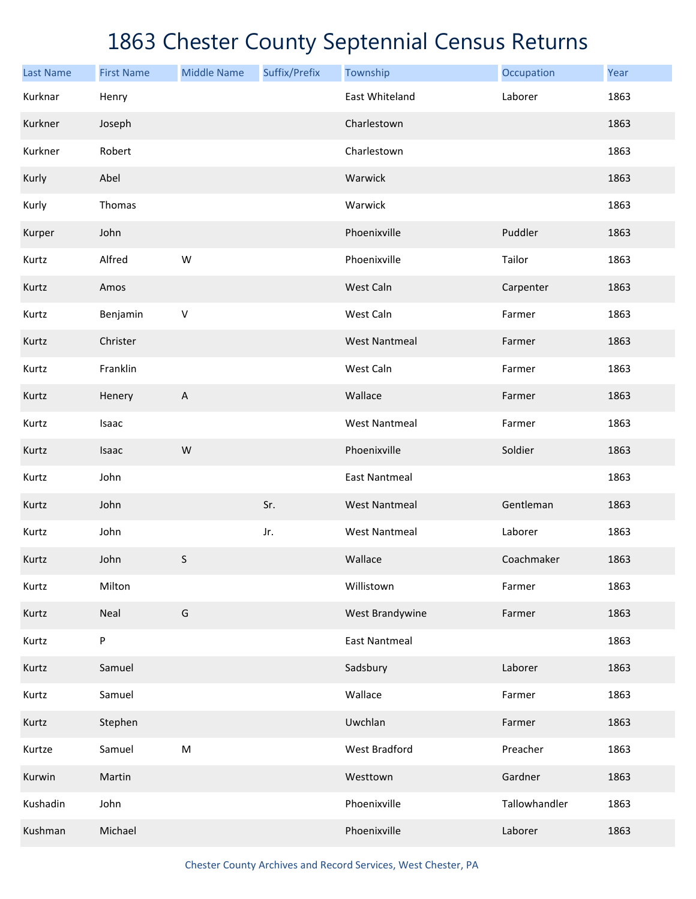| <b>Last Name</b> | <b>First Name</b> | <b>Middle Name</b> | Suffix/Prefix | Township             | Occupation    | Year |
|------------------|-------------------|--------------------|---------------|----------------------|---------------|------|
| Kurknar          | Henry             |                    |               | East Whiteland       | Laborer       | 1863 |
| Kurkner          | Joseph            |                    |               | Charlestown          |               | 1863 |
| Kurkner          | Robert            |                    |               | Charlestown          |               | 1863 |
| Kurly            | Abel              |                    |               | Warwick              |               | 1863 |
| Kurly            | Thomas            |                    |               | Warwick              |               | 1863 |
| Kurper           | John              |                    |               | Phoenixville         | Puddler       | 1863 |
| Kurtz            | Alfred            | W                  |               | Phoenixville         | Tailor        | 1863 |
| Kurtz            | Amos              |                    |               | West Caln            | Carpenter     | 1863 |
| Kurtz            | Benjamin          | $\sf V$            |               | West Caln            | Farmer        | 1863 |
| Kurtz            | Christer          |                    |               | <b>West Nantmeal</b> | Farmer        | 1863 |
| Kurtz            | Franklin          |                    |               | West Caln            | Farmer        | 1863 |
| Kurtz            | Henery            | A                  |               | Wallace              | Farmer        | 1863 |
| Kurtz            | Isaac             |                    |               | <b>West Nantmeal</b> | Farmer        | 1863 |
| Kurtz            | Isaac             | W                  |               | Phoenixville         | Soldier       | 1863 |
| Kurtz            | John              |                    |               | <b>East Nantmeal</b> |               | 1863 |
| Kurtz            | John              |                    | Sr.           | <b>West Nantmeal</b> | Gentleman     | 1863 |
| Kurtz            | John              |                    | Jr.           | <b>West Nantmeal</b> | Laborer       | 1863 |
| Kurtz            | John              | S                  |               | Wallace              | Coachmaker    | 1863 |
| Kurtz            | Milton            |                    |               | Willistown           | Farmer        | 1863 |
| Kurtz            | Neal              | G                  |               | West Brandywine      | Farmer        | 1863 |
| Kurtz            | P                 |                    |               | <b>East Nantmeal</b> |               | 1863 |
| Kurtz            | Samuel            |                    |               | Sadsbury             | Laborer       | 1863 |
| Kurtz            | Samuel            |                    |               | Wallace              | Farmer        | 1863 |
| Kurtz            | Stephen           |                    |               | Uwchlan              | Farmer        | 1863 |
| Kurtze           | Samuel            | ${\sf M}$          |               | <b>West Bradford</b> | Preacher      | 1863 |
| Kurwin           | Martin            |                    |               | Westtown             | Gardner       | 1863 |
| Kushadin         | John              |                    |               | Phoenixville         | Tallowhandler | 1863 |
| Kushman          | Michael           |                    |               | Phoenixville         | Laborer       | 1863 |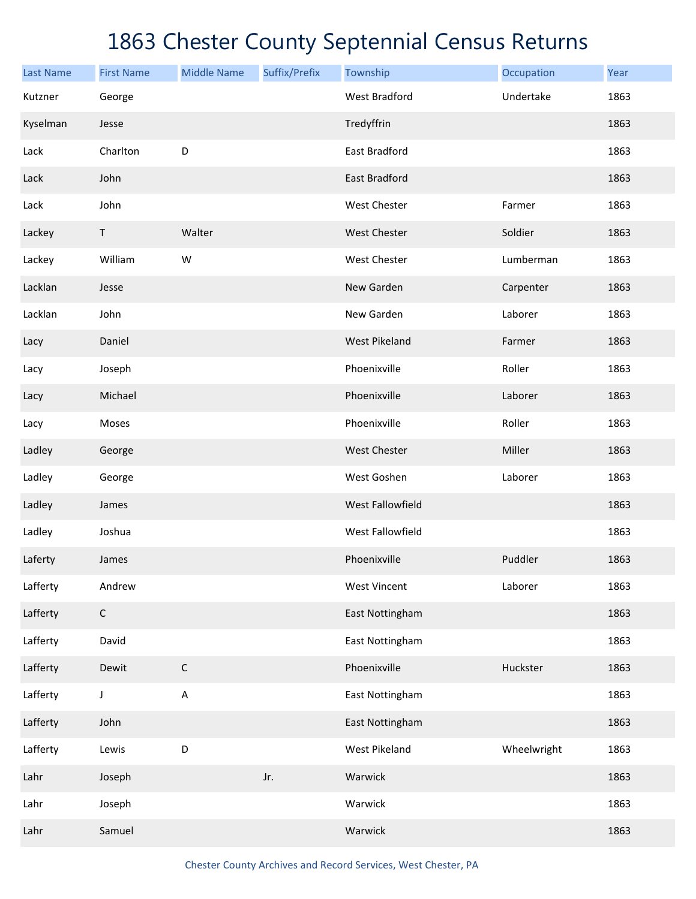| <b>Last Name</b> | <b>First Name</b> | <b>Middle Name</b> | Suffix/Prefix | Township             | Occupation  | Year |
|------------------|-------------------|--------------------|---------------|----------------------|-------------|------|
| Kutzner          | George            |                    |               | <b>West Bradford</b> | Undertake   | 1863 |
| Kyselman         | Jesse             |                    |               | Tredyffrin           |             | 1863 |
| Lack             | Charlton          | D                  |               | East Bradford        |             | 1863 |
| Lack             | John              |                    |               | <b>East Bradford</b> |             | 1863 |
| Lack             | John              |                    |               | West Chester         | Farmer      | 1863 |
| Lackey           | $\sf T$           | Walter             |               | West Chester         | Soldier     | 1863 |
| Lackey           | William           | W                  |               | West Chester         | Lumberman   | 1863 |
| Lacklan          | Jesse             |                    |               | New Garden           | Carpenter   | 1863 |
| Lacklan          | John              |                    |               | New Garden           | Laborer     | 1863 |
| Lacy             | Daniel            |                    |               | <b>West Pikeland</b> | Farmer      | 1863 |
| Lacy             | Joseph            |                    |               | Phoenixville         | Roller      | 1863 |
| Lacy             | Michael           |                    |               | Phoenixville         | Laborer     | 1863 |
| Lacy             | Moses             |                    |               | Phoenixville         | Roller      | 1863 |
| Ladley           | George            |                    |               | West Chester         | Miller      | 1863 |
| Ladley           | George            |                    |               | West Goshen          | Laborer     | 1863 |
| Ladley           | James             |                    |               | West Fallowfield     |             | 1863 |
| Ladley           | Joshua            |                    |               | West Fallowfield     |             | 1863 |
| Laferty          | James             |                    |               | Phoenixville         | Puddler     | 1863 |
| Lafferty         | Andrew            |                    |               | <b>West Vincent</b>  | Laborer     | 1863 |
| Lafferty         | $\mathsf C$       |                    |               | East Nottingham      |             | 1863 |
| Lafferty         | David             |                    |               | East Nottingham      |             | 1863 |
| Lafferty         | Dewit             | $\mathsf C$        |               | Phoenixville         | Huckster    | 1863 |
| Lafferty         | $\mathsf J$       | $\mathsf A$        |               | East Nottingham      |             | 1863 |
| Lafferty         | John              |                    |               | East Nottingham      |             | 1863 |
| Lafferty         | Lewis             | D                  |               | West Pikeland        | Wheelwright | 1863 |
| Lahr             | Joseph            |                    | Jr.           | Warwick              |             | 1863 |
| Lahr             | Joseph            |                    |               | Warwick              |             | 1863 |
| Lahr             | Samuel            |                    |               | Warwick              |             | 1863 |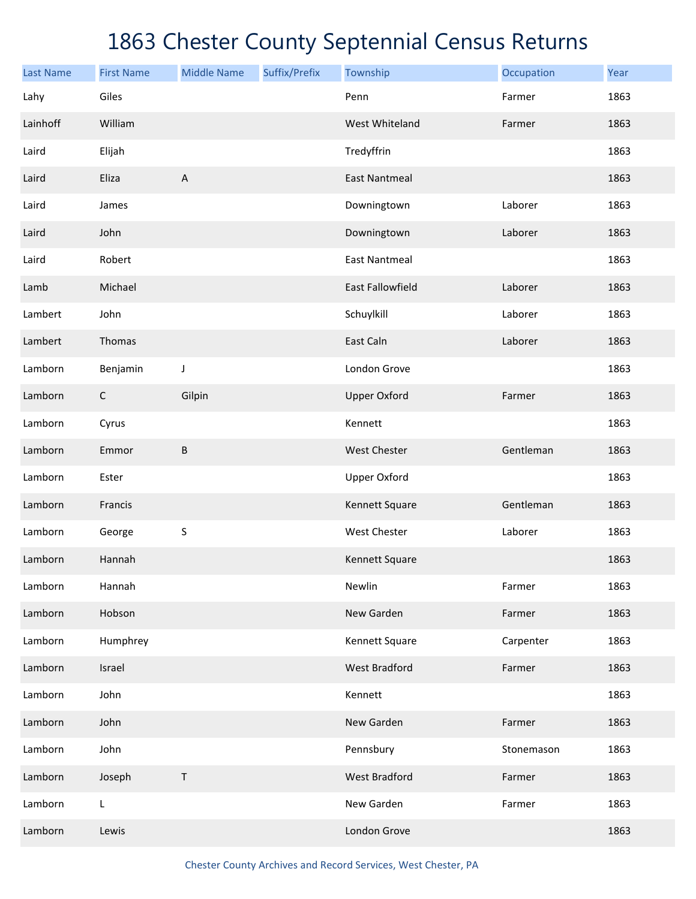| <b>Last Name</b> | <b>First Name</b> | <b>Middle Name</b> | Suffix/Prefix | Township                | Occupation | Year |
|------------------|-------------------|--------------------|---------------|-------------------------|------------|------|
| Lahy             | Giles             |                    |               | Penn                    | Farmer     | 1863 |
| Lainhoff         | William           |                    |               | West Whiteland          | Farmer     | 1863 |
| Laird            | Elijah            |                    |               | Tredyffrin              |            | 1863 |
| Laird            | Eliza             | A                  |               | <b>East Nantmeal</b>    |            | 1863 |
| Laird            | James             |                    |               | Downingtown             | Laborer    | 1863 |
| Laird            | John              |                    |               | Downingtown             | Laborer    | 1863 |
| Laird            | Robert            |                    |               | <b>East Nantmeal</b>    |            | 1863 |
| Lamb             | Michael           |                    |               | <b>East Fallowfield</b> | Laborer    | 1863 |
| Lambert          | John              |                    |               | Schuylkill              | Laborer    | 1863 |
| Lambert          | Thomas            |                    |               | East Caln               | Laborer    | 1863 |
| Lamborn          | Benjamin          | J                  |               | London Grove            |            | 1863 |
| Lamborn          | $\mathsf C$       | Gilpin             |               | <b>Upper Oxford</b>     | Farmer     | 1863 |
| Lamborn          | Cyrus             |                    |               | Kennett                 |            | 1863 |
| Lamborn          | Emmor             | $\sf B$            |               | <b>West Chester</b>     | Gentleman  | 1863 |
| Lamborn          | Ester             |                    |               | <b>Upper Oxford</b>     |            | 1863 |
| Lamborn          | Francis           |                    |               | Kennett Square          | Gentleman  | 1863 |
| Lamborn          | George            | S                  |               | West Chester            | Laborer    | 1863 |
| Lamborn          | Hannah            |                    |               | Kennett Square          |            | 1863 |
| Lamborn          | Hannah            |                    |               | Newlin                  | Farmer     | 1863 |
| Lamborn          | Hobson            |                    |               | New Garden              | Farmer     | 1863 |
| Lamborn          | Humphrey          |                    |               | Kennett Square          | Carpenter  | 1863 |
| Lamborn          | Israel            |                    |               | <b>West Bradford</b>    | Farmer     | 1863 |
| Lamborn          | John              |                    |               | Kennett                 |            | 1863 |
| Lamborn          | John              |                    |               | New Garden              | Farmer     | 1863 |
| Lamborn          | John              |                    |               | Pennsbury               | Stonemason | 1863 |
| Lamborn          | Joseph            | Τ                  |               | <b>West Bradford</b>    | Farmer     | 1863 |
| Lamborn          | L                 |                    |               | New Garden              | Farmer     | 1863 |
| Lamborn          | Lewis             |                    |               | London Grove            |            | 1863 |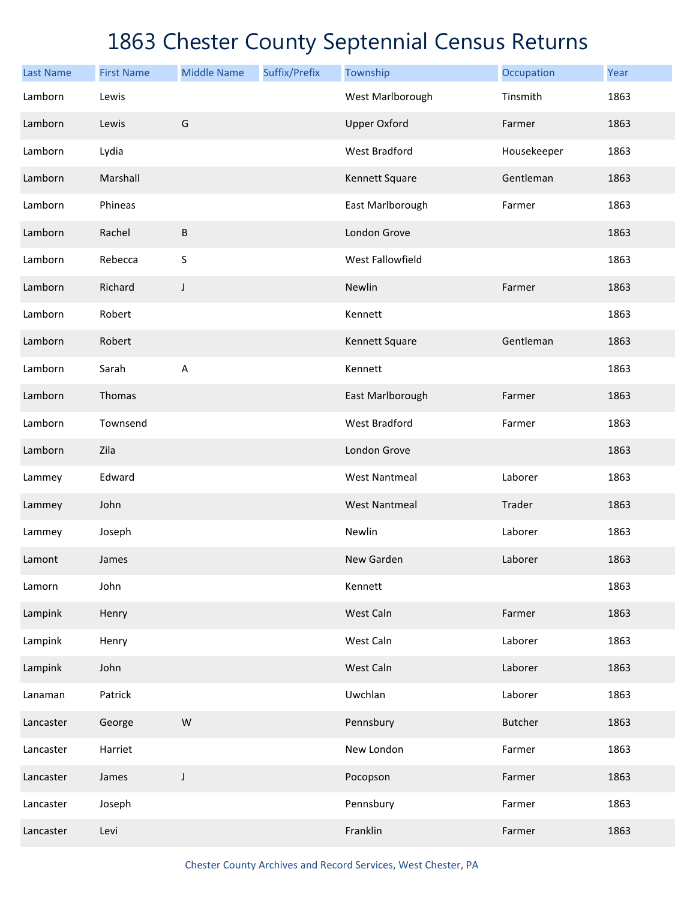| <b>Last Name</b> | <b>First Name</b> | <b>Middle Name</b> | Suffix/Prefix | Township             | Occupation     | Year |
|------------------|-------------------|--------------------|---------------|----------------------|----------------|------|
| Lamborn          | Lewis             |                    |               | West Marlborough     | Tinsmith       | 1863 |
| Lamborn          | Lewis             | G                  |               | <b>Upper Oxford</b>  | Farmer         | 1863 |
| Lamborn          | Lydia             |                    |               | <b>West Bradford</b> | Housekeeper    | 1863 |
| Lamborn          | Marshall          |                    |               | Kennett Square       | Gentleman      | 1863 |
| Lamborn          | Phineas           |                    |               | East Marlborough     | Farmer         | 1863 |
| Lamborn          | Rachel            | $\sf B$            |               | London Grove         |                | 1863 |
| Lamborn          | Rebecca           | S                  |               | West Fallowfield     |                | 1863 |
| Lamborn          | Richard           | J                  |               | Newlin               | Farmer         | 1863 |
| Lamborn          | Robert            |                    |               | Kennett              |                | 1863 |
| Lamborn          | Robert            |                    |               | Kennett Square       | Gentleman      | 1863 |
| Lamborn          | Sarah             | A                  |               | Kennett              |                | 1863 |
| Lamborn          | Thomas            |                    |               | East Marlborough     | Farmer         | 1863 |
| Lamborn          | Townsend          |                    |               | <b>West Bradford</b> | Farmer         | 1863 |
| Lamborn          | Zila              |                    |               | London Grove         |                | 1863 |
| Lammey           | Edward            |                    |               | <b>West Nantmeal</b> | Laborer        | 1863 |
| Lammey           | John              |                    |               | <b>West Nantmeal</b> | Trader         | 1863 |
| Lammey           | Joseph            |                    |               | Newlin               | Laborer        | 1863 |
| Lamont           | James             |                    |               | New Garden           | Laborer        | 1863 |
| Lamorn           | John              |                    |               | Kennett              |                | 1863 |
| Lampink          | Henry             |                    |               | West Caln            | Farmer         | 1863 |
| Lampink          | Henry             |                    |               | West Caln            | Laborer        | 1863 |
| Lampink          | John              |                    |               | West Caln            | Laborer        | 1863 |
| Lanaman          | Patrick           |                    |               | Uwchlan              | Laborer        | 1863 |
| Lancaster        | George            | ${\sf W}$          |               | Pennsbury            | <b>Butcher</b> | 1863 |
| Lancaster        | Harriet           |                    |               | New London           | Farmer         | 1863 |
| Lancaster        | James             | J                  |               | Pocopson             | Farmer         | 1863 |
| Lancaster        | Joseph            |                    |               | Pennsbury            | Farmer         | 1863 |
| Lancaster        | Levi              |                    |               | Franklin             | Farmer         | 1863 |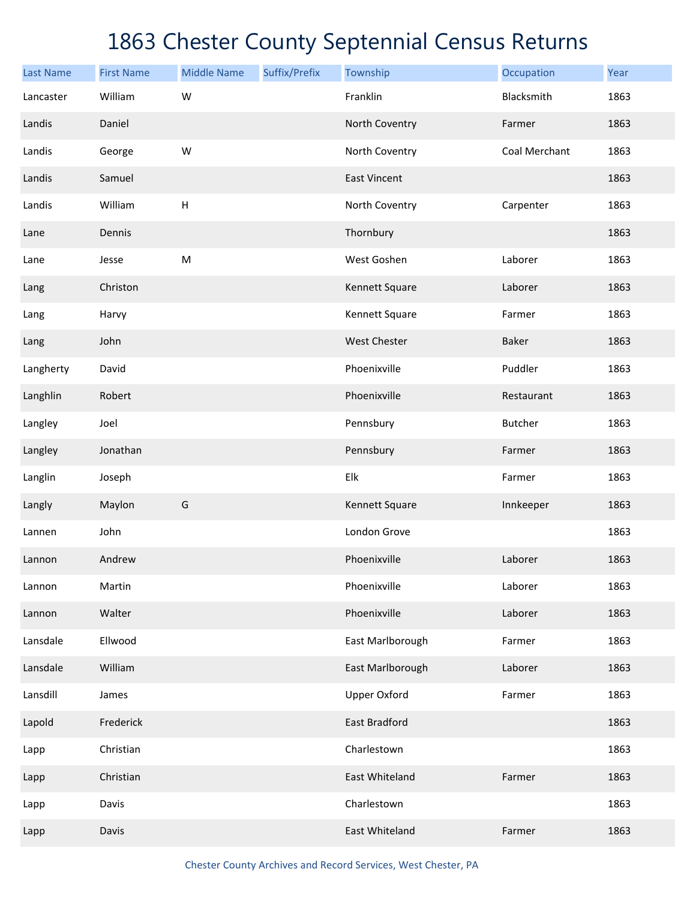| <b>Last Name</b> | <b>First Name</b> | <b>Middle Name</b>        | Suffix/Prefix | Township            | Occupation    | Year |
|------------------|-------------------|---------------------------|---------------|---------------------|---------------|------|
| Lancaster        | William           | W                         |               | Franklin            | Blacksmith    | 1863 |
| Landis           | Daniel            |                           |               | North Coventry      | Farmer        | 1863 |
| Landis           | George            | W                         |               | North Coventry      | Coal Merchant | 1863 |
| Landis           | Samuel            |                           |               | <b>East Vincent</b> |               | 1863 |
| Landis           | William           | $\boldsymbol{\mathsf{H}}$ |               | North Coventry      | Carpenter     | 1863 |
| Lane             | Dennis            |                           |               | Thornbury           |               | 1863 |
| Lane             | Jesse             | ${\sf M}$                 |               | West Goshen         | Laborer       | 1863 |
| Lang             | Christon          |                           |               | Kennett Square      | Laborer       | 1863 |
| Lang             | Harvy             |                           |               | Kennett Square      | Farmer        | 1863 |
| Lang             | John              |                           |               | <b>West Chester</b> | Baker         | 1863 |
| Langherty        | David             |                           |               | Phoenixville        | Puddler       | 1863 |
| Langhlin         | Robert            |                           |               | Phoenixville        | Restaurant    | 1863 |
| Langley          | Joel              |                           |               | Pennsbury           | Butcher       | 1863 |
| Langley          | Jonathan          |                           |               | Pennsbury           | Farmer        | 1863 |
| Langlin          | Joseph            |                           |               | Elk                 | Farmer        | 1863 |
| Langly           | Maylon            | G                         |               | Kennett Square      | Innkeeper     | 1863 |
| Lannen           | John              |                           |               | London Grove        |               | 1863 |
| Lannon           | Andrew            |                           |               | Phoenixville        | Laborer       | 1863 |
| Lannon           | Martin            |                           |               | Phoenixville        | Laborer       | 1863 |
| Lannon           | Walter            |                           |               | Phoenixville        | Laborer       | 1863 |
| Lansdale         | Ellwood           |                           |               | East Marlborough    | Farmer        | 1863 |
| Lansdale         | William           |                           |               | East Marlborough    | Laborer       | 1863 |
| Lansdill         | James             |                           |               | <b>Upper Oxford</b> | Farmer        | 1863 |
| Lapold           | Frederick         |                           |               | East Bradford       |               | 1863 |
| Lapp             | Christian         |                           |               | Charlestown         |               | 1863 |
| Lapp             | Christian         |                           |               | East Whiteland      | Farmer        | 1863 |
| Lapp             | Davis             |                           |               | Charlestown         |               | 1863 |
| Lapp             | Davis             |                           |               | East Whiteland      | Farmer        | 1863 |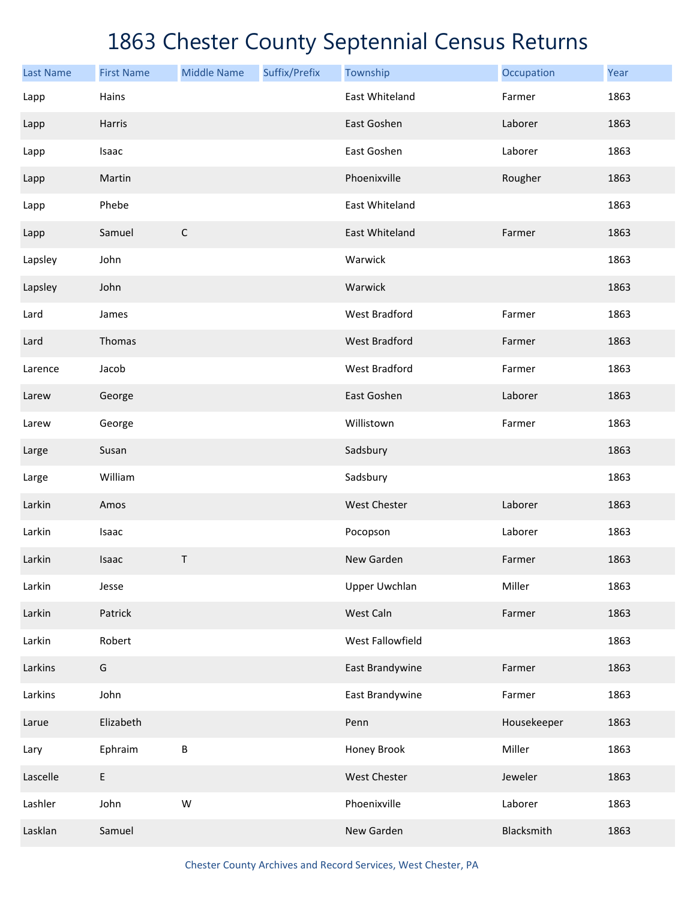| <b>Last Name</b> | <b>First Name</b> | <b>Middle Name</b> | Suffix/Prefix | Township             | Occupation  | Year |
|------------------|-------------------|--------------------|---------------|----------------------|-------------|------|
| Lapp             | Hains             |                    |               | East Whiteland       | Farmer      | 1863 |
| Lapp             | Harris            |                    |               | East Goshen          | Laborer     | 1863 |
| Lapp             | Isaac             |                    |               | East Goshen          | Laborer     | 1863 |
| Lapp             | Martin            |                    |               | Phoenixville         | Rougher     | 1863 |
| Lapp             | Phebe             |                    |               | East Whiteland       |             | 1863 |
| Lapp             | Samuel            | $\mathsf C$        |               | East Whiteland       | Farmer      | 1863 |
| Lapsley          | John              |                    |               | Warwick              |             | 1863 |
| Lapsley          | John              |                    |               | Warwick              |             | 1863 |
| Lard             | James             |                    |               | <b>West Bradford</b> | Farmer      | 1863 |
| Lard             | Thomas            |                    |               | <b>West Bradford</b> | Farmer      | 1863 |
| Larence          | Jacob             |                    |               | <b>West Bradford</b> | Farmer      | 1863 |
| Larew            | George            |                    |               | East Goshen          | Laborer     | 1863 |
| Larew            | George            |                    |               | Willistown           | Farmer      | 1863 |
| Large            | Susan             |                    |               | Sadsbury             |             | 1863 |
| Large            | William           |                    |               | Sadsbury             |             | 1863 |
| Larkin           | Amos              |                    |               | West Chester         | Laborer     | 1863 |
| Larkin           | Isaac             |                    |               | Pocopson             | Laborer     | 1863 |
| Larkin           | Isaac             | Τ                  |               | New Garden           | Farmer      | 1863 |
| Larkin           | Jesse             |                    |               | <b>Upper Uwchlan</b> | Miller      | 1863 |
| Larkin           | Patrick           |                    |               | West Caln            | Farmer      | 1863 |
| Larkin           | Robert            |                    |               | West Fallowfield     |             | 1863 |
| Larkins          | G                 |                    |               | East Brandywine      | Farmer      | 1863 |
| Larkins          | John              |                    |               | East Brandywine      | Farmer      | 1863 |
| Larue            | Elizabeth         |                    |               | Penn                 | Housekeeper | 1863 |
| Lary             | Ephraim           | B                  |               | Honey Brook          | Miller      | 1863 |
| Lascelle         | $\mathsf E$       |                    |               | West Chester         | Jeweler     | 1863 |
| Lashler          | John              | W                  |               | Phoenixville         | Laborer     | 1863 |
| Lasklan          | Samuel            |                    |               | New Garden           | Blacksmith  | 1863 |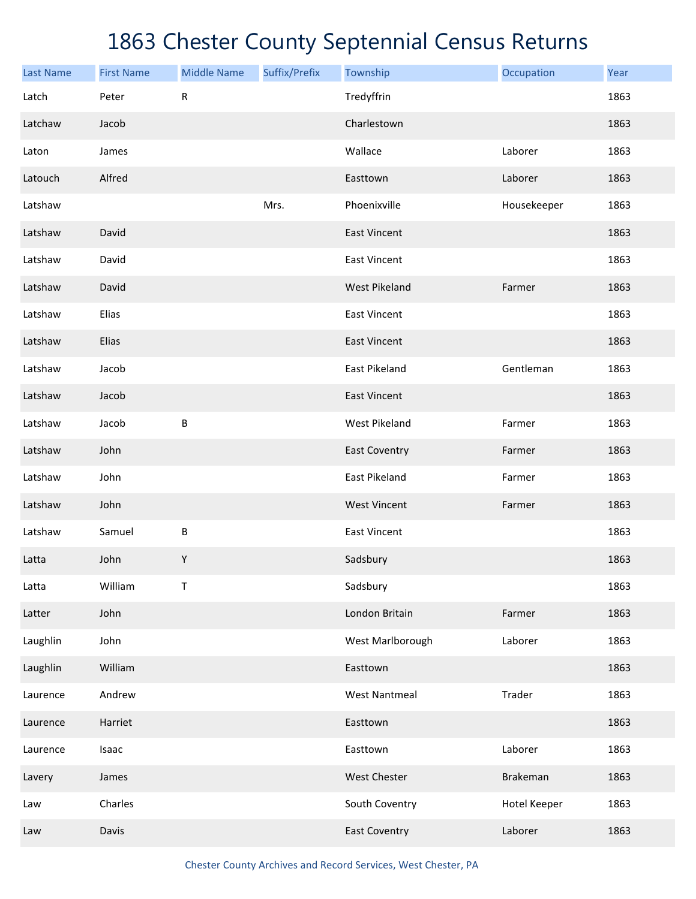| <b>Last Name</b> | <b>First Name</b> | <b>Middle Name</b> | Suffix/Prefix | Township             | Occupation   | Year |
|------------------|-------------------|--------------------|---------------|----------------------|--------------|------|
| Latch            | Peter             | ${\sf R}$          |               | Tredyffrin           |              | 1863 |
| Latchaw          | Jacob             |                    |               | Charlestown          |              | 1863 |
| Laton            | James             |                    |               | Wallace              | Laborer      | 1863 |
| Latouch          | Alfred            |                    |               | Easttown             | Laborer      | 1863 |
| Latshaw          |                   |                    | Mrs.          | Phoenixville         | Housekeeper  | 1863 |
| Latshaw          | David             |                    |               | <b>East Vincent</b>  |              | 1863 |
| Latshaw          | David             |                    |               | <b>East Vincent</b>  |              | 1863 |
| Latshaw          | David             |                    |               | <b>West Pikeland</b> | Farmer       | 1863 |
| Latshaw          | Elias             |                    |               | <b>East Vincent</b>  |              | 1863 |
| Latshaw          | Elias             |                    |               | <b>East Vincent</b>  |              | 1863 |
| Latshaw          | Jacob             |                    |               | East Pikeland        | Gentleman    | 1863 |
| Latshaw          | Jacob             |                    |               | <b>East Vincent</b>  |              | 1863 |
| Latshaw          | Jacob             | $\sf B$            |               | <b>West Pikeland</b> | Farmer       | 1863 |
| Latshaw          | John              |                    |               | <b>East Coventry</b> | Farmer       | 1863 |
| Latshaw          | John              |                    |               | East Pikeland        | Farmer       | 1863 |
| Latshaw          | John              |                    |               | <b>West Vincent</b>  | Farmer       | 1863 |
| Latshaw          | Samuel            | $\sf B$            |               | <b>East Vincent</b>  |              | 1863 |
| Latta            | John              | Υ                  |               | Sadsbury             |              | 1863 |
| Latta            | William           | Τ                  |               | Sadsbury             |              | 1863 |
| Latter           | John              |                    |               | London Britain       | Farmer       | 1863 |
| Laughlin         | John              |                    |               | West Marlborough     | Laborer      | 1863 |
| Laughlin         | William           |                    |               | Easttown             |              | 1863 |
| Laurence         | Andrew            |                    |               | <b>West Nantmeal</b> | Trader       | 1863 |
| Laurence         | Harriet           |                    |               | Easttown             |              | 1863 |
| Laurence         | Isaac             |                    |               | Easttown             | Laborer      | 1863 |
| Lavery           | James             |                    |               | West Chester         | Brakeman     | 1863 |
| Law              | Charles           |                    |               | South Coventry       | Hotel Keeper | 1863 |
| Law              | Davis             |                    |               | <b>East Coventry</b> | Laborer      | 1863 |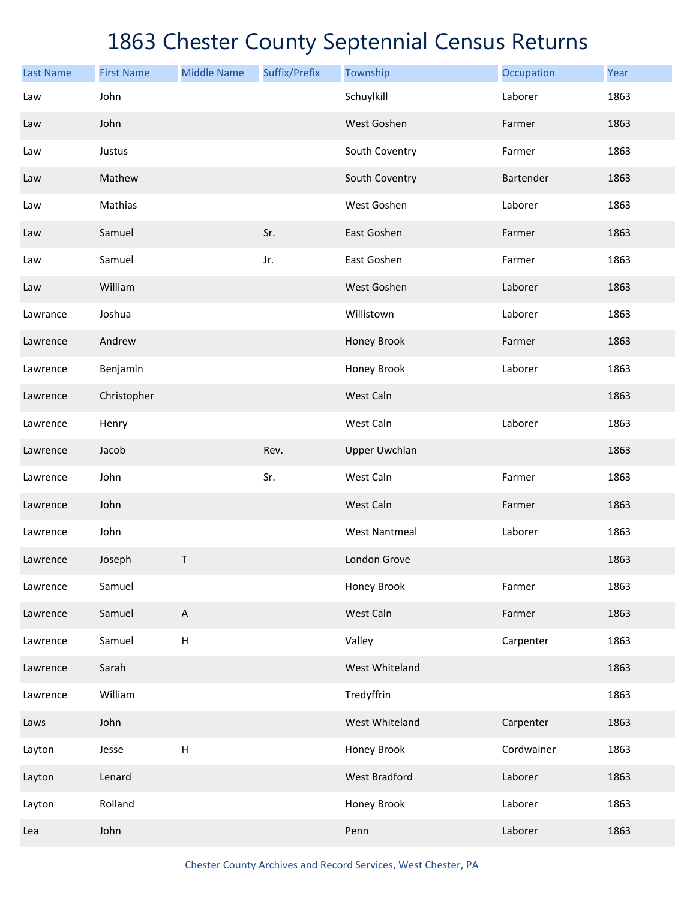| <b>Last Name</b> | <b>First Name</b> | <b>Middle Name</b>        | Suffix/Prefix | Township             | Occupation | Year |
|------------------|-------------------|---------------------------|---------------|----------------------|------------|------|
| Law              | John              |                           |               | Schuylkill           | Laborer    | 1863 |
| Law              | John              |                           |               | West Goshen          | Farmer     | 1863 |
| Law              | Justus            |                           |               | South Coventry       | Farmer     | 1863 |
| Law              | Mathew            |                           |               | South Coventry       | Bartender  | 1863 |
| Law              | Mathias           |                           |               | West Goshen          | Laborer    | 1863 |
| Law              | Samuel            |                           | Sr.           | East Goshen          | Farmer     | 1863 |
| Law              | Samuel            |                           | Jr.           | East Goshen          | Farmer     | 1863 |
| Law              | William           |                           |               | West Goshen          | Laborer    | 1863 |
| Lawrance         | Joshua            |                           |               | Willistown           | Laborer    | 1863 |
| Lawrence         | Andrew            |                           |               | Honey Brook          | Farmer     | 1863 |
| Lawrence         | Benjamin          |                           |               | Honey Brook          | Laborer    | 1863 |
| Lawrence         | Christopher       |                           |               | West Caln            |            | 1863 |
| Lawrence         | Henry             |                           |               | West Caln            | Laborer    | 1863 |
| Lawrence         | Jacob             |                           | Rev.          | <b>Upper Uwchlan</b> |            | 1863 |
| Lawrence         | John              |                           | Sr.           | West Caln            | Farmer     | 1863 |
| Lawrence         | John              |                           |               | West Caln            | Farmer     | 1863 |
| Lawrence         | John              |                           |               | <b>West Nantmeal</b> | Laborer    | 1863 |
| Lawrence         | Joseph            | Τ                         |               | London Grove         |            | 1863 |
| Lawrence         | Samuel            |                           |               | Honey Brook          | Farmer     | 1863 |
| Lawrence         | Samuel            | A                         |               | West Caln            | Farmer     | 1863 |
| Lawrence         | Samuel            | $\sf H$                   |               | Valley               | Carpenter  | 1863 |
| Lawrence         | Sarah             |                           |               | West Whiteland       |            | 1863 |
| Lawrence         | William           |                           |               | Tredyffrin           |            | 1863 |
| Laws             | John              |                           |               | West Whiteland       | Carpenter  | 1863 |
| Layton           | Jesse             | $\boldsymbol{\mathsf{H}}$ |               | Honey Brook          | Cordwainer | 1863 |
| Layton           | Lenard            |                           |               | <b>West Bradford</b> | Laborer    | 1863 |
| Layton           | Rolland           |                           |               | Honey Brook          | Laborer    | 1863 |
| Lea              | John              |                           |               | Penn                 | Laborer    | 1863 |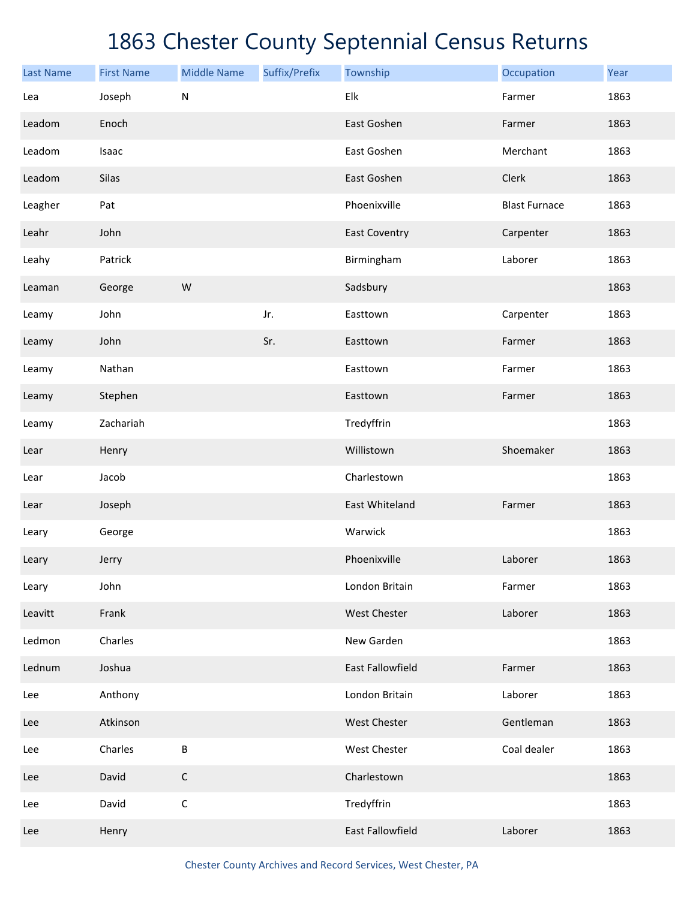| <b>Last Name</b> | <b>First Name</b> | <b>Middle Name</b> | Suffix/Prefix | Township             | Occupation           | Year |
|------------------|-------------------|--------------------|---------------|----------------------|----------------------|------|
| Lea              | Joseph            | ${\sf N}$          |               | Elk                  | Farmer               | 1863 |
| Leadom           | Enoch             |                    |               | East Goshen          | Farmer               | 1863 |
| Leadom           | Isaac             |                    |               | East Goshen          | Merchant             | 1863 |
| Leadom           | Silas             |                    |               | East Goshen          | Clerk                | 1863 |
| Leagher          | Pat               |                    |               | Phoenixville         | <b>Blast Furnace</b> | 1863 |
| Leahr            | John              |                    |               | <b>East Coventry</b> | Carpenter            | 1863 |
| Leahy            | Patrick           |                    |               | Birmingham           | Laborer              | 1863 |
| Leaman           | George            | W                  |               | Sadsbury             |                      | 1863 |
| Leamy            | John              |                    | Jr.           | Easttown             | Carpenter            | 1863 |
| Leamy            | John              |                    | Sr.           | Easttown             | Farmer               | 1863 |
| Leamy            | Nathan            |                    |               | Easttown             | Farmer               | 1863 |
| Leamy            | Stephen           |                    |               | Easttown             | Farmer               | 1863 |
| Leamy            | Zachariah         |                    |               | Tredyffrin           |                      | 1863 |
| Lear             | Henry             |                    |               | Willistown           | Shoemaker            | 1863 |
| Lear             | Jacob             |                    |               | Charlestown          |                      | 1863 |
| Lear             | Joseph            |                    |               | East Whiteland       | Farmer               | 1863 |
| Leary            | George            |                    |               | Warwick              |                      | 1863 |
| Leary            | Jerry             |                    |               | Phoenixville         | Laborer              | 1863 |
| Leary            | John              |                    |               | London Britain       | Farmer               | 1863 |
| Leavitt          | Frank             |                    |               | West Chester         | Laborer              | 1863 |
| Ledmon           | Charles           |                    |               | New Garden           |                      | 1863 |
| Lednum           | Joshua            |                    |               | East Fallowfield     | Farmer               | 1863 |
| Lee              | Anthony           |                    |               | London Britain       | Laborer              | 1863 |
| Lee              | Atkinson          |                    |               | West Chester         | Gentleman            | 1863 |
| Lee              | Charles           | B                  |               | West Chester         | Coal dealer          | 1863 |
| Lee              | David             | $\mathsf C$        |               | Charlestown          |                      | 1863 |
| Lee              | David             | $\mathsf C$        |               | Tredyffrin           |                      | 1863 |
| Lee              | Henry             |                    |               | East Fallowfield     | Laborer              | 1863 |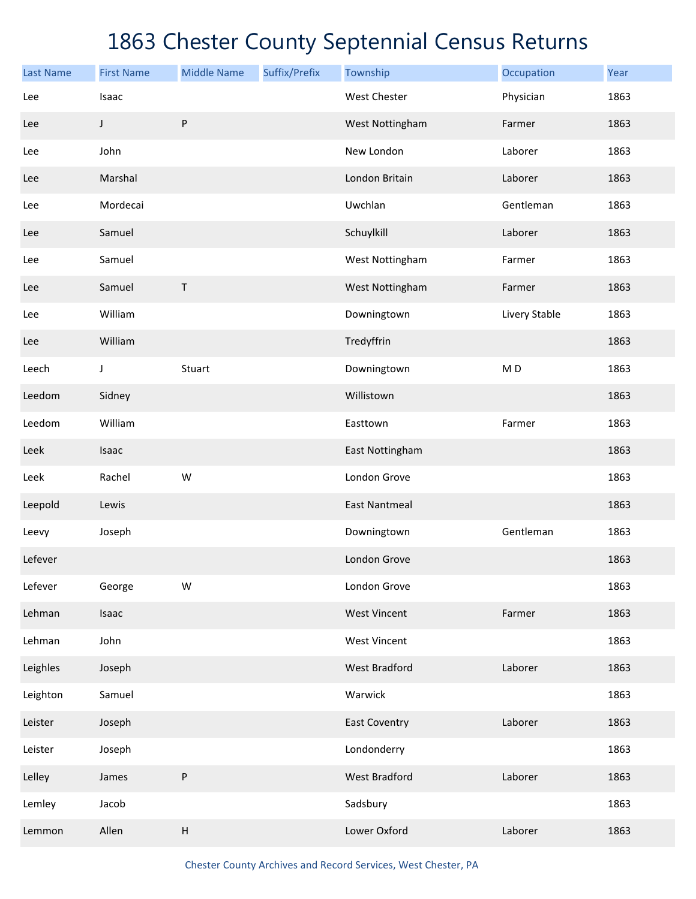| <b>Last Name</b> | <b>First Name</b> | <b>Middle Name</b> | Suffix/Prefix | Township             | Occupation     | Year |
|------------------|-------------------|--------------------|---------------|----------------------|----------------|------|
| Lee              | Isaac             |                    |               | <b>West Chester</b>  | Physician      | 1863 |
| Lee              | J                 | P                  |               | West Nottingham      | Farmer         | 1863 |
| Lee              | John              |                    |               | New London           | Laborer        | 1863 |
| Lee              | Marshal           |                    |               | London Britain       | Laborer        | 1863 |
| Lee              | Mordecai          |                    |               | Uwchlan              | Gentleman      | 1863 |
| Lee              | Samuel            |                    |               | Schuylkill           | Laborer        | 1863 |
| Lee              | Samuel            |                    |               | West Nottingham      | Farmer         | 1863 |
| Lee              | Samuel            | $\sf T$            |               | West Nottingham      | Farmer         | 1863 |
| Lee              | William           |                    |               | Downingtown          | Livery Stable  | 1863 |
| Lee              | William           |                    |               | Tredyffrin           |                | 1863 |
| Leech            | J                 | Stuart             |               | Downingtown          | M <sub>D</sub> | 1863 |
| Leedom           | Sidney            |                    |               | Willistown           |                | 1863 |
| Leedom           | William           |                    |               | Easttown             | Farmer         | 1863 |
| Leek             | Isaac             |                    |               | East Nottingham      |                | 1863 |
| Leek             | Rachel            | W                  |               | London Grove         |                | 1863 |
| Leepold          | Lewis             |                    |               | <b>East Nantmeal</b> |                | 1863 |
| Leevy            | Joseph            |                    |               | Downingtown          | Gentleman      | 1863 |
| Lefever          |                   |                    |               | London Grove         |                | 1863 |
| Lefever          | George            | W                  |               | London Grove         |                | 1863 |
| Lehman           | Isaac             |                    |               | <b>West Vincent</b>  | Farmer         | 1863 |
| Lehman           | John              |                    |               | <b>West Vincent</b>  |                | 1863 |
| Leighles         | Joseph            |                    |               | <b>West Bradford</b> | Laborer        | 1863 |
| Leighton         | Samuel            |                    |               | Warwick              |                | 1863 |
| Leister          | Joseph            |                    |               | <b>East Coventry</b> | Laborer        | 1863 |
| Leister          | Joseph            |                    |               | Londonderry          |                | 1863 |
| Lelley           | James             | P                  |               | <b>West Bradford</b> | Laborer        | 1863 |
| Lemley           | Jacob             |                    |               | Sadsbury             |                | 1863 |
| Lemmon           | Allen             | Н                  |               | Lower Oxford         | Laborer        | 1863 |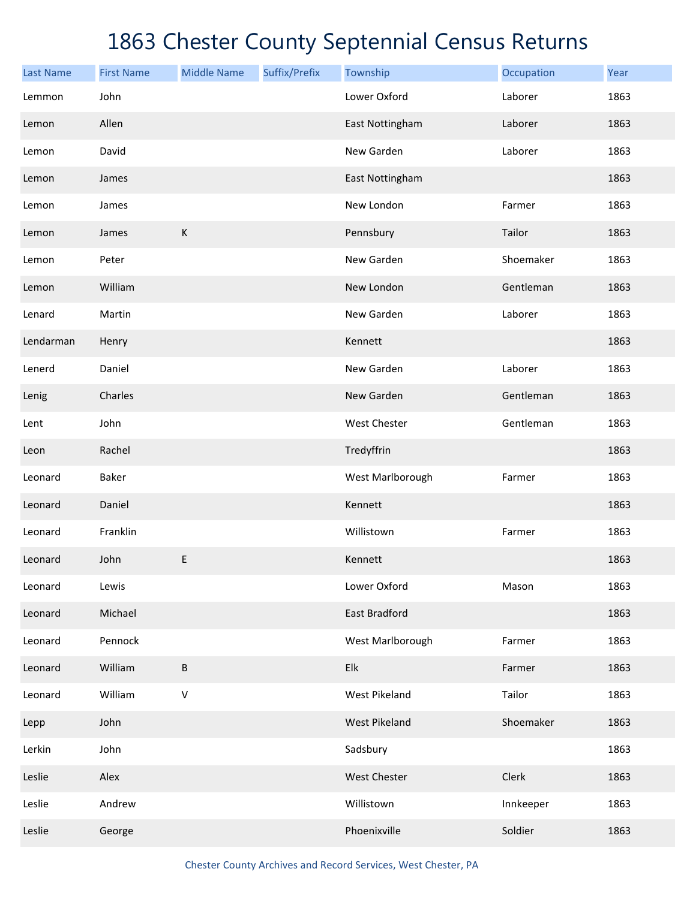| <b>Last Name</b> | <b>First Name</b> | <b>Middle Name</b> | Suffix/Prefix | Township             | Occupation | Year |
|------------------|-------------------|--------------------|---------------|----------------------|------------|------|
| Lemmon           | John              |                    |               | Lower Oxford         | Laborer    | 1863 |
| Lemon            | Allen             |                    |               | East Nottingham      | Laborer    | 1863 |
| Lemon            | David             |                    |               | New Garden           | Laborer    | 1863 |
| Lemon            | James             |                    |               | East Nottingham      |            | 1863 |
| Lemon            | James             |                    |               | New London           | Farmer     | 1863 |
| Lemon            | James             | $\mathsf K$        |               | Pennsbury            | Tailor     | 1863 |
| Lemon            | Peter             |                    |               | New Garden           | Shoemaker  | 1863 |
| Lemon            | William           |                    |               | New London           | Gentleman  | 1863 |
| Lenard           | Martin            |                    |               | New Garden           | Laborer    | 1863 |
| Lendarman        | Henry             |                    |               | Kennett              |            | 1863 |
| Lenerd           | Daniel            |                    |               | New Garden           | Laborer    | 1863 |
| Lenig            | Charles           |                    |               | New Garden           | Gentleman  | 1863 |
| Lent             | John              |                    |               | West Chester         | Gentleman  | 1863 |
| Leon             | Rachel            |                    |               | Tredyffrin           |            | 1863 |
| Leonard          | Baker             |                    |               | West Marlborough     | Farmer     | 1863 |
| Leonard          | Daniel            |                    |               | Kennett              |            | 1863 |
| Leonard          | Franklin          |                    |               | Willistown           | Farmer     | 1863 |
| Leonard          | John              | E                  |               | Kennett              |            | 1863 |
| Leonard          | Lewis             |                    |               | Lower Oxford         | Mason      | 1863 |
| Leonard          | Michael           |                    |               | East Bradford        |            | 1863 |
| Leonard          | Pennock           |                    |               | West Marlborough     | Farmer     | 1863 |
| Leonard          | William           | B                  |               | Elk                  | Farmer     | 1863 |
| Leonard          | William           | $\mathsf V$        |               | West Pikeland        | Tailor     | 1863 |
| Lepp             | John              |                    |               | <b>West Pikeland</b> | Shoemaker  | 1863 |
| Lerkin           | John              |                    |               | Sadsbury             |            | 1863 |
| Leslie           | Alex              |                    |               | West Chester         | Clerk      | 1863 |
| Leslie           | Andrew            |                    |               | Willistown           | Innkeeper  | 1863 |
| Leslie           | George            |                    |               | Phoenixville         | Soldier    | 1863 |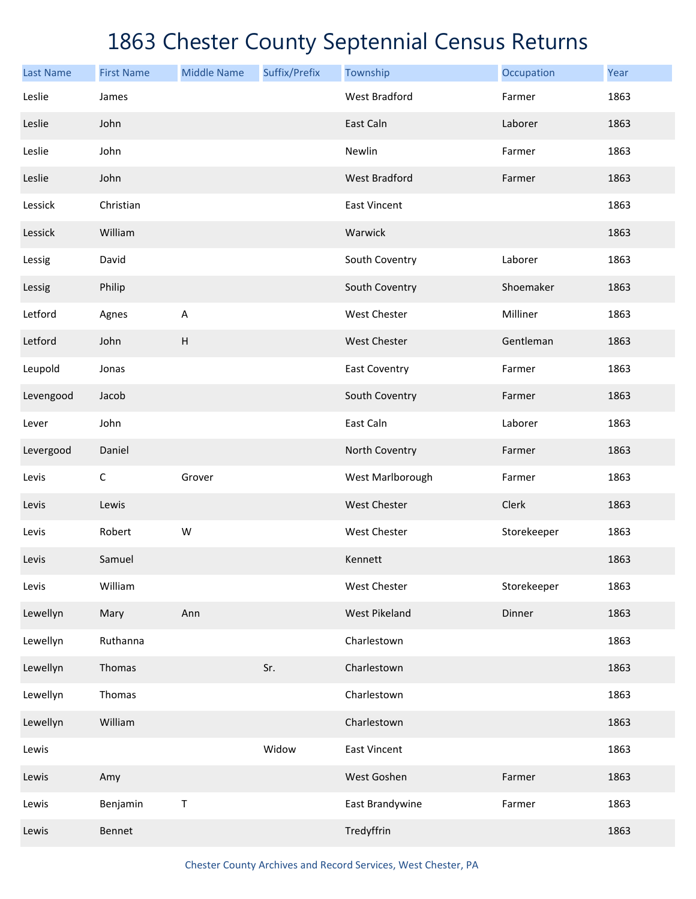| <b>Last Name</b> | <b>First Name</b> | <b>Middle Name</b> | Suffix/Prefix | Township             | Occupation  | Year |
|------------------|-------------------|--------------------|---------------|----------------------|-------------|------|
| Leslie           | James             |                    |               | <b>West Bradford</b> | Farmer      | 1863 |
| Leslie           | John              |                    |               | East Caln            | Laborer     | 1863 |
| Leslie           | John              |                    |               | Newlin               | Farmer      | 1863 |
| Leslie           | John              |                    |               | <b>West Bradford</b> | Farmer      | 1863 |
| Lessick          | Christian         |                    |               | <b>East Vincent</b>  |             | 1863 |
| Lessick          | William           |                    |               | Warwick              |             | 1863 |
| Lessig           | David             |                    |               | South Coventry       | Laborer     | 1863 |
| Lessig           | Philip            |                    |               | South Coventry       | Shoemaker   | 1863 |
| Letford          | Agnes             | A                  |               | West Chester         | Milliner    | 1863 |
| Letford          | John              | H                  |               | <b>West Chester</b>  | Gentleman   | 1863 |
| Leupold          | Jonas             |                    |               | <b>East Coventry</b> | Farmer      | 1863 |
| Levengood        | Jacob             |                    |               | South Coventry       | Farmer      | 1863 |
| Lever            | John              |                    |               | East Caln            | Laborer     | 1863 |
| Levergood        | Daniel            |                    |               | North Coventry       | Farmer      | 1863 |
| Levis            | $\mathsf C$       | Grover             |               | West Marlborough     | Farmer      | 1863 |
| Levis            | Lewis             |                    |               | West Chester         | Clerk       | 1863 |
| Levis            | Robert            | W                  |               | West Chester         | Storekeeper | 1863 |
| Levis            | Samuel            |                    |               | Kennett              |             | 1863 |
| Levis            | William           |                    |               | West Chester         | Storekeeper | 1863 |
| Lewellyn         | Mary              | Ann                |               | <b>West Pikeland</b> | Dinner      | 1863 |
| Lewellyn         | Ruthanna          |                    |               | Charlestown          |             | 1863 |
| Lewellyn         | Thomas            |                    | Sr.           | Charlestown          |             | 1863 |
| Lewellyn         | Thomas            |                    |               | Charlestown          |             | 1863 |
| Lewellyn         | William           |                    |               | Charlestown          |             | 1863 |
| Lewis            |                   |                    | Widow         | <b>East Vincent</b>  |             | 1863 |
| Lewis            | Amy               |                    |               | West Goshen          | Farmer      | 1863 |
| Lewis            | Benjamin          | Τ                  |               | East Brandywine      | Farmer      | 1863 |
| Lewis            | Bennet            |                    |               | Tredyffrin           |             | 1863 |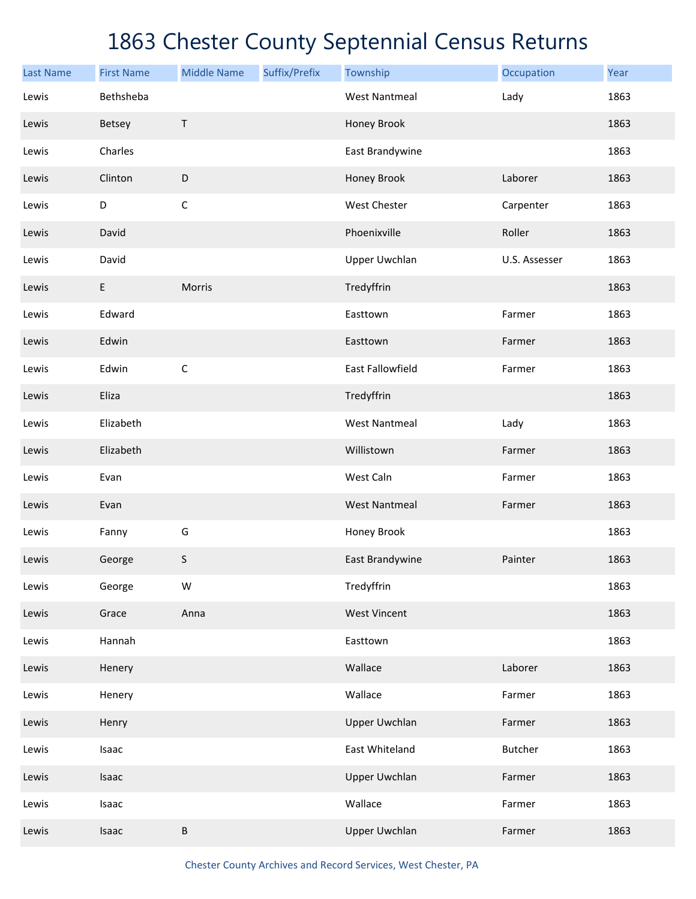| <b>Last Name</b> | <b>First Name</b> | <b>Middle Name</b> | Suffix/Prefix | Township             | Occupation     | Year |
|------------------|-------------------|--------------------|---------------|----------------------|----------------|------|
| Lewis            | Bethsheba         |                    |               | <b>West Nantmeal</b> | Lady           | 1863 |
| Lewis            | <b>Betsey</b>     | T                  |               | Honey Brook          |                | 1863 |
| Lewis            | Charles           |                    |               | East Brandywine      |                | 1863 |
| Lewis            | Clinton           | $\mathsf D$        |               | Honey Brook          | Laborer        | 1863 |
| Lewis            | D                 | $\mathsf C$        |               | West Chester         | Carpenter      | 1863 |
| Lewis            | David             |                    |               | Phoenixville         | Roller         | 1863 |
| Lewis            | David             |                    |               | <b>Upper Uwchlan</b> | U.S. Assesser  | 1863 |
| Lewis            | E                 | Morris             |               | Tredyffrin           |                | 1863 |
| Lewis            | Edward            |                    |               | Easttown             | Farmer         | 1863 |
| Lewis            | Edwin             |                    |               | Easttown             | Farmer         | 1863 |
| Lewis            | Edwin             | $\mathsf C$        |               | East Fallowfield     | Farmer         | 1863 |
| Lewis            | Eliza             |                    |               | Tredyffrin           |                | 1863 |
| Lewis            | Elizabeth         |                    |               | <b>West Nantmeal</b> | Lady           | 1863 |
| Lewis            | Elizabeth         |                    |               | Willistown           | Farmer         | 1863 |
| Lewis            | Evan              |                    |               | West Caln            | Farmer         | 1863 |
| Lewis            | Evan              |                    |               | <b>West Nantmeal</b> | Farmer         | 1863 |
| Lewis            | Fanny             | G                  |               | Honey Brook          |                | 1863 |
| Lewis            | George            | S                  |               | East Brandywine      | Painter        | 1863 |
| Lewis            | George            | W                  |               | Tredyffrin           |                | 1863 |
| Lewis            | Grace             | Anna               |               | <b>West Vincent</b>  |                | 1863 |
| Lewis            | Hannah            |                    |               | Easttown             |                | 1863 |
| Lewis            | Henery            |                    |               | Wallace              | Laborer        | 1863 |
| Lewis            | Henery            |                    |               | Wallace              | Farmer         | 1863 |
| Lewis            | Henry             |                    |               | <b>Upper Uwchlan</b> | Farmer         | 1863 |
| Lewis            | Isaac             |                    |               | East Whiteland       | <b>Butcher</b> | 1863 |
| Lewis            | Isaac             |                    |               | <b>Upper Uwchlan</b> | Farmer         | 1863 |
| Lewis            | Isaac             |                    |               | Wallace              | Farmer         | 1863 |
| Lewis            | Isaac             | B                  |               | <b>Upper Uwchlan</b> | Farmer         | 1863 |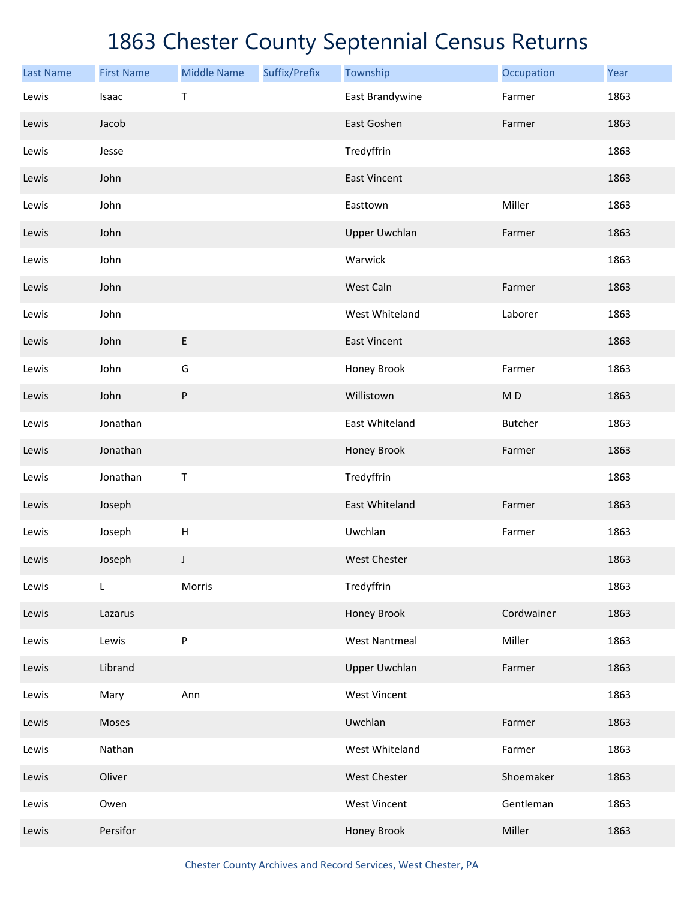| <b>Last Name</b> | <b>First Name</b> | <b>Middle Name</b>        | Suffix/Prefix | Township             | Occupation     | Year |
|------------------|-------------------|---------------------------|---------------|----------------------|----------------|------|
| Lewis            | Isaac             | Т                         |               | East Brandywine      | Farmer         | 1863 |
| Lewis            | Jacob             |                           |               | East Goshen          | Farmer         | 1863 |
| Lewis            | Jesse             |                           |               | Tredyffrin           |                | 1863 |
| Lewis            | John              |                           |               | <b>East Vincent</b>  |                | 1863 |
| Lewis            | John              |                           |               | Easttown             | Miller         | 1863 |
| Lewis            | John              |                           |               | <b>Upper Uwchlan</b> | Farmer         | 1863 |
| Lewis            | John              |                           |               | Warwick              |                | 1863 |
| Lewis            | John              |                           |               | West Caln            | Farmer         | 1863 |
| Lewis            | John              |                           |               | West Whiteland       | Laborer        | 1863 |
| Lewis            | John              | E                         |               | <b>East Vincent</b>  |                | 1863 |
| Lewis            | John              | G                         |               | Honey Brook          | Farmer         | 1863 |
| Lewis            | John              | P                         |               | Willistown           | M <sub>D</sub> | 1863 |
| Lewis            | Jonathan          |                           |               | East Whiteland       | <b>Butcher</b> | 1863 |
| Lewis            | Jonathan          |                           |               | Honey Brook          | Farmer         | 1863 |
| Lewis            | Jonathan          | Τ                         |               | Tredyffrin           |                | 1863 |
| Lewis            | Joseph            |                           |               | East Whiteland       | Farmer         | 1863 |
| Lewis            | Joseph            | $\boldsymbol{\mathsf{H}}$ |               | Uwchlan              | Farmer         | 1863 |
| Lewis            | Joseph            | J                         |               | <b>West Chester</b>  |                | 1863 |
| Lewis            | L                 | Morris                    |               | Tredyffrin           |                | 1863 |
| Lewis            | Lazarus           |                           |               | Honey Brook          | Cordwainer     | 1863 |
| Lewis            | Lewis             | P                         |               | <b>West Nantmeal</b> | Miller         | 1863 |
| Lewis            | Librand           |                           |               | <b>Upper Uwchlan</b> | Farmer         | 1863 |
| Lewis            | Mary              | Ann                       |               | <b>West Vincent</b>  |                | 1863 |
| Lewis            | Moses             |                           |               | Uwchlan              | Farmer         | 1863 |
| Lewis            | Nathan            |                           |               | West Whiteland       | Farmer         | 1863 |
| Lewis            | Oliver            |                           |               | West Chester         | Shoemaker      | 1863 |
| Lewis            | Owen              |                           |               | <b>West Vincent</b>  | Gentleman      | 1863 |
| Lewis            | Persifor          |                           |               | Honey Brook          | Miller         | 1863 |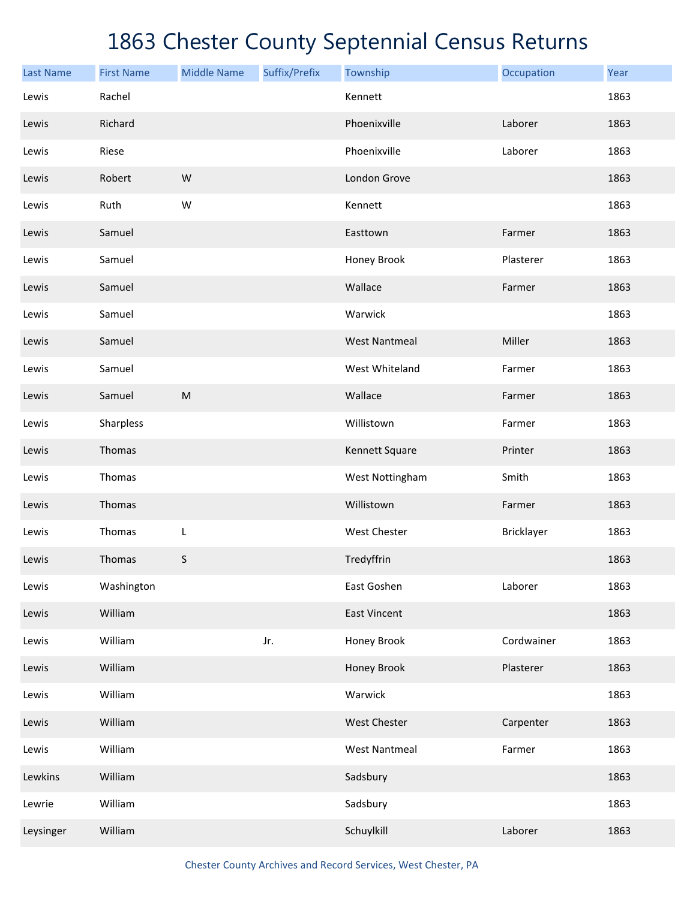| <b>Last Name</b> | <b>First Name</b> | <b>Middle Name</b> | Suffix/Prefix | Township             | Occupation | Year |
|------------------|-------------------|--------------------|---------------|----------------------|------------|------|
| Lewis            | Rachel            |                    |               | Kennett              |            | 1863 |
| Lewis            | Richard           |                    |               | Phoenixville         | Laborer    | 1863 |
| Lewis            | Riese             |                    |               | Phoenixville         | Laborer    | 1863 |
| Lewis            | Robert            | W                  |               | London Grove         |            | 1863 |
| Lewis            | Ruth              | W                  |               | Kennett              |            | 1863 |
| Lewis            | Samuel            |                    |               | Easttown             | Farmer     | 1863 |
| Lewis            | Samuel            |                    |               | Honey Brook          | Plasterer  | 1863 |
| Lewis            | Samuel            |                    |               | Wallace              | Farmer     | 1863 |
| Lewis            | Samuel            |                    |               | Warwick              |            | 1863 |
| Lewis            | Samuel            |                    |               | <b>West Nantmeal</b> | Miller     | 1863 |
| Lewis            | Samuel            |                    |               | West Whiteland       | Farmer     | 1863 |
| Lewis            | Samuel            | ${\sf M}$          |               | Wallace              | Farmer     | 1863 |
| Lewis            | Sharpless         |                    |               | Willistown           | Farmer     | 1863 |
| Lewis            | Thomas            |                    |               | Kennett Square       | Printer    | 1863 |
| Lewis            | Thomas            |                    |               | West Nottingham      | Smith      | 1863 |
| Lewis            | Thomas            |                    |               | Willistown           | Farmer     | 1863 |
| Lewis            | Thomas            | L                  |               | West Chester         | Bricklayer | 1863 |
| Lewis            | Thomas            | S                  |               | Tredyffrin           |            | 1863 |
| Lewis            | Washington        |                    |               | East Goshen          | Laborer    | 1863 |
| Lewis            | William           |                    |               | <b>East Vincent</b>  |            | 1863 |
| Lewis            | William           |                    | Jr.           | Honey Brook          | Cordwainer | 1863 |
| Lewis            | William           |                    |               | Honey Brook          | Plasterer  | 1863 |
| Lewis            | William           |                    |               | Warwick              |            | 1863 |
| Lewis            | William           |                    |               | West Chester         | Carpenter  | 1863 |
| Lewis            | William           |                    |               | <b>West Nantmeal</b> | Farmer     | 1863 |
| Lewkins          | William           |                    |               | Sadsbury             |            | 1863 |
| Lewrie           | William           |                    |               | Sadsbury             |            | 1863 |
| Leysinger        | William           |                    |               | Schuylkill           | Laborer    | 1863 |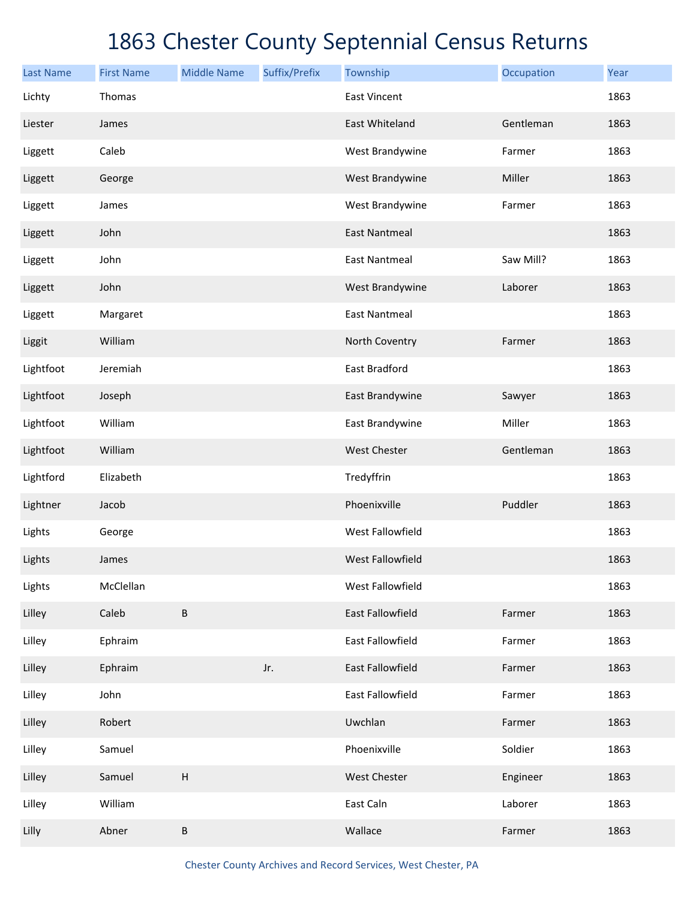| <b>Last Name</b> | <b>First Name</b> | <b>Middle Name</b>        | Suffix/Prefix | Township             | Occupation | Year |
|------------------|-------------------|---------------------------|---------------|----------------------|------------|------|
| Lichty           | Thomas            |                           |               | <b>East Vincent</b>  |            | 1863 |
| Liester          | James             |                           |               | East Whiteland       | Gentleman  | 1863 |
| Liggett          | Caleb             |                           |               | West Brandywine      | Farmer     | 1863 |
| Liggett          | George            |                           |               | West Brandywine      | Miller     | 1863 |
| Liggett          | James             |                           |               | West Brandywine      | Farmer     | 1863 |
| Liggett          | John              |                           |               | <b>East Nantmeal</b> |            | 1863 |
| Liggett          | John              |                           |               | <b>East Nantmeal</b> | Saw Mill?  | 1863 |
| Liggett          | John              |                           |               | West Brandywine      | Laborer    | 1863 |
| Liggett          | Margaret          |                           |               | <b>East Nantmeal</b> |            | 1863 |
| Liggit           | William           |                           |               | North Coventry       | Farmer     | 1863 |
| Lightfoot        | Jeremiah          |                           |               | East Bradford        |            | 1863 |
| Lightfoot        | Joseph            |                           |               | East Brandywine      | Sawyer     | 1863 |
| Lightfoot        | William           |                           |               | East Brandywine      | Miller     | 1863 |
| Lightfoot        | William           |                           |               | <b>West Chester</b>  | Gentleman  | 1863 |
| Lightford        | Elizabeth         |                           |               | Tredyffrin           |            | 1863 |
| Lightner         | Jacob             |                           |               | Phoenixville         | Puddler    | 1863 |
| Lights           | George            |                           |               | West Fallowfield     |            | 1863 |
| Lights           | James             |                           |               | West Fallowfield     |            | 1863 |
| Lights           | McClellan         |                           |               | West Fallowfield     |            | 1863 |
| Lilley           | Caleb             | $\sf B$                   |               | East Fallowfield     | Farmer     | 1863 |
| Lilley           | Ephraim           |                           |               | East Fallowfield     | Farmer     | 1863 |
| Lilley           | Ephraim           |                           | Jr.           | East Fallowfield     | Farmer     | 1863 |
| Lilley           | John              |                           |               | East Fallowfield     | Farmer     | 1863 |
| Lilley           | Robert            |                           |               | Uwchlan              | Farmer     | 1863 |
| Lilley           | Samuel            |                           |               | Phoenixville         | Soldier    | 1863 |
| Lilley           | Samuel            | $\boldsymbol{\mathsf{H}}$ |               | West Chester         | Engineer   | 1863 |
| Lilley           | William           |                           |               | East Caln            | Laborer    | 1863 |
| Lilly            | Abner             | $\sf B$                   |               | Wallace              | Farmer     | 1863 |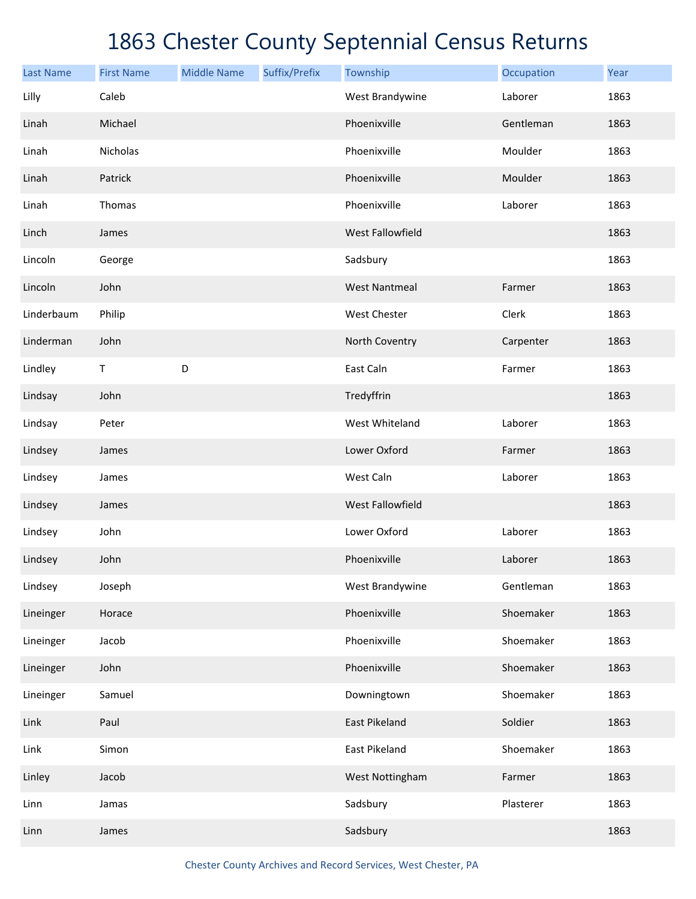| <b>Last Name</b> | <b>First Name</b> | <b>Middle Name</b> | Suffix/Prefix | Township             | Occupation | Year |
|------------------|-------------------|--------------------|---------------|----------------------|------------|------|
| Lilly            | Caleb             |                    |               | West Brandywine      | Laborer    | 1863 |
| Linah            | Michael           |                    |               | Phoenixville         | Gentleman  | 1863 |
| Linah            | Nicholas          |                    |               | Phoenixville         | Moulder    | 1863 |
| Linah            | Patrick           |                    |               | Phoenixville         | Moulder    | 1863 |
| Linah            | Thomas            |                    |               | Phoenixville         | Laborer    | 1863 |
| Linch            | James             |                    |               | West Fallowfield     |            | 1863 |
| Lincoln          | George            |                    |               | Sadsbury             |            | 1863 |
| Lincoln          | John              |                    |               | <b>West Nantmeal</b> | Farmer     | 1863 |
| Linderbaum       | Philip            |                    |               | West Chester         | Clerk      | 1863 |
| Linderman        | John              |                    |               | North Coventry       | Carpenter  | 1863 |
| Lindley          | $\mathsf T$       | D                  |               | East Caln            | Farmer     | 1863 |
| Lindsay          | John              |                    |               | Tredyffrin           |            | 1863 |
| Lindsay          | Peter             |                    |               | West Whiteland       | Laborer    | 1863 |
| Lindsey          | James             |                    |               | Lower Oxford         | Farmer     | 1863 |
| Lindsey          | James             |                    |               | West Caln            | Laborer    | 1863 |
| Lindsey          | James             |                    |               | West Fallowfield     |            | 1863 |
| Lindsey          | John              |                    |               | Lower Oxford         | Laborer    | 1863 |
| Lindsey          | John              |                    |               | Phoenixville         | Laborer    | 1863 |
| Lindsey          | Joseph            |                    |               | West Brandywine      | Gentleman  | 1863 |
| Lineinger        | Horace            |                    |               | Phoenixville         | Shoemaker  | 1863 |
| Lineinger        | Jacob             |                    |               | Phoenixville         | Shoemaker  | 1863 |
| Lineinger        | John              |                    |               | Phoenixville         | Shoemaker  | 1863 |
| Lineinger        | Samuel            |                    |               | Downingtown          | Shoemaker  | 1863 |
| Link             | Paul              |                    |               | East Pikeland        | Soldier    | 1863 |
| Link             | Simon             |                    |               | East Pikeland        | Shoemaker  | 1863 |
| Linley           | Jacob             |                    |               | West Nottingham      | Farmer     | 1863 |
| Linn             | Jamas             |                    |               | Sadsbury             | Plasterer  | 1863 |
| Linn             | James             |                    |               | Sadsbury             |            | 1863 |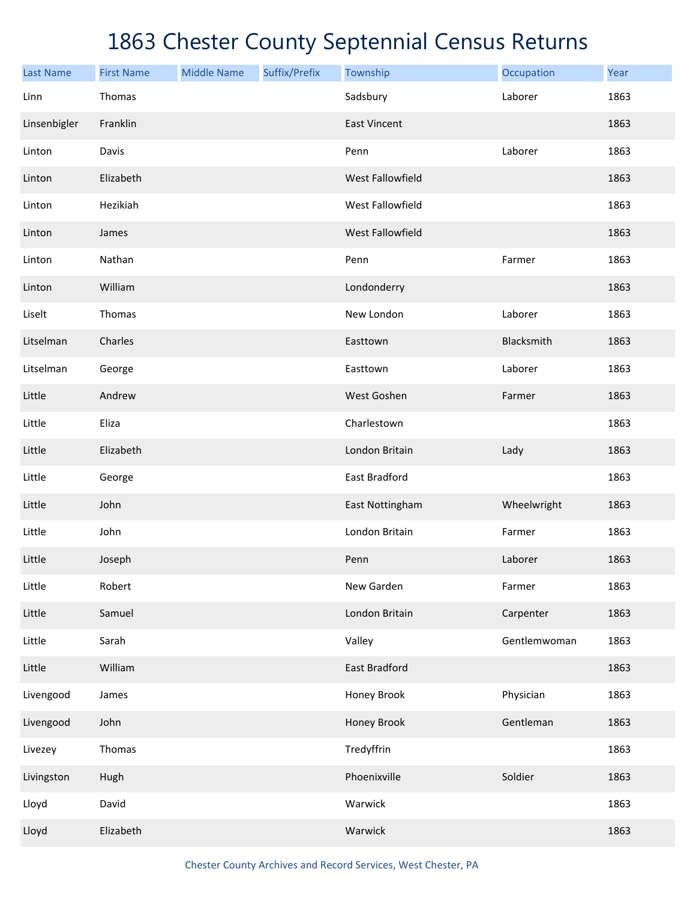| <b>Last Name</b> | <b>First Name</b> | <b>Middle Name</b> | Suffix/Prefix | Township            | Occupation   | Year |
|------------------|-------------------|--------------------|---------------|---------------------|--------------|------|
| Linn             | Thomas            |                    |               | Sadsbury            | Laborer      | 1863 |
| Linsenbigler     | Franklin          |                    |               | <b>East Vincent</b> |              | 1863 |
| Linton           | Davis             |                    |               | Penn                | Laborer      | 1863 |
| Linton           | Elizabeth         |                    |               | West Fallowfield    |              | 1863 |
| Linton           | Hezikiah          |                    |               | West Fallowfield    |              | 1863 |
| Linton           | James             |                    |               | West Fallowfield    |              | 1863 |
| Linton           | Nathan            |                    |               | Penn                | Farmer       | 1863 |
| Linton           | William           |                    |               | Londonderry         |              | 1863 |
| Liselt           | Thomas            |                    |               | New London          | Laborer      | 1863 |
| Litselman        | Charles           |                    |               | Easttown            | Blacksmith   | 1863 |
| Litselman        | George            |                    |               | Easttown            | Laborer      | 1863 |
| Little           | Andrew            |                    |               | West Goshen         | Farmer       | 1863 |
| Little           | Eliza             |                    |               | Charlestown         |              | 1863 |
| Little           | Elizabeth         |                    |               | London Britain      | Lady         | 1863 |
| Little           | George            |                    |               | East Bradford       |              | 1863 |
| Little           | John              |                    |               | East Nottingham     | Wheelwright  | 1863 |
| Little           | John              |                    |               | London Britain      | Farmer       | 1863 |
| Little           | Joseph            |                    |               | Penn                | Laborer      | 1863 |
| Little           | Robert            |                    |               | New Garden          | Farmer       | 1863 |
| Little           | Samuel            |                    |               | London Britain      | Carpenter    | 1863 |
| Little           | Sarah             |                    |               | Valley              | Gentlemwoman | 1863 |
| Little           | William           |                    |               | East Bradford       |              | 1863 |
| Livengood        | James             |                    |               | Honey Brook         | Physician    | 1863 |
| Livengood        | John              |                    |               | Honey Brook         | Gentleman    | 1863 |
| Livezey          | Thomas            |                    |               | Tredyffrin          |              | 1863 |
| Livingston       | Hugh              |                    |               | Phoenixville        | Soldier      | 1863 |
| Lloyd            | David             |                    |               | Warwick             |              | 1863 |
| Lloyd            | Elizabeth         |                    |               | Warwick             |              | 1863 |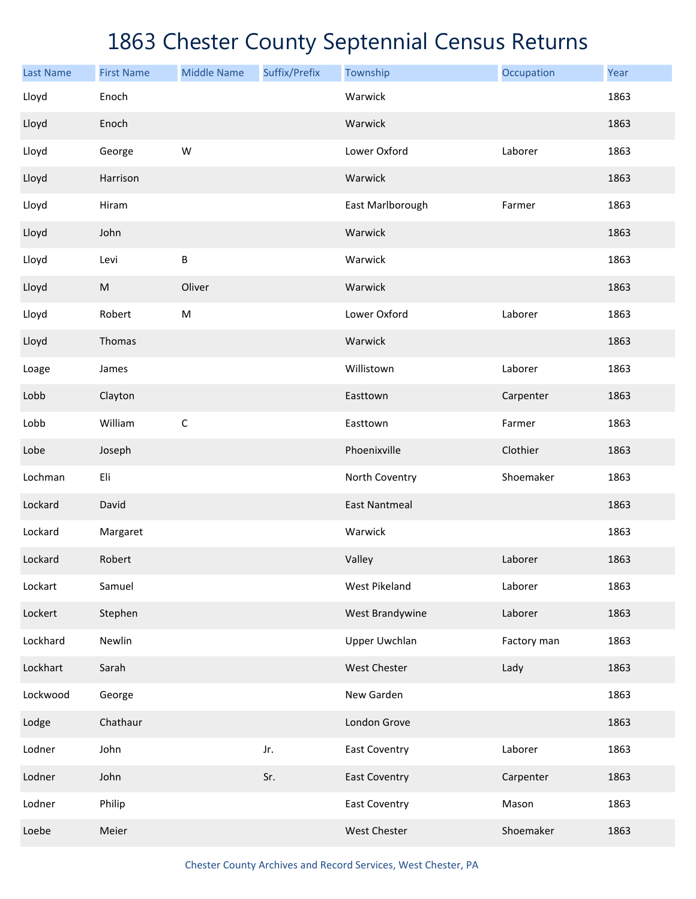| <b>Last Name</b> | <b>First Name</b> | <b>Middle Name</b> | Suffix/Prefix | Township             | Occupation  | Year |
|------------------|-------------------|--------------------|---------------|----------------------|-------------|------|
| Lloyd            | Enoch             |                    |               | Warwick              |             | 1863 |
| Lloyd            | Enoch             |                    |               | Warwick              |             | 1863 |
| Lloyd            | George            | W                  |               | Lower Oxford         | Laborer     | 1863 |
| Lloyd            | Harrison          |                    |               | Warwick              |             | 1863 |
| Lloyd            | Hiram             |                    |               | East Marlborough     | Farmer      | 1863 |
| Lloyd            | John              |                    |               | Warwick              |             | 1863 |
| Lloyd            | Levi              | $\sf B$            |               | Warwick              |             | 1863 |
| Lloyd            | ${\sf M}$         | Oliver             |               | Warwick              |             | 1863 |
| Lloyd            | Robert            | M                  |               | Lower Oxford         | Laborer     | 1863 |
| Lloyd            | Thomas            |                    |               | Warwick              |             | 1863 |
| Loage            | James             |                    |               | Willistown           | Laborer     | 1863 |
| Lobb             | Clayton           |                    |               | Easttown             | Carpenter   | 1863 |
| Lobb             | William           | $\mathsf C$        |               | Easttown             | Farmer      | 1863 |
| Lobe             | Joseph            |                    |               | Phoenixville         | Clothier    | 1863 |
| Lochman          | Eli               |                    |               | North Coventry       | Shoemaker   | 1863 |
| Lockard          | David             |                    |               | <b>East Nantmeal</b> |             | 1863 |
| Lockard          | Margaret          |                    |               | Warwick              |             | 1863 |
| Lockard          | Robert            |                    |               | Valley               | Laborer     | 1863 |
| Lockart          | Samuel            |                    |               | West Pikeland        | Laborer     | 1863 |
| Lockert          | Stephen           |                    |               | West Brandywine      | Laborer     | 1863 |
| Lockhard         | Newlin            |                    |               | Upper Uwchlan        | Factory man | 1863 |
| Lockhart         | Sarah             |                    |               | West Chester         | Lady        | 1863 |
| Lockwood         | George            |                    |               | New Garden           |             | 1863 |
| Lodge            | Chathaur          |                    |               | London Grove         |             | 1863 |
| Lodner           | John              |                    | Jr.           | <b>East Coventry</b> | Laborer     | 1863 |
| Lodner           | John              |                    | Sr.           | <b>East Coventry</b> | Carpenter   | 1863 |
| Lodner           | Philip            |                    |               | <b>East Coventry</b> | Mason       | 1863 |
| Loebe            | Meier             |                    |               | West Chester         | Shoemaker   | 1863 |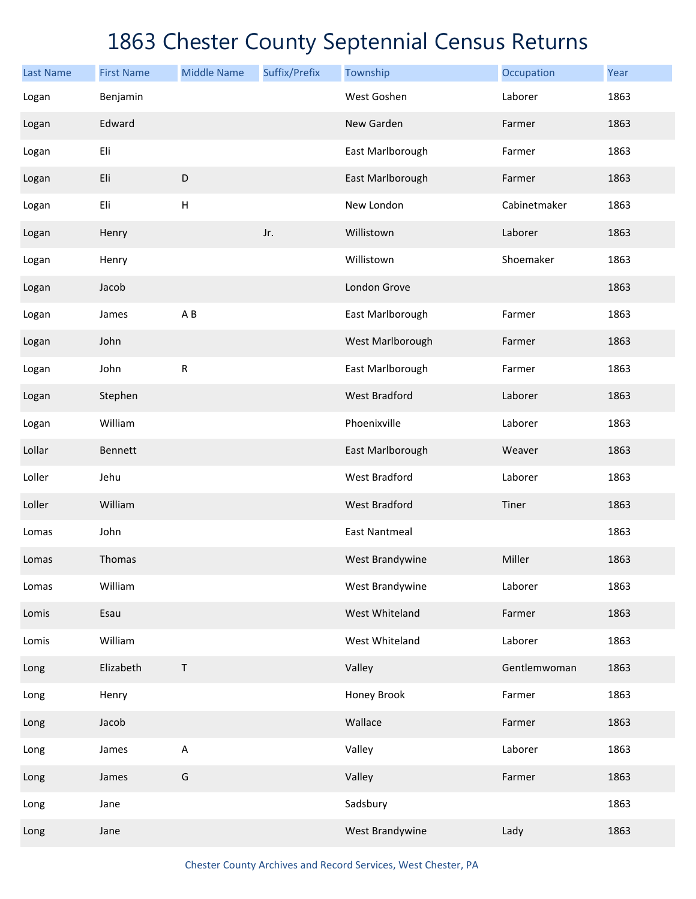| <b>Last Name</b> | <b>First Name</b> | <b>Middle Name</b> | Suffix/Prefix | Township             | Occupation   | Year |
|------------------|-------------------|--------------------|---------------|----------------------|--------------|------|
| Logan            | Benjamin          |                    |               | West Goshen          | Laborer      | 1863 |
| Logan            | Edward            |                    |               | New Garden           | Farmer       | 1863 |
| Logan            | Eli               |                    |               | East Marlborough     | Farmer       | 1863 |
| Logan            | Eli               | $\mathsf D$        |               | East Marlborough     | Farmer       | 1863 |
| Logan            | Eli               | H                  |               | New London           | Cabinetmaker | 1863 |
| Logan            | Henry             |                    | Jr.           | Willistown           | Laborer      | 1863 |
| Logan            | Henry             |                    |               | Willistown           | Shoemaker    | 1863 |
| Logan            | Jacob             |                    |               | London Grove         |              | 1863 |
| Logan            | James             | A B                |               | East Marlborough     | Farmer       | 1863 |
| Logan            | John              |                    |               | West Marlborough     | Farmer       | 1863 |
| Logan            | John              | ${\sf R}$          |               | East Marlborough     | Farmer       | 1863 |
| Logan            | Stephen           |                    |               | <b>West Bradford</b> | Laborer      | 1863 |
| Logan            | William           |                    |               | Phoenixville         | Laborer      | 1863 |
| Lollar           | <b>Bennett</b>    |                    |               | East Marlborough     | Weaver       | 1863 |
| Loller           | Jehu              |                    |               | <b>West Bradford</b> | Laborer      | 1863 |
| Loller           | William           |                    |               | <b>West Bradford</b> | Tiner        | 1863 |
| Lomas            | John              |                    |               | <b>East Nantmeal</b> |              | 1863 |
| Lomas            | Thomas            |                    |               | West Brandywine      | Miller       | 1863 |
| Lomas            | William           |                    |               | West Brandywine      | Laborer      | 1863 |
| Lomis            | Esau              |                    |               | West Whiteland       | Farmer       | 1863 |
| Lomis            | William           |                    |               | West Whiteland       | Laborer      | 1863 |
| Long             | Elizabeth         | Τ                  |               | Valley               | Gentlemwoman | 1863 |
| Long             | Henry             |                    |               | Honey Brook          | Farmer       | 1863 |
| Long             | Jacob             |                    |               | Wallace              | Farmer       | 1863 |
| Long             | James             | $\sf A$            |               | Valley               | Laborer      | 1863 |
| Long             | James             | G                  |               | Valley               | Farmer       | 1863 |
| Long             | Jane              |                    |               | Sadsbury             |              | 1863 |
| Long             | Jane              |                    |               | West Brandywine      | Lady         | 1863 |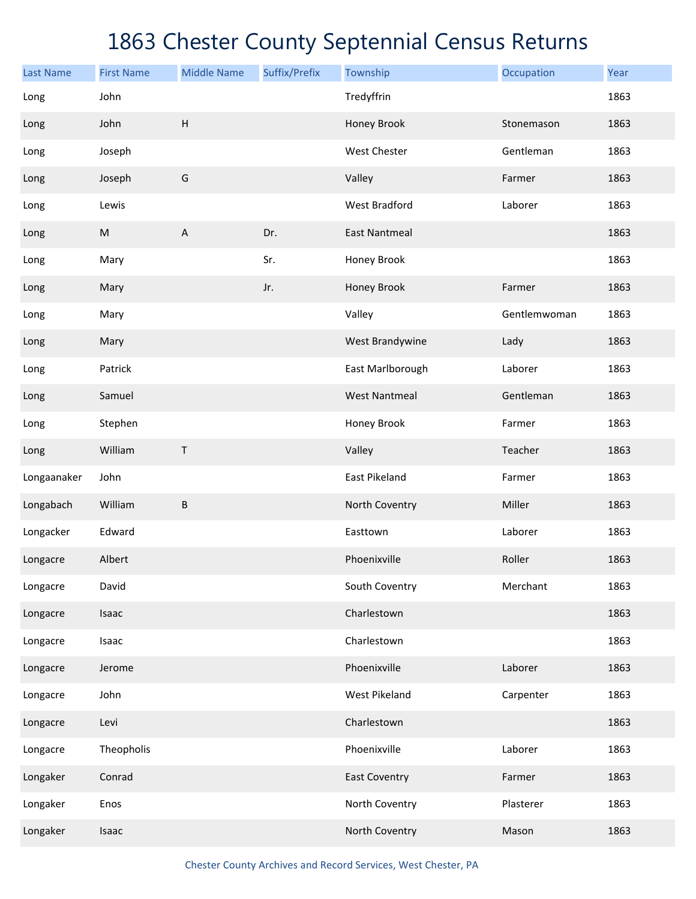| <b>Last Name</b> | <b>First Name</b> | <b>Middle Name</b>        | Suffix/Prefix | Township             | Occupation   | Year |
|------------------|-------------------|---------------------------|---------------|----------------------|--------------|------|
| Long             | John              |                           |               | Tredyffrin           |              | 1863 |
| Long             | John              | $\sf H$                   |               | Honey Brook          | Stonemason   | 1863 |
| Long             | Joseph            |                           |               | West Chester         | Gentleman    | 1863 |
| Long             | Joseph            | G                         |               | Valley               | Farmer       | 1863 |
| Long             | Lewis             |                           |               | <b>West Bradford</b> | Laborer      | 1863 |
| Long             | ${\sf M}$         | $\boldsymbol{\mathsf{A}}$ | Dr.           | <b>East Nantmeal</b> |              | 1863 |
| Long             | Mary              |                           | Sr.           | Honey Brook          |              | 1863 |
| Long             | Mary              |                           | Jr.           | Honey Brook          | Farmer       | 1863 |
| Long             | Mary              |                           |               | Valley               | Gentlemwoman | 1863 |
| Long             | Mary              |                           |               | West Brandywine      | Lady         | 1863 |
| Long             | Patrick           |                           |               | East Marlborough     | Laborer      | 1863 |
| Long             | Samuel            |                           |               | <b>West Nantmeal</b> | Gentleman    | 1863 |
| Long             | Stephen           |                           |               | Honey Brook          | Farmer       | 1863 |
| Long             | William           | Τ                         |               | Valley               | Teacher      | 1863 |
| Longaanaker      | John              |                           |               | East Pikeland        | Farmer       | 1863 |
| Longabach        | William           | B                         |               | North Coventry       | Miller       | 1863 |
| Longacker        | Edward            |                           |               | Easttown             | Laborer      | 1863 |
| Longacre         | Albert            |                           |               | Phoenixville         | Roller       | 1863 |
| Longacre         | David             |                           |               | South Coventry       | Merchant     | 1863 |
| Longacre         | Isaac             |                           |               | Charlestown          |              | 1863 |
| Longacre         | Isaac             |                           |               | Charlestown          |              | 1863 |
| Longacre         | Jerome            |                           |               | Phoenixville         | Laborer      | 1863 |
| Longacre         | John              |                           |               | West Pikeland        | Carpenter    | 1863 |
| Longacre         | Levi              |                           |               | Charlestown          |              | 1863 |
| Longacre         | Theopholis        |                           |               | Phoenixville         | Laborer      | 1863 |
| Longaker         | Conrad            |                           |               | <b>East Coventry</b> | Farmer       | 1863 |
| Longaker         | Enos              |                           |               | North Coventry       | Plasterer    | 1863 |
| Longaker         | Isaac             |                           |               | North Coventry       | Mason        | 1863 |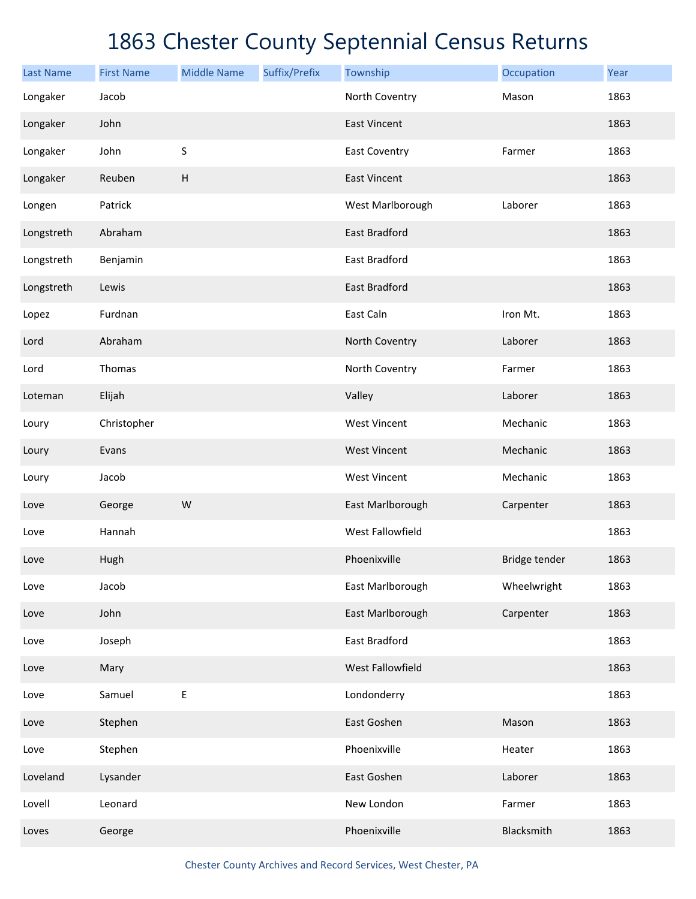| <b>Last Name</b> | <b>First Name</b> | <b>Middle Name</b>        | Suffix/Prefix | Township             | Occupation    | Year |
|------------------|-------------------|---------------------------|---------------|----------------------|---------------|------|
| Longaker         | Jacob             |                           |               | North Coventry       | Mason         | 1863 |
| Longaker         | John              |                           |               | <b>East Vincent</b>  |               | 1863 |
| Longaker         | John              | $\sf S$                   |               | East Coventry        | Farmer        | 1863 |
| Longaker         | Reuben            | $\boldsymbol{\mathsf{H}}$ |               | <b>East Vincent</b>  |               | 1863 |
| Longen           | Patrick           |                           |               | West Marlborough     | Laborer       | 1863 |
| Longstreth       | Abraham           |                           |               | <b>East Bradford</b> |               | 1863 |
| Longstreth       | Benjamin          |                           |               | East Bradford        |               | 1863 |
| Longstreth       | Lewis             |                           |               | <b>East Bradford</b> |               | 1863 |
| Lopez            | Furdnan           |                           |               | East Caln            | Iron Mt.      | 1863 |
| Lord             | Abraham           |                           |               | North Coventry       | Laborer       | 1863 |
| Lord             | Thomas            |                           |               | North Coventry       | Farmer        | 1863 |
| Loteman          | Elijah            |                           |               | Valley               | Laborer       | 1863 |
| Loury            | Christopher       |                           |               | <b>West Vincent</b>  | Mechanic      | 1863 |
| Loury            | Evans             |                           |               | <b>West Vincent</b>  | Mechanic      | 1863 |
| Loury            | Jacob             |                           |               | <b>West Vincent</b>  | Mechanic      | 1863 |
| Love             | George            | W                         |               | East Marlborough     | Carpenter     | 1863 |
| Love             | Hannah            |                           |               | West Fallowfield     |               | 1863 |
| Love             | Hugh              |                           |               | Phoenixville         | Bridge tender | 1863 |
| Love             | Jacob             |                           |               | East Marlborough     | Wheelwright   | 1863 |
| Love             | John              |                           |               | East Marlborough     | Carpenter     | 1863 |
| Love             | Joseph            |                           |               | East Bradford        |               | 1863 |
| Love             | Mary              |                           |               | West Fallowfield     |               | 1863 |
| Love             | Samuel            | $\mathsf E$               |               | Londonderry          |               | 1863 |
| Love             | Stephen           |                           |               | East Goshen          | Mason         | 1863 |
| Love             | Stephen           |                           |               | Phoenixville         | Heater        | 1863 |
| Loveland         | Lysander          |                           |               | East Goshen          | Laborer       | 1863 |
| Lovell           | Leonard           |                           |               | New London           | Farmer        | 1863 |
| Loves            | George            |                           |               | Phoenixville         | Blacksmith    | 1863 |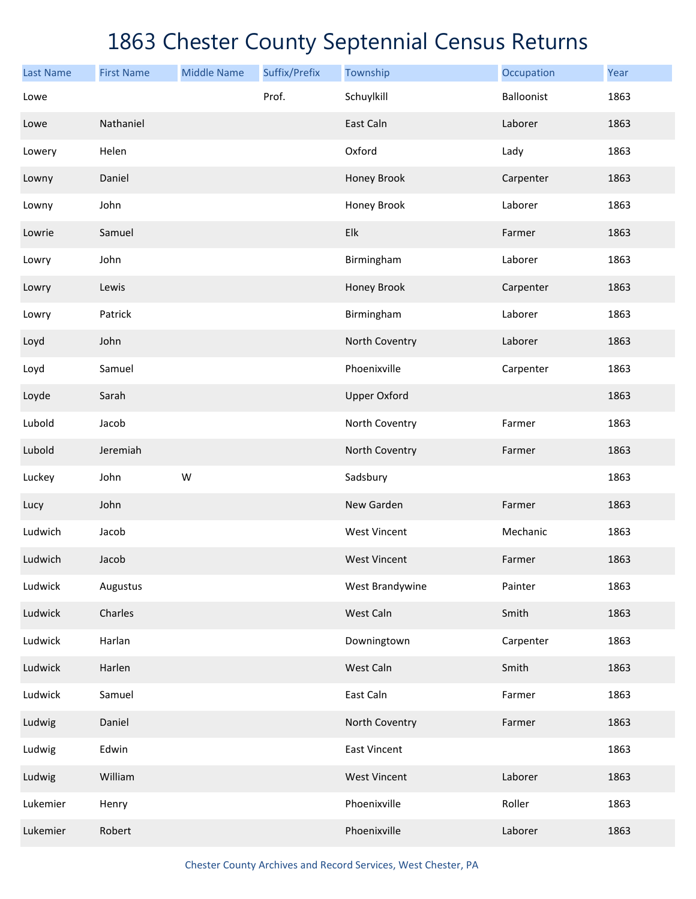| <b>Last Name</b> | <b>First Name</b> | <b>Middle Name</b> | Suffix/Prefix | Township            | Occupation | Year |
|------------------|-------------------|--------------------|---------------|---------------------|------------|------|
| Lowe             |                   |                    | Prof.         | Schuylkill          | Balloonist | 1863 |
| Lowe             | Nathaniel         |                    |               | East Caln           | Laborer    | 1863 |
| Lowery           | Helen             |                    |               | Oxford              | Lady       | 1863 |
| Lowny            | Daniel            |                    |               | Honey Brook         | Carpenter  | 1863 |
| Lowny            | John              |                    |               | Honey Brook         | Laborer    | 1863 |
| Lowrie           | Samuel            |                    |               | Elk                 | Farmer     | 1863 |
| Lowry            | John              |                    |               | Birmingham          | Laborer    | 1863 |
| Lowry            | Lewis             |                    |               | Honey Brook         | Carpenter  | 1863 |
| Lowry            | Patrick           |                    |               | Birmingham          | Laborer    | 1863 |
| Loyd             | John              |                    |               | North Coventry      | Laborer    | 1863 |
| Loyd             | Samuel            |                    |               | Phoenixville        | Carpenter  | 1863 |
| Loyde            | Sarah             |                    |               | <b>Upper Oxford</b> |            | 1863 |
| Lubold           | Jacob             |                    |               | North Coventry      | Farmer     | 1863 |
| Lubold           | Jeremiah          |                    |               | North Coventry      | Farmer     | 1863 |
| Luckey           | John              | W                  |               | Sadsbury            |            | 1863 |
| Lucy             | John              |                    |               | New Garden          | Farmer     | 1863 |
| Ludwich          | Jacob             |                    |               | <b>West Vincent</b> | Mechanic   | 1863 |
| Ludwich          | Jacob             |                    |               | <b>West Vincent</b> | Farmer     | 1863 |
| Ludwick          | Augustus          |                    |               | West Brandywine     | Painter    | 1863 |
| Ludwick          | Charles           |                    |               | West Caln           | Smith      | 1863 |
| Ludwick          | Harlan            |                    |               | Downingtown         | Carpenter  | 1863 |
| Ludwick          | Harlen            |                    |               | West Caln           | Smith      | 1863 |
| Ludwick          | Samuel            |                    |               | East Caln           | Farmer     | 1863 |
| Ludwig           | Daniel            |                    |               | North Coventry      | Farmer     | 1863 |
| Ludwig           | Edwin             |                    |               | <b>East Vincent</b> |            | 1863 |
| Ludwig           | William           |                    |               | <b>West Vincent</b> | Laborer    | 1863 |
| Lukemier         | Henry             |                    |               | Phoenixville        | Roller     | 1863 |
| Lukemier         | Robert            |                    |               | Phoenixville        | Laborer    | 1863 |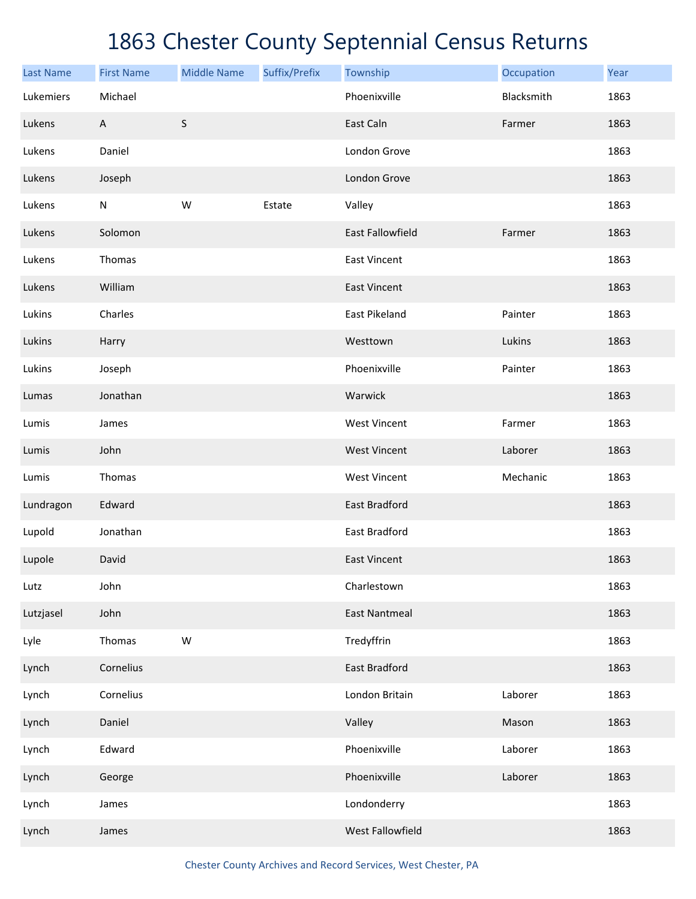| <b>Last Name</b> | <b>First Name</b>         | <b>Middle Name</b> | Suffix/Prefix | Township                | Occupation | Year |
|------------------|---------------------------|--------------------|---------------|-------------------------|------------|------|
| Lukemiers        | Michael                   |                    |               | Phoenixville            | Blacksmith | 1863 |
| Lukens           | $\boldsymbol{\mathsf{A}}$ | $\sf S$            |               | East Caln               | Farmer     | 1863 |
| Lukens           | Daniel                    |                    |               | London Grove            |            | 1863 |
| Lukens           | Joseph                    |                    |               | London Grove            |            | 1863 |
| Lukens           | ${\sf N}$                 | W                  | Estate        | Valley                  |            | 1863 |
| Lukens           | Solomon                   |                    |               | <b>East Fallowfield</b> | Farmer     | 1863 |
| Lukens           | Thomas                    |                    |               | <b>East Vincent</b>     |            | 1863 |
| Lukens           | William                   |                    |               | <b>East Vincent</b>     |            | 1863 |
| Lukins           | Charles                   |                    |               | <b>East Pikeland</b>    | Painter    | 1863 |
| Lukins           | Harry                     |                    |               | Westtown                | Lukins     | 1863 |
| Lukins           | Joseph                    |                    |               | Phoenixville            | Painter    | 1863 |
| Lumas            | Jonathan                  |                    |               | Warwick                 |            | 1863 |
| Lumis            | James                     |                    |               | <b>West Vincent</b>     | Farmer     | 1863 |
| Lumis            | John                      |                    |               | <b>West Vincent</b>     | Laborer    | 1863 |
| Lumis            | Thomas                    |                    |               | <b>West Vincent</b>     | Mechanic   | 1863 |
| Lundragon        | Edward                    |                    |               | East Bradford           |            | 1863 |
| Lupold           | Jonathan                  |                    |               | East Bradford           |            | 1863 |
| Lupole           | David                     |                    |               | <b>East Vincent</b>     |            | 1863 |
| Lutz             | John                      |                    |               | Charlestown             |            | 1863 |
| Lutzjasel        | John                      |                    |               | <b>East Nantmeal</b>    |            | 1863 |
| Lyle             | Thomas                    | ${\sf W}$          |               | Tredyffrin              |            | 1863 |
| Lynch            | Cornelius                 |                    |               | East Bradford           |            | 1863 |
| Lynch            | Cornelius                 |                    |               | London Britain          | Laborer    | 1863 |
| Lynch            | Daniel                    |                    |               | Valley                  | Mason      | 1863 |
| Lynch            | Edward                    |                    |               | Phoenixville            | Laborer    | 1863 |
| Lynch            | George                    |                    |               | Phoenixville            | Laborer    | 1863 |
| Lynch            | James                     |                    |               | Londonderry             |            | 1863 |
| Lynch            | James                     |                    |               | West Fallowfield        |            | 1863 |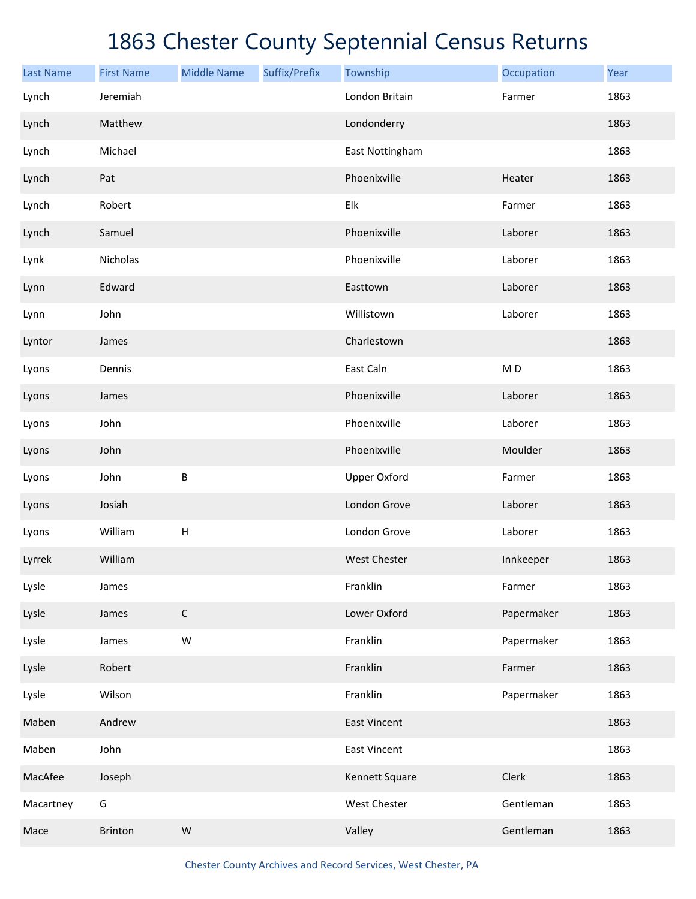| <b>Last Name</b> | <b>First Name</b> | <b>Middle Name</b>        | Suffix/Prefix | Township            | Occupation     | Year |
|------------------|-------------------|---------------------------|---------------|---------------------|----------------|------|
| Lynch            | Jeremiah          |                           |               | London Britain      | Farmer         | 1863 |
| Lynch            | Matthew           |                           |               | Londonderry         |                | 1863 |
| Lynch            | Michael           |                           |               | East Nottingham     |                | 1863 |
| Lynch            | Pat               |                           |               | Phoenixville        | Heater         | 1863 |
| Lynch            | Robert            |                           |               | Elk                 | Farmer         | 1863 |
| Lynch            | Samuel            |                           |               | Phoenixville        | Laborer        | 1863 |
| Lynk             | Nicholas          |                           |               | Phoenixville        | Laborer        | 1863 |
| Lynn             | Edward            |                           |               | Easttown            | Laborer        | 1863 |
| Lynn             | John              |                           |               | Willistown          | Laborer        | 1863 |
| Lyntor           | James             |                           |               | Charlestown         |                | 1863 |
| Lyons            | Dennis            |                           |               | East Caln           | M <sub>D</sub> | 1863 |
| Lyons            | James             |                           |               | Phoenixville        | Laborer        | 1863 |
| Lyons            | John              |                           |               | Phoenixville        | Laborer        | 1863 |
| Lyons            | John              |                           |               | Phoenixville        | Moulder        | 1863 |
| Lyons            | John              | B                         |               | <b>Upper Oxford</b> | Farmer         | 1863 |
| Lyons            | Josiah            |                           |               | London Grove        | Laborer        | 1863 |
| Lyons            | William           | $\boldsymbol{\mathsf{H}}$ |               | London Grove        | Laborer        | 1863 |
| Lyrrek           | William           |                           |               | <b>West Chester</b> | Innkeeper      | 1863 |
| Lysle            | James             |                           |               | Franklin            | Farmer         | 1863 |
| Lysle            | James             | $\mathsf C$               |               | Lower Oxford        | Papermaker     | 1863 |
| Lysle            | James             | W                         |               | Franklin            | Papermaker     | 1863 |
| Lysle            | Robert            |                           |               | Franklin            | Farmer         | 1863 |
| Lysle            | Wilson            |                           |               | Franklin            | Papermaker     | 1863 |
| Maben            | Andrew            |                           |               | <b>East Vincent</b> |                | 1863 |
| Maben            | John              |                           |               | <b>East Vincent</b> |                | 1863 |
| MacAfee          | Joseph            |                           |               | Kennett Square      | Clerk          | 1863 |
| Macartney        | G                 |                           |               | West Chester        | Gentleman      | 1863 |
| Mace             | <b>Brinton</b>    | W                         |               | Valley              | Gentleman      | 1863 |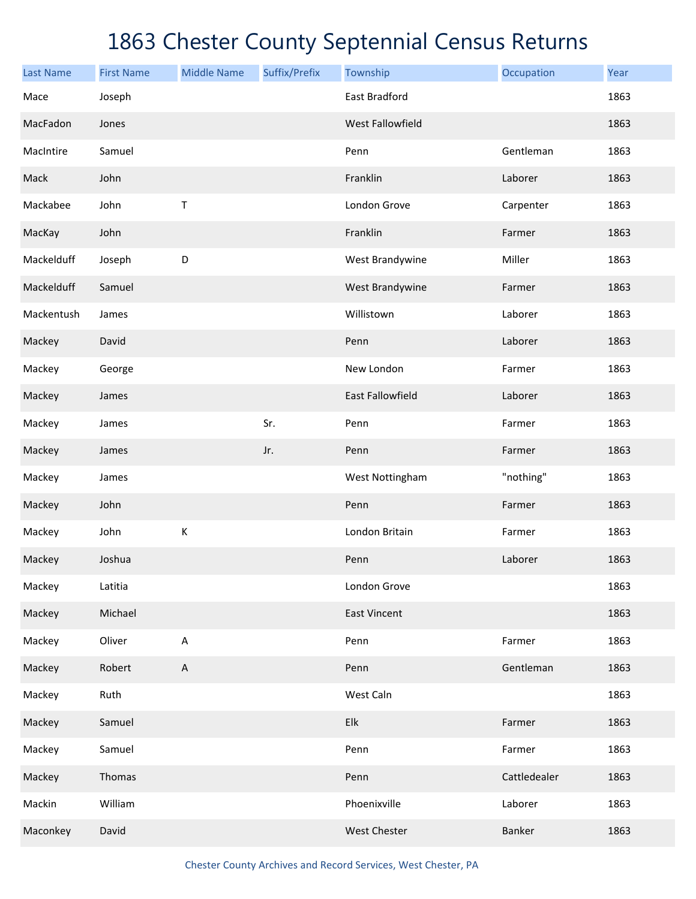| <b>Last Name</b> | <b>First Name</b> | <b>Middle Name</b>        | Suffix/Prefix | Township                | Occupation   | Year |
|------------------|-------------------|---------------------------|---------------|-------------------------|--------------|------|
| Mace             | Joseph            |                           |               | East Bradford           |              | 1863 |
| MacFadon         | Jones             |                           |               | West Fallowfield        |              | 1863 |
| MacIntire        | Samuel            |                           |               | Penn                    | Gentleman    | 1863 |
| Mack             | John              |                           |               | Franklin                | Laborer      | 1863 |
| Mackabee         | John              | Τ                         |               | London Grove            | Carpenter    | 1863 |
| MacKay           | John              |                           |               | Franklin                | Farmer       | 1863 |
| Mackelduff       | Joseph            | D                         |               | West Brandywine         | Miller       | 1863 |
| Mackelduff       | Samuel            |                           |               | West Brandywine         | Farmer       | 1863 |
| Mackentush       | James             |                           |               | Willistown              | Laborer      | 1863 |
| Mackey           | David             |                           |               | Penn                    | Laborer      | 1863 |
| Mackey           | George            |                           |               | New London              | Farmer       | 1863 |
| Mackey           | James             |                           |               | <b>East Fallowfield</b> | Laborer      | 1863 |
| Mackey           | James             |                           | Sr.           | Penn                    | Farmer       | 1863 |
| Mackey           | James             |                           | Jr.           | Penn                    | Farmer       | 1863 |
| Mackey           | James             |                           |               | West Nottingham         | "nothing"    | 1863 |
| Mackey           | John              |                           |               | Penn                    | Farmer       | 1863 |
| Mackey           | John              | $\mathsf K$               |               | London Britain          | Farmer       | 1863 |
| Mackey           | Joshua            |                           |               | Penn                    | Laborer      | 1863 |
| Mackey           | Latitia           |                           |               | London Grove            |              | 1863 |
| Mackey           | Michael           |                           |               | <b>East Vincent</b>     |              | 1863 |
| Mackey           | Oliver            | A                         |               | Penn                    | Farmer       | 1863 |
| Mackey           | Robert            | $\boldsymbol{\mathsf{A}}$ |               | Penn                    | Gentleman    | 1863 |
| Mackey           | Ruth              |                           |               | West Caln               |              | 1863 |
| Mackey           | Samuel            |                           |               | Elk                     | Farmer       | 1863 |
| Mackey           | Samuel            |                           |               | Penn                    | Farmer       | 1863 |
| Mackey           | Thomas            |                           |               | Penn                    | Cattledealer | 1863 |
| Mackin           | William           |                           |               | Phoenixville            | Laborer      | 1863 |
| Maconkey         | David             |                           |               | West Chester            | Banker       | 1863 |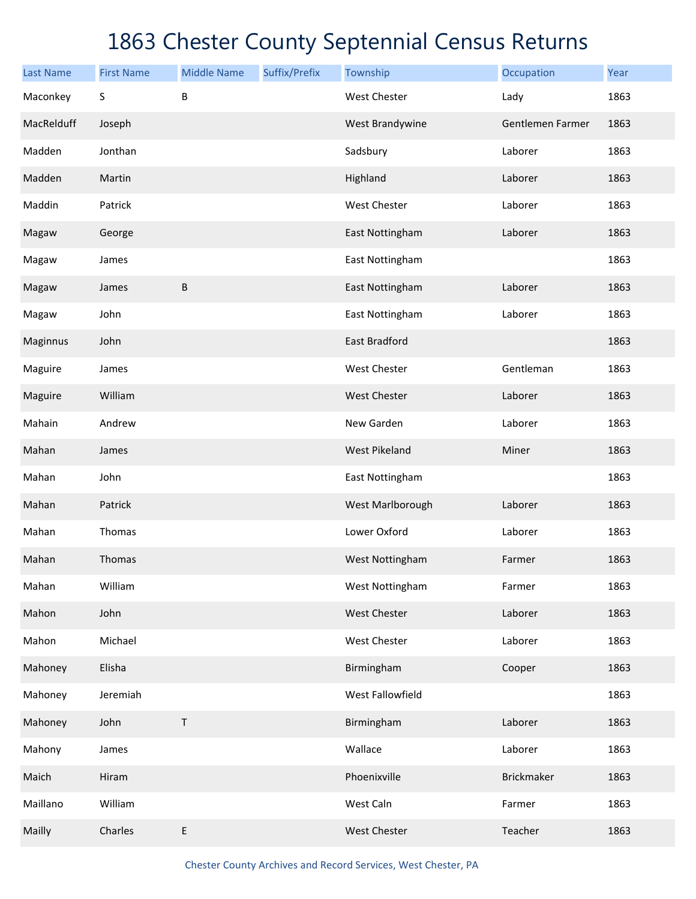| <b>Last Name</b> | <b>First Name</b> | <b>Middle Name</b> | Suffix/Prefix | Township             | Occupation       | Year |
|------------------|-------------------|--------------------|---------------|----------------------|------------------|------|
| Maconkey         | S                 | B                  |               | <b>West Chester</b>  | Lady             | 1863 |
| MacRelduff       | Joseph            |                    |               | West Brandywine      | Gentlemen Farmer | 1863 |
| Madden           | Jonthan           |                    |               | Sadsbury             | Laborer          | 1863 |
| Madden           | Martin            |                    |               | Highland             | Laborer          | 1863 |
| Maddin           | Patrick           |                    |               | West Chester         | Laborer          | 1863 |
| Magaw            | George            |                    |               | East Nottingham      | Laborer          | 1863 |
| Magaw            | James             |                    |               | East Nottingham      |                  | 1863 |
| Magaw            | James             | B                  |               | East Nottingham      | Laborer          | 1863 |
| Magaw            | John              |                    |               | East Nottingham      | Laborer          | 1863 |
| Maginnus         | John              |                    |               | <b>East Bradford</b> |                  | 1863 |
| Maguire          | James             |                    |               | West Chester         | Gentleman        | 1863 |
| Maguire          | William           |                    |               | West Chester         | Laborer          | 1863 |
| Mahain           | Andrew            |                    |               | New Garden           | Laborer          | 1863 |
| Mahan            | James             |                    |               | <b>West Pikeland</b> | Miner            | 1863 |
| Mahan            | John              |                    |               | East Nottingham      |                  | 1863 |
| Mahan            | Patrick           |                    |               | West Marlborough     | Laborer          | 1863 |
| Mahan            | Thomas            |                    |               | Lower Oxford         | Laborer          | 1863 |
| Mahan            | Thomas            |                    |               | West Nottingham      | Farmer           | 1863 |
| Mahan            | William           |                    |               | West Nottingham      | Farmer           | 1863 |
| Mahon            | John              |                    |               | West Chester         | Laborer          | 1863 |
| Mahon            | Michael           |                    |               | West Chester         | Laborer          | 1863 |
| Mahoney          | Elisha            |                    |               | Birmingham           | Cooper           | 1863 |
| Mahoney          | Jeremiah          |                    |               | West Fallowfield     |                  | 1863 |
| Mahoney          | John              | T                  |               | Birmingham           | Laborer          | 1863 |
| Mahony           | James             |                    |               | Wallace              | Laborer          | 1863 |
| Maich            | Hiram             |                    |               | Phoenixville         | Brickmaker       | 1863 |
| Maillano         | William           |                    |               | West Caln            | Farmer           | 1863 |
| Mailly           | Charles           | E                  |               | West Chester         | Teacher          | 1863 |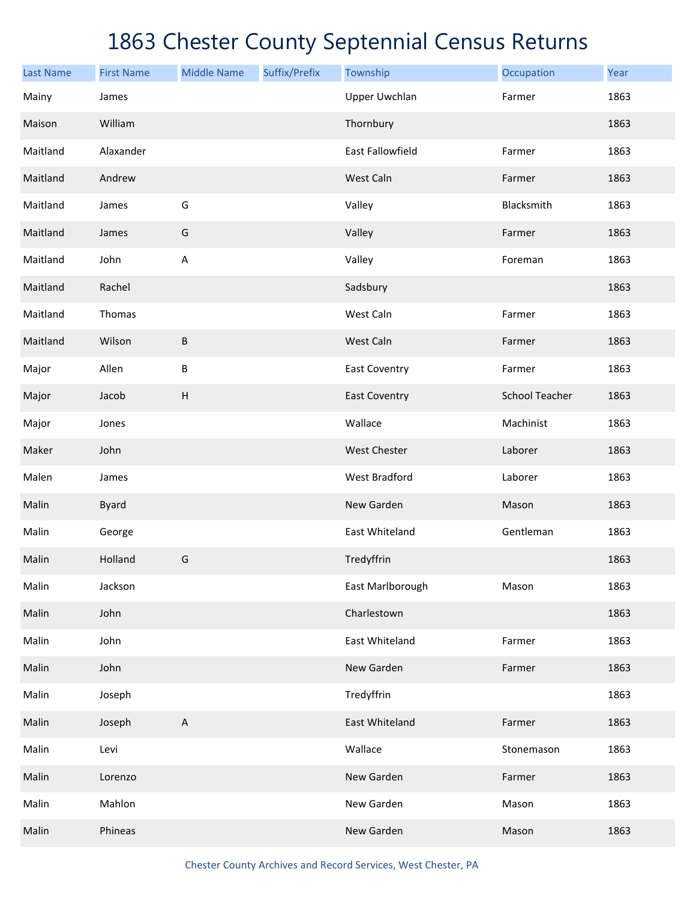| <b>Last Name</b> | <b>First Name</b> | <b>Middle Name</b>        | Suffix/Prefix | Township             | Occupation            | Year |
|------------------|-------------------|---------------------------|---------------|----------------------|-----------------------|------|
| Mainy            | James             |                           |               | <b>Upper Uwchlan</b> | Farmer                | 1863 |
| Maison           | William           |                           |               | Thornbury            |                       | 1863 |
| Maitland         | Alaxander         |                           |               | East Fallowfield     | Farmer                | 1863 |
| Maitland         | Andrew            |                           |               | West Caln            | Farmer                | 1863 |
| Maitland         | James             | G                         |               | Valley               | Blacksmith            | 1863 |
| Maitland         | James             | G                         |               | Valley               | Farmer                | 1863 |
| Maitland         | John              | A                         |               | Valley               | Foreman               | 1863 |
| Maitland         | Rachel            |                           |               | Sadsbury             |                       | 1863 |
| Maitland         | Thomas            |                           |               | West Caln            | Farmer                | 1863 |
| Maitland         | Wilson            | $\sf B$                   |               | West Caln            | Farmer                | 1863 |
| Major            | Allen             | B                         |               | <b>East Coventry</b> | Farmer                | 1863 |
| Major            | Jacob             | $\boldsymbol{\mathsf{H}}$ |               | <b>East Coventry</b> | <b>School Teacher</b> | 1863 |
| Major            | Jones             |                           |               | Wallace              | Machinist             | 1863 |
| Maker            | John              |                           |               | West Chester         | Laborer               | 1863 |
| Malen            | James             |                           |               | <b>West Bradford</b> | Laborer               | 1863 |
| Malin            | <b>Byard</b>      |                           |               | New Garden           | Mason                 | 1863 |
| Malin            | George            |                           |               | East Whiteland       | Gentleman             | 1863 |
| Malin            | Holland           | G                         |               | Tredyffrin           |                       | 1863 |
| Malin            | Jackson           |                           |               | East Marlborough     | Mason                 | 1863 |
| Malin            | John              |                           |               | Charlestown          |                       | 1863 |
| Malin            | John              |                           |               | East Whiteland       | Farmer                | 1863 |
| Malin            | John              |                           |               | New Garden           | Farmer                | 1863 |
| Malin            | Joseph            |                           |               | Tredyffrin           |                       | 1863 |
| Malin            | Joseph            | $\boldsymbol{\mathsf{A}}$ |               | East Whiteland       | Farmer                | 1863 |
| Malin            | Levi              |                           |               | Wallace              | Stonemason            | 1863 |
| Malin            | Lorenzo           |                           |               | New Garden           | Farmer                | 1863 |
| Malin            | Mahlon            |                           |               | New Garden           | Mason                 | 1863 |
| Malin            | Phineas           |                           |               | New Garden           | Mason                 | 1863 |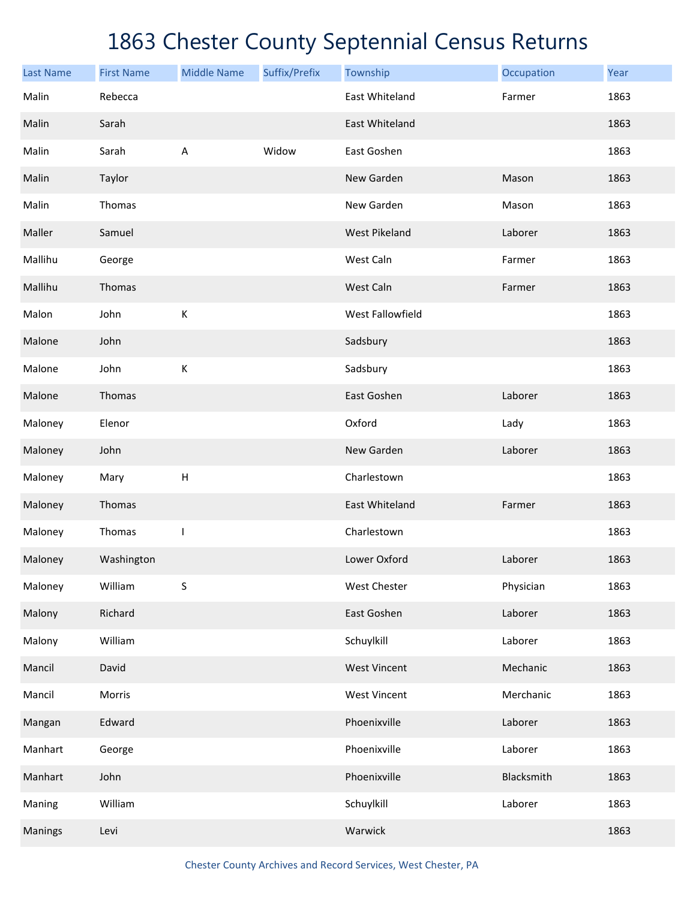| <b>Last Name</b> | <b>First Name</b> | <b>Middle Name</b> | Suffix/Prefix | Township             | Occupation | Year |
|------------------|-------------------|--------------------|---------------|----------------------|------------|------|
| Malin            | Rebecca           |                    |               | East Whiteland       | Farmer     | 1863 |
| Malin            | Sarah             |                    |               | East Whiteland       |            | 1863 |
| Malin            | Sarah             | A                  | Widow         | East Goshen          |            | 1863 |
| Malin            | Taylor            |                    |               | New Garden           | Mason      | 1863 |
| Malin            | Thomas            |                    |               | New Garden           | Mason      | 1863 |
| Maller           | Samuel            |                    |               | <b>West Pikeland</b> | Laborer    | 1863 |
| Mallihu          | George            |                    |               | West Caln            | Farmer     | 1863 |
| Mallihu          | Thomas            |                    |               | West Caln            | Farmer     | 1863 |
| Malon            | John              | К                  |               | West Fallowfield     |            | 1863 |
| Malone           | John              |                    |               | Sadsbury             |            | 1863 |
| Malone           | John              | К                  |               | Sadsbury             |            | 1863 |
| Malone           | Thomas            |                    |               | East Goshen          | Laborer    | 1863 |
| Maloney          | Elenor            |                    |               | Oxford               | Lady       | 1863 |
| Maloney          | John              |                    |               | New Garden           | Laborer    | 1863 |
| Maloney          | Mary              | Н                  |               | Charlestown          |            | 1863 |
| Maloney          | Thomas            |                    |               | East Whiteland       | Farmer     | 1863 |
| Maloney          | Thomas            | T                  |               | Charlestown          |            | 1863 |
| Maloney          | Washington        |                    |               | Lower Oxford         | Laborer    | 1863 |
| Maloney          | William           | S                  |               | West Chester         | Physician  | 1863 |
| Malony           | Richard           |                    |               | East Goshen          | Laborer    | 1863 |
| Malony           | William           |                    |               | Schuylkill           | Laborer    | 1863 |
| Mancil           | David             |                    |               | <b>West Vincent</b>  | Mechanic   | 1863 |
| Mancil           | Morris            |                    |               | <b>West Vincent</b>  | Merchanic  | 1863 |
| Mangan           | Edward            |                    |               | Phoenixville         | Laborer    | 1863 |
| Manhart          | George            |                    |               | Phoenixville         | Laborer    | 1863 |
| Manhart          | John              |                    |               | Phoenixville         | Blacksmith | 1863 |
| Maning           | William           |                    |               | Schuylkill           | Laborer    | 1863 |
| <b>Manings</b>   | Levi              |                    |               | Warwick              |            | 1863 |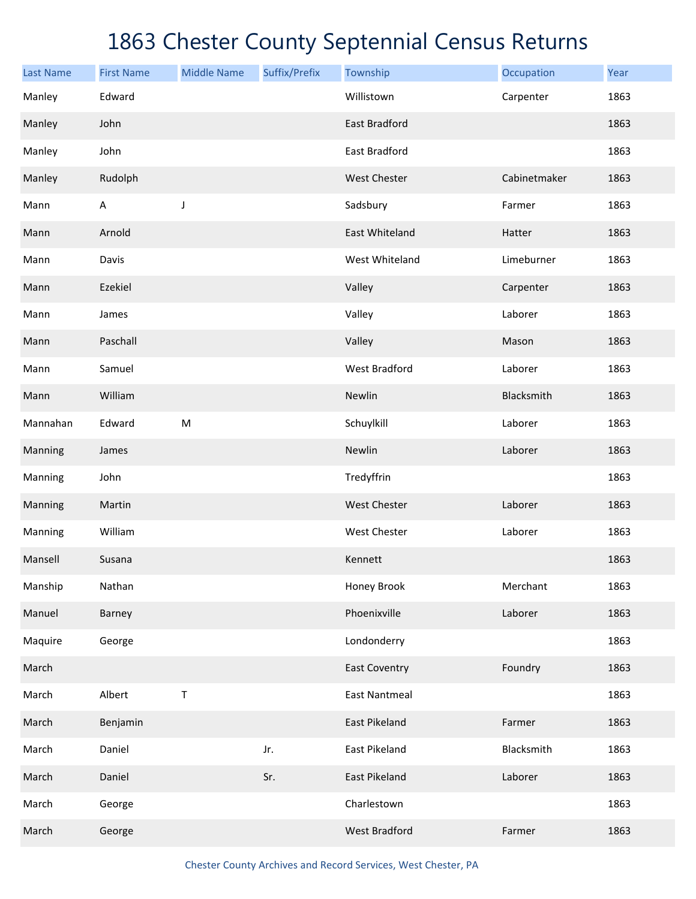| <b>Last Name</b> | <b>First Name</b> | <b>Middle Name</b> | Suffix/Prefix | Township             | Occupation   | Year |
|------------------|-------------------|--------------------|---------------|----------------------|--------------|------|
| Manley           | Edward            |                    |               | Willistown           | Carpenter    | 1863 |
| Manley           | John              |                    |               | East Bradford        |              | 1863 |
| Manley           | John              |                    |               | East Bradford        |              | 1863 |
| Manley           | Rudolph           |                    |               | West Chester         | Cabinetmaker | 1863 |
| Mann             | $\mathsf A$       | J                  |               | Sadsbury             | Farmer       | 1863 |
| Mann             | Arnold            |                    |               | East Whiteland       | Hatter       | 1863 |
| Mann             | Davis             |                    |               | West Whiteland       | Limeburner   | 1863 |
| Mann             | Ezekiel           |                    |               | Valley               | Carpenter    | 1863 |
| Mann             | James             |                    |               | Valley               | Laborer      | 1863 |
| Mann             | Paschall          |                    |               | Valley               | Mason        | 1863 |
| Mann             | Samuel            |                    |               | <b>West Bradford</b> | Laborer      | 1863 |
| Mann             | William           |                    |               | Newlin               | Blacksmith   | 1863 |
| Mannahan         | Edward            | ${\sf M}$          |               | Schuylkill           | Laborer      | 1863 |
| Manning          | James             |                    |               | Newlin               | Laborer      | 1863 |
| Manning          | John              |                    |               | Tredyffrin           |              | 1863 |
| Manning          | Martin            |                    |               | West Chester         | Laborer      | 1863 |
| Manning          | William           |                    |               | West Chester         | Laborer      | 1863 |
| Mansell          | Susana            |                    |               | Kennett              |              | 1863 |
| Manship          | Nathan            |                    |               | Honey Brook          | Merchant     | 1863 |
| Manuel           | Barney            |                    |               | Phoenixville         | Laborer      | 1863 |
| Maquire          | George            |                    |               | Londonderry          |              | 1863 |
| March            |                   |                    |               | <b>East Coventry</b> | Foundry      | 1863 |
| March            | Albert            | Τ                  |               | <b>East Nantmeal</b> |              | 1863 |
| March            | Benjamin          |                    |               | East Pikeland        | Farmer       | 1863 |
| March            | Daniel            |                    | Jr.           | East Pikeland        | Blacksmith   | 1863 |
| March            | Daniel            |                    | Sr.           | East Pikeland        | Laborer      | 1863 |
| March            | George            |                    |               | Charlestown          |              | 1863 |
| March            | George            |                    |               | <b>West Bradford</b> | Farmer       | 1863 |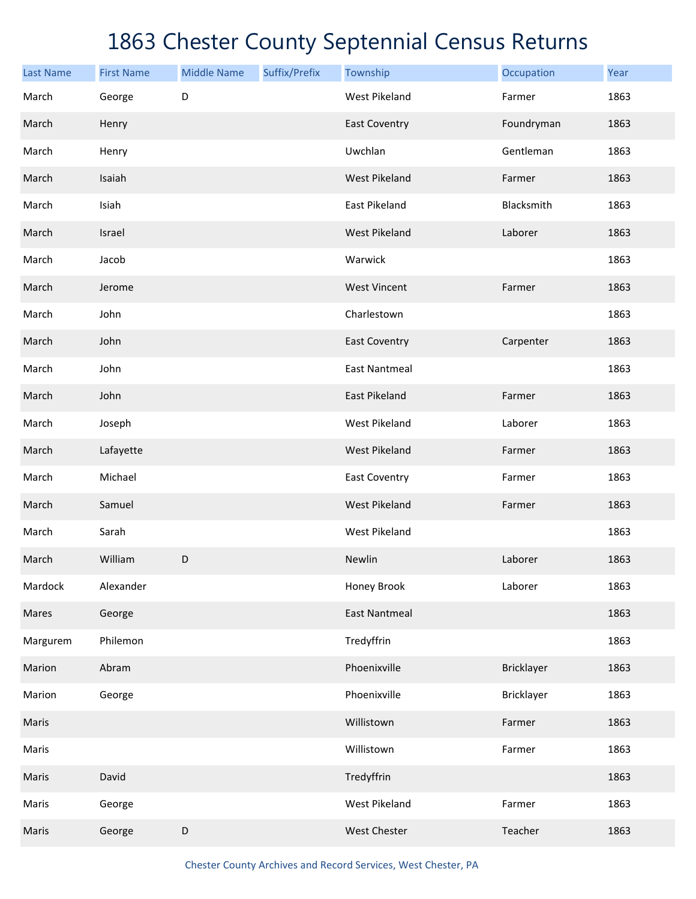| <b>Last Name</b> | <b>First Name</b> | <b>Middle Name</b> | Suffix/Prefix | Township             | Occupation | Year |
|------------------|-------------------|--------------------|---------------|----------------------|------------|------|
| March            | George            | D                  |               | <b>West Pikeland</b> | Farmer     | 1863 |
| March            | Henry             |                    |               | <b>East Coventry</b> | Foundryman | 1863 |
| March            | Henry             |                    |               | Uwchlan              | Gentleman  | 1863 |
| March            | Isaiah            |                    |               | <b>West Pikeland</b> | Farmer     | 1863 |
| March            | Isiah             |                    |               | East Pikeland        | Blacksmith | 1863 |
| March            | Israel            |                    |               | <b>West Pikeland</b> | Laborer    | 1863 |
| March            | Jacob             |                    |               | Warwick              |            | 1863 |
| March            | Jerome            |                    |               | <b>West Vincent</b>  | Farmer     | 1863 |
| March            | John              |                    |               | Charlestown          |            | 1863 |
| March            | John              |                    |               | <b>East Coventry</b> | Carpenter  | 1863 |
| March            | John              |                    |               | <b>East Nantmeal</b> |            | 1863 |
| March            | John              |                    |               | East Pikeland        | Farmer     | 1863 |
| March            | Joseph            |                    |               | <b>West Pikeland</b> | Laborer    | 1863 |
| March            | Lafayette         |                    |               | <b>West Pikeland</b> | Farmer     | 1863 |
| March            | Michael           |                    |               | East Coventry        | Farmer     | 1863 |
| March            | Samuel            |                    |               | <b>West Pikeland</b> | Farmer     | 1863 |
| March            | Sarah             |                    |               | <b>West Pikeland</b> |            | 1863 |
| March            | William           | D                  |               | Newlin               | Laborer    | 1863 |
| Mardock          | Alexander         |                    |               | Honey Brook          | Laborer    | 1863 |
| Mares            | George            |                    |               | <b>East Nantmeal</b> |            | 1863 |
| Margurem         | Philemon          |                    |               | Tredyffrin           |            | 1863 |
| Marion           | Abram             |                    |               | Phoenixville         | Bricklayer | 1863 |
| Marion           | George            |                    |               | Phoenixville         | Bricklayer | 1863 |
| Maris            |                   |                    |               | Willistown           | Farmer     | 1863 |
| Maris            |                   |                    |               | Willistown           | Farmer     | 1863 |
| Maris            | David             |                    |               | Tredyffrin           |            | 1863 |
| Maris            | George            |                    |               | West Pikeland        | Farmer     | 1863 |
| Maris            | George            | D                  |               | West Chester         | Teacher    | 1863 |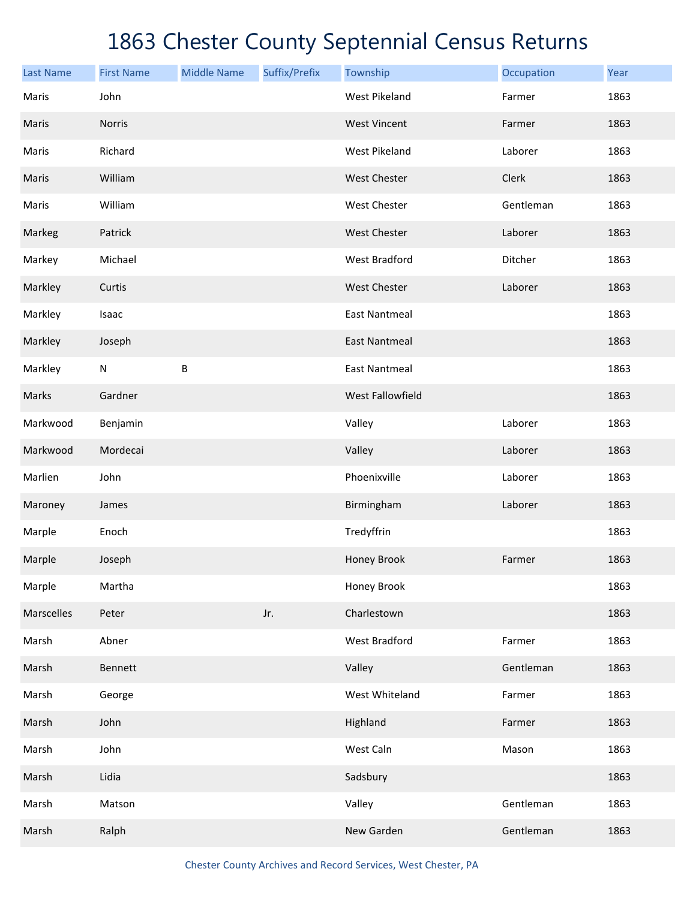| <b>Last Name</b> | <b>First Name</b> | <b>Middle Name</b> | Suffix/Prefix | Township             | Occupation | Year |
|------------------|-------------------|--------------------|---------------|----------------------|------------|------|
| Maris            | John              |                    |               | <b>West Pikeland</b> | Farmer     | 1863 |
| Maris            | Norris            |                    |               | <b>West Vincent</b>  | Farmer     | 1863 |
| Maris            | Richard           |                    |               | <b>West Pikeland</b> | Laborer    | 1863 |
| Maris            | William           |                    |               | West Chester         | Clerk      | 1863 |
| Maris            | William           |                    |               | West Chester         | Gentleman  | 1863 |
| Markeg           | Patrick           |                    |               | West Chester         | Laborer    | 1863 |
| Markey           | Michael           |                    |               | <b>West Bradford</b> | Ditcher    | 1863 |
| Markley          | Curtis            |                    |               | West Chester         | Laborer    | 1863 |
| Markley          | Isaac             |                    |               | <b>East Nantmeal</b> |            | 1863 |
| Markley          | Joseph            |                    |               | <b>East Nantmeal</b> |            | 1863 |
| Markley          | N                 | B                  |               | <b>East Nantmeal</b> |            | 1863 |
| Marks            | Gardner           |                    |               | West Fallowfield     |            | 1863 |
| Markwood         | Benjamin          |                    |               | Valley               | Laborer    | 1863 |
| Markwood         | Mordecai          |                    |               | Valley               | Laborer    | 1863 |
| Marlien          | John              |                    |               | Phoenixville         | Laborer    | 1863 |
| Maroney          | James             |                    |               | Birmingham           | Laborer    | 1863 |
| Marple           | Enoch             |                    |               | Tredyffrin           |            | 1863 |
| Marple           | Joseph            |                    |               | Honey Brook          | Farmer     | 1863 |
| Marple           | Martha            |                    |               | Honey Brook          |            | 1863 |
| Marscelles       | Peter             |                    | Jr.           | Charlestown          |            | 1863 |
| Marsh            | Abner             |                    |               | West Bradford        | Farmer     | 1863 |
| Marsh            | <b>Bennett</b>    |                    |               | Valley               | Gentleman  | 1863 |
| Marsh            | George            |                    |               | West Whiteland       | Farmer     | 1863 |
| Marsh            | John              |                    |               | Highland             | Farmer     | 1863 |
| Marsh            | John              |                    |               | West Caln            | Mason      | 1863 |
| Marsh            | Lidia             |                    |               | Sadsbury             |            | 1863 |
| Marsh            | Matson            |                    |               | Valley               | Gentleman  | 1863 |
| Marsh            | Ralph             |                    |               | New Garden           | Gentleman  | 1863 |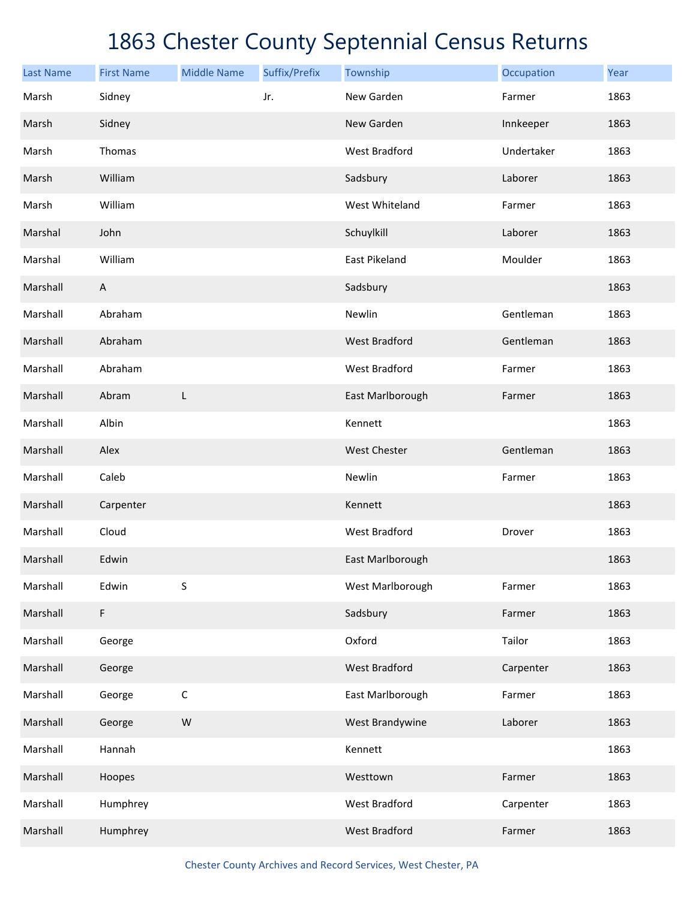| <b>Last Name</b> | <b>First Name</b> | <b>Middle Name</b> | Suffix/Prefix | Township             | Occupation | Year |
|------------------|-------------------|--------------------|---------------|----------------------|------------|------|
| Marsh            | Sidney            |                    | Jr.           | New Garden           | Farmer     | 1863 |
| Marsh            | Sidney            |                    |               | New Garden           | Innkeeper  | 1863 |
| Marsh            | Thomas            |                    |               | <b>West Bradford</b> | Undertaker | 1863 |
| Marsh            | William           |                    |               | Sadsbury             | Laborer    | 1863 |
| Marsh            | William           |                    |               | West Whiteland       | Farmer     | 1863 |
| Marshal          | John              |                    |               | Schuylkill           | Laborer    | 1863 |
| Marshal          | William           |                    |               | East Pikeland        | Moulder    | 1863 |
| Marshall         | $\mathsf{A}$      |                    |               | Sadsbury             |            | 1863 |
| Marshall         | Abraham           |                    |               | Newlin               | Gentleman  | 1863 |
| Marshall         | Abraham           |                    |               | <b>West Bradford</b> | Gentleman  | 1863 |
| Marshall         | Abraham           |                    |               | <b>West Bradford</b> | Farmer     | 1863 |
| Marshall         | Abram             | L                  |               | East Marlborough     | Farmer     | 1863 |
| Marshall         | Albin             |                    |               | Kennett              |            | 1863 |
| Marshall         | Alex              |                    |               | <b>West Chester</b>  | Gentleman  | 1863 |
| Marshall         | Caleb             |                    |               | Newlin               | Farmer     | 1863 |
| Marshall         | Carpenter         |                    |               | Kennett              |            | 1863 |
| Marshall         | Cloud             |                    |               | <b>West Bradford</b> | Drover     | 1863 |
| Marshall         | Edwin             |                    |               | East Marlborough     |            | 1863 |
| Marshall         | Edwin             | $\sf S$            |               | West Marlborough     | Farmer     | 1863 |
| Marshall         | F                 |                    |               | Sadsbury             | Farmer     | 1863 |
| Marshall         | George            |                    |               | Oxford               | Tailor     | 1863 |
| Marshall         | George            |                    |               | <b>West Bradford</b> | Carpenter  | 1863 |
| Marshall         | George            | $\mathsf C$        |               | East Marlborough     | Farmer     | 1863 |
| Marshall         | George            | W                  |               | West Brandywine      | Laborer    | 1863 |
| Marshall         | Hannah            |                    |               | Kennett              |            | 1863 |
| Marshall         | Hoopes            |                    |               | Westtown             | Farmer     | 1863 |
| Marshall         | Humphrey          |                    |               | West Bradford        | Carpenter  | 1863 |
| Marshall         | Humphrey          |                    |               | <b>West Bradford</b> | Farmer     | 1863 |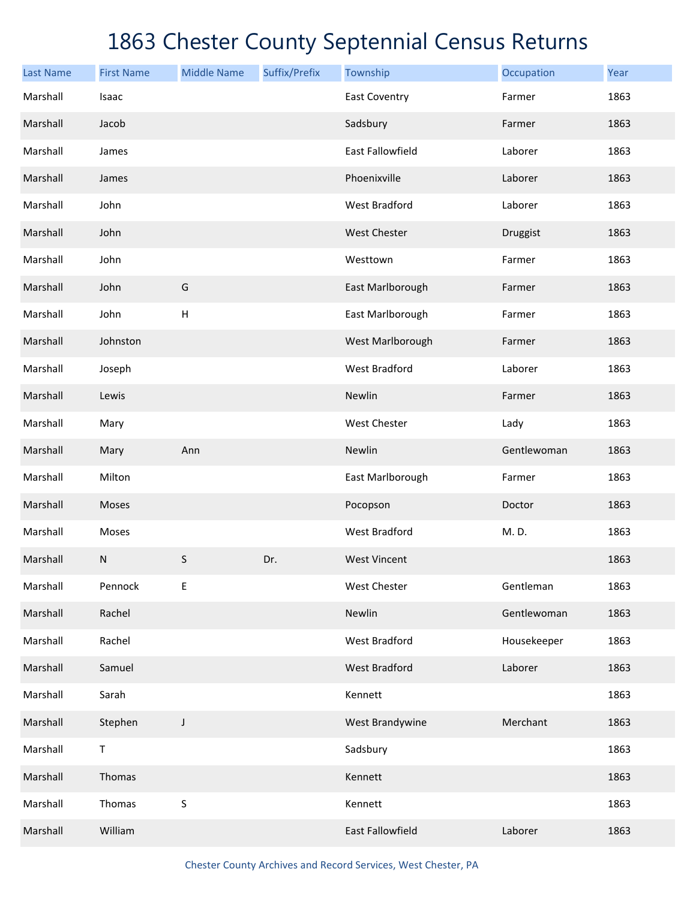| <b>Last Name</b> | <b>First Name</b> | <b>Middle Name</b>        | Suffix/Prefix | Township                | Occupation  | Year |
|------------------|-------------------|---------------------------|---------------|-------------------------|-------------|------|
| Marshall         | Isaac             |                           |               | <b>East Coventry</b>    | Farmer      | 1863 |
| Marshall         | Jacob             |                           |               | Sadsbury                | Farmer      | 1863 |
| Marshall         | James             |                           |               | East Fallowfield        | Laborer     | 1863 |
| Marshall         | James             |                           |               | Phoenixville            | Laborer     | 1863 |
| Marshall         | John              |                           |               | <b>West Bradford</b>    | Laborer     | 1863 |
| Marshall         | John              |                           |               | West Chester            | Druggist    | 1863 |
| Marshall         | John              |                           |               | Westtown                | Farmer      | 1863 |
| Marshall         | John              | G                         |               | East Marlborough        | Farmer      | 1863 |
| Marshall         | John              | $\boldsymbol{\mathsf{H}}$ |               | East Marlborough        | Farmer      | 1863 |
| Marshall         | Johnston          |                           |               | West Marlborough        | Farmer      | 1863 |
| Marshall         | Joseph            |                           |               | <b>West Bradford</b>    | Laborer     | 1863 |
| Marshall         | Lewis             |                           |               | Newlin                  | Farmer      | 1863 |
| Marshall         | Mary              |                           |               | West Chester            | Lady        | 1863 |
| Marshall         | Mary              | Ann                       |               | Newlin                  | Gentlewoman | 1863 |
| Marshall         | Milton            |                           |               | East Marlborough        | Farmer      | 1863 |
| Marshall         | Moses             |                           |               | Pocopson                | Doctor      | 1863 |
| Marshall         | Moses             |                           |               | <b>West Bradford</b>    | M.D.        | 1863 |
| Marshall         | N                 | S                         | Dr.           | <b>West Vincent</b>     |             | 1863 |
| Marshall         | Pennock           | E                         |               | West Chester            | Gentleman   | 1863 |
| Marshall         | Rachel            |                           |               | Newlin                  | Gentlewoman | 1863 |
| Marshall         | Rachel            |                           |               | <b>West Bradford</b>    | Housekeeper | 1863 |
| Marshall         | Samuel            |                           |               | <b>West Bradford</b>    | Laborer     | 1863 |
| Marshall         | Sarah             |                           |               | Kennett                 |             | 1863 |
| Marshall         | Stephen           | J                         |               | West Brandywine         | Merchant    | 1863 |
| Marshall         | $\mathsf T$       |                           |               | Sadsbury                |             | 1863 |
| Marshall         | Thomas            |                           |               | Kennett                 |             | 1863 |
| Marshall         | Thomas            | $\sf S$                   |               | Kennett                 |             | 1863 |
| Marshall         | William           |                           |               | <b>East Fallowfield</b> | Laborer     | 1863 |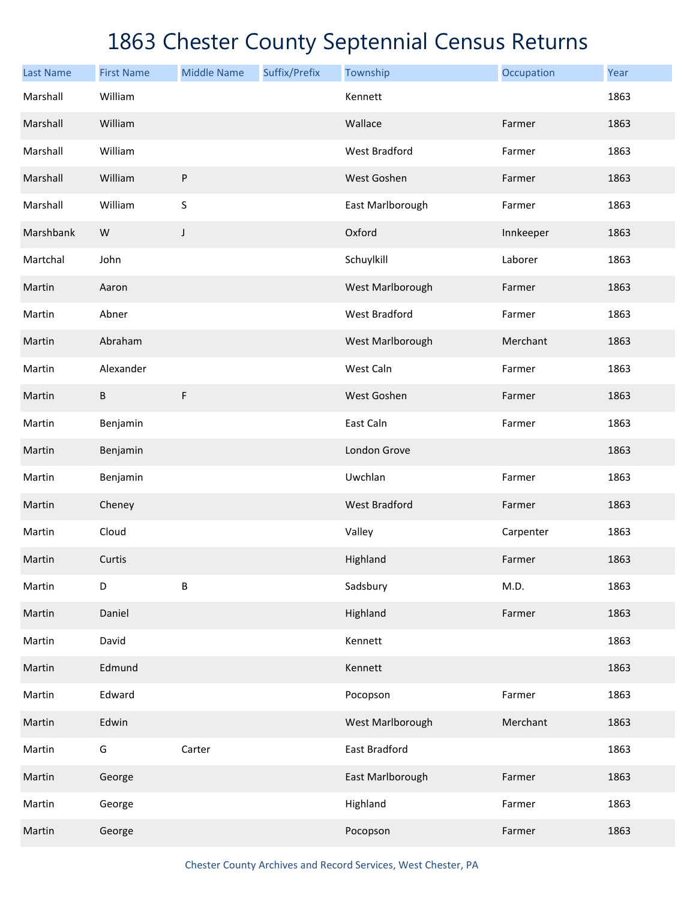| <b>Last Name</b> | <b>First Name</b> | <b>Middle Name</b> | Suffix/Prefix | Township             | Occupation | Year |
|------------------|-------------------|--------------------|---------------|----------------------|------------|------|
| Marshall         | William           |                    |               | Kennett              |            | 1863 |
| Marshall         | William           |                    |               | Wallace              | Farmer     | 1863 |
| Marshall         | William           |                    |               | <b>West Bradford</b> | Farmer     | 1863 |
| Marshall         | William           | $\sf P$            |               | West Goshen          | Farmer     | 1863 |
| Marshall         | William           | S                  |               | East Marlborough     | Farmer     | 1863 |
| Marshbank        | W                 | J                  |               | Oxford               | Innkeeper  | 1863 |
| Martchal         | John              |                    |               | Schuylkill           | Laborer    | 1863 |
| Martin           | Aaron             |                    |               | West Marlborough     | Farmer     | 1863 |
| Martin           | Abner             |                    |               | West Bradford        | Farmer     | 1863 |
| Martin           | Abraham           |                    |               | West Marlborough     | Merchant   | 1863 |
| Martin           | Alexander         |                    |               | West Caln            | Farmer     | 1863 |
| Martin           | B                 | F                  |               | West Goshen          | Farmer     | 1863 |
| Martin           | Benjamin          |                    |               | East Caln            | Farmer     | 1863 |
| Martin           | Benjamin          |                    |               | London Grove         |            | 1863 |
| Martin           | Benjamin          |                    |               | Uwchlan              | Farmer     | 1863 |
| Martin           | Cheney            |                    |               | <b>West Bradford</b> | Farmer     | 1863 |
| Martin           | Cloud             |                    |               | Valley               | Carpenter  | 1863 |
| Martin           | Curtis            |                    |               | Highland             | Farmer     | 1863 |
| Martin           | D                 | B                  |               | Sadsbury             | M.D.       | 1863 |
| Martin           | Daniel            |                    |               | Highland             | Farmer     | 1863 |
| Martin           | David             |                    |               | Kennett              |            | 1863 |
| Martin           | Edmund            |                    |               | Kennett              |            | 1863 |
| Martin           | Edward            |                    |               | Pocopson             | Farmer     | 1863 |
| Martin           | Edwin             |                    |               | West Marlborough     | Merchant   | 1863 |
| Martin           | G                 | Carter             |               | East Bradford        |            | 1863 |
| Martin           | George            |                    |               | East Marlborough     | Farmer     | 1863 |
| Martin           | George            |                    |               | Highland             | Farmer     | 1863 |
| Martin           | George            |                    |               | Pocopson             | Farmer     | 1863 |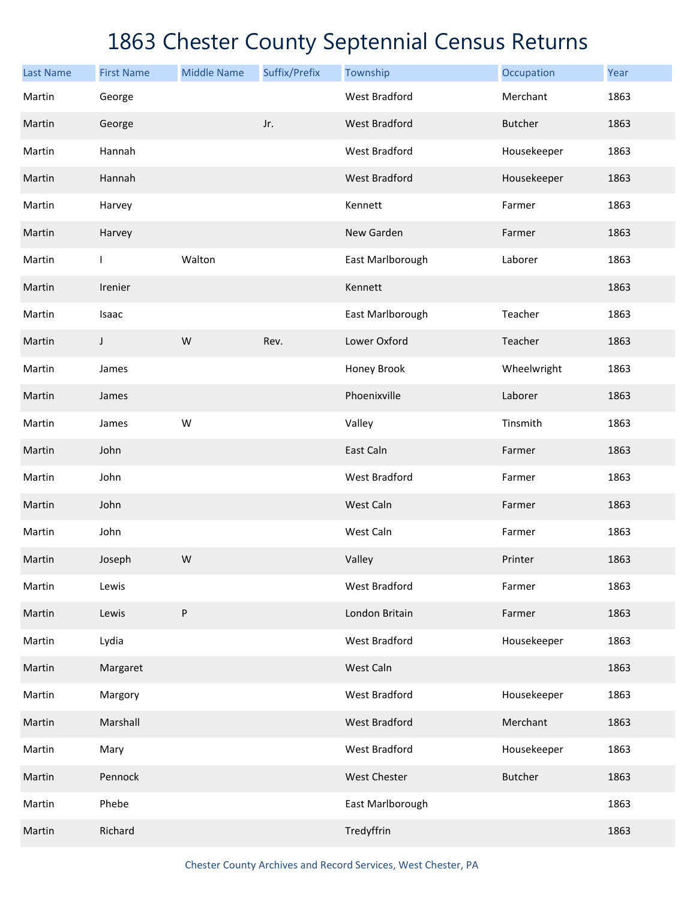| <b>Last Name</b> | <b>First Name</b> | <b>Middle Name</b> | Suffix/Prefix | Township             | Occupation     | Year |
|------------------|-------------------|--------------------|---------------|----------------------|----------------|------|
| Martin           | George            |                    |               | <b>West Bradford</b> | Merchant       | 1863 |
| Martin           | George            |                    | Jr.           | <b>West Bradford</b> | <b>Butcher</b> | 1863 |
| Martin           | Hannah            |                    |               | <b>West Bradford</b> | Housekeeper    | 1863 |
| Martin           | Hannah            |                    |               | <b>West Bradford</b> | Housekeeper    | 1863 |
| Martin           | Harvey            |                    |               | Kennett              | Farmer         | 1863 |
| Martin           | Harvey            |                    |               | New Garden           | Farmer         | 1863 |
| Martin           | $\mathsf{I}$      | Walton             |               | East Marlborough     | Laborer        | 1863 |
| Martin           | Irenier           |                    |               | Kennett              |                | 1863 |
| Martin           | Isaac             |                    |               | East Marlborough     | Teacher        | 1863 |
| Martin           | J                 | W                  | Rev.          | Lower Oxford         | Teacher        | 1863 |
| Martin           | James             |                    |               | Honey Brook          | Wheelwright    | 1863 |
| Martin           | James             |                    |               | Phoenixville         | Laborer        | 1863 |
| Martin           | James             | W                  |               | Valley               | Tinsmith       | 1863 |
| Martin           | John              |                    |               | East Caln            | Farmer         | 1863 |
| Martin           | John              |                    |               | <b>West Bradford</b> | Farmer         | 1863 |
| Martin           | John              |                    |               | West Caln            | Farmer         | 1863 |
| Martin           | John              |                    |               | West Caln            | Farmer         | 1863 |
| Martin           | Joseph            | W                  |               | Valley               | Printer        | 1863 |
| Martin           | Lewis             |                    |               | <b>West Bradford</b> | Farmer         | 1863 |
| Martin           | Lewis             | P                  |               | London Britain       | Farmer         | 1863 |
| Martin           | Lydia             |                    |               | <b>West Bradford</b> | Housekeeper    | 1863 |
| Martin           | Margaret          |                    |               | West Caln            |                | 1863 |
| Martin           | Margory           |                    |               | <b>West Bradford</b> | Housekeeper    | 1863 |
| Martin           | Marshall          |                    |               | <b>West Bradford</b> | Merchant       | 1863 |
| Martin           | Mary              |                    |               | West Bradford        | Housekeeper    | 1863 |
| Martin           | Pennock           |                    |               | West Chester         | <b>Butcher</b> | 1863 |
| Martin           | Phebe             |                    |               | East Marlborough     |                | 1863 |
| Martin           | Richard           |                    |               | Tredyffrin           |                | 1863 |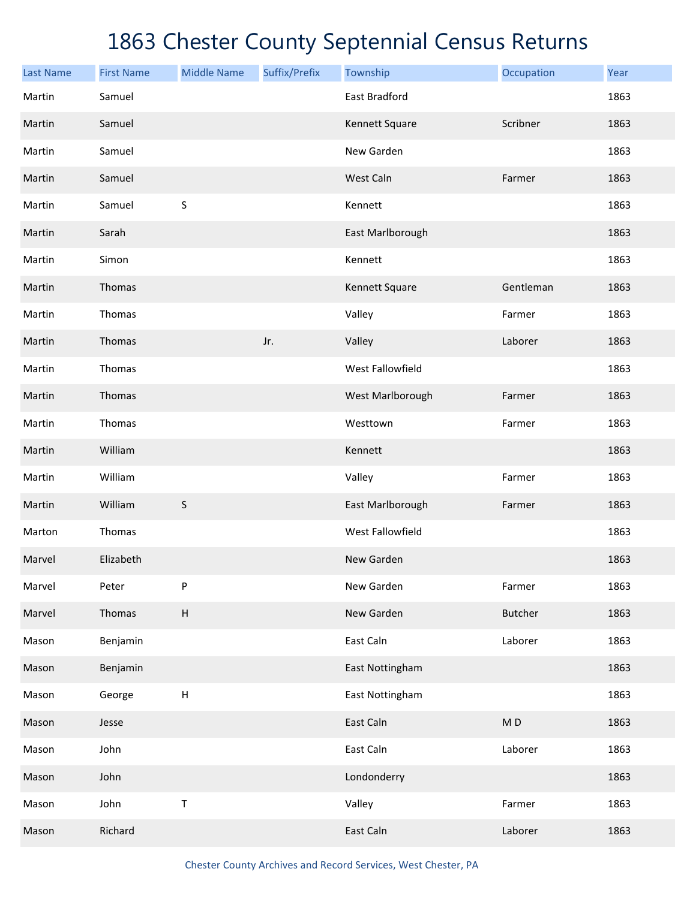| <b>Last Name</b> | <b>First Name</b> | <b>Middle Name</b> | Suffix/Prefix | Township             | Occupation     | Year |
|------------------|-------------------|--------------------|---------------|----------------------|----------------|------|
| Martin           | Samuel            |                    |               | <b>East Bradford</b> |                | 1863 |
| Martin           | Samuel            |                    |               | Kennett Square       | Scribner       | 1863 |
| Martin           | Samuel            |                    |               | New Garden           |                | 1863 |
| Martin           | Samuel            |                    |               | West Caln            | Farmer         | 1863 |
| Martin           | Samuel            | $\sf S$            |               | Kennett              |                | 1863 |
| Martin           | Sarah             |                    |               | East Marlborough     |                | 1863 |
| Martin           | Simon             |                    |               | Kennett              |                | 1863 |
| Martin           | Thomas            |                    |               | Kennett Square       | Gentleman      | 1863 |
| Martin           | Thomas            |                    |               | Valley               | Farmer         | 1863 |
| Martin           | Thomas            |                    | Jr.           | Valley               | Laborer        | 1863 |
| Martin           | Thomas            |                    |               | West Fallowfield     |                | 1863 |
| Martin           | Thomas            |                    |               | West Marlborough     | Farmer         | 1863 |
| Martin           | Thomas            |                    |               | Westtown             | Farmer         | 1863 |
| Martin           | William           |                    |               | Kennett              |                | 1863 |
| Martin           | William           |                    |               | Valley               | Farmer         | 1863 |
| Martin           | William           | $\sf S$            |               | East Marlborough     | Farmer         | 1863 |
| Marton           | Thomas            |                    |               | West Fallowfield     |                | 1863 |
| Marvel           | Elizabeth         |                    |               | New Garden           |                | 1863 |
| Marvel           | Peter             | P                  |               | New Garden           | Farmer         | 1863 |
| Marvel           | Thomas            | $\sf H$            |               | New Garden           | <b>Butcher</b> | 1863 |
| Mason            | Benjamin          |                    |               | East Caln            | Laborer        | 1863 |
| Mason            | Benjamin          |                    |               | East Nottingham      |                | 1863 |
| Mason            | George            | $\sf H$            |               | East Nottingham      |                | 1863 |
| Mason            | Jesse             |                    |               | East Caln            | MD             | 1863 |
| Mason            | John              |                    |               | East Caln            | Laborer        | 1863 |
| Mason            | John              |                    |               | Londonderry          |                | 1863 |
| Mason            | John              | $\sf T$            |               | Valley               | Farmer         | 1863 |
| Mason            | Richard           |                    |               | East Caln            | Laborer        | 1863 |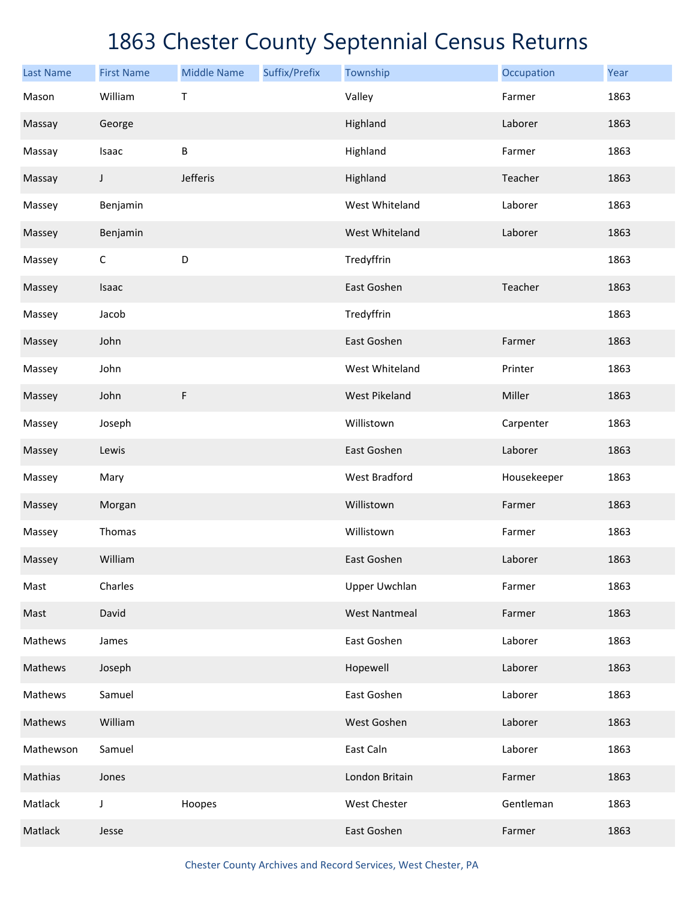| <b>Last Name</b> | <b>First Name</b> | <b>Middle Name</b> | Suffix/Prefix | Township             | Occupation  | Year |
|------------------|-------------------|--------------------|---------------|----------------------|-------------|------|
| Mason            | William           | Τ                  |               | Valley               | Farmer      | 1863 |
| Massay           | George            |                    |               | Highland             | Laborer     | 1863 |
| Massay           | Isaac             | $\sf B$            |               | Highland             | Farmer      | 1863 |
| Massay           | J                 | Jefferis           |               | Highland             | Teacher     | 1863 |
| Massey           | Benjamin          |                    |               | West Whiteland       | Laborer     | 1863 |
| Massey           | Benjamin          |                    |               | West Whiteland       | Laborer     | 1863 |
| Massey           | C                 | D                  |               | Tredyffrin           |             | 1863 |
| Massey           | Isaac             |                    |               | East Goshen          | Teacher     | 1863 |
| Massey           | Jacob             |                    |               | Tredyffrin           |             | 1863 |
| Massey           | John              |                    |               | East Goshen          | Farmer      | 1863 |
| Massey           | John              |                    |               | West Whiteland       | Printer     | 1863 |
| Massey           | John              | $\mathsf F$        |               | <b>West Pikeland</b> | Miller      | 1863 |
| Massey           | Joseph            |                    |               | Willistown           | Carpenter   | 1863 |
| Massey           | Lewis             |                    |               | East Goshen          | Laborer     | 1863 |
| Massey           | Mary              |                    |               | <b>West Bradford</b> | Housekeeper | 1863 |
| Massey           | Morgan            |                    |               | Willistown           | Farmer      | 1863 |
| Massey           | Thomas            |                    |               | Willistown           | Farmer      | 1863 |
| Massey           | William           |                    |               | East Goshen          | Laborer     | 1863 |
| Mast             | Charles           |                    |               | Upper Uwchlan        | Farmer      | 1863 |
| Mast             | David             |                    |               | <b>West Nantmeal</b> | Farmer      | 1863 |
| Mathews          | James             |                    |               | East Goshen          | Laborer     | 1863 |
| Mathews          | Joseph            |                    |               | Hopewell             | Laborer     | 1863 |
| Mathews          | Samuel            |                    |               | East Goshen          | Laborer     | 1863 |
| Mathews          | William           |                    |               | West Goshen          | Laborer     | 1863 |
| Mathewson        | Samuel            |                    |               | East Caln            | Laborer     | 1863 |
| Mathias          | Jones             |                    |               | London Britain       | Farmer      | 1863 |
| Matlack          | J                 | Hoopes             |               | West Chester         | Gentleman   | 1863 |
| Matlack          | Jesse             |                    |               | East Goshen          | Farmer      | 1863 |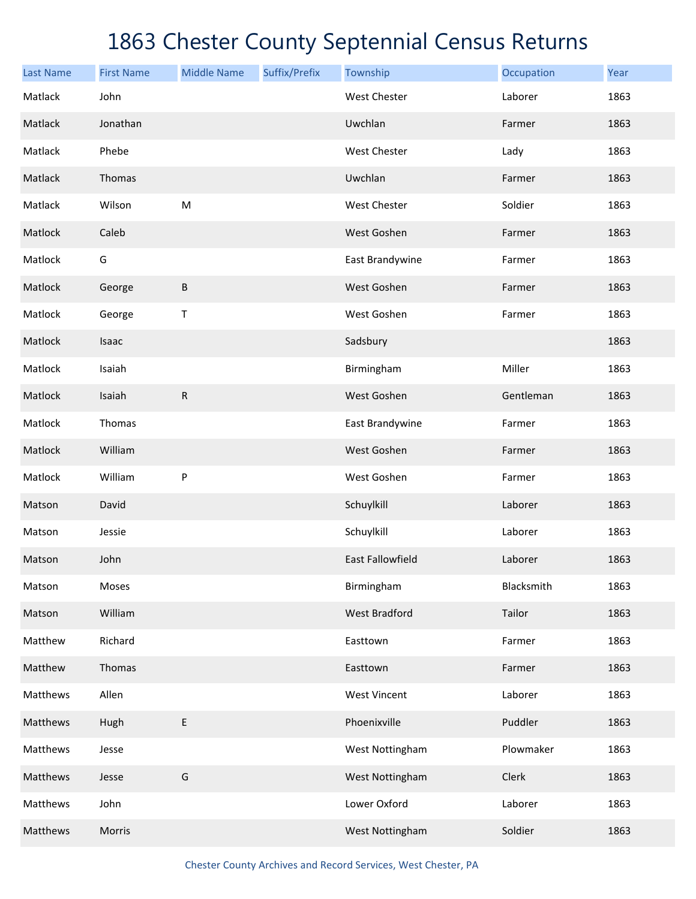| <b>Last Name</b> | <b>First Name</b> | <b>Middle Name</b> | Suffix/Prefix | Township                | Occupation | Year |
|------------------|-------------------|--------------------|---------------|-------------------------|------------|------|
| Matlack          | John              |                    |               | <b>West Chester</b>     | Laborer    | 1863 |
| Matlack          | Jonathan          |                    |               | Uwchlan                 | Farmer     | 1863 |
| Matlack          | Phebe             |                    |               | West Chester            | Lady       | 1863 |
| Matlack          | Thomas            |                    |               | Uwchlan                 | Farmer     | 1863 |
| Matlack          | Wilson            | ${\sf M}$          |               | West Chester            | Soldier    | 1863 |
| Matlock          | Caleb             |                    |               | West Goshen             | Farmer     | 1863 |
| Matlock          | G                 |                    |               | East Brandywine         | Farmer     | 1863 |
| Matlock          | George            | $\sf B$            |               | West Goshen             | Farmer     | 1863 |
| Matlock          | George            | Т                  |               | West Goshen             | Farmer     | 1863 |
| Matlock          | Isaac             |                    |               | Sadsbury                |            | 1863 |
| Matlock          | Isaiah            |                    |               | Birmingham              | Miller     | 1863 |
| Matlock          | Isaiah            | ${\sf R}$          |               | West Goshen             | Gentleman  | 1863 |
| Matlock          | Thomas            |                    |               | East Brandywine         | Farmer     | 1863 |
| Matlock          | William           |                    |               | West Goshen             | Farmer     | 1863 |
| Matlock          | William           | P                  |               | West Goshen             | Farmer     | 1863 |
| Matson           | David             |                    |               | Schuylkill              | Laborer    | 1863 |
| Matson           | Jessie            |                    |               | Schuylkill              | Laborer    | 1863 |
| Matson           | John              |                    |               | <b>East Fallowfield</b> | Laborer    | 1863 |
| Matson           | Moses             |                    |               | Birmingham              | Blacksmith | 1863 |
| Matson           | William           |                    |               | <b>West Bradford</b>    | Tailor     | 1863 |
| Matthew          | Richard           |                    |               | Easttown                | Farmer     | 1863 |
| Matthew          | Thomas            |                    |               | Easttown                | Farmer     | 1863 |
| Matthews         | Allen             |                    |               | <b>West Vincent</b>     | Laborer    | 1863 |
| Matthews         | Hugh              | E                  |               | Phoenixville            | Puddler    | 1863 |
| Matthews         | Jesse             |                    |               | West Nottingham         | Plowmaker  | 1863 |
| Matthews         | Jesse             | G                  |               | West Nottingham         | Clerk      | 1863 |
| Matthews         | John              |                    |               | Lower Oxford            | Laborer    | 1863 |
| Matthews         | Morris            |                    |               | West Nottingham         | Soldier    | 1863 |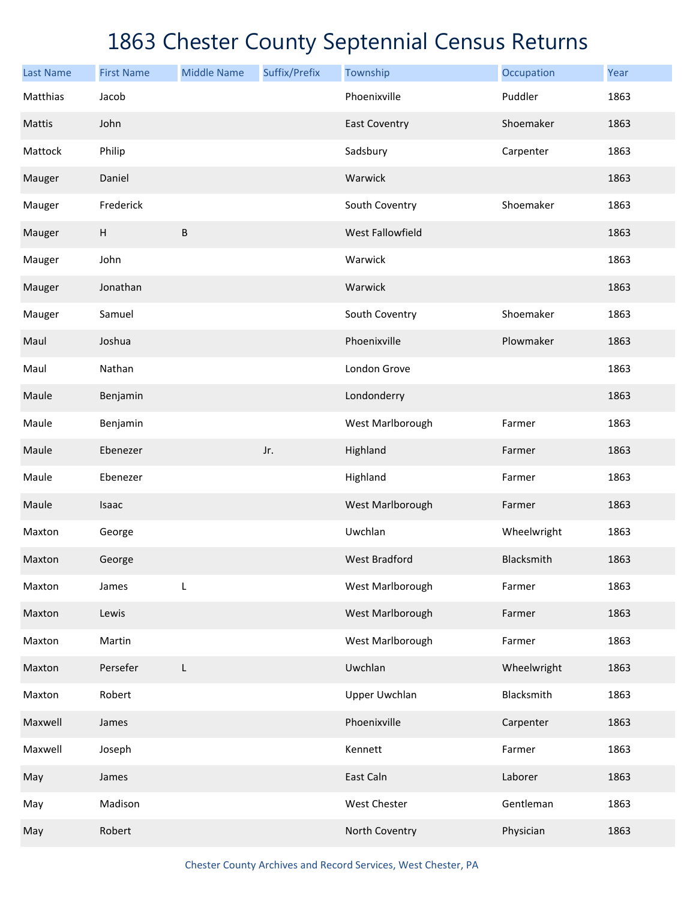| <b>Last Name</b> | <b>First Name</b> | <b>Middle Name</b> | Suffix/Prefix | Township             | Occupation  | Year |
|------------------|-------------------|--------------------|---------------|----------------------|-------------|------|
| Matthias         | Jacob             |                    |               | Phoenixville         | Puddler     | 1863 |
| Mattis           | John              |                    |               | <b>East Coventry</b> | Shoemaker   | 1863 |
| Mattock          | Philip            |                    |               | Sadsbury             | Carpenter   | 1863 |
| Mauger           | Daniel            |                    |               | Warwick              |             | 1863 |
| Mauger           | Frederick         |                    |               | South Coventry       | Shoemaker   | 1863 |
| Mauger           | $\sf H$           | B                  |               | West Fallowfield     |             | 1863 |
| Mauger           | John              |                    |               | Warwick              |             | 1863 |
| Mauger           | Jonathan          |                    |               | Warwick              |             | 1863 |
| Mauger           | Samuel            |                    |               | South Coventry       | Shoemaker   | 1863 |
| Maul             | Joshua            |                    |               | Phoenixville         | Plowmaker   | 1863 |
| Maul             | Nathan            |                    |               | London Grove         |             | 1863 |
| Maule            | Benjamin          |                    |               | Londonderry          |             | 1863 |
| Maule            | Benjamin          |                    |               | West Marlborough     | Farmer      | 1863 |
| Maule            | Ebenezer          |                    | Jr.           | Highland             | Farmer      | 1863 |
| Maule            | Ebenezer          |                    |               | Highland             | Farmer      | 1863 |
| Maule            | Isaac             |                    |               | West Marlborough     | Farmer      | 1863 |
| Maxton           | George            |                    |               | Uwchlan              | Wheelwright | 1863 |
| Maxton           | George            |                    |               | <b>West Bradford</b> | Blacksmith  | 1863 |
| Maxton           | James             | L                  |               | West Marlborough     | Farmer      | 1863 |
| Maxton           | Lewis             |                    |               | West Marlborough     | Farmer      | 1863 |
| Maxton           | Martin            |                    |               | West Marlborough     | Farmer      | 1863 |
| Maxton           | Persefer          | L                  |               | Uwchlan              | Wheelwright | 1863 |
| Maxton           | Robert            |                    |               | Upper Uwchlan        | Blacksmith  | 1863 |
| Maxwell          | James             |                    |               | Phoenixville         | Carpenter   | 1863 |
| Maxwell          | Joseph            |                    |               | Kennett              | Farmer      | 1863 |
| May              | James             |                    |               | East Caln            | Laborer     | 1863 |
| May              | Madison           |                    |               | West Chester         | Gentleman   | 1863 |
| May              | Robert            |                    |               | North Coventry       | Physician   | 1863 |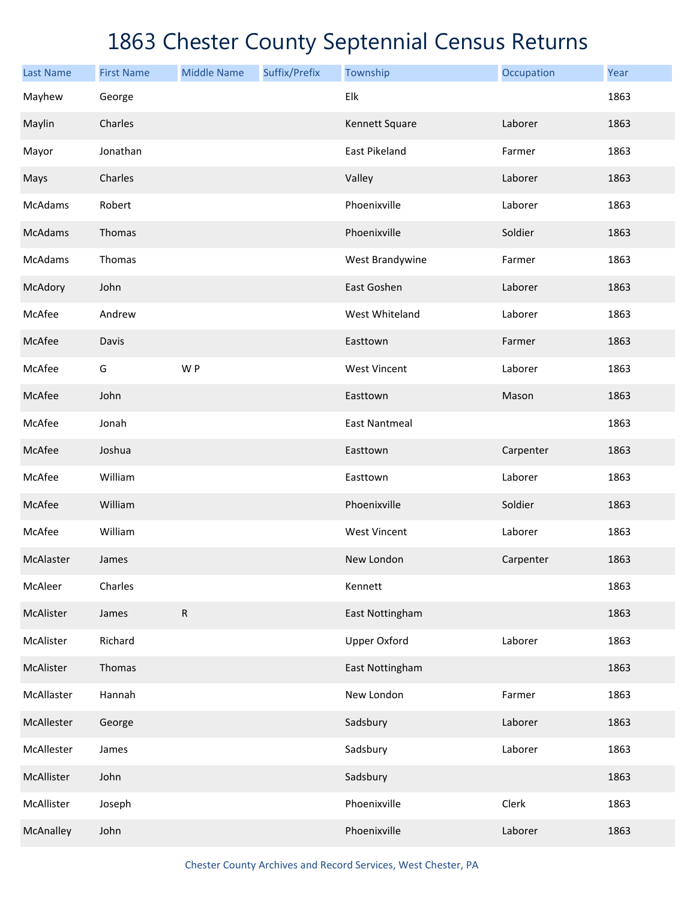| <b>Last Name</b> | <b>First Name</b> | <b>Middle Name</b> | Suffix/Prefix | Township             | Occupation | Year |
|------------------|-------------------|--------------------|---------------|----------------------|------------|------|
| Mayhew           | George            |                    |               | Elk                  |            | 1863 |
| Maylin           | Charles           |                    |               | Kennett Square       | Laborer    | 1863 |
| Mayor            | Jonathan          |                    |               | East Pikeland        | Farmer     | 1863 |
| Mays             | Charles           |                    |               | Valley               | Laborer    | 1863 |
| McAdams          | Robert            |                    |               | Phoenixville         | Laborer    | 1863 |
| <b>McAdams</b>   | Thomas            |                    |               | Phoenixville         | Soldier    | 1863 |
| McAdams          | Thomas            |                    |               | West Brandywine      | Farmer     | 1863 |
| McAdory          | John              |                    |               | East Goshen          | Laborer    | 1863 |
| McAfee           | Andrew            |                    |               | West Whiteland       | Laborer    | 1863 |
| McAfee           | Davis             |                    |               | Easttown             | Farmer     | 1863 |
| McAfee           | G                 | W P                |               | <b>West Vincent</b>  | Laborer    | 1863 |
| McAfee           | John              |                    |               | Easttown             | Mason      | 1863 |
| McAfee           | Jonah             |                    |               | <b>East Nantmeal</b> |            | 1863 |
| McAfee           | Joshua            |                    |               | Easttown             | Carpenter  | 1863 |
| McAfee           | William           |                    |               | Easttown             | Laborer    | 1863 |
| McAfee           | William           |                    |               | Phoenixville         | Soldier    | 1863 |
| McAfee           | William           |                    |               | <b>West Vincent</b>  | Laborer    | 1863 |
| McAlaster        | James             |                    |               | New London           | Carpenter  | 1863 |
| McAleer          | Charles           |                    |               | Kennett              |            | 1863 |
| McAlister        | James             | ${\sf R}$          |               | East Nottingham      |            | 1863 |
| McAlister        | Richard           |                    |               | <b>Upper Oxford</b>  | Laborer    | 1863 |
| McAlister        | Thomas            |                    |               | East Nottingham      |            | 1863 |
| McAllaster       | Hannah            |                    |               | New London           | Farmer     | 1863 |
| McAllester       | George            |                    |               | Sadsbury             | Laborer    | 1863 |
| McAllester       | James             |                    |               | Sadsbury             | Laborer    | 1863 |
| McAllister       | John              |                    |               | Sadsbury             |            | 1863 |
| McAllister       | Joseph            |                    |               | Phoenixville         | Clerk      | 1863 |
| McAnalley        | John              |                    |               | Phoenixville         | Laborer    | 1863 |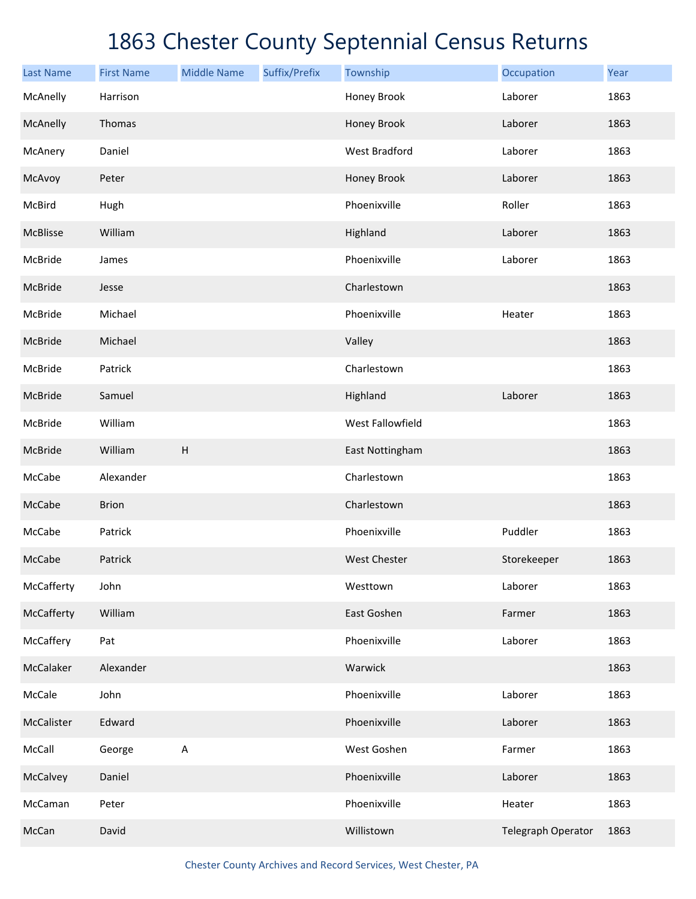| <b>Last Name</b> | <b>First Name</b> | <b>Middle Name</b>        | Suffix/Prefix | Township             | Occupation         | Year |
|------------------|-------------------|---------------------------|---------------|----------------------|--------------------|------|
| McAnelly         | Harrison          |                           |               | Honey Brook          | Laborer            | 1863 |
| McAnelly         | Thomas            |                           |               | Honey Brook          | Laborer            | 1863 |
| McAnery          | Daniel            |                           |               | <b>West Bradford</b> | Laborer            | 1863 |
| McAvoy           | Peter             |                           |               | Honey Brook          | Laborer            | 1863 |
| McBird           | Hugh              |                           |               | Phoenixville         | Roller             | 1863 |
| McBlisse         | William           |                           |               | Highland             | Laborer            | 1863 |
| McBride          | James             |                           |               | Phoenixville         | Laborer            | 1863 |
| McBride          | Jesse             |                           |               | Charlestown          |                    | 1863 |
| McBride          | Michael           |                           |               | Phoenixville         | Heater             | 1863 |
| McBride          | Michael           |                           |               | Valley               |                    | 1863 |
| McBride          | Patrick           |                           |               | Charlestown          |                    | 1863 |
| McBride          | Samuel            |                           |               | Highland             | Laborer            | 1863 |
| McBride          | William           |                           |               | West Fallowfield     |                    | 1863 |
| McBride          | William           | $\boldsymbol{\mathsf{H}}$ |               | East Nottingham      |                    | 1863 |
| McCabe           | Alexander         |                           |               | Charlestown          |                    | 1863 |
| McCabe           | <b>Brion</b>      |                           |               | Charlestown          |                    | 1863 |
| McCabe           | Patrick           |                           |               | Phoenixville         | Puddler            | 1863 |
| McCabe           | Patrick           |                           |               | <b>West Chester</b>  | Storekeeper        | 1863 |
| McCafferty       | John              |                           |               | Westtown             | Laborer            | 1863 |
| McCafferty       | William           |                           |               | East Goshen          | Farmer             | 1863 |
| McCaffery        | Pat               |                           |               | Phoenixville         | Laborer            | 1863 |
| McCalaker        | Alexander         |                           |               | Warwick              |                    | 1863 |
| McCale           | John              |                           |               | Phoenixville         | Laborer            | 1863 |
| McCalister       | Edward            |                           |               | Phoenixville         | Laborer            | 1863 |
| McCall           | George            | $\sf A$                   |               | West Goshen          | Farmer             | 1863 |
| McCalvey         | Daniel            |                           |               | Phoenixville         | Laborer            | 1863 |
| McCaman          | Peter             |                           |               | Phoenixville         | Heater             | 1863 |
| McCan            | David             |                           |               | Willistown           | Telegraph Operator | 1863 |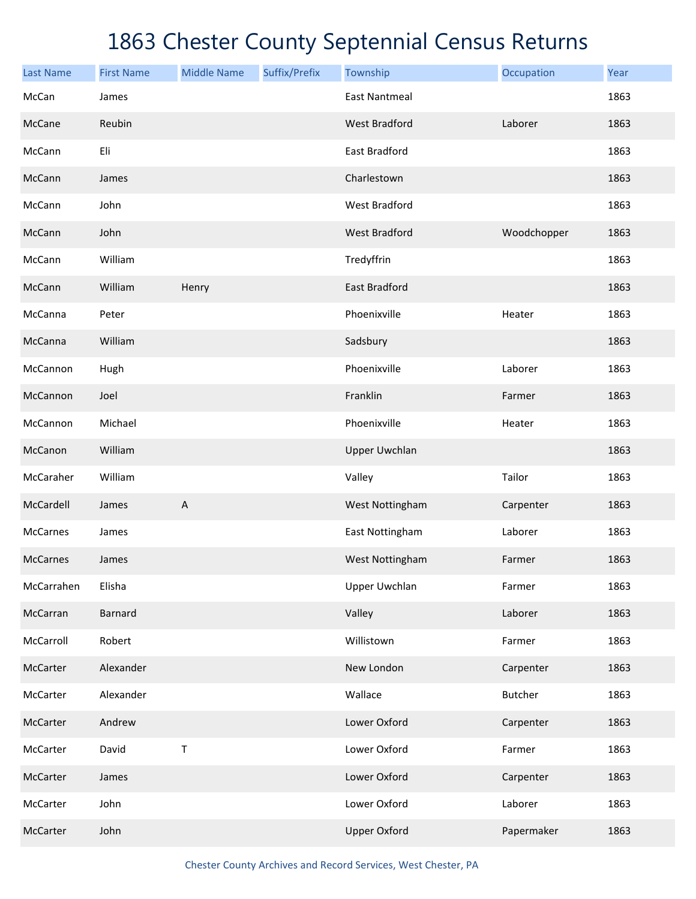| <b>Last Name</b> | <b>First Name</b> | <b>Middle Name</b>        | Suffix/Prefix | Township             | Occupation     | Year |
|------------------|-------------------|---------------------------|---------------|----------------------|----------------|------|
| McCan            | James             |                           |               | <b>East Nantmeal</b> |                | 1863 |
| McCane           | Reubin            |                           |               | <b>West Bradford</b> | Laborer        | 1863 |
| McCann           | Eli               |                           |               | East Bradford        |                | 1863 |
| McCann           | James             |                           |               | Charlestown          |                | 1863 |
| McCann           | John              |                           |               | <b>West Bradford</b> |                | 1863 |
| McCann           | John              |                           |               | <b>West Bradford</b> | Woodchopper    | 1863 |
| McCann           | William           |                           |               | Tredyffrin           |                | 1863 |
| McCann           | William           | Henry                     |               | <b>East Bradford</b> |                | 1863 |
| McCanna          | Peter             |                           |               | Phoenixville         | Heater         | 1863 |
| McCanna          | William           |                           |               | Sadsbury             |                | 1863 |
| McCannon         | Hugh              |                           |               | Phoenixville         | Laborer        | 1863 |
| McCannon         | Joel              |                           |               | Franklin             | Farmer         | 1863 |
| McCannon         | Michael           |                           |               | Phoenixville         | Heater         | 1863 |
| McCanon          | William           |                           |               | <b>Upper Uwchlan</b> |                | 1863 |
| McCaraher        | William           |                           |               | Valley               | Tailor         | 1863 |
| McCardell        | James             | $\boldsymbol{\mathsf{A}}$ |               | West Nottingham      | Carpenter      | 1863 |
| <b>McCarnes</b>  | James             |                           |               | East Nottingham      | Laborer        | 1863 |
| <b>McCarnes</b>  | James             |                           |               | West Nottingham      | Farmer         | 1863 |
| McCarrahen       | Elisha            |                           |               | <b>Upper Uwchlan</b> | Farmer         | 1863 |
| McCarran         | <b>Barnard</b>    |                           |               | Valley               | Laborer        | 1863 |
| McCarroll        | Robert            |                           |               | Willistown           | Farmer         | 1863 |
| McCarter         | Alexander         |                           |               | New London           | Carpenter      | 1863 |
| McCarter         | Alexander         |                           |               | Wallace              | <b>Butcher</b> | 1863 |
| McCarter         | Andrew            |                           |               | Lower Oxford         | Carpenter      | 1863 |
| McCarter         | David             | $\sf T$                   |               | Lower Oxford         | Farmer         | 1863 |
| McCarter         | James             |                           |               | Lower Oxford         | Carpenter      | 1863 |
| McCarter         | John              |                           |               | Lower Oxford         | Laborer        | 1863 |
| McCarter         | John              |                           |               | <b>Upper Oxford</b>  | Papermaker     | 1863 |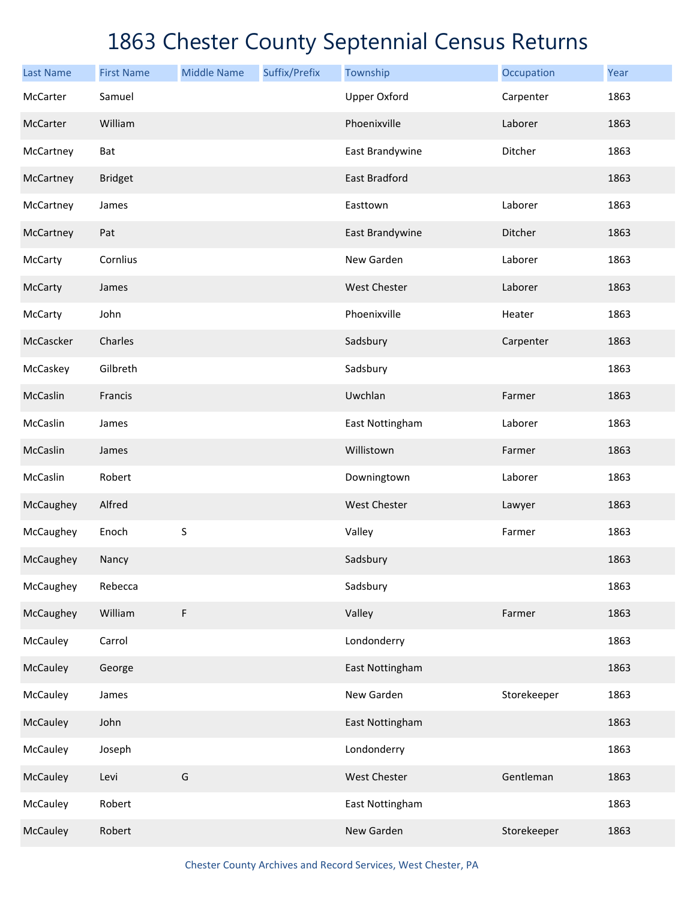| <b>Last Name</b> | <b>First Name</b> | <b>Middle Name</b> | Suffix/Prefix | Township            | Occupation  | Year |
|------------------|-------------------|--------------------|---------------|---------------------|-------------|------|
| McCarter         | Samuel            |                    |               | <b>Upper Oxford</b> | Carpenter   | 1863 |
| McCarter         | William           |                    |               | Phoenixville        | Laborer     | 1863 |
| McCartney        | Bat               |                    |               | East Brandywine     | Ditcher     | 1863 |
| McCartney        | <b>Bridget</b>    |                    |               | East Bradford       |             | 1863 |
| McCartney        | James             |                    |               | Easttown            | Laborer     | 1863 |
| McCartney        | Pat               |                    |               | East Brandywine     | Ditcher     | 1863 |
| McCarty          | Cornlius          |                    |               | New Garden          | Laborer     | 1863 |
| McCarty          | James             |                    |               | <b>West Chester</b> | Laborer     | 1863 |
| McCarty          | John              |                    |               | Phoenixville        | Heater      | 1863 |
| McCascker        | Charles           |                    |               | Sadsbury            | Carpenter   | 1863 |
| McCaskey         | Gilbreth          |                    |               | Sadsbury            |             | 1863 |
| McCaslin         | Francis           |                    |               | Uwchlan             | Farmer      | 1863 |
| McCaslin         | James             |                    |               | East Nottingham     | Laborer     | 1863 |
| McCaslin         | James             |                    |               | Willistown          | Farmer      | 1863 |
| McCaslin         | Robert            |                    |               | Downingtown         | Laborer     | 1863 |
| McCaughey        | Alfred            |                    |               | <b>West Chester</b> | Lawyer      | 1863 |
| McCaughey        | Enoch             | S                  |               | Valley              | Farmer      | 1863 |
| McCaughey        | Nancy             |                    |               | Sadsbury            |             | 1863 |
| McCaughey        | Rebecca           |                    |               | Sadsbury            |             | 1863 |
| McCaughey        | William           | F                  |               | Valley              | Farmer      | 1863 |
| McCauley         | Carrol            |                    |               | Londonderry         |             | 1863 |
| McCauley         | George            |                    |               | East Nottingham     |             | 1863 |
| McCauley         | James             |                    |               | New Garden          | Storekeeper | 1863 |
| McCauley         | John              |                    |               | East Nottingham     |             | 1863 |
| McCauley         | Joseph            |                    |               | Londonderry         |             | 1863 |
| McCauley         | Levi              | G                  |               | West Chester        | Gentleman   | 1863 |
| McCauley         | Robert            |                    |               | East Nottingham     |             | 1863 |
| McCauley         | Robert            |                    |               | New Garden          | Storekeeper | 1863 |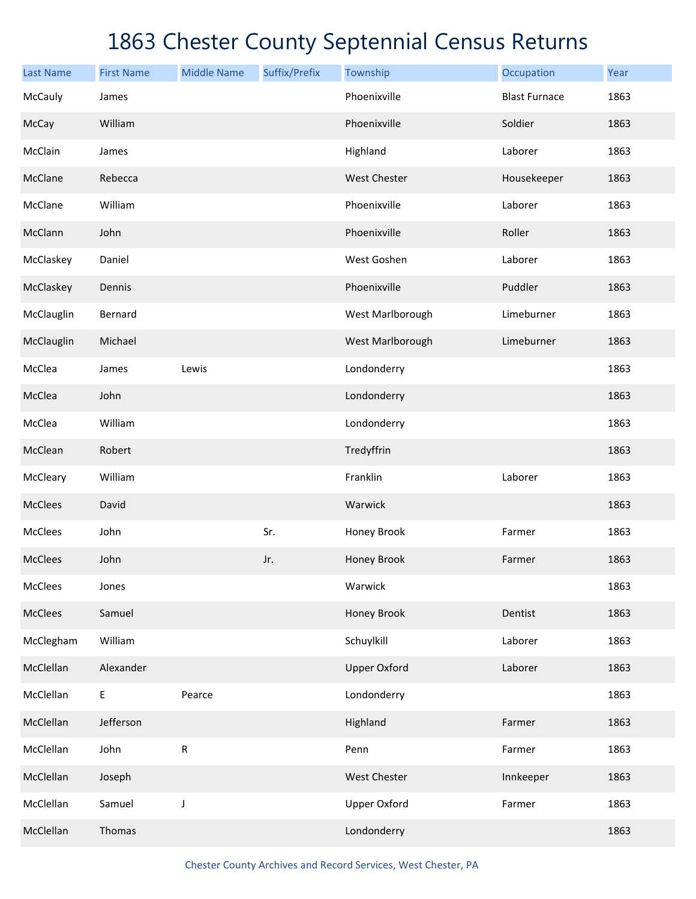| <b>Last Name</b> | <b>First Name</b> | <b>Middle Name</b> | Suffix/Prefix | Township            | Occupation           | Year |
|------------------|-------------------|--------------------|---------------|---------------------|----------------------|------|
| McCauly          | James             |                    |               | Phoenixville        | <b>Blast Furnace</b> | 1863 |
| McCay            | William           |                    |               | Phoenixville        | Soldier              | 1863 |
| McClain          | James             |                    |               | Highland            | Laborer              | 1863 |
| McClane          | Rebecca           |                    |               | West Chester        | Housekeeper          | 1863 |
| McClane          | William           |                    |               | Phoenixville        | Laborer              | 1863 |
| McClann          | John              |                    |               | Phoenixville        | Roller               | 1863 |
| McClaskey        | Daniel            |                    |               | West Goshen         | Laborer              | 1863 |
| McClaskey        | Dennis            |                    |               | Phoenixville        | Puddler              | 1863 |
| McClauglin       | Bernard           |                    |               | West Marlborough    | Limeburner           | 1863 |
| McClauglin       | Michael           |                    |               | West Marlborough    | Limeburner           | 1863 |
| McClea           | James             | Lewis              |               | Londonderry         |                      | 1863 |
| McClea           | John              |                    |               | Londonderry         |                      | 1863 |
| McClea           | William           |                    |               | Londonderry         |                      | 1863 |
| McClean          | Robert            |                    |               | Tredyffrin          |                      | 1863 |
| McCleary         | William           |                    |               | Franklin            | Laborer              | 1863 |
| <b>McClees</b>   | David             |                    |               | Warwick             |                      | 1863 |
| McClees          | John              |                    | Sr.           | Honey Brook         | Farmer               | 1863 |
| <b>McClees</b>   | John              |                    | Jr.           | Honey Brook         | Farmer               | 1863 |
| McClees          | Jones             |                    |               | Warwick             |                      | 1863 |
| McClees          | Samuel            |                    |               | Honey Brook         | Dentist              | 1863 |
| McClegham        | William           |                    |               | Schuylkill          | Laborer              | 1863 |
| McClellan        | Alexander         |                    |               | <b>Upper Oxford</b> | Laborer              | 1863 |
| McClellan        | E                 | Pearce             |               | Londonderry         |                      | 1863 |
| McClellan        | Jefferson         |                    |               | Highland            | Farmer               | 1863 |
| McClellan        | John              | ${\sf R}$          |               | Penn                | Farmer               | 1863 |
| McClellan        | Joseph            |                    |               | West Chester        | Innkeeper            | 1863 |
| McClellan        | Samuel            | $\mathsf J$        |               | <b>Upper Oxford</b> | Farmer               | 1863 |
| McClellan        | Thomas            |                    |               | Londonderry         |                      | 1863 |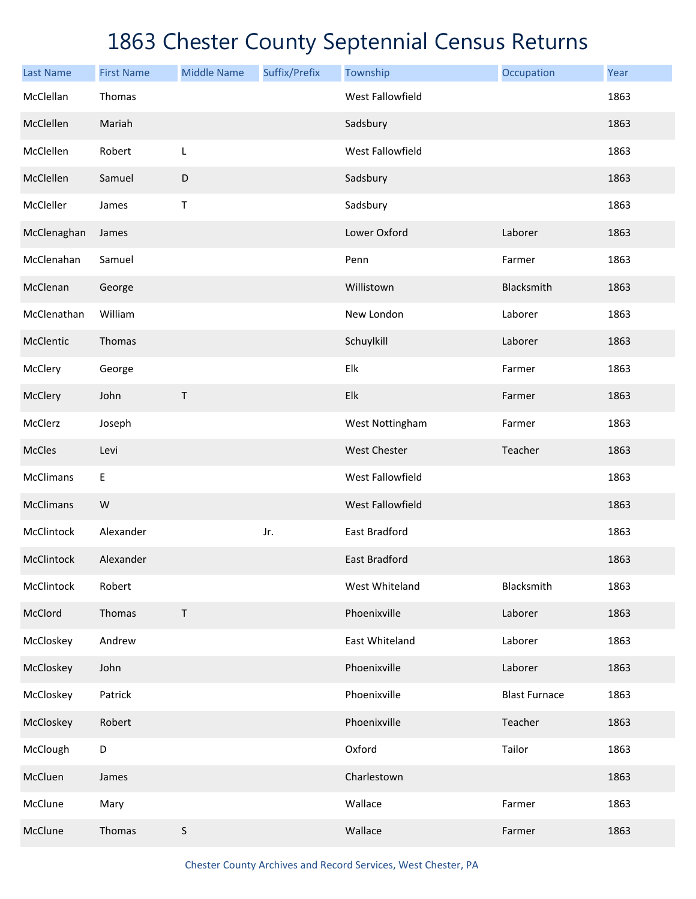| <b>Last Name</b> | <b>First Name</b> | <b>Middle Name</b> | Suffix/Prefix | Township                | Occupation           | Year |
|------------------|-------------------|--------------------|---------------|-------------------------|----------------------|------|
| McClellan        | Thomas            |                    |               | West Fallowfield        |                      | 1863 |
| McClellen        | Mariah            |                    |               | Sadsbury                |                      | 1863 |
| McClellen        | Robert            | L                  |               | West Fallowfield        |                      | 1863 |
| McClellen        | Samuel            | D                  |               | Sadsbury                |                      | 1863 |
| McCleller        | James             | Τ                  |               | Sadsbury                |                      | 1863 |
| McClenaghan      | James             |                    |               | Lower Oxford            | Laborer              | 1863 |
| McClenahan       | Samuel            |                    |               | Penn                    | Farmer               | 1863 |
| McClenan         | George            |                    |               | Willistown              | Blacksmith           | 1863 |
| McClenathan      | William           |                    |               | New London              | Laborer              | 1863 |
| McClentic        | Thomas            |                    |               | Schuylkill              | Laborer              | 1863 |
| McClery          | George            |                    |               | Elk                     | Farmer               | 1863 |
| McClery          | John              | Τ                  |               | Elk                     | Farmer               | 1863 |
| McClerz          | Joseph            |                    |               | West Nottingham         | Farmer               | 1863 |
| McCles           | Levi              |                    |               | <b>West Chester</b>     | Teacher              | 1863 |
| McClimans        | E                 |                    |               | West Fallowfield        |                      | 1863 |
| <b>McClimans</b> | W                 |                    |               | <b>West Fallowfield</b> |                      | 1863 |
| McClintock       | Alexander         |                    | Jr.           | East Bradford           |                      | 1863 |
| McClintock       | Alexander         |                    |               | <b>East Bradford</b>    |                      | 1863 |
| McClintock       | Robert            |                    |               | West Whiteland          | Blacksmith           | 1863 |
| McClord          | Thomas            | $\top$             |               | Phoenixville            | Laborer              | 1863 |
| McCloskey        | Andrew            |                    |               | East Whiteland          | Laborer              | 1863 |
| McCloskey        | John              |                    |               | Phoenixville            | Laborer              | 1863 |
| McCloskey        | Patrick           |                    |               | Phoenixville            | <b>Blast Furnace</b> | 1863 |
| McCloskey        | Robert            |                    |               | Phoenixville            | Teacher              | 1863 |
| McClough         | D                 |                    |               | Oxford                  | Tailor               | 1863 |
| McCluen          | James             |                    |               | Charlestown             |                      | 1863 |
| McClune          | Mary              |                    |               | Wallace                 | Farmer               | 1863 |
| McClune          | Thomas            | $\mathsf S$        |               | Wallace                 | Farmer               | 1863 |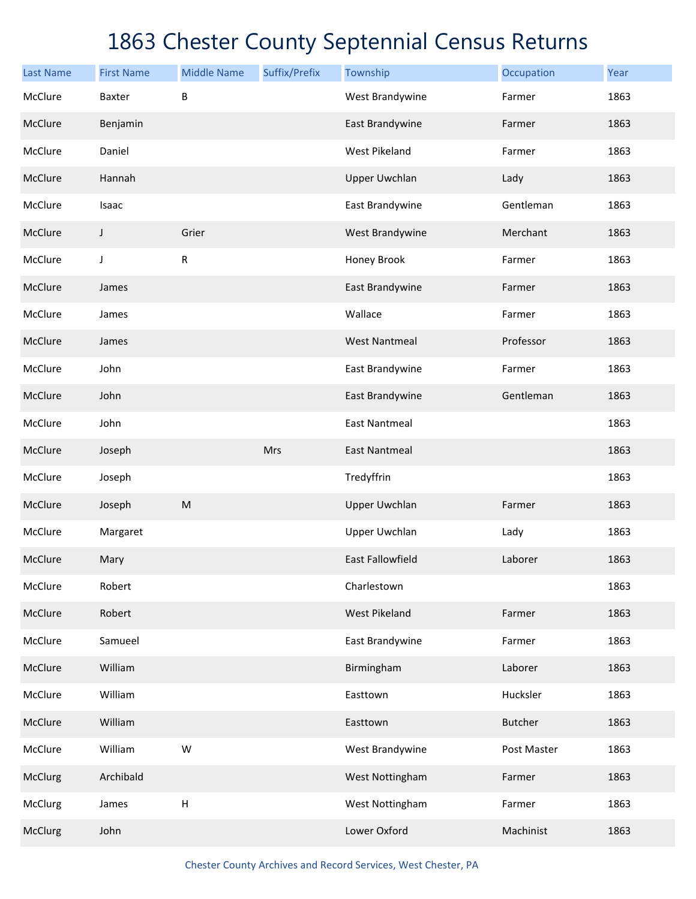| <b>Last Name</b> | <b>First Name</b> | <b>Middle Name</b> | Suffix/Prefix | Township                | Occupation     | Year |
|------------------|-------------------|--------------------|---------------|-------------------------|----------------|------|
| McClure          | Baxter            | B                  |               | West Brandywine         | Farmer         | 1863 |
| McClure          | Benjamin          |                    |               | East Brandywine         | Farmer         | 1863 |
| McClure          | Daniel            |                    |               | <b>West Pikeland</b>    | Farmer         | 1863 |
| McClure          | Hannah            |                    |               | <b>Upper Uwchlan</b>    | Lady           | 1863 |
| McClure          | Isaac             |                    |               | East Brandywine         | Gentleman      | 1863 |
| McClure          | J                 | Grier              |               | West Brandywine         | Merchant       | 1863 |
| McClure          | J                 | ${\sf R}$          |               | Honey Brook             | Farmer         | 1863 |
| McClure          | James             |                    |               | East Brandywine         | Farmer         | 1863 |
| McClure          | James             |                    |               | Wallace                 | Farmer         | 1863 |
| McClure          | James             |                    |               | <b>West Nantmeal</b>    | Professor      | 1863 |
| McClure          | John              |                    |               | East Brandywine         | Farmer         | 1863 |
| McClure          | John              |                    |               | East Brandywine         | Gentleman      | 1863 |
| McClure          | John              |                    |               | <b>East Nantmeal</b>    |                | 1863 |
| McClure          | Joseph            |                    | Mrs           | <b>East Nantmeal</b>    |                | 1863 |
| McClure          | Joseph            |                    |               | Tredyffrin              |                | 1863 |
| McClure          | Joseph            | ${\sf M}$          |               | <b>Upper Uwchlan</b>    | Farmer         | 1863 |
| McClure          | Margaret          |                    |               | <b>Upper Uwchlan</b>    | Lady           | 1863 |
| McClure          | Mary              |                    |               | <b>East Fallowfield</b> | Laborer        | 1863 |
| McClure          | Robert            |                    |               | Charlestown             |                | 1863 |
| McClure          | Robert            |                    |               | <b>West Pikeland</b>    | Farmer         | 1863 |
| McClure          | Samueel           |                    |               | East Brandywine         | Farmer         | 1863 |
| McClure          | William           |                    |               | Birmingham              | Laborer        | 1863 |
| McClure          | William           |                    |               | Easttown                | Hucksler       | 1863 |
| McClure          | William           |                    |               | Easttown                | <b>Butcher</b> | 1863 |
| McClure          | William           | W                  |               | West Brandywine         | Post Master    | 1863 |
| McClurg          | Archibald         |                    |               | West Nottingham         | Farmer         | 1863 |
| McClurg          | James             | Н                  |               | West Nottingham         | Farmer         | 1863 |
| McClurg          | John              |                    |               | Lower Oxford            | Machinist      | 1863 |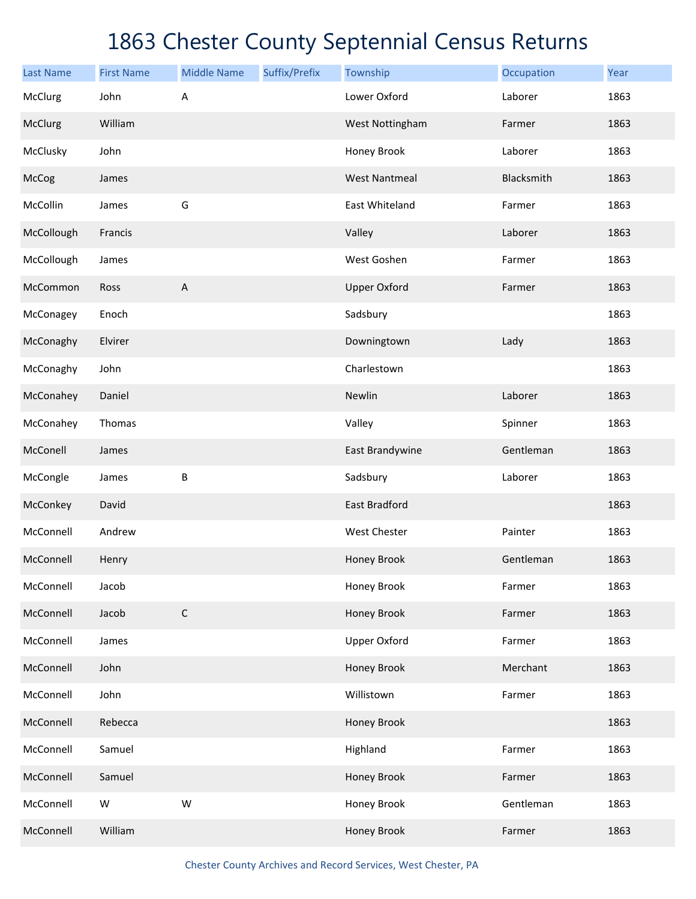| <b>Last Name</b> | <b>First Name</b> | <b>Middle Name</b>        | Suffix/Prefix | Township             | Occupation | Year |
|------------------|-------------------|---------------------------|---------------|----------------------|------------|------|
| McClurg          | John              | А                         |               | Lower Oxford         | Laborer    | 1863 |
| McClurg          | William           |                           |               | West Nottingham      | Farmer     | 1863 |
| McClusky         | John              |                           |               | Honey Brook          | Laborer    | 1863 |
| McCog            | James             |                           |               | <b>West Nantmeal</b> | Blacksmith | 1863 |
| McCollin         | James             | G                         |               | East Whiteland       | Farmer     | 1863 |
| McCollough       | Francis           |                           |               | Valley               | Laborer    | 1863 |
| McCollough       | James             |                           |               | West Goshen          | Farmer     | 1863 |
| McCommon         | Ross              | $\boldsymbol{\mathsf{A}}$ |               | <b>Upper Oxford</b>  | Farmer     | 1863 |
| McConagey        | Enoch             |                           |               | Sadsbury             |            | 1863 |
| McConaghy        | Elvirer           |                           |               | Downingtown          | Lady       | 1863 |
| McConaghy        | John              |                           |               | Charlestown          |            | 1863 |
| McConahey        | Daniel            |                           |               | Newlin               | Laborer    | 1863 |
| McConahey        | Thomas            |                           |               | Valley               | Spinner    | 1863 |
| McConell         | James             |                           |               | East Brandywine      | Gentleman  | 1863 |
| McCongle         | James             | B                         |               | Sadsbury             | Laborer    | 1863 |
| McConkey         | David             |                           |               | <b>East Bradford</b> |            | 1863 |
| McConnell        | Andrew            |                           |               | West Chester         | Painter    | 1863 |
| McConnell        | Henry             |                           |               | Honey Brook          | Gentleman  | 1863 |
| McConnell        | Jacob             |                           |               | Honey Brook          | Farmer     | 1863 |
| McConnell        | Jacob             | $\mathsf C$               |               | Honey Brook          | Farmer     | 1863 |
| McConnell        | James             |                           |               | <b>Upper Oxford</b>  | Farmer     | 1863 |
| McConnell        | John              |                           |               | Honey Brook          | Merchant   | 1863 |
| McConnell        | John              |                           |               | Willistown           | Farmer     | 1863 |
| McConnell        | Rebecca           |                           |               | Honey Brook          |            | 1863 |
| McConnell        | Samuel            |                           |               | Highland             | Farmer     | 1863 |
| McConnell        | Samuel            |                           |               | Honey Brook          | Farmer     | 1863 |
| McConnell        | ${\sf W}$         | W                         |               | Honey Brook          | Gentleman  | 1863 |
| McConnell        | William           |                           |               | Honey Brook          | Farmer     | 1863 |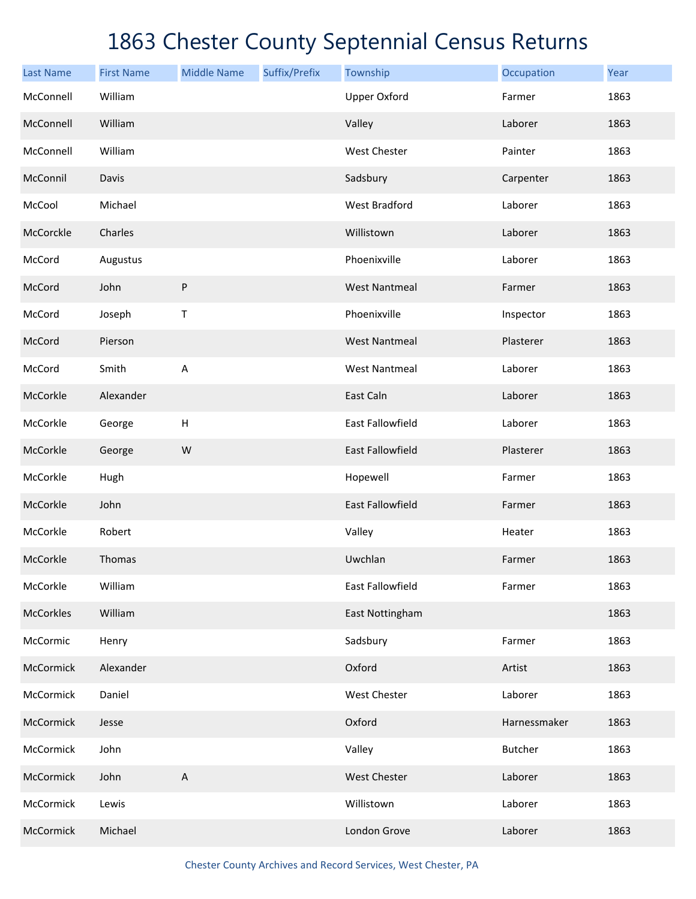| <b>Last Name</b> | <b>First Name</b> | <b>Middle Name</b>        | Suffix/Prefix | Township                | Occupation     | Year |
|------------------|-------------------|---------------------------|---------------|-------------------------|----------------|------|
| McConnell        | William           |                           |               | <b>Upper Oxford</b>     | Farmer         | 1863 |
| McConnell        | William           |                           |               | Valley                  | Laborer        | 1863 |
| McConnell        | William           |                           |               | <b>West Chester</b>     | Painter        | 1863 |
| McConnil         | Davis             |                           |               | Sadsbury                | Carpenter      | 1863 |
| McCool           | Michael           |                           |               | <b>West Bradford</b>    | Laborer        | 1863 |
| McCorckle        | Charles           |                           |               | Willistown              | Laborer        | 1863 |
| McCord           | Augustus          |                           |               | Phoenixville            | Laborer        | 1863 |
| McCord           | John              | P                         |               | <b>West Nantmeal</b>    | Farmer         | 1863 |
| McCord           | Joseph            | Т                         |               | Phoenixville            | Inspector      | 1863 |
| McCord           | Pierson           |                           |               | <b>West Nantmeal</b>    | Plasterer      | 1863 |
| McCord           | Smith             | $\overline{A}$            |               | <b>West Nantmeal</b>    | Laborer        | 1863 |
| McCorkle         | Alexander         |                           |               | East Caln               | Laborer        | 1863 |
| McCorkle         | George            | $\boldsymbol{\mathsf{H}}$ |               | <b>East Fallowfield</b> | Laborer        | 1863 |
| McCorkle         | George            | W                         |               | <b>East Fallowfield</b> | Plasterer      | 1863 |
| McCorkle         | Hugh              |                           |               | Hopewell                | Farmer         | 1863 |
| McCorkle         | John              |                           |               | <b>East Fallowfield</b> | Farmer         | 1863 |
| McCorkle         | Robert            |                           |               | Valley                  | Heater         | 1863 |
| McCorkle         | Thomas            |                           |               | Uwchlan                 | Farmer         | 1863 |
| McCorkle         | William           |                           |               | East Fallowfield        | Farmer         | 1863 |
| McCorkles        | William           |                           |               | East Nottingham         |                | 1863 |
| McCormic         | Henry             |                           |               | Sadsbury                | Farmer         | 1863 |
| McCormick        | Alexander         |                           |               | Oxford                  | Artist         | 1863 |
| McCormick        | Daniel            |                           |               | West Chester            | Laborer        | 1863 |
| McCormick        | Jesse             |                           |               | Oxford                  | Harnessmaker   | 1863 |
| McCormick        | John              |                           |               | Valley                  | <b>Butcher</b> | 1863 |
| McCormick        | John              | $\boldsymbol{\mathsf{A}}$ |               | West Chester            | Laborer        | 1863 |
| McCormick        | Lewis             |                           |               | Willistown              | Laborer        | 1863 |
| McCormick        | Michael           |                           |               | London Grove            | Laborer        | 1863 |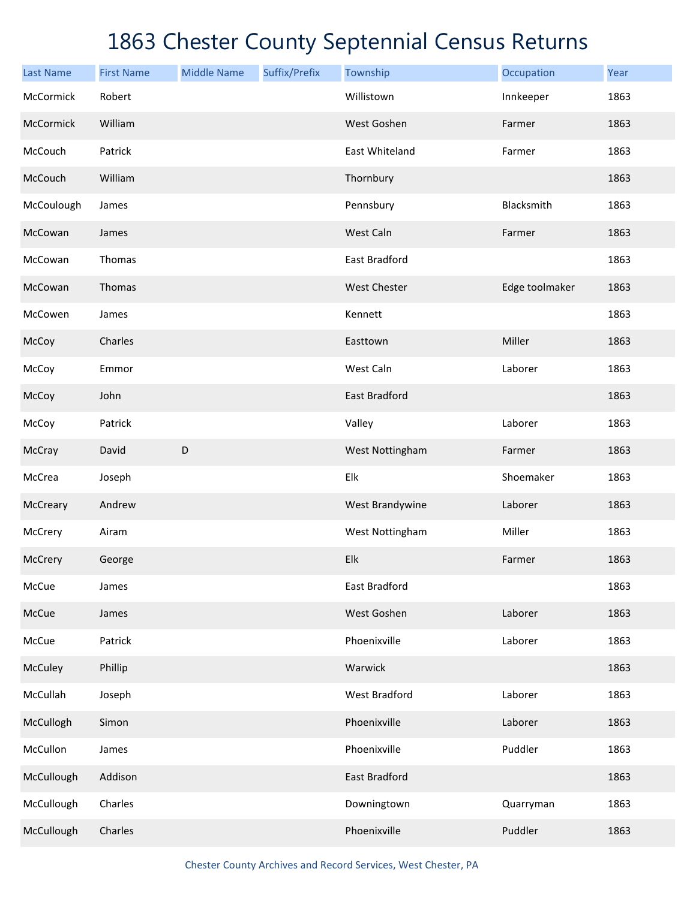| <b>Last Name</b> | <b>First Name</b> | <b>Middle Name</b> | Suffix/Prefix | Township             | Occupation     | Year |
|------------------|-------------------|--------------------|---------------|----------------------|----------------|------|
| McCormick        | Robert            |                    |               | Willistown           | Innkeeper      | 1863 |
| McCormick        | William           |                    |               | West Goshen          | Farmer         | 1863 |
| McCouch          | Patrick           |                    |               | East Whiteland       | Farmer         | 1863 |
| McCouch          | William           |                    |               | Thornbury            |                | 1863 |
| McCoulough       | James             |                    |               | Pennsbury            | Blacksmith     | 1863 |
| McCowan          | James             |                    |               | West Caln            | Farmer         | 1863 |
| McCowan          | Thomas            |                    |               | East Bradford        |                | 1863 |
| McCowan          | Thomas            |                    |               | West Chester         | Edge toolmaker | 1863 |
| McCowen          | James             |                    |               | Kennett              |                | 1863 |
| McCoy            | Charles           |                    |               | Easttown             | Miller         | 1863 |
| McCoy            | Emmor             |                    |               | West Caln            | Laborer        | 1863 |
| McCoy            | John              |                    |               | East Bradford        |                | 1863 |
| McCoy            | Patrick           |                    |               | Valley               | Laborer        | 1863 |
| McCray           | David             | $\mathsf D$        |               | West Nottingham      | Farmer         | 1863 |
| McCrea           | Joseph            |                    |               | Elk                  | Shoemaker      | 1863 |
| McCreary         | Andrew            |                    |               | West Brandywine      | Laborer        | 1863 |
| McCrery          | Airam             |                    |               | West Nottingham      | Miller         | 1863 |
| McCrery          | George            |                    |               | Elk                  | Farmer         | 1863 |
| McCue            | James             |                    |               | East Bradford        |                | 1863 |
| McCue            | James             |                    |               | West Goshen          | Laborer        | 1863 |
| McCue            | Patrick           |                    |               | Phoenixville         | Laborer        | 1863 |
| McCuley          | Phillip           |                    |               | Warwick              |                | 1863 |
| McCullah         | Joseph            |                    |               | <b>West Bradford</b> | Laborer        | 1863 |
| McCullogh        | Simon             |                    |               | Phoenixville         | Laborer        | 1863 |
| McCullon         | James             |                    |               | Phoenixville         | Puddler        | 1863 |
| McCullough       | Addison           |                    |               | East Bradford        |                | 1863 |
| McCullough       | Charles           |                    |               | Downingtown          | Quarryman      | 1863 |
| McCullough       | Charles           |                    |               | Phoenixville         | Puddler        | 1863 |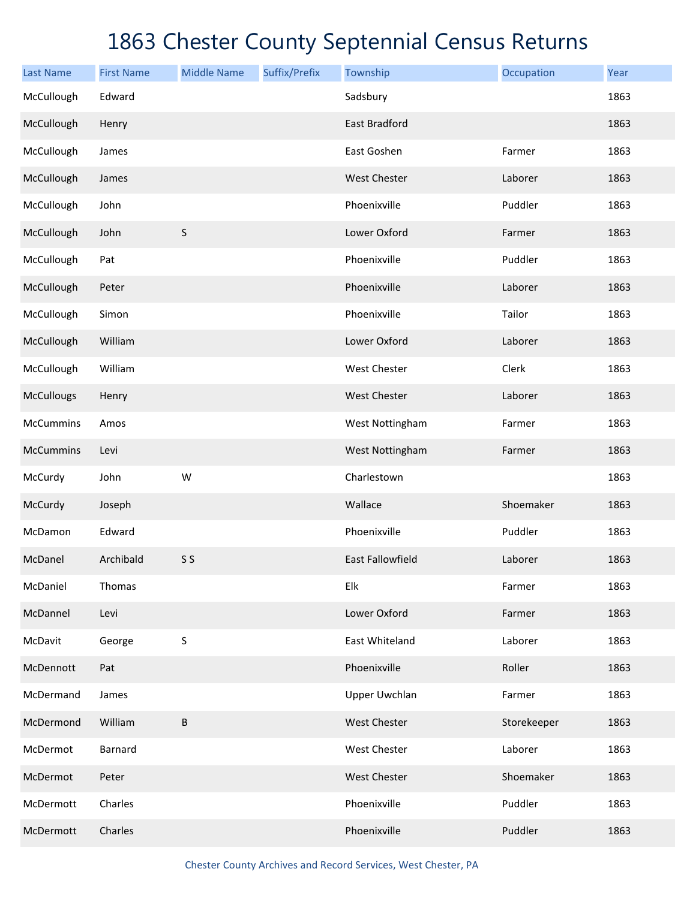| <b>Last Name</b>  | <b>First Name</b> | <b>Middle Name</b> | Suffix/Prefix | Township                | Occupation  | Year |
|-------------------|-------------------|--------------------|---------------|-------------------------|-------------|------|
| McCullough        | Edward            |                    |               | Sadsbury                |             | 1863 |
| McCullough        | Henry             |                    |               | <b>East Bradford</b>    |             | 1863 |
| McCullough        | James             |                    |               | East Goshen             | Farmer      | 1863 |
| McCullough        | James             |                    |               | <b>West Chester</b>     | Laborer     | 1863 |
| McCullough        | John              |                    |               | Phoenixville            | Puddler     | 1863 |
| McCullough        | John              | $\sf S$            |               | Lower Oxford            | Farmer      | 1863 |
| McCullough        | Pat               |                    |               | Phoenixville            | Puddler     | 1863 |
| McCullough        | Peter             |                    |               | Phoenixville            | Laborer     | 1863 |
| McCullough        | Simon             |                    |               | Phoenixville            | Tailor      | 1863 |
| McCullough        | William           |                    |               | Lower Oxford            | Laborer     | 1863 |
| McCullough        | William           |                    |               | West Chester            | Clerk       | 1863 |
| <b>McCullougs</b> | Henry             |                    |               | <b>West Chester</b>     | Laborer     | 1863 |
| McCummins         | Amos              |                    |               | West Nottingham         | Farmer      | 1863 |
| <b>McCummins</b>  | Levi              |                    |               | West Nottingham         | Farmer      | 1863 |
| McCurdy           | John              | W                  |               | Charlestown             |             | 1863 |
| McCurdy           | Joseph            |                    |               | Wallace                 | Shoemaker   | 1863 |
| McDamon           | Edward            |                    |               | Phoenixville            | Puddler     | 1863 |
| McDanel           | Archibald         | S S                |               | <b>East Fallowfield</b> | Laborer     | 1863 |
| McDaniel          | Thomas            |                    |               | Elk                     | Farmer      | 1863 |
| McDannel          | Levi              |                    |               | Lower Oxford            | Farmer      | 1863 |
| McDavit           | George            | S                  |               | East Whiteland          | Laborer     | 1863 |
| McDennott         | Pat               |                    |               | Phoenixville            | Roller      | 1863 |
| McDermand         | James             |                    |               | <b>Upper Uwchlan</b>    | Farmer      | 1863 |
| McDermond         | William           | $\sf B$            |               | <b>West Chester</b>     | Storekeeper | 1863 |
| McDermot          | <b>Barnard</b>    |                    |               | West Chester            | Laborer     | 1863 |
| McDermot          | Peter             |                    |               | <b>West Chester</b>     | Shoemaker   | 1863 |
| McDermott         | Charles           |                    |               | Phoenixville            | Puddler     | 1863 |
| McDermott         | Charles           |                    |               | Phoenixville            | Puddler     | 1863 |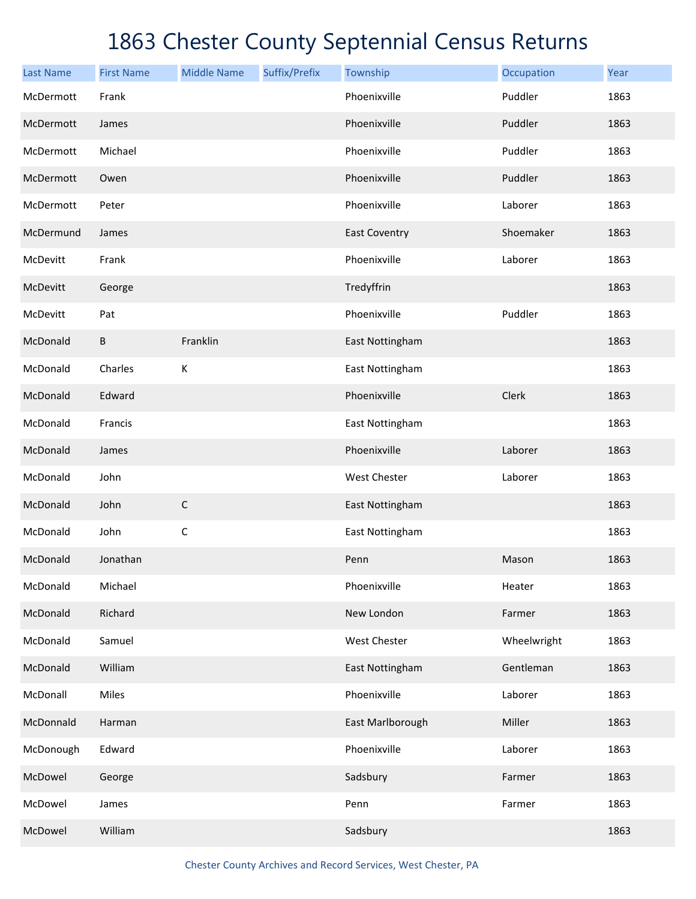| <b>Last Name</b> | <b>First Name</b> | <b>Middle Name</b> | Suffix/Prefix | Township             | Occupation  | Year |
|------------------|-------------------|--------------------|---------------|----------------------|-------------|------|
| McDermott        | Frank             |                    |               | Phoenixville         | Puddler     | 1863 |
| McDermott        | James             |                    |               | Phoenixville         | Puddler     | 1863 |
| McDermott        | Michael           |                    |               | Phoenixville         | Puddler     | 1863 |
| McDermott        | Owen              |                    |               | Phoenixville         | Puddler     | 1863 |
| McDermott        | Peter             |                    |               | Phoenixville         | Laborer     | 1863 |
| McDermund        | James             |                    |               | <b>East Coventry</b> | Shoemaker   | 1863 |
| McDevitt         | Frank             |                    |               | Phoenixville         | Laborer     | 1863 |
| McDevitt         | George            |                    |               | Tredyffrin           |             | 1863 |
| McDevitt         | Pat               |                    |               | Phoenixville         | Puddler     | 1863 |
| McDonald         | B                 | Franklin           |               | East Nottingham      |             | 1863 |
| McDonald         | Charles           | К                  |               | East Nottingham      |             | 1863 |
| McDonald         | Edward            |                    |               | Phoenixville         | Clerk       | 1863 |
| McDonald         | Francis           |                    |               | East Nottingham      |             | 1863 |
| McDonald         | James             |                    |               | Phoenixville         | Laborer     | 1863 |
| McDonald         | John              |                    |               | West Chester         | Laborer     | 1863 |
| McDonald         | John              | $\mathsf C$        |               | East Nottingham      |             | 1863 |
| McDonald         | John              | $\mathsf C$        |               | East Nottingham      |             | 1863 |
| McDonald         | Jonathan          |                    |               | Penn                 | Mason       | 1863 |
| McDonald         | Michael           |                    |               | Phoenixville         | Heater      | 1863 |
| McDonald         | Richard           |                    |               | New London           | Farmer      | 1863 |
| McDonald         | Samuel            |                    |               | West Chester         | Wheelwright | 1863 |
| McDonald         | William           |                    |               | East Nottingham      | Gentleman   | 1863 |
| McDonall         | Miles             |                    |               | Phoenixville         | Laborer     | 1863 |
| McDonnald        | Harman            |                    |               | East Marlborough     | Miller      | 1863 |
| McDonough        | Edward            |                    |               | Phoenixville         | Laborer     | 1863 |
| McDowel          | George            |                    |               | Sadsbury             | Farmer      | 1863 |
| McDowel          | James             |                    |               | Penn                 | Farmer      | 1863 |
| McDowel          | William           |                    |               | Sadsbury             |             | 1863 |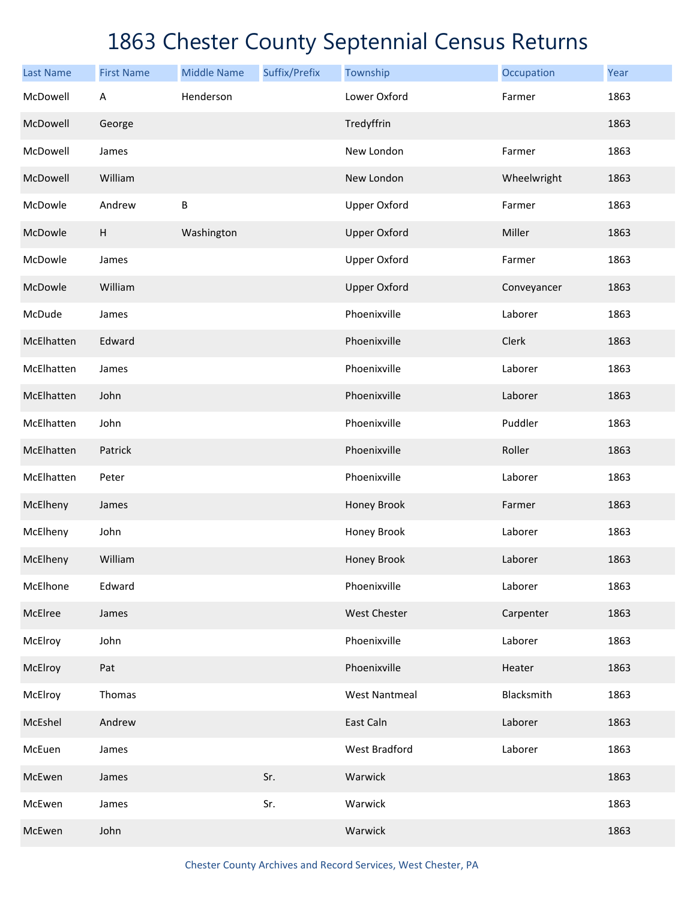| <b>Last Name</b> | <b>First Name</b>         | <b>Middle Name</b> | Suffix/Prefix | Township             | Occupation  | Year |
|------------------|---------------------------|--------------------|---------------|----------------------|-------------|------|
| McDowell         | A                         | Henderson          |               | Lower Oxford         | Farmer      | 1863 |
| McDowell         | George                    |                    |               | Tredyffrin           |             | 1863 |
| McDowell         | James                     |                    |               | New London           | Farmer      | 1863 |
| McDowell         | William                   |                    |               | New London           | Wheelwright | 1863 |
| McDowle          | Andrew                    | $\sf B$            |               | <b>Upper Oxford</b>  | Farmer      | 1863 |
| McDowle          | $\boldsymbol{\mathsf{H}}$ | Washington         |               | <b>Upper Oxford</b>  | Miller      | 1863 |
| McDowle          | James                     |                    |               | <b>Upper Oxford</b>  | Farmer      | 1863 |
| McDowle          | William                   |                    |               | <b>Upper Oxford</b>  | Conveyancer | 1863 |
| McDude           | James                     |                    |               | Phoenixville         | Laborer     | 1863 |
| McElhatten       | Edward                    |                    |               | Phoenixville         | Clerk       | 1863 |
| McElhatten       | James                     |                    |               | Phoenixville         | Laborer     | 1863 |
| McElhatten       | John                      |                    |               | Phoenixville         | Laborer     | 1863 |
| McElhatten       | John                      |                    |               | Phoenixville         | Puddler     | 1863 |
| McElhatten       | Patrick                   |                    |               | Phoenixville         | Roller      | 1863 |
| McElhatten       | Peter                     |                    |               | Phoenixville         | Laborer     | 1863 |
| McElheny         | James                     |                    |               | Honey Brook          | Farmer      | 1863 |
| McElheny         | John                      |                    |               | Honey Brook          | Laborer     | 1863 |
| McElheny         | William                   |                    |               | <b>Honey Brook</b>   | Laborer     | 1863 |
| McElhone         | Edward                    |                    |               | Phoenixville         | Laborer     | 1863 |
| McElree          | James                     |                    |               | <b>West Chester</b>  | Carpenter   | 1863 |
| McElroy          | John                      |                    |               | Phoenixville         | Laborer     | 1863 |
| McElroy          | Pat                       |                    |               | Phoenixville         | Heater      | 1863 |
| McElroy          | Thomas                    |                    |               | <b>West Nantmeal</b> | Blacksmith  | 1863 |
| McEshel          | Andrew                    |                    |               | East Caln            | Laborer     | 1863 |
| McEuen           | James                     |                    |               | <b>West Bradford</b> | Laborer     | 1863 |
| McEwen           | James                     |                    | Sr.           | Warwick              |             | 1863 |
| McEwen           | James                     |                    | Sr.           | Warwick              |             | 1863 |
| McEwen           | John                      |                    |               | Warwick              |             | 1863 |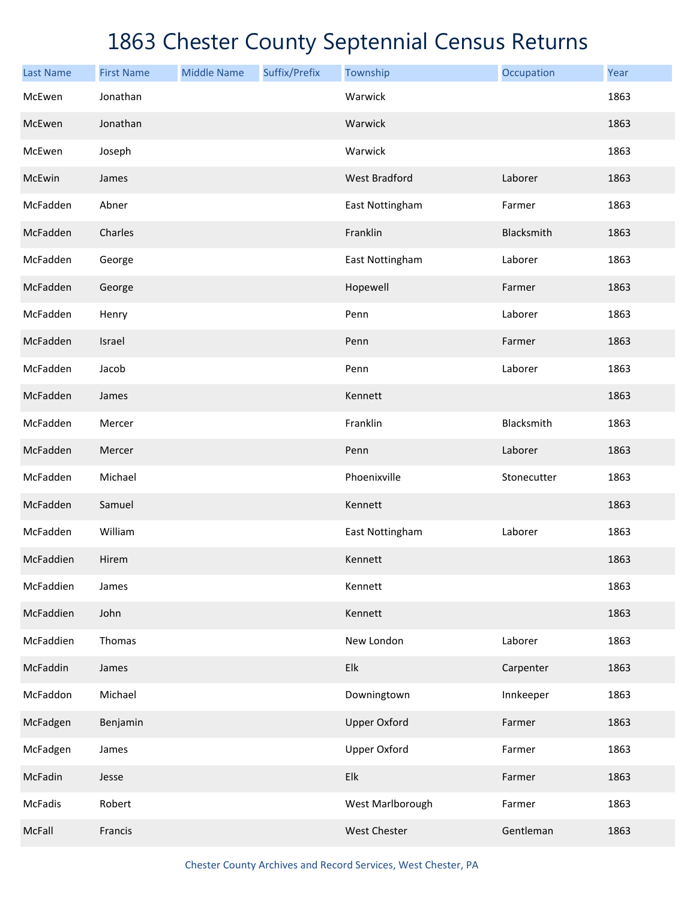| <b>Last Name</b> | <b>First Name</b> | <b>Middle Name</b> | Suffix/Prefix | Township             | Occupation  | Year |
|------------------|-------------------|--------------------|---------------|----------------------|-------------|------|
| McEwen           | Jonathan          |                    |               | Warwick              |             | 1863 |
| McEwen           | Jonathan          |                    |               | Warwick              |             | 1863 |
| McEwen           | Joseph            |                    |               | Warwick              |             | 1863 |
| McEwin           | James             |                    |               | <b>West Bradford</b> | Laborer     | 1863 |
| McFadden         | Abner             |                    |               | East Nottingham      | Farmer      | 1863 |
| McFadden         | Charles           |                    |               | Franklin             | Blacksmith  | 1863 |
| McFadden         | George            |                    |               | East Nottingham      | Laborer     | 1863 |
| McFadden         | George            |                    |               | Hopewell             | Farmer      | 1863 |
| McFadden         | Henry             |                    |               | Penn                 | Laborer     | 1863 |
| McFadden         | Israel            |                    |               | Penn                 | Farmer      | 1863 |
| McFadden         | Jacob             |                    |               | Penn                 | Laborer     | 1863 |
| McFadden         | James             |                    |               | Kennett              |             | 1863 |
| McFadden         | Mercer            |                    |               | Franklin             | Blacksmith  | 1863 |
| McFadden         | Mercer            |                    |               | Penn                 | Laborer     | 1863 |
| McFadden         | Michael           |                    |               | Phoenixville         | Stonecutter | 1863 |
| McFadden         | Samuel            |                    |               | Kennett              |             | 1863 |
| McFadden         | William           |                    |               | East Nottingham      | Laborer     | 1863 |
| McFaddien        | Hirem             |                    |               | Kennett              |             | 1863 |
| McFaddien        | James             |                    |               | Kennett              |             | 1863 |
| McFaddien        | John              |                    |               | Kennett              |             | 1863 |
| McFaddien        | Thomas            |                    |               | New London           | Laborer     | 1863 |
| McFaddin         | James             |                    |               | Elk                  | Carpenter   | 1863 |
| McFaddon         | Michael           |                    |               | Downingtown          | Innkeeper   | 1863 |
| McFadgen         | Benjamin          |                    |               | <b>Upper Oxford</b>  | Farmer      | 1863 |
| McFadgen         | James             |                    |               | Upper Oxford         | Farmer      | 1863 |
| McFadin          | Jesse             |                    |               | Elk                  | Farmer      | 1863 |
| McFadis          | Robert            |                    |               | West Marlborough     | Farmer      | 1863 |
| McFall           | Francis           |                    |               | West Chester         | Gentleman   | 1863 |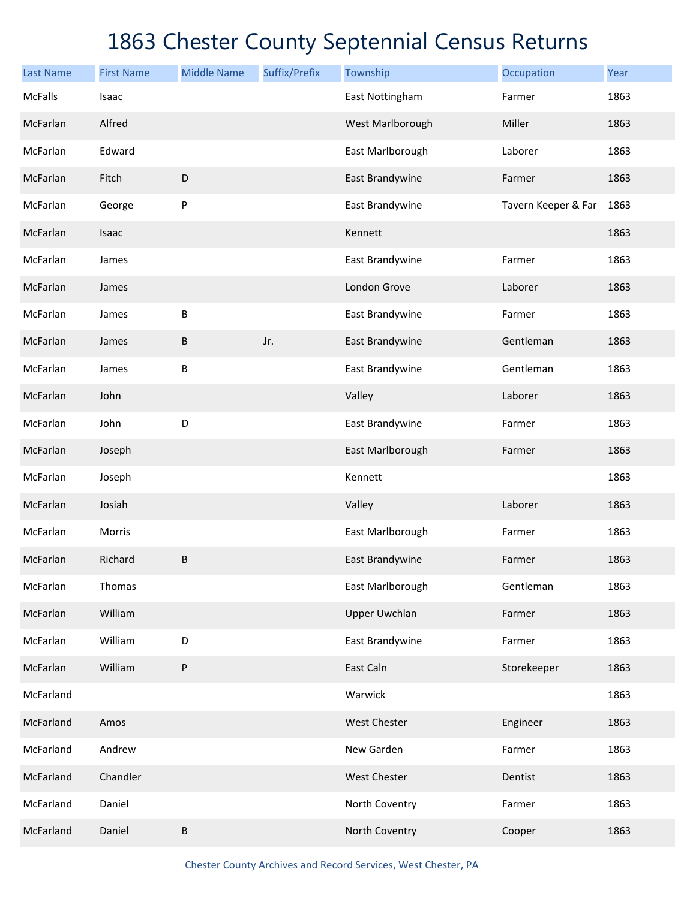| <b>Last Name</b> | <b>First Name</b> | <b>Middle Name</b> | Suffix/Prefix | Township             | Occupation          | Year |
|------------------|-------------------|--------------------|---------------|----------------------|---------------------|------|
| <b>McFalls</b>   | Isaac             |                    |               | East Nottingham      | Farmer              | 1863 |
| McFarlan         | Alfred            |                    |               | West Marlborough     | Miller              | 1863 |
| McFarlan         | Edward            |                    |               | East Marlborough     | Laborer             | 1863 |
| McFarlan         | Fitch             | D                  |               | East Brandywine      | Farmer              | 1863 |
| McFarlan         | George            | P                  |               | East Brandywine      | Tavern Keeper & Far | 1863 |
| McFarlan         | Isaac             |                    |               | Kennett              |                     | 1863 |
| McFarlan         | James             |                    |               | East Brandywine      | Farmer              | 1863 |
| McFarlan         | James             |                    |               | London Grove         | Laborer             | 1863 |
| McFarlan         | James             | $\sf B$            |               | East Brandywine      | Farmer              | 1863 |
| McFarlan         | James             | $\sf B$            | Jr.           | East Brandywine      | Gentleman           | 1863 |
| McFarlan         | James             | B                  |               | East Brandywine      | Gentleman           | 1863 |
| McFarlan         | John              |                    |               | Valley               | Laborer             | 1863 |
| McFarlan         | John              | D                  |               | East Brandywine      | Farmer              | 1863 |
| McFarlan         | Joseph            |                    |               | East Marlborough     | Farmer              | 1863 |
| McFarlan         | Joseph            |                    |               | Kennett              |                     | 1863 |
| McFarlan         | Josiah            |                    |               | Valley               | Laborer             | 1863 |
| McFarlan         | Morris            |                    |               | East Marlborough     | Farmer              | 1863 |
| McFarlan         | Richard           | $\sf B$            |               | East Brandywine      | Farmer              | 1863 |
| McFarlan         | Thomas            |                    |               | East Marlborough     | Gentleman           | 1863 |
| McFarlan         | William           |                    |               | <b>Upper Uwchlan</b> | Farmer              | 1863 |
| McFarlan         | William           | D                  |               | East Brandywine      | Farmer              | 1863 |
| McFarlan         | William           | $\sf P$            |               | East Caln            | Storekeeper         | 1863 |
| McFarland        |                   |                    |               | Warwick              |                     | 1863 |
| McFarland        | Amos              |                    |               | <b>West Chester</b>  | Engineer            | 1863 |
| McFarland        | Andrew            |                    |               | New Garden           | Farmer              | 1863 |
| McFarland        | Chandler          |                    |               | West Chester         | Dentist             | 1863 |
| McFarland        | Daniel            |                    |               | North Coventry       | Farmer              | 1863 |
| McFarland        | Daniel            | $\sf B$            |               | North Coventry       | Cooper              | 1863 |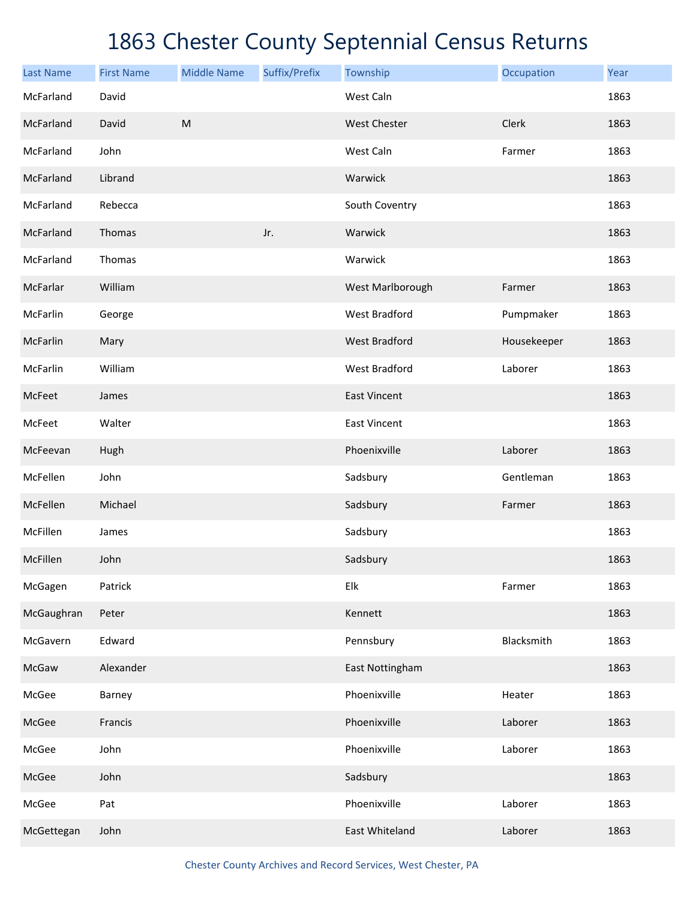| <b>Last Name</b> | <b>First Name</b> | <b>Middle Name</b> | Suffix/Prefix | Township             | Occupation  | Year |
|------------------|-------------------|--------------------|---------------|----------------------|-------------|------|
| McFarland        | David             |                    |               | West Caln            |             | 1863 |
| McFarland        | David             | ${\sf M}$          |               | <b>West Chester</b>  | Clerk       | 1863 |
| McFarland        | John              |                    |               | West Caln            | Farmer      | 1863 |
| McFarland        | Librand           |                    |               | Warwick              |             | 1863 |
| McFarland        | Rebecca           |                    |               | South Coventry       |             | 1863 |
| McFarland        | Thomas            |                    | Jr.           | Warwick              |             | 1863 |
| McFarland        | Thomas            |                    |               | Warwick              |             | 1863 |
| McFarlar         | William           |                    |               | West Marlborough     | Farmer      | 1863 |
| McFarlin         | George            |                    |               | <b>West Bradford</b> | Pumpmaker   | 1863 |
| McFarlin         | Mary              |                    |               | <b>West Bradford</b> | Housekeeper | 1863 |
| McFarlin         | William           |                    |               | <b>West Bradford</b> | Laborer     | 1863 |
| McFeet           | James             |                    |               | <b>East Vincent</b>  |             | 1863 |
| McFeet           | Walter            |                    |               | <b>East Vincent</b>  |             | 1863 |
| McFeevan         | Hugh              |                    |               | Phoenixville         | Laborer     | 1863 |
| McFellen         | John              |                    |               | Sadsbury             | Gentleman   | 1863 |
| McFellen         | Michael           |                    |               | Sadsbury             | Farmer      | 1863 |
| McFillen         | James             |                    |               | Sadsbury             |             | 1863 |
| McFillen         | John              |                    |               | Sadsbury             |             | 1863 |
| McGagen          | Patrick           |                    |               | Elk                  | Farmer      | 1863 |
| McGaughran       | Peter             |                    |               | Kennett              |             | 1863 |
| McGavern         | Edward            |                    |               | Pennsbury            | Blacksmith  | 1863 |
| McGaw            | Alexander         |                    |               | East Nottingham      |             | 1863 |
| McGee            | Barney            |                    |               | Phoenixville         | Heater      | 1863 |
| McGee            | Francis           |                    |               | Phoenixville         | Laborer     | 1863 |
| McGee            | John              |                    |               | Phoenixville         | Laborer     | 1863 |
| McGee            | John              |                    |               | Sadsbury             |             | 1863 |
| McGee            | Pat               |                    |               | Phoenixville         | Laborer     | 1863 |
| McGettegan       | John              |                    |               | East Whiteland       | Laborer     | 1863 |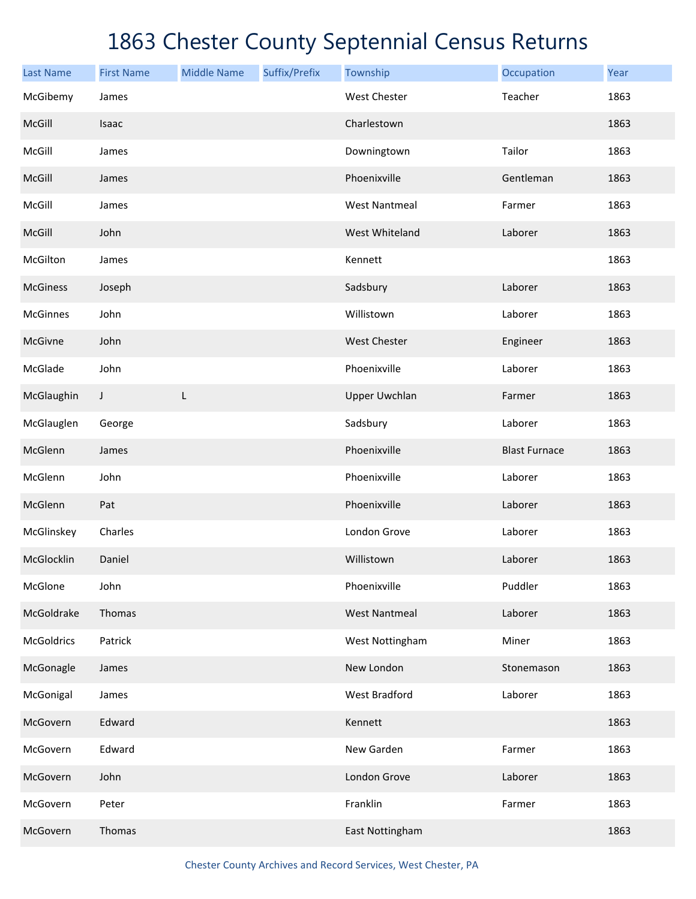| <b>Last Name</b> | <b>First Name</b> | <b>Middle Name</b> | Suffix/Prefix | Township             | Occupation           | Year |
|------------------|-------------------|--------------------|---------------|----------------------|----------------------|------|
| McGibemy         | James             |                    |               | <b>West Chester</b>  | Teacher              | 1863 |
| McGill           | Isaac             |                    |               | Charlestown          |                      | 1863 |
| McGill           | James             |                    |               | Downingtown          | Tailor               | 1863 |
| McGill           | James             |                    |               | Phoenixville         | Gentleman            | 1863 |
| McGill           | James             |                    |               | <b>West Nantmeal</b> | Farmer               | 1863 |
| McGill           | John              |                    |               | West Whiteland       | Laborer              | 1863 |
| McGilton         | James             |                    |               | Kennett              |                      | 1863 |
| <b>McGiness</b>  | Joseph            |                    |               | Sadsbury             | Laborer              | 1863 |
| <b>McGinnes</b>  | John              |                    |               | Willistown           | Laborer              | 1863 |
| McGivne          | John              |                    |               | <b>West Chester</b>  | Engineer             | 1863 |
| McGlade          | John              |                    |               | Phoenixville         | Laborer              | 1863 |
| McGlaughin       | J                 | L                  |               | <b>Upper Uwchlan</b> | Farmer               | 1863 |
| McGlauglen       | George            |                    |               | Sadsbury             | Laborer              | 1863 |
| McGlenn          | James             |                    |               | Phoenixville         | <b>Blast Furnace</b> | 1863 |
| McGlenn          | John              |                    |               | Phoenixville         | Laborer              | 1863 |
| McGlenn          | Pat               |                    |               | Phoenixville         | Laborer              | 1863 |
| McGlinskey       | Charles           |                    |               | London Grove         | Laborer              | 1863 |
| McGlocklin       | Daniel            |                    |               | Willistown           | Laborer              | 1863 |
| McGlone          | John              |                    |               | Phoenixville         | Puddler              | 1863 |
| McGoldrake       | Thomas            |                    |               | <b>West Nantmeal</b> | Laborer              | 1863 |
| McGoldrics       | Patrick           |                    |               | West Nottingham      | Miner                | 1863 |
| McGonagle        | James             |                    |               | New London           | Stonemason           | 1863 |
| McGonigal        | James             |                    |               | West Bradford        | Laborer              | 1863 |
| McGovern         | Edward            |                    |               | Kennett              |                      | 1863 |
| McGovern         | Edward            |                    |               | New Garden           | Farmer               | 1863 |
| McGovern         | John              |                    |               | London Grove         | Laborer              | 1863 |
| McGovern         | Peter             |                    |               | Franklin             | Farmer               | 1863 |
| McGovern         | Thomas            |                    |               | East Nottingham      |                      | 1863 |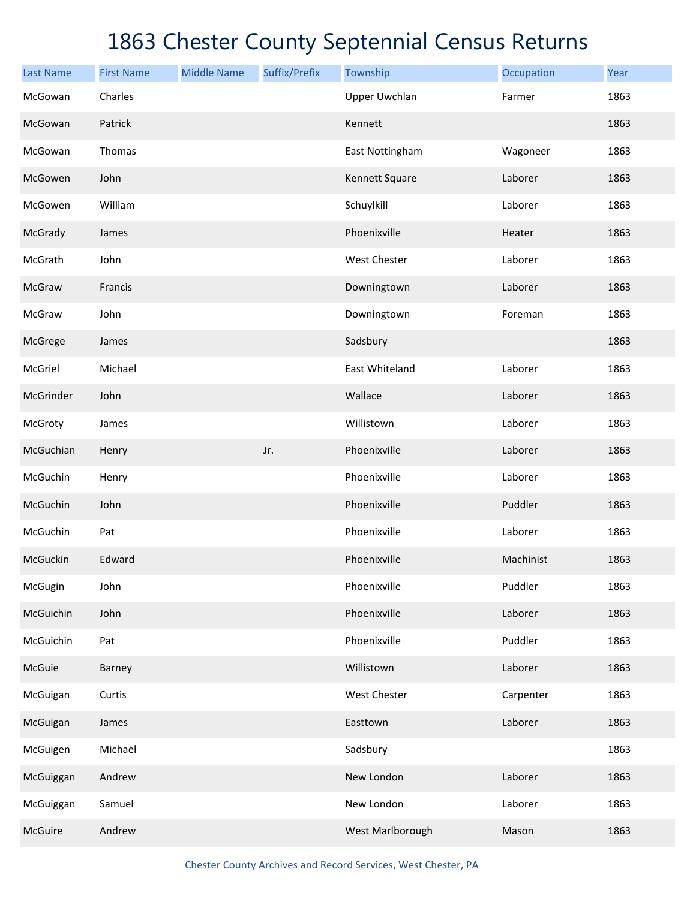| <b>Last Name</b> | <b>First Name</b> | <b>Middle Name</b> | Suffix/Prefix | Township             | Occupation | Year |
|------------------|-------------------|--------------------|---------------|----------------------|------------|------|
| McGowan          | Charles           |                    |               | <b>Upper Uwchlan</b> | Farmer     | 1863 |
| McGowan          | Patrick           |                    |               | Kennett              |            | 1863 |
| McGowan          | Thomas            |                    |               | East Nottingham      | Wagoneer   | 1863 |
| McGowen          | John              |                    |               | Kennett Square       | Laborer    | 1863 |
| McGowen          | William           |                    |               | Schuylkill           | Laborer    | 1863 |
| McGrady          | James             |                    |               | Phoenixville         | Heater     | 1863 |
| McGrath          | John              |                    |               | West Chester         | Laborer    | 1863 |
| McGraw           | Francis           |                    |               | Downingtown          | Laborer    | 1863 |
| McGraw           | John              |                    |               | Downingtown          | Foreman    | 1863 |
| McGrege          | James             |                    |               | Sadsbury             |            | 1863 |
| McGriel          | Michael           |                    |               | East Whiteland       | Laborer    | 1863 |
| McGrinder        | John              |                    |               | Wallace              | Laborer    | 1863 |
| McGroty          | James             |                    |               | Willistown           | Laborer    | 1863 |
| McGuchian        | Henry             |                    | Jr.           | Phoenixville         | Laborer    | 1863 |
| McGuchin         | Henry             |                    |               | Phoenixville         | Laborer    | 1863 |
| McGuchin         | John              |                    |               | Phoenixville         | Puddler    | 1863 |
| McGuchin         | Pat               |                    |               | Phoenixville         | Laborer    | 1863 |
| McGuckin         | Edward            |                    |               | Phoenixville         | Machinist  | 1863 |
| McGugin          | John              |                    |               | Phoenixville         | Puddler    | 1863 |
| McGuichin        | John              |                    |               | Phoenixville         | Laborer    | 1863 |
| McGuichin        | Pat               |                    |               | Phoenixville         | Puddler    | 1863 |
| McGuie           | Barney            |                    |               | Willistown           | Laborer    | 1863 |
| McGuigan         | Curtis            |                    |               | <b>West Chester</b>  | Carpenter  | 1863 |
| McGuigan         | James             |                    |               | Easttown             | Laborer    | 1863 |
| McGuigen         | Michael           |                    |               | Sadsbury             |            | 1863 |
| McGuiggan        | Andrew            |                    |               | New London           | Laborer    | 1863 |
| McGuiggan        | Samuel            |                    |               | New London           | Laborer    | 1863 |
| McGuire          | Andrew            |                    |               | West Marlborough     | Mason      | 1863 |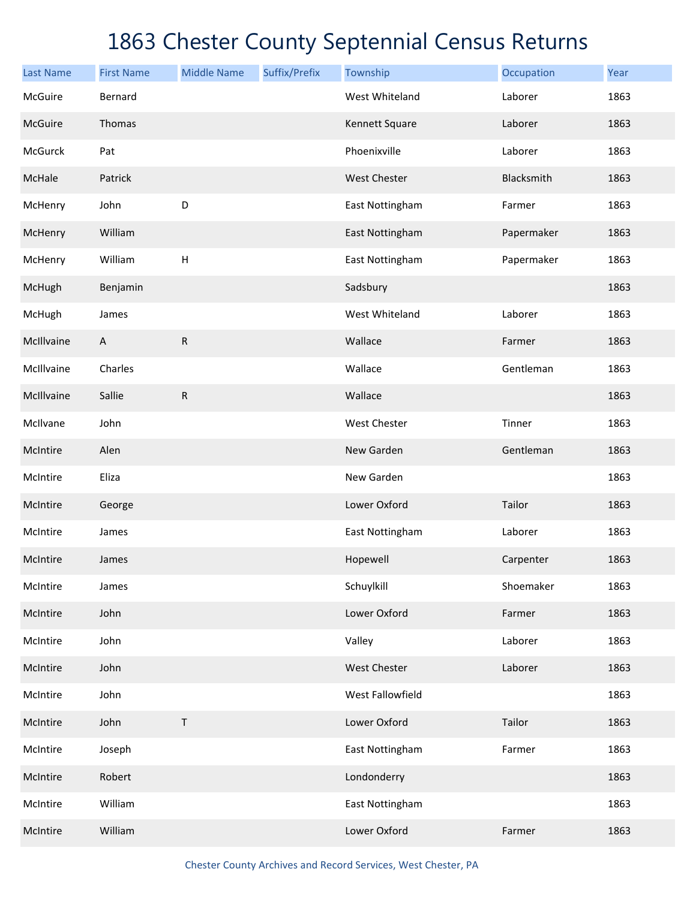| <b>Last Name</b> | <b>First Name</b>         | <b>Middle Name</b> | Suffix/Prefix | Township            | Occupation | Year |
|------------------|---------------------------|--------------------|---------------|---------------------|------------|------|
| McGuire          | Bernard                   |                    |               | West Whiteland      | Laborer    | 1863 |
| McGuire          | Thomas                    |                    |               | Kennett Square      | Laborer    | 1863 |
| McGurck          | Pat                       |                    |               | Phoenixville        | Laborer    | 1863 |
| McHale           | Patrick                   |                    |               | <b>West Chester</b> | Blacksmith | 1863 |
| McHenry          | John                      | D                  |               | East Nottingham     | Farmer     | 1863 |
| McHenry          | William                   |                    |               | East Nottingham     | Papermaker | 1863 |
| McHenry          | William                   | $\mathsf H$        |               | East Nottingham     | Papermaker | 1863 |
| McHugh           | Benjamin                  |                    |               | Sadsbury            |            | 1863 |
| McHugh           | James                     |                    |               | West Whiteland      | Laborer    | 1863 |
| McIllvaine       | $\boldsymbol{\mathsf{A}}$ | ${\sf R}$          |               | Wallace             | Farmer     | 1863 |
| McIllvaine       | Charles                   |                    |               | Wallace             | Gentleman  | 1863 |
| McIllvaine       | Sallie                    | ${\sf R}$          |               | Wallace             |            | 1863 |
| McIlvane         | John                      |                    |               | <b>West Chester</b> | Tinner     | 1863 |
| McIntire         | Alen                      |                    |               | New Garden          | Gentleman  | 1863 |
| McIntire         | Eliza                     |                    |               | New Garden          |            | 1863 |
| McIntire         | George                    |                    |               | Lower Oxford        | Tailor     | 1863 |
| McIntire         | James                     |                    |               | East Nottingham     | Laborer    | 1863 |
| McIntire         | James                     |                    |               | Hopewell            | Carpenter  | 1863 |
| McIntire         | James                     |                    |               | Schuylkill          | Shoemaker  | 1863 |
| McIntire         | John                      |                    |               | Lower Oxford        | Farmer     | 1863 |
| McIntire         | John                      |                    |               | Valley              | Laborer    | 1863 |
| McIntire         | John                      |                    |               | West Chester        | Laborer    | 1863 |
| McIntire         | John                      |                    |               | West Fallowfield    |            | 1863 |
| McIntire         | John                      | $\mathsf T$        |               | Lower Oxford        | Tailor     | 1863 |
| McIntire         | Joseph                    |                    |               | East Nottingham     | Farmer     | 1863 |
| McIntire         | Robert                    |                    |               | Londonderry         |            | 1863 |
| McIntire         | William                   |                    |               | East Nottingham     |            | 1863 |
| McIntire         | William                   |                    |               | Lower Oxford        | Farmer     | 1863 |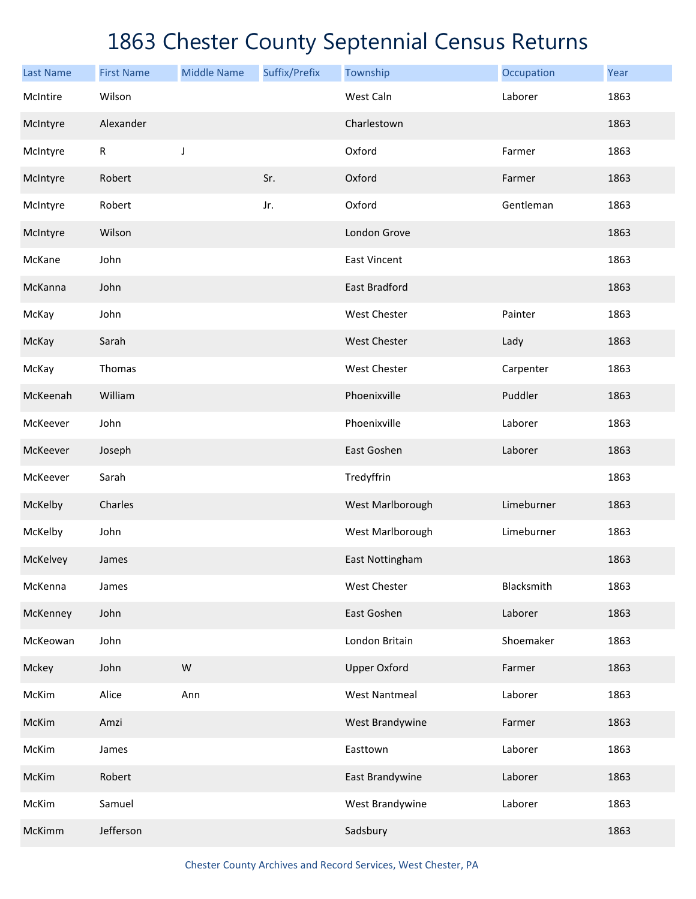| <b>Last Name</b> | <b>First Name</b> | <b>Middle Name</b> | Suffix/Prefix | Township             | Occupation | Year |
|------------------|-------------------|--------------------|---------------|----------------------|------------|------|
| McIntire         | Wilson            |                    |               | West Caln            | Laborer    | 1863 |
| McIntyre         | Alexander         |                    |               | Charlestown          |            | 1863 |
| McIntyre         | ${\sf R}$         | J                  |               | Oxford               | Farmer     | 1863 |
| McIntyre         | Robert            |                    | Sr.           | Oxford               | Farmer     | 1863 |
| McIntyre         | Robert            |                    | Jr.           | Oxford               | Gentleman  | 1863 |
| McIntyre         | Wilson            |                    |               | London Grove         |            | 1863 |
| McKane           | John              |                    |               | <b>East Vincent</b>  |            | 1863 |
| McKanna          | John              |                    |               | <b>East Bradford</b> |            | 1863 |
| McKay            | John              |                    |               | West Chester         | Painter    | 1863 |
| McKay            | Sarah             |                    |               | West Chester         | Lady       | 1863 |
| McKay            | Thomas            |                    |               | West Chester         | Carpenter  | 1863 |
| McKeenah         | William           |                    |               | Phoenixville         | Puddler    | 1863 |
| McKeever         | John              |                    |               | Phoenixville         | Laborer    | 1863 |
| McKeever         | Joseph            |                    |               | East Goshen          | Laborer    | 1863 |
| McKeever         | Sarah             |                    |               | Tredyffrin           |            | 1863 |
| McKelby          | Charles           |                    |               | West Marlborough     | Limeburner | 1863 |
| McKelby          | John              |                    |               | West Marlborough     | Limeburner | 1863 |
| McKelvey         | James             |                    |               | East Nottingham      |            | 1863 |
| McKenna          | James             |                    |               | West Chester         | Blacksmith | 1863 |
| McKenney         | John              |                    |               | East Goshen          | Laborer    | 1863 |
| McKeowan         | John              |                    |               | London Britain       | Shoemaker  | 1863 |
| Mckey            | John              | W                  |               | <b>Upper Oxford</b>  | Farmer     | 1863 |
| McKim            | Alice             | Ann                |               | <b>West Nantmeal</b> | Laborer    | 1863 |
| McKim            | Amzi              |                    |               | West Brandywine      | Farmer     | 1863 |
| McKim            | James             |                    |               | Easttown             | Laborer    | 1863 |
| McKim            | Robert            |                    |               | East Brandywine      | Laborer    | 1863 |
| McKim            | Samuel            |                    |               | West Brandywine      | Laborer    | 1863 |
| McKimm           | Jefferson         |                    |               | Sadsbury             |            | 1863 |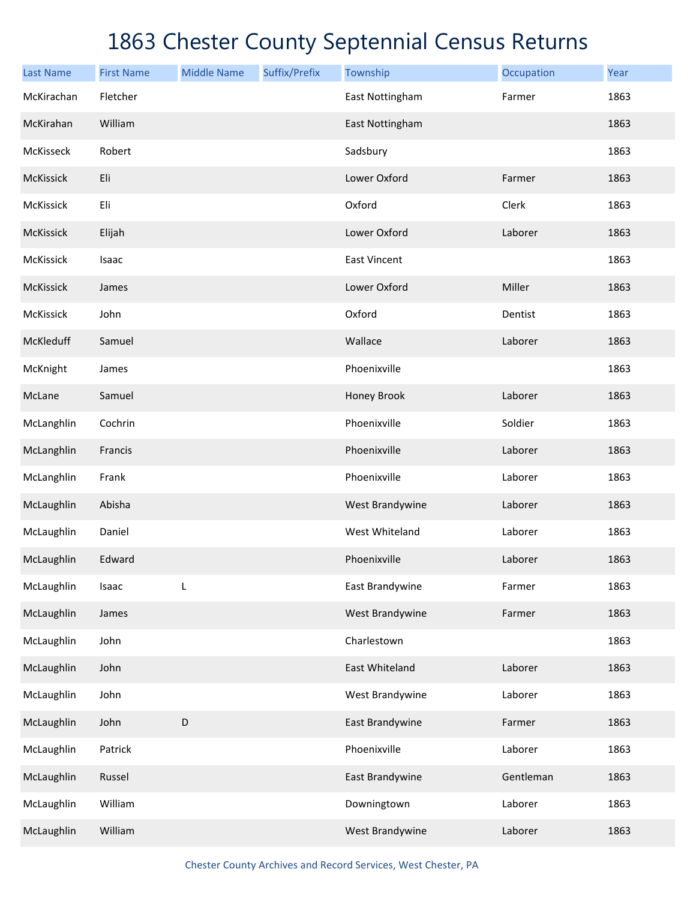| <b>Last Name</b> | <b>First Name</b> | <b>Middle Name</b> | Suffix/Prefix | Township            | Occupation | Year |
|------------------|-------------------|--------------------|---------------|---------------------|------------|------|
| McKirachan       | Fletcher          |                    |               | East Nottingham     | Farmer     | 1863 |
| McKirahan        | William           |                    |               | East Nottingham     |            | 1863 |
| McKisseck        | Robert            |                    |               | Sadsbury            |            | 1863 |
| McKissick        | Eli               |                    |               | Lower Oxford        | Farmer     | 1863 |
| <b>McKissick</b> | Eli               |                    |               | Oxford              | Clerk      | 1863 |
| McKissick        | Elijah            |                    |               | Lower Oxford        | Laborer    | 1863 |
| McKissick        | Isaac             |                    |               | <b>East Vincent</b> |            | 1863 |
| McKissick        | James             |                    |               | Lower Oxford        | Miller     | 1863 |
| <b>McKissick</b> | John              |                    |               | Oxford              | Dentist    | 1863 |
| McKleduff        | Samuel            |                    |               | Wallace             | Laborer    | 1863 |
| McKnight         | James             |                    |               | Phoenixville        |            | 1863 |
| McLane           | Samuel            |                    |               | Honey Brook         | Laborer    | 1863 |
| McLanghlin       | Cochrin           |                    |               | Phoenixville        | Soldier    | 1863 |
| McLanghlin       | Francis           |                    |               | Phoenixville        | Laborer    | 1863 |
| McLanghlin       | Frank             |                    |               | Phoenixville        | Laborer    | 1863 |
| McLaughlin       | Abisha            |                    |               | West Brandywine     | Laborer    | 1863 |
| McLaughlin       | Daniel            |                    |               | West Whiteland      | Laborer    | 1863 |
| McLaughlin       | Edward            |                    |               | Phoenixville        | Laborer    | 1863 |
| McLaughlin       | Isaac             | L                  |               | East Brandywine     | Farmer     | 1863 |
| McLaughlin       | James             |                    |               | West Brandywine     | Farmer     | 1863 |
| McLaughlin       | John              |                    |               | Charlestown         |            | 1863 |
| McLaughlin       | John              |                    |               | East Whiteland      | Laborer    | 1863 |
| McLaughlin       | John              |                    |               | West Brandywine     | Laborer    | 1863 |
| McLaughlin       | John              | $\mathsf D$        |               | East Brandywine     | Farmer     | 1863 |
| McLaughlin       | Patrick           |                    |               | Phoenixville        | Laborer    | 1863 |
| McLaughlin       | Russel            |                    |               | East Brandywine     | Gentleman  | 1863 |
| McLaughlin       | William           |                    |               | Downingtown         | Laborer    | 1863 |
| McLaughlin       | William           |                    |               | West Brandywine     | Laborer    | 1863 |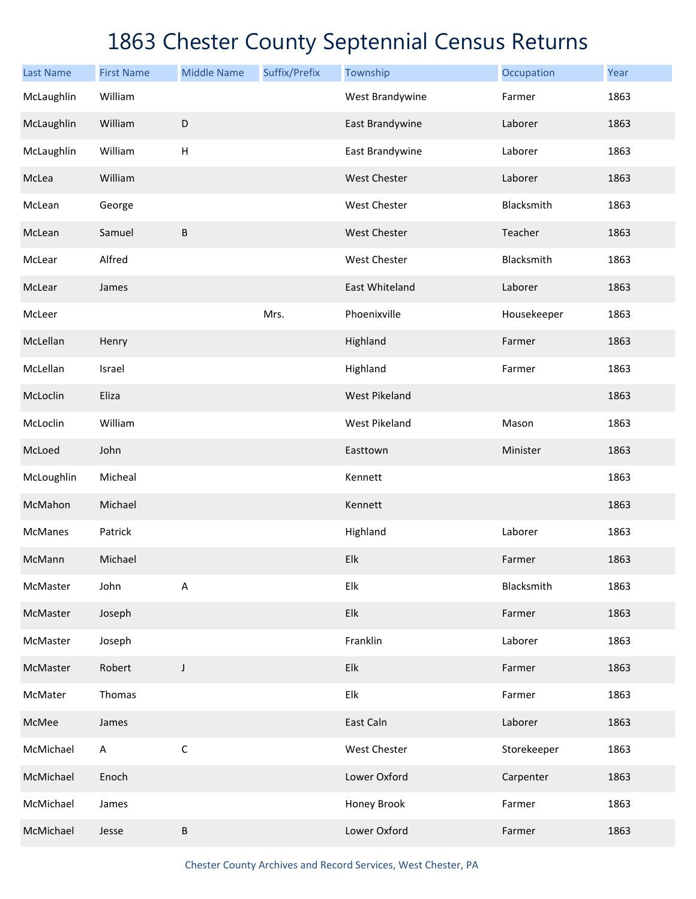| <b>Last Name</b> | <b>First Name</b> | <b>Middle Name</b> | Suffix/Prefix | Township             | Occupation  | Year |
|------------------|-------------------|--------------------|---------------|----------------------|-------------|------|
| McLaughlin       | William           |                    |               | West Brandywine      | Farmer      | 1863 |
| McLaughlin       | William           | $\mathsf D$        |               | East Brandywine      | Laborer     | 1863 |
| McLaughlin       | William           | H                  |               | East Brandywine      | Laborer     | 1863 |
| McLea            | William           |                    |               | <b>West Chester</b>  | Laborer     | 1863 |
| McLean           | George            |                    |               | West Chester         | Blacksmith  | 1863 |
| McLean           | Samuel            | B                  |               | West Chester         | Teacher     | 1863 |
| McLear           | Alfred            |                    |               | West Chester         | Blacksmith  | 1863 |
| McLear           | James             |                    |               | East Whiteland       | Laborer     | 1863 |
| McLeer           |                   |                    | Mrs.          | Phoenixville         | Housekeeper | 1863 |
| McLellan         | Henry             |                    |               | Highland             | Farmer      | 1863 |
| McLellan         | Israel            |                    |               | Highland             | Farmer      | 1863 |
| McLoclin         | Eliza             |                    |               | <b>West Pikeland</b> |             | 1863 |
| McLoclin         | William           |                    |               | West Pikeland        | Mason       | 1863 |
| McLoed           | John              |                    |               | Easttown             | Minister    | 1863 |
| McLoughlin       | Micheal           |                    |               | Kennett              |             | 1863 |
| McMahon          | Michael           |                    |               | Kennett              |             | 1863 |
| McManes          | Patrick           |                    |               | Highland             | Laborer     | 1863 |
| McMann           | Michael           |                    |               | Elk                  | Farmer      | 1863 |
| McMaster         | John              | A                  |               | Elk                  | Blacksmith  | 1863 |
| McMaster         | Joseph            |                    |               | Elk                  | Farmer      | 1863 |
| McMaster         | Joseph            |                    |               | Franklin             | Laborer     | 1863 |
| McMaster         | Robert            | J                  |               | Elk                  | Farmer      | 1863 |
| McMater          | Thomas            |                    |               | Elk                  | Farmer      | 1863 |
| McMee            | James             |                    |               | East Caln            | Laborer     | 1863 |
| McMichael        | A                 | $\mathsf C$        |               | West Chester         | Storekeeper | 1863 |
| McMichael        | Enoch             |                    |               | Lower Oxford         | Carpenter   | 1863 |
| McMichael        | James             |                    |               | Honey Brook          | Farmer      | 1863 |
| McMichael        | Jesse             | B                  |               | Lower Oxford         | Farmer      | 1863 |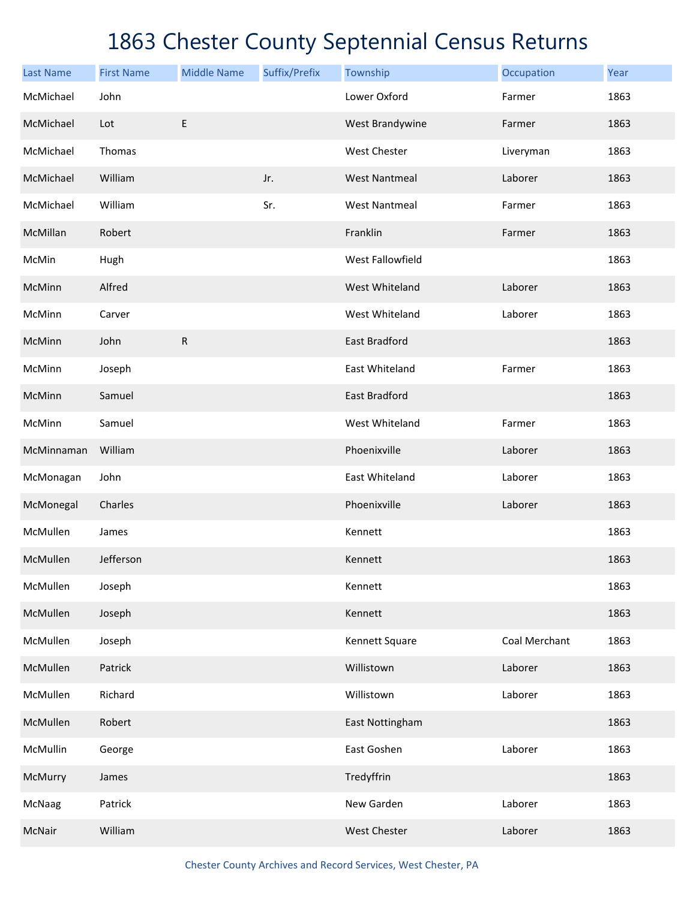| <b>Last Name</b> | <b>First Name</b> | <b>Middle Name</b> | Suffix/Prefix | Township             | Occupation    | Year |
|------------------|-------------------|--------------------|---------------|----------------------|---------------|------|
| McMichael        | John              |                    |               | Lower Oxford         | Farmer        | 1863 |
| McMichael        | Lot               | E                  |               | West Brandywine      | Farmer        | 1863 |
| McMichael        | Thomas            |                    |               | <b>West Chester</b>  | Liveryman     | 1863 |
| McMichael        | William           |                    | Jr.           | <b>West Nantmeal</b> | Laborer       | 1863 |
| McMichael        | William           |                    | Sr.           | <b>West Nantmeal</b> | Farmer        | 1863 |
| McMillan         | Robert            |                    |               | Franklin             | Farmer        | 1863 |
| McMin            | Hugh              |                    |               | West Fallowfield     |               | 1863 |
| McMinn           | Alfred            |                    |               | West Whiteland       | Laborer       | 1863 |
| McMinn           | Carver            |                    |               | West Whiteland       | Laborer       | 1863 |
| McMinn           | John              | ${\sf R}$          |               | <b>East Bradford</b> |               | 1863 |
| McMinn           | Joseph            |                    |               | East Whiteland       | Farmer        | 1863 |
| McMinn           | Samuel            |                    |               | <b>East Bradford</b> |               | 1863 |
| McMinn           | Samuel            |                    |               | West Whiteland       | Farmer        | 1863 |
| McMinnaman       | William           |                    |               | Phoenixville         | Laborer       | 1863 |
| McMonagan        | John              |                    |               | East Whiteland       | Laborer       | 1863 |
| McMonegal        | Charles           |                    |               | Phoenixville         | Laborer       | 1863 |
| McMullen         | James             |                    |               | Kennett              |               | 1863 |
| McMullen         | Jefferson         |                    |               | Kennett              |               | 1863 |
| McMullen         | Joseph            |                    |               | Kennett              |               | 1863 |
| McMullen         | Joseph            |                    |               | Kennett              |               | 1863 |
| McMullen         | Joseph            |                    |               | Kennett Square       | Coal Merchant | 1863 |
| McMullen         | Patrick           |                    |               | Willistown           | Laborer       | 1863 |
| McMullen         | Richard           |                    |               | Willistown           | Laborer       | 1863 |
| McMullen         | Robert            |                    |               | East Nottingham      |               | 1863 |
| McMullin         | George            |                    |               | East Goshen          | Laborer       | 1863 |
| McMurry          | James             |                    |               | Tredyffrin           |               | 1863 |
| McNaag           | Patrick           |                    |               | New Garden           | Laborer       | 1863 |
| McNair           | William           |                    |               | West Chester         | Laborer       | 1863 |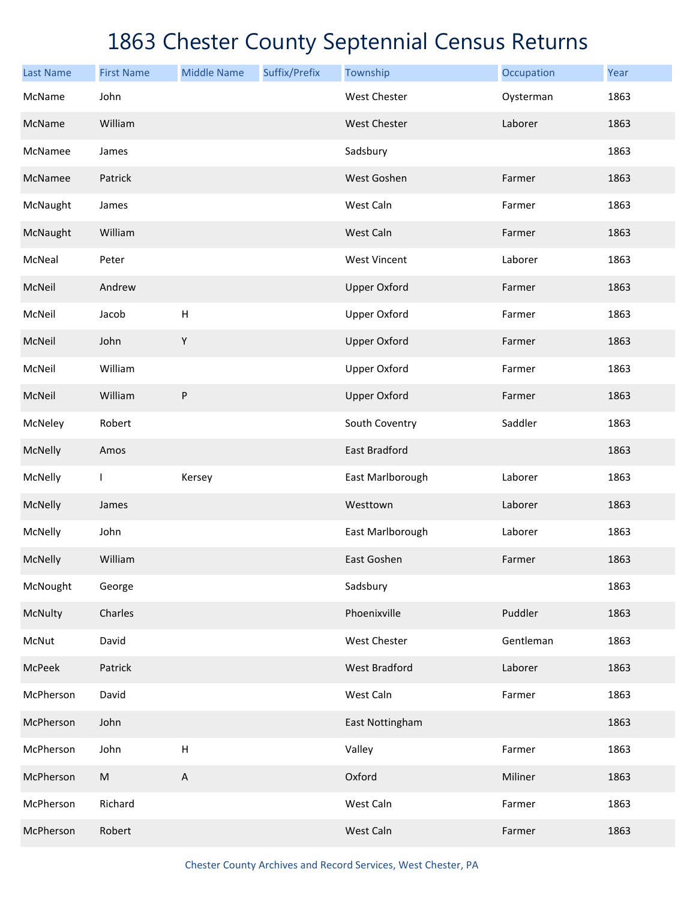| <b>Last Name</b> | <b>First Name</b> | <b>Middle Name</b> | Suffix/Prefix | Township             | Occupation | Year |
|------------------|-------------------|--------------------|---------------|----------------------|------------|------|
| McName           | John              |                    |               | <b>West Chester</b>  | Oysterman  | 1863 |
| McName           | William           |                    |               | West Chester         | Laborer    | 1863 |
| McNamee          | James             |                    |               | Sadsbury             |            | 1863 |
| McNamee          | Patrick           |                    |               | West Goshen          | Farmer     | 1863 |
| McNaught         | James             |                    |               | West Caln            | Farmer     | 1863 |
| McNaught         | William           |                    |               | West Caln            | Farmer     | 1863 |
| McNeal           | Peter             |                    |               | <b>West Vincent</b>  | Laborer    | 1863 |
| McNeil           | Andrew            |                    |               | <b>Upper Oxford</b>  | Farmer     | 1863 |
| McNeil           | Jacob             | H                  |               | <b>Upper Oxford</b>  | Farmer     | 1863 |
| McNeil           | John              | $\mathsf Y$        |               | <b>Upper Oxford</b>  | Farmer     | 1863 |
| McNeil           | William           |                    |               | <b>Upper Oxford</b>  | Farmer     | 1863 |
| McNeil           | William           | ${\sf P}$          |               | <b>Upper Oxford</b>  | Farmer     | 1863 |
| McNeley          | Robert            |                    |               | South Coventry       | Saddler    | 1863 |
| McNelly          | Amos              |                    |               | East Bradford        |            | 1863 |
| McNelly          | $\mathbf{I}$      | Kersey             |               | East Marlborough     | Laborer    | 1863 |
| McNelly          | James             |                    |               | Westtown             | Laborer    | 1863 |
| McNelly          | John              |                    |               | East Marlborough     | Laborer    | 1863 |
| McNelly          | William           |                    |               | East Goshen          | Farmer     | 1863 |
| McNought         | George            |                    |               | Sadsbury             |            | 1863 |
| McNulty          | Charles           |                    |               | Phoenixville         | Puddler    | 1863 |
| McNut            | David             |                    |               | West Chester         | Gentleman  | 1863 |
| McPeek           | Patrick           |                    |               | <b>West Bradford</b> | Laborer    | 1863 |
| McPherson        | David             |                    |               | West Caln            | Farmer     | 1863 |
| McPherson        | John              |                    |               | East Nottingham      |            | 1863 |
| McPherson        | John              | $\sf H$            |               | Valley               | Farmer     | 1863 |
| McPherson        | ${\sf M}$         | $\mathsf A$        |               | Oxford               | Miliner    | 1863 |
| McPherson        | Richard           |                    |               | West Caln            | Farmer     | 1863 |
| McPherson        | Robert            |                    |               | West Caln            | Farmer     | 1863 |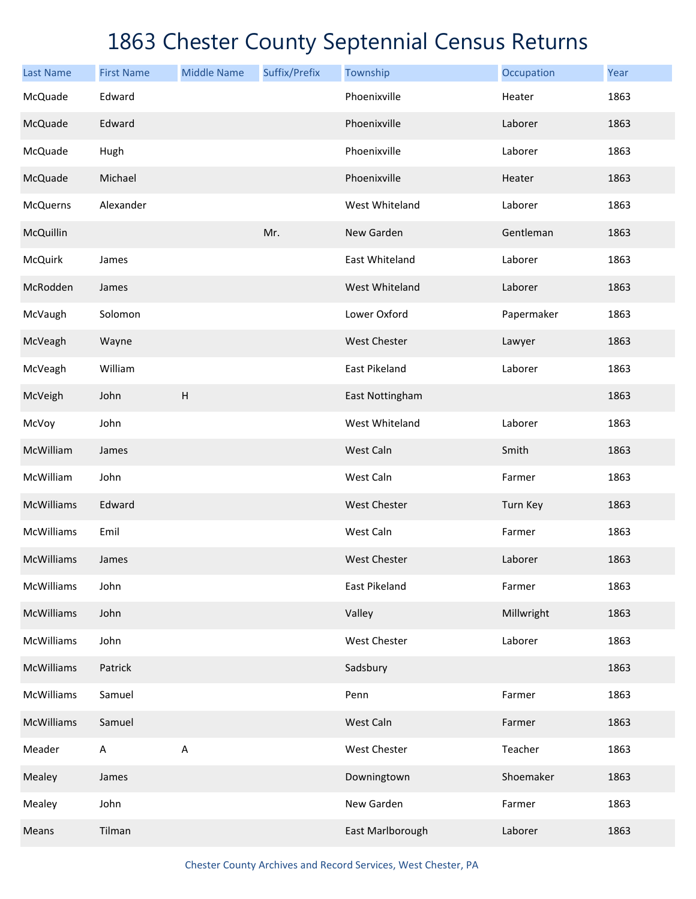| <b>Last Name</b>  | <b>First Name</b>         | <b>Middle Name</b> | Suffix/Prefix | Township            | Occupation | Year |
|-------------------|---------------------------|--------------------|---------------|---------------------|------------|------|
| McQuade           | Edward                    |                    |               | Phoenixville        | Heater     | 1863 |
| McQuade           | Edward                    |                    |               | Phoenixville        | Laborer    | 1863 |
| McQuade           | Hugh                      |                    |               | Phoenixville        | Laborer    | 1863 |
| McQuade           | Michael                   |                    |               | Phoenixville        | Heater     | 1863 |
| <b>McQuerns</b>   | Alexander                 |                    |               | West Whiteland      | Laborer    | 1863 |
| McQuillin         |                           |                    | Mr.           | New Garden          | Gentleman  | 1863 |
| <b>McQuirk</b>    | James                     |                    |               | East Whiteland      | Laborer    | 1863 |
| McRodden          | James                     |                    |               | West Whiteland      | Laborer    | 1863 |
| McVaugh           | Solomon                   |                    |               | Lower Oxford        | Papermaker | 1863 |
| McVeagh           | Wayne                     |                    |               | <b>West Chester</b> | Lawyer     | 1863 |
| McVeagh           | William                   |                    |               | East Pikeland       | Laborer    | 1863 |
| McVeigh           | John                      | H                  |               | East Nottingham     |            | 1863 |
| McVoy             | John                      |                    |               | West Whiteland      | Laborer    | 1863 |
| McWilliam         | James                     |                    |               | West Caln           | Smith      | 1863 |
| McWilliam         | John                      |                    |               | West Caln           | Farmer     | 1863 |
| <b>McWilliams</b> | Edward                    |                    |               | West Chester        | Turn Key   | 1863 |
| McWilliams        | Emil                      |                    |               | West Caln           | Farmer     | 1863 |
| McWilliams        | James                     |                    |               | <b>West Chester</b> | Laborer    | 1863 |
| McWilliams        | John                      |                    |               | East Pikeland       | Farmer     | 1863 |
| <b>McWilliams</b> | John                      |                    |               | Valley              | Millwright | 1863 |
| McWilliams        | John                      |                    |               | West Chester        | Laborer    | 1863 |
| <b>McWilliams</b> | Patrick                   |                    |               | Sadsbury            |            | 1863 |
| McWilliams        | Samuel                    |                    |               | Penn                | Farmer     | 1863 |
| <b>McWilliams</b> | Samuel                    |                    |               | West Caln           | Farmer     | 1863 |
| Meader            | $\boldsymbol{\mathsf{A}}$ | A                  |               | West Chester        | Teacher    | 1863 |
| Mealey            | James                     |                    |               | Downingtown         | Shoemaker  | 1863 |
| Mealey            | John                      |                    |               | New Garden          | Farmer     | 1863 |
| Means             | Tilman                    |                    |               | East Marlborough    | Laborer    | 1863 |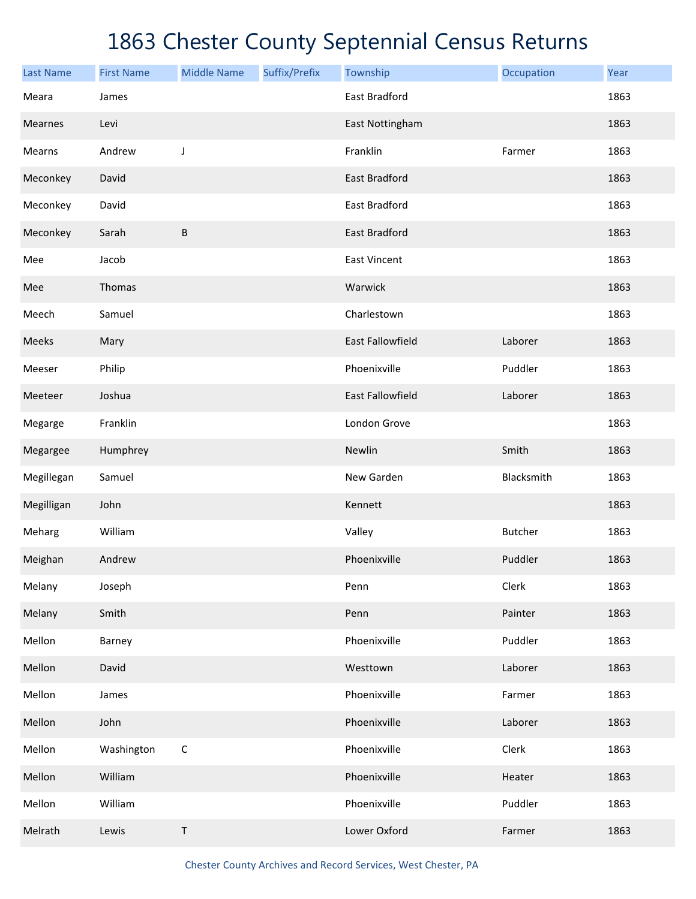| <b>Last Name</b> | <b>First Name</b> | <b>Middle Name</b> | Suffix/Prefix | Township                | Occupation     | Year |
|------------------|-------------------|--------------------|---------------|-------------------------|----------------|------|
| Meara            | James             |                    |               | East Bradford           |                | 1863 |
| Mearnes          | Levi              |                    |               | East Nottingham         |                | 1863 |
| Mearns           | Andrew            | $\mathsf J$        |               | Franklin                | Farmer         | 1863 |
| Meconkey         | David             |                    |               | East Bradford           |                | 1863 |
| Meconkey         | David             |                    |               | East Bradford           |                | 1863 |
| Meconkey         | Sarah             | $\sf B$            |               | East Bradford           |                | 1863 |
| Mee              | Jacob             |                    |               | <b>East Vincent</b>     |                | 1863 |
| Mee              | Thomas            |                    |               | Warwick                 |                | 1863 |
| Meech            | Samuel            |                    |               | Charlestown             |                | 1863 |
| Meeks            | Mary              |                    |               | <b>East Fallowfield</b> | Laborer        | 1863 |
| Meeser           | Philip            |                    |               | Phoenixville            | Puddler        | 1863 |
| Meeteer          | Joshua            |                    |               | East Fallowfield        | Laborer        | 1863 |
| Megarge          | Franklin          |                    |               | London Grove            |                | 1863 |
| Megargee         | Humphrey          |                    |               | Newlin                  | Smith          | 1863 |
| Megillegan       | Samuel            |                    |               | New Garden              | Blacksmith     | 1863 |
| Megilligan       | John              |                    |               | Kennett                 |                | 1863 |
| Meharg           | William           |                    |               | Valley                  | <b>Butcher</b> | 1863 |
| Meighan          | Andrew            |                    |               | Phoenixville            | Puddler        | 1863 |
| Melany           | Joseph            |                    |               | Penn                    | Clerk          | 1863 |
| Melany           | Smith             |                    |               | Penn                    | Painter        | 1863 |
| Mellon           | Barney            |                    |               | Phoenixville            | Puddler        | 1863 |
| Mellon           | David             |                    |               | Westtown                | Laborer        | 1863 |
| Mellon           | James             |                    |               | Phoenixville            | Farmer         | 1863 |
| Mellon           | John              |                    |               | Phoenixville            | Laborer        | 1863 |
| Mellon           | Washington        | $\mathsf C$        |               | Phoenixville            | Clerk          | 1863 |
| Mellon           | William           |                    |               | Phoenixville            | Heater         | 1863 |
| Mellon           | William           |                    |               | Phoenixville            | Puddler        | 1863 |
| Melrath          | Lewis             | $\mathsf T$        |               | Lower Oxford            | Farmer         | 1863 |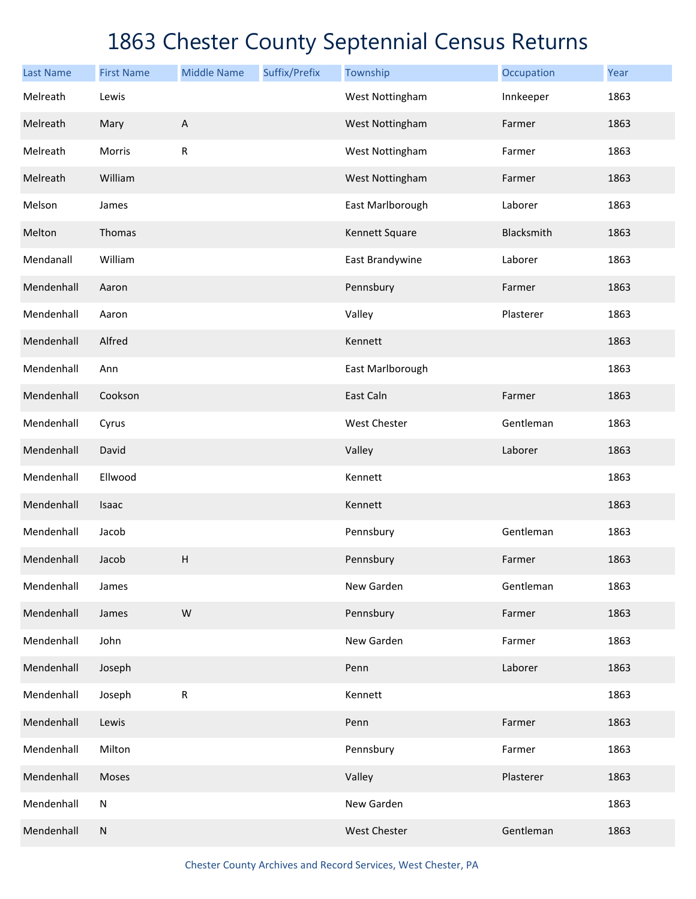| <b>Last Name</b> | <b>First Name</b> | <b>Middle Name</b> | Suffix/Prefix | Township            | Occupation | Year |
|------------------|-------------------|--------------------|---------------|---------------------|------------|------|
| Melreath         | Lewis             |                    |               | West Nottingham     | Innkeeper  | 1863 |
| Melreath         | Mary              | $\mathsf A$        |               | West Nottingham     | Farmer     | 1863 |
| Melreath         | Morris            | ${\sf R}$          |               | West Nottingham     | Farmer     | 1863 |
| Melreath         | William           |                    |               | West Nottingham     | Farmer     | 1863 |
| Melson           | James             |                    |               | East Marlborough    | Laborer    | 1863 |
| Melton           | Thomas            |                    |               | Kennett Square      | Blacksmith | 1863 |
| Mendanall        | William           |                    |               | East Brandywine     | Laborer    | 1863 |
| Mendenhall       | Aaron             |                    |               | Pennsbury           | Farmer     | 1863 |
| Mendenhall       | Aaron             |                    |               | Valley              | Plasterer  | 1863 |
| Mendenhall       | Alfred            |                    |               | Kennett             |            | 1863 |
| Mendenhall       | Ann               |                    |               | East Marlborough    |            | 1863 |
| Mendenhall       | Cookson           |                    |               | East Caln           | Farmer     | 1863 |
| Mendenhall       | Cyrus             |                    |               | West Chester        | Gentleman  | 1863 |
| Mendenhall       | David             |                    |               | Valley              | Laborer    | 1863 |
| Mendenhall       | Ellwood           |                    |               | Kennett             |            | 1863 |
| Mendenhall       | Isaac             |                    |               | Kennett             |            | 1863 |
| Mendenhall       | Jacob             |                    |               | Pennsbury           | Gentleman  | 1863 |
| Mendenhall       | Jacob             | $\sf H$            |               | Pennsbury           | Farmer     | 1863 |
| Mendenhall       | James             |                    |               | New Garden          | Gentleman  | 1863 |
| Mendenhall       | James             | ${\sf W}$          |               | Pennsbury           | Farmer     | 1863 |
| Mendenhall       | John              |                    |               | New Garden          | Farmer     | 1863 |
| Mendenhall       | Joseph            |                    |               | Penn                | Laborer    | 1863 |
| Mendenhall       | Joseph            | ${\sf R}$          |               | Kennett             |            | 1863 |
| Mendenhall       | Lewis             |                    |               | Penn                | Farmer     | 1863 |
| Mendenhall       | Milton            |                    |               | Pennsbury           | Farmer     | 1863 |
| Mendenhall       | Moses             |                    |               | Valley              | Plasterer  | 1863 |
| Mendenhall       | ${\sf N}$         |                    |               | New Garden          |            | 1863 |
| Mendenhall       | ${\sf N}$         |                    |               | <b>West Chester</b> | Gentleman  | 1863 |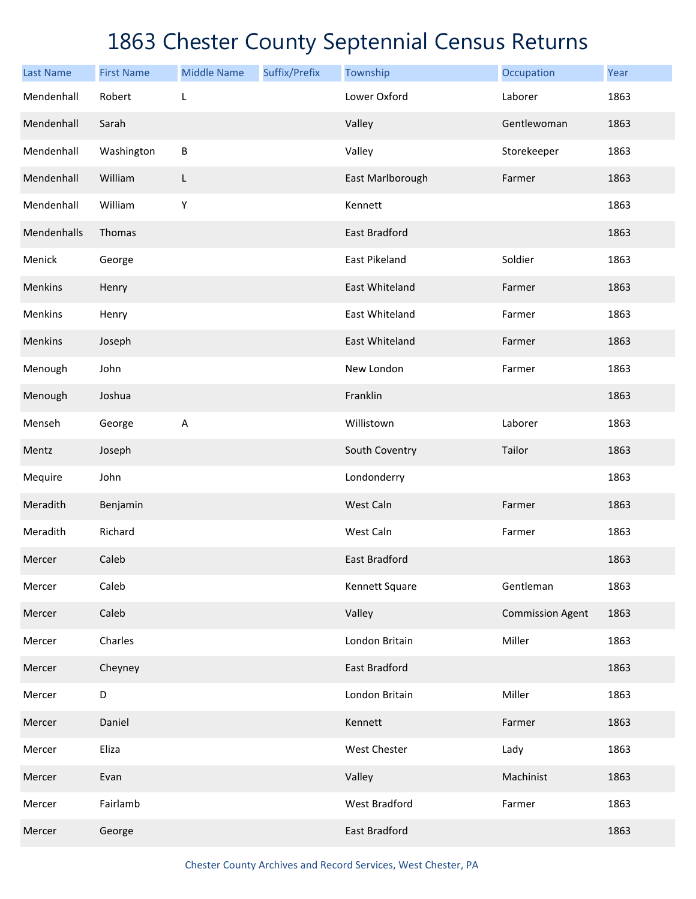| <b>Last Name</b> | <b>First Name</b> | <b>Middle Name</b> | Suffix/Prefix | Township             | Occupation              | Year |
|------------------|-------------------|--------------------|---------------|----------------------|-------------------------|------|
| Mendenhall       | Robert            | L                  |               | Lower Oxford         | Laborer                 | 1863 |
| Mendenhall       | Sarah             |                    |               | Valley               | Gentlewoman             | 1863 |
| Mendenhall       | Washington        | $\sf B$            |               | Valley               | Storekeeper             | 1863 |
| Mendenhall       | William           | L                  |               | East Marlborough     | Farmer                  | 1863 |
| Mendenhall       | William           | Υ                  |               | Kennett              |                         | 1863 |
| Mendenhalls      | Thomas            |                    |               | <b>East Bradford</b> |                         | 1863 |
| Menick           | George            |                    |               | East Pikeland        | Soldier                 | 1863 |
| Menkins          | Henry             |                    |               | East Whiteland       | Farmer                  | 1863 |
| Menkins          | Henry             |                    |               | East Whiteland       | Farmer                  | 1863 |
| Menkins          | Joseph            |                    |               | East Whiteland       | Farmer                  | 1863 |
| Menough          | John              |                    |               | New London           | Farmer                  | 1863 |
| Menough          | Joshua            |                    |               | Franklin             |                         | 1863 |
| Menseh           | George            | A                  |               | Willistown           | Laborer                 | 1863 |
| Mentz            | Joseph            |                    |               | South Coventry       | Tailor                  | 1863 |
| Mequire          | John              |                    |               | Londonderry          |                         | 1863 |
| Meradith         | Benjamin          |                    |               | West Caln            | Farmer                  | 1863 |
| Meradith         | Richard           |                    |               | West Caln            | Farmer                  | 1863 |
| Mercer           | Caleb             |                    |               | <b>East Bradford</b> |                         | 1863 |
| Mercer           | Caleb             |                    |               | Kennett Square       | Gentleman               | 1863 |
| Mercer           | Caleb             |                    |               | Valley               | <b>Commission Agent</b> | 1863 |
| Mercer           | Charles           |                    |               | London Britain       | Miller                  | 1863 |
| Mercer           | Cheyney           |                    |               | East Bradford        |                         | 1863 |
| Mercer           | D                 |                    |               | London Britain       | Miller                  | 1863 |
| Mercer           | Daniel            |                    |               | Kennett              | Farmer                  | 1863 |
| Mercer           | Eliza             |                    |               | West Chester         | Lady                    | 1863 |
| Mercer           | Evan              |                    |               | Valley               | Machinist               | 1863 |
| Mercer           | Fairlamb          |                    |               | West Bradford        | Farmer                  | 1863 |
| Mercer           | George            |                    |               | East Bradford        |                         | 1863 |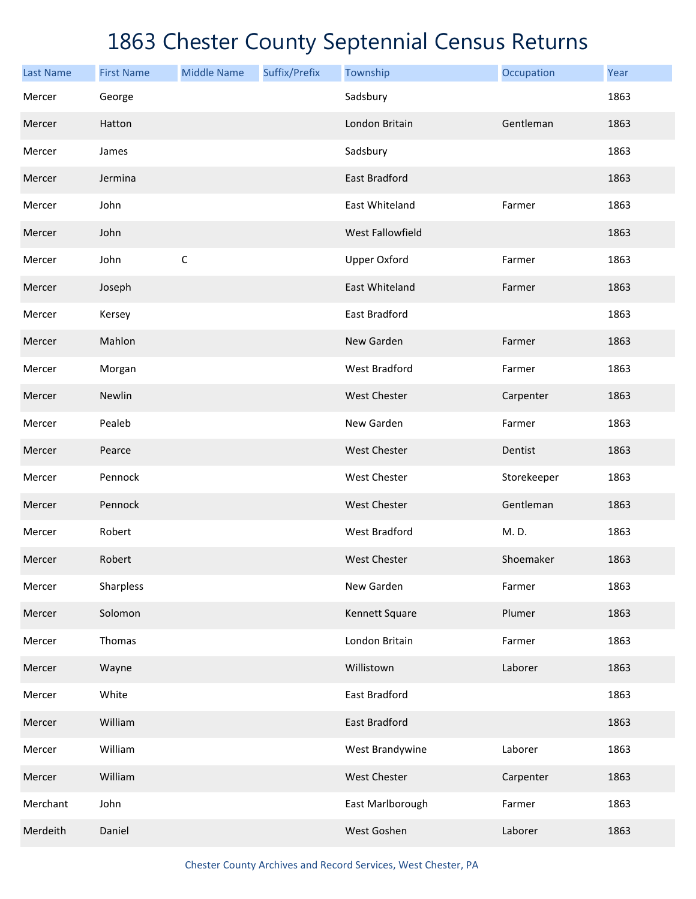| <b>Last Name</b> | <b>First Name</b> | <b>Middle Name</b> | Suffix/Prefix | Township              | Occupation  | Year |
|------------------|-------------------|--------------------|---------------|-----------------------|-------------|------|
| Mercer           | George            |                    |               | Sadsbury              |             | 1863 |
| Mercer           | Hatton            |                    |               | London Britain        | Gentleman   | 1863 |
| Mercer           | James             |                    |               | Sadsbury              |             | 1863 |
| Mercer           | Jermina           |                    |               | <b>East Bradford</b>  |             | 1863 |
| Mercer           | John              |                    |               | East Whiteland        | Farmer      | 1863 |
| Mercer           | John              |                    |               | West Fallowfield      |             | 1863 |
| Mercer           | John              | $\mathsf C$        |               | <b>Upper Oxford</b>   | Farmer      | 1863 |
| Mercer           | Joseph            |                    |               | <b>East Whiteland</b> | Farmer      | 1863 |
| Mercer           | Kersey            |                    |               | <b>East Bradford</b>  |             | 1863 |
| Mercer           | Mahlon            |                    |               | New Garden            | Farmer      | 1863 |
| Mercer           | Morgan            |                    |               | <b>West Bradford</b>  | Farmer      | 1863 |
| Mercer           | Newlin            |                    |               | <b>West Chester</b>   | Carpenter   | 1863 |
| Mercer           | Pealeb            |                    |               | New Garden            | Farmer      | 1863 |
| Mercer           | Pearce            |                    |               | <b>West Chester</b>   | Dentist     | 1863 |
| Mercer           | Pennock           |                    |               | <b>West Chester</b>   | Storekeeper | 1863 |
| Mercer           | Pennock           |                    |               | <b>West Chester</b>   | Gentleman   | 1863 |
| Mercer           | Robert            |                    |               | <b>West Bradford</b>  | M. D.       | 1863 |
| Mercer           | Robert            |                    |               | <b>West Chester</b>   | Shoemaker   | 1863 |
| Mercer           | Sharpless         |                    |               | New Garden            | Farmer      | 1863 |
| Mercer           | Solomon           |                    |               | Kennett Square        | Plumer      | 1863 |
| Mercer           | Thomas            |                    |               | London Britain        | Farmer      | 1863 |
| Mercer           | Wayne             |                    |               | Willistown            | Laborer     | 1863 |
| Mercer           | White             |                    |               | East Bradford         |             | 1863 |
| Mercer           | William           |                    |               | East Bradford         |             | 1863 |
| Mercer           | William           |                    |               | West Brandywine       | Laborer     | 1863 |
| Mercer           | William           |                    |               | West Chester          | Carpenter   | 1863 |
| Merchant         | John              |                    |               | East Marlborough      | Farmer      | 1863 |
| Merdeith         | Daniel            |                    |               | West Goshen           | Laborer     | 1863 |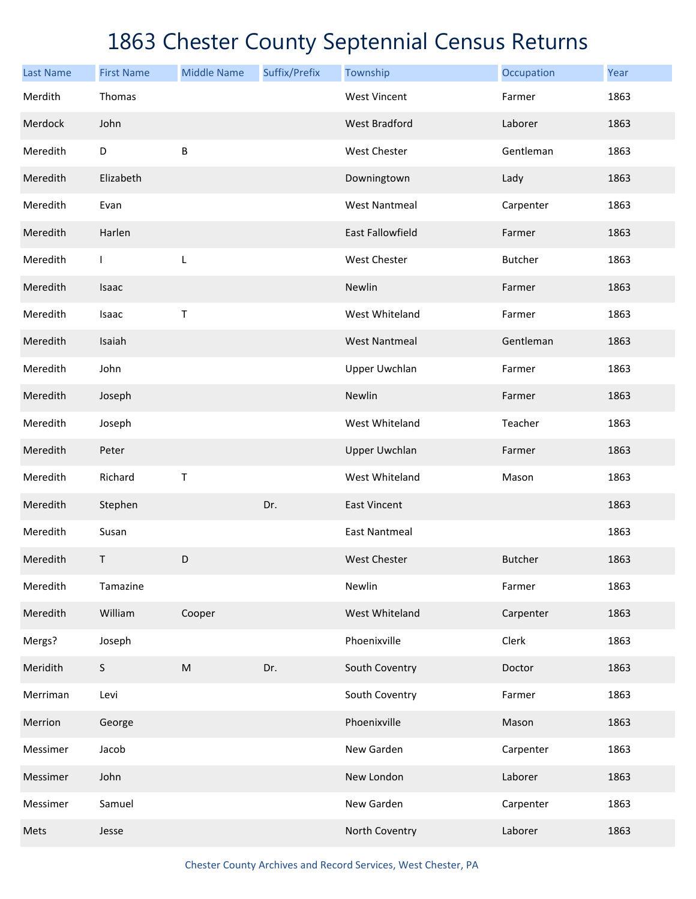| <b>Last Name</b> | <b>First Name</b> | <b>Middle Name</b> | Suffix/Prefix | Township                | Occupation     | Year |
|------------------|-------------------|--------------------|---------------|-------------------------|----------------|------|
| Merdith          | Thomas            |                    |               | <b>West Vincent</b>     | Farmer         | 1863 |
| Merdock          | John              |                    |               | <b>West Bradford</b>    | Laborer        | 1863 |
| Meredith         | D                 | B                  |               | <b>West Chester</b>     | Gentleman      | 1863 |
| Meredith         | Elizabeth         |                    |               | Downingtown             | Lady           | 1863 |
| Meredith         | Evan              |                    |               | <b>West Nantmeal</b>    | Carpenter      | 1863 |
| Meredith         | Harlen            |                    |               | <b>East Fallowfield</b> | Farmer         | 1863 |
| Meredith         | $\mathsf{I}$      | L                  |               | West Chester            | <b>Butcher</b> | 1863 |
| Meredith         | Isaac             |                    |               | Newlin                  | Farmer         | 1863 |
| Meredith         | Isaac             | $\mathsf T$        |               | West Whiteland          | Farmer         | 1863 |
| Meredith         | Isaiah            |                    |               | <b>West Nantmeal</b>    | Gentleman      | 1863 |
| Meredith         | John              |                    |               | <b>Upper Uwchlan</b>    | Farmer         | 1863 |
| Meredith         | Joseph            |                    |               | Newlin                  | Farmer         | 1863 |
| Meredith         | Joseph            |                    |               | West Whiteland          | Teacher        | 1863 |
| Meredith         | Peter             |                    |               | <b>Upper Uwchlan</b>    | Farmer         | 1863 |
| Meredith         | Richard           | $\mathsf T$        |               | West Whiteland          | Mason          | 1863 |
| Meredith         | Stephen           |                    | Dr.           | <b>East Vincent</b>     |                | 1863 |
| Meredith         | Susan             |                    |               | <b>East Nantmeal</b>    |                | 1863 |
| Meredith         | Τ                 | D                  |               | <b>West Chester</b>     | <b>Butcher</b> | 1863 |
| Meredith         | Tamazine          |                    |               | Newlin                  | Farmer         | 1863 |
| Meredith         | William           | Cooper             |               | West Whiteland          | Carpenter      | 1863 |
| Mergs?           | Joseph            |                    |               | Phoenixville            | Clerk          | 1863 |
| Meridith         | $\mathsf S$       | ${\sf M}$          | Dr.           | South Coventry          | Doctor         | 1863 |
| Merriman         | Levi              |                    |               | South Coventry          | Farmer         | 1863 |
| Merrion          | George            |                    |               | Phoenixville            | Mason          | 1863 |
| Messimer         | Jacob             |                    |               | New Garden              | Carpenter      | 1863 |
| Messimer         | John              |                    |               | New London              | Laborer        | 1863 |
| Messimer         | Samuel            |                    |               | New Garden              | Carpenter      | 1863 |
| Mets             | Jesse             |                    |               | North Coventry          | Laborer        | 1863 |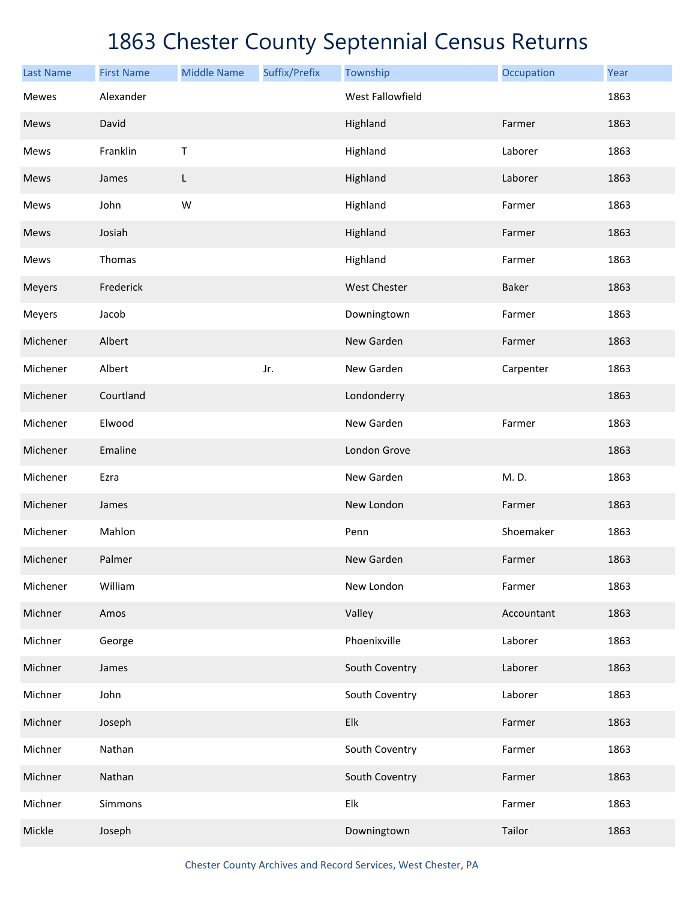| <b>Last Name</b> | <b>First Name</b> | <b>Middle Name</b> | Suffix/Prefix | Township                | Occupation | Year |
|------------------|-------------------|--------------------|---------------|-------------------------|------------|------|
| <b>Mewes</b>     | Alexander         |                    |               | <b>West Fallowfield</b> |            | 1863 |
| Mews             | David             |                    |               | Highland                | Farmer     | 1863 |
| Mews             | Franklin          | $\mathsf T$        |               | Highland                | Laborer    | 1863 |
| Mews             | James             | L                  |               | Highland                | Laborer    | 1863 |
| Mews             | John              | W                  |               | Highland                | Farmer     | 1863 |
| Mews             | Josiah            |                    |               | Highland                | Farmer     | 1863 |
| Mews             | Thomas            |                    |               | Highland                | Farmer     | 1863 |
| Meyers           | Frederick         |                    |               | <b>West Chester</b>     | Baker      | 1863 |
| Meyers           | Jacob             |                    |               | Downingtown             | Farmer     | 1863 |
| Michener         | Albert            |                    |               | New Garden              | Farmer     | 1863 |
| Michener         | Albert            |                    | Jr.           | New Garden              | Carpenter  | 1863 |
| Michener         | Courtland         |                    |               | Londonderry             |            | 1863 |
| Michener         | Elwood            |                    |               | New Garden              | Farmer     | 1863 |
| Michener         | Emaline           |                    |               | London Grove            |            | 1863 |
| Michener         | Ezra              |                    |               | New Garden              | M.D.       | 1863 |
| Michener         | James             |                    |               | New London              | Farmer     | 1863 |
| Michener         | Mahlon            |                    |               | Penn                    | Shoemaker  | 1863 |
| Michener         | Palmer            |                    |               | New Garden              | Farmer     | 1863 |
| Michener         | William           |                    |               | New London              | Farmer     | 1863 |
| Michner          | Amos              |                    |               | Valley                  | Accountant | 1863 |
| Michner          | George            |                    |               | Phoenixville            | Laborer    | 1863 |
| Michner          | James             |                    |               | South Coventry          | Laborer    | 1863 |
| Michner          | John              |                    |               | South Coventry          | Laborer    | 1863 |
| Michner          | Joseph            |                    |               | Elk                     | Farmer     | 1863 |
| Michner          | Nathan            |                    |               | South Coventry          | Farmer     | 1863 |
| Michner          | Nathan            |                    |               | South Coventry          | Farmer     | 1863 |
| Michner          | Simmons           |                    |               | Elk                     | Farmer     | 1863 |
| Mickle           | Joseph            |                    |               | Downingtown             | Tailor     | 1863 |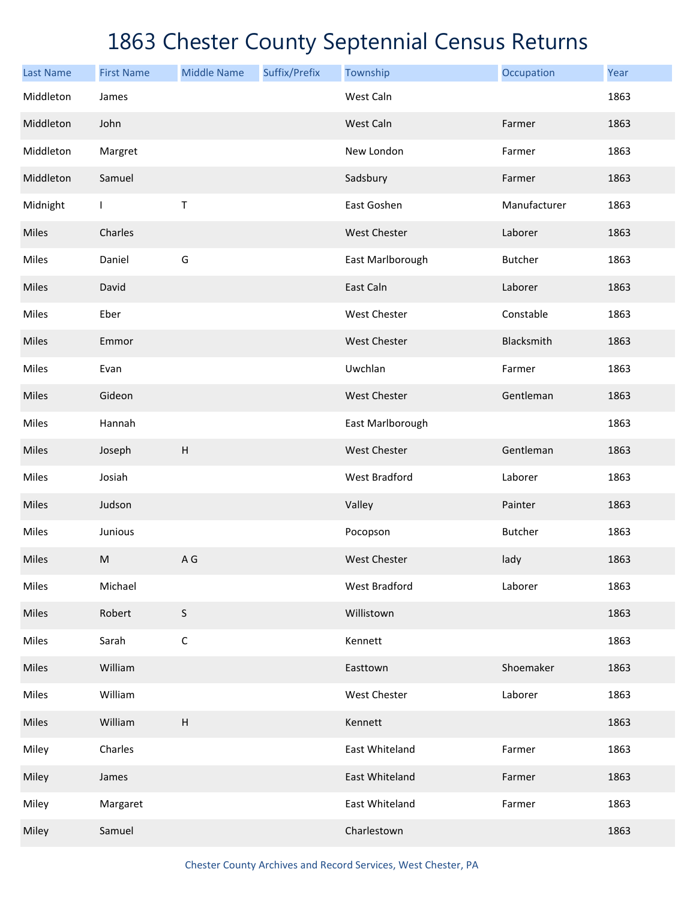| <b>Last Name</b> | <b>First Name</b> | <b>Middle Name</b>        | Suffix/Prefix | Township             | Occupation     | Year |
|------------------|-------------------|---------------------------|---------------|----------------------|----------------|------|
| Middleton        | James             |                           |               | West Caln            |                | 1863 |
| Middleton        | John              |                           |               | West Caln            | Farmer         | 1863 |
| Middleton        | Margret           |                           |               | New London           | Farmer         | 1863 |
| Middleton        | Samuel            |                           |               | Sadsbury             | Farmer         | 1863 |
| Midnight         | $\mathbf{I}$      | Τ                         |               | East Goshen          | Manufacturer   | 1863 |
| Miles            | Charles           |                           |               | <b>West Chester</b>  | Laborer        | 1863 |
| Miles            | Daniel            | G                         |               | East Marlborough     | <b>Butcher</b> | 1863 |
| Miles            | David             |                           |               | East Caln            | Laborer        | 1863 |
| Miles            | Eber              |                           |               | West Chester         | Constable      | 1863 |
| Miles            | Emmor             |                           |               | <b>West Chester</b>  | Blacksmith     | 1863 |
| Miles            | Evan              |                           |               | Uwchlan              | Farmer         | 1863 |
| Miles            | Gideon            |                           |               | <b>West Chester</b>  | Gentleman      | 1863 |
| Miles            | Hannah            |                           |               | East Marlborough     |                | 1863 |
| Miles            | Joseph            | $\boldsymbol{\mathsf{H}}$ |               | <b>West Chester</b>  | Gentleman      | 1863 |
| Miles            | Josiah            |                           |               | <b>West Bradford</b> | Laborer        | 1863 |
| Miles            | Judson            |                           |               | Valley               | Painter        | 1863 |
| Miles            | Junious           |                           |               | Pocopson             | <b>Butcher</b> | 1863 |
| Miles            | M                 | A G                       |               | <b>West Chester</b>  | lady           | 1863 |
| Miles            | Michael           |                           |               | West Bradford        | Laborer        | 1863 |
| Miles            | Robert            | $\mathsf S$               |               | Willistown           |                | 1863 |
| Miles            | Sarah             | $\mathsf C$               |               | Kennett              |                | 1863 |
| Miles            | William           |                           |               | Easttown             | Shoemaker      | 1863 |
| Miles            | William           |                           |               | West Chester         | Laborer        | 1863 |
| Miles            | William           | $\boldsymbol{\mathsf{H}}$ |               | Kennett              |                | 1863 |
| Miley            | Charles           |                           |               | East Whiteland       | Farmer         | 1863 |
| Miley            | James             |                           |               | East Whiteland       | Farmer         | 1863 |
| Miley            | Margaret          |                           |               | East Whiteland       | Farmer         | 1863 |
| Miley            | Samuel            |                           |               | Charlestown          |                | 1863 |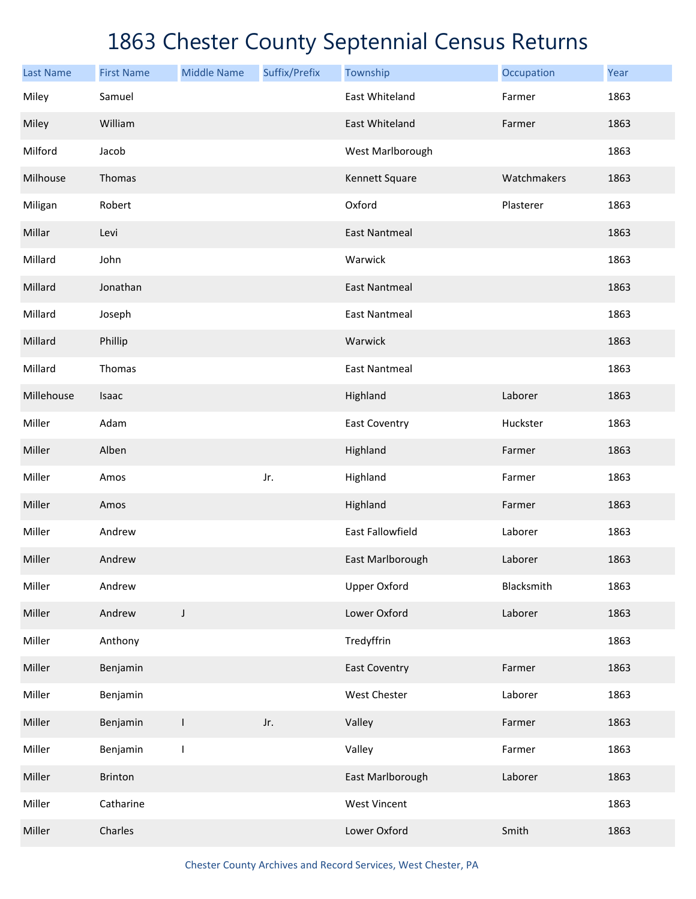| <b>Last Name</b> | <b>First Name</b> | <b>Middle Name</b> | Suffix/Prefix | Township             | Occupation  | Year |
|------------------|-------------------|--------------------|---------------|----------------------|-------------|------|
| Miley            | Samuel            |                    |               | East Whiteland       | Farmer      | 1863 |
| Miley            | William           |                    |               | East Whiteland       | Farmer      | 1863 |
| Milford          | Jacob             |                    |               | West Marlborough     |             | 1863 |
| Milhouse         | Thomas            |                    |               | Kennett Square       | Watchmakers | 1863 |
| Miligan          | Robert            |                    |               | Oxford               | Plasterer   | 1863 |
| Millar           | Levi              |                    |               | <b>East Nantmeal</b> |             | 1863 |
| Millard          | John              |                    |               | Warwick              |             | 1863 |
| Millard          | Jonathan          |                    |               | <b>East Nantmeal</b> |             | 1863 |
| Millard          | Joseph            |                    |               | <b>East Nantmeal</b> |             | 1863 |
| Millard          | Phillip           |                    |               | Warwick              |             | 1863 |
| Millard          | Thomas            |                    |               | <b>East Nantmeal</b> |             | 1863 |
| Millehouse       | Isaac             |                    |               | Highland             | Laborer     | 1863 |
| Miller           | Adam              |                    |               | East Coventry        | Huckster    | 1863 |
| Miller           | Alben             |                    |               | Highland             | Farmer      | 1863 |
| Miller           | Amos              |                    | Jr.           | Highland             | Farmer      | 1863 |
| Miller           | Amos              |                    |               | Highland             | Farmer      | 1863 |
| Miller           | Andrew            |                    |               | East Fallowfield     | Laborer     | 1863 |
| Miller           | Andrew            |                    |               | East Marlborough     | Laborer     | 1863 |
| Miller           | Andrew            |                    |               | <b>Upper Oxford</b>  | Blacksmith  | 1863 |
| Miller           | Andrew            | J                  |               | Lower Oxford         | Laborer     | 1863 |
| Miller           | Anthony           |                    |               | Tredyffrin           |             | 1863 |
| Miller           | Benjamin          |                    |               | <b>East Coventry</b> | Farmer      | 1863 |
| Miller           | Benjamin          |                    |               | West Chester         | Laborer     | 1863 |
| Miller           | Benjamin          | $\mathbf{I}$       | Jr.           | Valley               | Farmer      | 1863 |
| Miller           | Benjamin          | $\mathbf{I}$       |               | Valley               | Farmer      | 1863 |
| Miller           | Brinton           |                    |               | East Marlborough     | Laborer     | 1863 |
| Miller           | Catharine         |                    |               | <b>West Vincent</b>  |             | 1863 |
| Miller           | Charles           |                    |               | Lower Oxford         | Smith       | 1863 |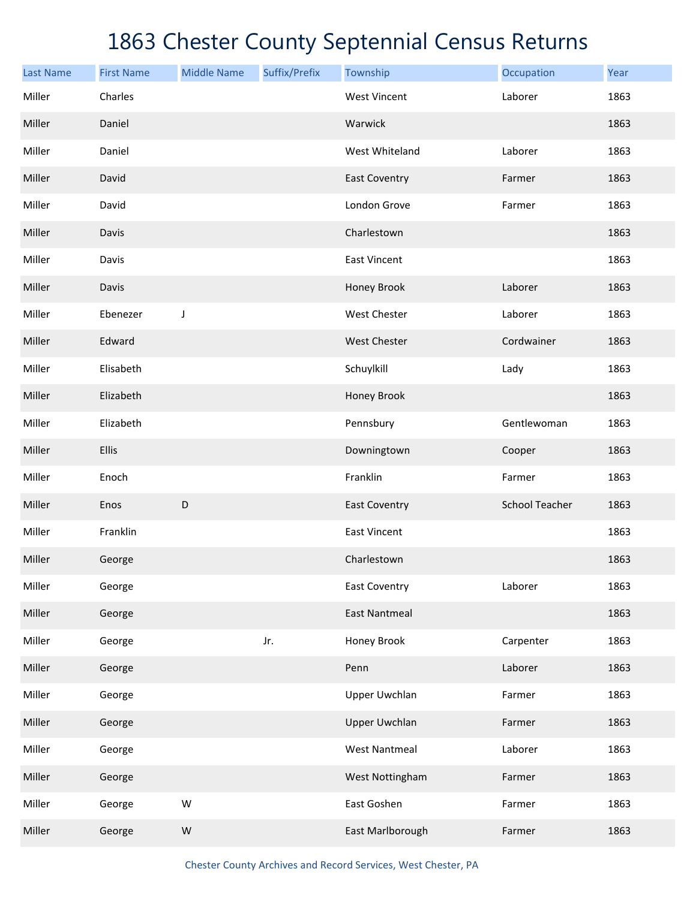| <b>Last Name</b> | <b>First Name</b> | <b>Middle Name</b> | Suffix/Prefix | Township             | Occupation            | Year |
|------------------|-------------------|--------------------|---------------|----------------------|-----------------------|------|
| Miller           | Charles           |                    |               | <b>West Vincent</b>  | Laborer               | 1863 |
| Miller           | Daniel            |                    |               | Warwick              |                       | 1863 |
| Miller           | Daniel            |                    |               | West Whiteland       | Laborer               | 1863 |
| Miller           | David             |                    |               | <b>East Coventry</b> | Farmer                | 1863 |
| Miller           | David             |                    |               | London Grove         | Farmer                | 1863 |
| Miller           | Davis             |                    |               | Charlestown          |                       | 1863 |
| Miller           | Davis             |                    |               | East Vincent         |                       | 1863 |
| Miller           | Davis             |                    |               | Honey Brook          | Laborer               | 1863 |
| Miller           | Ebenezer          | J                  |               | West Chester         | Laborer               | 1863 |
| Miller           | Edward            |                    |               | <b>West Chester</b>  | Cordwainer            | 1863 |
| Miller           | Elisabeth         |                    |               | Schuylkill           | Lady                  | 1863 |
| Miller           | Elizabeth         |                    |               | Honey Brook          |                       | 1863 |
| Miller           | Elizabeth         |                    |               | Pennsbury            | Gentlewoman           | 1863 |
| Miller           | Ellis             |                    |               | Downingtown          | Cooper                | 1863 |
| Miller           | Enoch             |                    |               | Franklin             | Farmer                | 1863 |
| Miller           | Enos              | D                  |               | <b>East Coventry</b> | <b>School Teacher</b> | 1863 |
| Miller           | Franklin          |                    |               | <b>East Vincent</b>  |                       | 1863 |
| Miller           | George            |                    |               | Charlestown          |                       | 1863 |
| Miller           | George            |                    |               | <b>East Coventry</b> | Laborer               | 1863 |
| Miller           | George            |                    |               | <b>East Nantmeal</b> |                       | 1863 |
| Miller           | George            |                    | Jr.           | Honey Brook          | Carpenter             | 1863 |
| Miller           | George            |                    |               | Penn                 | Laborer               | 1863 |
| Miller           | George            |                    |               | <b>Upper Uwchlan</b> | Farmer                | 1863 |
| Miller           | George            |                    |               | <b>Upper Uwchlan</b> | Farmer                | 1863 |
| Miller           | George            |                    |               | <b>West Nantmeal</b> | Laborer               | 1863 |
| Miller           | George            |                    |               | West Nottingham      | Farmer                | 1863 |
| Miller           | George            | W                  |               | East Goshen          | Farmer                | 1863 |
| Miller           | George            | ${\sf W}$          |               | East Marlborough     | Farmer                | 1863 |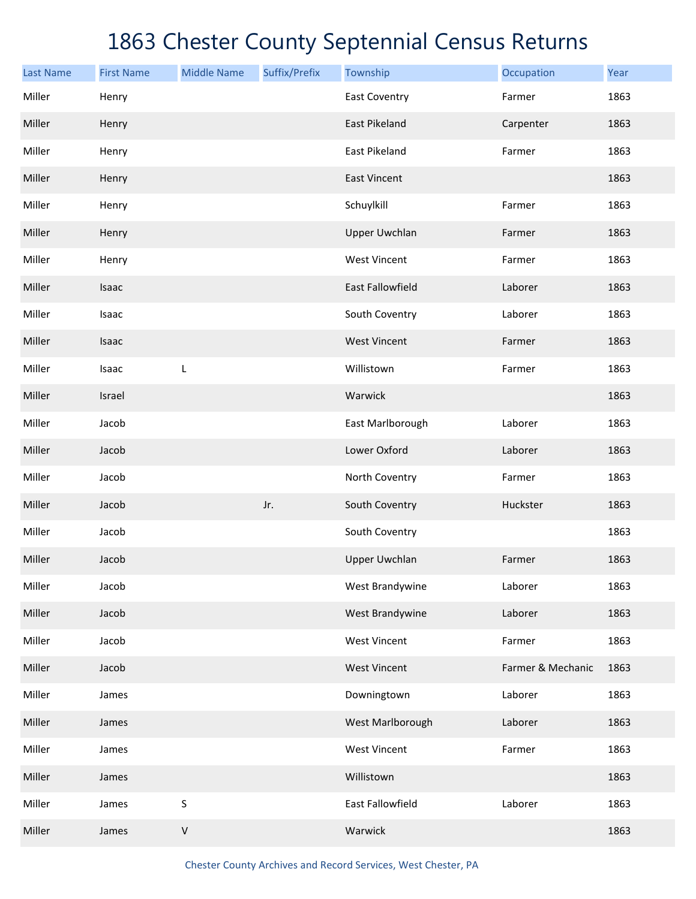| <b>Last Name</b> | <b>First Name</b> | <b>Middle Name</b> | Suffix/Prefix | Township             | Occupation        | Year |
|------------------|-------------------|--------------------|---------------|----------------------|-------------------|------|
| Miller           | Henry             |                    |               | <b>East Coventry</b> | Farmer            | 1863 |
| Miller           | Henry             |                    |               | East Pikeland        | Carpenter         | 1863 |
| Miller           | Henry             |                    |               | East Pikeland        | Farmer            | 1863 |
| Miller           | Henry             |                    |               | <b>East Vincent</b>  |                   | 1863 |
| Miller           | Henry             |                    |               | Schuylkill           | Farmer            | 1863 |
| Miller           | Henry             |                    |               | <b>Upper Uwchlan</b> | Farmer            | 1863 |
| Miller           | Henry             |                    |               | <b>West Vincent</b>  | Farmer            | 1863 |
| Miller           | Isaac             |                    |               | East Fallowfield     | Laborer           | 1863 |
| Miller           | Isaac             |                    |               | South Coventry       | Laborer           | 1863 |
| Miller           | Isaac             |                    |               | <b>West Vincent</b>  | Farmer            | 1863 |
| Miller           | Isaac             | L                  |               | Willistown           | Farmer            | 1863 |
| Miller           | Israel            |                    |               | Warwick              |                   | 1863 |
| Miller           | Jacob             |                    |               | East Marlborough     | Laborer           | 1863 |
| Miller           | Jacob             |                    |               | Lower Oxford         | Laborer           | 1863 |
| Miller           | Jacob             |                    |               | North Coventry       | Farmer            | 1863 |
| Miller           | Jacob             |                    | Jr.           | South Coventry       | Huckster          | 1863 |
| Miller           | Jacob             |                    |               | South Coventry       |                   | 1863 |
| Miller           | Jacob             |                    |               | <b>Upper Uwchlan</b> | Farmer            | 1863 |
| Miller           | Jacob             |                    |               | West Brandywine      | Laborer           | 1863 |
| Miller           | Jacob             |                    |               | West Brandywine      | Laborer           | 1863 |
| Miller           | Jacob             |                    |               | <b>West Vincent</b>  | Farmer            | 1863 |
| Miller           | Jacob             |                    |               | <b>West Vincent</b>  | Farmer & Mechanic | 1863 |
| Miller           | James             |                    |               | Downingtown          | Laborer           | 1863 |
| Miller           | James             |                    |               | West Marlborough     | Laborer           | 1863 |
| Miller           | James             |                    |               | <b>West Vincent</b>  | Farmer            | 1863 |
| Miller           | James             |                    |               | Willistown           |                   | 1863 |
| Miller           | James             | $\sf S$            |               | East Fallowfield     | Laborer           | 1863 |
| Miller           | James             | $\sf V$            |               | Warwick              |                   | 1863 |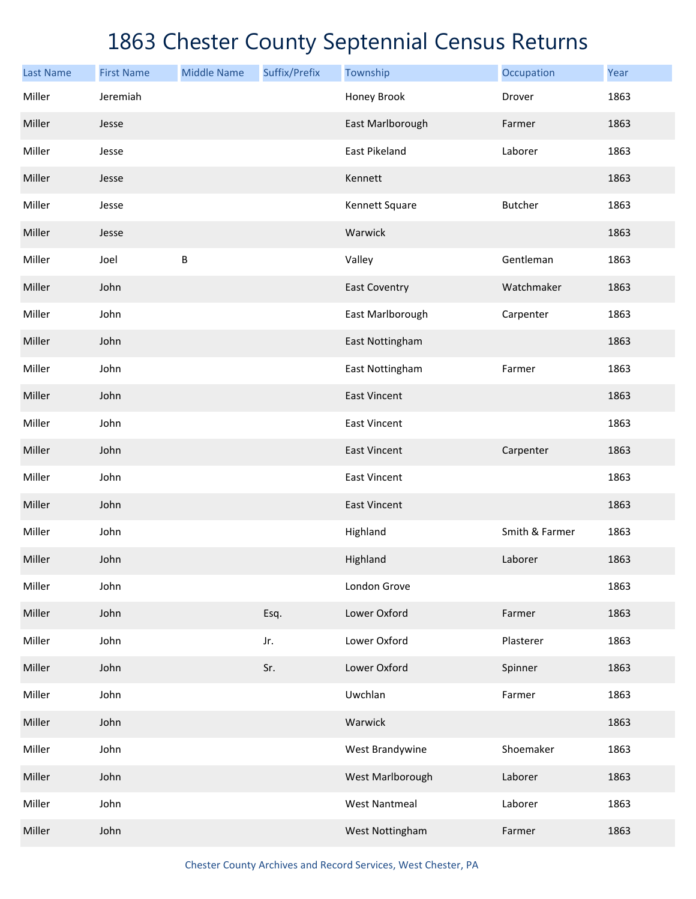| <b>Last Name</b> | <b>First Name</b> | <b>Middle Name</b> | Suffix/Prefix | Township             | Occupation     | Year |
|------------------|-------------------|--------------------|---------------|----------------------|----------------|------|
| Miller           | Jeremiah          |                    |               | Honey Brook          | Drover         | 1863 |
| Miller           | Jesse             |                    |               | East Marlborough     | Farmer         | 1863 |
| Miller           | Jesse             |                    |               | East Pikeland        | Laborer        | 1863 |
| Miller           | Jesse             |                    |               | Kennett              |                | 1863 |
| Miller           | Jesse             |                    |               | Kennett Square       | <b>Butcher</b> | 1863 |
| Miller           | Jesse             |                    |               | Warwick              |                | 1863 |
| Miller           | Joel              | B                  |               | Valley               | Gentleman      | 1863 |
| Miller           | John              |                    |               | <b>East Coventry</b> | Watchmaker     | 1863 |
| Miller           | John              |                    |               | East Marlborough     | Carpenter      | 1863 |
| Miller           | John              |                    |               | East Nottingham      |                | 1863 |
| Miller           | John              |                    |               | East Nottingham      | Farmer         | 1863 |
| Miller           | John              |                    |               | <b>East Vincent</b>  |                | 1863 |
| Miller           | John              |                    |               | <b>East Vincent</b>  |                | 1863 |
| Miller           | John              |                    |               | <b>East Vincent</b>  | Carpenter      | 1863 |
| Miller           | John              |                    |               | East Vincent         |                | 1863 |
| Miller           | John              |                    |               | <b>East Vincent</b>  |                | 1863 |
| Miller           | John              |                    |               | Highland             | Smith & Farmer | 1863 |
| Miller           | John              |                    |               | Highland             | Laborer        | 1863 |
| Miller           | John              |                    |               | London Grove         |                | 1863 |
| Miller           | John              |                    | Esq.          | Lower Oxford         | Farmer         | 1863 |
| Miller           | John              |                    | Jr.           | Lower Oxford         | Plasterer      | 1863 |
| Miller           | John              |                    | Sr.           | Lower Oxford         | Spinner        | 1863 |
| Miller           | John              |                    |               | Uwchlan              | Farmer         | 1863 |
| Miller           | John              |                    |               | Warwick              |                | 1863 |
| Miller           | John              |                    |               | West Brandywine      | Shoemaker      | 1863 |
| Miller           | John              |                    |               | West Marlborough     | Laborer        | 1863 |
| Miller           | John              |                    |               | <b>West Nantmeal</b> | Laborer        | 1863 |
| Miller           | John              |                    |               | West Nottingham      | Farmer         | 1863 |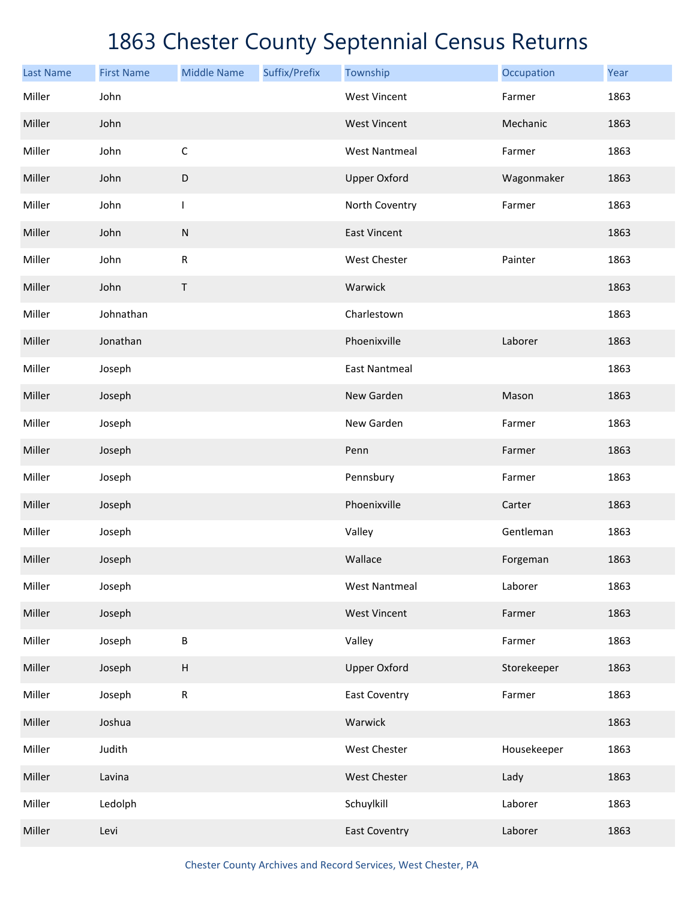| <b>Last Name</b> | <b>First Name</b> | <b>Middle Name</b>        | Suffix/Prefix | Township             | Occupation  | Year |
|------------------|-------------------|---------------------------|---------------|----------------------|-------------|------|
| Miller           | John              |                           |               | <b>West Vincent</b>  | Farmer      | 1863 |
| Miller           | John              |                           |               | <b>West Vincent</b>  | Mechanic    | 1863 |
| Miller           | John              | $\mathsf C$               |               | <b>West Nantmeal</b> | Farmer      | 1863 |
| Miller           | John              | $\mathsf D$               |               | <b>Upper Oxford</b>  | Wagonmaker  | 1863 |
| Miller           | John              | T                         |               | North Coventry       | Farmer      | 1863 |
| Miller           | John              | ${\sf N}$                 |               | <b>East Vincent</b>  |             | 1863 |
| Miller           | John              | $\mathsf{R}$              |               | West Chester         | Painter     | 1863 |
| Miller           | John              | Τ                         |               | Warwick              |             | 1863 |
| Miller           | Johnathan         |                           |               | Charlestown          |             | 1863 |
| Miller           | Jonathan          |                           |               | Phoenixville         | Laborer     | 1863 |
| Miller           | Joseph            |                           |               | <b>East Nantmeal</b> |             | 1863 |
| Miller           | Joseph            |                           |               | New Garden           | Mason       | 1863 |
| Miller           | Joseph            |                           |               | New Garden           | Farmer      | 1863 |
| Miller           | Joseph            |                           |               | Penn                 | Farmer      | 1863 |
| Miller           | Joseph            |                           |               | Pennsbury            | Farmer      | 1863 |
| Miller           | Joseph            |                           |               | Phoenixville         | Carter      | 1863 |
| Miller           | Joseph            |                           |               | Valley               | Gentleman   | 1863 |
| Miller           | Joseph            |                           |               | Wallace              | Forgeman    | 1863 |
| Miller           | Joseph            |                           |               | <b>West Nantmeal</b> | Laborer     | 1863 |
| Miller           | Joseph            |                           |               | <b>West Vincent</b>  | Farmer      | 1863 |
| Miller           | Joseph            | B                         |               | Valley               | Farmer      | 1863 |
| Miller           | Joseph            | $\boldsymbol{\mathsf{H}}$ |               | <b>Upper Oxford</b>  | Storekeeper | 1863 |
| Miller           | Joseph            | ${\sf R}$                 |               | East Coventry        | Farmer      | 1863 |
| Miller           | Joshua            |                           |               | Warwick              |             | 1863 |
| Miller           | Judith            |                           |               | West Chester         | Housekeeper | 1863 |
| Miller           | Lavina            |                           |               | West Chester         | Lady        | 1863 |
| Miller           | Ledolph           |                           |               | Schuylkill           | Laborer     | 1863 |
| Miller           | Levi              |                           |               | <b>East Coventry</b> | Laborer     | 1863 |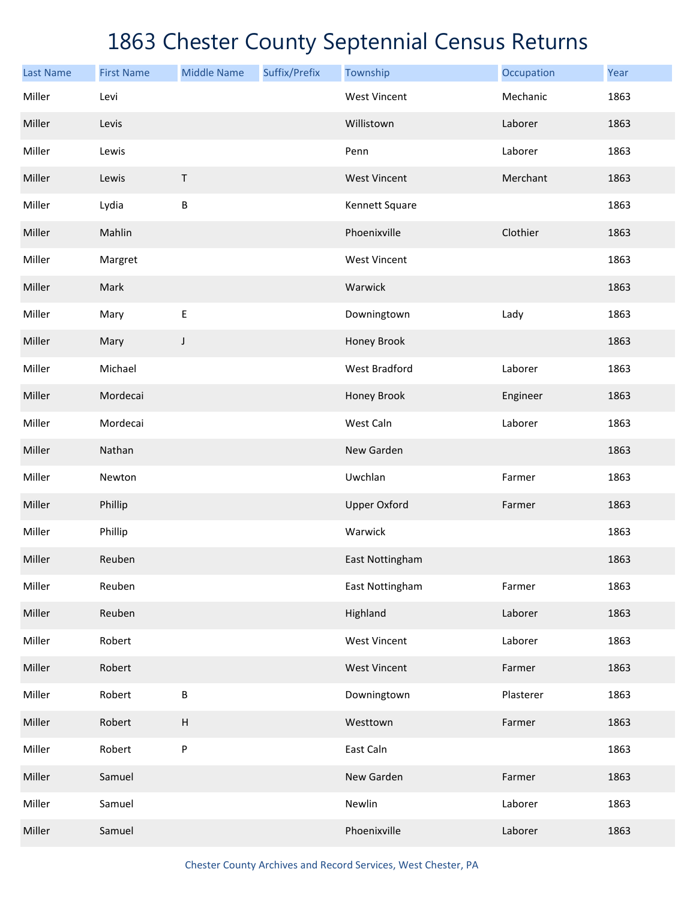| <b>Last Name</b> | <b>First Name</b> | <b>Middle Name</b>        | Suffix/Prefix | Township             | Occupation | Year |
|------------------|-------------------|---------------------------|---------------|----------------------|------------|------|
| Miller           | Levi              |                           |               | <b>West Vincent</b>  | Mechanic   | 1863 |
| Miller           | Levis             |                           |               | Willistown           | Laborer    | 1863 |
| Miller           | Lewis             |                           |               | Penn                 | Laborer    | 1863 |
| Miller           | Lewis             | Τ                         |               | <b>West Vincent</b>  | Merchant   | 1863 |
| Miller           | Lydia             | B                         |               | Kennett Square       |            | 1863 |
| Miller           | Mahlin            |                           |               | Phoenixville         | Clothier   | 1863 |
| Miller           | Margret           |                           |               | <b>West Vincent</b>  |            | 1863 |
| Miller           | Mark              |                           |               | Warwick              |            | 1863 |
| Miller           | Mary              | E                         |               | Downingtown          | Lady       | 1863 |
| Miller           | Mary              | J                         |               | Honey Brook          |            | 1863 |
| Miller           | Michael           |                           |               | <b>West Bradford</b> | Laborer    | 1863 |
| Miller           | Mordecai          |                           |               | Honey Brook          | Engineer   | 1863 |
| Miller           | Mordecai          |                           |               | West Caln            | Laborer    | 1863 |
| Miller           | Nathan            |                           |               | New Garden           |            | 1863 |
| Miller           | Newton            |                           |               | Uwchlan              | Farmer     | 1863 |
| Miller           | Phillip           |                           |               | <b>Upper Oxford</b>  | Farmer     | 1863 |
| Miller           | Phillip           |                           |               | Warwick              |            | 1863 |
| Miller           | Reuben            |                           |               | East Nottingham      |            | 1863 |
| Miller           | Reuben            |                           |               | East Nottingham      | Farmer     | 1863 |
| Miller           | Reuben            |                           |               | Highland             | Laborer    | 1863 |
| Miller           | Robert            |                           |               | <b>West Vincent</b>  | Laborer    | 1863 |
| Miller           | Robert            |                           |               | <b>West Vincent</b>  | Farmer     | 1863 |
| Miller           | Robert            | $\sf B$                   |               | Downingtown          | Plasterer  | 1863 |
| Miller           | Robert            | $\boldsymbol{\mathsf{H}}$ |               | Westtown             | Farmer     | 1863 |
| Miller           | Robert            | P                         |               | East Caln            |            | 1863 |
| Miller           | Samuel            |                           |               | New Garden           | Farmer     | 1863 |
| Miller           | Samuel            |                           |               | Newlin               | Laborer    | 1863 |
| Miller           | Samuel            |                           |               | Phoenixville         | Laborer    | 1863 |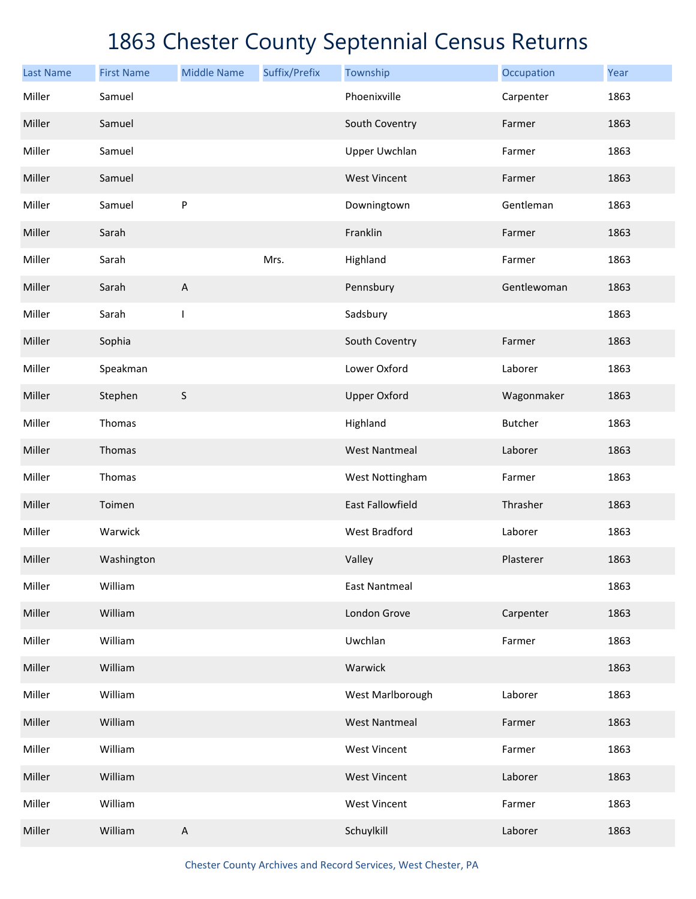| <b>Last Name</b> | <b>First Name</b> | <b>Middle Name</b> | Suffix/Prefix | Township                | Occupation     | Year |
|------------------|-------------------|--------------------|---------------|-------------------------|----------------|------|
| Miller           | Samuel            |                    |               | Phoenixville            | Carpenter      | 1863 |
| Miller           | Samuel            |                    |               | South Coventry          | Farmer         | 1863 |
| Miller           | Samuel            |                    |               | <b>Upper Uwchlan</b>    | Farmer         | 1863 |
| Miller           | Samuel            |                    |               | <b>West Vincent</b>     | Farmer         | 1863 |
| Miller           | Samuel            | P                  |               | Downingtown             | Gentleman      | 1863 |
| Miller           | Sarah             |                    |               | Franklin                | Farmer         | 1863 |
| Miller           | Sarah             |                    | Mrs.          | Highland                | Farmer         | 1863 |
| Miller           | Sarah             | A                  |               | Pennsbury               | Gentlewoman    | 1863 |
| Miller           | Sarah             | T                  |               | Sadsbury                |                | 1863 |
| Miller           | Sophia            |                    |               | South Coventry          | Farmer         | 1863 |
| Miller           | Speakman          |                    |               | Lower Oxford            | Laborer        | 1863 |
| Miller           | Stephen           | $\sf S$            |               | <b>Upper Oxford</b>     | Wagonmaker     | 1863 |
| Miller           | Thomas            |                    |               | Highland                | <b>Butcher</b> | 1863 |
| Miller           | Thomas            |                    |               | <b>West Nantmeal</b>    | Laborer        | 1863 |
| Miller           | Thomas            |                    |               | West Nottingham         | Farmer         | 1863 |
| Miller           | Toimen            |                    |               | <b>East Fallowfield</b> | Thrasher       | 1863 |
| Miller           | Warwick           |                    |               | West Bradford           | Laborer        | 1863 |
| Miller           | Washington        |                    |               | Valley                  | Plasterer      | 1863 |
| Miller           | William           |                    |               | <b>East Nantmeal</b>    |                | 1863 |
| Miller           | William           |                    |               | London Grove            | Carpenter      | 1863 |
| Miller           | William           |                    |               | Uwchlan                 | Farmer         | 1863 |
| Miller           | William           |                    |               | Warwick                 |                | 1863 |
| Miller           | William           |                    |               | West Marlborough        | Laborer        | 1863 |
| Miller           | William           |                    |               | <b>West Nantmeal</b>    | Farmer         | 1863 |
| Miller           | William           |                    |               | <b>West Vincent</b>     | Farmer         | 1863 |
| Miller           | William           |                    |               | <b>West Vincent</b>     | Laborer        | 1863 |
| Miller           | William           |                    |               | <b>West Vincent</b>     | Farmer         | 1863 |
| Miller           | William           | A                  |               | Schuylkill              | Laborer        | 1863 |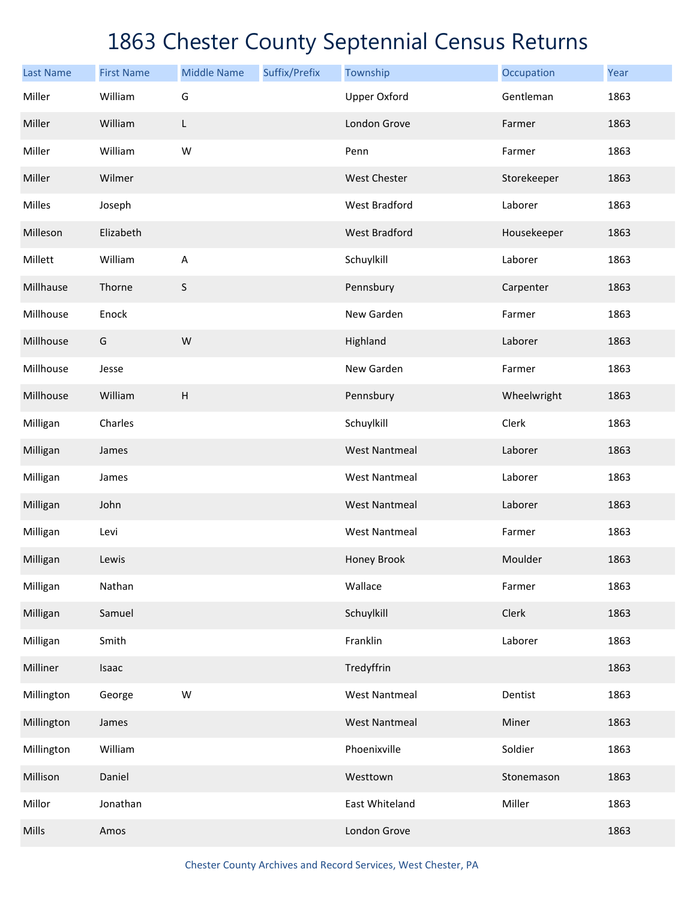| <b>Last Name</b> | <b>First Name</b> | <b>Middle Name</b> | Suffix/Prefix | Township             | Occupation  | Year |
|------------------|-------------------|--------------------|---------------|----------------------|-------------|------|
| Miller           | William           | G                  |               | <b>Upper Oxford</b>  | Gentleman   | 1863 |
| Miller           | William           | L                  |               | London Grove         | Farmer      | 1863 |
| Miller           | William           | W                  |               | Penn                 | Farmer      | 1863 |
| Miller           | Wilmer            |                    |               | West Chester         | Storekeeper | 1863 |
| Milles           | Joseph            |                    |               | West Bradford        | Laborer     | 1863 |
| Milleson         | Elizabeth         |                    |               | <b>West Bradford</b> | Housekeeper | 1863 |
| Millett          | William           | A                  |               | Schuylkill           | Laborer     | 1863 |
| Millhause        | Thorne            | $\mathsf S$        |               | Pennsbury            | Carpenter   | 1863 |
| Millhouse        | Enock             |                    |               | New Garden           | Farmer      | 1863 |
| Millhouse        | G                 | W                  |               | Highland             | Laborer     | 1863 |
| Millhouse        | Jesse             |                    |               | New Garden           | Farmer      | 1863 |
| Millhouse        | William           | H                  |               | Pennsbury            | Wheelwright | 1863 |
| Milligan         | Charles           |                    |               | Schuylkill           | Clerk       | 1863 |
| Milligan         | James             |                    |               | <b>West Nantmeal</b> | Laborer     | 1863 |
| Milligan         | James             |                    |               | <b>West Nantmeal</b> | Laborer     | 1863 |
| Milligan         | John              |                    |               | <b>West Nantmeal</b> | Laborer     | 1863 |
| Milligan         | Levi              |                    |               | <b>West Nantmeal</b> | Farmer      | 1863 |
| Milligan         | Lewis             |                    |               | Honey Brook          | Moulder     | 1863 |
| Milligan         | Nathan            |                    |               | Wallace              | Farmer      | 1863 |
| Milligan         | Samuel            |                    |               | Schuylkill           | Clerk       | 1863 |
| Milligan         | Smith             |                    |               | Franklin             | Laborer     | 1863 |
| Milliner         | Isaac             |                    |               | Tredyffrin           |             | 1863 |
| Millington       | George            | W                  |               | <b>West Nantmeal</b> | Dentist     | 1863 |
| Millington       | James             |                    |               | <b>West Nantmeal</b> | Miner       | 1863 |
| Millington       | William           |                    |               | Phoenixville         | Soldier     | 1863 |
| Millison         | Daniel            |                    |               | Westtown             | Stonemason  | 1863 |
| Millor           | Jonathan          |                    |               | East Whiteland       | Miller      | 1863 |
| Mills            | Amos              |                    |               | London Grove         |             | 1863 |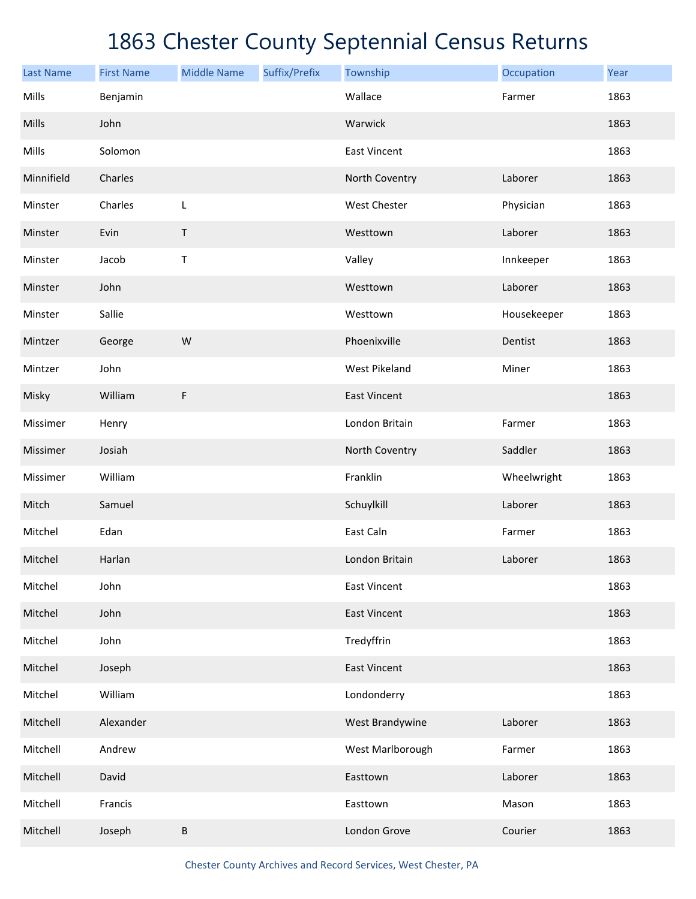| <b>Last Name</b> | <b>First Name</b> | <b>Middle Name</b> | Suffix/Prefix | Township             | Occupation  | Year |
|------------------|-------------------|--------------------|---------------|----------------------|-------------|------|
| Mills            | Benjamin          |                    |               | Wallace              | Farmer      | 1863 |
| Mills            | John              |                    |               | Warwick              |             | 1863 |
| Mills            | Solomon           |                    |               | <b>East Vincent</b>  |             | 1863 |
| Minnifield       | Charles           |                    |               | North Coventry       | Laborer     | 1863 |
| Minster          | Charles           | L                  |               | West Chester         | Physician   | 1863 |
| Minster          | Evin              | Τ                  |               | Westtown             | Laborer     | 1863 |
| Minster          | Jacob             | Τ                  |               | Valley               | Innkeeper   | 1863 |
| Minster          | John              |                    |               | Westtown             | Laborer     | 1863 |
| Minster          | Sallie            |                    |               | Westtown             | Housekeeper | 1863 |
| Mintzer          | George            | W                  |               | Phoenixville         | Dentist     | 1863 |
| Mintzer          | John              |                    |               | <b>West Pikeland</b> | Miner       | 1863 |
| Misky            | William           | F                  |               | <b>East Vincent</b>  |             | 1863 |
| Missimer         | Henry             |                    |               | London Britain       | Farmer      | 1863 |
| Missimer         | Josiah            |                    |               | North Coventry       | Saddler     | 1863 |
| Missimer         | William           |                    |               | Franklin             | Wheelwright | 1863 |
| Mitch            | Samuel            |                    |               | Schuylkill           | Laborer     | 1863 |
| Mitchel          | Edan              |                    |               | East Caln            | Farmer      | 1863 |
| Mitchel          | Harlan            |                    |               | London Britain       | Laborer     | 1863 |
| Mitchel          | John              |                    |               | <b>East Vincent</b>  |             | 1863 |
| Mitchel          | John              |                    |               | <b>East Vincent</b>  |             | 1863 |
| Mitchel          | John              |                    |               | Tredyffrin           |             | 1863 |
| Mitchel          | Joseph            |                    |               | <b>East Vincent</b>  |             | 1863 |
| Mitchel          | William           |                    |               | Londonderry          |             | 1863 |
| Mitchell         | Alexander         |                    |               | West Brandywine      | Laborer     | 1863 |
| Mitchell         | Andrew            |                    |               | West Marlborough     | Farmer      | 1863 |
| Mitchell         | David             |                    |               | Easttown             | Laborer     | 1863 |
| Mitchell         | Francis           |                    |               | Easttown             | Mason       | 1863 |
| Mitchell         | Joseph            | B                  |               | London Grove         | Courier     | 1863 |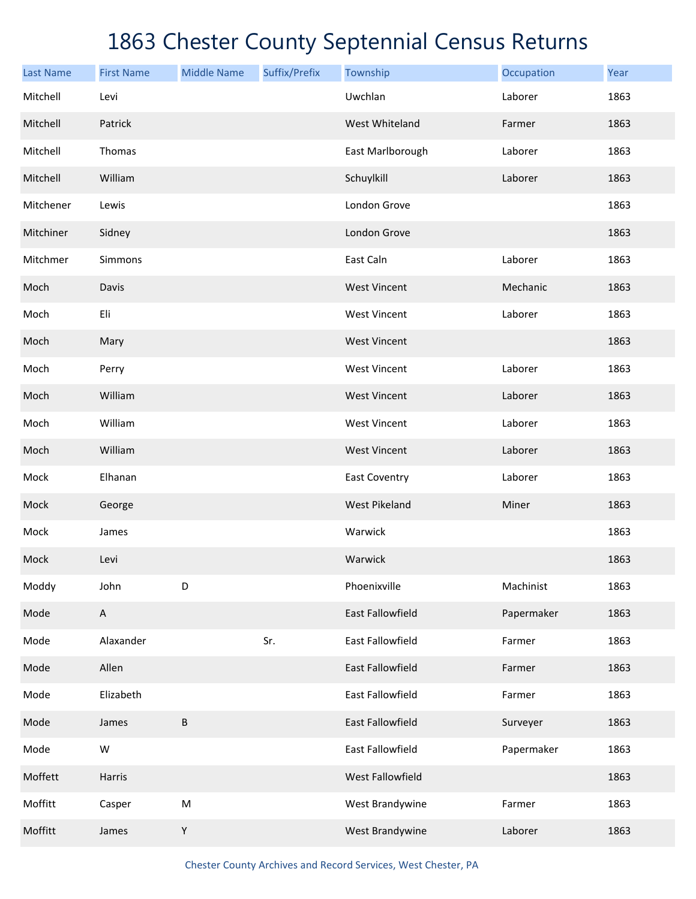| <b>Last Name</b> | <b>First Name</b> | <b>Middle Name</b> | Suffix/Prefix | Township                | Occupation | Year |
|------------------|-------------------|--------------------|---------------|-------------------------|------------|------|
| Mitchell         | Levi              |                    |               | Uwchlan                 | Laborer    | 1863 |
| Mitchell         | Patrick           |                    |               | West Whiteland          | Farmer     | 1863 |
| Mitchell         | Thomas            |                    |               | East Marlborough        | Laborer    | 1863 |
| Mitchell         | William           |                    |               | Schuylkill              | Laborer    | 1863 |
| Mitchener        | Lewis             |                    |               | London Grove            |            | 1863 |
| Mitchiner        | Sidney            |                    |               | London Grove            |            | 1863 |
| Mitchmer         | Simmons           |                    |               | East Caln               | Laborer    | 1863 |
| Moch             | Davis             |                    |               | <b>West Vincent</b>     | Mechanic   | 1863 |
| Moch             | Eli               |                    |               | <b>West Vincent</b>     | Laborer    | 1863 |
| Moch             | Mary              |                    |               | <b>West Vincent</b>     |            | 1863 |
| Moch             | Perry             |                    |               | <b>West Vincent</b>     | Laborer    | 1863 |
| Moch             | William           |                    |               | <b>West Vincent</b>     | Laborer    | 1863 |
| Moch             | William           |                    |               | <b>West Vincent</b>     | Laborer    | 1863 |
| Moch             | William           |                    |               | <b>West Vincent</b>     | Laborer    | 1863 |
| Mock             | Elhanan           |                    |               | <b>East Coventry</b>    | Laborer    | 1863 |
| Mock             | George            |                    |               | <b>West Pikeland</b>    | Miner      | 1863 |
| Mock             | James             |                    |               | Warwick                 |            | 1863 |
| Mock             | Levi              |                    |               | Warwick                 |            | 1863 |
| Moddy            | John              | D                  |               | Phoenixville            | Machinist  | 1863 |
| Mode             | $\mathsf{A}$      |                    |               | East Fallowfield        | Papermaker | 1863 |
| Mode             | Alaxander         |                    | Sr.           | East Fallowfield        | Farmer     | 1863 |
| Mode             | Allen             |                    |               | <b>East Fallowfield</b> | Farmer     | 1863 |
| Mode             | Elizabeth         |                    |               | East Fallowfield        | Farmer     | 1863 |
| Mode             | James             | B                  |               | East Fallowfield        | Surveyer   | 1863 |
| Mode             | ${\sf W}$         |                    |               | East Fallowfield        | Papermaker | 1863 |
| Moffett          | Harris            |                    |               | West Fallowfield        |            | 1863 |
| Moffitt          | Casper            | ${\sf M}$          |               | West Brandywine         | Farmer     | 1863 |
| Moffitt          | James             | Υ                  |               | West Brandywine         | Laborer    | 1863 |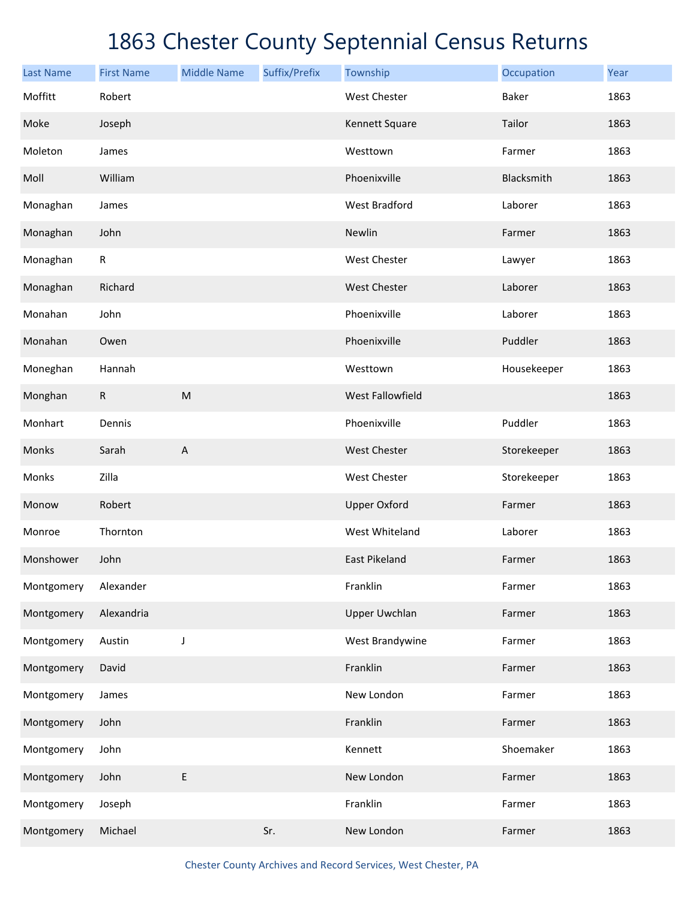| <b>Last Name</b> | <b>First Name</b> | <b>Middle Name</b>        | Suffix/Prefix | Township             | Occupation  | Year |
|------------------|-------------------|---------------------------|---------------|----------------------|-------------|------|
| Moffitt          | Robert            |                           |               | <b>West Chester</b>  | Baker       | 1863 |
| Moke             | Joseph            |                           |               | Kennett Square       | Tailor      | 1863 |
| Moleton          | James             |                           |               | Westtown             | Farmer      | 1863 |
| Moll             | William           |                           |               | Phoenixville         | Blacksmith  | 1863 |
| Monaghan         | James             |                           |               | <b>West Bradford</b> | Laborer     | 1863 |
| Monaghan         | John              |                           |               | Newlin               | Farmer      | 1863 |
| Monaghan         | ${\sf R}$         |                           |               | West Chester         | Lawyer      | 1863 |
| Monaghan         | Richard           |                           |               | <b>West Chester</b>  | Laborer     | 1863 |
| Monahan          | John              |                           |               | Phoenixville         | Laborer     | 1863 |
| Monahan          | Owen              |                           |               | Phoenixville         | Puddler     | 1863 |
| Moneghan         | Hannah            |                           |               | Westtown             | Housekeeper | 1863 |
| Monghan          | R                 | ${\sf M}$                 |               | West Fallowfield     |             | 1863 |
| Monhart          | Dennis            |                           |               | Phoenixville         | Puddler     | 1863 |
| Monks            | Sarah             | $\boldsymbol{\mathsf{A}}$ |               | <b>West Chester</b>  | Storekeeper | 1863 |
| Monks            | Zilla             |                           |               | West Chester         | Storekeeper | 1863 |
| Monow            | Robert            |                           |               | <b>Upper Oxford</b>  | Farmer      | 1863 |
| Monroe           | Thornton          |                           |               | West Whiteland       | Laborer     | 1863 |
| Monshower        | John              |                           |               | <b>East Pikeland</b> | Farmer      | 1863 |
| Montgomery       | Alexander         |                           |               | Franklin             | Farmer      | 1863 |
| Montgomery       | Alexandria        |                           |               | <b>Upper Uwchlan</b> | Farmer      | 1863 |
| Montgomery       | Austin            | J                         |               | West Brandywine      | Farmer      | 1863 |
| Montgomery       | David             |                           |               | Franklin             | Farmer      | 1863 |
| Montgomery       | James             |                           |               | New London           | Farmer      | 1863 |
| Montgomery       | John              |                           |               | Franklin             | Farmer      | 1863 |
| Montgomery       | John              |                           |               | Kennett              | Shoemaker   | 1863 |
| Montgomery       | John              | E                         |               | New London           | Farmer      | 1863 |
| Montgomery       | Joseph            |                           |               | Franklin             | Farmer      | 1863 |
| Montgomery       | Michael           |                           | Sr.           | New London           | Farmer      | 1863 |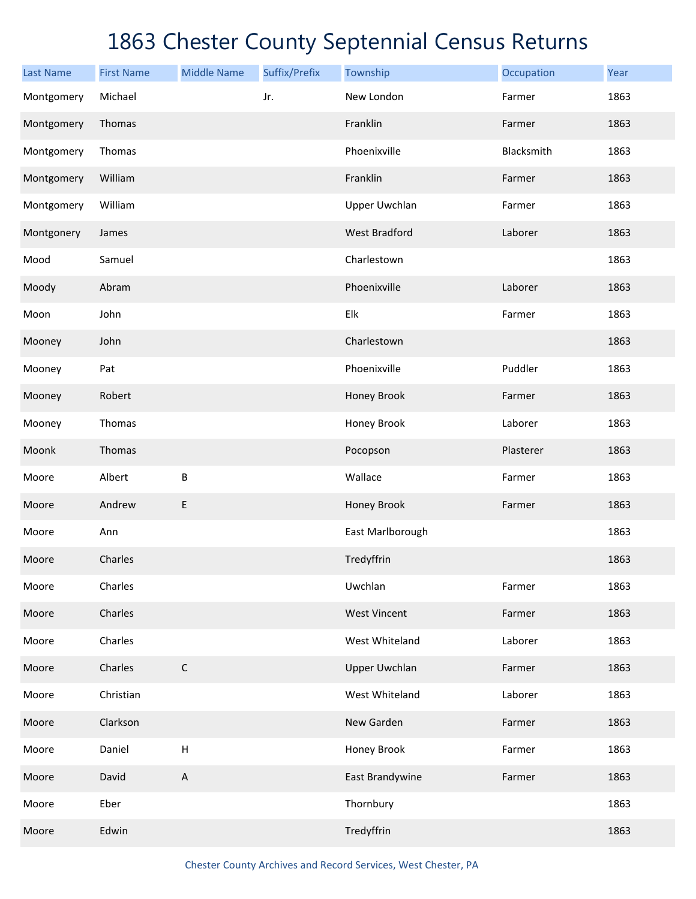| <b>Last Name</b> | <b>First Name</b> | <b>Middle Name</b>        | Suffix/Prefix | Township             | Occupation | Year |
|------------------|-------------------|---------------------------|---------------|----------------------|------------|------|
| Montgomery       | Michael           |                           | Jr.           | New London           | Farmer     | 1863 |
| Montgomery       | Thomas            |                           |               | Franklin             | Farmer     | 1863 |
| Montgomery       | Thomas            |                           |               | Phoenixville         | Blacksmith | 1863 |
| Montgomery       | William           |                           |               | Franklin             | Farmer     | 1863 |
| Montgomery       | William           |                           |               | <b>Upper Uwchlan</b> | Farmer     | 1863 |
| Montgonery       | James             |                           |               | <b>West Bradford</b> | Laborer    | 1863 |
| Mood             | Samuel            |                           |               | Charlestown          |            | 1863 |
| Moody            | Abram             |                           |               | Phoenixville         | Laborer    | 1863 |
| Moon             | John              |                           |               | Elk                  | Farmer     | 1863 |
| Mooney           | John              |                           |               | Charlestown          |            | 1863 |
| Mooney           | Pat               |                           |               | Phoenixville         | Puddler    | 1863 |
| Mooney           | Robert            |                           |               | Honey Brook          | Farmer     | 1863 |
| Mooney           | Thomas            |                           |               | Honey Brook          | Laborer    | 1863 |
| Moonk            | Thomas            |                           |               | Pocopson             | Plasterer  | 1863 |
| Moore            | Albert            | B                         |               | Wallace              | Farmer     | 1863 |
| Moore            | Andrew            | E                         |               | Honey Brook          | Farmer     | 1863 |
| Moore            | Ann               |                           |               | East Marlborough     |            | 1863 |
| Moore            | Charles           |                           |               | Tredyffrin           |            | 1863 |
| Moore            | Charles           |                           |               | Uwchlan              | Farmer     | 1863 |
| Moore            | Charles           |                           |               | <b>West Vincent</b>  | Farmer     | 1863 |
| Moore            | Charles           |                           |               | West Whiteland       | Laborer    | 1863 |
| Moore            | Charles           | $\mathsf C$               |               | <b>Upper Uwchlan</b> | Farmer     | 1863 |
| Moore            | Christian         |                           |               | West Whiteland       | Laborer    | 1863 |
| Moore            | Clarkson          |                           |               | New Garden           | Farmer     | 1863 |
| Moore            | Daniel            | $\boldsymbol{\mathsf{H}}$ |               | Honey Brook          | Farmer     | 1863 |
| Moore            | David             | A                         |               | East Brandywine      | Farmer     | 1863 |
| Moore            | Eber              |                           |               | Thornbury            |            | 1863 |
| Moore            | Edwin             |                           |               | Tredyffrin           |            | 1863 |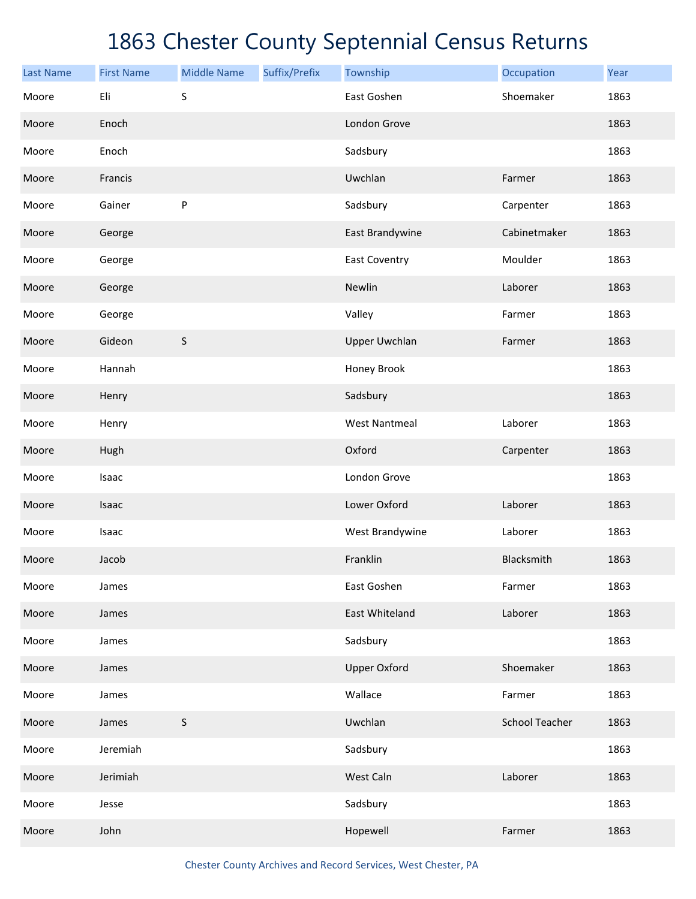| <b>Last Name</b> | <b>First Name</b> | <b>Middle Name</b> | Suffix/Prefix | Township             | Occupation            | Year |
|------------------|-------------------|--------------------|---------------|----------------------|-----------------------|------|
| Moore            | Eli               | $\sf S$            |               | East Goshen          | Shoemaker             | 1863 |
| Moore            | Enoch             |                    |               | London Grove         |                       | 1863 |
| Moore            | Enoch             |                    |               | Sadsbury             |                       | 1863 |
| Moore            | Francis           |                    |               | Uwchlan              | Farmer                | 1863 |
| Moore            | Gainer            | ${\sf P}$          |               | Sadsbury             | Carpenter             | 1863 |
| Moore            | George            |                    |               | East Brandywine      | Cabinetmaker          | 1863 |
| Moore            | George            |                    |               | <b>East Coventry</b> | Moulder               | 1863 |
| Moore            | George            |                    |               | Newlin               | Laborer               | 1863 |
| Moore            | George            |                    |               | Valley               | Farmer                | 1863 |
| Moore            | Gideon            | $\sf S$            |               | <b>Upper Uwchlan</b> | Farmer                | 1863 |
| Moore            | Hannah            |                    |               | Honey Brook          |                       | 1863 |
| Moore            | Henry             |                    |               | Sadsbury             |                       | 1863 |
| Moore            | Henry             |                    |               | <b>West Nantmeal</b> | Laborer               | 1863 |
| Moore            | Hugh              |                    |               | Oxford               | Carpenter             | 1863 |
| Moore            | Isaac             |                    |               | London Grove         |                       | 1863 |
| Moore            | Isaac             |                    |               | Lower Oxford         | Laborer               | 1863 |
| Moore            | Isaac             |                    |               | West Brandywine      | Laborer               | 1863 |
| Moore            | Jacob             |                    |               | Franklin             | Blacksmith            | 1863 |
| Moore            | James             |                    |               | East Goshen          | Farmer                | 1863 |
| Moore            | James             |                    |               | East Whiteland       | Laborer               | 1863 |
| Moore            | James             |                    |               | Sadsbury             |                       | 1863 |
| Moore            | James             |                    |               | <b>Upper Oxford</b>  | Shoemaker             | 1863 |
| Moore            | James             |                    |               | Wallace              | Farmer                | 1863 |
| Moore            | James             | $\sf S$            |               | Uwchlan              | <b>School Teacher</b> | 1863 |
| Moore            | Jeremiah          |                    |               | Sadsbury             |                       | 1863 |
| Moore            | Jerimiah          |                    |               | West Caln            | Laborer               | 1863 |
| Moore            | Jesse             |                    |               | Sadsbury             |                       | 1863 |
| Moore            | John              |                    |               | Hopewell             | Farmer                | 1863 |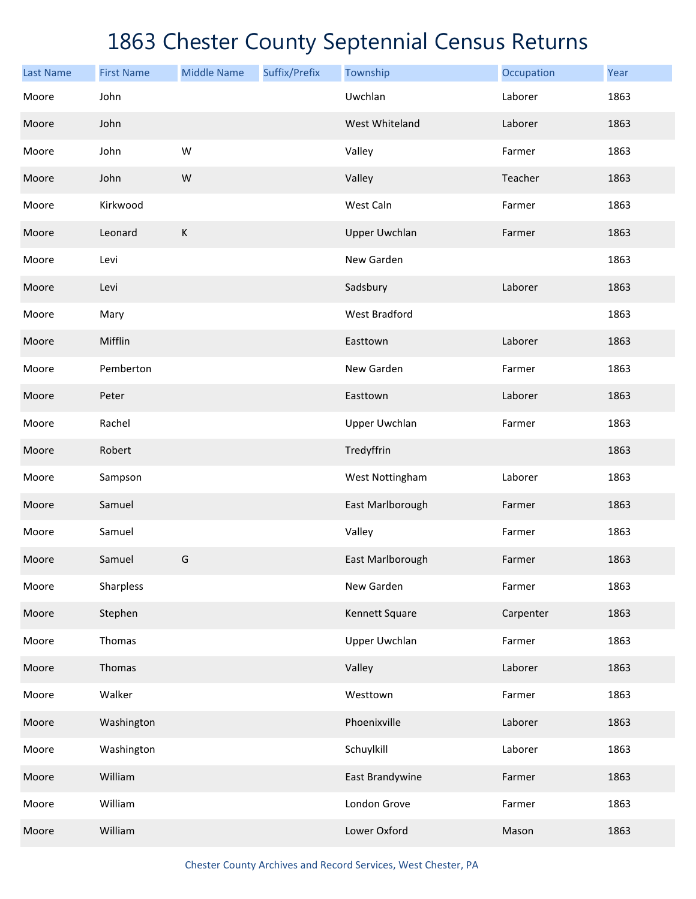| <b>Last Name</b> | <b>First Name</b> | <b>Middle Name</b> | Suffix/Prefix | Township             | Occupation | Year |
|------------------|-------------------|--------------------|---------------|----------------------|------------|------|
| Moore            | John              |                    |               | Uwchlan              | Laborer    | 1863 |
| Moore            | John              |                    |               | West Whiteland       | Laborer    | 1863 |
| Moore            | John              | W                  |               | Valley               | Farmer     | 1863 |
| Moore            | John              | W                  |               | Valley               | Teacher    | 1863 |
| Moore            | Kirkwood          |                    |               | West Caln            | Farmer     | 1863 |
| Moore            | Leonard           | $\mathsf K$        |               | <b>Upper Uwchlan</b> | Farmer     | 1863 |
| Moore            | Levi              |                    |               | New Garden           |            | 1863 |
| Moore            | Levi              |                    |               | Sadsbury             | Laborer    | 1863 |
| Moore            | Mary              |                    |               | <b>West Bradford</b> |            | 1863 |
| Moore            | Mifflin           |                    |               | Easttown             | Laborer    | 1863 |
| Moore            | Pemberton         |                    |               | New Garden           | Farmer     | 1863 |
| Moore            | Peter             |                    |               | Easttown             | Laborer    | 1863 |
| Moore            | Rachel            |                    |               | <b>Upper Uwchlan</b> | Farmer     | 1863 |
| Moore            | Robert            |                    |               | Tredyffrin           |            | 1863 |
| Moore            | Sampson           |                    |               | West Nottingham      | Laborer    | 1863 |
| Moore            | Samuel            |                    |               | East Marlborough     | Farmer     | 1863 |
| Moore            | Samuel            |                    |               | Valley               | Farmer     | 1863 |
| Moore            | Samuel            | G                  |               | East Marlborough     | Farmer     | 1863 |
| Moore            | Sharpless         |                    |               | New Garden           | Farmer     | 1863 |
| Moore            | Stephen           |                    |               | Kennett Square       | Carpenter  | 1863 |
| Moore            | Thomas            |                    |               | Upper Uwchlan        | Farmer     | 1863 |
| Moore            | Thomas            |                    |               | Valley               | Laborer    | 1863 |
| Moore            | Walker            |                    |               | Westtown             | Farmer     | 1863 |
| Moore            | Washington        |                    |               | Phoenixville         | Laborer    | 1863 |
| Moore            | Washington        |                    |               | Schuylkill           | Laborer    | 1863 |
| Moore            | William           |                    |               | East Brandywine      | Farmer     | 1863 |
| Moore            | William           |                    |               | London Grove         | Farmer     | 1863 |
| Moore            | William           |                    |               | Lower Oxford         | Mason      | 1863 |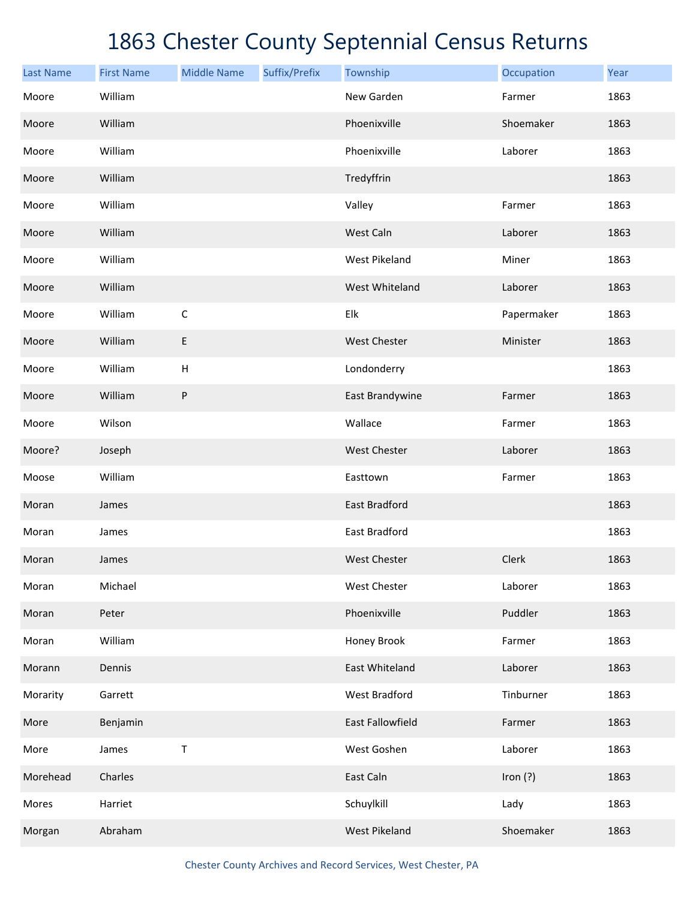| <b>Last Name</b> | <b>First Name</b> | <b>Middle Name</b>        | Suffix/Prefix | Township             | Occupation | Year |
|------------------|-------------------|---------------------------|---------------|----------------------|------------|------|
| Moore            | William           |                           |               | New Garden           | Farmer     | 1863 |
| Moore            | William           |                           |               | Phoenixville         | Shoemaker  | 1863 |
| Moore            | William           |                           |               | Phoenixville         | Laborer    | 1863 |
| Moore            | William           |                           |               | Tredyffrin           |            | 1863 |
| Moore            | William           |                           |               | Valley               | Farmer     | 1863 |
| Moore            | William           |                           |               | West Caln            | Laborer    | 1863 |
| Moore            | William           |                           |               | <b>West Pikeland</b> | Miner      | 1863 |
| Moore            | William           |                           |               | West Whiteland       | Laborer    | 1863 |
| Moore            | William           | $\mathsf C$               |               | Elk                  | Papermaker | 1863 |
| Moore            | William           | E                         |               | <b>West Chester</b>  | Minister   | 1863 |
| Moore            | William           | $\boldsymbol{\mathsf{H}}$ |               | Londonderry          |            | 1863 |
| Moore            | William           | P                         |               | East Brandywine      | Farmer     | 1863 |
| Moore            | Wilson            |                           |               | Wallace              | Farmer     | 1863 |
| Moore?           | Joseph            |                           |               | <b>West Chester</b>  | Laborer    | 1863 |
| Moose            | William           |                           |               | Easttown             | Farmer     | 1863 |
| Moran            | James             |                           |               | East Bradford        |            | 1863 |
| Moran            | James             |                           |               | East Bradford        |            | 1863 |
| Moran            | James             |                           |               | <b>West Chester</b>  | Clerk      | 1863 |
| Moran            | Michael           |                           |               | West Chester         | Laborer    | 1863 |
| Moran            | Peter             |                           |               | Phoenixville         | Puddler    | 1863 |
| Moran            | William           |                           |               | Honey Brook          | Farmer     | 1863 |
| Morann           | Dennis            |                           |               | East Whiteland       | Laborer    | 1863 |
| Morarity         | Garrett           |                           |               | West Bradford        | Tinburner  | 1863 |
| More             | Benjamin          |                           |               | East Fallowfield     | Farmer     | 1863 |
| More             | James             | T                         |               | West Goshen          | Laborer    | 1863 |
| Morehead         | Charles           |                           |               | East Caln            | Iron $(?)$ | 1863 |
| Mores            | Harriet           |                           |               | Schuylkill           | Lady       | 1863 |
| Morgan           | Abraham           |                           |               | <b>West Pikeland</b> | Shoemaker  | 1863 |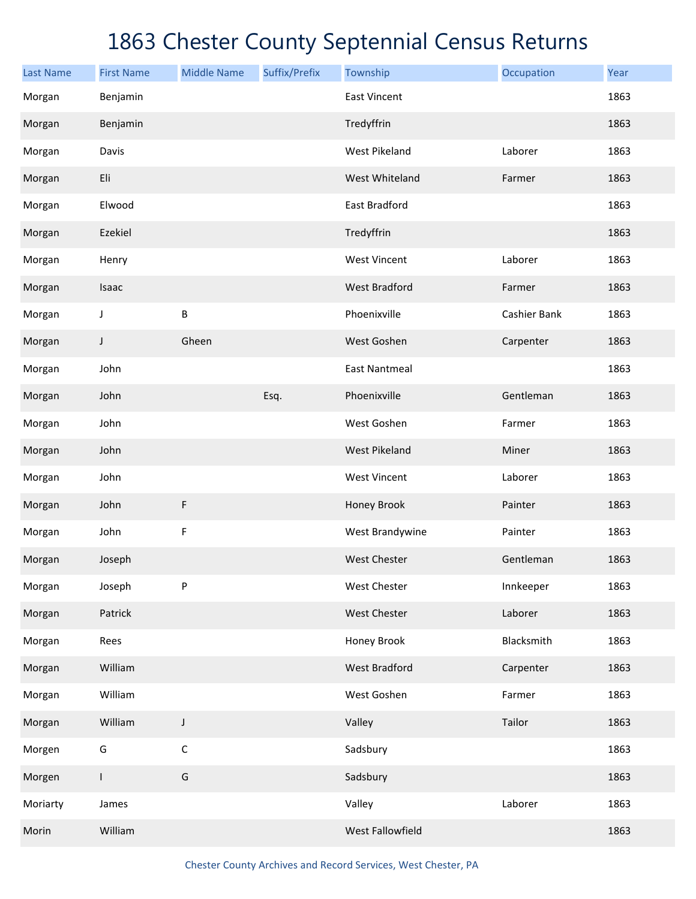| <b>Last Name</b> | <b>First Name</b> | <b>Middle Name</b> | Suffix/Prefix | Township             | Occupation   | Year |
|------------------|-------------------|--------------------|---------------|----------------------|--------------|------|
| Morgan           | Benjamin          |                    |               | <b>East Vincent</b>  |              | 1863 |
| Morgan           | Benjamin          |                    |               | Tredyffrin           |              | 1863 |
| Morgan           | Davis             |                    |               | <b>West Pikeland</b> | Laborer      | 1863 |
| Morgan           | Eli               |                    |               | West Whiteland       | Farmer       | 1863 |
| Morgan           | Elwood            |                    |               | <b>East Bradford</b> |              | 1863 |
| Morgan           | Ezekiel           |                    |               | Tredyffrin           |              | 1863 |
| Morgan           | Henry             |                    |               | <b>West Vincent</b>  | Laborer      | 1863 |
| Morgan           | Isaac             |                    |               | <b>West Bradford</b> | Farmer       | 1863 |
| Morgan           | J                 | B                  |               | Phoenixville         | Cashier Bank | 1863 |
| Morgan           | J                 | Gheen              |               | West Goshen          | Carpenter    | 1863 |
| Morgan           | John              |                    |               | <b>East Nantmeal</b> |              | 1863 |
| Morgan           | John              |                    | Esq.          | Phoenixville         | Gentleman    | 1863 |
| Morgan           | John              |                    |               | West Goshen          | Farmer       | 1863 |
| Morgan           | John              |                    |               | <b>West Pikeland</b> | Miner        | 1863 |
| Morgan           | John              |                    |               | <b>West Vincent</b>  | Laborer      | 1863 |
| Morgan           | John              | $\mathsf F$        |               | Honey Brook          | Painter      | 1863 |
| Morgan           | John              | F                  |               | West Brandywine      | Painter      | 1863 |
| Morgan           | Joseph            |                    |               | <b>West Chester</b>  | Gentleman    | 1863 |
| Morgan           | Joseph            | P                  |               | <b>West Chester</b>  | Innkeeper    | 1863 |
| Morgan           | Patrick           |                    |               | West Chester         | Laborer      | 1863 |
| Morgan           | Rees              |                    |               | Honey Brook          | Blacksmith   | 1863 |
| Morgan           | William           |                    |               | West Bradford        | Carpenter    | 1863 |
| Morgan           | William           |                    |               | West Goshen          | Farmer       | 1863 |
| Morgan           | William           | J                  |               | Valley               | Tailor       | 1863 |
| Morgen           | G                 | $\mathsf C$        |               | Sadsbury             |              | 1863 |
| Morgen           | $\mathsf{L}$      | G                  |               | Sadsbury             |              | 1863 |
| Moriarty         | James             |                    |               | Valley               | Laborer      | 1863 |
| Morin            | William           |                    |               | West Fallowfield     |              | 1863 |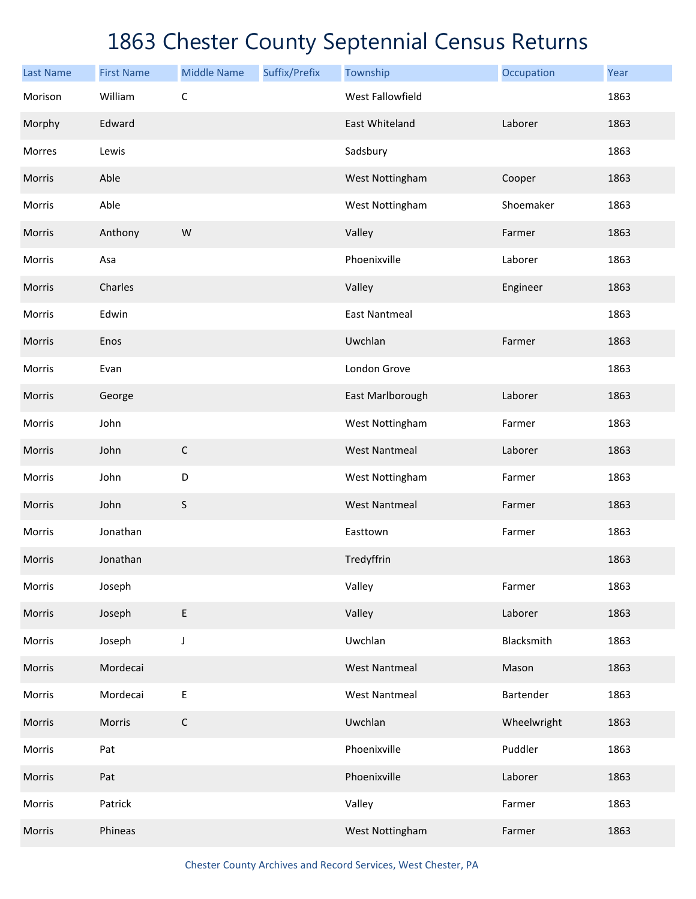| <b>Last Name</b> | <b>First Name</b> | <b>Middle Name</b> | Suffix/Prefix | Township                | Occupation  | Year |
|------------------|-------------------|--------------------|---------------|-------------------------|-------------|------|
| Morison          | William           | $\mathsf C$        |               | <b>West Fallowfield</b> |             | 1863 |
| Morphy           | Edward            |                    |               | <b>East Whiteland</b>   | Laborer     | 1863 |
| Morres           | Lewis             |                    |               | Sadsbury                |             | 1863 |
| Morris           | Able              |                    |               | West Nottingham         | Cooper      | 1863 |
| Morris           | Able              |                    |               | West Nottingham         | Shoemaker   | 1863 |
| Morris           | Anthony           | W                  |               | Valley                  | Farmer      | 1863 |
| Morris           | Asa               |                    |               | Phoenixville            | Laborer     | 1863 |
| Morris           | Charles           |                    |               | Valley                  | Engineer    | 1863 |
| Morris           | Edwin             |                    |               | <b>East Nantmeal</b>    |             | 1863 |
| Morris           | Enos              |                    |               | Uwchlan                 | Farmer      | 1863 |
| Morris           | Evan              |                    |               | London Grove            |             | 1863 |
| Morris           | George            |                    |               | East Marlborough        | Laborer     | 1863 |
| Morris           | John              |                    |               | West Nottingham         | Farmer      | 1863 |
| Morris           | John              | $\mathsf C$        |               | <b>West Nantmeal</b>    | Laborer     | 1863 |
| Morris           | John              | D                  |               | West Nottingham         | Farmer      | 1863 |
| Morris           | John              | $\sf S$            |               | <b>West Nantmeal</b>    | Farmer      | 1863 |
| Morris           | Jonathan          |                    |               | Easttown                | Farmer      | 1863 |
| Morris           | Jonathan          |                    |               | Tredyffrin              |             | 1863 |
| Morris           | Joseph            |                    |               | Valley                  | Farmer      | 1863 |
| Morris           | Joseph            | $\sf E$            |               | Valley                  | Laborer     | 1863 |
| Morris           | Joseph            | J                  |               | Uwchlan                 | Blacksmith  | 1863 |
| Morris           | Mordecai          |                    |               | <b>West Nantmeal</b>    | Mason       | 1863 |
| Morris           | Mordecai          | $\sf E$            |               | <b>West Nantmeal</b>    | Bartender   | 1863 |
| Morris           | Morris            | $\mathsf C$        |               | Uwchlan                 | Wheelwright | 1863 |
| Morris           | Pat               |                    |               | Phoenixville            | Puddler     | 1863 |
| Morris           | Pat               |                    |               | Phoenixville            | Laborer     | 1863 |
| Morris           | Patrick           |                    |               | Valley                  | Farmer      | 1863 |
| Morris           | Phineas           |                    |               | West Nottingham         | Farmer      | 1863 |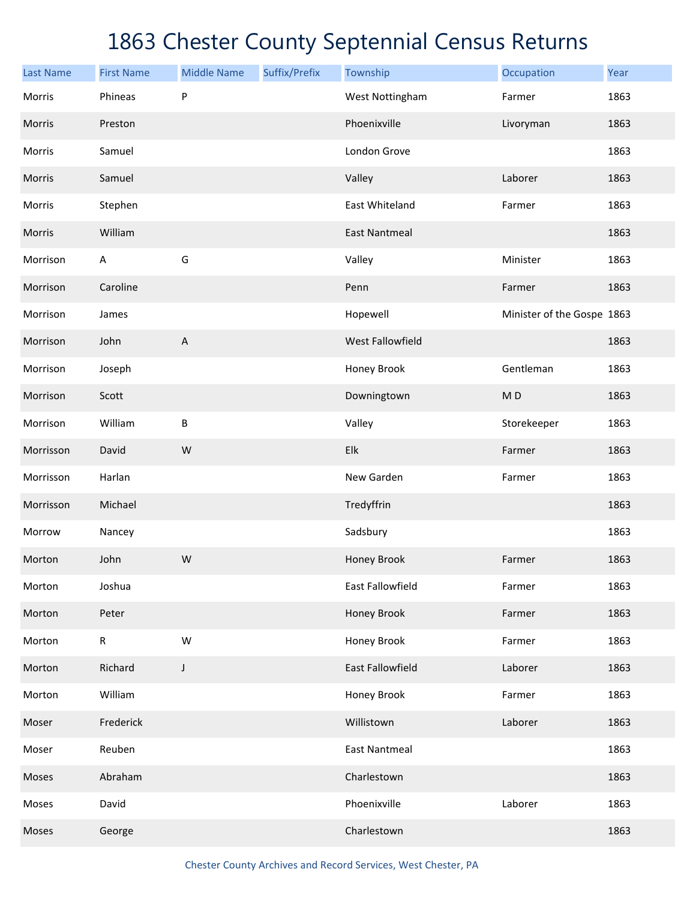| <b>Last Name</b> | <b>First Name</b> | <b>Middle Name</b> | Suffix/Prefix | Township             | Occupation                 | Year |
|------------------|-------------------|--------------------|---------------|----------------------|----------------------------|------|
| Morris           | Phineas           | ${\sf P}$          |               | West Nottingham      | Farmer                     | 1863 |
| Morris           | Preston           |                    |               | Phoenixville         | Livoryman                  | 1863 |
| Morris           | Samuel            |                    |               | London Grove         |                            | 1863 |
| Morris           | Samuel            |                    |               | Valley               | Laborer                    | 1863 |
| Morris           | Stephen           |                    |               | East Whiteland       | Farmer                     | 1863 |
| Morris           | William           |                    |               | <b>East Nantmeal</b> |                            | 1863 |
| Morrison         | A                 | G                  |               | Valley               | Minister                   | 1863 |
| Morrison         | Caroline          |                    |               | Penn                 | Farmer                     | 1863 |
| Morrison         | James             |                    |               | Hopewell             | Minister of the Gospe 1863 |      |
| Morrison         | John              | $\mathsf A$        |               | West Fallowfield     |                            | 1863 |
| Morrison         | Joseph            |                    |               | Honey Brook          | Gentleman                  | 1863 |
| Morrison         | Scott             |                    |               | Downingtown          | M <sub>D</sub>             | 1863 |
| Morrison         | William           | $\sf B$            |               | Valley               | Storekeeper                | 1863 |
| Morrisson        | David             | W                  |               | Elk                  | Farmer                     | 1863 |
| Morrisson        | Harlan            |                    |               | New Garden           | Farmer                     | 1863 |
| Morrisson        | Michael           |                    |               | Tredyffrin           |                            | 1863 |
| Morrow           | Nancey            |                    |               | Sadsbury             |                            | 1863 |
| Morton           | John              | W                  |               | Honey Brook          | Farmer                     | 1863 |
| Morton           | Joshua            |                    |               | East Fallowfield     | Farmer                     | 1863 |
| Morton           | Peter             |                    |               | Honey Brook          | Farmer                     | 1863 |
| Morton           | ${\sf R}$         | W                  |               | Honey Brook          | Farmer                     | 1863 |
| Morton           | Richard           | $\mathsf J$        |               | East Fallowfield     | Laborer                    | 1863 |
| Morton           | William           |                    |               | Honey Brook          | Farmer                     | 1863 |
| Moser            | Frederick         |                    |               | Willistown           | Laborer                    | 1863 |
| Moser            | Reuben            |                    |               | <b>East Nantmeal</b> |                            | 1863 |
| Moses            | Abraham           |                    |               | Charlestown          |                            | 1863 |
| Moses            | David             |                    |               | Phoenixville         | Laborer                    | 1863 |
| Moses            | George            |                    |               | Charlestown          |                            | 1863 |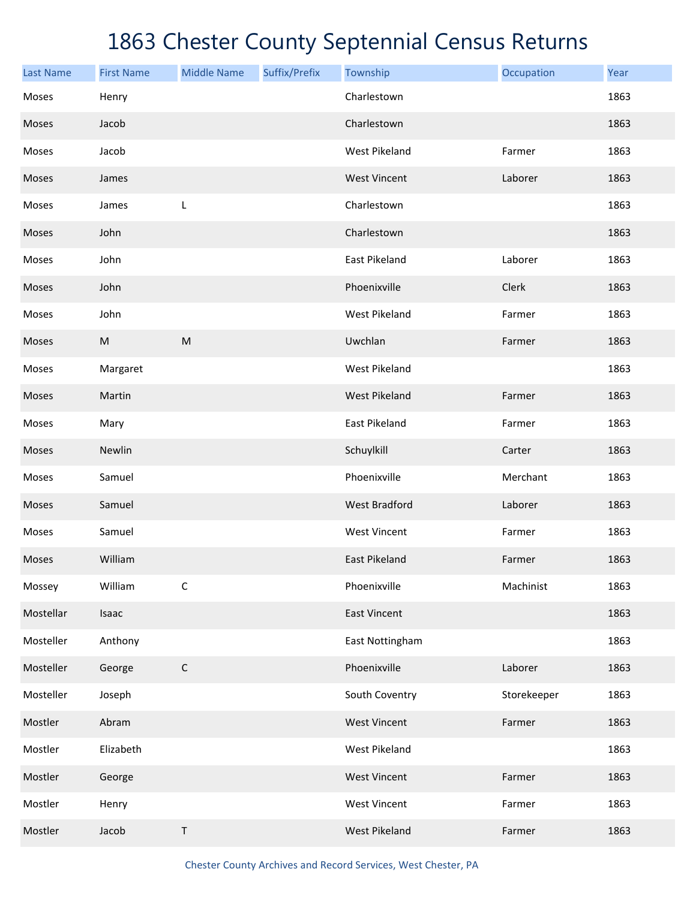| <b>Last Name</b> | <b>First Name</b> | <b>Middle Name</b> | Suffix/Prefix | Township             | Occupation  | Year |
|------------------|-------------------|--------------------|---------------|----------------------|-------------|------|
| Moses            | Henry             |                    |               | Charlestown          |             | 1863 |
| Moses            | Jacob             |                    |               | Charlestown          |             | 1863 |
| Moses            | Jacob             |                    |               | West Pikeland        | Farmer      | 1863 |
| Moses            | James             |                    |               | <b>West Vincent</b>  | Laborer     | 1863 |
| Moses            | James             | L                  |               | Charlestown          |             | 1863 |
| Moses            | John              |                    |               | Charlestown          |             | 1863 |
| Moses            | John              |                    |               | East Pikeland        | Laborer     | 1863 |
| Moses            | John              |                    |               | Phoenixville         | Clerk       | 1863 |
| Moses            | John              |                    |               | <b>West Pikeland</b> | Farmer      | 1863 |
| Moses            | ${\sf M}$         | ${\sf M}$          |               | Uwchlan              | Farmer      | 1863 |
| Moses            | Margaret          |                    |               | West Pikeland        |             | 1863 |
| Moses            | Martin            |                    |               | <b>West Pikeland</b> | Farmer      | 1863 |
| Moses            | Mary              |                    |               | East Pikeland        | Farmer      | 1863 |
| Moses            | Newlin            |                    |               | Schuylkill           | Carter      | 1863 |
| Moses            | Samuel            |                    |               | Phoenixville         | Merchant    | 1863 |
| Moses            | Samuel            |                    |               | <b>West Bradford</b> | Laborer     | 1863 |
| Moses            | Samuel            |                    |               | <b>West Vincent</b>  | Farmer      | 1863 |
| Moses            | William           |                    |               | <b>East Pikeland</b> | Farmer      | 1863 |
| Mossey           | William           | $\mathsf C$        |               | Phoenixville         | Machinist   | 1863 |
| Mostellar        | Isaac             |                    |               | <b>East Vincent</b>  |             | 1863 |
| Mosteller        | Anthony           |                    |               | East Nottingham      |             | 1863 |
| Mosteller        | George            | $\mathsf C$        |               | Phoenixville         | Laborer     | 1863 |
| Mosteller        | Joseph            |                    |               | South Coventry       | Storekeeper | 1863 |
| Mostler          | Abram             |                    |               | <b>West Vincent</b>  | Farmer      | 1863 |
| Mostler          | Elizabeth         |                    |               | West Pikeland        |             | 1863 |
| Mostler          | George            |                    |               | <b>West Vincent</b>  | Farmer      | 1863 |
| Mostler          | Henry             |                    |               | <b>West Vincent</b>  | Farmer      | 1863 |
| Mostler          | Jacob             | $\sf T$            |               | <b>West Pikeland</b> | Farmer      | 1863 |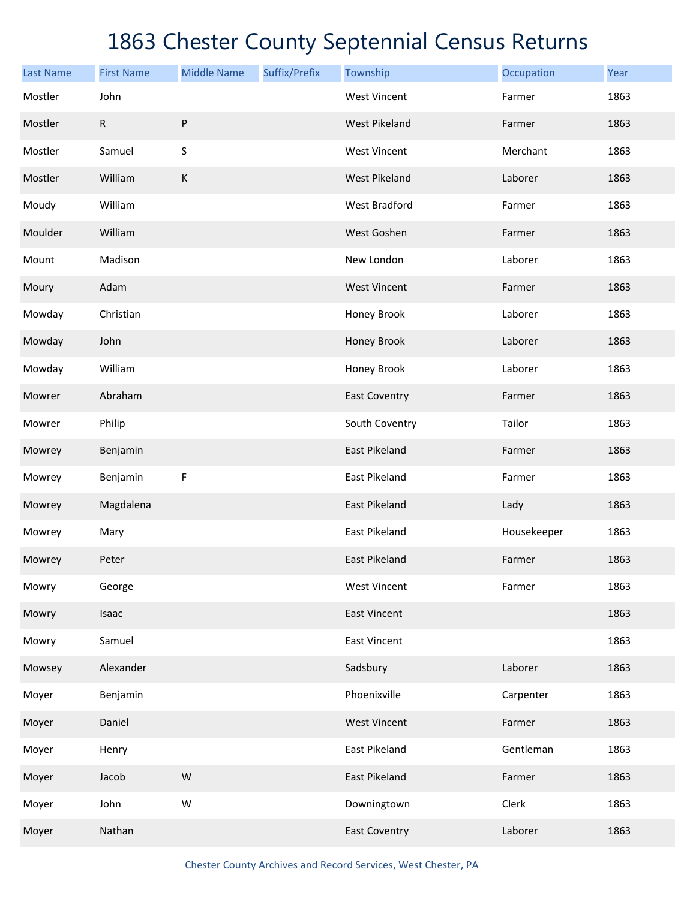| <b>Last Name</b> | <b>First Name</b> | <b>Middle Name</b> | Suffix/Prefix | Township             | Occupation  | Year |
|------------------|-------------------|--------------------|---------------|----------------------|-------------|------|
| Mostler          | John              |                    |               | <b>West Vincent</b>  | Farmer      | 1863 |
| Mostler          | $\mathsf R$       | ${\sf P}$          |               | <b>West Pikeland</b> | Farmer      | 1863 |
| Mostler          | Samuel            | $\sf S$            |               | <b>West Vincent</b>  | Merchant    | 1863 |
| Mostler          | William           | $\mathsf K$        |               | <b>West Pikeland</b> | Laborer     | 1863 |
| Moudy            | William           |                    |               | <b>West Bradford</b> | Farmer      | 1863 |
| Moulder          | William           |                    |               | West Goshen          | Farmer      | 1863 |
| Mount            | Madison           |                    |               | New London           | Laborer     | 1863 |
| Moury            | Adam              |                    |               | <b>West Vincent</b>  | Farmer      | 1863 |
| Mowday           | Christian         |                    |               | Honey Brook          | Laborer     | 1863 |
| Mowday           | John              |                    |               | Honey Brook          | Laborer     | 1863 |
| Mowday           | William           |                    |               | Honey Brook          | Laborer     | 1863 |
| Mowrer           | Abraham           |                    |               | <b>East Coventry</b> | Farmer      | 1863 |
| Mowrer           | Philip            |                    |               | South Coventry       | Tailor      | 1863 |
| Mowrey           | Benjamin          |                    |               | <b>East Pikeland</b> | Farmer      | 1863 |
| Mowrey           | Benjamin          | $\mathsf F$        |               | East Pikeland        | Farmer      | 1863 |
| Mowrey           | Magdalena         |                    |               | East Pikeland        | Lady        | 1863 |
| Mowrey           | Mary              |                    |               | East Pikeland        | Housekeeper | 1863 |
| Mowrey           | Peter             |                    |               | <b>East Pikeland</b> | Farmer      | 1863 |
| Mowry            | George            |                    |               | <b>West Vincent</b>  | Farmer      | 1863 |
| Mowry            | Isaac             |                    |               | <b>East Vincent</b>  |             | 1863 |
| Mowry            | Samuel            |                    |               | <b>East Vincent</b>  |             | 1863 |
| Mowsey           | Alexander         |                    |               | Sadsbury             | Laborer     | 1863 |
| Moyer            | Benjamin          |                    |               | Phoenixville         | Carpenter   | 1863 |
| Moyer            | Daniel            |                    |               | <b>West Vincent</b>  | Farmer      | 1863 |
| Moyer            | Henry             |                    |               | East Pikeland        | Gentleman   | 1863 |
| Moyer            | Jacob             | W                  |               | East Pikeland        | Farmer      | 1863 |
| Moyer            | John              | ${\sf W}$          |               | Downingtown          | Clerk       | 1863 |
| Moyer            | Nathan            |                    |               | <b>East Coventry</b> | Laborer     | 1863 |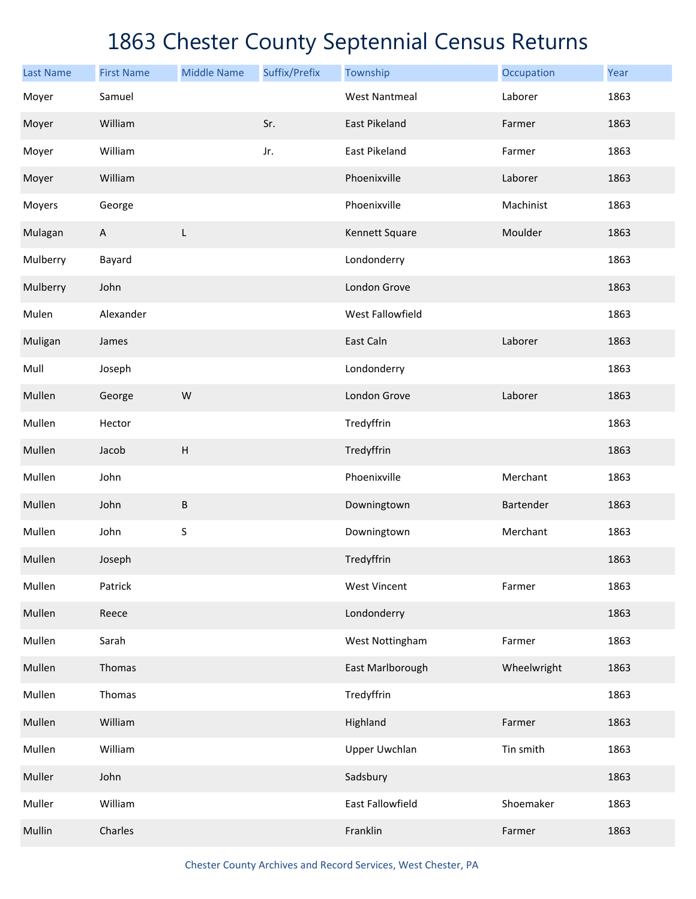| <b>Last Name</b> | <b>First Name</b> | <b>Middle Name</b>        | Suffix/Prefix | Township             | Occupation  | Year |
|------------------|-------------------|---------------------------|---------------|----------------------|-------------|------|
| Moyer            | Samuel            |                           |               | <b>West Nantmeal</b> | Laborer     | 1863 |
| Moyer            | William           |                           | Sr.           | East Pikeland        | Farmer      | 1863 |
| Moyer            | William           |                           | Jr.           | East Pikeland        | Farmer      | 1863 |
| Moyer            | William           |                           |               | Phoenixville         | Laborer     | 1863 |
| Moyers           | George            |                           |               | Phoenixville         | Machinist   | 1863 |
| Mulagan          | $\mathsf{A}$      | L                         |               | Kennett Square       | Moulder     | 1863 |
| Mulberry         | Bayard            |                           |               | Londonderry          |             | 1863 |
| Mulberry         | John              |                           |               | London Grove         |             | 1863 |
| Mulen            | Alexander         |                           |               | West Fallowfield     |             | 1863 |
| Muligan          | James             |                           |               | East Caln            | Laborer     | 1863 |
| Mull             | Joseph            |                           |               | Londonderry          |             | 1863 |
| Mullen           | George            | W                         |               | London Grove         | Laborer     | 1863 |
| Mullen           | Hector            |                           |               | Tredyffrin           |             | 1863 |
| Mullen           | Jacob             | $\boldsymbol{\mathsf{H}}$ |               | Tredyffrin           |             | 1863 |
| Mullen           | John              |                           |               | Phoenixville         | Merchant    | 1863 |
| Mullen           | John              | B                         |               | Downingtown          | Bartender   | 1863 |
| Mullen           | John              | S                         |               | Downingtown          | Merchant    | 1863 |
| Mullen           | Joseph            |                           |               | Tredyffrin           |             | 1863 |
| Mullen           | Patrick           |                           |               | <b>West Vincent</b>  | Farmer      | 1863 |
| Mullen           | Reece             |                           |               | Londonderry          |             | 1863 |
| Mullen           | Sarah             |                           |               | West Nottingham      | Farmer      | 1863 |
| Mullen           | Thomas            |                           |               | East Marlborough     | Wheelwright | 1863 |
| Mullen           | Thomas            |                           |               | Tredyffrin           |             | 1863 |
| Mullen           | William           |                           |               | Highland             | Farmer      | 1863 |
| Mullen           | William           |                           |               | <b>Upper Uwchlan</b> | Tin smith   | 1863 |
| Muller           | John              |                           |               | Sadsbury             |             | 1863 |
| Muller           | William           |                           |               | East Fallowfield     | Shoemaker   | 1863 |
| Mullin           | Charles           |                           |               | Franklin             | Farmer      | 1863 |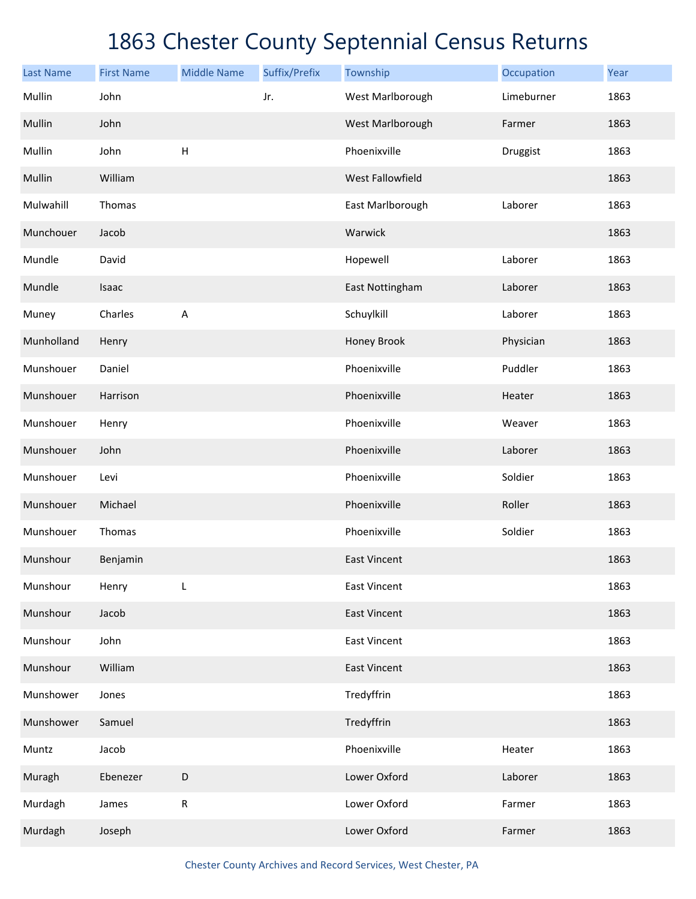| <b>Last Name</b> | <b>First Name</b> | <b>Middle Name</b> | Suffix/Prefix | Township            | Occupation | Year |
|------------------|-------------------|--------------------|---------------|---------------------|------------|------|
| Mullin           | John              |                    | Jr.           | West Marlborough    | Limeburner | 1863 |
| Mullin           | John              |                    |               | West Marlborough    | Farmer     | 1863 |
| Mullin           | John              | $\mathsf H$        |               | Phoenixville        | Druggist   | 1863 |
| Mullin           | William           |                    |               | West Fallowfield    |            | 1863 |
| Mulwahill        | Thomas            |                    |               | East Marlborough    | Laborer    | 1863 |
| Munchouer        | Jacob             |                    |               | Warwick             |            | 1863 |
| Mundle           | David             |                    |               | Hopewell            | Laborer    | 1863 |
| Mundle           | Isaac             |                    |               | East Nottingham     | Laborer    | 1863 |
| Muney            | Charles           | $\overline{A}$     |               | Schuylkill          | Laborer    | 1863 |
| Munholland       | Henry             |                    |               | Honey Brook         | Physician  | 1863 |
| Munshouer        | Daniel            |                    |               | Phoenixville        | Puddler    | 1863 |
| Munshouer        | Harrison          |                    |               | Phoenixville        | Heater     | 1863 |
| Munshouer        | Henry             |                    |               | Phoenixville        | Weaver     | 1863 |
| Munshouer        | John              |                    |               | Phoenixville        | Laborer    | 1863 |
| Munshouer        | Levi              |                    |               | Phoenixville        | Soldier    | 1863 |
| Munshouer        | Michael           |                    |               | Phoenixville        | Roller     | 1863 |
| Munshouer        | Thomas            |                    |               | Phoenixville        | Soldier    | 1863 |
| Munshour         | Benjamin          |                    |               | <b>East Vincent</b> |            | 1863 |
| Munshour         | Henry             | L                  |               | <b>East Vincent</b> |            | 1863 |
| Munshour         | Jacob             |                    |               | <b>East Vincent</b> |            | 1863 |
| Munshour         | John              |                    |               | <b>East Vincent</b> |            | 1863 |
| Munshour         | William           |                    |               | <b>East Vincent</b> |            | 1863 |
| Munshower        | Jones             |                    |               | Tredyffrin          |            | 1863 |
| Munshower        | Samuel            |                    |               | Tredyffrin          |            | 1863 |
| Muntz            | Jacob             |                    |               | Phoenixville        | Heater     | 1863 |
| Muragh           | Ebenezer          | D                  |               | Lower Oxford        | Laborer    | 1863 |
| Murdagh          | James             | ${\sf R}$          |               | Lower Oxford        | Farmer     | 1863 |
| Murdagh          | Joseph            |                    |               | Lower Oxford        | Farmer     | 1863 |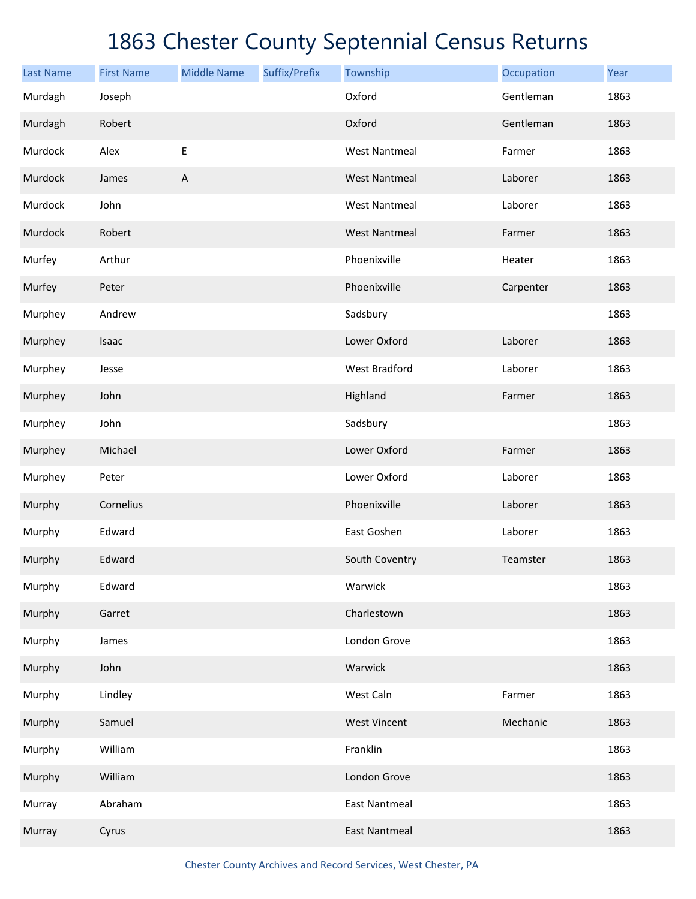| <b>Last Name</b> | <b>First Name</b> | <b>Middle Name</b> | Suffix/Prefix | Township             | Occupation | Year |
|------------------|-------------------|--------------------|---------------|----------------------|------------|------|
| Murdagh          | Joseph            |                    |               | Oxford               | Gentleman  | 1863 |
| Murdagh          | Robert            |                    |               | Oxford               | Gentleman  | 1863 |
| Murdock          | Alex              | $\mathsf E$        |               | <b>West Nantmeal</b> | Farmer     | 1863 |
| Murdock          | James             | $\mathsf A$        |               | <b>West Nantmeal</b> | Laborer    | 1863 |
| Murdock          | John              |                    |               | <b>West Nantmeal</b> | Laborer    | 1863 |
| Murdock          | Robert            |                    |               | <b>West Nantmeal</b> | Farmer     | 1863 |
| Murfey           | Arthur            |                    |               | Phoenixville         | Heater     | 1863 |
| Murfey           | Peter             |                    |               | Phoenixville         | Carpenter  | 1863 |
| Murphey          | Andrew            |                    |               | Sadsbury             |            | 1863 |
| Murphey          | Isaac             |                    |               | Lower Oxford         | Laborer    | 1863 |
| Murphey          | Jesse             |                    |               | <b>West Bradford</b> | Laborer    | 1863 |
| Murphey          | John              |                    |               | Highland             | Farmer     | 1863 |
| Murphey          | John              |                    |               | Sadsbury             |            | 1863 |
| Murphey          | Michael           |                    |               | Lower Oxford         | Farmer     | 1863 |
| Murphey          | Peter             |                    |               | Lower Oxford         | Laborer    | 1863 |
| Murphy           | Cornelius         |                    |               | Phoenixville         | Laborer    | 1863 |
| Murphy           | Edward            |                    |               | East Goshen          | Laborer    | 1863 |
| Murphy           | Edward            |                    |               | South Coventry       | Teamster   | 1863 |
| Murphy           | Edward            |                    |               | Warwick              |            | 1863 |
| Murphy           | Garret            |                    |               | Charlestown          |            | 1863 |
| Murphy           | James             |                    |               | London Grove         |            | 1863 |
| Murphy           | John              |                    |               | Warwick              |            | 1863 |
| Murphy           | Lindley           |                    |               | West Caln            | Farmer     | 1863 |
| Murphy           | Samuel            |                    |               | <b>West Vincent</b>  | Mechanic   | 1863 |
| Murphy           | William           |                    |               | Franklin             |            | 1863 |
| Murphy           | William           |                    |               | London Grove         |            | 1863 |
| Murray           | Abraham           |                    |               | <b>East Nantmeal</b> |            | 1863 |
| Murray           | Cyrus             |                    |               | <b>East Nantmeal</b> |            | 1863 |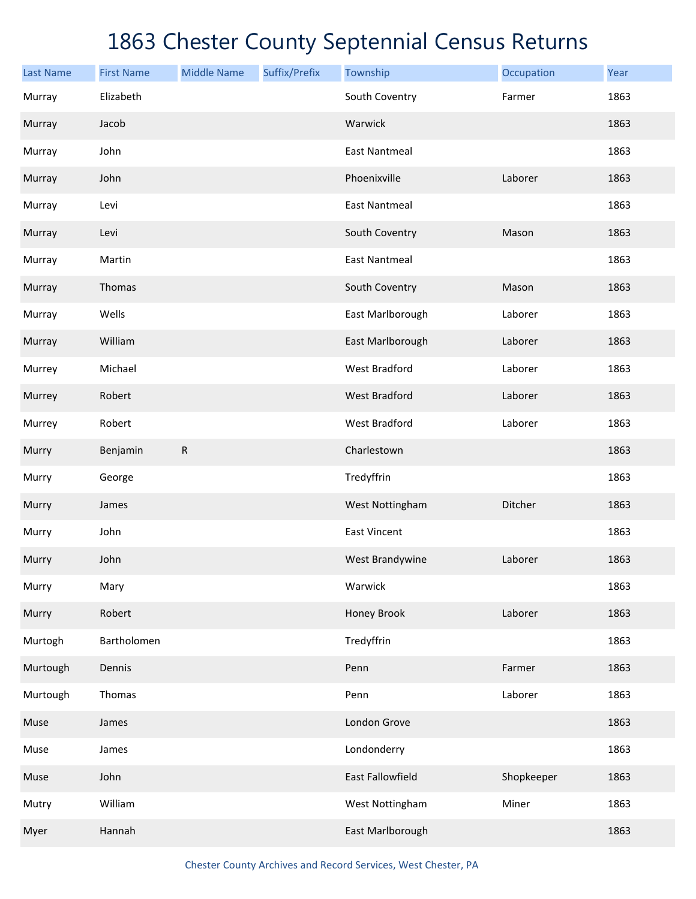| <b>Last Name</b> | <b>First Name</b> | <b>Middle Name</b> | Suffix/Prefix | Township             | Occupation | Year |
|------------------|-------------------|--------------------|---------------|----------------------|------------|------|
| Murray           | Elizabeth         |                    |               | South Coventry       | Farmer     | 1863 |
| Murray           | Jacob             |                    |               | Warwick              |            | 1863 |
| Murray           | John              |                    |               | <b>East Nantmeal</b> |            | 1863 |
| Murray           | John              |                    |               | Phoenixville         | Laborer    | 1863 |
| Murray           | Levi              |                    |               | <b>East Nantmeal</b> |            | 1863 |
| Murray           | Levi              |                    |               | South Coventry       | Mason      | 1863 |
| Murray           | Martin            |                    |               | <b>East Nantmeal</b> |            | 1863 |
| Murray           | Thomas            |                    |               | South Coventry       | Mason      | 1863 |
| Murray           | Wells             |                    |               | East Marlborough     | Laborer    | 1863 |
| Murray           | William           |                    |               | East Marlborough     | Laborer    | 1863 |
| Murrey           | Michael           |                    |               | <b>West Bradford</b> | Laborer    | 1863 |
| Murrey           | Robert            |                    |               | <b>West Bradford</b> | Laborer    | 1863 |
| Murrey           | Robert            |                    |               | <b>West Bradford</b> | Laborer    | 1863 |
| Murry            | Benjamin          | $\mathsf{R}$       |               | Charlestown          |            | 1863 |
| Murry            | George            |                    |               | Tredyffrin           |            | 1863 |
| Murry            | James             |                    |               | West Nottingham      | Ditcher    | 1863 |
| Murry            | John              |                    |               | <b>East Vincent</b>  |            | 1863 |
| Murry            | John              |                    |               | West Brandywine      | Laborer    | 1863 |
| Murry            | Mary              |                    |               | Warwick              |            | 1863 |
| Murry            | Robert            |                    |               | Honey Brook          | Laborer    | 1863 |
| Murtogh          | Bartholomen       |                    |               | Tredyffrin           |            | 1863 |
| Murtough         | Dennis            |                    |               | Penn                 | Farmer     | 1863 |
| Murtough         | Thomas            |                    |               | Penn                 | Laborer    | 1863 |
| Muse             | James             |                    |               | London Grove         |            | 1863 |
| Muse             | James             |                    |               | Londonderry          |            | 1863 |
| Muse             | John              |                    |               | East Fallowfield     | Shopkeeper | 1863 |
| Mutry            | William           |                    |               | West Nottingham      | Miner      | 1863 |
| Myer             | Hannah            |                    |               | East Marlborough     |            | 1863 |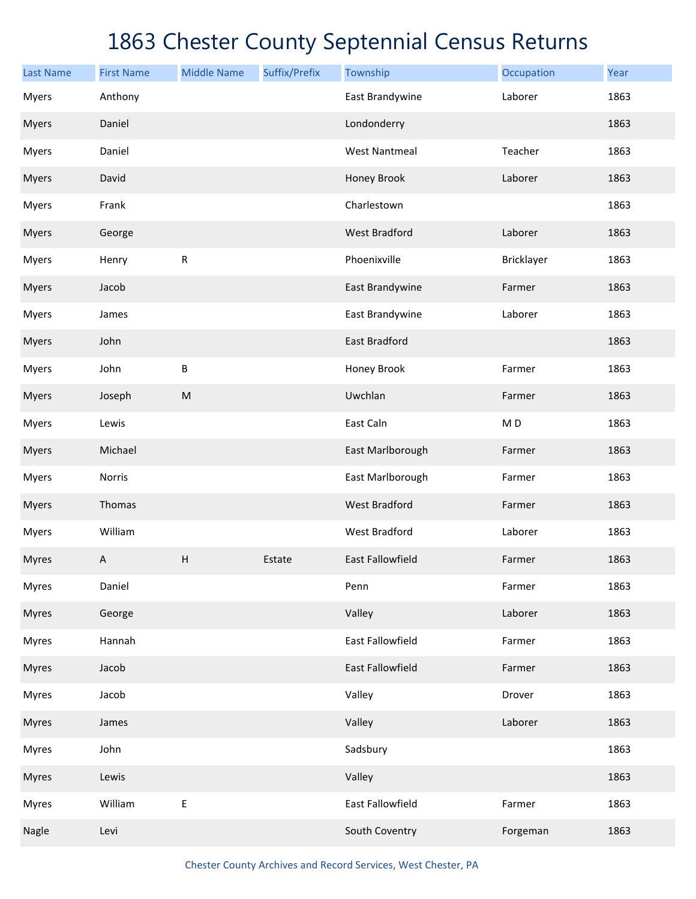| <b>Last Name</b> | <b>First Name</b> | <b>Middle Name</b> | Suffix/Prefix | Township                | Occupation     | Year |
|------------------|-------------------|--------------------|---------------|-------------------------|----------------|------|
| <b>Myers</b>     | Anthony           |                    |               | East Brandywine         | Laborer        | 1863 |
| <b>Myers</b>     | Daniel            |                    |               | Londonderry             |                | 1863 |
| <b>Myers</b>     | Daniel            |                    |               | <b>West Nantmeal</b>    | Teacher        | 1863 |
| <b>Myers</b>     | David             |                    |               | Honey Brook             | Laborer        | 1863 |
| <b>Myers</b>     | Frank             |                    |               | Charlestown             |                | 1863 |
| <b>Myers</b>     | George            |                    |               | <b>West Bradford</b>    | Laborer        | 1863 |
| <b>Myers</b>     | Henry             | ${\sf R}$          |               | Phoenixville            | Bricklayer     | 1863 |
| <b>Myers</b>     | Jacob             |                    |               | East Brandywine         | Farmer         | 1863 |
| Myers            | James             |                    |               | East Brandywine         | Laborer        | 1863 |
| <b>Myers</b>     | John              |                    |               | <b>East Bradford</b>    |                | 1863 |
| <b>Myers</b>     | John              | $\sf B$            |               | Honey Brook             | Farmer         | 1863 |
| <b>Myers</b>     | Joseph            | ${\sf M}$          |               | Uwchlan                 | Farmer         | 1863 |
| Myers            | Lewis             |                    |               | East Caln               | M <sub>D</sub> | 1863 |
| <b>Myers</b>     | Michael           |                    |               | East Marlborough        | Farmer         | 1863 |
| <b>Myers</b>     | Norris            |                    |               | East Marlborough        | Farmer         | 1863 |
| <b>Myers</b>     | Thomas            |                    |               | <b>West Bradford</b>    | Farmer         | 1863 |
| <b>Myers</b>     | William           |                    |               | <b>West Bradford</b>    | Laborer        | 1863 |
| <b>Myres</b>     | A                 | H                  | Estate        | <b>East Fallowfield</b> | Farmer         | 1863 |
| <b>Myres</b>     | Daniel            |                    |               | Penn                    | Farmer         | 1863 |
| <b>Myres</b>     | George            |                    |               | Valley                  | Laborer        | 1863 |
| <b>Myres</b>     | Hannah            |                    |               | East Fallowfield        | Farmer         | 1863 |
| <b>Myres</b>     | Jacob             |                    |               | East Fallowfield        | Farmer         | 1863 |
| <b>Myres</b>     | Jacob             |                    |               | Valley                  | Drover         | 1863 |
| <b>Myres</b>     | James             |                    |               | Valley                  | Laborer        | 1863 |
| <b>Myres</b>     | John              |                    |               | Sadsbury                |                | 1863 |
| <b>Myres</b>     | Lewis             |                    |               | Valley                  |                | 1863 |
| <b>Myres</b>     | William           | $\sf E$            |               | East Fallowfield        | Farmer         | 1863 |
| Nagle            | Levi              |                    |               | South Coventry          | Forgeman       | 1863 |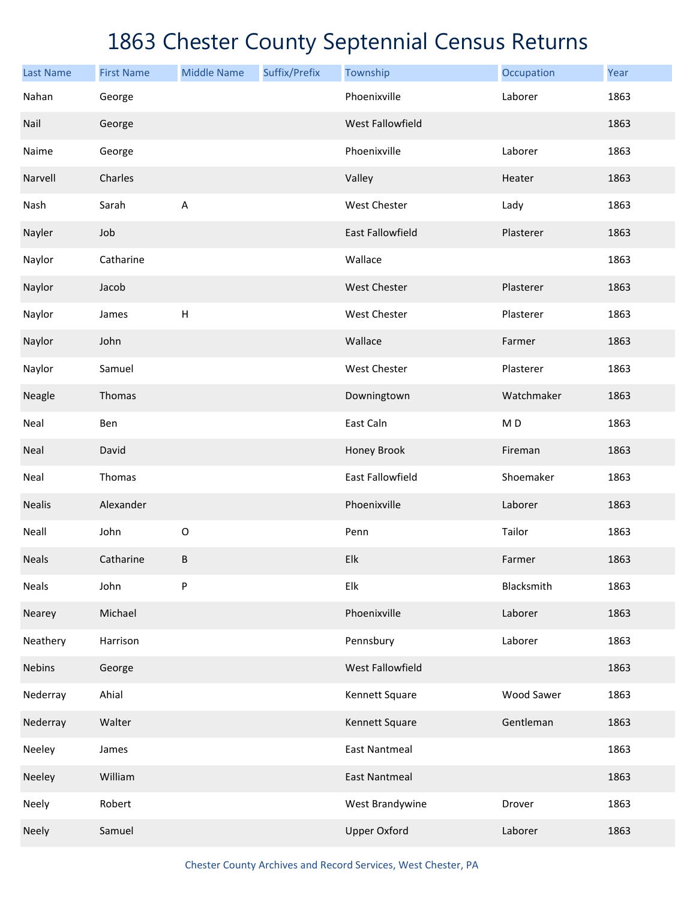| <b>Last Name</b> | <b>First Name</b> | <b>Middle Name</b>        | Suffix/Prefix | Township                | Occupation     | Year |
|------------------|-------------------|---------------------------|---------------|-------------------------|----------------|------|
| Nahan            | George            |                           |               | Phoenixville            | Laborer        | 1863 |
| Nail             | George            |                           |               | West Fallowfield        |                | 1863 |
| Naime            | George            |                           |               | Phoenixville            | Laborer        | 1863 |
| Narvell          | Charles           |                           |               | Valley                  | Heater         | 1863 |
| Nash             | Sarah             | A                         |               | West Chester            | Lady           | 1863 |
| Nayler           | Job               |                           |               | East Fallowfield        | Plasterer      | 1863 |
| Naylor           | Catharine         |                           |               | Wallace                 |                | 1863 |
| Naylor           | Jacob             |                           |               | West Chester            | Plasterer      | 1863 |
| Naylor           | James             | $\boldsymbol{\mathsf{H}}$ |               | West Chester            | Plasterer      | 1863 |
| Naylor           | John              |                           |               | Wallace                 | Farmer         | 1863 |
| Naylor           | Samuel            |                           |               | West Chester            | Plasterer      | 1863 |
| Neagle           | Thomas            |                           |               | Downingtown             | Watchmaker     | 1863 |
| Neal             | Ben               |                           |               | East Caln               | M <sub>D</sub> | 1863 |
| Neal             | David             |                           |               | Honey Brook             | Fireman        | 1863 |
| Neal             | Thomas            |                           |               | <b>East Fallowfield</b> | Shoemaker      | 1863 |
| <b>Nealis</b>    | Alexander         |                           |               | Phoenixville            | Laborer        | 1863 |
| Neall            | John              | $\mathsf O$               |               | Penn                    | Tailor         | 1863 |
| <b>Neals</b>     | Catharine         | B                         |               | Elk                     | Farmer         | 1863 |
| <b>Neals</b>     | John              | P                         |               | Elk                     | Blacksmith     | 1863 |
| Nearey           | Michael           |                           |               | Phoenixville            | Laborer        | 1863 |
| Neathery         | Harrison          |                           |               | Pennsbury               | Laborer        | 1863 |
| Nebins           | George            |                           |               | West Fallowfield        |                | 1863 |
| Nederray         | Ahial             |                           |               | Kennett Square          | Wood Sawer     | 1863 |
| Nederray         | Walter            |                           |               | Kennett Square          | Gentleman      | 1863 |
| Neeley           | James             |                           |               | <b>East Nantmeal</b>    |                | 1863 |
| Neeley           | William           |                           |               | <b>East Nantmeal</b>    |                | 1863 |
| Neely            | Robert            |                           |               | West Brandywine         | Drover         | 1863 |
| Neely            | Samuel            |                           |               | <b>Upper Oxford</b>     | Laborer        | 1863 |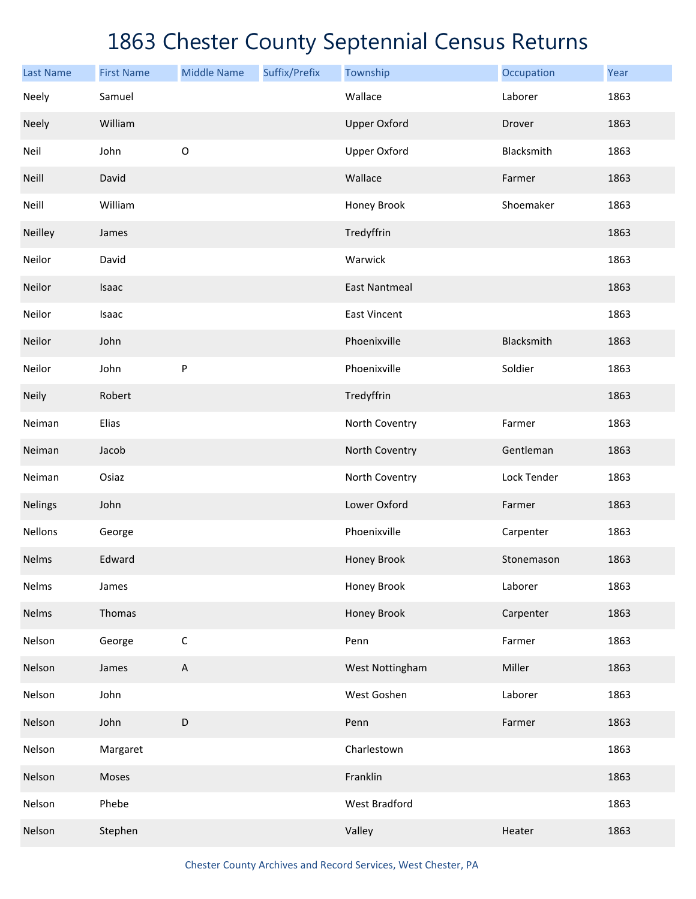| <b>Last Name</b> | <b>First Name</b> | <b>Middle Name</b> | Suffix/Prefix | Township             | Occupation  | Year |
|------------------|-------------------|--------------------|---------------|----------------------|-------------|------|
| Neely            | Samuel            |                    |               | Wallace              | Laborer     | 1863 |
| Neely            | William           |                    |               | <b>Upper Oxford</b>  | Drover      | 1863 |
| Neil             | John              | $\mathsf O$        |               | <b>Upper Oxford</b>  | Blacksmith  | 1863 |
| Neill            | David             |                    |               | Wallace              | Farmer      | 1863 |
| Neill            | William           |                    |               | Honey Brook          | Shoemaker   | 1863 |
| Neilley          | James             |                    |               | Tredyffrin           |             | 1863 |
| Neilor           | David             |                    |               | Warwick              |             | 1863 |
| Neilor           | Isaac             |                    |               | <b>East Nantmeal</b> |             | 1863 |
| Neilor           | Isaac             |                    |               | <b>East Vincent</b>  |             | 1863 |
| Neilor           | John              |                    |               | Phoenixville         | Blacksmith  | 1863 |
| Neilor           | John              | ${\sf P}$          |               | Phoenixville         | Soldier     | 1863 |
| Neily            | Robert            |                    |               | Tredyffrin           |             | 1863 |
| Neiman           | Elias             |                    |               | North Coventry       | Farmer      | 1863 |
| Neiman           | Jacob             |                    |               | North Coventry       | Gentleman   | 1863 |
| Neiman           | Osiaz             |                    |               | North Coventry       | Lock Tender | 1863 |
| <b>Nelings</b>   | John              |                    |               | Lower Oxford         | Farmer      | 1863 |
| <b>Nellons</b>   | George            |                    |               | Phoenixville         | Carpenter   | 1863 |
| Nelms            | Edward            |                    |               | Honey Brook          | Stonemason  | 1863 |
| Nelms            | James             |                    |               | Honey Brook          | Laborer     | 1863 |
| Nelms            | Thomas            |                    |               | Honey Brook          | Carpenter   | 1863 |
| Nelson           | George            | $\mathsf C$        |               | Penn                 | Farmer      | 1863 |
| Nelson           | James             | $\mathsf A$        |               | West Nottingham      | Miller      | 1863 |
| Nelson           | John              |                    |               | West Goshen          | Laborer     | 1863 |
| Nelson           | John              | D                  |               | Penn                 | Farmer      | 1863 |
| Nelson           | Margaret          |                    |               | Charlestown          |             | 1863 |
| Nelson           | Moses             |                    |               | Franklin             |             | 1863 |
| Nelson           | Phebe             |                    |               | <b>West Bradford</b> |             | 1863 |
| Nelson           | Stephen           |                    |               | Valley               | Heater      | 1863 |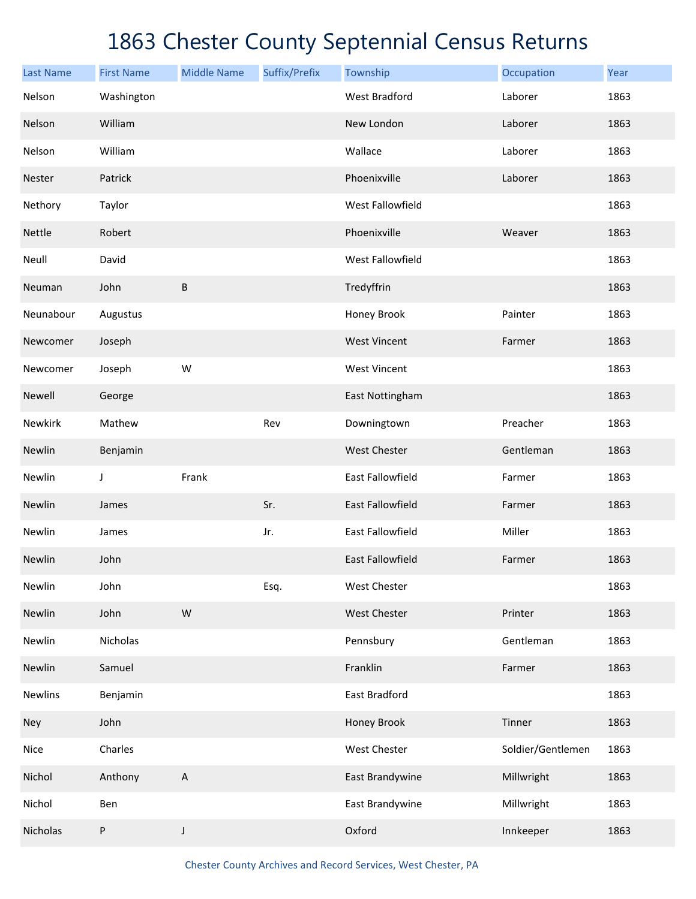| <b>Last Name</b> | <b>First Name</b> | <b>Middle Name</b>        | Suffix/Prefix | Township                | Occupation        | Year |
|------------------|-------------------|---------------------------|---------------|-------------------------|-------------------|------|
| Nelson           | Washington        |                           |               | <b>West Bradford</b>    | Laborer           | 1863 |
| Nelson           | William           |                           |               | New London              | Laborer           | 1863 |
| Nelson           | William           |                           |               | Wallace                 | Laborer           | 1863 |
| Nester           | Patrick           |                           |               | Phoenixville            | Laborer           | 1863 |
| Nethory          | Taylor            |                           |               | West Fallowfield        |                   | 1863 |
| Nettle           | Robert            |                           |               | Phoenixville            | Weaver            | 1863 |
| Neull            | David             |                           |               | West Fallowfield        |                   | 1863 |
| Neuman           | John              | $\sf B$                   |               | Tredyffrin              |                   | 1863 |
| Neunabour        | Augustus          |                           |               | Honey Brook             | Painter           | 1863 |
| Newcomer         | Joseph            |                           |               | <b>West Vincent</b>     | Farmer            | 1863 |
| Newcomer         | Joseph            | W                         |               | <b>West Vincent</b>     |                   | 1863 |
| Newell           | George            |                           |               | East Nottingham         |                   | 1863 |
| Newkirk          | Mathew            |                           | Rev           | Downingtown             | Preacher          | 1863 |
| Newlin           | Benjamin          |                           |               | West Chester            | Gentleman         | 1863 |
| Newlin           | $\mathsf J$       | Frank                     |               | East Fallowfield        | Farmer            | 1863 |
| Newlin           | James             |                           | Sr.           | East Fallowfield        | Farmer            | 1863 |
| Newlin           | James             |                           | Jr.           | East Fallowfield        | Miller            | 1863 |
| Newlin           | John              |                           |               | <b>East Fallowfield</b> | Farmer            | 1863 |
| Newlin           | John              |                           | Esq.          | West Chester            |                   | 1863 |
| Newlin           | John              | W                         |               | West Chester            | Printer           | 1863 |
| Newlin           | Nicholas          |                           |               | Pennsbury               | Gentleman         | 1863 |
| Newlin           | Samuel            |                           |               | Franklin                | Farmer            | 1863 |
| <b>Newlins</b>   | Benjamin          |                           |               | East Bradford           |                   | 1863 |
| Ney              | John              |                           |               | Honey Brook             | Tinner            | 1863 |
| Nice             | Charles           |                           |               | West Chester            | Soldier/Gentlemen | 1863 |
| Nichol           | Anthony           | $\boldsymbol{\mathsf{A}}$ |               | East Brandywine         | Millwright        | 1863 |
| Nichol           | Ben               |                           |               | East Brandywine         | Millwright        | 1863 |
| Nicholas         | P                 | J                         |               | Oxford                  | Innkeeper         | 1863 |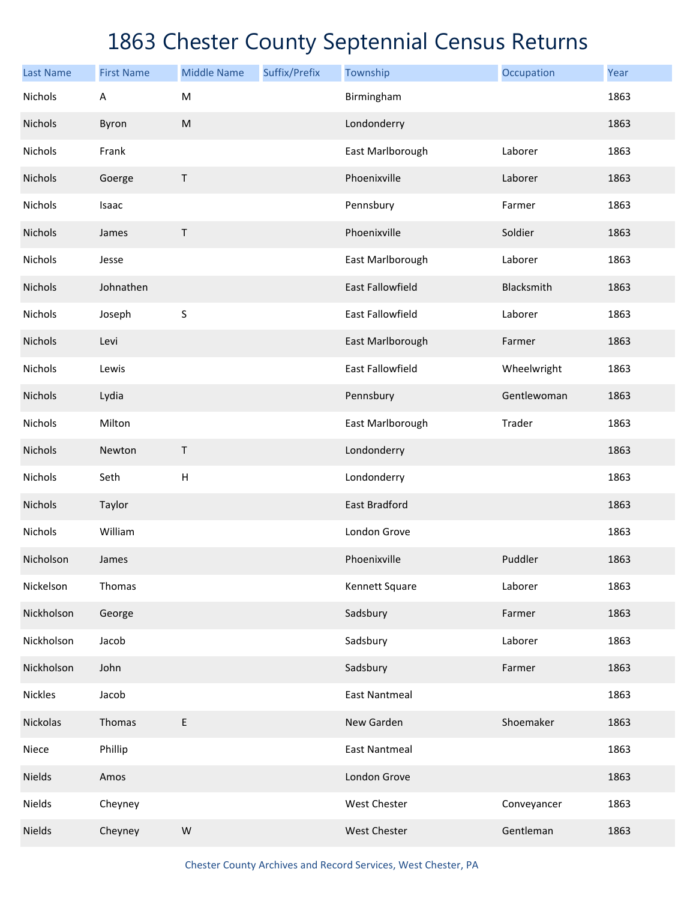| <b>Last Name</b> | <b>First Name</b> | <b>Middle Name</b> | Suffix/Prefix | Township                | Occupation  | Year |
|------------------|-------------------|--------------------|---------------|-------------------------|-------------|------|
| Nichols          | A                 | M                  |               | Birmingham              |             | 1863 |
| Nichols          | Byron             | ${\sf M}$          |               | Londonderry             |             | 1863 |
| Nichols          | Frank             |                    |               | East Marlborough        | Laborer     | 1863 |
| Nichols          | Goerge            | Τ                  |               | Phoenixville            | Laborer     | 1863 |
| Nichols          | Isaac             |                    |               | Pennsbury               | Farmer      | 1863 |
| Nichols          | James             | Τ                  |               | Phoenixville            | Soldier     | 1863 |
| Nichols          | Jesse             |                    |               | East Marlborough        | Laborer     | 1863 |
| Nichols          | Johnathen         |                    |               | <b>East Fallowfield</b> | Blacksmith  | 1863 |
| Nichols          | Joseph            | $\sf S$            |               | East Fallowfield        | Laborer     | 1863 |
| Nichols          | Levi              |                    |               | East Marlborough        | Farmer      | 1863 |
| Nichols          | Lewis             |                    |               | East Fallowfield        | Wheelwright | 1863 |
| Nichols          | Lydia             |                    |               | Pennsbury               | Gentlewoman | 1863 |
| Nichols          | Milton            |                    |               | East Marlborough        | Trader      | 1863 |
| Nichols          | Newton            | $\sf T$            |               | Londonderry             |             | 1863 |
| Nichols          | Seth              | $\mathsf H$        |               | Londonderry             |             | 1863 |
| Nichols          | Taylor            |                    |               | <b>East Bradford</b>    |             | 1863 |
| Nichols          | William           |                    |               | London Grove            |             | 1863 |
| Nicholson        | James             |                    |               | Phoenixville            | Puddler     | 1863 |
| Nickelson        | Thomas            |                    |               | Kennett Square          | Laborer     | 1863 |
| Nickholson       | George            |                    |               | Sadsbury                | Farmer      | 1863 |
| Nickholson       | Jacob             |                    |               | Sadsbury                | Laborer     | 1863 |
| Nickholson       | John              |                    |               | Sadsbury                | Farmer      | 1863 |
| <b>Nickles</b>   | Jacob             |                    |               | <b>East Nantmeal</b>    |             | 1863 |
| Nickolas         | Thomas            | E                  |               | New Garden              | Shoemaker   | 1863 |
| Niece            | Phillip           |                    |               | <b>East Nantmeal</b>    |             | 1863 |
| Nields           | Amos              |                    |               | London Grove            |             | 1863 |
| Nields           | Cheyney           |                    |               | West Chester            | Conveyancer | 1863 |
| Nields           | Cheyney           | ${\sf W}$          |               | West Chester            | Gentleman   | 1863 |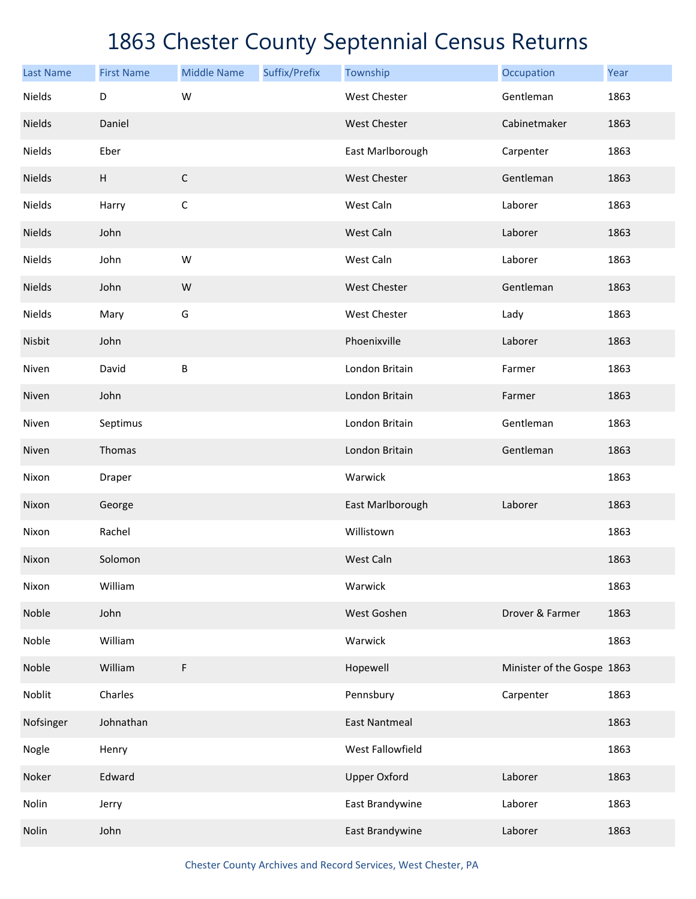| <b>Last Name</b> | <b>First Name</b> | <b>Middle Name</b> | Suffix/Prefix | Township             | Occupation                 | Year |
|------------------|-------------------|--------------------|---------------|----------------------|----------------------------|------|
| Nields           | D                 | W                  |               | <b>West Chester</b>  | Gentleman                  | 1863 |
| Nields           | Daniel            |                    |               | <b>West Chester</b>  | Cabinetmaker               | 1863 |
| Nields           | Eber              |                    |               | East Marlborough     | Carpenter                  | 1863 |
| Nields           | H                 | $\mathsf C$        |               | <b>West Chester</b>  | Gentleman                  | 1863 |
| Nields           | Harry             | $\mathsf C$        |               | West Caln            | Laborer                    | 1863 |
| Nields           | John              |                    |               | West Caln            | Laborer                    | 1863 |
| Nields           | John              | W                  |               | West Caln            | Laborer                    | 1863 |
| Nields           | John              | W                  |               | <b>West Chester</b>  | Gentleman                  | 1863 |
| Nields           | Mary              | G                  |               | West Chester         | Lady                       | 1863 |
| Nisbit           | John              |                    |               | Phoenixville         | Laborer                    | 1863 |
| Niven            | David             | $\sf B$            |               | London Britain       | Farmer                     | 1863 |
| Niven            | John              |                    |               | London Britain       | Farmer                     | 1863 |
| Niven            | Septimus          |                    |               | London Britain       | Gentleman                  | 1863 |
| Niven            | Thomas            |                    |               | London Britain       | Gentleman                  | 1863 |
| Nixon            | Draper            |                    |               | Warwick              |                            | 1863 |
| Nixon            | George            |                    |               | East Marlborough     | Laborer                    | 1863 |
| Nixon            | Rachel            |                    |               | Willistown           |                            | 1863 |
| Nixon            | Solomon           |                    |               | West Caln            |                            | 1863 |
| Nixon            | William           |                    |               | Warwick              |                            | 1863 |
| Noble            | John              |                    |               | West Goshen          | Drover & Farmer            | 1863 |
| Noble            | William           |                    |               | Warwick              |                            | 1863 |
| Noble            | William           | F                  |               | Hopewell             | Minister of the Gospe 1863 |      |
| Noblit           | Charles           |                    |               | Pennsbury            | Carpenter                  | 1863 |
| Nofsinger        | Johnathan         |                    |               | <b>East Nantmeal</b> |                            | 1863 |
| Nogle            | Henry             |                    |               | West Fallowfield     |                            | 1863 |
| Noker            | Edward            |                    |               | <b>Upper Oxford</b>  | Laborer                    | 1863 |
| Nolin            | Jerry             |                    |               | East Brandywine      | Laborer                    | 1863 |
| Nolin            | John              |                    |               | East Brandywine      | Laborer                    | 1863 |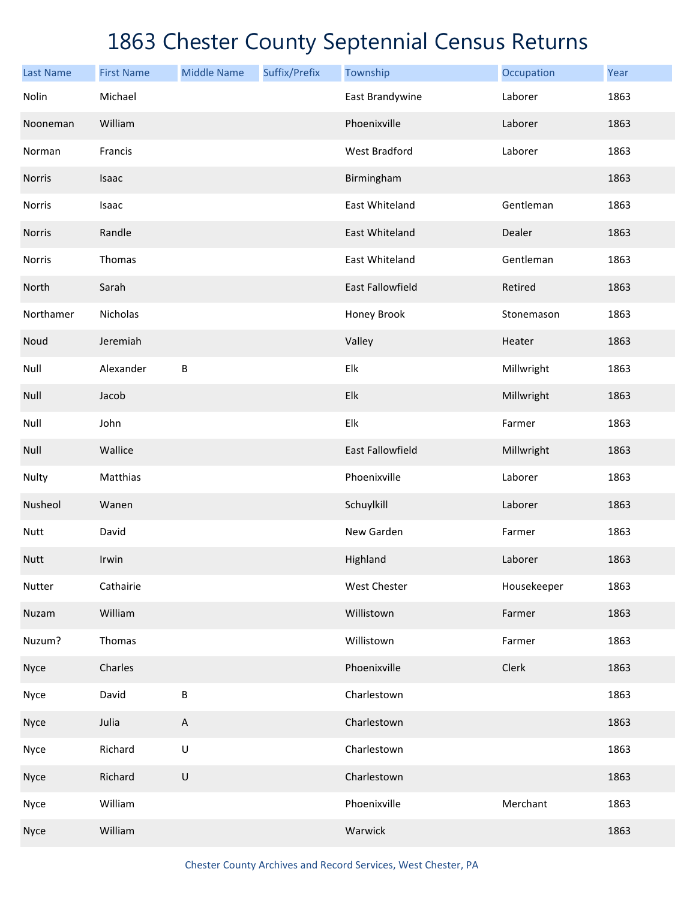| <b>Last Name</b> | <b>First Name</b> | <b>Middle Name</b> | Suffix/Prefix | Township             | Occupation  | Year |
|------------------|-------------------|--------------------|---------------|----------------------|-------------|------|
| Nolin            | Michael           |                    |               | East Brandywine      | Laborer     | 1863 |
| Nooneman         | William           |                    |               | Phoenixville         | Laborer     | 1863 |
| Norman           | Francis           |                    |               | <b>West Bradford</b> | Laborer     | 1863 |
| Norris           | Isaac             |                    |               | Birmingham           |             | 1863 |
| Norris           | Isaac             |                    |               | East Whiteland       | Gentleman   | 1863 |
| Norris           | Randle            |                    |               | East Whiteland       | Dealer      | 1863 |
| Norris           | Thomas            |                    |               | East Whiteland       | Gentleman   | 1863 |
| North            | Sarah             |                    |               | East Fallowfield     | Retired     | 1863 |
| Northamer        | Nicholas          |                    |               | Honey Brook          | Stonemason  | 1863 |
| Noud             | Jeremiah          |                    |               | Valley               | Heater      | 1863 |
| Null             | Alexander         | B                  |               | Elk                  | Millwright  | 1863 |
| Null             | Jacob             |                    |               | Elk                  | Millwright  | 1863 |
| Null             | John              |                    |               | Elk                  | Farmer      | 1863 |
| Null             | Wallice           |                    |               | East Fallowfield     | Millwright  | 1863 |
| Nulty            | Matthias          |                    |               | Phoenixville         | Laborer     | 1863 |
| Nusheol          | Wanen             |                    |               | Schuylkill           | Laborer     | 1863 |
| Nutt             | David             |                    |               | New Garden           | Farmer      | 1863 |
| <b>Nutt</b>      | Irwin             |                    |               | Highland             | Laborer     | 1863 |
| Nutter           | Cathairie         |                    |               | West Chester         | Housekeeper | 1863 |
| Nuzam            | William           |                    |               | Willistown           | Farmer      | 1863 |
| Nuzum?           | Thomas            |                    |               | Willistown           | Farmer      | 1863 |
| Nyce             | Charles           |                    |               | Phoenixville         | Clerk       | 1863 |
| Nyce             | David             | $\sf B$            |               | Charlestown          |             | 1863 |
| Nyce             | Julia             | A                  |               | Charlestown          |             | 1863 |
| Nyce             | Richard           | U                  |               | Charlestown          |             | 1863 |
| Nyce             | Richard           | $\sf U$            |               | Charlestown          |             | 1863 |
| Nyce             | William           |                    |               | Phoenixville         | Merchant    | 1863 |
| Nyce             | William           |                    |               | Warwick              |             | 1863 |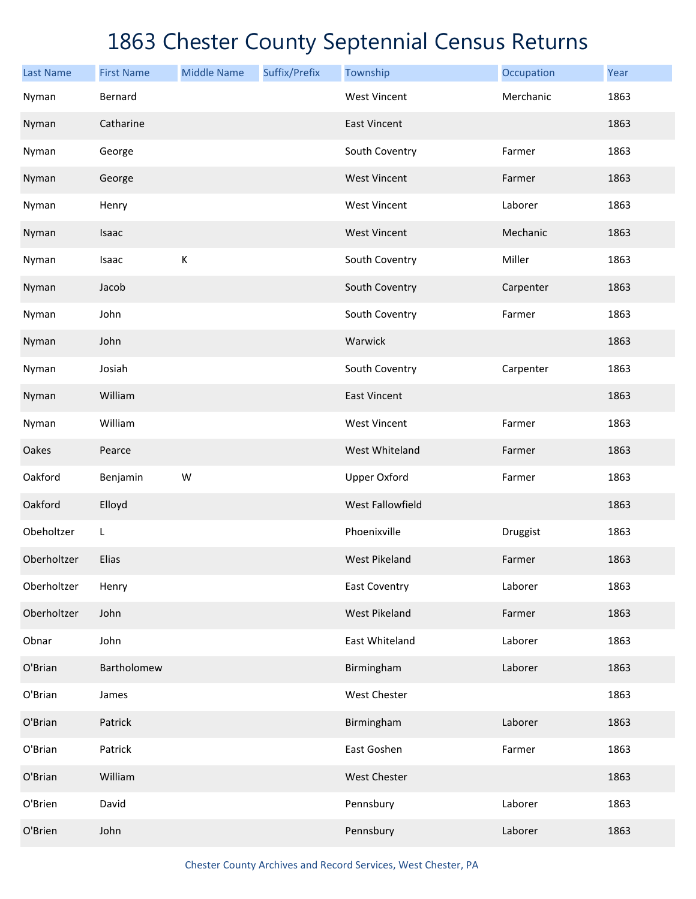| <b>Last Name</b> | <b>First Name</b> | <b>Middle Name</b> | Suffix/Prefix | Township             | Occupation | Year |
|------------------|-------------------|--------------------|---------------|----------------------|------------|------|
| Nyman            | Bernard           |                    |               | <b>West Vincent</b>  | Merchanic  | 1863 |
| Nyman            | Catharine         |                    |               | <b>East Vincent</b>  |            | 1863 |
| Nyman            | George            |                    |               | South Coventry       | Farmer     | 1863 |
| Nyman            | George            |                    |               | <b>West Vincent</b>  | Farmer     | 1863 |
| Nyman            | Henry             |                    |               | <b>West Vincent</b>  | Laborer    | 1863 |
| Nyman            | Isaac             |                    |               | <b>West Vincent</b>  | Mechanic   | 1863 |
| Nyman            | Isaac             | $\mathsf K$        |               | South Coventry       | Miller     | 1863 |
| Nyman            | Jacob             |                    |               | South Coventry       | Carpenter  | 1863 |
| Nyman            | John              |                    |               | South Coventry       | Farmer     | 1863 |
| Nyman            | John              |                    |               | Warwick              |            | 1863 |
| Nyman            | Josiah            |                    |               | South Coventry       | Carpenter  | 1863 |
| Nyman            | William           |                    |               | <b>East Vincent</b>  |            | 1863 |
| Nyman            | William           |                    |               | <b>West Vincent</b>  | Farmer     | 1863 |
| Oakes            | Pearce            |                    |               | West Whiteland       | Farmer     | 1863 |
| Oakford          | Benjamin          | W                  |               | <b>Upper Oxford</b>  | Farmer     | 1863 |
| Oakford          | Elloyd            |                    |               | West Fallowfield     |            | 1863 |
| Obeholtzer       | L                 |                    |               | Phoenixville         | Druggist   | 1863 |
| Oberholtzer      | Elias             |                    |               | <b>West Pikeland</b> | Farmer     | 1863 |
| Oberholtzer      | Henry             |                    |               | <b>East Coventry</b> | Laborer    | 1863 |
| Oberholtzer      | John              |                    |               | <b>West Pikeland</b> | Farmer     | 1863 |
| Obnar            | John              |                    |               | East Whiteland       | Laborer    | 1863 |
| O'Brian          | Bartholomew       |                    |               | Birmingham           | Laborer    | 1863 |
| O'Brian          | James             |                    |               | West Chester         |            | 1863 |
| O'Brian          | Patrick           |                    |               | Birmingham           | Laborer    | 1863 |
| O'Brian          | Patrick           |                    |               | East Goshen          | Farmer     | 1863 |
| O'Brian          | William           |                    |               | West Chester         |            | 1863 |
| O'Brien          | David             |                    |               | Pennsbury            | Laborer    | 1863 |
| O'Brien          | John              |                    |               | Pennsbury            | Laborer    | 1863 |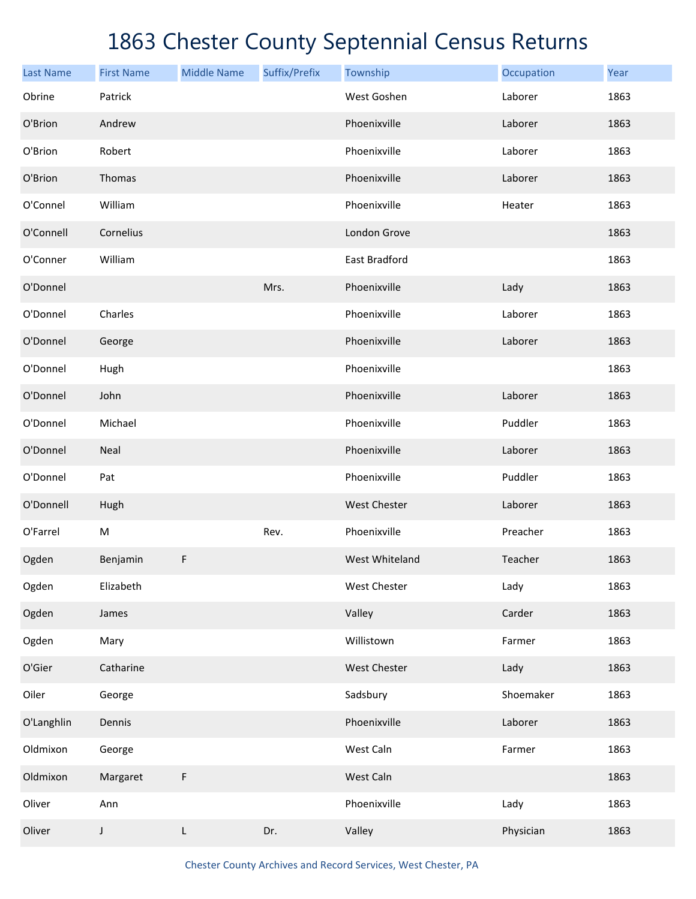| <b>Last Name</b> | <b>First Name</b> | <b>Middle Name</b> | Suffix/Prefix | Township       | Occupation | Year |
|------------------|-------------------|--------------------|---------------|----------------|------------|------|
| Obrine           | Patrick           |                    |               | West Goshen    | Laborer    | 1863 |
| O'Brion          | Andrew            |                    |               | Phoenixville   | Laborer    | 1863 |
| O'Brion          | Robert            |                    |               | Phoenixville   | Laborer    | 1863 |
| O'Brion          | Thomas            |                    |               | Phoenixville   | Laborer    | 1863 |
| O'Connel         | William           |                    |               | Phoenixville   | Heater     | 1863 |
| O'Connell        | Cornelius         |                    |               | London Grove   |            | 1863 |
| O'Conner         | William           |                    |               | East Bradford  |            | 1863 |
| O'Donnel         |                   |                    | Mrs.          | Phoenixville   | Lady       | 1863 |
| O'Donnel         | Charles           |                    |               | Phoenixville   | Laborer    | 1863 |
| O'Donnel         | George            |                    |               | Phoenixville   | Laborer    | 1863 |
| O'Donnel         | Hugh              |                    |               | Phoenixville   |            | 1863 |
| O'Donnel         | John              |                    |               | Phoenixville   | Laborer    | 1863 |
| O'Donnel         | Michael           |                    |               | Phoenixville   | Puddler    | 1863 |
| O'Donnel         | Neal              |                    |               | Phoenixville   | Laborer    | 1863 |
| O'Donnel         | Pat               |                    |               | Phoenixville   | Puddler    | 1863 |
| O'Donnell        | Hugh              |                    |               | West Chester   | Laborer    | 1863 |
| O'Farrel         | M                 |                    | Rev.          | Phoenixville   | Preacher   | 1863 |
| Ogden            | Benjamin          | F                  |               | West Whiteland | Teacher    | 1863 |
| Ogden            | Elizabeth         |                    |               | West Chester   | Lady       | 1863 |
| Ogden            | James             |                    |               | Valley         | Carder     | 1863 |
| Ogden            | Mary              |                    |               | Willistown     | Farmer     | 1863 |
| O'Gier           | Catharine         |                    |               | West Chester   | Lady       | 1863 |
| Oiler            | George            |                    |               | Sadsbury       | Shoemaker  | 1863 |
| O'Langhlin       | Dennis            |                    |               | Phoenixville   | Laborer    | 1863 |
| Oldmixon         | George            |                    |               | West Caln      | Farmer     | 1863 |
| Oldmixon         | Margaret          | F                  |               | West Caln      |            | 1863 |
| Oliver           | Ann               |                    |               | Phoenixville   | Lady       | 1863 |
| Oliver           | $\mathsf J$       | L                  | Dr.           | Valley         | Physician  | 1863 |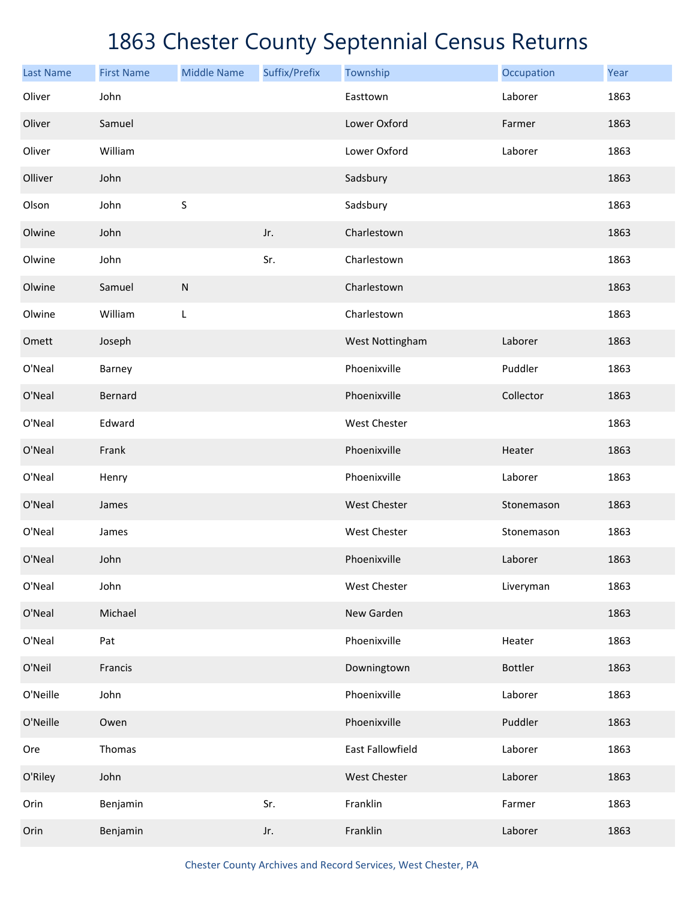| <b>Last Name</b> | <b>First Name</b> | <b>Middle Name</b> | Suffix/Prefix | Township         | Occupation     | Year |
|------------------|-------------------|--------------------|---------------|------------------|----------------|------|
| Oliver           | John              |                    |               | Easttown         | Laborer        | 1863 |
| Oliver           | Samuel            |                    |               | Lower Oxford     | Farmer         | 1863 |
| Oliver           | William           |                    |               | Lower Oxford     | Laborer        | 1863 |
| Olliver          | John              |                    |               | Sadsbury         |                | 1863 |
| Olson            | John              | S                  |               | Sadsbury         |                | 1863 |
| Olwine           | John              |                    | Jr.           | Charlestown      |                | 1863 |
| Olwine           | John              |                    | Sr.           | Charlestown      |                | 1863 |
| Olwine           | Samuel            | ${\sf N}$          |               | Charlestown      |                | 1863 |
| Olwine           | William           | L                  |               | Charlestown      |                | 1863 |
| Omett            | Joseph            |                    |               | West Nottingham  | Laborer        | 1863 |
| O'Neal           | Barney            |                    |               | Phoenixville     | Puddler        | 1863 |
| O'Neal           | Bernard           |                    |               | Phoenixville     | Collector      | 1863 |
| O'Neal           | Edward            |                    |               | West Chester     |                | 1863 |
| O'Neal           | Frank             |                    |               | Phoenixville     | Heater         | 1863 |
| O'Neal           | Henry             |                    |               | Phoenixville     | Laborer        | 1863 |
| O'Neal           | James             |                    |               | West Chester     | Stonemason     | 1863 |
| O'Neal           | James             |                    |               | West Chester     | Stonemason     | 1863 |
| O'Neal           | John              |                    |               | Phoenixville     | Laborer        | 1863 |
| O'Neal           | John              |                    |               | West Chester     | Liveryman      | 1863 |
| O'Neal           | Michael           |                    |               | New Garden       |                | 1863 |
| O'Neal           | Pat               |                    |               | Phoenixville     | Heater         | 1863 |
| O'Neil           | Francis           |                    |               | Downingtown      | <b>Bottler</b> | 1863 |
| O'Neille         | John              |                    |               | Phoenixville     | Laborer        | 1863 |
| O'Neille         | Owen              |                    |               | Phoenixville     | Puddler        | 1863 |
| Ore              | Thomas            |                    |               | East Fallowfield | Laborer        | 1863 |
| O'Riley          | John              |                    |               | West Chester     | Laborer        | 1863 |
| Orin             | Benjamin          |                    | Sr.           | Franklin         | Farmer         | 1863 |
| Orin             | Benjamin          |                    | Jr.           | Franklin         | Laborer        | 1863 |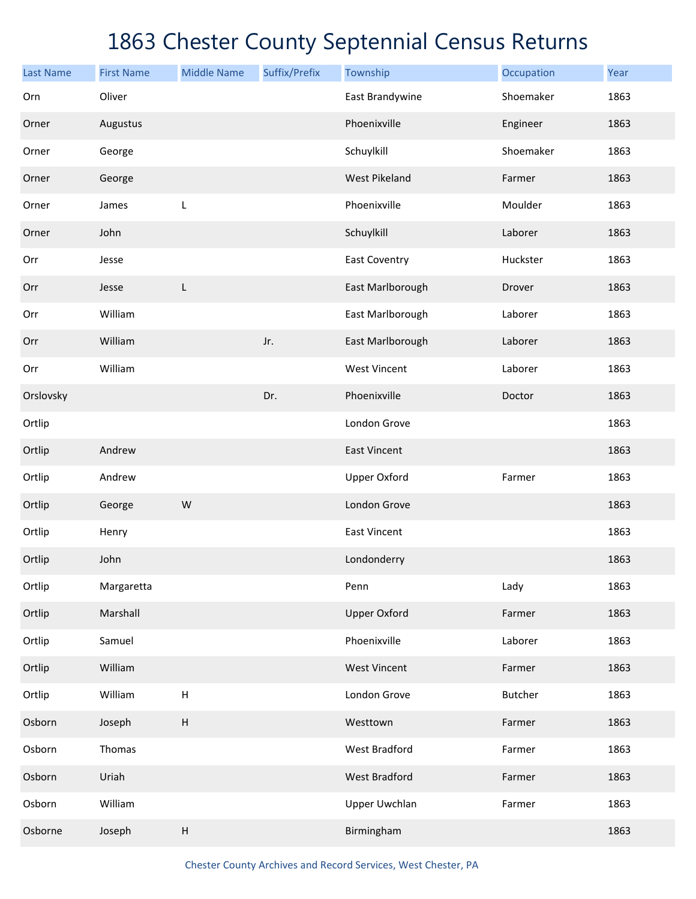| <b>Last Name</b> | <b>First Name</b> | <b>Middle Name</b>        | Suffix/Prefix | Township             | Occupation     | Year |
|------------------|-------------------|---------------------------|---------------|----------------------|----------------|------|
| Orn              | Oliver            |                           |               | East Brandywine      | Shoemaker      | 1863 |
| Orner            | Augustus          |                           |               | Phoenixville         | Engineer       | 1863 |
| Orner            | George            |                           |               | Schuylkill           | Shoemaker      | 1863 |
| Orner            | George            |                           |               | <b>West Pikeland</b> | Farmer         | 1863 |
| Orner            | James             | L                         |               | Phoenixville         | Moulder        | 1863 |
| Orner            | John              |                           |               | Schuylkill           | Laborer        | 1863 |
| Orr              | Jesse             |                           |               | <b>East Coventry</b> | Huckster       | 1863 |
| Orr              | Jesse             | L                         |               | East Marlborough     | Drover         | 1863 |
| Orr              | William           |                           |               | East Marlborough     | Laborer        | 1863 |
| Orr              | William           |                           | Jr.           | East Marlborough     | Laborer        | 1863 |
| Orr              | William           |                           |               | <b>West Vincent</b>  | Laborer        | 1863 |
| Orslovsky        |                   |                           | Dr.           | Phoenixville         | Doctor         | 1863 |
| Ortlip           |                   |                           |               | London Grove         |                | 1863 |
| Ortlip           | Andrew            |                           |               | <b>East Vincent</b>  |                | 1863 |
| Ortlip           | Andrew            |                           |               | <b>Upper Oxford</b>  | Farmer         | 1863 |
| Ortlip           | George            | W                         |               | London Grove         |                | 1863 |
| Ortlip           | Henry             |                           |               | <b>East Vincent</b>  |                | 1863 |
| Ortlip           | John              |                           |               | Londonderry          |                | 1863 |
| Ortlip           | Margaretta        |                           |               | Penn                 | Lady           | 1863 |
| Ortlip           | Marshall          |                           |               | <b>Upper Oxford</b>  | Farmer         | 1863 |
| Ortlip           | Samuel            |                           |               | Phoenixville         | Laborer        | 1863 |
| Ortlip           | William           |                           |               | <b>West Vincent</b>  | Farmer         | 1863 |
| Ortlip           | William           | $\boldsymbol{\mathsf{H}}$ |               | London Grove         | <b>Butcher</b> | 1863 |
| Osborn           | Joseph            | $\boldsymbol{\mathsf{H}}$ |               | Westtown             | Farmer         | 1863 |
| Osborn           | Thomas            |                           |               | West Bradford        | Farmer         | 1863 |
| Osborn           | Uriah             |                           |               | <b>West Bradford</b> | Farmer         | 1863 |
| Osborn           | William           |                           |               | <b>Upper Uwchlan</b> | Farmer         | 1863 |
| Osborne          | Joseph            | Н                         |               | Birmingham           |                | 1863 |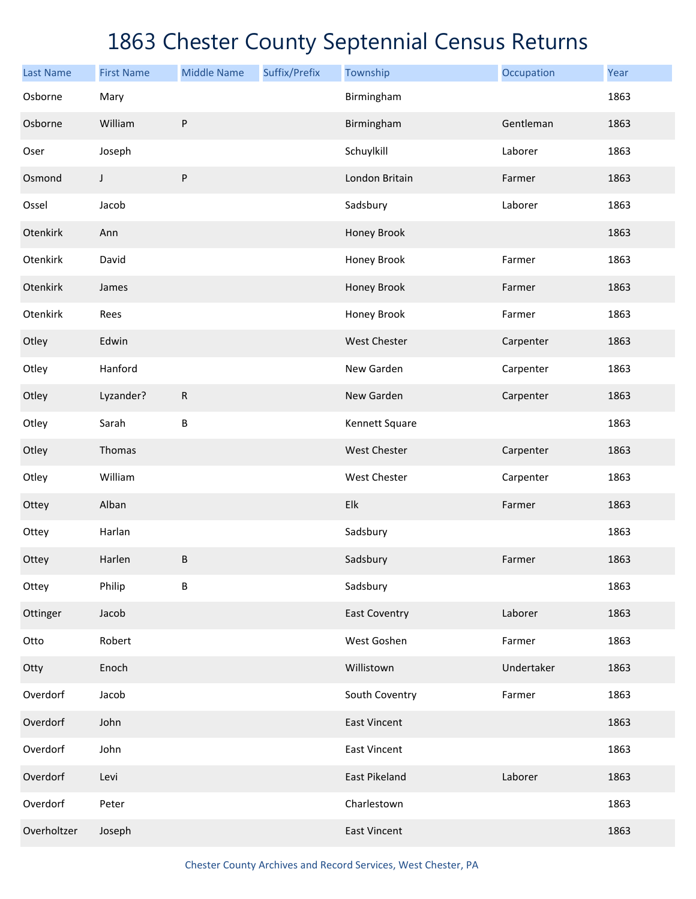| <b>Last Name</b> | <b>First Name</b> | <b>Middle Name</b> | Suffix/Prefix | Township             | Occupation | Year |
|------------------|-------------------|--------------------|---------------|----------------------|------------|------|
| Osborne          | Mary              |                    |               | Birmingham           |            | 1863 |
| Osborne          | William           | ${\sf P}$          |               | Birmingham           | Gentleman  | 1863 |
| Oser             | Joseph            |                    |               | Schuylkill           | Laborer    | 1863 |
| Osmond           | J                 | ${\sf P}$          |               | London Britain       | Farmer     | 1863 |
| Ossel            | Jacob             |                    |               | Sadsbury             | Laborer    | 1863 |
| Otenkirk         | Ann               |                    |               | Honey Brook          |            | 1863 |
| Otenkirk         | David             |                    |               | Honey Brook          | Farmer     | 1863 |
| Otenkirk         | James             |                    |               | Honey Brook          | Farmer     | 1863 |
| Otenkirk         | Rees              |                    |               | Honey Brook          | Farmer     | 1863 |
| Otley            | Edwin             |                    |               | <b>West Chester</b>  | Carpenter  | 1863 |
| Otley            | Hanford           |                    |               | New Garden           | Carpenter  | 1863 |
| Otley            | Lyzander?         | ${\sf R}$          |               | New Garden           | Carpenter  | 1863 |
| Otley            | Sarah             | B                  |               | Kennett Square       |            | 1863 |
| Otley            | Thomas            |                    |               | <b>West Chester</b>  | Carpenter  | 1863 |
| Otley            | William           |                    |               | West Chester         | Carpenter  | 1863 |
| Ottey            | Alban             |                    |               | Elk                  | Farmer     | 1863 |
| Ottey            | Harlan            |                    |               | Sadsbury             |            | 1863 |
| Ottey            | Harlen            | B                  |               | Sadsbury             | Farmer     | 1863 |
| Ottey            | Philip            | B                  |               | Sadsbury             |            | 1863 |
| Ottinger         | Jacob             |                    |               | <b>East Coventry</b> | Laborer    | 1863 |
| Otto             | Robert            |                    |               | West Goshen          | Farmer     | 1863 |
| Otty             | Enoch             |                    |               | Willistown           | Undertaker | 1863 |
| Overdorf         | Jacob             |                    |               | South Coventry       | Farmer     | 1863 |
| Overdorf         | John              |                    |               | <b>East Vincent</b>  |            | 1863 |
| Overdorf         | John              |                    |               | <b>East Vincent</b>  |            | 1863 |
| Overdorf         | Levi              |                    |               | East Pikeland        | Laborer    | 1863 |
| Overdorf         | Peter             |                    |               | Charlestown          |            | 1863 |
| Overholtzer      | Joseph            |                    |               | <b>East Vincent</b>  |            | 1863 |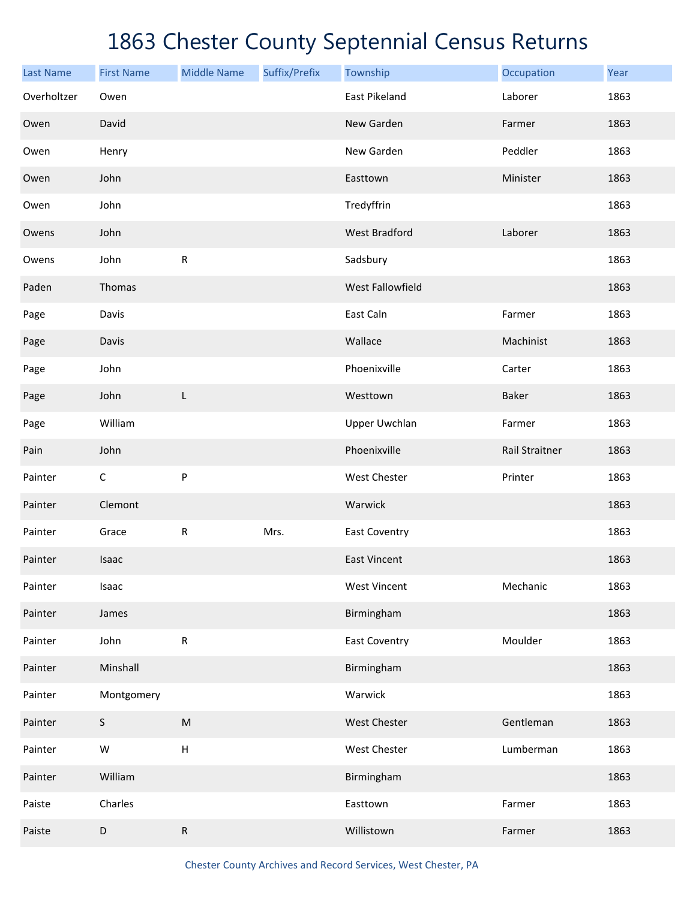| <b>Last Name</b> | <b>First Name</b> | <b>Middle Name</b> | Suffix/Prefix | Township             | Occupation     | Year |
|------------------|-------------------|--------------------|---------------|----------------------|----------------|------|
| Overholtzer      | Owen              |                    |               | East Pikeland        | Laborer        | 1863 |
| Owen             | David             |                    |               | New Garden           | Farmer         | 1863 |
| Owen             | Henry             |                    |               | New Garden           | Peddler        | 1863 |
| Owen             | John              |                    |               | Easttown             | Minister       | 1863 |
| Owen             | John              |                    |               | Tredyffrin           |                | 1863 |
| Owens            | John              |                    |               | <b>West Bradford</b> | Laborer        | 1863 |
| Owens            | John              | ${\sf R}$          |               | Sadsbury             |                | 1863 |
| Paden            | Thomas            |                    |               | West Fallowfield     |                | 1863 |
| Page             | Davis             |                    |               | East Caln            | Farmer         | 1863 |
| Page             | Davis             |                    |               | Wallace              | Machinist      | 1863 |
| Page             | John              |                    |               | Phoenixville         | Carter         | 1863 |
| Page             | John              | L                  |               | Westtown             | Baker          | 1863 |
| Page             | William           |                    |               | <b>Upper Uwchlan</b> | Farmer         | 1863 |
| Pain             | John              |                    |               | Phoenixville         | Rail Straitner | 1863 |
| Painter          | $\mathsf C$       | ${\sf P}$          |               | West Chester         | Printer        | 1863 |
| Painter          | Clemont           |                    |               | Warwick              |                | 1863 |
| Painter          | Grace             | ${\sf R}$          | Mrs.          | <b>East Coventry</b> |                | 1863 |
| Painter          | Isaac             |                    |               | <b>East Vincent</b>  |                | 1863 |
| Painter          | Isaac             |                    |               | <b>West Vincent</b>  | Mechanic       | 1863 |
| Painter          | James             |                    |               | Birmingham           |                | 1863 |
| Painter          | John              | ${\sf R}$          |               | <b>East Coventry</b> | Moulder        | 1863 |
| Painter          | Minshall          |                    |               | Birmingham           |                | 1863 |
| Painter          | Montgomery        |                    |               | Warwick              |                | 1863 |
| Painter          | $\mathsf S$       | ${\sf M}$          |               | West Chester         | Gentleman      | 1863 |
| Painter          | ${\sf W}$         | $\sf H$            |               | West Chester         | Lumberman      | 1863 |
| Painter          | William           |                    |               | Birmingham           |                | 1863 |
| Paiste           | Charles           |                    |               | Easttown             | Farmer         | 1863 |
| Paiste           | $\mathsf D$       | ${\sf R}$          |               | Willistown           | Farmer         | 1863 |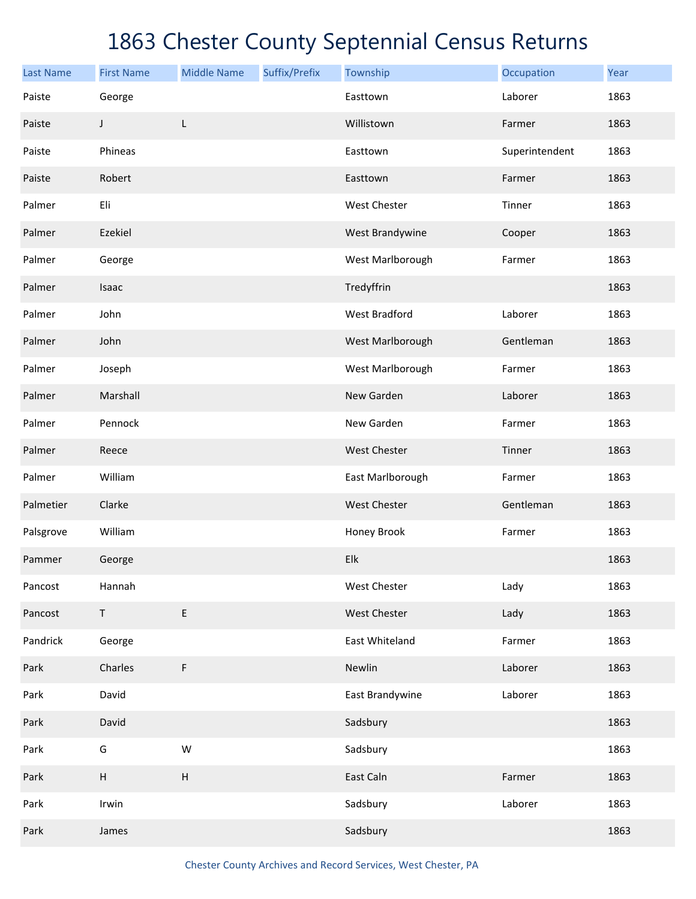| <b>Last Name</b> | <b>First Name</b> | <b>Middle Name</b> | Suffix/Prefix | Township             | Occupation     | Year |
|------------------|-------------------|--------------------|---------------|----------------------|----------------|------|
| Paiste           | George            |                    |               | Easttown             | Laborer        | 1863 |
| Paiste           | J                 | L                  |               | Willistown           | Farmer         | 1863 |
| Paiste           | Phineas           |                    |               | Easttown             | Superintendent | 1863 |
| Paiste           | Robert            |                    |               | Easttown             | Farmer         | 1863 |
| Palmer           | Eli               |                    |               | West Chester         | Tinner         | 1863 |
| Palmer           | Ezekiel           |                    |               | West Brandywine      | Cooper         | 1863 |
| Palmer           | George            |                    |               | West Marlborough     | Farmer         | 1863 |
| Palmer           | Isaac             |                    |               | Tredyffrin           |                | 1863 |
| Palmer           | John              |                    |               | <b>West Bradford</b> | Laborer        | 1863 |
| Palmer           | John              |                    |               | West Marlborough     | Gentleman      | 1863 |
| Palmer           | Joseph            |                    |               | West Marlborough     | Farmer         | 1863 |
| Palmer           | Marshall          |                    |               | New Garden           | Laborer        | 1863 |
| Palmer           | Pennock           |                    |               | New Garden           | Farmer         | 1863 |
| Palmer           | Reece             |                    |               | West Chester         | Tinner         | 1863 |
| Palmer           | William           |                    |               | East Marlborough     | Farmer         | 1863 |
| Palmetier        | Clarke            |                    |               | <b>West Chester</b>  | Gentleman      | 1863 |
| Palsgrove        | William           |                    |               | Honey Brook          | Farmer         | 1863 |
| Pammer           | George            |                    |               | Elk                  |                | 1863 |
| Pancost          | Hannah            |                    |               | West Chester         | Lady           | 1863 |
| Pancost          | $\mathsf T$       | $\mathsf E$        |               | West Chester         | Lady           | 1863 |
| Pandrick         | George            |                    |               | East Whiteland       | Farmer         | 1863 |
| Park             | Charles           | F                  |               | Newlin               | Laborer        | 1863 |
| Park             | David             |                    |               | East Brandywine      | Laborer        | 1863 |
| Park             | David             |                    |               | Sadsbury             |                | 1863 |
| Park             | G                 | ${\sf W}$          |               | Sadsbury             |                | 1863 |
| Park             | $\mathsf H$       | H                  |               | East Caln            | Farmer         | 1863 |
| Park             | Irwin             |                    |               | Sadsbury             | Laborer        | 1863 |
| Park             | James             |                    |               | Sadsbury             |                | 1863 |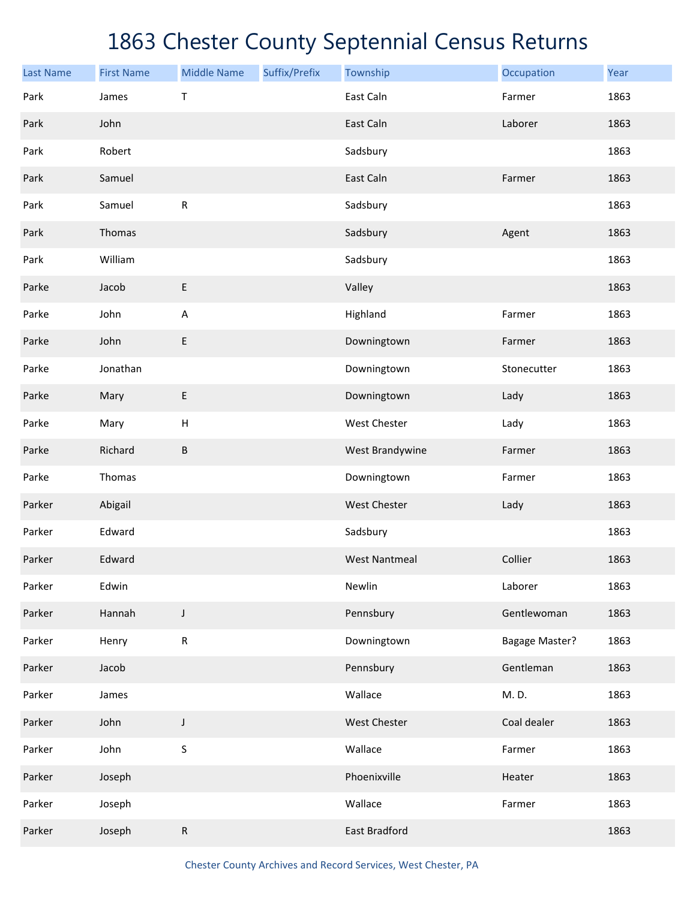| <b>Last Name</b> | <b>First Name</b> | <b>Middle Name</b>        | Suffix/Prefix | Township             | Occupation            | Year |
|------------------|-------------------|---------------------------|---------------|----------------------|-----------------------|------|
| Park             | James             | $\top$                    |               | East Caln            | Farmer                | 1863 |
| Park             | John              |                           |               | East Caln            | Laborer               | 1863 |
| Park             | Robert            |                           |               | Sadsbury             |                       | 1863 |
| Park             | Samuel            |                           |               | East Caln            | Farmer                | 1863 |
| Park             | Samuel            | ${\sf R}$                 |               | Sadsbury             |                       | 1863 |
| Park             | Thomas            |                           |               | Sadsbury             | Agent                 | 1863 |
| Park             | William           |                           |               | Sadsbury             |                       | 1863 |
| Parke            | Jacob             | $\sf E$                   |               | Valley               |                       | 1863 |
| Parke            | John              | A                         |               | Highland             | Farmer                | 1863 |
| Parke            | John              | E                         |               | Downingtown          | Farmer                | 1863 |
| Parke            | Jonathan          |                           |               | Downingtown          | Stonecutter           | 1863 |
| Parke            | Mary              | E                         |               | Downingtown          | Lady                  | 1863 |
| Parke            | Mary              | $\boldsymbol{\mathsf{H}}$ |               | West Chester         | Lady                  | 1863 |
| Parke            | Richard           | $\sf B$                   |               | West Brandywine      | Farmer                | 1863 |
| Parke            | Thomas            |                           |               | Downingtown          | Farmer                | 1863 |
| Parker           | Abigail           |                           |               | <b>West Chester</b>  | Lady                  | 1863 |
| Parker           | Edward            |                           |               | Sadsbury             |                       | 1863 |
| Parker           | Edward            |                           |               | <b>West Nantmeal</b> | Collier               | 1863 |
| Parker           | Edwin             |                           |               | Newlin               | Laborer               | 1863 |
| Parker           | Hannah            | J                         |               | Pennsbury            | Gentlewoman           | 1863 |
| Parker           | Henry             | ${\sf R}$                 |               | Downingtown          | <b>Bagage Master?</b> | 1863 |
| Parker           | Jacob             |                           |               | Pennsbury            | Gentleman             | 1863 |
| Parker           | James             |                           |               | Wallace              | M.D.                  | 1863 |
| Parker           | John              | J                         |               | West Chester         | Coal dealer           | 1863 |
| Parker           | John              | $\sf S$                   |               | Wallace              | Farmer                | 1863 |
| Parker           | Joseph            |                           |               | Phoenixville         | Heater                | 1863 |
| Parker           | Joseph            |                           |               | Wallace              | Farmer                | 1863 |
| Parker           | Joseph            | R                         |               | East Bradford        |                       | 1863 |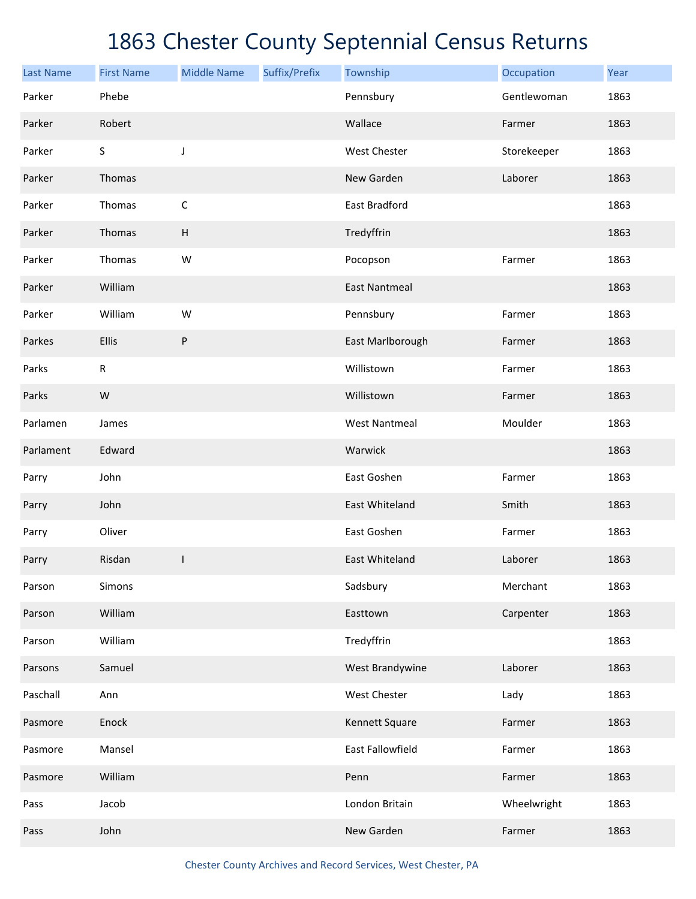| <b>Last Name</b> | <b>First Name</b> | <b>Middle Name</b>        | Suffix/Prefix | Township             | Occupation  | Year |
|------------------|-------------------|---------------------------|---------------|----------------------|-------------|------|
| Parker           | Phebe             |                           |               | Pennsbury            | Gentlewoman | 1863 |
| Parker           | Robert            |                           |               | Wallace              | Farmer      | 1863 |
| Parker           | S                 | J                         |               | West Chester         | Storekeeper | 1863 |
| Parker           | Thomas            |                           |               | New Garden           | Laborer     | 1863 |
| Parker           | Thomas            | $\mathsf C$               |               | East Bradford        |             | 1863 |
| Parker           | Thomas            | $\boldsymbol{\mathsf{H}}$ |               | Tredyffrin           |             | 1863 |
| Parker           | Thomas            | W                         |               | Pocopson             | Farmer      | 1863 |
| Parker           | William           |                           |               | <b>East Nantmeal</b> |             | 1863 |
| Parker           | William           | W                         |               | Pennsbury            | Farmer      | 1863 |
| Parkes           | Ellis             | P                         |               | East Marlborough     | Farmer      | 1863 |
| Parks            | R                 |                           |               | Willistown           | Farmer      | 1863 |
| Parks            | ${\sf W}$         |                           |               | Willistown           | Farmer      | 1863 |
| Parlamen         | James             |                           |               | <b>West Nantmeal</b> | Moulder     | 1863 |
| Parlament        | Edward            |                           |               | Warwick              |             | 1863 |
| Parry            | John              |                           |               | East Goshen          | Farmer      | 1863 |
| Parry            | John              |                           |               | East Whiteland       | Smith       | 1863 |
| Parry            | Oliver            |                           |               | East Goshen          | Farmer      | 1863 |
| Parry            | Risdan            | ı                         |               | East Whiteland       | Laborer     | 1863 |
| Parson           | Simons            |                           |               | Sadsbury             | Merchant    | 1863 |
| Parson           | William           |                           |               | Easttown             | Carpenter   | 1863 |
| Parson           | William           |                           |               | Tredyffrin           |             | 1863 |
| Parsons          | Samuel            |                           |               | West Brandywine      | Laborer     | 1863 |
| Paschall         | Ann               |                           |               | West Chester         | Lady        | 1863 |
| Pasmore          | Enock             |                           |               | Kennett Square       | Farmer      | 1863 |
| Pasmore          | Mansel            |                           |               | East Fallowfield     | Farmer      | 1863 |
| Pasmore          | William           |                           |               | Penn                 | Farmer      | 1863 |
| Pass             | Jacob             |                           |               | London Britain       | Wheelwright | 1863 |
| Pass             | John              |                           |               | New Garden           | Farmer      | 1863 |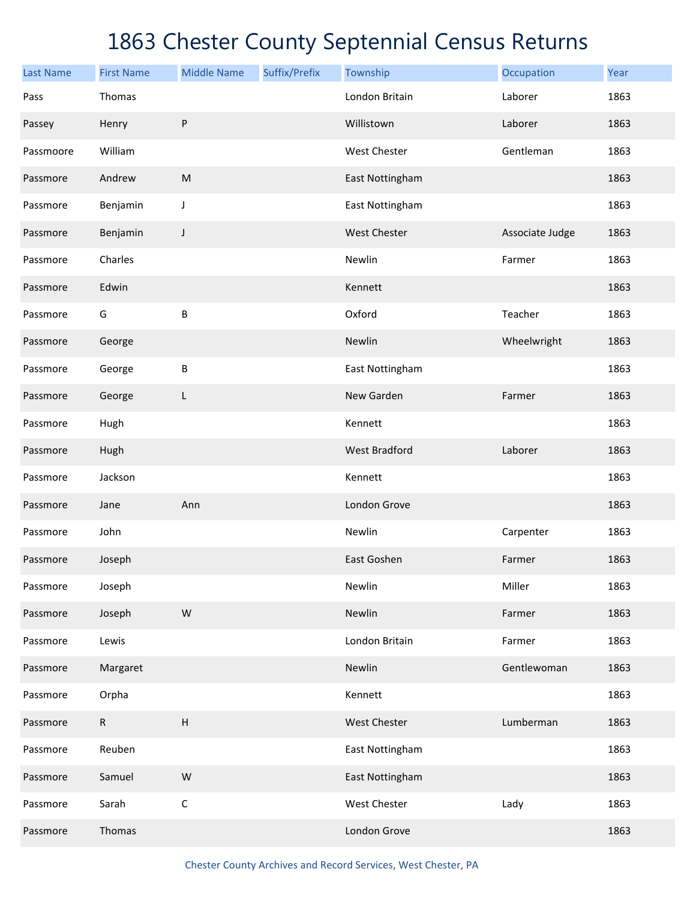| <b>Last Name</b> | <b>First Name</b> | <b>Middle Name</b>        | Suffix/Prefix | Township             | Occupation      | Year |
|------------------|-------------------|---------------------------|---------------|----------------------|-----------------|------|
| Pass             | Thomas            |                           |               | London Britain       | Laborer         | 1863 |
| Passey           | Henry             | $\sf P$                   |               | Willistown           | Laborer         | 1863 |
| Passmoore        | William           |                           |               | <b>West Chester</b>  | Gentleman       | 1863 |
| Passmore         | Andrew            | ${\sf M}$                 |               | East Nottingham      |                 | 1863 |
| Passmore         | Benjamin          | J                         |               | East Nottingham      |                 | 1863 |
| Passmore         | Benjamin          | J                         |               | <b>West Chester</b>  | Associate Judge | 1863 |
| Passmore         | Charles           |                           |               | Newlin               | Farmer          | 1863 |
| Passmore         | Edwin             |                           |               | Kennett              |                 | 1863 |
| Passmore         | G                 | $\sf B$                   |               | Oxford               | Teacher         | 1863 |
| Passmore         | George            |                           |               | Newlin               | Wheelwright     | 1863 |
| Passmore         | George            | $\sf B$                   |               | East Nottingham      |                 | 1863 |
| Passmore         | George            | L                         |               | New Garden           | Farmer          | 1863 |
| Passmore         | Hugh              |                           |               | Kennett              |                 | 1863 |
| Passmore         | Hugh              |                           |               | <b>West Bradford</b> | Laborer         | 1863 |
| Passmore         | Jackson           |                           |               | Kennett              |                 | 1863 |
| Passmore         | Jane              | Ann                       |               | London Grove         |                 | 1863 |
| Passmore         | John              |                           |               | Newlin               | Carpenter       | 1863 |
| Passmore         | Joseph            |                           |               | East Goshen          | Farmer          | 1863 |
| Passmore         | Joseph            |                           |               | Newlin               | Miller          | 1863 |
| Passmore         | Joseph            | ${\sf W}$                 |               | Newlin               | Farmer          | 1863 |
| Passmore         | Lewis             |                           |               | London Britain       | Farmer          | 1863 |
| Passmore         | Margaret          |                           |               | Newlin               | Gentlewoman     | 1863 |
| Passmore         | Orpha             |                           |               | Kennett              |                 | 1863 |
| Passmore         | ${\sf R}$         | $\boldsymbol{\mathsf{H}}$ |               | <b>West Chester</b>  | Lumberman       | 1863 |
| Passmore         | Reuben            |                           |               | East Nottingham      |                 | 1863 |
| Passmore         | Samuel            | ${\sf W}$                 |               | East Nottingham      |                 | 1863 |
| Passmore         | Sarah             | $\mathsf C$               |               | West Chester         | Lady            | 1863 |
| Passmore         | Thomas            |                           |               | London Grove         |                 | 1863 |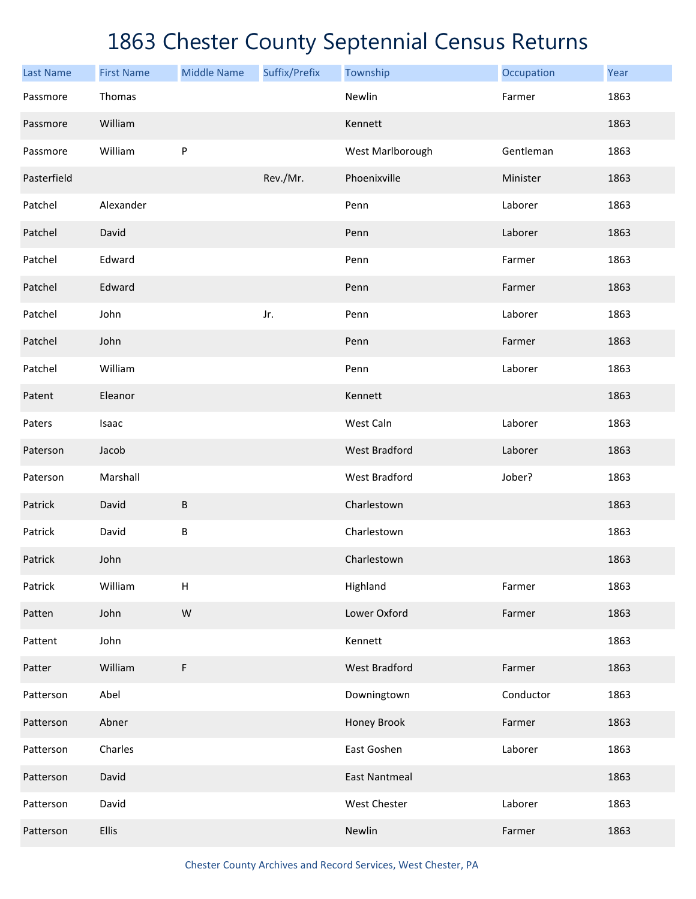| <b>Last Name</b> | <b>First Name</b> | <b>Middle Name</b>        | Suffix/Prefix | Township             | Occupation | Year |
|------------------|-------------------|---------------------------|---------------|----------------------|------------|------|
| Passmore         | Thomas            |                           |               | Newlin               | Farmer     | 1863 |
| Passmore         | William           |                           |               | Kennett              |            | 1863 |
| Passmore         | William           | P                         |               | West Marlborough     | Gentleman  | 1863 |
| Pasterfield      |                   |                           | Rev./Mr.      | Phoenixville         | Minister   | 1863 |
| Patchel          | Alexander         |                           |               | Penn                 | Laborer    | 1863 |
| Patchel          | David             |                           |               | Penn                 | Laborer    | 1863 |
| Patchel          | Edward            |                           |               | Penn                 | Farmer     | 1863 |
| Patchel          | Edward            |                           |               | Penn                 | Farmer     | 1863 |
| Patchel          | John              |                           | Jr.           | Penn                 | Laborer    | 1863 |
| Patchel          | John              |                           |               | Penn                 | Farmer     | 1863 |
| Patchel          | William           |                           |               | Penn                 | Laborer    | 1863 |
| Patent           | Eleanor           |                           |               | Kennett              |            | 1863 |
| Paters           | Isaac             |                           |               | West Caln            | Laborer    | 1863 |
| Paterson         | Jacob             |                           |               | <b>West Bradford</b> | Laborer    | 1863 |
| Paterson         | Marshall          |                           |               | <b>West Bradford</b> | Jober?     | 1863 |
| Patrick          | David             | $\sf B$                   |               | Charlestown          |            | 1863 |
| Patrick          | David             | $\sf B$                   |               | Charlestown          |            | 1863 |
| Patrick          | John              |                           |               | Charlestown          |            | 1863 |
| Patrick          | William           | $\boldsymbol{\mathsf{H}}$ |               | Highland             | Farmer     | 1863 |
| Patten           | John              | ${\sf W}$                 |               | Lower Oxford         | Farmer     | 1863 |
| Pattent          | John              |                           |               | Kennett              |            | 1863 |
| Patter           | William           | F                         |               | <b>West Bradford</b> | Farmer     | 1863 |
| Patterson        | Abel              |                           |               | Downingtown          | Conductor  | 1863 |
| Patterson        | Abner             |                           |               | Honey Brook          | Farmer     | 1863 |
| Patterson        | Charles           |                           |               | East Goshen          | Laborer    | 1863 |
| Patterson        | David             |                           |               | <b>East Nantmeal</b> |            | 1863 |
| Patterson        | David             |                           |               | West Chester         | Laborer    | 1863 |
| Patterson        | <b>Ellis</b>      |                           |               | Newlin               | Farmer     | 1863 |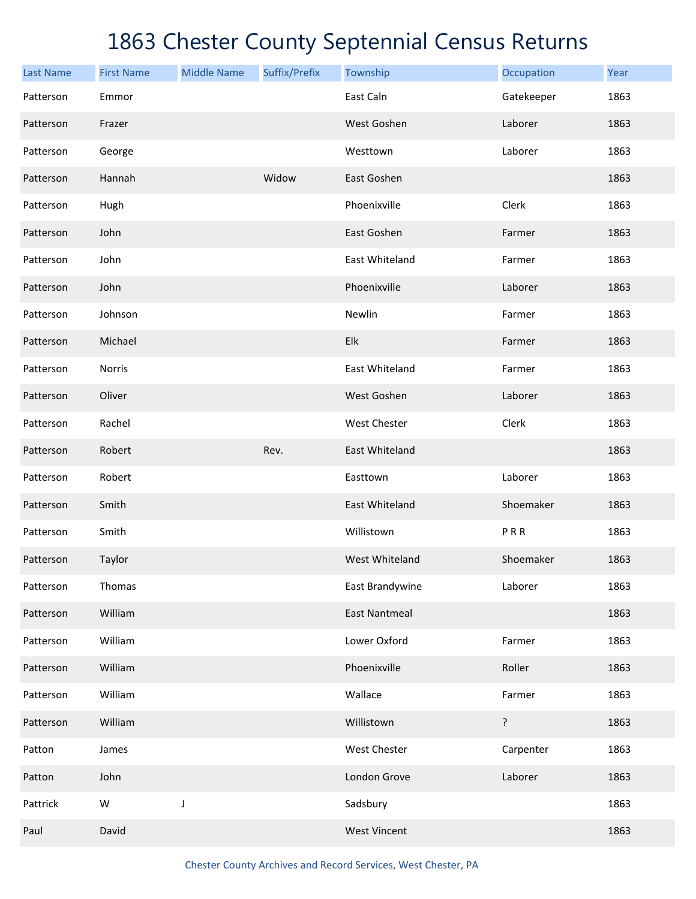| <b>Last Name</b> | <b>First Name</b> | <b>Middle Name</b> | Suffix/Prefix | Township             | Occupation | Year |
|------------------|-------------------|--------------------|---------------|----------------------|------------|------|
| Patterson        | Emmor             |                    |               | East Caln            | Gatekeeper | 1863 |
| Patterson        | Frazer            |                    |               | West Goshen          | Laborer    | 1863 |
| Patterson        | George            |                    |               | Westtown             | Laborer    | 1863 |
| Patterson        | Hannah            |                    | Widow         | East Goshen          |            | 1863 |
| Patterson        | Hugh              |                    |               | Phoenixville         | Clerk      | 1863 |
| Patterson        | John              |                    |               | East Goshen          | Farmer     | 1863 |
| Patterson        | John              |                    |               | East Whiteland       | Farmer     | 1863 |
| Patterson        | John              |                    |               | Phoenixville         | Laborer    | 1863 |
| Patterson        | Johnson           |                    |               | Newlin               | Farmer     | 1863 |
| Patterson        | Michael           |                    |               | Elk                  | Farmer     | 1863 |
| Patterson        | Norris            |                    |               | East Whiteland       | Farmer     | 1863 |
| Patterson        | Oliver            |                    |               | West Goshen          | Laborer    | 1863 |
| Patterson        | Rachel            |                    |               | West Chester         | Clerk      | 1863 |
| Patterson        | Robert            |                    | Rev.          | East Whiteland       |            | 1863 |
| Patterson        | Robert            |                    |               | Easttown             | Laborer    | 1863 |
| Patterson        | Smith             |                    |               | East Whiteland       | Shoemaker  | 1863 |
| Patterson        | Smith             |                    |               | Willistown           | PRR        | 1863 |
| Patterson        | Taylor            |                    |               | West Whiteland       | Shoemaker  | 1863 |
| Patterson        | Thomas            |                    |               | East Brandywine      | Laborer    | 1863 |
| Patterson        | William           |                    |               | <b>East Nantmeal</b> |            | 1863 |
| Patterson        | William           |                    |               | Lower Oxford         | Farmer     | 1863 |
| Patterson        | William           |                    |               | Phoenixville         | Roller     | 1863 |
| Patterson        | William           |                    |               | Wallace              | Farmer     | 1863 |
| Patterson        | William           |                    |               | Willistown           | ?          | 1863 |
| Patton           | James             |                    |               | West Chester         | Carpenter  | 1863 |
| Patton           | John              |                    |               | London Grove         | Laborer    | 1863 |
| Pattrick         | ${\sf W}$         | $\mathsf J$        |               | Sadsbury             |            | 1863 |
| Paul             | David             |                    |               | <b>West Vincent</b>  |            | 1863 |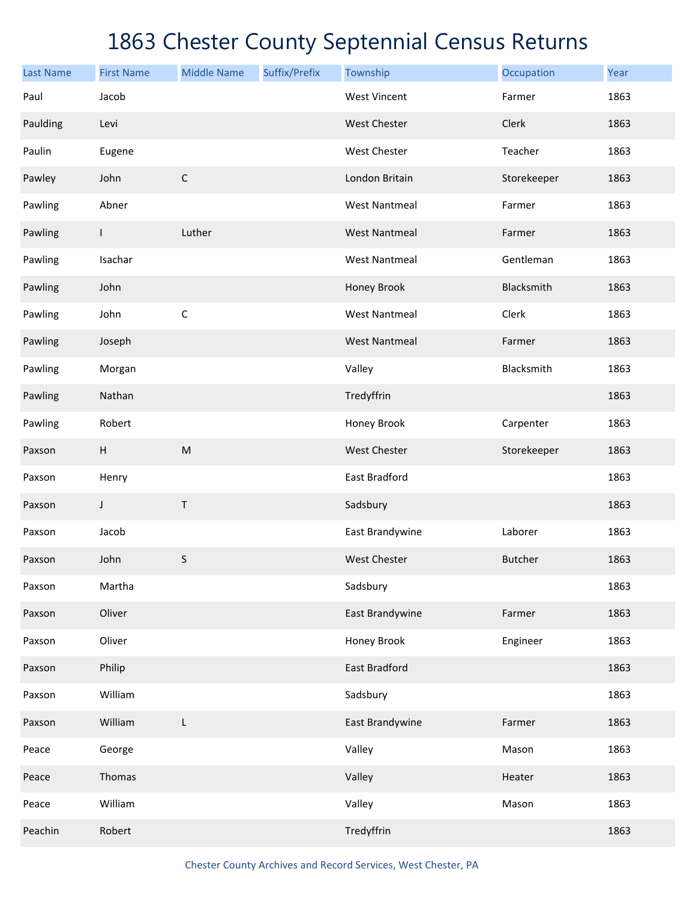| <b>Last Name</b> | <b>First Name</b> | <b>Middle Name</b> | Suffix/Prefix | Township             | Occupation     | Year |
|------------------|-------------------|--------------------|---------------|----------------------|----------------|------|
| Paul             | Jacob             |                    |               | <b>West Vincent</b>  | Farmer         | 1863 |
| Paulding         | Levi              |                    |               | West Chester         | Clerk          | 1863 |
| Paulin           | Eugene            |                    |               | West Chester         | Teacher        | 1863 |
| Pawley           | John              | $\mathsf C$        |               | London Britain       | Storekeeper    | 1863 |
| Pawling          | Abner             |                    |               | <b>West Nantmeal</b> | Farmer         | 1863 |
| Pawling          | $\mathbf{I}$      | Luther             |               | <b>West Nantmeal</b> | Farmer         | 1863 |
| Pawling          | Isachar           |                    |               | <b>West Nantmeal</b> | Gentleman      | 1863 |
| Pawling          | John              |                    |               | Honey Brook          | Blacksmith     | 1863 |
| Pawling          | John              | $\mathsf C$        |               | <b>West Nantmeal</b> | Clerk          | 1863 |
| Pawling          | Joseph            |                    |               | <b>West Nantmeal</b> | Farmer         | 1863 |
| Pawling          | Morgan            |                    |               | Valley               | Blacksmith     | 1863 |
| Pawling          | Nathan            |                    |               | Tredyffrin           |                | 1863 |
| Pawling          | Robert            |                    |               | Honey Brook          | Carpenter      | 1863 |
| Paxson           | $\sf H$           | ${\sf M}$          |               | West Chester         | Storekeeper    | 1863 |
| Paxson           | Henry             |                    |               | East Bradford        |                | 1863 |
| Paxson           | $\mathsf J$       | T                  |               | Sadsbury             |                | 1863 |
| Paxson           | Jacob             |                    |               | East Brandywine      | Laborer        | 1863 |
| Paxson           | John              | $\sf S$            |               | <b>West Chester</b>  | <b>Butcher</b> | 1863 |
| Paxson           | Martha            |                    |               | Sadsbury             |                | 1863 |
| Paxson           | Oliver            |                    |               | East Brandywine      | Farmer         | 1863 |
| Paxson           | Oliver            |                    |               | Honey Brook          | Engineer       | 1863 |
| Paxson           | Philip            |                    |               | East Bradford        |                | 1863 |
| Paxson           | William           |                    |               | Sadsbury             |                | 1863 |
| Paxson           | William           | L                  |               | East Brandywine      | Farmer         | 1863 |
| Peace            | George            |                    |               | Valley               | Mason          | 1863 |
| Peace            | Thomas            |                    |               | Valley               | Heater         | 1863 |
| Peace            | William           |                    |               | Valley               | Mason          | 1863 |
| Peachin          | Robert            |                    |               | Tredyffrin           |                | 1863 |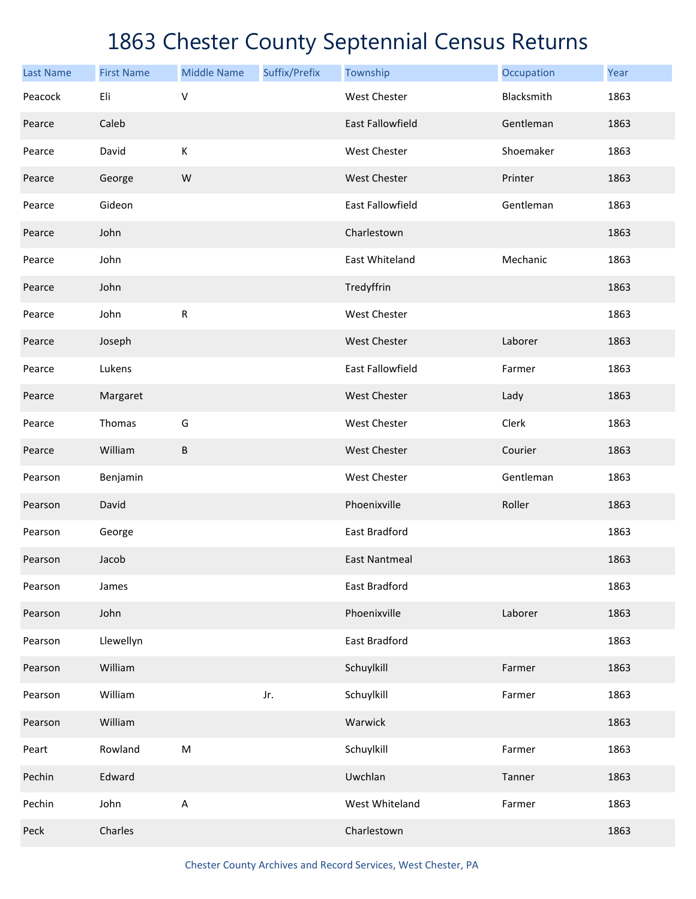| <b>Last Name</b> | <b>First Name</b> | <b>Middle Name</b> | Suffix/Prefix | Township                | Occupation | Year |
|------------------|-------------------|--------------------|---------------|-------------------------|------------|------|
| Peacock          | Eli               | $\vee$             |               | <b>West Chester</b>     | Blacksmith | 1863 |
| Pearce           | Caleb             |                    |               | <b>East Fallowfield</b> | Gentleman  | 1863 |
| Pearce           | David             | К                  |               | West Chester            | Shoemaker  | 1863 |
| Pearce           | George            | W                  |               | <b>West Chester</b>     | Printer    | 1863 |
| Pearce           | Gideon            |                    |               | East Fallowfield        | Gentleman  | 1863 |
| Pearce           | John              |                    |               | Charlestown             |            | 1863 |
| Pearce           | John              |                    |               | East Whiteland          | Mechanic   | 1863 |
| Pearce           | John              |                    |               | Tredyffrin              |            | 1863 |
| Pearce           | John              | ${\sf R}$          |               | <b>West Chester</b>     |            | 1863 |
| Pearce           | Joseph            |                    |               | <b>West Chester</b>     | Laborer    | 1863 |
| Pearce           | Lukens            |                    |               | East Fallowfield        | Farmer     | 1863 |
| Pearce           | Margaret          |                    |               | <b>West Chester</b>     | Lady       | 1863 |
| Pearce           | Thomas            | G                  |               | <b>West Chester</b>     | Clerk      | 1863 |
| Pearce           | William           | $\sf B$            |               | <b>West Chester</b>     | Courier    | 1863 |
| Pearson          | Benjamin          |                    |               | <b>West Chester</b>     | Gentleman  | 1863 |
| Pearson          | David             |                    |               | Phoenixville            | Roller     | 1863 |
| Pearson          | George            |                    |               | East Bradford           |            | 1863 |
| Pearson          | Jacob             |                    |               | <b>East Nantmeal</b>    |            | 1863 |
| Pearson          | James             |                    |               | East Bradford           |            | 1863 |
| Pearson          | John              |                    |               | Phoenixville            | Laborer    | 1863 |
| Pearson          | Llewellyn         |                    |               | East Bradford           |            | 1863 |
| Pearson          | William           |                    |               | Schuylkill              | Farmer     | 1863 |
| Pearson          | William           |                    | Jr.           | Schuylkill              | Farmer     | 1863 |
| Pearson          | William           |                    |               | Warwick                 |            | 1863 |
| Peart            | Rowland           | M                  |               | Schuylkill              | Farmer     | 1863 |
| Pechin           | Edward            |                    |               | Uwchlan                 | Tanner     | 1863 |
| Pechin           | John              | $\mathsf A$        |               | West Whiteland          | Farmer     | 1863 |
| Peck             | Charles           |                    |               | Charlestown             |            | 1863 |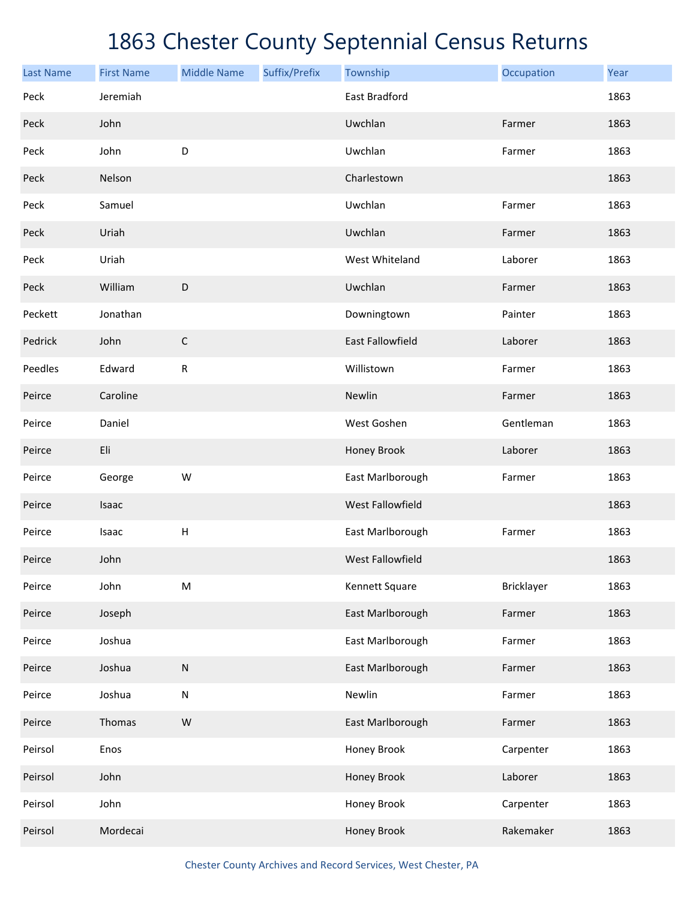| <b>Last Name</b> | <b>First Name</b> | <b>Middle Name</b> | Suffix/Prefix | Township                | Occupation | Year |
|------------------|-------------------|--------------------|---------------|-------------------------|------------|------|
| Peck             | Jeremiah          |                    |               | East Bradford           |            | 1863 |
| Peck             | John              |                    |               | Uwchlan                 | Farmer     | 1863 |
| Peck             | John              | D                  |               | Uwchlan                 | Farmer     | 1863 |
| Peck             | Nelson            |                    |               | Charlestown             |            | 1863 |
| Peck             | Samuel            |                    |               | Uwchlan                 | Farmer     | 1863 |
| Peck             | Uriah             |                    |               | Uwchlan                 | Farmer     | 1863 |
| Peck             | Uriah             |                    |               | West Whiteland          | Laborer    | 1863 |
| Peck             | William           | $\mathsf D$        |               | Uwchlan                 | Farmer     | 1863 |
| Peckett          | Jonathan          |                    |               | Downingtown             | Painter    | 1863 |
| Pedrick          | John              | $\mathsf C$        |               | East Fallowfield        | Laborer    | 1863 |
| Peedles          | Edward            | $\mathsf{R}$       |               | Willistown              | Farmer     | 1863 |
| Peirce           | Caroline          |                    |               | Newlin                  | Farmer     | 1863 |
| Peirce           | Daniel            |                    |               | West Goshen             | Gentleman  | 1863 |
| Peirce           | Eli               |                    |               | Honey Brook             | Laborer    | 1863 |
| Peirce           | George            | W                  |               | East Marlborough        | Farmer     | 1863 |
| Peirce           | Isaac             |                    |               | <b>West Fallowfield</b> |            | 1863 |
| Peirce           | Isaac             | $\mathsf H$        |               | East Marlborough        | Farmer     | 1863 |
| Peirce           | John              |                    |               | <b>West Fallowfield</b> |            | 1863 |
| Peirce           | John              | ${\sf M}$          |               | Kennett Square          | Bricklayer | 1863 |
| Peirce           | Joseph            |                    |               | East Marlborough        | Farmer     | 1863 |
| Peirce           | Joshua            |                    |               | East Marlborough        | Farmer     | 1863 |
| Peirce           | Joshua            | ${\sf N}$          |               | East Marlborough        | Farmer     | 1863 |
| Peirce           | Joshua            | ${\sf N}$          |               | Newlin                  | Farmer     | 1863 |
| Peirce           | Thomas            | W                  |               | East Marlborough        | Farmer     | 1863 |
| Peirsol          | Enos              |                    |               | Honey Brook             | Carpenter  | 1863 |
| Peirsol          | John              |                    |               | Honey Brook             | Laborer    | 1863 |
| Peirsol          | John              |                    |               | Honey Brook             | Carpenter  | 1863 |
| Peirsol          | Mordecai          |                    |               | Honey Brook             | Rakemaker  | 1863 |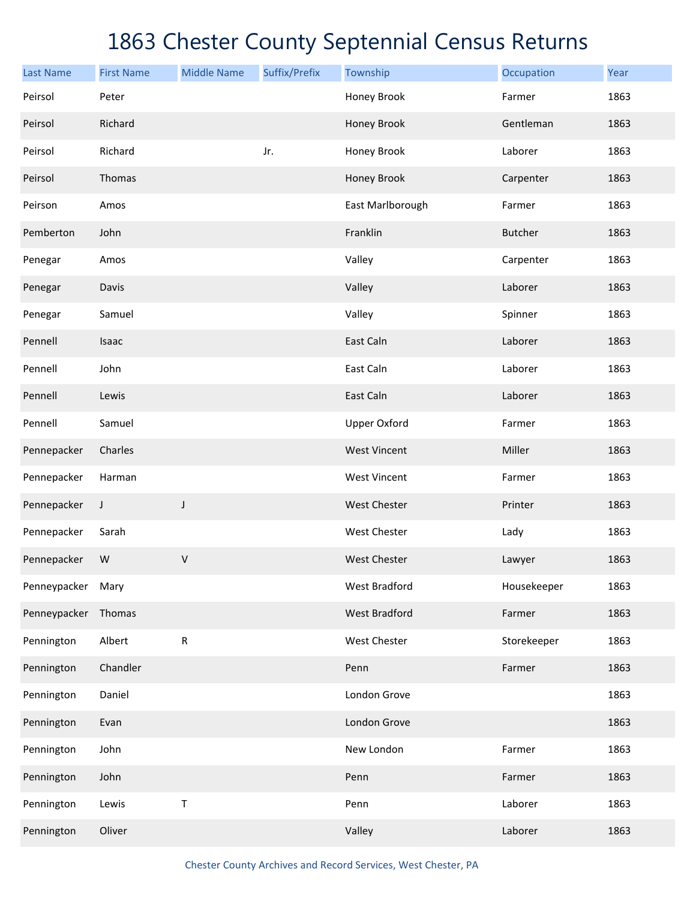| <b>Last Name</b> | <b>First Name</b> | <b>Middle Name</b> | Suffix/Prefix | Township             | Occupation     | Year |
|------------------|-------------------|--------------------|---------------|----------------------|----------------|------|
| Peirsol          | Peter             |                    |               | Honey Brook          | Farmer         | 1863 |
| Peirsol          | Richard           |                    |               | Honey Brook          | Gentleman      | 1863 |
| Peirsol          | Richard           |                    | Jr.           | Honey Brook          | Laborer        | 1863 |
| Peirsol          | Thomas            |                    |               | Honey Brook          | Carpenter      | 1863 |
| Peirson          | Amos              |                    |               | East Marlborough     | Farmer         | 1863 |
| Pemberton        | John              |                    |               | Franklin             | <b>Butcher</b> | 1863 |
| Penegar          | Amos              |                    |               | Valley               | Carpenter      | 1863 |
| Penegar          | Davis             |                    |               | Valley               | Laborer        | 1863 |
| Penegar          | Samuel            |                    |               | Valley               | Spinner        | 1863 |
| Pennell          | Isaac             |                    |               | East Caln            | Laborer        | 1863 |
| Pennell          | John              |                    |               | East Caln            | Laborer        | 1863 |
| Pennell          | Lewis             |                    |               | East Caln            | Laborer        | 1863 |
| Pennell          | Samuel            |                    |               | <b>Upper Oxford</b>  | Farmer         | 1863 |
| Pennepacker      | Charles           |                    |               | <b>West Vincent</b>  | Miller         | 1863 |
| Pennepacker      | Harman            |                    |               | <b>West Vincent</b>  | Farmer         | 1863 |
| Pennepacker      | J                 | J                  |               | West Chester         | Printer        | 1863 |
| Pennepacker      | Sarah             |                    |               | West Chester         | Lady           | 1863 |
| Pennepacker      | W                 | $\vee$             |               | <b>West Chester</b>  | Lawyer         | 1863 |
| Penneypacker     | Mary              |                    |               | West Bradford        | Housekeeper    | 1863 |
| Penneypacker     | Thomas            |                    |               | <b>West Bradford</b> | Farmer         | 1863 |
| Pennington       | Albert            | ${\sf R}$          |               | West Chester         | Storekeeper    | 1863 |
| Pennington       | Chandler          |                    |               | Penn                 | Farmer         | 1863 |
| Pennington       | Daniel            |                    |               | London Grove         |                | 1863 |
| Pennington       | Evan              |                    |               | London Grove         |                | 1863 |
| Pennington       | John              |                    |               | New London           | Farmer         | 1863 |
| Pennington       | John              |                    |               | Penn                 | Farmer         | 1863 |
| Pennington       | Lewis             | $\sf T$            |               | Penn                 | Laborer        | 1863 |
| Pennington       | Oliver            |                    |               | Valley               | Laborer        | 1863 |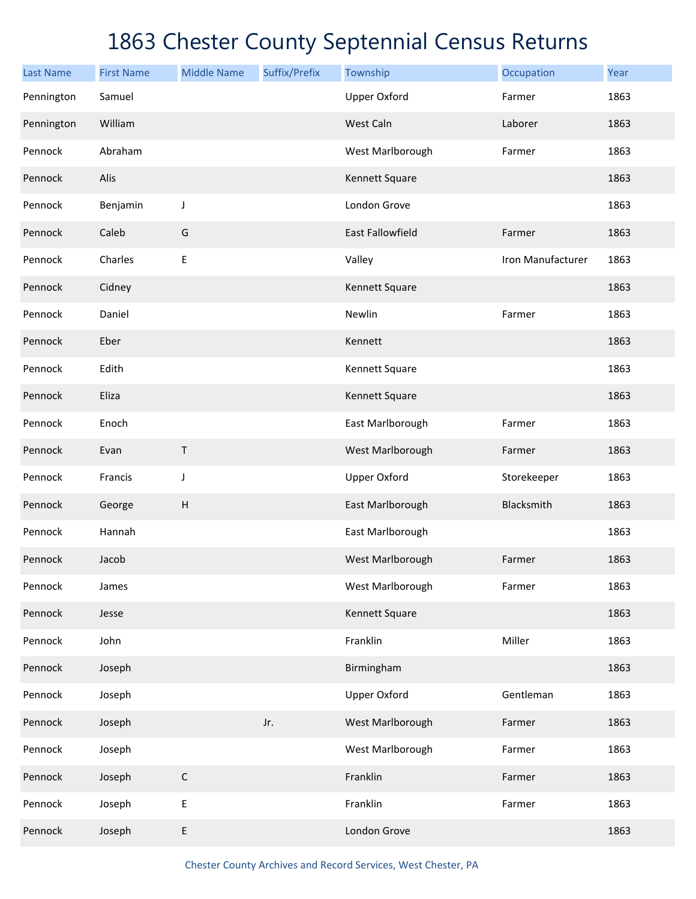| <b>Last Name</b> | <b>First Name</b> | <b>Middle Name</b> | Suffix/Prefix | Township                | Occupation        | Year |
|------------------|-------------------|--------------------|---------------|-------------------------|-------------------|------|
| Pennington       | Samuel            |                    |               | <b>Upper Oxford</b>     | Farmer            | 1863 |
| Pennington       | William           |                    |               | West Caln               | Laborer           | 1863 |
| Pennock          | Abraham           |                    |               | West Marlborough        | Farmer            | 1863 |
| Pennock          | Alis              |                    |               | Kennett Square          |                   | 1863 |
| Pennock          | Benjamin          | J                  |               | London Grove            |                   | 1863 |
| Pennock          | Caleb             | G                  |               | <b>East Fallowfield</b> | Farmer            | 1863 |
| Pennock          | Charles           | $\mathsf E$        |               | Valley                  | Iron Manufacturer | 1863 |
| Pennock          | Cidney            |                    |               | Kennett Square          |                   | 1863 |
| Pennock          | Daniel            |                    |               | Newlin                  | Farmer            | 1863 |
| Pennock          | Eber              |                    |               | Kennett                 |                   | 1863 |
| Pennock          | Edith             |                    |               | Kennett Square          |                   | 1863 |
| Pennock          | Eliza             |                    |               | Kennett Square          |                   | 1863 |
| Pennock          | Enoch             |                    |               | East Marlborough        | Farmer            | 1863 |
| Pennock          | Evan              | Τ                  |               | West Marlborough        | Farmer            | 1863 |
| Pennock          | Francis           | J                  |               | <b>Upper Oxford</b>     | Storekeeper       | 1863 |
| Pennock          | George            | H                  |               | East Marlborough        | Blacksmith        | 1863 |
| Pennock          | Hannah            |                    |               | East Marlborough        |                   | 1863 |
| Pennock          | Jacob             |                    |               | West Marlborough        | Farmer            | 1863 |
| Pennock          | James             |                    |               | West Marlborough        | Farmer            | 1863 |
| Pennock          | Jesse             |                    |               | Kennett Square          |                   | 1863 |
| Pennock          | John              |                    |               | Franklin                | Miller            | 1863 |
| Pennock          | Joseph            |                    |               | Birmingham              |                   | 1863 |
| Pennock          | Joseph            |                    |               | <b>Upper Oxford</b>     | Gentleman         | 1863 |
| Pennock          | Joseph            |                    | Jr.           | West Marlborough        | Farmer            | 1863 |
| Pennock          | Joseph            |                    |               | West Marlborough        | Farmer            | 1863 |
| Pennock          | Joseph            | $\mathsf C$        |               | Franklin                | Farmer            | 1863 |
| Pennock          | Joseph            | $\mathsf E$        |               | Franklin                | Farmer            | 1863 |
| Pennock          | Joseph            | E                  |               | London Grove            |                   | 1863 |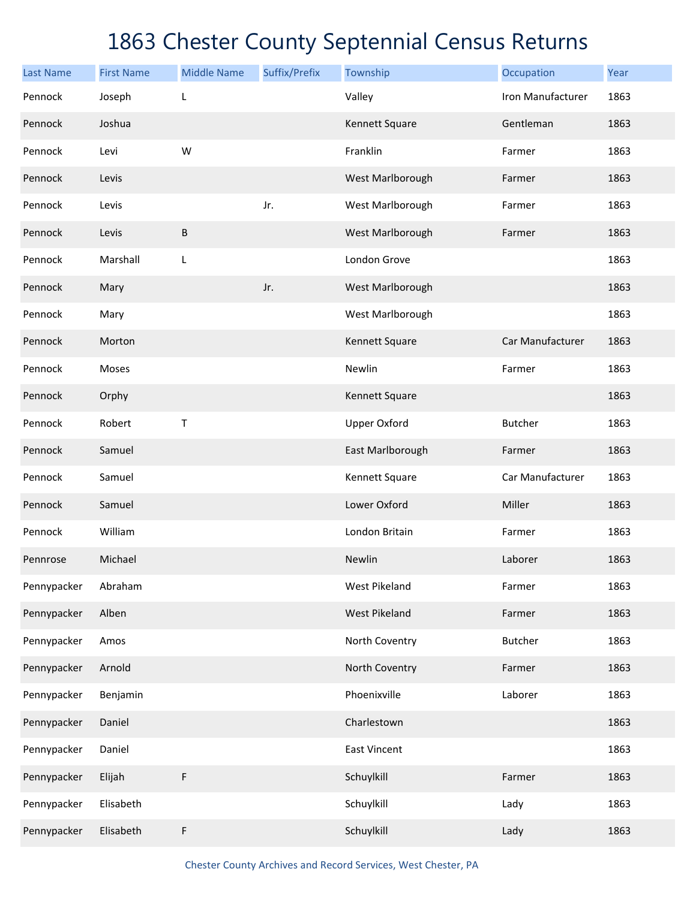| <b>Last Name</b> | <b>First Name</b> | <b>Middle Name</b> | Suffix/Prefix | Township             | Occupation        | Year |
|------------------|-------------------|--------------------|---------------|----------------------|-------------------|------|
| Pennock          | Joseph            | L                  |               | Valley               | Iron Manufacturer | 1863 |
| Pennock          | Joshua            |                    |               | Kennett Square       | Gentleman         | 1863 |
| Pennock          | Levi              | W                  |               | Franklin             | Farmer            | 1863 |
| Pennock          | Levis             |                    |               | West Marlborough     | Farmer            | 1863 |
| Pennock          | Levis             |                    | Jr.           | West Marlborough     | Farmer            | 1863 |
| Pennock          | Levis             | B                  |               | West Marlborough     | Farmer            | 1863 |
| Pennock          | Marshall          | L                  |               | London Grove         |                   | 1863 |
| Pennock          | Mary              |                    | Jr.           | West Marlborough     |                   | 1863 |
| Pennock          | Mary              |                    |               | West Marlborough     |                   | 1863 |
| Pennock          | Morton            |                    |               | Kennett Square       | Car Manufacturer  | 1863 |
| Pennock          | Moses             |                    |               | Newlin               | Farmer            | 1863 |
| Pennock          | Orphy             |                    |               | Kennett Square       |                   | 1863 |
| Pennock          | Robert            | Τ                  |               | <b>Upper Oxford</b>  | Butcher           | 1863 |
| Pennock          | Samuel            |                    |               | East Marlborough     | Farmer            | 1863 |
| Pennock          | Samuel            |                    |               | Kennett Square       | Car Manufacturer  | 1863 |
| Pennock          | Samuel            |                    |               | Lower Oxford         | Miller            | 1863 |
| Pennock          | William           |                    |               | London Britain       | Farmer            | 1863 |
| Pennrose         | Michael           |                    |               | Newlin               | Laborer           | 1863 |
| Pennypacker      | Abraham           |                    |               | West Pikeland        | Farmer            | 1863 |
| Pennypacker      | Alben             |                    |               | <b>West Pikeland</b> | Farmer            | 1863 |
| Pennypacker      | Amos              |                    |               | North Coventry       | <b>Butcher</b>    | 1863 |
| Pennypacker      | Arnold            |                    |               | North Coventry       | Farmer            | 1863 |
| Pennypacker      | Benjamin          |                    |               | Phoenixville         | Laborer           | 1863 |
| Pennypacker      | Daniel            |                    |               | Charlestown          |                   | 1863 |
| Pennypacker      | Daniel            |                    |               | <b>East Vincent</b>  |                   | 1863 |
| Pennypacker      | Elijah            | F                  |               | Schuylkill           | Farmer            | 1863 |
| Pennypacker      | Elisabeth         |                    |               | Schuylkill           | Lady              | 1863 |
| Pennypacker      | Elisabeth         | F                  |               | Schuylkill           | Lady              | 1863 |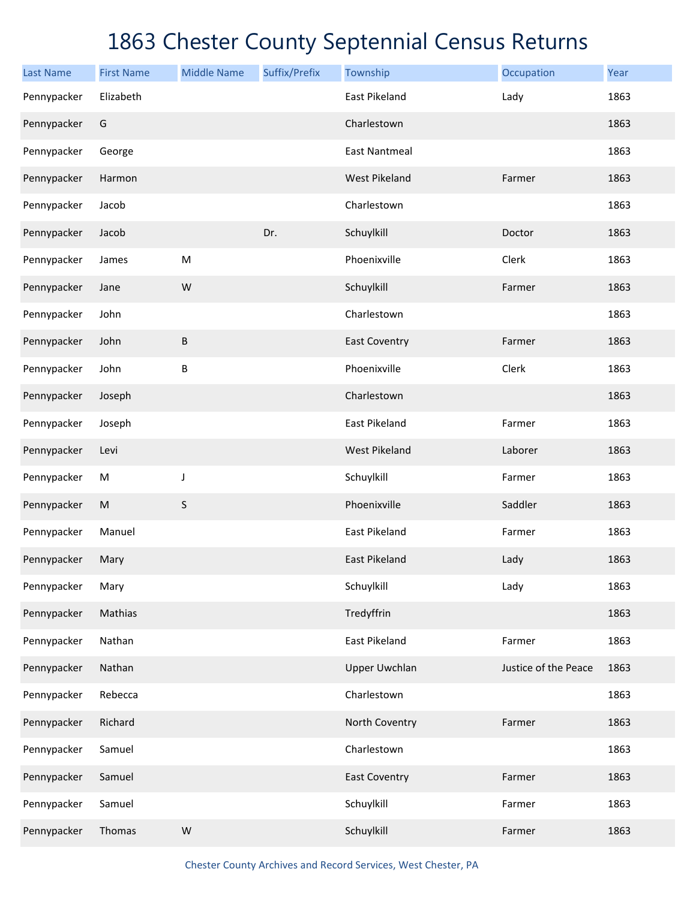| <b>Last Name</b> | <b>First Name</b> | <b>Middle Name</b> | Suffix/Prefix | Township             | Occupation           | Year |
|------------------|-------------------|--------------------|---------------|----------------------|----------------------|------|
| Pennypacker      | Elizabeth         |                    |               | East Pikeland        | Lady                 | 1863 |
| Pennypacker      | G                 |                    |               | Charlestown          |                      | 1863 |
| Pennypacker      | George            |                    |               | <b>East Nantmeal</b> |                      | 1863 |
| Pennypacker      | Harmon            |                    |               | <b>West Pikeland</b> | Farmer               | 1863 |
| Pennypacker      | Jacob             |                    |               | Charlestown          |                      | 1863 |
| Pennypacker      | Jacob             |                    | Dr.           | Schuylkill           | Doctor               | 1863 |
| Pennypacker      | James             | M                  |               | Phoenixville         | Clerk                | 1863 |
| Pennypacker      | Jane              | W                  |               | Schuylkill           | Farmer               | 1863 |
| Pennypacker      | John              |                    |               | Charlestown          |                      | 1863 |
| Pennypacker      | John              | $\sf B$            |               | <b>East Coventry</b> | Farmer               | 1863 |
| Pennypacker      | John              | B                  |               | Phoenixville         | Clerk                | 1863 |
| Pennypacker      | Joseph            |                    |               | Charlestown          |                      | 1863 |
| Pennypacker      | Joseph            |                    |               | East Pikeland        | Farmer               | 1863 |
| Pennypacker      | Levi              |                    |               | <b>West Pikeland</b> | Laborer              | 1863 |
| Pennypacker      | M                 | J                  |               | Schuylkill           | Farmer               | 1863 |
| Pennypacker      | ${\sf M}$         | $\mathsf S$        |               | Phoenixville         | Saddler              | 1863 |
| Pennypacker      | Manuel            |                    |               | <b>East Pikeland</b> | Farmer               | 1863 |
| Pennypacker      | Mary              |                    |               | <b>East Pikeland</b> | Lady                 | 1863 |
| Pennypacker      | Mary              |                    |               | Schuylkill           | Lady                 | 1863 |
| Pennypacker      | Mathias           |                    |               | Tredyffrin           |                      | 1863 |
| Pennypacker      | Nathan            |                    |               | East Pikeland        | Farmer               | 1863 |
| Pennypacker      | Nathan            |                    |               | <b>Upper Uwchlan</b> | Justice of the Peace | 1863 |
| Pennypacker      | Rebecca           |                    |               | Charlestown          |                      | 1863 |
| Pennypacker      | Richard           |                    |               | North Coventry       | Farmer               | 1863 |
| Pennypacker      | Samuel            |                    |               | Charlestown          |                      | 1863 |
| Pennypacker      | Samuel            |                    |               | <b>East Coventry</b> | Farmer               | 1863 |
| Pennypacker      | Samuel            |                    |               | Schuylkill           | Farmer               | 1863 |
| Pennypacker      | Thomas            | ${\sf W}$          |               | Schuylkill           | Farmer               | 1863 |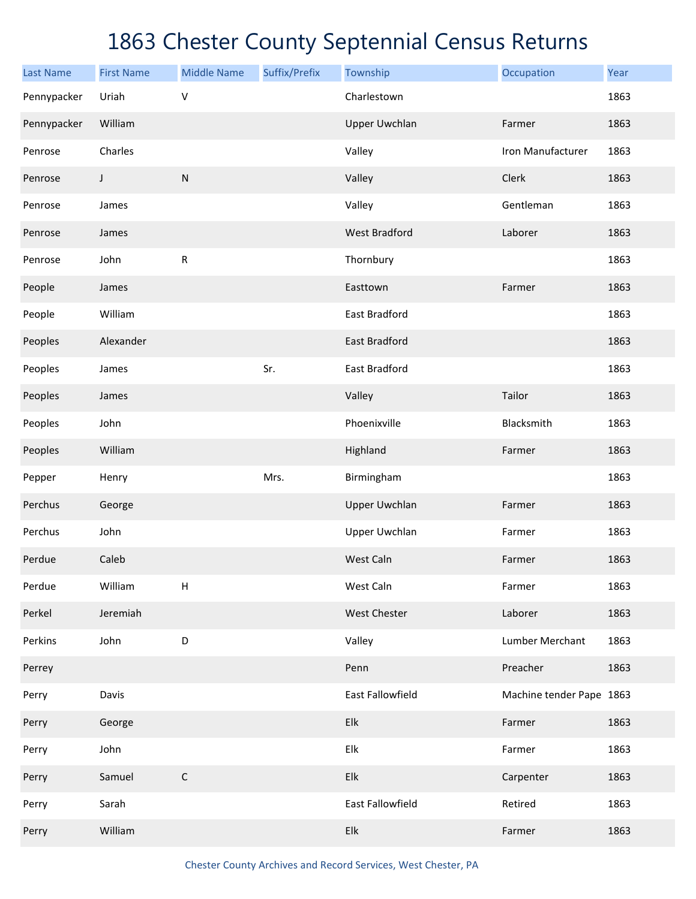| <b>Last Name</b> | <b>First Name</b> | <b>Middle Name</b> | Suffix/Prefix | Township             | Occupation               | Year |
|------------------|-------------------|--------------------|---------------|----------------------|--------------------------|------|
| Pennypacker      | Uriah             | $\vee$             |               | Charlestown          |                          | 1863 |
| Pennypacker      | William           |                    |               | <b>Upper Uwchlan</b> | Farmer                   | 1863 |
| Penrose          | Charles           |                    |               | Valley               | Iron Manufacturer        | 1863 |
| Penrose          | J                 | ${\sf N}$          |               | Valley               | Clerk                    | 1863 |
| Penrose          | James             |                    |               | Valley               | Gentleman                | 1863 |
| Penrose          | James             |                    |               | <b>West Bradford</b> | Laborer                  | 1863 |
| Penrose          | John              | ${\sf R}$          |               | Thornbury            |                          | 1863 |
| People           | James             |                    |               | Easttown             | Farmer                   | 1863 |
| People           | William           |                    |               | East Bradford        |                          | 1863 |
| Peoples          | Alexander         |                    |               | East Bradford        |                          | 1863 |
| Peoples          | James             |                    | Sr.           | East Bradford        |                          | 1863 |
| Peoples          | James             |                    |               | Valley               | Tailor                   | 1863 |
| Peoples          | John              |                    |               | Phoenixville         | Blacksmith               | 1863 |
| Peoples          | William           |                    |               | Highland             | Farmer                   | 1863 |
| Pepper           | Henry             |                    | Mrs.          | Birmingham           |                          | 1863 |
| Perchus          | George            |                    |               | <b>Upper Uwchlan</b> | Farmer                   | 1863 |
| Perchus          | John              |                    |               | <b>Upper Uwchlan</b> | Farmer                   | 1863 |
| Perdue           | Caleb             |                    |               | West Caln            | Farmer                   | 1863 |
| Perdue           | William           | H                  |               | West Caln            | Farmer                   | 1863 |
| Perkel           | Jeremiah          |                    |               | West Chester         | Laborer                  | 1863 |
| Perkins          | John              | D                  |               | Valley               | Lumber Merchant          | 1863 |
| Perrey           |                   |                    |               | Penn                 | Preacher                 | 1863 |
| Perry            | Davis             |                    |               | East Fallowfield     | Machine tender Pape 1863 |      |
| Perry            | George            |                    |               | Elk                  | Farmer                   | 1863 |
| Perry            | John              |                    |               | Elk                  | Farmer                   | 1863 |
| Perry            | Samuel            | $\mathsf C$        |               | Elk                  | Carpenter                | 1863 |
| Perry            | Sarah             |                    |               | East Fallowfield     | Retired                  | 1863 |
| Perry            | William           |                    |               | Elk                  | Farmer                   | 1863 |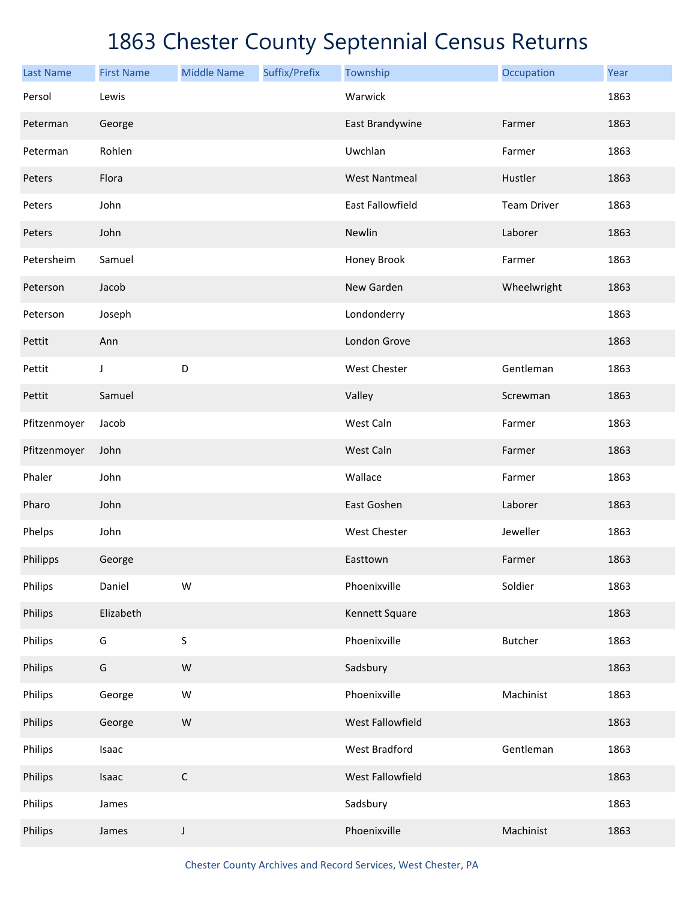| <b>Last Name</b> | <b>First Name</b> | <b>Middle Name</b> | Suffix/Prefix | Township                | Occupation         | Year |
|------------------|-------------------|--------------------|---------------|-------------------------|--------------------|------|
| Persol           | Lewis             |                    |               | Warwick                 |                    | 1863 |
| Peterman         | George            |                    |               | East Brandywine         | Farmer             | 1863 |
| Peterman         | Rohlen            |                    |               | Uwchlan                 | Farmer             | 1863 |
| Peters           | Flora             |                    |               | <b>West Nantmeal</b>    | Hustler            | 1863 |
| Peters           | John              |                    |               | <b>East Fallowfield</b> | <b>Team Driver</b> | 1863 |
| Peters           | John              |                    |               | Newlin                  | Laborer            | 1863 |
| Petersheim       | Samuel            |                    |               | Honey Brook             | Farmer             | 1863 |
| Peterson         | Jacob             |                    |               | New Garden              | Wheelwright        | 1863 |
| Peterson         | Joseph            |                    |               | Londonderry             |                    | 1863 |
| Pettit           | Ann               |                    |               | London Grove            |                    | 1863 |
| Pettit           | J                 | D                  |               | West Chester            | Gentleman          | 1863 |
| Pettit           | Samuel            |                    |               | Valley                  | Screwman           | 1863 |
| Pfitzenmoyer     | Jacob             |                    |               | West Caln               | Farmer             | 1863 |
| Pfitzenmoyer     | John              |                    |               | West Caln               | Farmer             | 1863 |
| Phaler           | John              |                    |               | Wallace                 | Farmer             | 1863 |
| Pharo            | John              |                    |               | East Goshen             | Laborer            | 1863 |
| Phelps           | John              |                    |               | West Chester            | Jeweller           | 1863 |
| Philipps         | George            |                    |               | Easttown                | Farmer             | 1863 |
| Philips          | Daniel            | W                  |               | Phoenixville            | Soldier            | 1863 |
| Philips          | Elizabeth         |                    |               | Kennett Square          |                    | 1863 |
| Philips          | G                 | S                  |               | Phoenixville            | <b>Butcher</b>     | 1863 |
| Philips          | G                 | W                  |               | Sadsbury                |                    | 1863 |
| Philips          | George            | W                  |               | Phoenixville            | Machinist          | 1863 |
| Philips          | George            | ${\sf W}$          |               | West Fallowfield        |                    | 1863 |
| Philips          | Isaac             |                    |               | West Bradford           | Gentleman          | 1863 |
| Philips          | Isaac             | $\mathsf C$        |               | West Fallowfield        |                    | 1863 |
| Philips          | James             |                    |               | Sadsbury                |                    | 1863 |
| Philips          | James             | J                  |               | Phoenixville            | Machinist          | 1863 |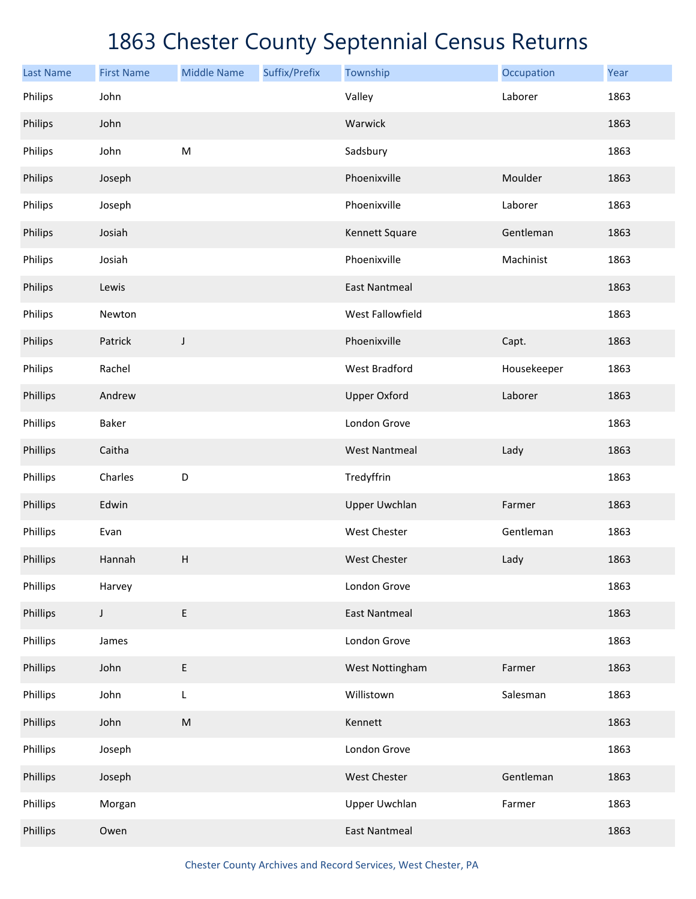| <b>Last Name</b> | <b>First Name</b> | <b>Middle Name</b>        | Suffix/Prefix | Township             | Occupation  | Year |
|------------------|-------------------|---------------------------|---------------|----------------------|-------------|------|
| Philips          | John              |                           |               | Valley               | Laborer     | 1863 |
| Philips          | John              |                           |               | Warwick              |             | 1863 |
| Philips          | John              | ${\sf M}$                 |               | Sadsbury             |             | 1863 |
| Philips          | Joseph            |                           |               | Phoenixville         | Moulder     | 1863 |
| Philips          | Joseph            |                           |               | Phoenixville         | Laborer     | 1863 |
| Philips          | Josiah            |                           |               | Kennett Square       | Gentleman   | 1863 |
| Philips          | Josiah            |                           |               | Phoenixville         | Machinist   | 1863 |
| Philips          | Lewis             |                           |               | <b>East Nantmeal</b> |             | 1863 |
| Philips          | Newton            |                           |               | West Fallowfield     |             | 1863 |
| Philips          | Patrick           | J                         |               | Phoenixville         | Capt.       | 1863 |
| Philips          | Rachel            |                           |               | <b>West Bradford</b> | Housekeeper | 1863 |
| Phillips         | Andrew            |                           |               | <b>Upper Oxford</b>  | Laborer     | 1863 |
| Phillips         | Baker             |                           |               | London Grove         |             | 1863 |
| Phillips         | Caitha            |                           |               | <b>West Nantmeal</b> | Lady        | 1863 |
| Phillips         | Charles           | D                         |               | Tredyffrin           |             | 1863 |
| Phillips         | Edwin             |                           |               | <b>Upper Uwchlan</b> | Farmer      | 1863 |
| Phillips         | Evan              |                           |               | West Chester         | Gentleman   | 1863 |
| Phillips         | Hannah            | $\boldsymbol{\mathsf{H}}$ |               | <b>West Chester</b>  | Lady        | 1863 |
| Phillips         | Harvey            |                           |               | London Grove         |             | 1863 |
| Phillips         | $\mathsf J$       | E                         |               | <b>East Nantmeal</b> |             | 1863 |
| Phillips         | James             |                           |               | London Grove         |             | 1863 |
| Phillips         | John              | E                         |               | West Nottingham      | Farmer      | 1863 |
| Phillips         | John              | L                         |               | Willistown           | Salesman    | 1863 |
| Phillips         | John              | ${\sf M}$                 |               | Kennett              |             | 1863 |
| Phillips         | Joseph            |                           |               | London Grove         |             | 1863 |
| Phillips         | Joseph            |                           |               | West Chester         | Gentleman   | 1863 |
| Phillips         | Morgan            |                           |               | Upper Uwchlan        | Farmer      | 1863 |
| Phillips         | Owen              |                           |               | <b>East Nantmeal</b> |             | 1863 |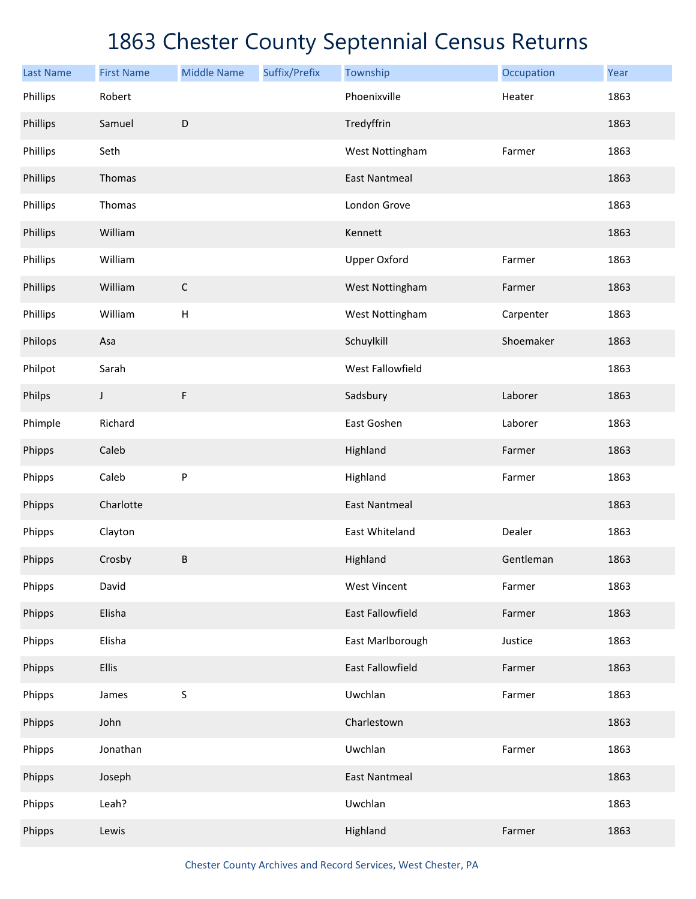| <b>Last Name</b> | <b>First Name</b> | <b>Middle Name</b> | Suffix/Prefix | Township             | Occupation | Year |
|------------------|-------------------|--------------------|---------------|----------------------|------------|------|
| Phillips         | Robert            |                    |               | Phoenixville         | Heater     | 1863 |
| Phillips         | Samuel            | $\mathsf D$        |               | Tredyffrin           |            | 1863 |
| Phillips         | Seth              |                    |               | West Nottingham      | Farmer     | 1863 |
| Phillips         | Thomas            |                    |               | <b>East Nantmeal</b> |            | 1863 |
| Phillips         | Thomas            |                    |               | London Grove         |            | 1863 |
| Phillips         | William           |                    |               | Kennett              |            | 1863 |
| Phillips         | William           |                    |               | <b>Upper Oxford</b>  | Farmer     | 1863 |
| Phillips         | William           | $\mathsf C$        |               | West Nottingham      | Farmer     | 1863 |
| Phillips         | William           | H                  |               | West Nottingham      | Carpenter  | 1863 |
| Philops          | Asa               |                    |               | Schuylkill           | Shoemaker  | 1863 |
| Philpot          | Sarah             |                    |               | West Fallowfield     |            | 1863 |
| Philps           | J                 | F                  |               | Sadsbury             | Laborer    | 1863 |
| Phimple          | Richard           |                    |               | East Goshen          | Laborer    | 1863 |
| Phipps           | Caleb             |                    |               | Highland             | Farmer     | 1863 |
| Phipps           | Caleb             | ${\sf P}$          |               | Highland             | Farmer     | 1863 |
| Phipps           | Charlotte         |                    |               | <b>East Nantmeal</b> |            | 1863 |
| Phipps           | Clayton           |                    |               | East Whiteland       | Dealer     | 1863 |
| Phipps           | Crosby            | $\sf B$            |               | Highland             | Gentleman  | 1863 |
| Phipps           | David             |                    |               | <b>West Vincent</b>  | Farmer     | 1863 |
| Phipps           | Elisha            |                    |               | East Fallowfield     | Farmer     | 1863 |
| Phipps           | Elisha            |                    |               | East Marlborough     | Justice    | 1863 |
| Phipps           | <b>Ellis</b>      |                    |               | East Fallowfield     | Farmer     | 1863 |
| Phipps           | James             | $\sf S$            |               | Uwchlan              | Farmer     | 1863 |
| Phipps           | John              |                    |               | Charlestown          |            | 1863 |
| Phipps           | Jonathan          |                    |               | Uwchlan              | Farmer     | 1863 |
| Phipps           | Joseph            |                    |               | <b>East Nantmeal</b> |            | 1863 |
| Phipps           | Leah?             |                    |               | Uwchlan              |            | 1863 |
| Phipps           | Lewis             |                    |               | Highland             | Farmer     | 1863 |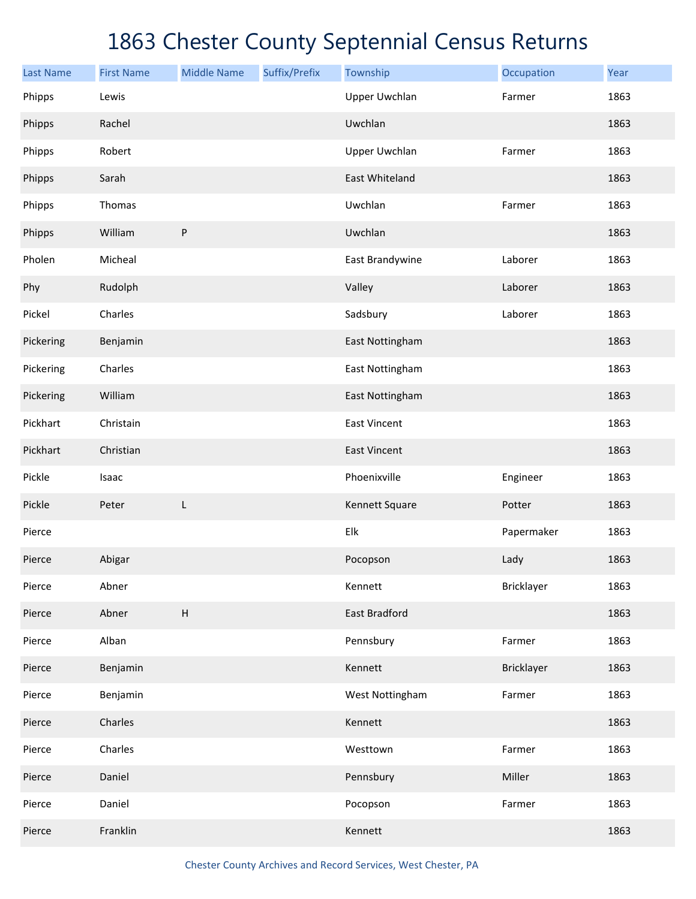| <b>Last Name</b> | <b>First Name</b> | <b>Middle Name</b>        | Suffix/Prefix | Township             | Occupation | Year |
|------------------|-------------------|---------------------------|---------------|----------------------|------------|------|
| Phipps           | Lewis             |                           |               | <b>Upper Uwchlan</b> | Farmer     | 1863 |
| Phipps           | Rachel            |                           |               | Uwchlan              |            | 1863 |
| Phipps           | Robert            |                           |               | <b>Upper Uwchlan</b> | Farmer     | 1863 |
| Phipps           | Sarah             |                           |               | East Whiteland       |            | 1863 |
| Phipps           | Thomas            |                           |               | Uwchlan              | Farmer     | 1863 |
| Phipps           | William           | ${\sf P}$                 |               | Uwchlan              |            | 1863 |
| Pholen           | Micheal           |                           |               | East Brandywine      | Laborer    | 1863 |
| Phy              | Rudolph           |                           |               | Valley               | Laborer    | 1863 |
| Pickel           | Charles           |                           |               | Sadsbury             | Laborer    | 1863 |
| Pickering        | Benjamin          |                           |               | East Nottingham      |            | 1863 |
| Pickering        | Charles           |                           |               | East Nottingham      |            | 1863 |
| Pickering        | William           |                           |               | East Nottingham      |            | 1863 |
| Pickhart         | Christain         |                           |               | <b>East Vincent</b>  |            | 1863 |
| Pickhart         | Christian         |                           |               | <b>East Vincent</b>  |            | 1863 |
| Pickle           | Isaac             |                           |               | Phoenixville         | Engineer   | 1863 |
| Pickle           | Peter             | L                         |               | Kennett Square       | Potter     | 1863 |
| Pierce           |                   |                           |               | Elk                  | Papermaker | 1863 |
| Pierce           | Abigar            |                           |               | Pocopson             | Lady       | 1863 |
| Pierce           | Abner             |                           |               | Kennett              | Bricklayer | 1863 |
| Pierce           | Abner             | $\boldsymbol{\mathsf{H}}$ |               | East Bradford        |            | 1863 |
| Pierce           | Alban             |                           |               | Pennsbury            | Farmer     | 1863 |
| Pierce           | Benjamin          |                           |               | Kennett              | Bricklayer | 1863 |
| Pierce           | Benjamin          |                           |               | West Nottingham      | Farmer     | 1863 |
| Pierce           | Charles           |                           |               | Kennett              |            | 1863 |
| Pierce           | Charles           |                           |               | Westtown             | Farmer     | 1863 |
| Pierce           | Daniel            |                           |               | Pennsbury            | Miller     | 1863 |
| Pierce           | Daniel            |                           |               | Pocopson             | Farmer     | 1863 |
| Pierce           | Franklin          |                           |               | Kennett              |            | 1863 |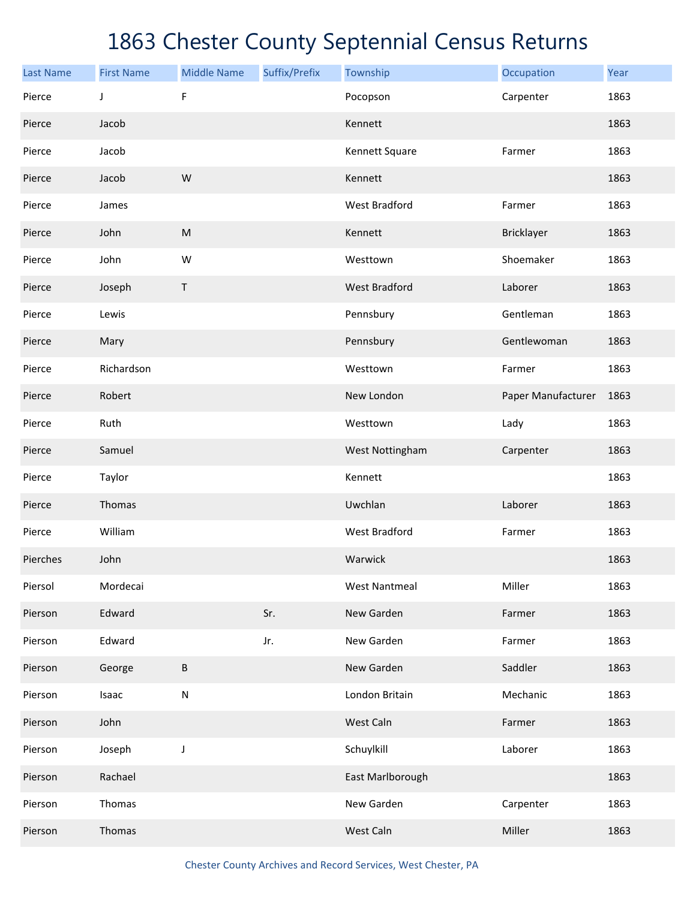| <b>Last Name</b> | <b>First Name</b> | <b>Middle Name</b> | Suffix/Prefix | Township             | Occupation         | Year |
|------------------|-------------------|--------------------|---------------|----------------------|--------------------|------|
| Pierce           | J                 | F                  |               | Pocopson             | Carpenter          | 1863 |
| Pierce           | Jacob             |                    |               | Kennett              |                    | 1863 |
| Pierce           | Jacob             |                    |               | Kennett Square       | Farmer             | 1863 |
| Pierce           | Jacob             | W                  |               | Kennett              |                    | 1863 |
| Pierce           | James             |                    |               | <b>West Bradford</b> | Farmer             | 1863 |
| Pierce           | John              | ${\sf M}$          |               | Kennett              | Bricklayer         | 1863 |
| Pierce           | John              | W                  |               | Westtown             | Shoemaker          | 1863 |
| Pierce           | Joseph            | Τ                  |               | <b>West Bradford</b> | Laborer            | 1863 |
| Pierce           | Lewis             |                    |               | Pennsbury            | Gentleman          | 1863 |
| Pierce           | Mary              |                    |               | Pennsbury            | Gentlewoman        | 1863 |
| Pierce           | Richardson        |                    |               | Westtown             | Farmer             | 1863 |
| Pierce           | Robert            |                    |               | New London           | Paper Manufacturer | 1863 |
| Pierce           | Ruth              |                    |               | Westtown             | Lady               | 1863 |
| Pierce           | Samuel            |                    |               | West Nottingham      | Carpenter          | 1863 |
| Pierce           | Taylor            |                    |               | Kennett              |                    | 1863 |
| Pierce           | Thomas            |                    |               | Uwchlan              | Laborer            | 1863 |
| Pierce           | William           |                    |               | <b>West Bradford</b> | Farmer             | 1863 |
| Pierches         | John              |                    |               | Warwick              |                    | 1863 |
| Piersol          | Mordecai          |                    |               | <b>West Nantmeal</b> | Miller             | 1863 |
| Pierson          | Edward            |                    | Sr.           | New Garden           | Farmer             | 1863 |
| Pierson          | Edward            |                    | Jr.           | New Garden           | Farmer             | 1863 |
| Pierson          | George            | $\sf B$            |               | New Garden           | Saddler            | 1863 |
| Pierson          | Isaac             | ${\sf N}$          |               | London Britain       | Mechanic           | 1863 |
| Pierson          | John              |                    |               | West Caln            | Farmer             | 1863 |
| Pierson          | Joseph            | J                  |               | Schuylkill           | Laborer            | 1863 |
| Pierson          | Rachael           |                    |               | East Marlborough     |                    | 1863 |
| Pierson          | Thomas            |                    |               | New Garden           | Carpenter          | 1863 |
| Pierson          | Thomas            |                    |               | West Caln            | Miller             | 1863 |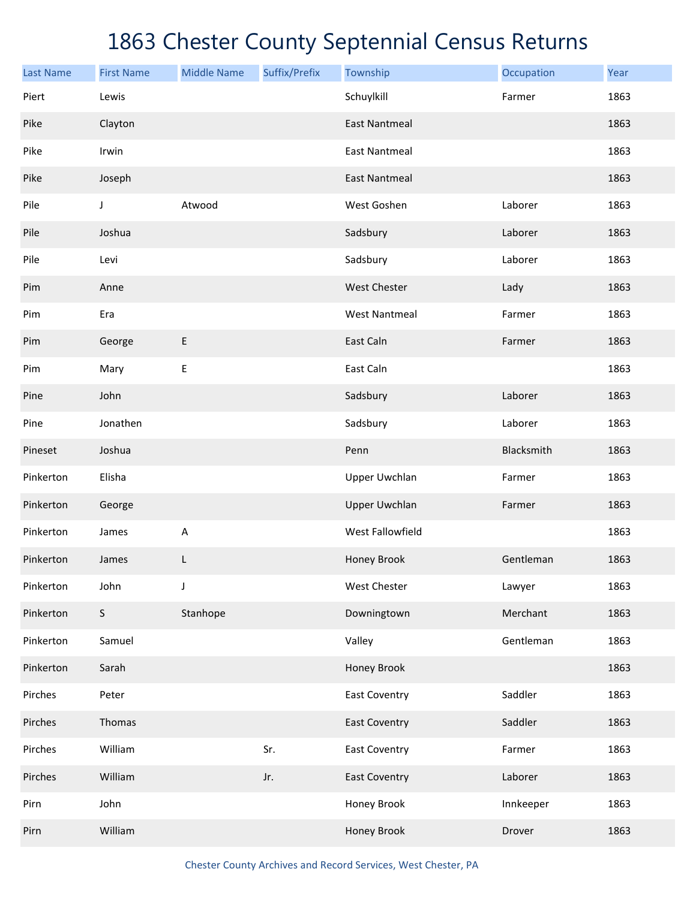| <b>Last Name</b> | <b>First Name</b> | <b>Middle Name</b> | Suffix/Prefix | Township             | Occupation | Year |
|------------------|-------------------|--------------------|---------------|----------------------|------------|------|
| Piert            | Lewis             |                    |               | Schuylkill           | Farmer     | 1863 |
| Pike             | Clayton           |                    |               | <b>East Nantmeal</b> |            | 1863 |
| Pike             | Irwin             |                    |               | <b>East Nantmeal</b> |            | 1863 |
| Pike             | Joseph            |                    |               | <b>East Nantmeal</b> |            | 1863 |
| Pile             | J                 | Atwood             |               | West Goshen          | Laborer    | 1863 |
| Pile             | Joshua            |                    |               | Sadsbury             | Laborer    | 1863 |
| Pile             | Levi              |                    |               | Sadsbury             | Laborer    | 1863 |
| Pim              | Anne              |                    |               | <b>West Chester</b>  | Lady       | 1863 |
| Pim              | Era               |                    |               | <b>West Nantmeal</b> | Farmer     | 1863 |
| Pim              | George            | E                  |               | East Caln            | Farmer     | 1863 |
| Pim              | Mary              | $\sf E$            |               | East Caln            |            | 1863 |
| Pine             | John              |                    |               | Sadsbury             | Laborer    | 1863 |
| Pine             | Jonathen          |                    |               | Sadsbury             | Laborer    | 1863 |
| Pineset          | Joshua            |                    |               | Penn                 | Blacksmith | 1863 |
| Pinkerton        | Elisha            |                    |               | <b>Upper Uwchlan</b> | Farmer     | 1863 |
| Pinkerton        | George            |                    |               | <b>Upper Uwchlan</b> | Farmer     | 1863 |
| Pinkerton        | James             | $\mathsf A$        |               | West Fallowfield     |            | 1863 |
| Pinkerton        | James             | L                  |               | Honey Brook          | Gentleman  | 1863 |
| Pinkerton        | John              | J                  |               | West Chester         | Lawyer     | 1863 |
| Pinkerton        | $\mathsf S$       | Stanhope           |               | Downingtown          | Merchant   | 1863 |
| Pinkerton        | Samuel            |                    |               | Valley               | Gentleman  | 1863 |
| Pinkerton        | Sarah             |                    |               | Honey Brook          |            | 1863 |
| Pirches          | Peter             |                    |               | <b>East Coventry</b> | Saddler    | 1863 |
| Pirches          | Thomas            |                    |               | <b>East Coventry</b> | Saddler    | 1863 |
| Pirches          | William           |                    | Sr.           | <b>East Coventry</b> | Farmer     | 1863 |
| Pirches          | William           |                    | Jr.           | <b>East Coventry</b> | Laborer    | 1863 |
| Pirn             | John              |                    |               | Honey Brook          | Innkeeper  | 1863 |
| Pirn             | William           |                    |               | Honey Brook          | Drover     | 1863 |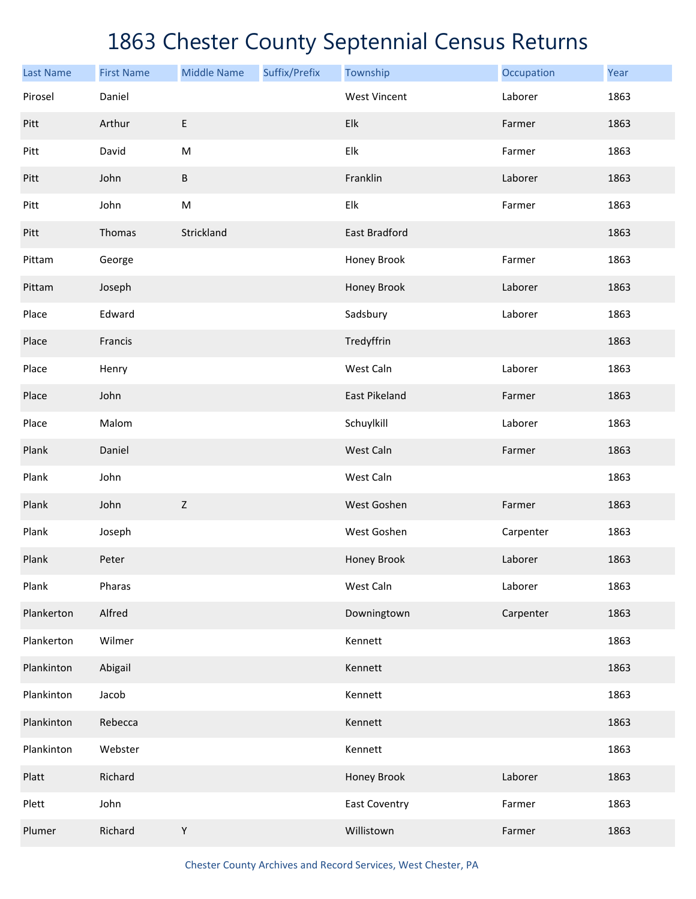| <b>Last Name</b> | <b>First Name</b> | <b>Middle Name</b>                                                                                         | Suffix/Prefix | Township                  | Occupation | Year |
|------------------|-------------------|------------------------------------------------------------------------------------------------------------|---------------|---------------------------|------------|------|
| Pirosel          | Daniel            |                                                                                                            |               | <b>West Vincent</b>       | Laborer    | 1863 |
| Pitt             | Arthur            | E                                                                                                          |               | Elk                       | Farmer     | 1863 |
| Pitt             | David             | ${\sf M}$                                                                                                  |               | Elk                       | Farmer     | 1863 |
| Pitt             | John              | $\sf B$                                                                                                    |               | Franklin                  | Laborer    | 1863 |
| Pitt             | John              | $\mathsf{M}% _{T}=\mathsf{M}_{T}\!\left( a,b\right) ,\ \mathsf{M}_{T}=\mathsf{M}_{T}\!\left( a,b\right) ,$ |               | ${\sf E} {\sf I} {\sf k}$ | Farmer     | 1863 |
| Pitt             | Thomas            | Strickland                                                                                                 |               | East Bradford             |            | 1863 |
| Pittam           | George            |                                                                                                            |               | Honey Brook               | Farmer     | 1863 |
| Pittam           | Joseph            |                                                                                                            |               | Honey Brook               | Laborer    | 1863 |
| Place            | Edward            |                                                                                                            |               | Sadsbury                  | Laborer    | 1863 |
| Place            | Francis           |                                                                                                            |               | Tredyffrin                |            | 1863 |
| Place            | Henry             |                                                                                                            |               | West Caln                 | Laborer    | 1863 |
| Place            | John              |                                                                                                            |               | East Pikeland             | Farmer     | 1863 |
| Place            | Malom             |                                                                                                            |               | Schuylkill                | Laborer    | 1863 |
| Plank            | Daniel            |                                                                                                            |               | West Caln                 | Farmer     | 1863 |
| Plank            | John              |                                                                                                            |               | West Caln                 |            | 1863 |
| Plank            | John              | $\mathsf Z$                                                                                                |               | West Goshen               | Farmer     | 1863 |
| Plank            | Joseph            |                                                                                                            |               | West Goshen               | Carpenter  | 1863 |
| Plank            | Peter             |                                                                                                            |               | Honey Brook               | Laborer    | 1863 |
| Plank            | Pharas            |                                                                                                            |               | West Caln                 | Laborer    | 1863 |
| Plankerton       | Alfred            |                                                                                                            |               | Downingtown               | Carpenter  | 1863 |
| Plankerton       | Wilmer            |                                                                                                            |               | Kennett                   |            | 1863 |
| Plankinton       | Abigail           |                                                                                                            |               | Kennett                   |            | 1863 |
| Plankinton       | Jacob             |                                                                                                            |               | Kennett                   |            | 1863 |
| Plankinton       | Rebecca           |                                                                                                            |               | Kennett                   |            | 1863 |
| Plankinton       | Webster           |                                                                                                            |               | Kennett                   |            | 1863 |
| Platt            | Richard           |                                                                                                            |               | Honey Brook               | Laborer    | 1863 |
| Plett            | John              |                                                                                                            |               | <b>East Coventry</b>      | Farmer     | 1863 |
| Plumer           | Richard           | Υ                                                                                                          |               | Willistown                | Farmer     | 1863 |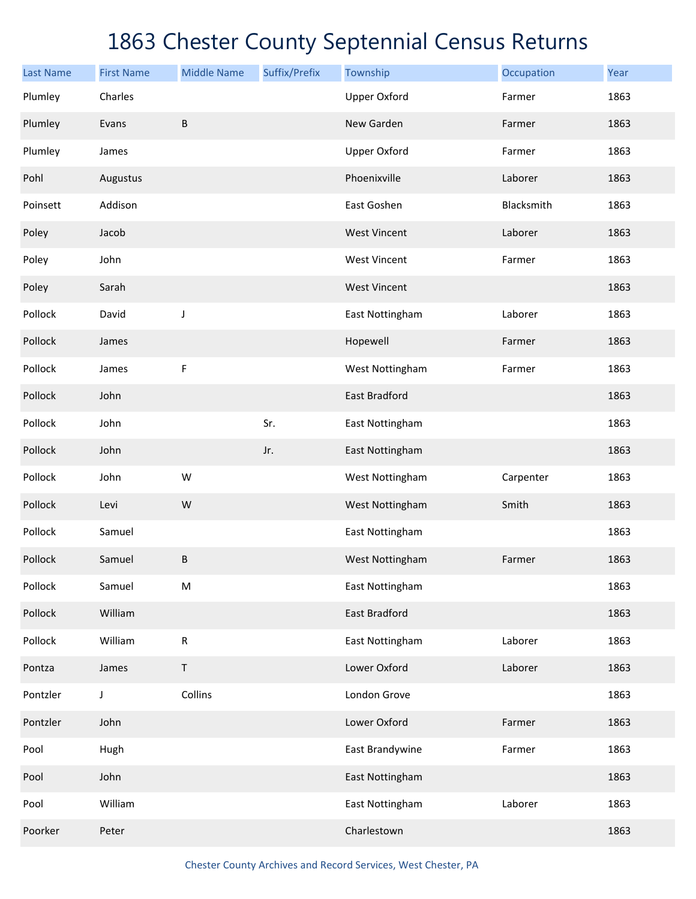| <b>Last Name</b> | <b>First Name</b> | <b>Middle Name</b> | Suffix/Prefix | Township            | Occupation | Year |
|------------------|-------------------|--------------------|---------------|---------------------|------------|------|
| Plumley          | Charles           |                    |               | <b>Upper Oxford</b> | Farmer     | 1863 |
| Plumley          | Evans             | B                  |               | New Garden          | Farmer     | 1863 |
| Plumley          | James             |                    |               | <b>Upper Oxford</b> | Farmer     | 1863 |
| Pohl             | Augustus          |                    |               | Phoenixville        | Laborer    | 1863 |
| Poinsett         | Addison           |                    |               | East Goshen         | Blacksmith | 1863 |
| Poley            | Jacob             |                    |               | <b>West Vincent</b> | Laborer    | 1863 |
| Poley            | John              |                    |               | <b>West Vincent</b> | Farmer     | 1863 |
| Poley            | Sarah             |                    |               | <b>West Vincent</b> |            | 1863 |
| Pollock          | David             | J                  |               | East Nottingham     | Laborer    | 1863 |
| Pollock          | James             |                    |               | Hopewell            | Farmer     | 1863 |
| Pollock          | James             | F                  |               | West Nottingham     | Farmer     | 1863 |
| Pollock          | John              |                    |               | East Bradford       |            | 1863 |
| Pollock          | John              |                    | Sr.           | East Nottingham     |            | 1863 |
| Pollock          | John              |                    | Jr.           | East Nottingham     |            | 1863 |
| Pollock          | John              | W                  |               | West Nottingham     | Carpenter  | 1863 |
| Pollock          | Levi              | W                  |               | West Nottingham     | Smith      | 1863 |
| Pollock          | Samuel            |                    |               | East Nottingham     |            | 1863 |
| Pollock          | Samuel            | B                  |               | West Nottingham     | Farmer     | 1863 |
| Pollock          | Samuel            | ${\sf M}$          |               | East Nottingham     |            | 1863 |
| Pollock          | William           |                    |               | East Bradford       |            | 1863 |
| Pollock          | William           | ${\sf R}$          |               | East Nottingham     | Laborer    | 1863 |
| Pontza           | James             | Τ                  |               | Lower Oxford        | Laborer    | 1863 |
| Pontzler         | J                 | Collins            |               | London Grove        |            | 1863 |
| Pontzler         | John              |                    |               | Lower Oxford        | Farmer     | 1863 |
| Pool             | Hugh              |                    |               | East Brandywine     | Farmer     | 1863 |
| Pool             | John              |                    |               | East Nottingham     |            | 1863 |
| Pool             | William           |                    |               | East Nottingham     | Laborer    | 1863 |
| Poorker          | Peter             |                    |               | Charlestown         |            | 1863 |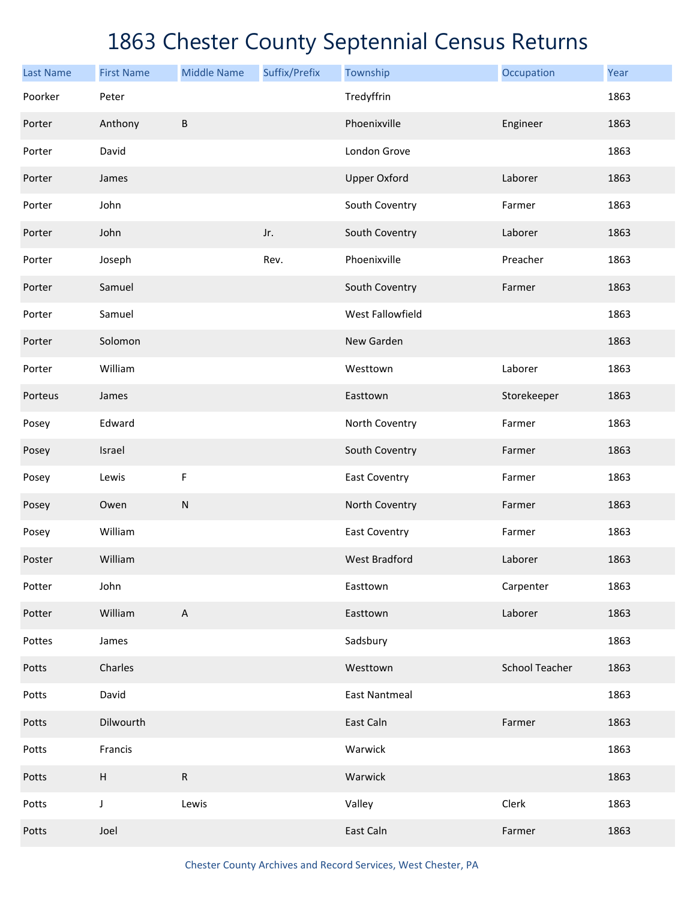| <b>Last Name</b> | <b>First Name</b>         | <b>Middle Name</b>        | Suffix/Prefix | Township             | Occupation            | Year |
|------------------|---------------------------|---------------------------|---------------|----------------------|-----------------------|------|
| Poorker          | Peter                     |                           |               | Tredyffrin           |                       | 1863 |
| Porter           | Anthony                   | $\sf B$                   |               | Phoenixville         | Engineer              | 1863 |
| Porter           | David                     |                           |               | London Grove         |                       | 1863 |
| Porter           | James                     |                           |               | <b>Upper Oxford</b>  | Laborer               | 1863 |
| Porter           | John                      |                           |               | South Coventry       | Farmer                | 1863 |
| Porter           | John                      |                           | Jr.           | South Coventry       | Laborer               | 1863 |
| Porter           | Joseph                    |                           | Rev.          | Phoenixville         | Preacher              | 1863 |
| Porter           | Samuel                    |                           |               | South Coventry       | Farmer                | 1863 |
| Porter           | Samuel                    |                           |               | West Fallowfield     |                       | 1863 |
| Porter           | Solomon                   |                           |               | New Garden           |                       | 1863 |
| Porter           | William                   |                           |               | Westtown             | Laborer               | 1863 |
| Porteus          | James                     |                           |               | Easttown             | Storekeeper           | 1863 |
| Posey            | Edward                    |                           |               | North Coventry       | Farmer                | 1863 |
| Posey            | Israel                    |                           |               | South Coventry       | Farmer                | 1863 |
| Posey            | Lewis                     | F                         |               | East Coventry        | Farmer                | 1863 |
| Posey            | Owen                      | ${\sf N}$                 |               | North Coventry       | Farmer                | 1863 |
| Posey            | William                   |                           |               | East Coventry        | Farmer                | 1863 |
| Poster           | William                   |                           |               | <b>West Bradford</b> | Laborer               | 1863 |
| Potter           | John                      |                           |               | Easttown             | Carpenter             | 1863 |
| Potter           | William                   | $\boldsymbol{\mathsf{A}}$ |               | Easttown             | Laborer               | 1863 |
| Pottes           | James                     |                           |               | Sadsbury             |                       | 1863 |
| Potts            | Charles                   |                           |               | Westtown             | <b>School Teacher</b> | 1863 |
| Potts            | David                     |                           |               | <b>East Nantmeal</b> |                       | 1863 |
| Potts            | Dilwourth                 |                           |               | East Caln            | Farmer                | 1863 |
| Potts            | Francis                   |                           |               | Warwick              |                       | 1863 |
| Potts            | $\boldsymbol{\mathsf{H}}$ | ${\sf R}$                 |               | Warwick              |                       | 1863 |
| Potts            | $\mathsf J$               | Lewis                     |               | Valley               | Clerk                 | 1863 |
| Potts            | Joel                      |                           |               | East Caln            | Farmer                | 1863 |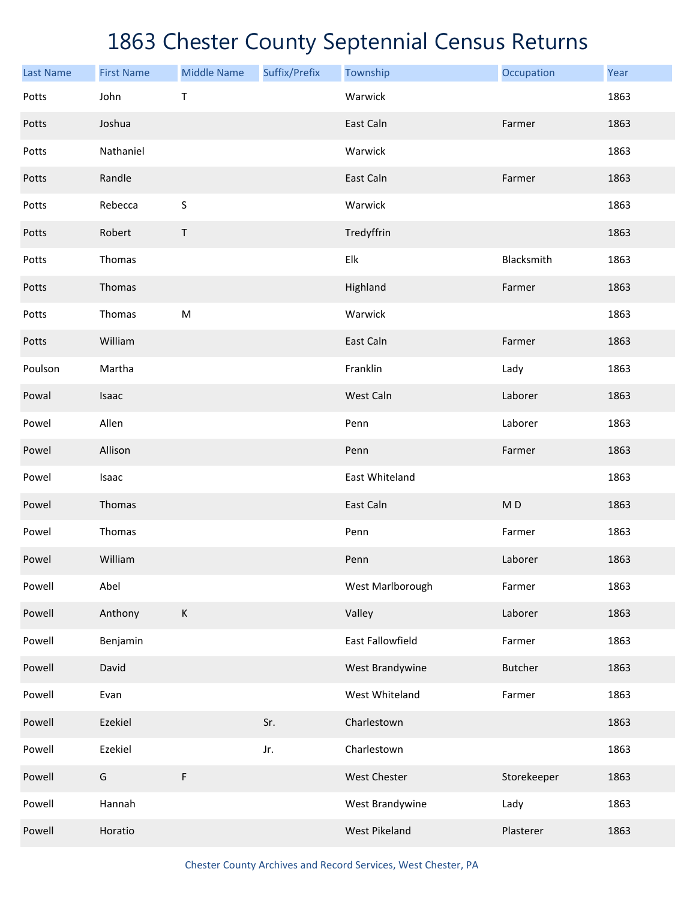| <b>Last Name</b> | <b>First Name</b> | <b>Middle Name</b> | Suffix/Prefix | Township         | Occupation     | Year |
|------------------|-------------------|--------------------|---------------|------------------|----------------|------|
| Potts            | John              | T                  |               | Warwick          |                | 1863 |
| Potts            | Joshua            |                    |               | East Caln        | Farmer         | 1863 |
| Potts            | Nathaniel         |                    |               | Warwick          |                | 1863 |
| Potts            | Randle            |                    |               | East Caln        | Farmer         | 1863 |
| Potts            | Rebecca           | S                  |               | Warwick          |                | 1863 |
| Potts            | Robert            | Τ                  |               | Tredyffrin       |                | 1863 |
| Potts            | Thomas            |                    |               | Elk              | Blacksmith     | 1863 |
| Potts            | Thomas            |                    |               | Highland         | Farmer         | 1863 |
| Potts            | Thomas            | M                  |               | Warwick          |                | 1863 |
| Potts            | William           |                    |               | East Caln        | Farmer         | 1863 |
| Poulson          | Martha            |                    |               | Franklin         | Lady           | 1863 |
| Powal            | Isaac             |                    |               | West Caln        | Laborer        | 1863 |
| Powel            | Allen             |                    |               | Penn             | Laborer        | 1863 |
| Powel            | Allison           |                    |               | Penn             | Farmer         | 1863 |
| Powel            | Isaac             |                    |               | East Whiteland   |                | 1863 |
| Powel            | Thomas            |                    |               | East Caln        | MD             | 1863 |
| Powel            | Thomas            |                    |               | Penn             | Farmer         | 1863 |
| Powel            | William           |                    |               | Penn             | Laborer        | 1863 |
| Powell           | Abel              |                    |               | West Marlborough | Farmer         | 1863 |
| Powell           | Anthony           | K                  |               | Valley           | Laborer        | 1863 |
| Powell           | Benjamin          |                    |               | East Fallowfield | Farmer         | 1863 |
| Powell           | David             |                    |               | West Brandywine  | <b>Butcher</b> | 1863 |
| Powell           | Evan              |                    |               | West Whiteland   | Farmer         | 1863 |
| Powell           | Ezekiel           |                    | Sr.           | Charlestown      |                | 1863 |
| Powell           | Ezekiel           |                    | Jr.           | Charlestown      |                | 1863 |
| Powell           | ${\mathsf G}$     | F                  |               | West Chester     | Storekeeper    | 1863 |
| Powell           | Hannah            |                    |               | West Brandywine  | Lady           | 1863 |
| Powell           | Horatio           |                    |               | West Pikeland    | Plasterer      | 1863 |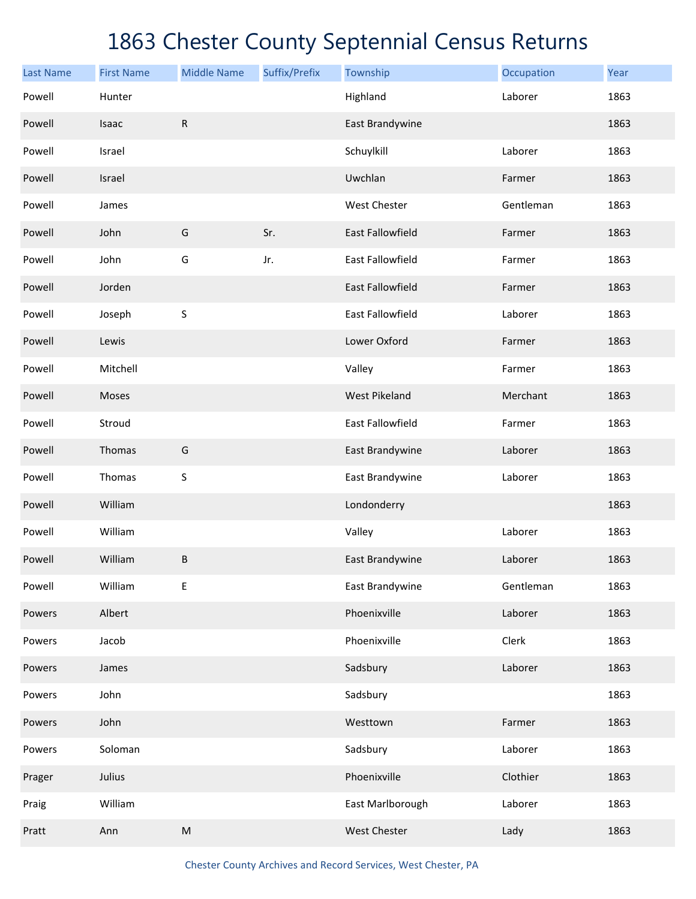| <b>Last Name</b> | <b>First Name</b> | <b>Middle Name</b> | Suffix/Prefix | Township                | Occupation | Year |
|------------------|-------------------|--------------------|---------------|-------------------------|------------|------|
| Powell           | Hunter            |                    |               | Highland                | Laborer    | 1863 |
| Powell           | Isaac             | ${\sf R}$          |               | East Brandywine         |            | 1863 |
| Powell           | Israel            |                    |               | Schuylkill              | Laborer    | 1863 |
| Powell           | Israel            |                    |               | Uwchlan                 | Farmer     | 1863 |
| Powell           | James             |                    |               | West Chester            | Gentleman  | 1863 |
| Powell           | John              | G                  | Sr.           | <b>East Fallowfield</b> | Farmer     | 1863 |
| Powell           | John              | G                  | Jr.           | <b>East Fallowfield</b> | Farmer     | 1863 |
| Powell           | Jorden            |                    |               | <b>East Fallowfield</b> | Farmer     | 1863 |
| Powell           | Joseph            | $\sf S$            |               | <b>East Fallowfield</b> | Laborer    | 1863 |
| Powell           | Lewis             |                    |               | Lower Oxford            | Farmer     | 1863 |
| Powell           | Mitchell          |                    |               | Valley                  | Farmer     | 1863 |
| Powell           | Moses             |                    |               | <b>West Pikeland</b>    | Merchant   | 1863 |
| Powell           | Stroud            |                    |               | <b>East Fallowfield</b> | Farmer     | 1863 |
| Powell           | Thomas            | G                  |               | East Brandywine         | Laborer    | 1863 |
| Powell           | Thomas            | $\sf S$            |               | East Brandywine         | Laborer    | 1863 |
| Powell           | William           |                    |               | Londonderry             |            | 1863 |
| Powell           | William           |                    |               | Valley                  | Laborer    | 1863 |
| Powell           | William           | B                  |               | East Brandywine         | Laborer    | 1863 |
| Powell           | William           | Е                  |               | East Brandywine         | Gentleman  | 1863 |
| Powers           | Albert            |                    |               | Phoenixville            | Laborer    | 1863 |
| Powers           | Jacob             |                    |               | Phoenixville            | Clerk      | 1863 |
| Powers           | James             |                    |               | Sadsbury                | Laborer    | 1863 |
| Powers           | John              |                    |               | Sadsbury                |            | 1863 |
| Powers           | John              |                    |               | Westtown                | Farmer     | 1863 |
| Powers           | Soloman           |                    |               | Sadsbury                | Laborer    | 1863 |
| Prager           | Julius            |                    |               | Phoenixville            | Clothier   | 1863 |
| Praig            | William           |                    |               | East Marlborough        | Laborer    | 1863 |
| Pratt            | Ann               | ${\sf M}$          |               | West Chester            | Lady       | 1863 |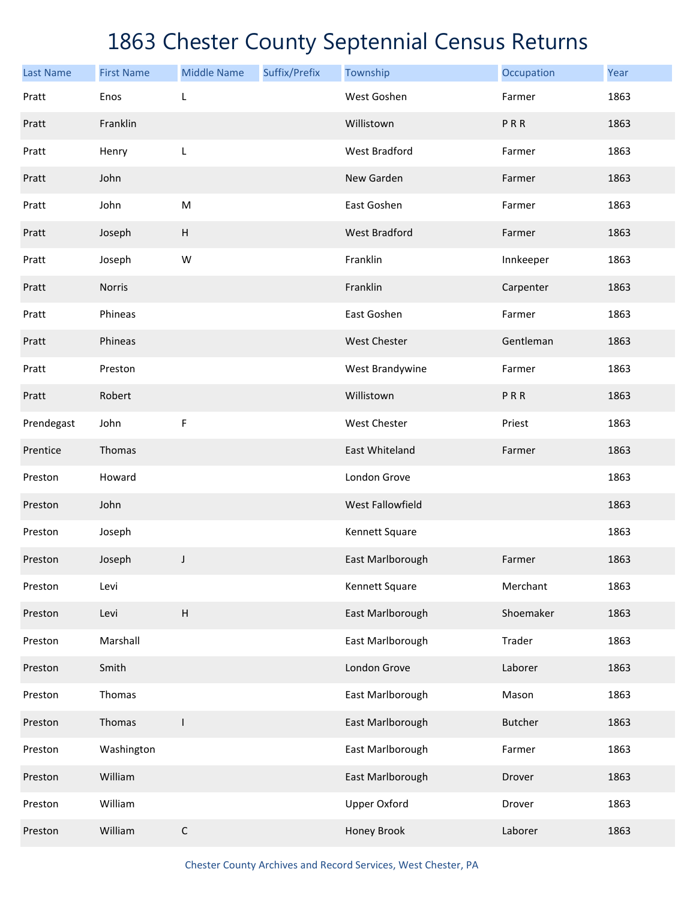| <b>Last Name</b> | <b>First Name</b> | <b>Middle Name</b> | Suffix/Prefix | Township             | Occupation     | Year |
|------------------|-------------------|--------------------|---------------|----------------------|----------------|------|
| Pratt            | Enos              | L                  |               | West Goshen          | Farmer         | 1863 |
| Pratt            | Franklin          |                    |               | Willistown           | PRR            | 1863 |
| Pratt            | Henry             | L                  |               | <b>West Bradford</b> | Farmer         | 1863 |
| Pratt            | John              |                    |               | New Garden           | Farmer         | 1863 |
| Pratt            | John              | M                  |               | East Goshen          | Farmer         | 1863 |
| Pratt            | Joseph            | $\sf H$            |               | <b>West Bradford</b> | Farmer         | 1863 |
| Pratt            | Joseph            | W                  |               | Franklin             | Innkeeper      | 1863 |
| Pratt            | <b>Norris</b>     |                    |               | Franklin             | Carpenter      | 1863 |
| Pratt            | Phineas           |                    |               | East Goshen          | Farmer         | 1863 |
| Pratt            | Phineas           |                    |               | <b>West Chester</b>  | Gentleman      | 1863 |
| Pratt            | Preston           |                    |               | West Brandywine      | Farmer         | 1863 |
| Pratt            | Robert            |                    |               | Willistown           | PRR            | 1863 |
| Prendegast       | John              | F                  |               | <b>West Chester</b>  | Priest         | 1863 |
| Prentice         | Thomas            |                    |               | East Whiteland       | Farmer         | 1863 |
| Preston          | Howard            |                    |               | London Grove         |                | 1863 |
| Preston          | John              |                    |               | West Fallowfield     |                | 1863 |
| Preston          | Joseph            |                    |               | Kennett Square       |                | 1863 |
| Preston          | Joseph            | J                  |               | East Marlborough     | Farmer         | 1863 |
| Preston          | Levi              |                    |               | Kennett Square       | Merchant       | 1863 |
| Preston          | Levi              | $\sf H$            |               | East Marlborough     | Shoemaker      | 1863 |
| Preston          | Marshall          |                    |               | East Marlborough     | Trader         | 1863 |
| Preston          | Smith             |                    |               | London Grove         | Laborer        | 1863 |
| Preston          | Thomas            |                    |               | East Marlborough     | Mason          | 1863 |
| Preston          | Thomas            | $\mathbf{I}$       |               | East Marlborough     | <b>Butcher</b> | 1863 |
| Preston          | Washington        |                    |               | East Marlborough     | Farmer         | 1863 |
| Preston          | William           |                    |               | East Marlborough     | Drover         | 1863 |
| Preston          | William           |                    |               | <b>Upper Oxford</b>  | Drover         | 1863 |
| Preston          | William           | $\mathsf C$        |               | Honey Brook          | Laborer        | 1863 |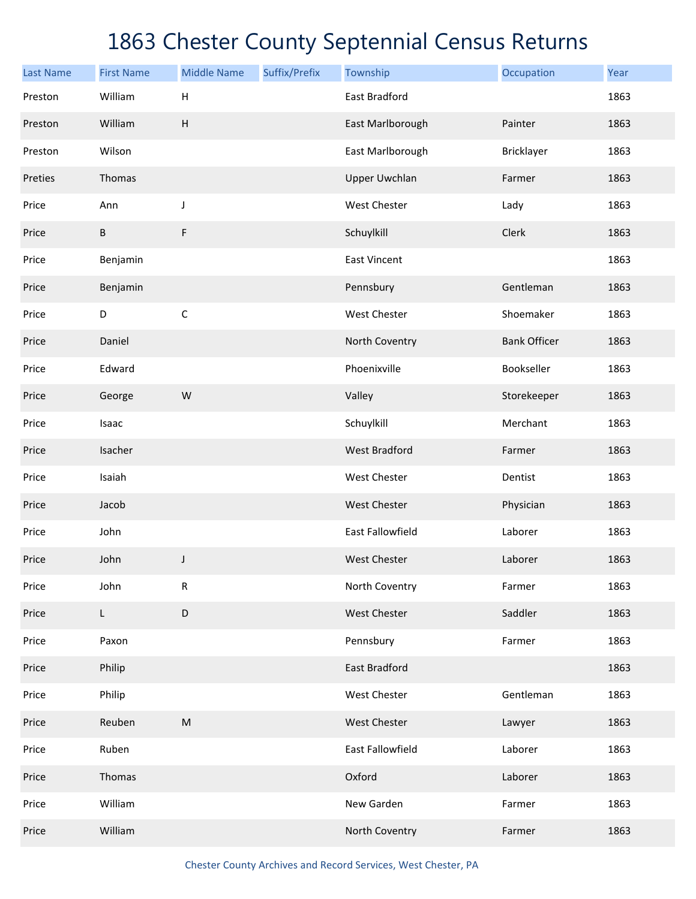| <b>Last Name</b> | <b>First Name</b> | <b>Middle Name</b> | Suffix/Prefix | Township                | Occupation          | Year |
|------------------|-------------------|--------------------|---------------|-------------------------|---------------------|------|
| Preston          | William           | Н                  |               | East Bradford           |                     | 1863 |
| Preston          | William           | H                  |               | East Marlborough        | Painter             | 1863 |
| Preston          | Wilson            |                    |               | East Marlborough        | Bricklayer          | 1863 |
| Preties          | Thomas            |                    |               | <b>Upper Uwchlan</b>    | Farmer              | 1863 |
| Price            | Ann               | J                  |               | <b>West Chester</b>     | Lady                | 1863 |
| Price            | B                 | F                  |               | Schuylkill              | Clerk               | 1863 |
| Price            | Benjamin          |                    |               | <b>East Vincent</b>     |                     | 1863 |
| Price            | Benjamin          |                    |               | Pennsbury               | Gentleman           | 1863 |
| Price            | D                 | $\mathsf C$        |               | West Chester            | Shoemaker           | 1863 |
| Price            | Daniel            |                    |               | North Coventry          | <b>Bank Officer</b> | 1863 |
| Price            | Edward            |                    |               | Phoenixville            | Bookseller          | 1863 |
| Price            | George            | W                  |               | Valley                  | Storekeeper         | 1863 |
| Price            | Isaac             |                    |               | Schuylkill              | Merchant            | 1863 |
| Price            | Isacher           |                    |               | <b>West Bradford</b>    | Farmer              | 1863 |
| Price            | Isaiah            |                    |               | West Chester            | Dentist             | 1863 |
| Price            | Jacob             |                    |               | <b>West Chester</b>     | Physician           | 1863 |
| Price            | John              |                    |               | <b>East Fallowfield</b> | Laborer             | 1863 |
| Price            | John              | J                  |               | <b>West Chester</b>     | Laborer             | 1863 |
| Price            | John              | ${\sf R}$          |               | North Coventry          | Farmer              | 1863 |
| Price            | L                 | D                  |               | West Chester            | Saddler             | 1863 |
| Price            | Paxon             |                    |               | Pennsbury               | Farmer              | 1863 |
| Price            | Philip            |                    |               | East Bradford           |                     | 1863 |
| Price            | Philip            |                    |               | West Chester            | Gentleman           | 1863 |
| Price            | Reuben            | ${\sf M}$          |               | West Chester            | Lawyer              | 1863 |
| Price            | Ruben             |                    |               | East Fallowfield        | Laborer             | 1863 |
| Price            | Thomas            |                    |               | Oxford                  | Laborer             | 1863 |
| Price            | William           |                    |               | New Garden              | Farmer              | 1863 |
| Price            | William           |                    |               | North Coventry          | Farmer              | 1863 |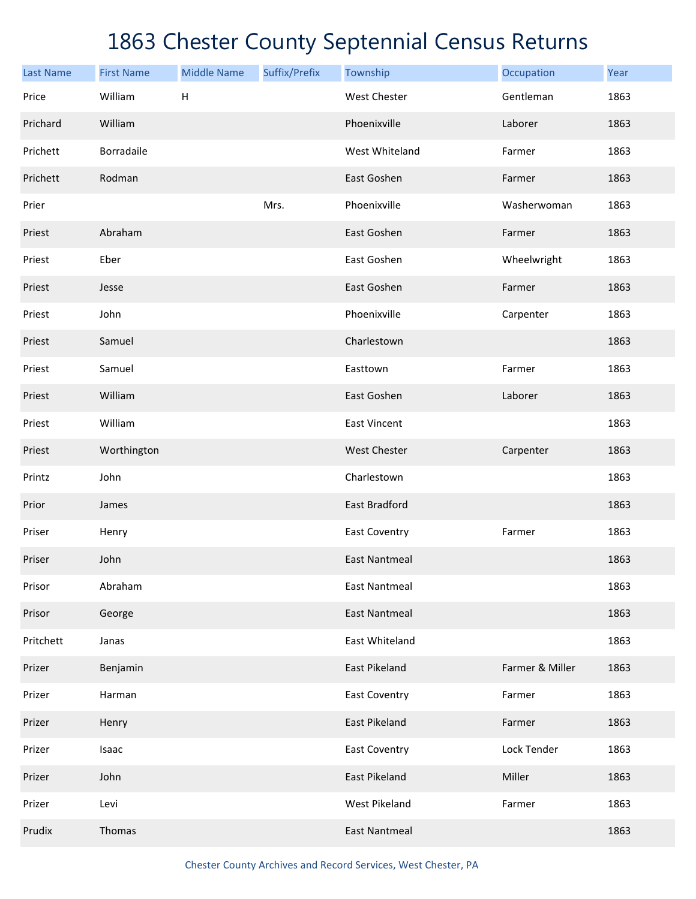| <b>Last Name</b> | <b>First Name</b> | <b>Middle Name</b> | Suffix/Prefix | Township             | Occupation      | Year |
|------------------|-------------------|--------------------|---------------|----------------------|-----------------|------|
| Price            | William           | Н                  |               | <b>West Chester</b>  | Gentleman       | 1863 |
| Prichard         | William           |                    |               | Phoenixville         | Laborer         | 1863 |
| Prichett         | Borradaile        |                    |               | West Whiteland       | Farmer          | 1863 |
| Prichett         | Rodman            |                    |               | East Goshen          | Farmer          | 1863 |
| Prier            |                   |                    | Mrs.          | Phoenixville         | Washerwoman     | 1863 |
| Priest           | Abraham           |                    |               | East Goshen          | Farmer          | 1863 |
| Priest           | Eber              |                    |               | East Goshen          | Wheelwright     | 1863 |
| Priest           | Jesse             |                    |               | East Goshen          | Farmer          | 1863 |
| Priest           | John              |                    |               | Phoenixville         | Carpenter       | 1863 |
| Priest           | Samuel            |                    |               | Charlestown          |                 | 1863 |
| Priest           | Samuel            |                    |               | Easttown             | Farmer          | 1863 |
| Priest           | William           |                    |               | East Goshen          | Laborer         | 1863 |
| Priest           | William           |                    |               | <b>East Vincent</b>  |                 | 1863 |
| Priest           | Worthington       |                    |               | West Chester         | Carpenter       | 1863 |
| Printz           | John              |                    |               | Charlestown          |                 | 1863 |
| Prior            | James             |                    |               | East Bradford        |                 | 1863 |
| Priser           | Henry             |                    |               | <b>East Coventry</b> | Farmer          | 1863 |
| Priser           | John              |                    |               | <b>East Nantmeal</b> |                 | 1863 |
| Prisor           | Abraham           |                    |               | <b>East Nantmeal</b> |                 | 1863 |
| Prisor           | George            |                    |               | <b>East Nantmeal</b> |                 | 1863 |
| Pritchett        | Janas             |                    |               | East Whiteland       |                 | 1863 |
| Prizer           | Benjamin          |                    |               | East Pikeland        | Farmer & Miller | 1863 |
| Prizer           | Harman            |                    |               | <b>East Coventry</b> | Farmer          | 1863 |
| Prizer           | Henry             |                    |               | East Pikeland        | Farmer          | 1863 |
| Prizer           | Isaac             |                    |               | <b>East Coventry</b> | Lock Tender     | 1863 |
| Prizer           | John              |                    |               | East Pikeland        | Miller          | 1863 |
| Prizer           | Levi              |                    |               | <b>West Pikeland</b> | Farmer          | 1863 |
| Prudix           | Thomas            |                    |               | <b>East Nantmeal</b> |                 | 1863 |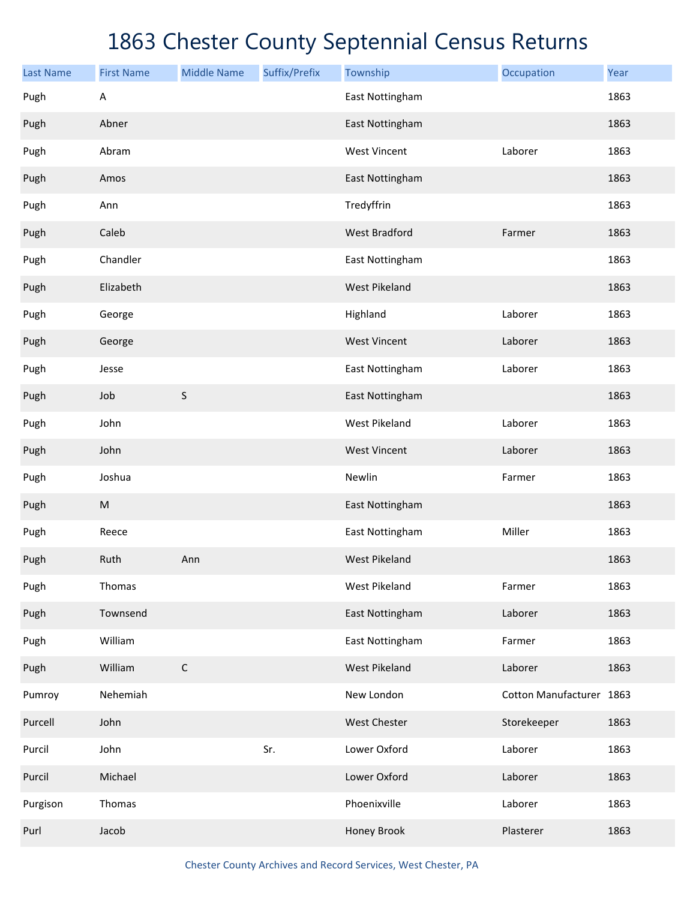| <b>Last Name</b> | <b>First Name</b> | <b>Middle Name</b> | Suffix/Prefix | Township             | Occupation               | Year |
|------------------|-------------------|--------------------|---------------|----------------------|--------------------------|------|
| Pugh             | A                 |                    |               | East Nottingham      |                          | 1863 |
| Pugh             | Abner             |                    |               | East Nottingham      |                          | 1863 |
| Pugh             | Abram             |                    |               | <b>West Vincent</b>  | Laborer                  | 1863 |
| Pugh             | Amos              |                    |               | East Nottingham      |                          | 1863 |
| Pugh             | Ann               |                    |               | Tredyffrin           |                          | 1863 |
| Pugh             | Caleb             |                    |               | <b>West Bradford</b> | Farmer                   | 1863 |
| Pugh             | Chandler          |                    |               | East Nottingham      |                          | 1863 |
| Pugh             | Elizabeth         |                    |               | <b>West Pikeland</b> |                          | 1863 |
| Pugh             | George            |                    |               | Highland             | Laborer                  | 1863 |
| Pugh             | George            |                    |               | <b>West Vincent</b>  | Laborer                  | 1863 |
| Pugh             | Jesse             |                    |               | East Nottingham      | Laborer                  | 1863 |
| Pugh             | Job               | $\sf S$            |               | East Nottingham      |                          | 1863 |
| Pugh             | John              |                    |               | <b>West Pikeland</b> | Laborer                  | 1863 |
| Pugh             | John              |                    |               | <b>West Vincent</b>  | Laborer                  | 1863 |
| Pugh             | Joshua            |                    |               | Newlin               | Farmer                   | 1863 |
| Pugh             | ${\sf M}$         |                    |               | East Nottingham      |                          | 1863 |
| Pugh             | Reece             |                    |               | East Nottingham      | Miller                   | 1863 |
| Pugh             | Ruth              | Ann                |               | <b>West Pikeland</b> |                          | 1863 |
| Pugh             | Thomas            |                    |               | <b>West Pikeland</b> | Farmer                   | 1863 |
| Pugh             | Townsend          |                    |               | East Nottingham      | Laborer                  | 1863 |
| Pugh             | William           |                    |               | East Nottingham      | Farmer                   | 1863 |
| Pugh             | William           | $\mathsf C$        |               | <b>West Pikeland</b> | Laborer                  | 1863 |
| Pumroy           | Nehemiah          |                    |               | New London           | Cotton Manufacturer 1863 |      |
| Purcell          | John              |                    |               | West Chester         | Storekeeper              | 1863 |
| Purcil           | John              |                    | Sr.           | Lower Oxford         | Laborer                  | 1863 |
| Purcil           | Michael           |                    |               | Lower Oxford         | Laborer                  | 1863 |
| Purgison         | Thomas            |                    |               | Phoenixville         | Laborer                  | 1863 |
| Purl             | Jacob             |                    |               | Honey Brook          | Plasterer                | 1863 |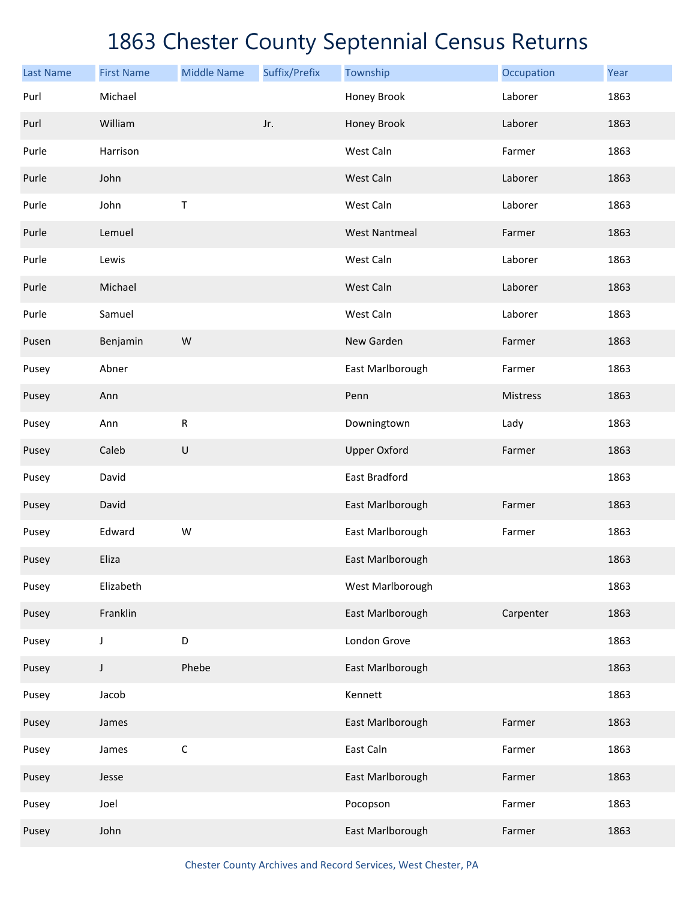| <b>Last Name</b> | <b>First Name</b> | <b>Middle Name</b> | Suffix/Prefix | Township             | Occupation | Year |
|------------------|-------------------|--------------------|---------------|----------------------|------------|------|
| Purl             | Michael           |                    |               | Honey Brook          | Laborer    | 1863 |
| Purl             | William           |                    | Jr.           | Honey Brook          | Laborer    | 1863 |
| Purle            | Harrison          |                    |               | West Caln            | Farmer     | 1863 |
| Purle            | John              |                    |               | West Caln            | Laborer    | 1863 |
| Purle            | John              | T                  |               | West Caln            | Laborer    | 1863 |
| Purle            | Lemuel            |                    |               | <b>West Nantmeal</b> | Farmer     | 1863 |
| Purle            | Lewis             |                    |               | West Caln            | Laborer    | 1863 |
| Purle            | Michael           |                    |               | West Caln            | Laborer    | 1863 |
| Purle            | Samuel            |                    |               | West Caln            | Laborer    | 1863 |
| Pusen            | Benjamin          | W                  |               | New Garden           | Farmer     | 1863 |
| Pusey            | Abner             |                    |               | East Marlborough     | Farmer     | 1863 |
| Pusey            | Ann               |                    |               | Penn                 | Mistress   | 1863 |
| Pusey            | Ann               | ${\sf R}$          |               | Downingtown          | Lady       | 1863 |
| Pusey            | Caleb             | $\sf U$            |               | <b>Upper Oxford</b>  | Farmer     | 1863 |
| Pusey            | David             |                    |               | East Bradford        |            | 1863 |
| Pusey            | David             |                    |               | East Marlborough     | Farmer     | 1863 |
| Pusey            | Edward            | W                  |               | East Marlborough     | Farmer     | 1863 |
| Pusey            | Eliza             |                    |               | East Marlborough     |            | 1863 |
| Pusey            | Elizabeth         |                    |               | West Marlborough     |            | 1863 |
| Pusey            | Franklin          |                    |               | East Marlborough     | Carpenter  | 1863 |
| Pusey            | J                 | D                  |               | London Grove         |            | 1863 |
| Pusey            | J                 | Phebe              |               | East Marlborough     |            | 1863 |
| Pusey            | Jacob             |                    |               | Kennett              |            | 1863 |
| Pusey            | James             |                    |               | East Marlborough     | Farmer     | 1863 |
| Pusey            | James             | $\mathsf C$        |               | East Caln            | Farmer     | 1863 |
| Pusey            | Jesse             |                    |               | East Marlborough     | Farmer     | 1863 |
| Pusey            | Joel              |                    |               | Pocopson             | Farmer     | 1863 |
| Pusey            | John              |                    |               | East Marlborough     | Farmer     | 1863 |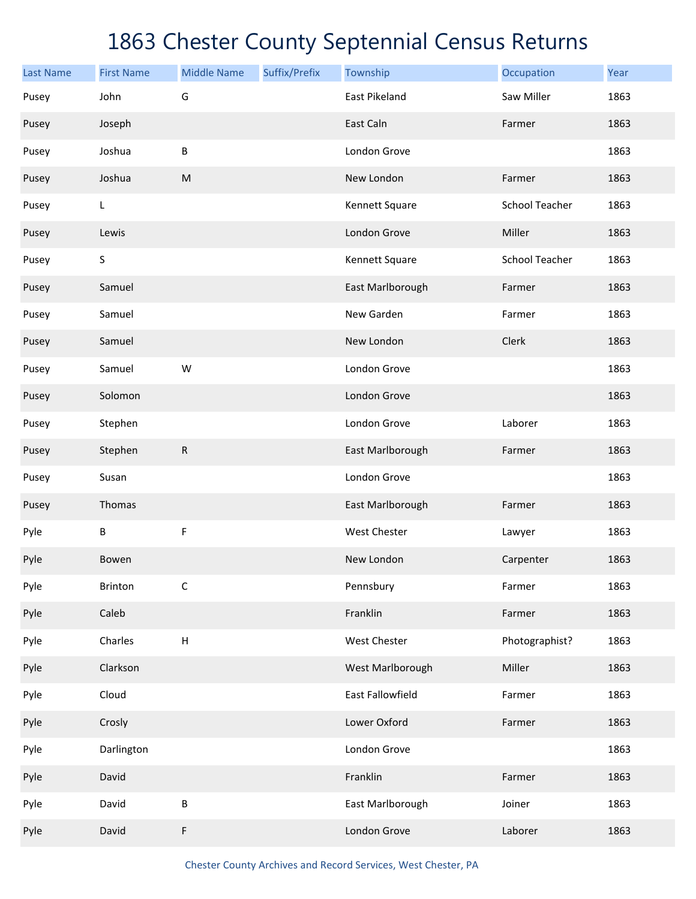| <b>Last Name</b> | <b>First Name</b> | <b>Middle Name</b>        | Suffix/Prefix | Township             | Occupation     | Year |
|------------------|-------------------|---------------------------|---------------|----------------------|----------------|------|
| Pusey            | John              | G                         |               | <b>East Pikeland</b> | Saw Miller     | 1863 |
| Pusey            | Joseph            |                           |               | East Caln            | Farmer         | 1863 |
| Pusey            | Joshua            | B                         |               | London Grove         |                | 1863 |
| Pusey            | Joshua            | ${\sf M}$                 |               | New London           | Farmer         | 1863 |
| Pusey            | L                 |                           |               | Kennett Square       | School Teacher | 1863 |
| Pusey            | Lewis             |                           |               | London Grove         | Miller         | 1863 |
| Pusey            | $\mathsf S$       |                           |               | Kennett Square       | School Teacher | 1863 |
| Pusey            | Samuel            |                           |               | East Marlborough     | Farmer         | 1863 |
| Pusey            | Samuel            |                           |               | New Garden           | Farmer         | 1863 |
| Pusey            | Samuel            |                           |               | New London           | Clerk          | 1863 |
| Pusey            | Samuel            | W                         |               | London Grove         |                | 1863 |
| Pusey            | Solomon           |                           |               | London Grove         |                | 1863 |
| Pusey            | Stephen           |                           |               | London Grove         | Laborer        | 1863 |
| Pusey            | Stephen           | $\mathsf{R}$              |               | East Marlborough     | Farmer         | 1863 |
| Pusey            | Susan             |                           |               | London Grove         |                | 1863 |
| Pusey            | Thomas            |                           |               | East Marlborough     | Farmer         | 1863 |
| Pyle             | B                 | F                         |               | West Chester         | Lawyer         | 1863 |
| Pyle             | Bowen             |                           |               | New London           | Carpenter      | 1863 |
| Pyle             | Brinton           | C                         |               | Pennsbury            | Farmer         | 1863 |
| Pyle             | Caleb             |                           |               | Franklin             | Farmer         | 1863 |
| Pyle             | Charles           | $\boldsymbol{\mathsf{H}}$ |               | <b>West Chester</b>  | Photographist? | 1863 |
| Pyle             | Clarkson          |                           |               | West Marlborough     | Miller         | 1863 |
| Pyle             | Cloud             |                           |               | East Fallowfield     | Farmer         | 1863 |
| Pyle             | Crosly            |                           |               | Lower Oxford         | Farmer         | 1863 |
| Pyle             | Darlington        |                           |               | London Grove         |                | 1863 |
| Pyle             | David             |                           |               | Franklin             | Farmer         | 1863 |
| Pyle             | David             | $\sf B$                   |               | East Marlborough     | Joiner         | 1863 |
| Pyle             | David             | F                         |               | London Grove         | Laborer        | 1863 |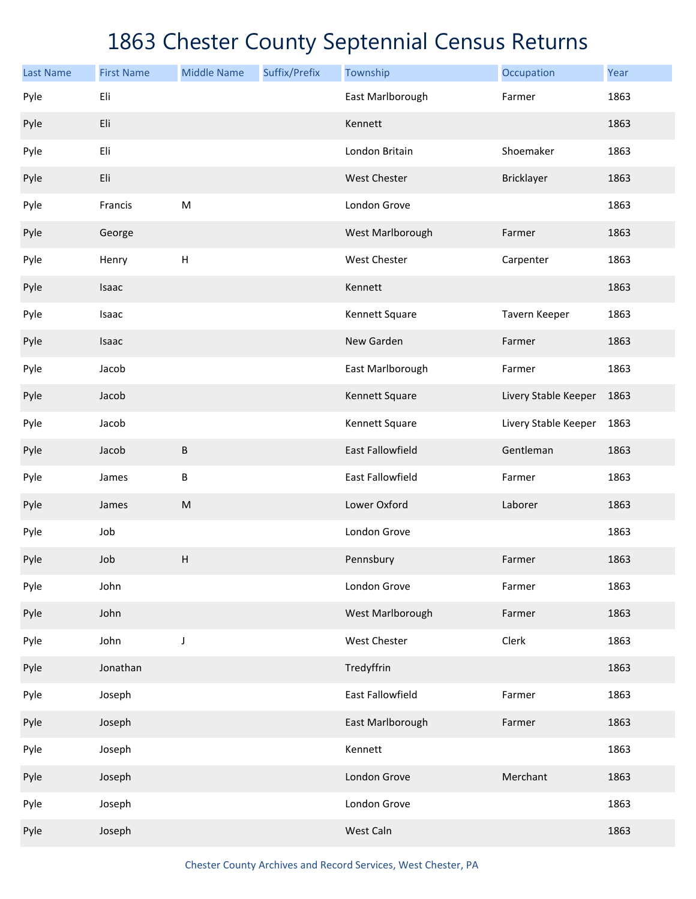| <b>Last Name</b> | <b>First Name</b> | <b>Middle Name</b>        | Suffix/Prefix | Township                | Occupation           | Year |
|------------------|-------------------|---------------------------|---------------|-------------------------|----------------------|------|
| Pyle             | Eli               |                           |               | East Marlborough        | Farmer               | 1863 |
| Pyle             | Eli               |                           |               | Kennett                 |                      | 1863 |
| Pyle             | Eli               |                           |               | London Britain          | Shoemaker            | 1863 |
| Pyle             | Eli               |                           |               | <b>West Chester</b>     | Bricklayer           | 1863 |
| Pyle             | Francis           | M                         |               | London Grove            |                      | 1863 |
| Pyle             | George            |                           |               | West Marlborough        | Farmer               | 1863 |
| Pyle             | Henry             | $\boldsymbol{\mathsf{H}}$ |               | West Chester            | Carpenter            | 1863 |
| Pyle             | Isaac             |                           |               | Kennett                 |                      | 1863 |
| Pyle             | Isaac             |                           |               | Kennett Square          | Tavern Keeper        | 1863 |
| Pyle             | Isaac             |                           |               | New Garden              | Farmer               | 1863 |
| Pyle             | Jacob             |                           |               | East Marlborough        | Farmer               | 1863 |
| Pyle             | Jacob             |                           |               | Kennett Square          | Livery Stable Keeper | 1863 |
| Pyle             | Jacob             |                           |               | Kennett Square          | Livery Stable Keeper | 1863 |
| Pyle             | Jacob             | В                         |               | <b>East Fallowfield</b> | Gentleman            | 1863 |
| Pyle             | James             | B                         |               | <b>East Fallowfield</b> | Farmer               | 1863 |
| Pyle             | James             | ${\sf M}$                 |               | Lower Oxford            | Laborer              | 1863 |
| Pyle             | Job               |                           |               | London Grove            |                      | 1863 |
| Pyle             | Job               | Н                         |               | Pennsbury               | Farmer               | 1863 |
| Pyle             | John              |                           |               | London Grove            | Farmer               | 1863 |
| Pyle             | John              |                           |               | West Marlborough        | Farmer               | 1863 |
| Pyle             | John              | J                         |               | West Chester            | Clerk                | 1863 |
| Pyle             | Jonathan          |                           |               | Tredyffrin              |                      | 1863 |
| Pyle             | Joseph            |                           |               | East Fallowfield        | Farmer               | 1863 |
| Pyle             | Joseph            |                           |               | East Marlborough        | Farmer               | 1863 |
| Pyle             | Joseph            |                           |               | Kennett                 |                      | 1863 |
| Pyle             | Joseph            |                           |               | London Grove            | Merchant             | 1863 |
| Pyle             | Joseph            |                           |               | London Grove            |                      | 1863 |
| Pyle             | Joseph            |                           |               | West Caln               |                      | 1863 |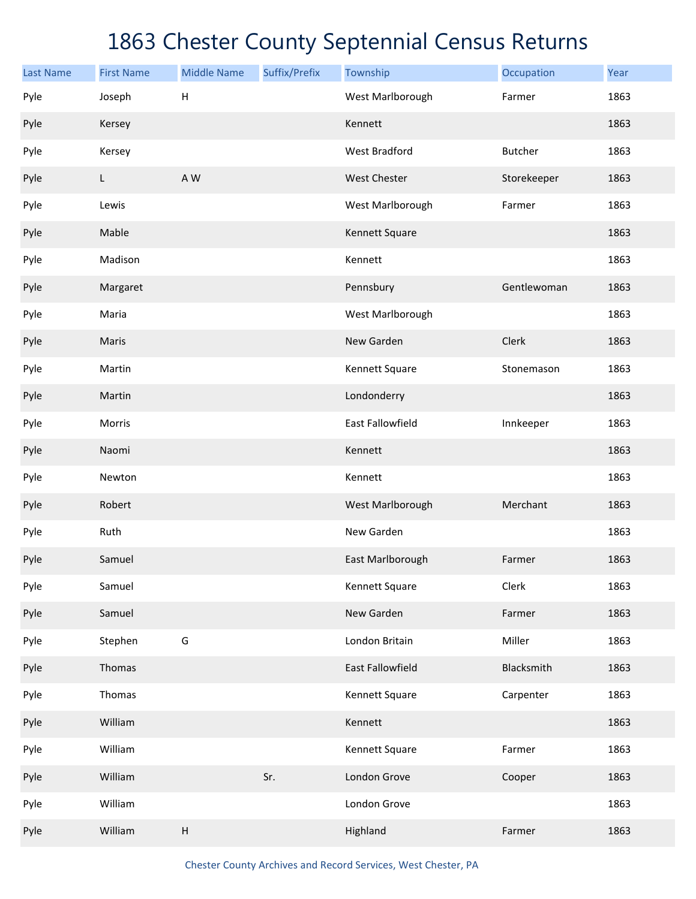| <b>Last Name</b> | <b>First Name</b> | <b>Middle Name</b> | Suffix/Prefix | Township             | Occupation     | Year |
|------------------|-------------------|--------------------|---------------|----------------------|----------------|------|
| Pyle             | Joseph            | $\mathsf{H}$       |               | West Marlborough     | Farmer         | 1863 |
| Pyle             | Kersey            |                    |               | Kennett              |                | 1863 |
| Pyle             | Kersey            |                    |               | <b>West Bradford</b> | <b>Butcher</b> | 1863 |
| Pyle             | L                 | A W                |               | <b>West Chester</b>  | Storekeeper    | 1863 |
| Pyle             | Lewis             |                    |               | West Marlborough     | Farmer         | 1863 |
| Pyle             | Mable             |                    |               | Kennett Square       |                | 1863 |
| Pyle             | Madison           |                    |               | Kennett              |                | 1863 |
| Pyle             | Margaret          |                    |               | Pennsbury            | Gentlewoman    | 1863 |
| Pyle             | Maria             |                    |               | West Marlborough     |                | 1863 |
| Pyle             | Maris             |                    |               | New Garden           | Clerk          | 1863 |
| Pyle             | Martin            |                    |               | Kennett Square       | Stonemason     | 1863 |
| Pyle             | Martin            |                    |               | Londonderry          |                | 1863 |
| Pyle             | Morris            |                    |               | East Fallowfield     | Innkeeper      | 1863 |
| Pyle             | Naomi             |                    |               | Kennett              |                | 1863 |
| Pyle             | Newton            |                    |               | Kennett              |                | 1863 |
| Pyle             | Robert            |                    |               | West Marlborough     | Merchant       | 1863 |
| Pyle             | Ruth              |                    |               | New Garden           |                | 1863 |
| Pyle             | Samuel            |                    |               | East Marlborough     | Farmer         | 1863 |
| Pyle             | Samuel            |                    |               | Kennett Square       | Clerk          | 1863 |
| Pyle             | Samuel            |                    |               | New Garden           | Farmer         | 1863 |
| Pyle             | Stephen           | G                  |               | London Britain       | Miller         | 1863 |
| Pyle             | Thomas            |                    |               | East Fallowfield     | Blacksmith     | 1863 |
| Pyle             | Thomas            |                    |               | Kennett Square       | Carpenter      | 1863 |
| Pyle             | William           |                    |               | Kennett              |                | 1863 |
| Pyle             | William           |                    |               | Kennett Square       | Farmer         | 1863 |
| Pyle             | William           |                    | Sr.           | London Grove         | Cooper         | 1863 |
| Pyle             | William           |                    |               | London Grove         |                | 1863 |
| Pyle             | William           | $\sf H$            |               | Highland             | Farmer         | 1863 |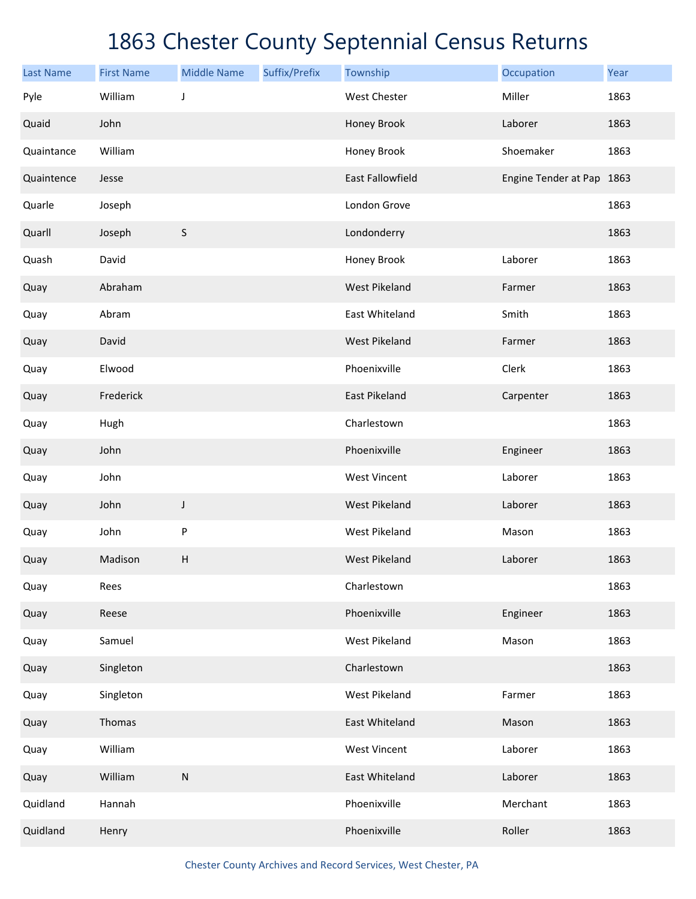| <b>Last Name</b> | <b>First Name</b> | <b>Middle Name</b> | Suffix/Prefix | Township                | Occupation                | Year |
|------------------|-------------------|--------------------|---------------|-------------------------|---------------------------|------|
| Pyle             | William           | J                  |               | <b>West Chester</b>     | Miller                    | 1863 |
| Quaid            | John              |                    |               | Honey Brook             | Laborer                   | 1863 |
| Quaintance       | William           |                    |               | Honey Brook             | Shoemaker                 | 1863 |
| Quaintence       | Jesse             |                    |               | <b>East Fallowfield</b> | Engine Tender at Pap 1863 |      |
| Quarle           | Joseph            |                    |               | London Grove            |                           | 1863 |
| Quarll           | Joseph            | $\sf S$            |               | Londonderry             |                           | 1863 |
| Quash            | David             |                    |               | Honey Brook             | Laborer                   | 1863 |
| Quay             | Abraham           |                    |               | <b>West Pikeland</b>    | Farmer                    | 1863 |
| Quay             | Abram             |                    |               | East Whiteland          | Smith                     | 1863 |
| Quay             | David             |                    |               | <b>West Pikeland</b>    | Farmer                    | 1863 |
| Quay             | Elwood            |                    |               | Phoenixville            | Clerk                     | 1863 |
| Quay             | Frederick         |                    |               | <b>East Pikeland</b>    | Carpenter                 | 1863 |
| Quay             | Hugh              |                    |               | Charlestown             |                           | 1863 |
| Quay             | John              |                    |               | Phoenixville            | Engineer                  | 1863 |
| Quay             | John              |                    |               | <b>West Vincent</b>     | Laborer                   | 1863 |
| Quay             | John              | J                  |               | <b>West Pikeland</b>    | Laborer                   | 1863 |
| Quay             | John              | P                  |               | <b>West Pikeland</b>    | Mason                     | 1863 |
| Quay             | Madison           | Н                  |               | <b>West Pikeland</b>    | Laborer                   | 1863 |
| Quay             | Rees              |                    |               | Charlestown             |                           | 1863 |
| Quay             | Reese             |                    |               | Phoenixville            | Engineer                  | 1863 |
| Quay             | Samuel            |                    |               | <b>West Pikeland</b>    | Mason                     | 1863 |
| Quay             | Singleton         |                    |               | Charlestown             |                           | 1863 |
| Quay             | Singleton         |                    |               | <b>West Pikeland</b>    | Farmer                    | 1863 |
| Quay             | Thomas            |                    |               | East Whiteland          | Mason                     | 1863 |
| Quay             | William           |                    |               | <b>West Vincent</b>     | Laborer                   | 1863 |
| Quay             | William           | ${\sf N}$          |               | East Whiteland          | Laborer                   | 1863 |
| Quidland         | Hannah            |                    |               | Phoenixville            | Merchant                  | 1863 |
| Quidland         | Henry             |                    |               | Phoenixville            | Roller                    | 1863 |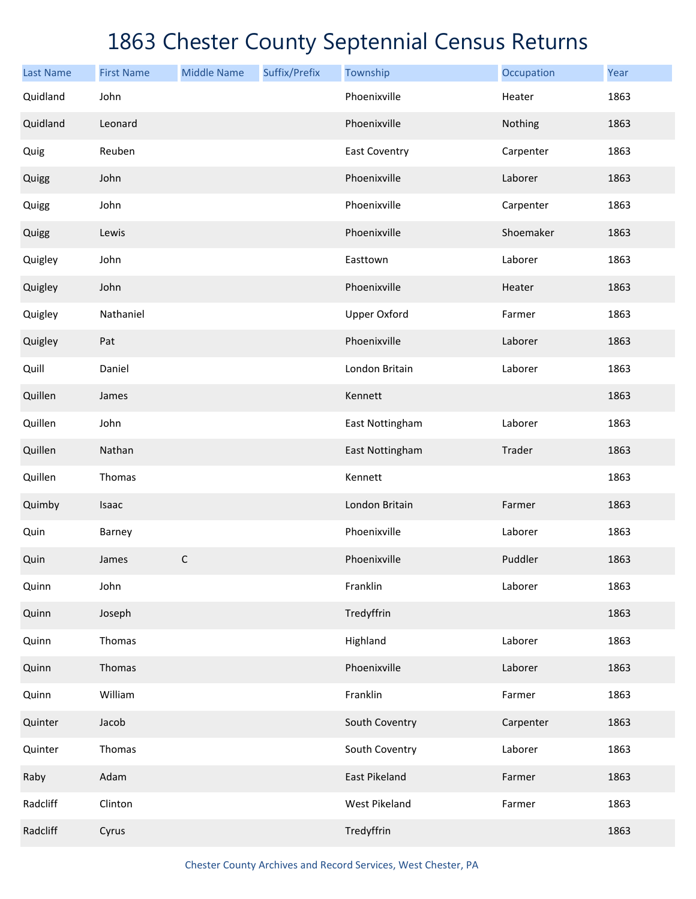| <b>Last Name</b> | <b>First Name</b> | <b>Middle Name</b> | Suffix/Prefix | Township             | Occupation | Year |
|------------------|-------------------|--------------------|---------------|----------------------|------------|------|
| Quidland         | John              |                    |               | Phoenixville         | Heater     | 1863 |
| Quidland         | Leonard           |                    |               | Phoenixville         | Nothing    | 1863 |
| Quig             | Reuben            |                    |               | <b>East Coventry</b> | Carpenter  | 1863 |
| Quigg            | John              |                    |               | Phoenixville         | Laborer    | 1863 |
| Quigg            | John              |                    |               | Phoenixville         | Carpenter  | 1863 |
| Quigg            | Lewis             |                    |               | Phoenixville         | Shoemaker  | 1863 |
| Quigley          | John              |                    |               | Easttown             | Laborer    | 1863 |
| Quigley          | John              |                    |               | Phoenixville         | Heater     | 1863 |
| Quigley          | Nathaniel         |                    |               | <b>Upper Oxford</b>  | Farmer     | 1863 |
| Quigley          | Pat               |                    |               | Phoenixville         | Laborer    | 1863 |
| Quill            | Daniel            |                    |               | London Britain       | Laborer    | 1863 |
| Quillen          | James             |                    |               | Kennett              |            | 1863 |
| Quillen          | John              |                    |               | East Nottingham      | Laborer    | 1863 |
| Quillen          | Nathan            |                    |               | East Nottingham      | Trader     | 1863 |
| Quillen          | Thomas            |                    |               | Kennett              |            | 1863 |
| Quimby           | Isaac             |                    |               | London Britain       | Farmer     | 1863 |
| Quin             | Barney            |                    |               | Phoenixville         | Laborer    | 1863 |
| Quin             | James             | $\mathsf C$        |               | Phoenixville         | Puddler    | 1863 |
| Quinn            | John              |                    |               | Franklin             | Laborer    | 1863 |
| Quinn            | Joseph            |                    |               | Tredyffrin           |            | 1863 |
| Quinn            | Thomas            |                    |               | Highland             | Laborer    | 1863 |
| Quinn            | Thomas            |                    |               | Phoenixville         | Laborer    | 1863 |
| Quinn            | William           |                    |               | Franklin             | Farmer     | 1863 |
| Quinter          | Jacob             |                    |               | South Coventry       | Carpenter  | 1863 |
| Quinter          | Thomas            |                    |               | South Coventry       | Laborer    | 1863 |
| Raby             | Adam              |                    |               | East Pikeland        | Farmer     | 1863 |
| Radcliff         | Clinton           |                    |               | West Pikeland        | Farmer     | 1863 |
| Radcliff         | Cyrus             |                    |               | Tredyffrin           |            | 1863 |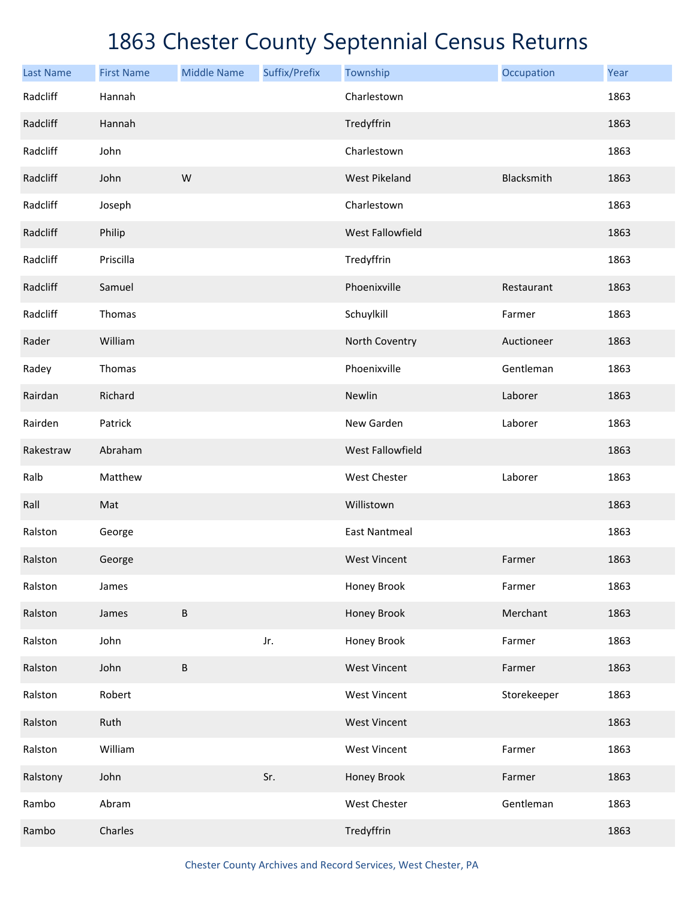| <b>Last Name</b> | <b>First Name</b> | <b>Middle Name</b> | Suffix/Prefix | Township             | Occupation  | Year |
|------------------|-------------------|--------------------|---------------|----------------------|-------------|------|
| Radcliff         | Hannah            |                    |               | Charlestown          |             | 1863 |
| Radcliff         | Hannah            |                    |               | Tredyffrin           |             | 1863 |
| Radcliff         | John              |                    |               | Charlestown          |             | 1863 |
| Radcliff         | John              | W                  |               | <b>West Pikeland</b> | Blacksmith  | 1863 |
| Radcliff         | Joseph            |                    |               | Charlestown          |             | 1863 |
| Radcliff         | Philip            |                    |               | West Fallowfield     |             | 1863 |
| Radcliff         | Priscilla         |                    |               | Tredyffrin           |             | 1863 |
| Radcliff         | Samuel            |                    |               | Phoenixville         | Restaurant  | 1863 |
| Radcliff         | Thomas            |                    |               | Schuylkill           | Farmer      | 1863 |
| Rader            | William           |                    |               | North Coventry       | Auctioneer  | 1863 |
| Radey            | Thomas            |                    |               | Phoenixville         | Gentleman   | 1863 |
| Rairdan          | Richard           |                    |               | Newlin               | Laborer     | 1863 |
| Rairden          | Patrick           |                    |               | New Garden           | Laborer     | 1863 |
| Rakestraw        | Abraham           |                    |               | West Fallowfield     |             | 1863 |
| Ralb             | Matthew           |                    |               | West Chester         | Laborer     | 1863 |
| Rall             | Mat               |                    |               | Willistown           |             | 1863 |
| Ralston          | George            |                    |               | <b>East Nantmeal</b> |             | 1863 |
| Ralston          | George            |                    |               | <b>West Vincent</b>  | Farmer      | 1863 |
| Ralston          | James             |                    |               | Honey Brook          | Farmer      | 1863 |
| Ralston          | James             | $\sf B$            |               | Honey Brook          | Merchant    | 1863 |
| Ralston          | John              |                    | Jr.           | Honey Brook          | Farmer      | 1863 |
| Ralston          | John              | $\sf B$            |               | <b>West Vincent</b>  | Farmer      | 1863 |
| Ralston          | Robert            |                    |               | <b>West Vincent</b>  | Storekeeper | 1863 |
| Ralston          | Ruth              |                    |               | <b>West Vincent</b>  |             | 1863 |
| Ralston          | William           |                    |               | <b>West Vincent</b>  | Farmer      | 1863 |
| Ralstony         | John              |                    | Sr.           | Honey Brook          | Farmer      | 1863 |
| Rambo            | Abram             |                    |               | West Chester         | Gentleman   | 1863 |
| Rambo            | Charles           |                    |               | Tredyffrin           |             | 1863 |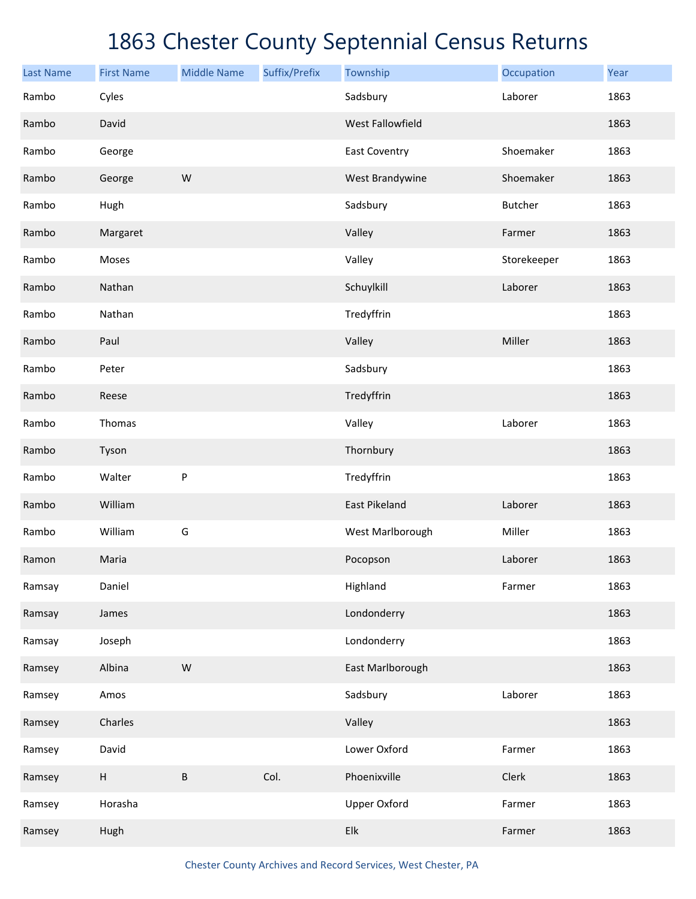| <b>Last Name</b> | <b>First Name</b> | <b>Middle Name</b> | Suffix/Prefix | Township                  | Occupation     | Year |
|------------------|-------------------|--------------------|---------------|---------------------------|----------------|------|
| Rambo            | Cyles             |                    |               | Sadsbury                  | Laborer        | 1863 |
| Rambo            | David             |                    |               | <b>West Fallowfield</b>   |                | 1863 |
| Rambo            | George            |                    |               | <b>East Coventry</b>      | Shoemaker      | 1863 |
| Rambo            | George            | W                  |               | West Brandywine           | Shoemaker      | 1863 |
| Rambo            | Hugh              |                    |               | Sadsbury                  | <b>Butcher</b> | 1863 |
| Rambo            | Margaret          |                    |               | Valley                    | Farmer         | 1863 |
| Rambo            | Moses             |                    |               | Valley                    | Storekeeper    | 1863 |
| Rambo            | Nathan            |                    |               | Schuylkill                | Laborer        | 1863 |
| Rambo            | Nathan            |                    |               | Tredyffrin                |                | 1863 |
| Rambo            | Paul              |                    |               | Valley                    | Miller         | 1863 |
| Rambo            | Peter             |                    |               | Sadsbury                  |                | 1863 |
| Rambo            | Reese             |                    |               | Tredyffrin                |                | 1863 |
| Rambo            | Thomas            |                    |               | Valley                    | Laborer        | 1863 |
| Rambo            | Tyson             |                    |               | Thornbury                 |                | 1863 |
| Rambo            | Walter            | ${\sf P}$          |               | Tredyffrin                |                | 1863 |
| Rambo            | William           |                    |               | East Pikeland             | Laborer        | 1863 |
| Rambo            | William           | G                  |               | West Marlborough          | Miller         | 1863 |
| Ramon            | Maria             |                    |               | Pocopson                  | Laborer        | 1863 |
| Ramsay           | Daniel            |                    |               | Highland                  | Farmer         | 1863 |
| Ramsay           | James             |                    |               | Londonderry               |                | 1863 |
| Ramsay           | Joseph            |                    |               | Londonderry               |                | 1863 |
| Ramsey           | Albina            | W                  |               | East Marlborough          |                | 1863 |
| Ramsey           | Amos              |                    |               | Sadsbury                  | Laborer        | 1863 |
| Ramsey           | Charles           |                    |               | Valley                    |                | 1863 |
| Ramsey           | David             |                    |               | Lower Oxford              | Farmer         | 1863 |
| Ramsey           | $\sf H$           | $\sf B$            | Col.          | Phoenixville              | Clerk          | 1863 |
| Ramsey           | Horasha           |                    |               | <b>Upper Oxford</b>       | Farmer         | 1863 |
| Ramsey           | Hugh              |                    |               | ${\sf E} {\sf I} {\sf k}$ | Farmer         | 1863 |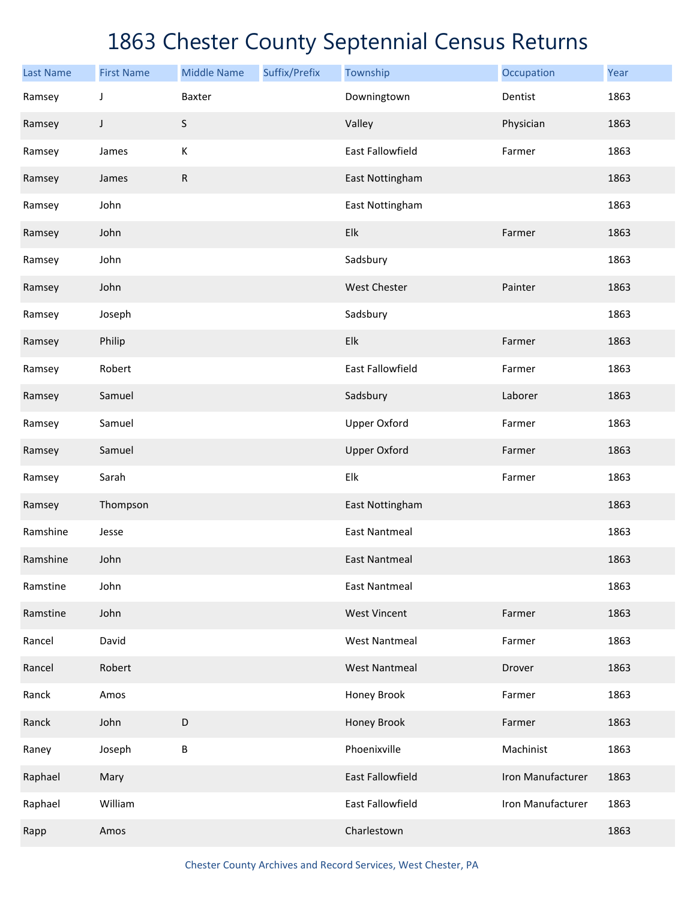| <b>Last Name</b> | <b>First Name</b> | <b>Middle Name</b> | Suffix/Prefix | Township             | Occupation        | Year |
|------------------|-------------------|--------------------|---------------|----------------------|-------------------|------|
| Ramsey           | J                 | Baxter             |               | Downingtown          | Dentist           | 1863 |
| Ramsey           | J                 | $\sf S$            |               | Valley               | Physician         | 1863 |
| Ramsey           | James             | К                  |               | East Fallowfield     | Farmer            | 1863 |
| Ramsey           | James             | ${\sf R}$          |               | East Nottingham      |                   | 1863 |
| Ramsey           | John              |                    |               | East Nottingham      |                   | 1863 |
| Ramsey           | John              |                    |               | Elk                  | Farmer            | 1863 |
| Ramsey           | John              |                    |               | Sadsbury             |                   | 1863 |
| Ramsey           | John              |                    |               | West Chester         | Painter           | 1863 |
| Ramsey           | Joseph            |                    |               | Sadsbury             |                   | 1863 |
| Ramsey           | Philip            |                    |               | Elk                  | Farmer            | 1863 |
| Ramsey           | Robert            |                    |               | East Fallowfield     | Farmer            | 1863 |
| Ramsey           | Samuel            |                    |               | Sadsbury             | Laborer           | 1863 |
| Ramsey           | Samuel            |                    |               | <b>Upper Oxford</b>  | Farmer            | 1863 |
| Ramsey           | Samuel            |                    |               | <b>Upper Oxford</b>  | Farmer            | 1863 |
| Ramsey           | Sarah             |                    |               | Elk                  | Farmer            | 1863 |
| Ramsey           | Thompson          |                    |               | East Nottingham      |                   | 1863 |
| Ramshine         | Jesse             |                    |               | <b>East Nantmeal</b> |                   | 1863 |
| Ramshine         | John              |                    |               | <b>East Nantmeal</b> |                   | 1863 |
| Ramstine         | John              |                    |               | <b>East Nantmeal</b> |                   | 1863 |
| Ramstine         | John              |                    |               | <b>West Vincent</b>  | Farmer            | 1863 |
| Rancel           | David             |                    |               | <b>West Nantmeal</b> | Farmer            | 1863 |
| Rancel           | Robert            |                    |               | <b>West Nantmeal</b> | Drover            | 1863 |
| Ranck            | Amos              |                    |               | Honey Brook          | Farmer            | 1863 |
| Ranck            | John              | $\mathsf D$        |               | Honey Brook          | Farmer            | 1863 |
| Raney            | Joseph            | $\sf B$            |               | Phoenixville         | Machinist         | 1863 |
| Raphael          | Mary              |                    |               | East Fallowfield     | Iron Manufacturer | 1863 |
| Raphael          | William           |                    |               | East Fallowfield     | Iron Manufacturer | 1863 |
| Rapp             | Amos              |                    |               | Charlestown          |                   | 1863 |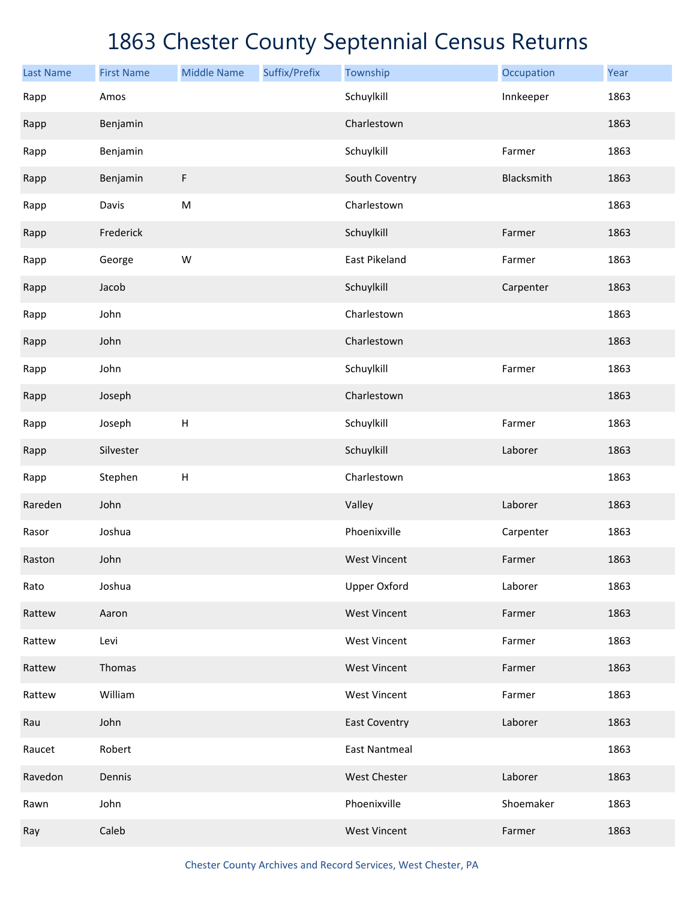| <b>Last Name</b> | <b>First Name</b> | <b>Middle Name</b> | Suffix/Prefix | Township             | Occupation | Year |
|------------------|-------------------|--------------------|---------------|----------------------|------------|------|
| Rapp             | Amos              |                    |               | Schuylkill           | Innkeeper  | 1863 |
| Rapp             | Benjamin          |                    |               | Charlestown          |            | 1863 |
| Rapp             | Benjamin          |                    |               | Schuylkill           | Farmer     | 1863 |
| Rapp             | Benjamin          | F                  |               | South Coventry       | Blacksmith | 1863 |
| Rapp             | Davis             | ${\sf M}$          |               | Charlestown          |            | 1863 |
| Rapp             | Frederick         |                    |               | Schuylkill           | Farmer     | 1863 |
| Rapp             | George            | W                  |               | East Pikeland        | Farmer     | 1863 |
| Rapp             | Jacob             |                    |               | Schuylkill           | Carpenter  | 1863 |
| Rapp             | John              |                    |               | Charlestown          |            | 1863 |
| Rapp             | John              |                    |               | Charlestown          |            | 1863 |
| Rapp             | John              |                    |               | Schuylkill           | Farmer     | 1863 |
| Rapp             | Joseph            |                    |               | Charlestown          |            | 1863 |
| Rapp             | Joseph            | $\sf H$            |               | Schuylkill           | Farmer     | 1863 |
| Rapp             | Silvester         |                    |               | Schuylkill           | Laborer    | 1863 |
| Rapp             | Stephen           | $\sf H$            |               | Charlestown          |            | 1863 |
| Rareden          | John              |                    |               | Valley               | Laborer    | 1863 |
| Rasor            | Joshua            |                    |               | Phoenixville         | Carpenter  | 1863 |
| Raston           | John              |                    |               | <b>West Vincent</b>  | Farmer     | 1863 |
| Rato             | Joshua            |                    |               | <b>Upper Oxford</b>  | Laborer    | 1863 |
| Rattew           | Aaron             |                    |               | <b>West Vincent</b>  | Farmer     | 1863 |
| Rattew           | Levi              |                    |               | <b>West Vincent</b>  | Farmer     | 1863 |
| Rattew           | Thomas            |                    |               | <b>West Vincent</b>  | Farmer     | 1863 |
| Rattew           | William           |                    |               | <b>West Vincent</b>  | Farmer     | 1863 |
| Rau              | John              |                    |               | <b>East Coventry</b> | Laborer    | 1863 |
| Raucet           | Robert            |                    |               | <b>East Nantmeal</b> |            | 1863 |
| Ravedon          | Dennis            |                    |               | West Chester         | Laborer    | 1863 |
| Rawn             | John              |                    |               | Phoenixville         | Shoemaker  | 1863 |
| Ray              | Caleb             |                    |               | <b>West Vincent</b>  | Farmer     | 1863 |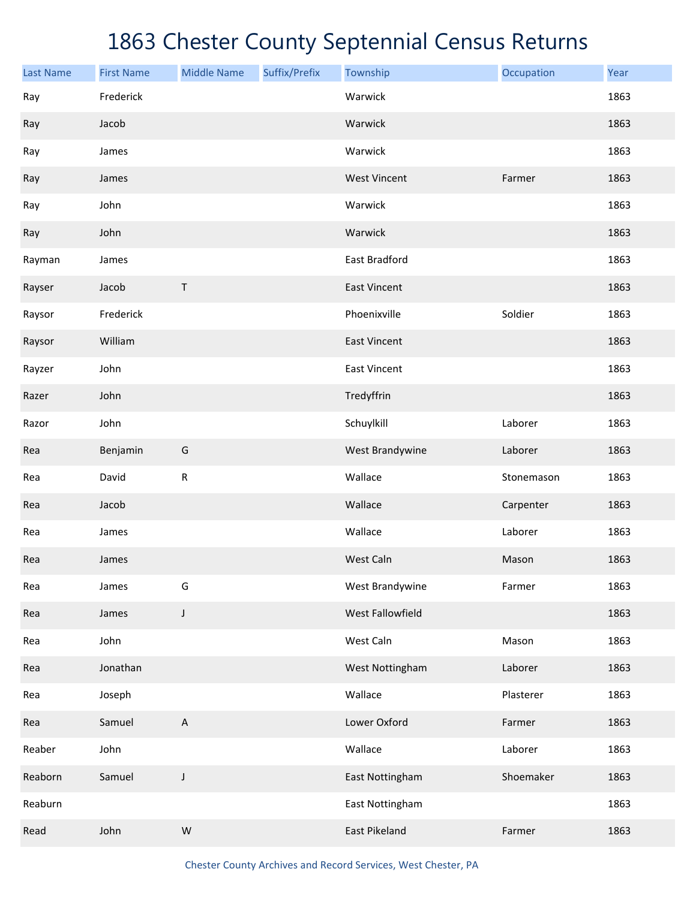| <b>Last Name</b> | <b>First Name</b> | <b>Middle Name</b> | Suffix/Prefix | Township            | Occupation | Year |
|------------------|-------------------|--------------------|---------------|---------------------|------------|------|
| Ray              | Frederick         |                    |               | Warwick             |            | 1863 |
| Ray              | Jacob             |                    |               | Warwick             |            | 1863 |
| Ray              | James             |                    |               | Warwick             |            | 1863 |
| Ray              | James             |                    |               | <b>West Vincent</b> | Farmer     | 1863 |
| Ray              | John              |                    |               | Warwick             |            | 1863 |
| Ray              | John              |                    |               | Warwick             |            | 1863 |
| Rayman           | James             |                    |               | East Bradford       |            | 1863 |
| Rayser           | Jacob             | $\sf T$            |               | <b>East Vincent</b> |            | 1863 |
| Raysor           | Frederick         |                    |               | Phoenixville        | Soldier    | 1863 |
| Raysor           | William           |                    |               | <b>East Vincent</b> |            | 1863 |
| Rayzer           | John              |                    |               | <b>East Vincent</b> |            | 1863 |
| Razer            | John              |                    |               | Tredyffrin          |            | 1863 |
| Razor            | John              |                    |               | Schuylkill          | Laborer    | 1863 |
| Rea              | Benjamin          | G                  |               | West Brandywine     | Laborer    | 1863 |
| Rea              | David             | ${\sf R}$          |               | Wallace             | Stonemason | 1863 |
| Rea              | Jacob             |                    |               | Wallace             | Carpenter  | 1863 |
| Rea              | James             |                    |               | Wallace             | Laborer    | 1863 |
| Rea              | James             |                    |               | West Caln           | Mason      | 1863 |
| Rea              | James             | G                  |               | West Brandywine     | Farmer     | 1863 |
| Rea              | James             | J                  |               | West Fallowfield    |            | 1863 |
| Rea              | John              |                    |               | West Caln           | Mason      | 1863 |
| Rea              | Jonathan          |                    |               | West Nottingham     | Laborer    | 1863 |
| Rea              | Joseph            |                    |               | Wallace             | Plasterer  | 1863 |
| Rea              | Samuel            | $\mathsf A$        |               | Lower Oxford        | Farmer     | 1863 |
| Reaber           | John              |                    |               | Wallace             | Laborer    | 1863 |
| Reaborn          | Samuel            | J                  |               | East Nottingham     | Shoemaker  | 1863 |
| Reaburn          |                   |                    |               | East Nottingham     |            | 1863 |
| Read             | John              | ${\sf W}$          |               | East Pikeland       | Farmer     | 1863 |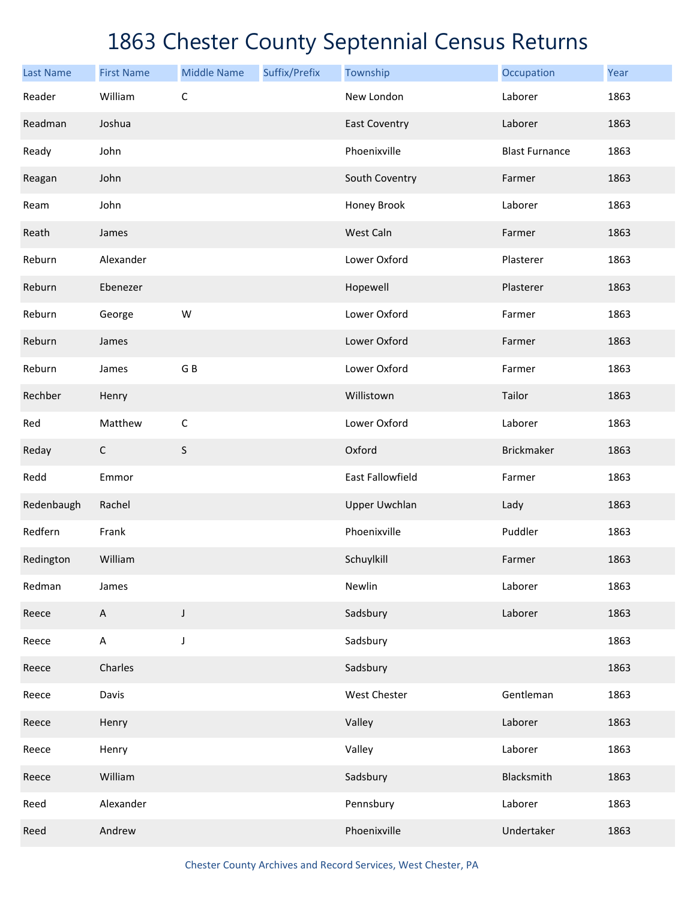| <b>Last Name</b> | <b>First Name</b>         | <b>Middle Name</b> | Suffix/Prefix | Township             | Occupation            | Year |
|------------------|---------------------------|--------------------|---------------|----------------------|-----------------------|------|
| Reader           | William                   | $\mathsf C$        |               | New London           | Laborer               | 1863 |
| Readman          | Joshua                    |                    |               | <b>East Coventry</b> | Laborer               | 1863 |
| Ready            | John                      |                    |               | Phoenixville         | <b>Blast Furnance</b> | 1863 |
| Reagan           | John                      |                    |               | South Coventry       | Farmer                | 1863 |
| Ream             | John                      |                    |               | Honey Brook          | Laborer               | 1863 |
| Reath            | James                     |                    |               | West Caln            | Farmer                | 1863 |
| Reburn           | Alexander                 |                    |               | Lower Oxford         | Plasterer             | 1863 |
| Reburn           | Ebenezer                  |                    |               | Hopewell             | Plasterer             | 1863 |
| Reburn           | George                    | ${\sf W}$          |               | Lower Oxford         | Farmer                | 1863 |
| Reburn           | James                     |                    |               | Lower Oxford         | Farmer                | 1863 |
| Reburn           | James                     | G B                |               | Lower Oxford         | Farmer                | 1863 |
| Rechber          | Henry                     |                    |               | Willistown           | Tailor                | 1863 |
| Red              | Matthew                   | $\mathsf C$        |               | Lower Oxford         | Laborer               | 1863 |
| Reday            | $\mathsf C$               | S                  |               | Oxford               | <b>Brickmaker</b>     | 1863 |
| Redd             | Emmor                     |                    |               | East Fallowfield     | Farmer                | 1863 |
| Redenbaugh       | Rachel                    |                    |               | <b>Upper Uwchlan</b> | Lady                  | 1863 |
| Redfern          | Frank                     |                    |               | Phoenixville         | Puddler               | 1863 |
| Redington        | William                   |                    |               | Schuylkill           | Farmer                | 1863 |
| Redman           | James                     |                    |               | Newlin               | Laborer               | 1863 |
| Reece            | $\mathsf{A}$              | J                  |               | Sadsbury             | Laborer               | 1863 |
| Reece            | $\boldsymbol{\mathsf{A}}$ | J                  |               | Sadsbury             |                       | 1863 |
| Reece            | Charles                   |                    |               | Sadsbury             |                       | 1863 |
| Reece            | Davis                     |                    |               | West Chester         | Gentleman             | 1863 |
| Reece            | Henry                     |                    |               | Valley               | Laborer               | 1863 |
| Reece            | Henry                     |                    |               | Valley               | Laborer               | 1863 |
| Reece            | William                   |                    |               | Sadsbury             | Blacksmith            | 1863 |
| Reed             | Alexander                 |                    |               | Pennsbury            | Laborer               | 1863 |
| Reed             | Andrew                    |                    |               | Phoenixville         | Undertaker            | 1863 |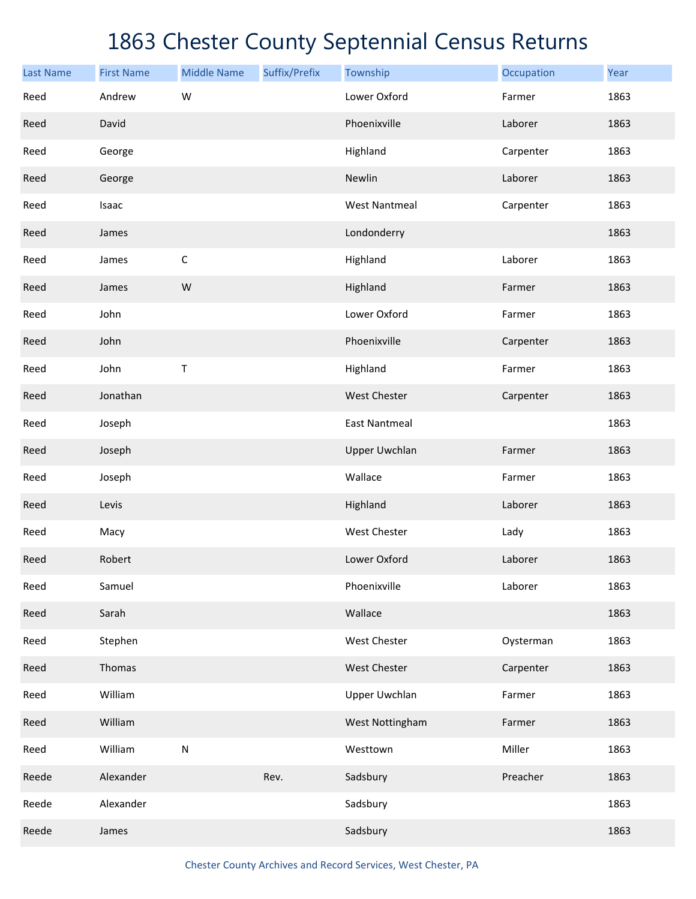| <b>Last Name</b> | <b>First Name</b> | <b>Middle Name</b> | Suffix/Prefix | Township             | Occupation | Year |
|------------------|-------------------|--------------------|---------------|----------------------|------------|------|
| Reed             | Andrew            | W                  |               | Lower Oxford         | Farmer     | 1863 |
| Reed             | David             |                    |               | Phoenixville         | Laborer    | 1863 |
| Reed             | George            |                    |               | Highland             | Carpenter  | 1863 |
| Reed             | George            |                    |               | Newlin               | Laborer    | 1863 |
| Reed             | Isaac             |                    |               | <b>West Nantmeal</b> | Carpenter  | 1863 |
| Reed             | James             |                    |               | Londonderry          |            | 1863 |
| Reed             | James             | $\mathsf C$        |               | Highland             | Laborer    | 1863 |
| Reed             | James             | W                  |               | Highland             | Farmer     | 1863 |
| Reed             | John              |                    |               | Lower Oxford         | Farmer     | 1863 |
| Reed             | John              |                    |               | Phoenixville         | Carpenter  | 1863 |
| Reed             | John              | $\sf T$            |               | Highland             | Farmer     | 1863 |
| Reed             | Jonathan          |                    |               | West Chester         | Carpenter  | 1863 |
| Reed             | Joseph            |                    |               | <b>East Nantmeal</b> |            | 1863 |
| Reed             | Joseph            |                    |               | <b>Upper Uwchlan</b> | Farmer     | 1863 |
| Reed             | Joseph            |                    |               | Wallace              | Farmer     | 1863 |
| Reed             | Levis             |                    |               | Highland             | Laborer    | 1863 |
| Reed             | Macy              |                    |               | <b>West Chester</b>  | Lady       | 1863 |
| Reed             | Robert            |                    |               | Lower Oxford         | Laborer    | 1863 |
| Reed             | Samuel            |                    |               | Phoenixville         | Laborer    | 1863 |
| Reed             | Sarah             |                    |               | Wallace              |            | 1863 |
| Reed             | Stephen           |                    |               | West Chester         | Oysterman  | 1863 |
| Reed             | Thomas            |                    |               | West Chester         | Carpenter  | 1863 |
| Reed             | William           |                    |               | Upper Uwchlan        | Farmer     | 1863 |
| Reed             | William           |                    |               | West Nottingham      | Farmer     | 1863 |
| Reed             | William           | ${\sf N}$          |               | Westtown             | Miller     | 1863 |
| Reede            | Alexander         |                    | Rev.          | Sadsbury             | Preacher   | 1863 |
| Reede            | Alexander         |                    |               | Sadsbury             |            | 1863 |
| Reede            | James             |                    |               | Sadsbury             |            | 1863 |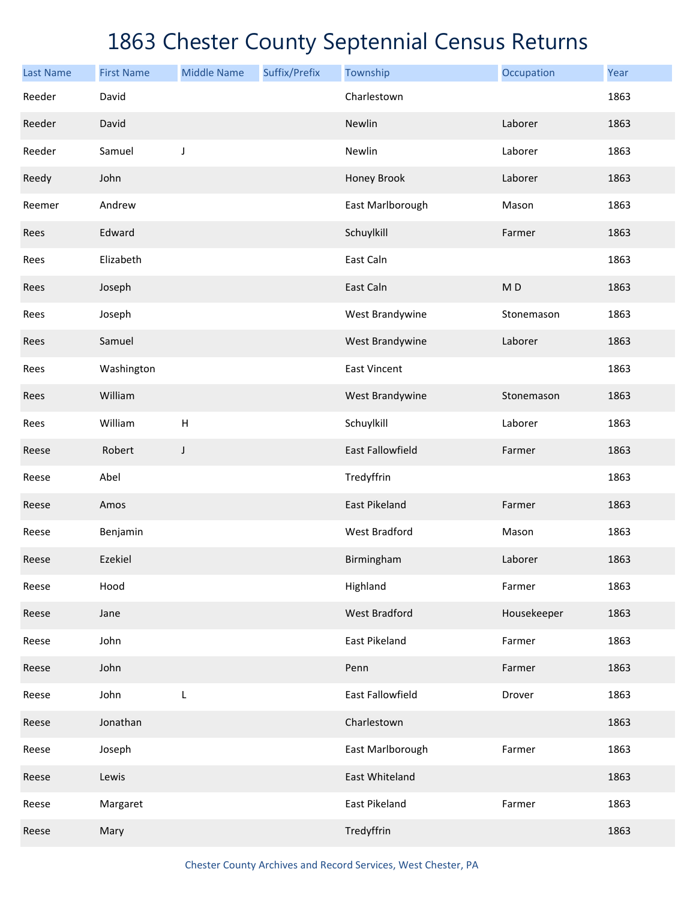| <b>Last Name</b> | <b>First Name</b> | <b>Middle Name</b> | Suffix/Prefix | Township                | Occupation     | Year |
|------------------|-------------------|--------------------|---------------|-------------------------|----------------|------|
| Reeder           | David             |                    |               | Charlestown             |                | 1863 |
| Reeder           | David             |                    |               | Newlin                  | Laborer        | 1863 |
| Reeder           | Samuel            | J                  |               | Newlin                  | Laborer        | 1863 |
| Reedy            | John              |                    |               | Honey Brook             | Laborer        | 1863 |
| Reemer           | Andrew            |                    |               | East Marlborough        | Mason          | 1863 |
| Rees             | Edward            |                    |               | Schuylkill              | Farmer         | 1863 |
| Rees             | Elizabeth         |                    |               | East Caln               |                | 1863 |
| Rees             | Joseph            |                    |               | East Caln               | M <sub>D</sub> | 1863 |
| Rees             | Joseph            |                    |               | West Brandywine         | Stonemason     | 1863 |
| Rees             | Samuel            |                    |               | West Brandywine         | Laborer        | 1863 |
| Rees             | Washington        |                    |               | <b>East Vincent</b>     |                | 1863 |
| Rees             | William           |                    |               | West Brandywine         | Stonemason     | 1863 |
| Rees             | William           | H                  |               | Schuylkill              | Laborer        | 1863 |
| Reese            | Robert            | J                  |               | <b>East Fallowfield</b> | Farmer         | 1863 |
| Reese            | Abel              |                    |               | Tredyffrin              |                | 1863 |
| Reese            | Amos              |                    |               | <b>East Pikeland</b>    | Farmer         | 1863 |
| Reese            | Benjamin          |                    |               | <b>West Bradford</b>    | Mason          | 1863 |
| Reese            | Ezekiel           |                    |               | Birmingham              | Laborer        | 1863 |
| Reese            | Hood              |                    |               | Highland                | Farmer         | 1863 |
| Reese            | Jane              |                    |               | <b>West Bradford</b>    | Housekeeper    | 1863 |
| Reese            | John              |                    |               | <b>East Pikeland</b>    | Farmer         | 1863 |
| Reese            | John              |                    |               | Penn                    | Farmer         | 1863 |
| Reese            | John              | L                  |               | East Fallowfield        | Drover         | 1863 |
| Reese            | Jonathan          |                    |               | Charlestown             |                | 1863 |
| Reese            | Joseph            |                    |               | East Marlborough        | Farmer         | 1863 |
| Reese            | Lewis             |                    |               | East Whiteland          |                | 1863 |
| Reese            | Margaret          |                    |               | East Pikeland           | Farmer         | 1863 |
| Reese            | Mary              |                    |               | Tredyffrin              |                | 1863 |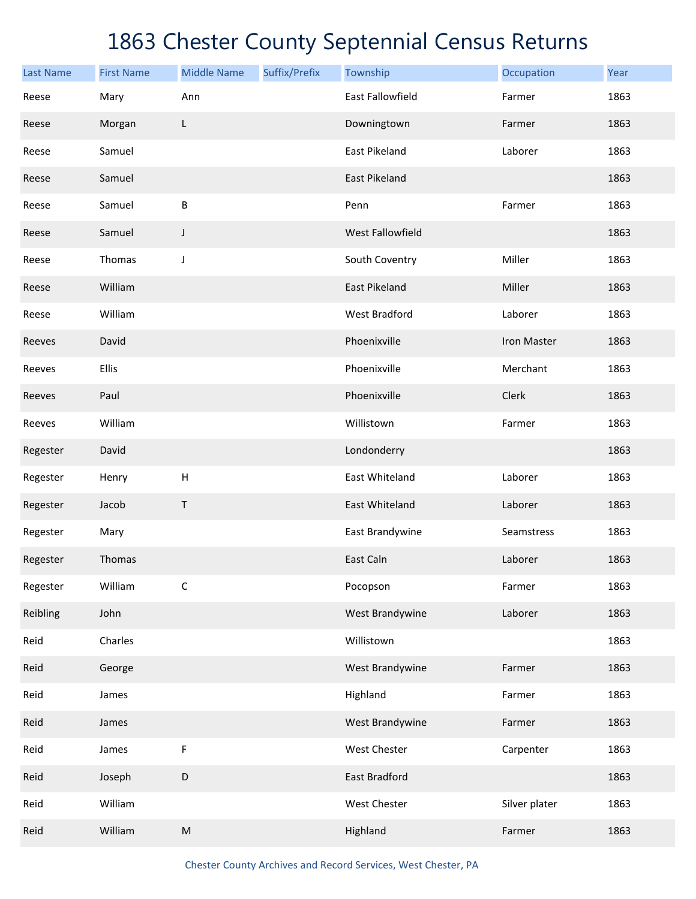| <b>Last Name</b> | <b>First Name</b> | <b>Middle Name</b>        | Suffix/Prefix | Township                | Occupation    | Year |
|------------------|-------------------|---------------------------|---------------|-------------------------|---------------|------|
| Reese            | Mary              | Ann                       |               | <b>East Fallowfield</b> | Farmer        | 1863 |
| Reese            | Morgan            | L                         |               | Downingtown             | Farmer        | 1863 |
| Reese            | Samuel            |                           |               | East Pikeland           | Laborer       | 1863 |
| Reese            | Samuel            |                           |               | East Pikeland           |               | 1863 |
| Reese            | Samuel            | B                         |               | Penn                    | Farmer        | 1863 |
| Reese            | Samuel            | J                         |               | West Fallowfield        |               | 1863 |
| Reese            | Thomas            | J                         |               | South Coventry          | Miller        | 1863 |
| Reese            | William           |                           |               | <b>East Pikeland</b>    | Miller        | 1863 |
| Reese            | William           |                           |               | <b>West Bradford</b>    | Laborer       | 1863 |
| Reeves           | David             |                           |               | Phoenixville            | Iron Master   | 1863 |
| Reeves           | Ellis             |                           |               | Phoenixville            | Merchant      | 1863 |
| Reeves           | Paul              |                           |               | Phoenixville            | Clerk         | 1863 |
| Reeves           | William           |                           |               | Willistown              | Farmer        | 1863 |
| Regester         | David             |                           |               | Londonderry             |               | 1863 |
| Regester         | Henry             | $\boldsymbol{\mathsf{H}}$ |               | East Whiteland          | Laborer       | 1863 |
| Regester         | Jacob             | Τ                         |               | East Whiteland          | Laborer       | 1863 |
| Regester         | Mary              |                           |               | East Brandywine         | Seamstress    | 1863 |
| Regester         | Thomas            |                           |               | East Caln               | Laborer       | 1863 |
| Regester         | William           | $\mathsf C$               |               | Pocopson                | Farmer        | 1863 |
| Reibling         | John              |                           |               | West Brandywine         | Laborer       | 1863 |
| Reid             | Charles           |                           |               | Willistown              |               | 1863 |
| Reid             | George            |                           |               | West Brandywine         | Farmer        | 1863 |
| Reid             | James             |                           |               | Highland                | Farmer        | 1863 |
| Reid             | James             |                           |               | West Brandywine         | Farmer        | 1863 |
| Reid             | James             | $\mathsf F$               |               | West Chester            | Carpenter     | 1863 |
| Reid             | Joseph            | D                         |               | East Bradford           |               | 1863 |
| Reid             | William           |                           |               | West Chester            | Silver plater | 1863 |
| Reid             | William           | ${\sf M}$                 |               | Highland                | Farmer        | 1863 |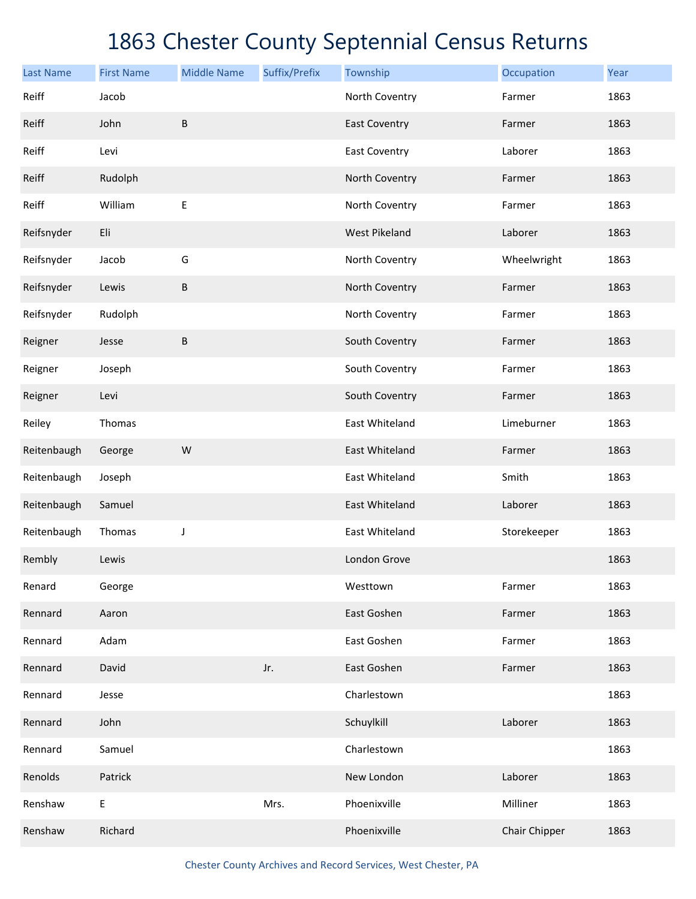| <b>Last Name</b> | <b>First Name</b> | <b>Middle Name</b> | Suffix/Prefix | Township             | Occupation    | Year |
|------------------|-------------------|--------------------|---------------|----------------------|---------------|------|
| Reiff            | Jacob             |                    |               | North Coventry       | Farmer        | 1863 |
| Reiff            | John              | B                  |               | <b>East Coventry</b> | Farmer        | 1863 |
| Reiff            | Levi              |                    |               | <b>East Coventry</b> | Laborer       | 1863 |
| Reiff            | Rudolph           |                    |               | North Coventry       | Farmer        | 1863 |
| Reiff            | William           | $\sf E$            |               | North Coventry       | Farmer        | 1863 |
| Reifsnyder       | Eli               |                    |               | <b>West Pikeland</b> | Laborer       | 1863 |
| Reifsnyder       | Jacob             | G                  |               | North Coventry       | Wheelwright   | 1863 |
| Reifsnyder       | Lewis             | $\sf B$            |               | North Coventry       | Farmer        | 1863 |
| Reifsnyder       | Rudolph           |                    |               | North Coventry       | Farmer        | 1863 |
| Reigner          | Jesse             | B                  |               | South Coventry       | Farmer        | 1863 |
| Reigner          | Joseph            |                    |               | South Coventry       | Farmer        | 1863 |
| Reigner          | Levi              |                    |               | South Coventry       | Farmer        | 1863 |
| Reiley           | Thomas            |                    |               | East Whiteland       | Limeburner    | 1863 |
| Reitenbaugh      | George            | W                  |               | East Whiteland       | Farmer        | 1863 |
| Reitenbaugh      | Joseph            |                    |               | East Whiteland       | Smith         | 1863 |
| Reitenbaugh      | Samuel            |                    |               | East Whiteland       | Laborer       | 1863 |
| Reitenbaugh      | Thomas            | J                  |               | East Whiteland       | Storekeeper   | 1863 |
| Rembly           | Lewis             |                    |               | London Grove         |               | 1863 |
| Renard           | George            |                    |               | Westtown             | Farmer        | 1863 |
| Rennard          | Aaron             |                    |               | East Goshen          | Farmer        | 1863 |
| Rennard          | Adam              |                    |               | East Goshen          | Farmer        | 1863 |
| Rennard          | David             |                    | Jr.           | East Goshen          | Farmer        | 1863 |
| Rennard          | Jesse             |                    |               | Charlestown          |               | 1863 |
| Rennard          | John              |                    |               | Schuylkill           | Laborer       | 1863 |
| Rennard          | Samuel            |                    |               | Charlestown          |               | 1863 |
| Renolds          | Patrick           |                    |               | New London           | Laborer       | 1863 |
| Renshaw          | E                 |                    | Mrs.          | Phoenixville         | Milliner      | 1863 |
| Renshaw          | Richard           |                    |               | Phoenixville         | Chair Chipper | 1863 |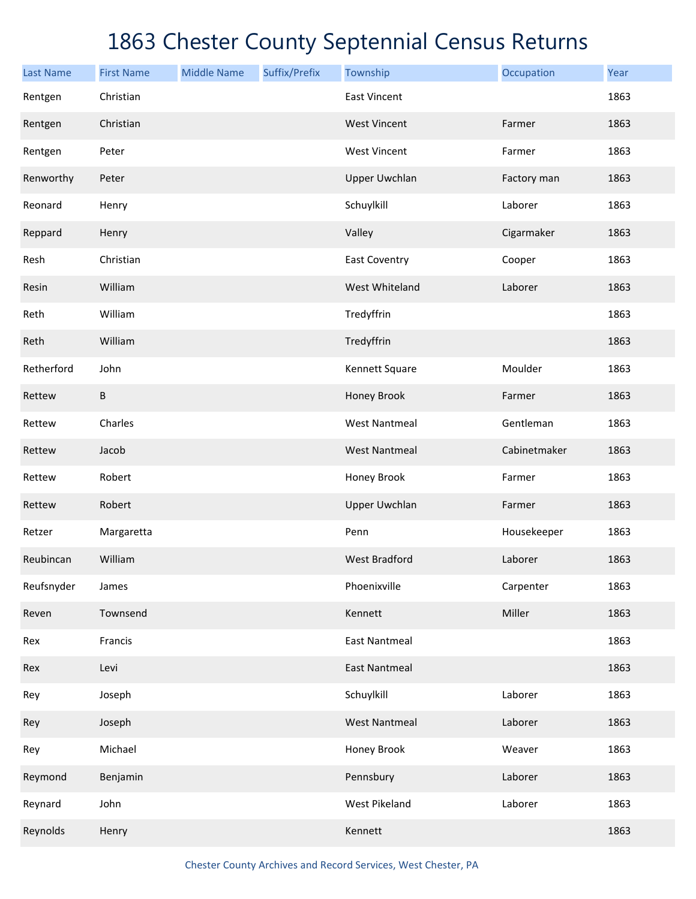| <b>Last Name</b> | <b>First Name</b> | <b>Middle Name</b> | Suffix/Prefix | Township             | Occupation   | Year |
|------------------|-------------------|--------------------|---------------|----------------------|--------------|------|
| Rentgen          | Christian         |                    |               | <b>East Vincent</b>  |              | 1863 |
| Rentgen          | Christian         |                    |               | <b>West Vincent</b>  | Farmer       | 1863 |
| Rentgen          | Peter             |                    |               | <b>West Vincent</b>  | Farmer       | 1863 |
| Renworthy        | Peter             |                    |               | <b>Upper Uwchlan</b> | Factory man  | 1863 |
| Reonard          | Henry             |                    |               | Schuylkill           | Laborer      | 1863 |
| Reppard          | Henry             |                    |               | Valley               | Cigarmaker   | 1863 |
| Resh             | Christian         |                    |               | <b>East Coventry</b> | Cooper       | 1863 |
| Resin            | William           |                    |               | West Whiteland       | Laborer      | 1863 |
| Reth             | William           |                    |               | Tredyffrin           |              | 1863 |
| Reth             | William           |                    |               | Tredyffrin           |              | 1863 |
| Retherford       | John              |                    |               | Kennett Square       | Moulder      | 1863 |
| Rettew           | $\sf B$           |                    |               | Honey Brook          | Farmer       | 1863 |
| Rettew           | Charles           |                    |               | <b>West Nantmeal</b> | Gentleman    | 1863 |
| Rettew           | Jacob             |                    |               | <b>West Nantmeal</b> | Cabinetmaker | 1863 |
| Rettew           | Robert            |                    |               | Honey Brook          | Farmer       | 1863 |
| Rettew           | Robert            |                    |               | <b>Upper Uwchlan</b> | Farmer       | 1863 |
| Retzer           | Margaretta        |                    |               | Penn                 | Housekeeper  | 1863 |
| Reubincan        | William           |                    |               | <b>West Bradford</b> | Laborer      | 1863 |
| Reufsnyder       | James             |                    |               | Phoenixville         | Carpenter    | 1863 |
| Reven            | Townsend          |                    |               | Kennett              | Miller       | 1863 |
| Rex              | Francis           |                    |               | <b>East Nantmeal</b> |              | 1863 |
| Rex              | Levi              |                    |               | <b>East Nantmeal</b> |              | 1863 |
| Rey              | Joseph            |                    |               | Schuylkill           | Laborer      | 1863 |
| Rey              | Joseph            |                    |               | <b>West Nantmeal</b> | Laborer      | 1863 |
| Rey              | Michael           |                    |               | Honey Brook          | Weaver       | 1863 |
| Reymond          | Benjamin          |                    |               | Pennsbury            | Laborer      | 1863 |
| Reynard          | John              |                    |               | West Pikeland        | Laborer      | 1863 |
| Reynolds         | Henry             |                    |               | Kennett              |              | 1863 |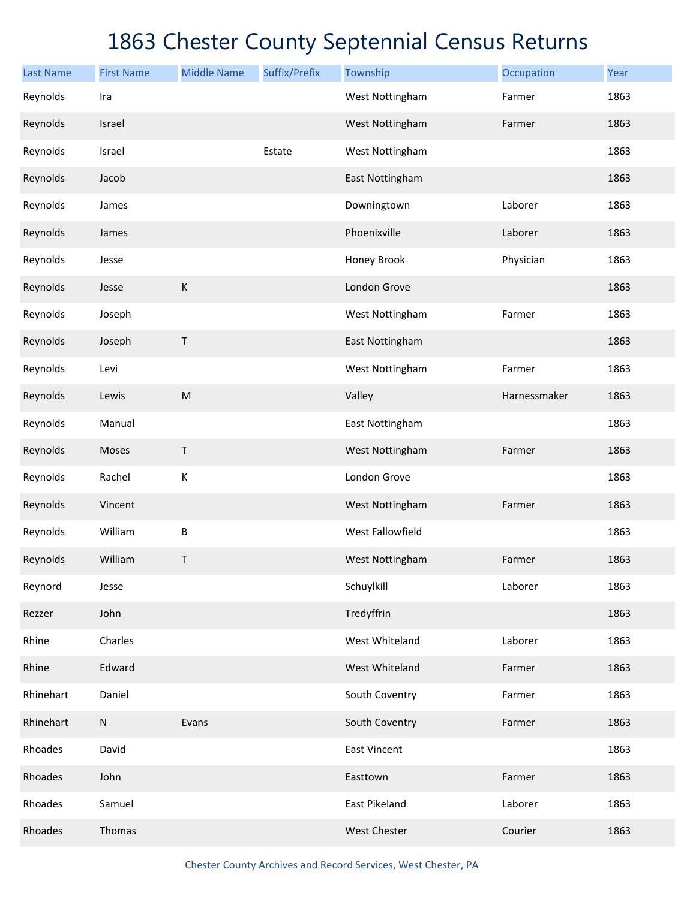| <b>Last Name</b> | <b>First Name</b> | <b>Middle Name</b> | Suffix/Prefix | Township            | Occupation   | Year |
|------------------|-------------------|--------------------|---------------|---------------------|--------------|------|
| Reynolds         | Ira               |                    |               | West Nottingham     | Farmer       | 1863 |
| Reynolds         | Israel            |                    |               | West Nottingham     | Farmer       | 1863 |
| Reynolds         | Israel            |                    | Estate        | West Nottingham     |              | 1863 |
| Reynolds         | Jacob             |                    |               | East Nottingham     |              | 1863 |
| Reynolds         | James             |                    |               | Downingtown         | Laborer      | 1863 |
| Reynolds         | James             |                    |               | Phoenixville        | Laborer      | 1863 |
| Reynolds         | Jesse             |                    |               | Honey Brook         | Physician    | 1863 |
| Reynolds         | Jesse             | $\mathsf K$        |               | London Grove        |              | 1863 |
| Reynolds         | Joseph            |                    |               | West Nottingham     | Farmer       | 1863 |
| Reynolds         | Joseph            | Τ                  |               | East Nottingham     |              | 1863 |
| Reynolds         | Levi              |                    |               | West Nottingham     | Farmer       | 1863 |
| Reynolds         | Lewis             | ${\sf M}$          |               | Valley              | Harnessmaker | 1863 |
| Reynolds         | Manual            |                    |               | East Nottingham     |              | 1863 |
| Reynolds         | Moses             | Τ                  |               | West Nottingham     | Farmer       | 1863 |
| Reynolds         | Rachel            | К                  |               | London Grove        |              | 1863 |
| Reynolds         | Vincent           |                    |               | West Nottingham     | Farmer       | 1863 |
| Reynolds         | William           | B                  |               | West Fallowfield    |              | 1863 |
| Reynolds         | William           | Τ                  |               | West Nottingham     | Farmer       | 1863 |
| Reynord          | Jesse             |                    |               | Schuylkill          | Laborer      | 1863 |
| Rezzer           | John              |                    |               | Tredyffrin          |              | 1863 |
| Rhine            | Charles           |                    |               | West Whiteland      | Laborer      | 1863 |
| Rhine            | Edward            |                    |               | West Whiteland      | Farmer       | 1863 |
| Rhinehart        | Daniel            |                    |               | South Coventry      | Farmer       | 1863 |
| Rhinehart        | ${\sf N}$         | Evans              |               | South Coventry      | Farmer       | 1863 |
| Rhoades          | David             |                    |               | <b>East Vincent</b> |              | 1863 |
| Rhoades          | John              |                    |               | Easttown            | Farmer       | 1863 |
| Rhoades          | Samuel            |                    |               | East Pikeland       | Laborer      | 1863 |
| Rhoades          | Thomas            |                    |               | <b>West Chester</b> | Courier      | 1863 |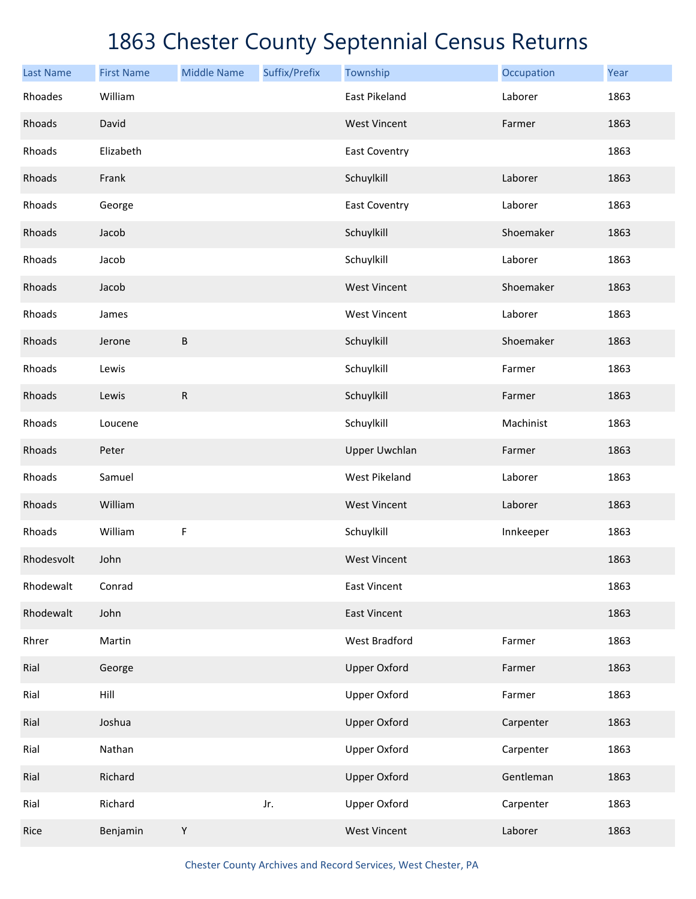| <b>Last Name</b> | <b>First Name</b> | <b>Middle Name</b> | Suffix/Prefix | Township             | Occupation | Year |
|------------------|-------------------|--------------------|---------------|----------------------|------------|------|
| Rhoades          | William           |                    |               | East Pikeland        | Laborer    | 1863 |
| Rhoads           | David             |                    |               | <b>West Vincent</b>  | Farmer     | 1863 |
| Rhoads           | Elizabeth         |                    |               | <b>East Coventry</b> |            | 1863 |
| Rhoads           | Frank             |                    |               | Schuylkill           | Laborer    | 1863 |
| Rhoads           | George            |                    |               | <b>East Coventry</b> | Laborer    | 1863 |
| Rhoads           | Jacob             |                    |               | Schuylkill           | Shoemaker  | 1863 |
| Rhoads           | Jacob             |                    |               | Schuylkill           | Laborer    | 1863 |
| Rhoads           | Jacob             |                    |               | <b>West Vincent</b>  | Shoemaker  | 1863 |
| Rhoads           | James             |                    |               | <b>West Vincent</b>  | Laborer    | 1863 |
| Rhoads           | Jerone            | $\sf B$            |               | Schuylkill           | Shoemaker  | 1863 |
| Rhoads           | Lewis             |                    |               | Schuylkill           | Farmer     | 1863 |
| Rhoads           | Lewis             | $\mathsf R$        |               | Schuylkill           | Farmer     | 1863 |
| Rhoads           | Loucene           |                    |               | Schuylkill           | Machinist  | 1863 |
| Rhoads           | Peter             |                    |               | <b>Upper Uwchlan</b> | Farmer     | 1863 |
| Rhoads           | Samuel            |                    |               | <b>West Pikeland</b> | Laborer    | 1863 |
| Rhoads           | William           |                    |               | <b>West Vincent</b>  | Laborer    | 1863 |
| Rhoads           | William           | F                  |               | Schuylkill           | Innkeeper  | 1863 |
| Rhodesvolt       | John              |                    |               | <b>West Vincent</b>  |            | 1863 |
| Rhodewalt        | Conrad            |                    |               | <b>East Vincent</b>  |            | 1863 |
| Rhodewalt        | John              |                    |               | <b>East Vincent</b>  |            | 1863 |
| Rhrer            | Martin            |                    |               | <b>West Bradford</b> | Farmer     | 1863 |
| Rial             | George            |                    |               | <b>Upper Oxford</b>  | Farmer     | 1863 |
| Rial             | Hill              |                    |               | <b>Upper Oxford</b>  | Farmer     | 1863 |
| Rial             | Joshua            |                    |               | <b>Upper Oxford</b>  | Carpenter  | 1863 |
| Rial             | Nathan            |                    |               | <b>Upper Oxford</b>  | Carpenter  | 1863 |
| Rial             | Richard           |                    |               | <b>Upper Oxford</b>  | Gentleman  | 1863 |
| Rial             | Richard           |                    | Jr.           | Upper Oxford         | Carpenter  | 1863 |
| Rice             | Benjamin          | Y                  |               | <b>West Vincent</b>  | Laborer    | 1863 |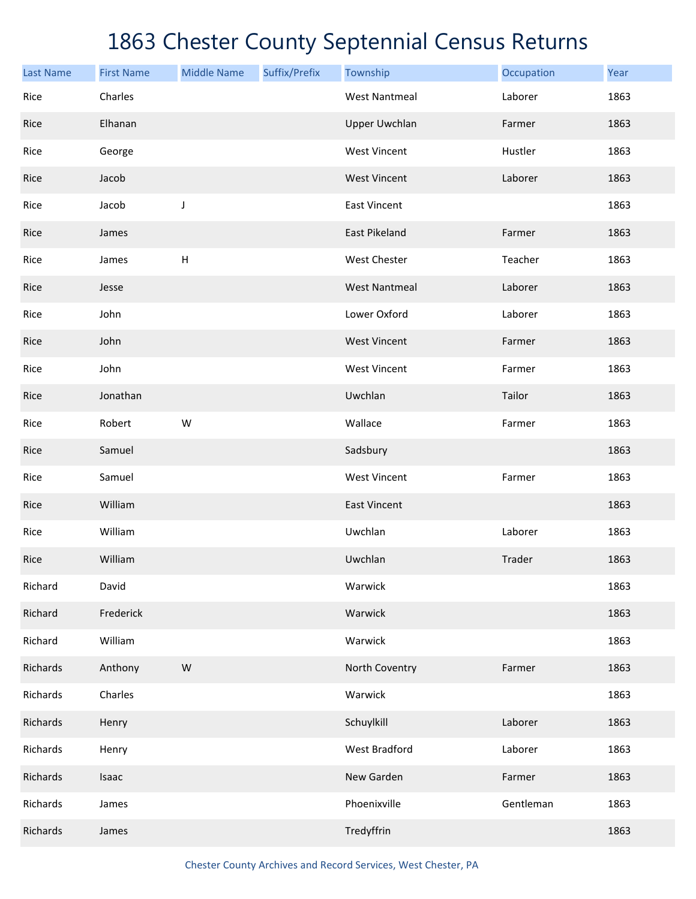| <b>Last Name</b> | <b>First Name</b> | <b>Middle Name</b>        | Suffix/Prefix | Township             | Occupation | Year |
|------------------|-------------------|---------------------------|---------------|----------------------|------------|------|
| Rice             | Charles           |                           |               | <b>West Nantmeal</b> | Laborer    | 1863 |
| Rice             | Elhanan           |                           |               | <b>Upper Uwchlan</b> | Farmer     | 1863 |
| Rice             | George            |                           |               | <b>West Vincent</b>  | Hustler    | 1863 |
| Rice             | Jacob             |                           |               | <b>West Vincent</b>  | Laborer    | 1863 |
| Rice             | Jacob             | $\mathsf J$               |               | <b>East Vincent</b>  |            | 1863 |
| Rice             | James             |                           |               | East Pikeland        | Farmer     | 1863 |
| Rice             | James             | $\boldsymbol{\mathsf{H}}$ |               | <b>West Chester</b>  | Teacher    | 1863 |
| Rice             | Jesse             |                           |               | <b>West Nantmeal</b> | Laborer    | 1863 |
| Rice             | John              |                           |               | Lower Oxford         | Laborer    | 1863 |
| Rice             | John              |                           |               | <b>West Vincent</b>  | Farmer     | 1863 |
| Rice             | John              |                           |               | <b>West Vincent</b>  | Farmer     | 1863 |
| Rice             | Jonathan          |                           |               | Uwchlan              | Tailor     | 1863 |
| Rice             | Robert            | W                         |               | Wallace              | Farmer     | 1863 |
| Rice             | Samuel            |                           |               | Sadsbury             |            | 1863 |
| Rice             | Samuel            |                           |               | <b>West Vincent</b>  | Farmer     | 1863 |
| Rice             | William           |                           |               | <b>East Vincent</b>  |            | 1863 |
| Rice             | William           |                           |               | Uwchlan              | Laborer    | 1863 |
| Rice             | William           |                           |               | Uwchlan              | Trader     | 1863 |
| Richard          | David             |                           |               | Warwick              |            | 1863 |
| Richard          | Frederick         |                           |               | Warwick              |            | 1863 |
| Richard          | William           |                           |               | Warwick              |            | 1863 |
| Richards         | Anthony           | ${\sf W}$                 |               | North Coventry       | Farmer     | 1863 |
| Richards         | Charles           |                           |               | Warwick              |            | 1863 |
| Richards         | Henry             |                           |               | Schuylkill           | Laborer    | 1863 |
| Richards         | Henry             |                           |               | West Bradford        | Laborer    | 1863 |
| Richards         | Isaac             |                           |               | New Garden           | Farmer     | 1863 |
| Richards         | James             |                           |               | Phoenixville         | Gentleman  | 1863 |
| Richards         | James             |                           |               | Tredyffrin           |            | 1863 |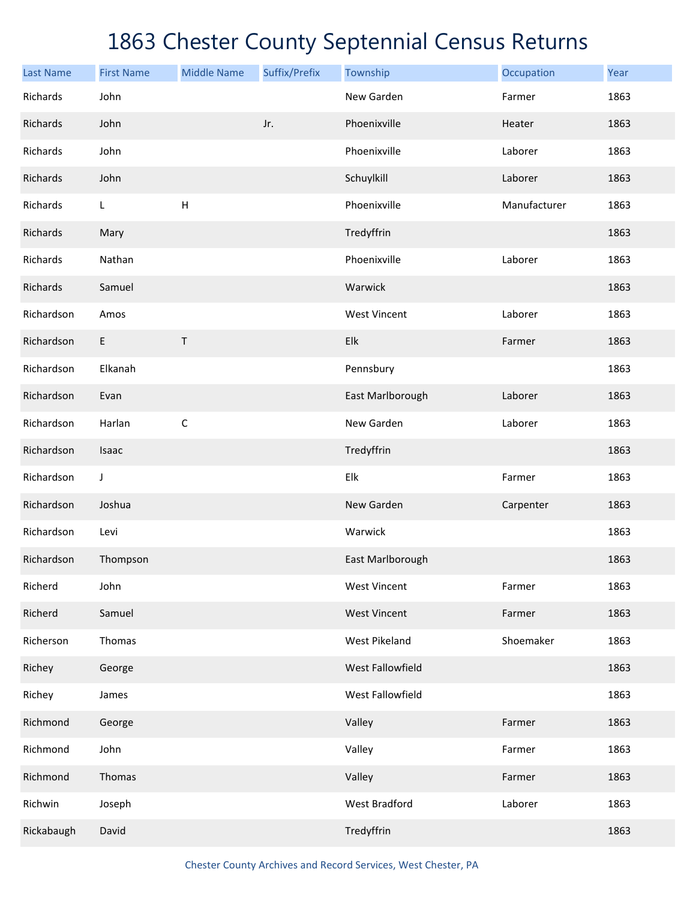| <b>Last Name</b> | <b>First Name</b> | <b>Middle Name</b> | Suffix/Prefix | Township             | Occupation   | Year |
|------------------|-------------------|--------------------|---------------|----------------------|--------------|------|
| Richards         | John              |                    |               | New Garden           | Farmer       | 1863 |
| Richards         | John              |                    | Jr.           | Phoenixville         | Heater       | 1863 |
| Richards         | John              |                    |               | Phoenixville         | Laborer      | 1863 |
| Richards         | John              |                    |               | Schuylkill           | Laborer      | 1863 |
| Richards         | L                 | H                  |               | Phoenixville         | Manufacturer | 1863 |
| Richards         | Mary              |                    |               | Tredyffrin           |              | 1863 |
| Richards         | Nathan            |                    |               | Phoenixville         | Laborer      | 1863 |
| Richards         | Samuel            |                    |               | Warwick              |              | 1863 |
| Richardson       | Amos              |                    |               | <b>West Vincent</b>  | Laborer      | 1863 |
| Richardson       | E                 | Τ                  |               | Elk                  | Farmer       | 1863 |
| Richardson       | Elkanah           |                    |               | Pennsbury            |              | 1863 |
| Richardson       | Evan              |                    |               | East Marlborough     | Laborer      | 1863 |
| Richardson       | Harlan            | $\mathsf C$        |               | New Garden           | Laborer      | 1863 |
| Richardson       | Isaac             |                    |               | Tredyffrin           |              | 1863 |
| Richardson       | J                 |                    |               | Elk                  | Farmer       | 1863 |
| Richardson       | Joshua            |                    |               | New Garden           | Carpenter    | 1863 |
| Richardson       | Levi              |                    |               | Warwick              |              | 1863 |
| Richardson       | Thompson          |                    |               | East Marlborough     |              | 1863 |
| Richerd          | John              |                    |               | <b>West Vincent</b>  | Farmer       | 1863 |
| Richerd          | Samuel            |                    |               | <b>West Vincent</b>  | Farmer       | 1863 |
| Richerson        | Thomas            |                    |               | West Pikeland        | Shoemaker    | 1863 |
| Richey           | George            |                    |               | West Fallowfield     |              | 1863 |
| Richey           | James             |                    |               | West Fallowfield     |              | 1863 |
| Richmond         | George            |                    |               | Valley               | Farmer       | 1863 |
| Richmond         | John              |                    |               | Valley               | Farmer       | 1863 |
| Richmond         | Thomas            |                    |               | Valley               | Farmer       | 1863 |
| Richwin          | Joseph            |                    |               | <b>West Bradford</b> | Laborer      | 1863 |
| Rickabaugh       | David             |                    |               | Tredyffrin           |              | 1863 |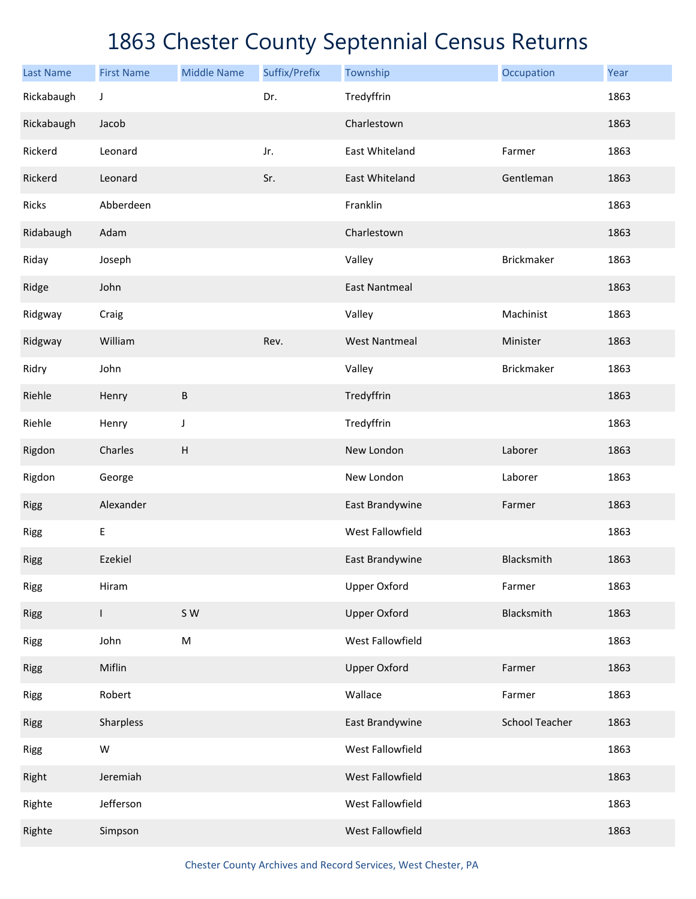| <b>Last Name</b> | <b>First Name</b> | <b>Middle Name</b> | Suffix/Prefix | Township             | Occupation            | Year |
|------------------|-------------------|--------------------|---------------|----------------------|-----------------------|------|
| Rickabaugh       | J                 |                    | Dr.           | Tredyffrin           |                       | 1863 |
| Rickabaugh       | Jacob             |                    |               | Charlestown          |                       | 1863 |
| Rickerd          | Leonard           |                    | Jr.           | East Whiteland       | Farmer                | 1863 |
| Rickerd          | Leonard           |                    | Sr.           | East Whiteland       | Gentleman             | 1863 |
| Ricks            | Abberdeen         |                    |               | Franklin             |                       | 1863 |
| Ridabaugh        | Adam              |                    |               | Charlestown          |                       | 1863 |
| Riday            | Joseph            |                    |               | Valley               | Brickmaker            | 1863 |
| Ridge            | John              |                    |               | <b>East Nantmeal</b> |                       | 1863 |
| Ridgway          | Craig             |                    |               | Valley               | Machinist             | 1863 |
| Ridgway          | William           |                    | Rev.          | <b>West Nantmeal</b> | Minister              | 1863 |
| Ridry            | John              |                    |               | Valley               | Brickmaker            | 1863 |
| Riehle           | Henry             | B                  |               | Tredyffrin           |                       | 1863 |
| Riehle           | Henry             | J                  |               | Tredyffrin           |                       | 1863 |
| Rigdon           | Charles           | H                  |               | New London           | Laborer               | 1863 |
| Rigdon           | George            |                    |               | New London           | Laborer               | 1863 |
| <b>Rigg</b>      | Alexander         |                    |               | East Brandywine      | Farmer                | 1863 |
| <b>Rigg</b>      | Ε                 |                    |               | West Fallowfield     |                       | 1863 |
| <b>Rigg</b>      | Ezekiel           |                    |               | East Brandywine      | Blacksmith            | 1863 |
| <b>Rigg</b>      | Hiram             |                    |               | <b>Upper Oxford</b>  | Farmer                | 1863 |
| <b>Rigg</b>      | $\mathsf{I}$      | S W                |               | <b>Upper Oxford</b>  | Blacksmith            | 1863 |
| <b>Rigg</b>      | John              | M                  |               | West Fallowfield     |                       | 1863 |
| <b>Rigg</b>      | Miflin            |                    |               | <b>Upper Oxford</b>  | Farmer                | 1863 |
| <b>Rigg</b>      | Robert            |                    |               | Wallace              | Farmer                | 1863 |
| <b>Rigg</b>      | Sharpless         |                    |               | East Brandywine      | <b>School Teacher</b> | 1863 |
| <b>Rigg</b>      | W                 |                    |               | West Fallowfield     |                       | 1863 |
| Right            | Jeremiah          |                    |               | West Fallowfield     |                       | 1863 |
| Righte           | Jefferson         |                    |               | West Fallowfield     |                       | 1863 |
| Righte           | Simpson           |                    |               | West Fallowfield     |                       | 1863 |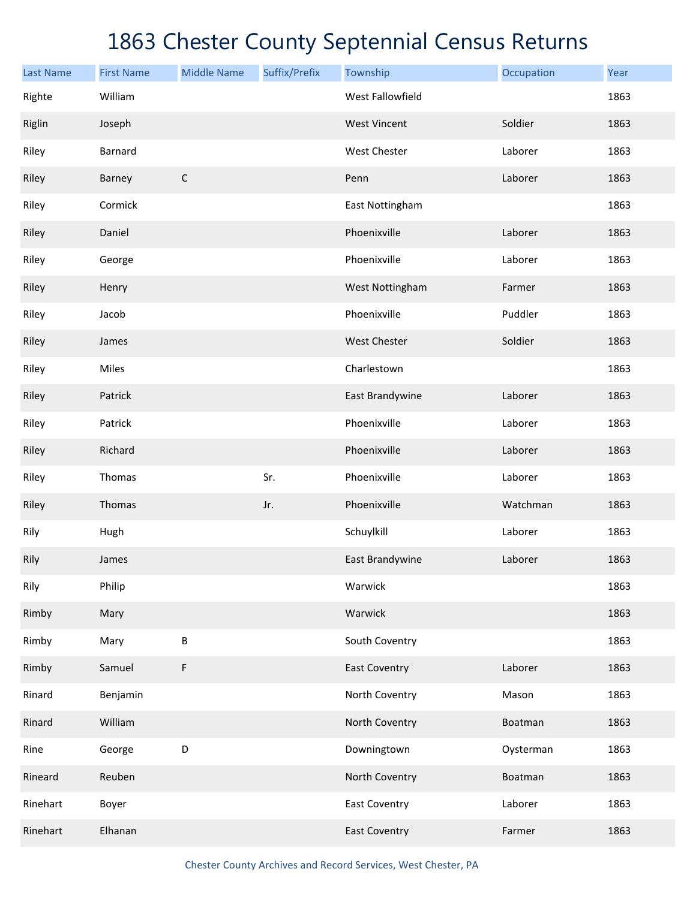| <b>Last Name</b> | <b>First Name</b> | <b>Middle Name</b> | Suffix/Prefix | Township                | Occupation | Year |
|------------------|-------------------|--------------------|---------------|-------------------------|------------|------|
| Righte           | William           |                    |               | <b>West Fallowfield</b> |            | 1863 |
| Riglin           | Joseph            |                    |               | <b>West Vincent</b>     | Soldier    | 1863 |
| Riley            | Barnard           |                    |               | West Chester            | Laborer    | 1863 |
| Riley            | Barney            | $\mathsf C$        |               | Penn                    | Laborer    | 1863 |
| Riley            | Cormick           |                    |               | East Nottingham         |            | 1863 |
| Riley            | Daniel            |                    |               | Phoenixville            | Laborer    | 1863 |
| Riley            | George            |                    |               | Phoenixville            | Laborer    | 1863 |
| Riley            | Henry             |                    |               | West Nottingham         | Farmer     | 1863 |
| Riley            | Jacob             |                    |               | Phoenixville            | Puddler    | 1863 |
| Riley            | James             |                    |               | <b>West Chester</b>     | Soldier    | 1863 |
| Riley            | Miles             |                    |               | Charlestown             |            | 1863 |
| Riley            | Patrick           |                    |               | East Brandywine         | Laborer    | 1863 |
| Riley            | Patrick           |                    |               | Phoenixville            | Laborer    | 1863 |
| Riley            | Richard           |                    |               | Phoenixville            | Laborer    | 1863 |
| Riley            | Thomas            |                    | Sr.           | Phoenixville            | Laborer    | 1863 |
| Riley            | Thomas            |                    | Jr.           | Phoenixville            | Watchman   | 1863 |
| Rily             | Hugh              |                    |               | Schuylkill              | Laborer    | 1863 |
| Rily             | James             |                    |               | East Brandywine         | Laborer    | 1863 |
| Rily             | Philip            |                    |               | Warwick                 |            | 1863 |
| Rimby            | Mary              |                    |               | Warwick                 |            | 1863 |
| Rimby            | Mary              | B                  |               | South Coventry          |            | 1863 |
| Rimby            | Samuel            | F                  |               | <b>East Coventry</b>    | Laborer    | 1863 |
| Rinard           | Benjamin          |                    |               | North Coventry          | Mason      | 1863 |
| Rinard           | William           |                    |               | North Coventry          | Boatman    | 1863 |
| Rine             | George            | D                  |               | Downingtown             | Oysterman  | 1863 |
| Rineard          | Reuben            |                    |               | North Coventry          | Boatman    | 1863 |
| Rinehart         | Boyer             |                    |               | <b>East Coventry</b>    | Laborer    | 1863 |
| Rinehart         | Elhanan           |                    |               | <b>East Coventry</b>    | Farmer     | 1863 |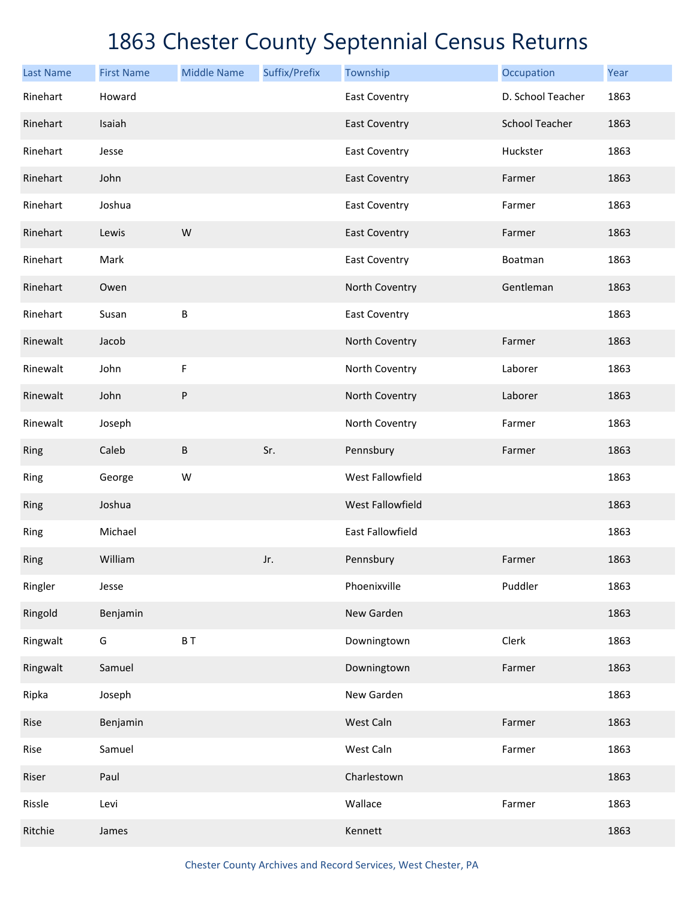| <b>Last Name</b> | <b>First Name</b> | <b>Middle Name</b> | Suffix/Prefix | Township                | Occupation            | Year |
|------------------|-------------------|--------------------|---------------|-------------------------|-----------------------|------|
| Rinehart         | Howard            |                    |               | <b>East Coventry</b>    | D. School Teacher     | 1863 |
| Rinehart         | Isaiah            |                    |               | <b>East Coventry</b>    | <b>School Teacher</b> | 1863 |
| Rinehart         | Jesse             |                    |               | <b>East Coventry</b>    | Huckster              | 1863 |
| Rinehart         | John              |                    |               | <b>East Coventry</b>    | Farmer                | 1863 |
| Rinehart         | Joshua            |                    |               | <b>East Coventry</b>    | Farmer                | 1863 |
| Rinehart         | Lewis             | W                  |               | <b>East Coventry</b>    | Farmer                | 1863 |
| Rinehart         | Mark              |                    |               | <b>East Coventry</b>    | Boatman               | 1863 |
| Rinehart         | Owen              |                    |               | North Coventry          | Gentleman             | 1863 |
| Rinehart         | Susan             | B                  |               | <b>East Coventry</b>    |                       | 1863 |
| Rinewalt         | Jacob             |                    |               | North Coventry          | Farmer                | 1863 |
| Rinewalt         | John              | F                  |               | North Coventry          | Laborer               | 1863 |
| Rinewalt         | John              | ${\sf P}$          |               | North Coventry          | Laborer               | 1863 |
| Rinewalt         | Joseph            |                    |               | North Coventry          | Farmer                | 1863 |
| Ring             | Caleb             | B                  | Sr.           | Pennsbury               | Farmer                | 1863 |
| Ring             | George            | W                  |               | West Fallowfield        |                       | 1863 |
| Ring             | Joshua            |                    |               | West Fallowfield        |                       | 1863 |
| Ring             | Michael           |                    |               | <b>East Fallowfield</b> |                       | 1863 |
| Ring             | William           |                    | Jr.           | Pennsbury               | Farmer                | 1863 |
| Ringler          | Jesse             |                    |               | Phoenixville            | Puddler               | 1863 |
| Ringold          | Benjamin          |                    |               | New Garden              |                       | 1863 |
| Ringwalt         | G                 | BT                 |               | Downingtown             | Clerk                 | 1863 |
| Ringwalt         | Samuel            |                    |               | Downingtown             | Farmer                | 1863 |
| Ripka            | Joseph            |                    |               | New Garden              |                       | 1863 |
| Rise             | Benjamin          |                    |               | West Caln               | Farmer                | 1863 |
| Rise             | Samuel            |                    |               | West Caln               | Farmer                | 1863 |
| Riser            | Paul              |                    |               | Charlestown             |                       | 1863 |
| Rissle           | Levi              |                    |               | Wallace                 | Farmer                | 1863 |
| Ritchie          | James             |                    |               | Kennett                 |                       | 1863 |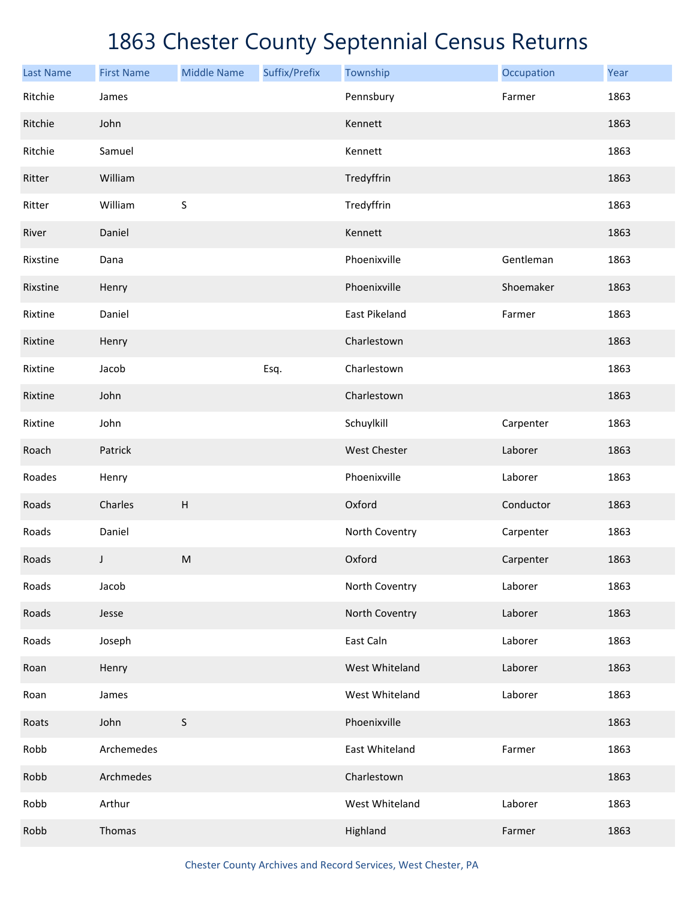| <b>Last Name</b> | <b>First Name</b> | <b>Middle Name</b>        | Suffix/Prefix | Township            | Occupation | Year |
|------------------|-------------------|---------------------------|---------------|---------------------|------------|------|
| Ritchie          | James             |                           |               | Pennsbury           | Farmer     | 1863 |
| Ritchie          | John              |                           |               | Kennett             |            | 1863 |
| Ritchie          | Samuel            |                           |               | Kennett             |            | 1863 |
| Ritter           | William           |                           |               | Tredyffrin          |            | 1863 |
| Ritter           | William           | $\sf S$                   |               | Tredyffrin          |            | 1863 |
| River            | Daniel            |                           |               | Kennett             |            | 1863 |
| Rixstine         | Dana              |                           |               | Phoenixville        | Gentleman  | 1863 |
| Rixstine         | Henry             |                           |               | Phoenixville        | Shoemaker  | 1863 |
| Rixtine          | Daniel            |                           |               | East Pikeland       | Farmer     | 1863 |
| Rixtine          | Henry             |                           |               | Charlestown         |            | 1863 |
| Rixtine          | Jacob             |                           | Esq.          | Charlestown         |            | 1863 |
| Rixtine          | John              |                           |               | Charlestown         |            | 1863 |
| Rixtine          | John              |                           |               | Schuylkill          | Carpenter  | 1863 |
| Roach            | Patrick           |                           |               | <b>West Chester</b> | Laborer    | 1863 |
| Roades           | Henry             |                           |               | Phoenixville        | Laborer    | 1863 |
| Roads            | Charles           | $\boldsymbol{\mathsf{H}}$ |               | Oxford              | Conductor  | 1863 |
| Roads            | Daniel            |                           |               | North Coventry      | Carpenter  | 1863 |
| Roads            | J                 | ${\sf M}$                 |               | Oxford              | Carpenter  | 1863 |
| Roads            | Jacob             |                           |               | North Coventry      | Laborer    | 1863 |
| Roads            | Jesse             |                           |               | North Coventry      | Laborer    | 1863 |
| Roads            | Joseph            |                           |               | East Caln           | Laborer    | 1863 |
| Roan             | Henry             |                           |               | West Whiteland      | Laborer    | 1863 |
| Roan             | James             |                           |               | West Whiteland      | Laborer    | 1863 |
| Roats            | John              | $\sf S$                   |               | Phoenixville        |            | 1863 |
| Robb             | Archemedes        |                           |               | East Whiteland      | Farmer     | 1863 |
| Robb             | Archmedes         |                           |               | Charlestown         |            | 1863 |
| Robb             | Arthur            |                           |               | West Whiteland      | Laborer    | 1863 |
| Robb             | Thomas            |                           |               | Highland            | Farmer     | 1863 |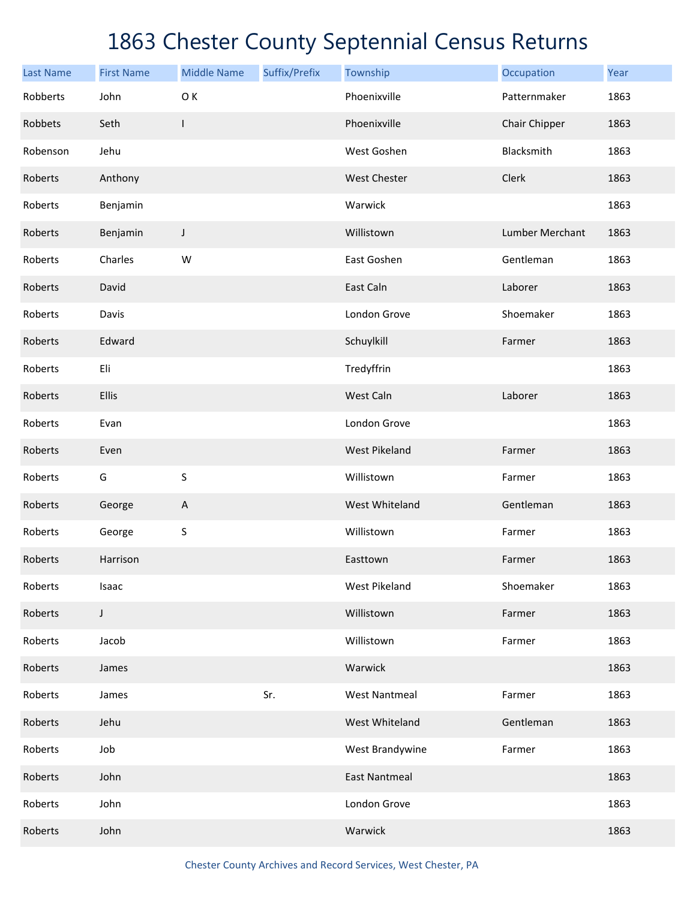| <b>Last Name</b> | <b>First Name</b> | <b>Middle Name</b>        | Suffix/Prefix | Township             | Occupation      | Year |
|------------------|-------------------|---------------------------|---------------|----------------------|-----------------|------|
| Robberts         | John              | O K                       |               | Phoenixville         | Patternmaker    | 1863 |
| Robbets          | Seth              | $\mathsf{l}$              |               | Phoenixville         | Chair Chipper   | 1863 |
| Robenson         | Jehu              |                           |               | West Goshen          | Blacksmith      | 1863 |
| Roberts          | Anthony           |                           |               | <b>West Chester</b>  | Clerk           | 1863 |
| Roberts          | Benjamin          |                           |               | Warwick              |                 | 1863 |
| Roberts          | Benjamin          | J                         |               | Willistown           | Lumber Merchant | 1863 |
| Roberts          | Charles           | W                         |               | East Goshen          | Gentleman       | 1863 |
| Roberts          | David             |                           |               | East Caln            | Laborer         | 1863 |
| Roberts          | Davis             |                           |               | London Grove         | Shoemaker       | 1863 |
| Roberts          | Edward            |                           |               | Schuylkill           | Farmer          | 1863 |
| Roberts          | Eli               |                           |               | Tredyffrin           |                 | 1863 |
| Roberts          | Ellis             |                           |               | West Caln            | Laborer         | 1863 |
| Roberts          | Evan              |                           |               | London Grove         |                 | 1863 |
| Roberts          | Even              |                           |               | <b>West Pikeland</b> | Farmer          | 1863 |
| Roberts          | G                 | $\sf S$                   |               | Willistown           | Farmer          | 1863 |
| Roberts          | George            | $\boldsymbol{\mathsf{A}}$ |               | West Whiteland       | Gentleman       | 1863 |
| Roberts          | George            | $\sf S$                   |               | Willistown           | Farmer          | 1863 |
| Roberts          | Harrison          |                           |               | Easttown             | Farmer          | 1863 |
| Roberts          | Isaac             |                           |               | West Pikeland        | Shoemaker       | 1863 |
| Roberts          | $\mathsf J$       |                           |               | Willistown           | Farmer          | 1863 |
| Roberts          | Jacob             |                           |               | Willistown           | Farmer          | 1863 |
| Roberts          | James             |                           |               | Warwick              |                 | 1863 |
| Roberts          | James             |                           | Sr.           | <b>West Nantmeal</b> | Farmer          | 1863 |
| Roberts          | Jehu              |                           |               | West Whiteland       | Gentleman       | 1863 |
| Roberts          | Job               |                           |               | West Brandywine      | Farmer          | 1863 |
| Roberts          | John              |                           |               | <b>East Nantmeal</b> |                 | 1863 |
| Roberts          | John              |                           |               | London Grove         |                 | 1863 |
| Roberts          | John              |                           |               | Warwick              |                 | 1863 |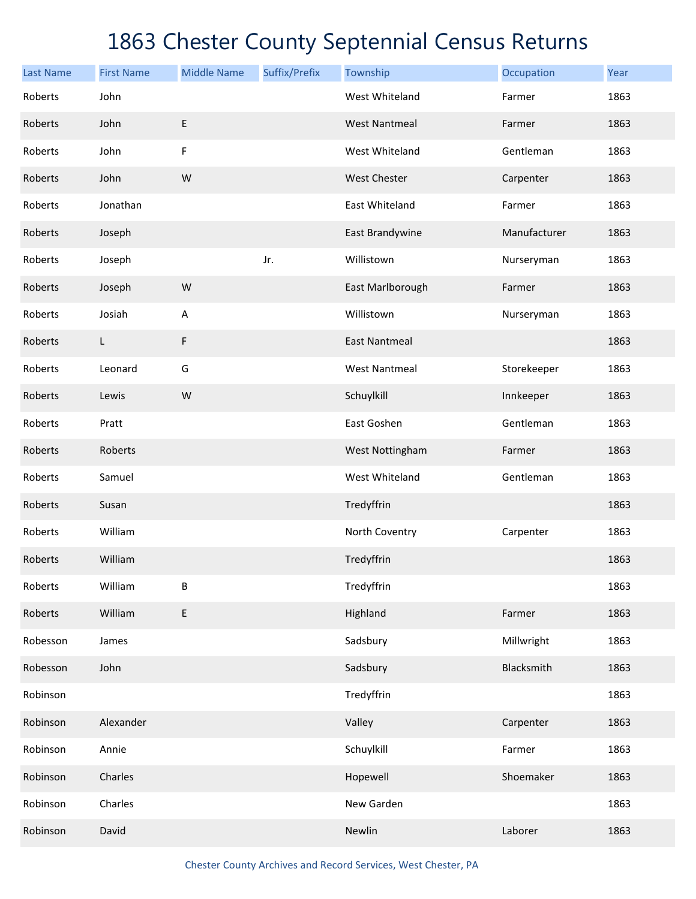| <b>Last Name</b> | <b>First Name</b> | <b>Middle Name</b> | Suffix/Prefix | Township             | Occupation   | Year |
|------------------|-------------------|--------------------|---------------|----------------------|--------------|------|
| Roberts          | John              |                    |               | West Whiteland       | Farmer       | 1863 |
| Roberts          | John              | E                  |               | <b>West Nantmeal</b> | Farmer       | 1863 |
| Roberts          | John              | F                  |               | West Whiteland       | Gentleman    | 1863 |
| Roberts          | John              | W                  |               | <b>West Chester</b>  | Carpenter    | 1863 |
| Roberts          | Jonathan          |                    |               | East Whiteland       | Farmer       | 1863 |
| Roberts          | Joseph            |                    |               | East Brandywine      | Manufacturer | 1863 |
| Roberts          | Joseph            |                    | Jr.           | Willistown           | Nurseryman   | 1863 |
| Roberts          | Joseph            | W                  |               | East Marlborough     | Farmer       | 1863 |
| Roberts          | Josiah            | A                  |               | Willistown           | Nurseryman   | 1863 |
| Roberts          | L                 | F                  |               | <b>East Nantmeal</b> |              | 1863 |
| Roberts          | Leonard           | G                  |               | <b>West Nantmeal</b> | Storekeeper  | 1863 |
| Roberts          | Lewis             | ${\sf W}$          |               | Schuylkill           | Innkeeper    | 1863 |
| Roberts          | Pratt             |                    |               | East Goshen          | Gentleman    | 1863 |
| Roberts          | Roberts           |                    |               | West Nottingham      | Farmer       | 1863 |
| Roberts          | Samuel            |                    |               | West Whiteland       | Gentleman    | 1863 |
| Roberts          | Susan             |                    |               | Tredyffrin           |              | 1863 |
| Roberts          | William           |                    |               | North Coventry       | Carpenter    | 1863 |
| Roberts          | William           |                    |               | Tredyffrin           |              | 1863 |
| Roberts          | William           | B                  |               | Tredyffrin           |              | 1863 |
| Roberts          | William           | E                  |               | Highland             | Farmer       | 1863 |
| Robesson         | James             |                    |               | Sadsbury             | Millwright   | 1863 |
| Robesson         | John              |                    |               | Sadsbury             | Blacksmith   | 1863 |
| Robinson         |                   |                    |               | Tredyffrin           |              | 1863 |
| Robinson         | Alexander         |                    |               | Valley               | Carpenter    | 1863 |
| Robinson         | Annie             |                    |               | Schuylkill           | Farmer       | 1863 |
| Robinson         | Charles           |                    |               | Hopewell             | Shoemaker    | 1863 |
| Robinson         | Charles           |                    |               | New Garden           |              | 1863 |
| Robinson         | David             |                    |               | Newlin               | Laborer      | 1863 |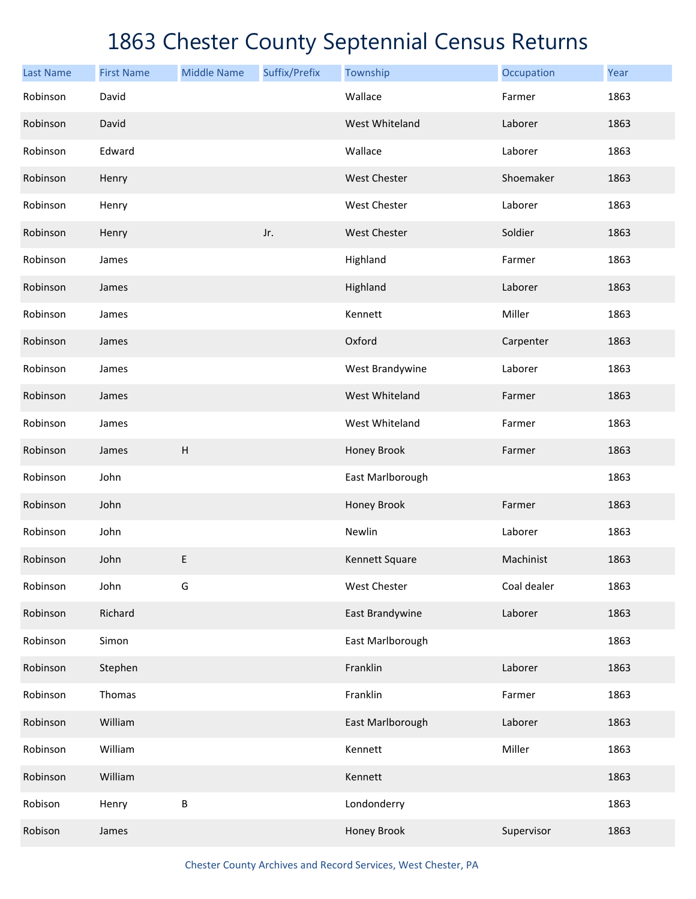| <b>Last Name</b> | <b>First Name</b> | <b>Middle Name</b> | Suffix/Prefix | Township         | Occupation  | Year |
|------------------|-------------------|--------------------|---------------|------------------|-------------|------|
| Robinson         | David             |                    |               | Wallace          | Farmer      | 1863 |
| Robinson         | David             |                    |               | West Whiteland   | Laborer     | 1863 |
| Robinson         | Edward            |                    |               | Wallace          | Laborer     | 1863 |
| Robinson         | Henry             |                    |               | West Chester     | Shoemaker   | 1863 |
| Robinson         | Henry             |                    |               | West Chester     | Laborer     | 1863 |
| Robinson         | Henry             |                    | Jr.           | West Chester     | Soldier     | 1863 |
| Robinson         | James             |                    |               | Highland         | Farmer      | 1863 |
| Robinson         | James             |                    |               | Highland         | Laborer     | 1863 |
| Robinson         | James             |                    |               | Kennett          | Miller      | 1863 |
| Robinson         | James             |                    |               | Oxford           | Carpenter   | 1863 |
| Robinson         | James             |                    |               | West Brandywine  | Laborer     | 1863 |
| Robinson         | James             |                    |               | West Whiteland   | Farmer      | 1863 |
| Robinson         | James             |                    |               | West Whiteland   | Farmer      | 1863 |
| Robinson         | James             | $\mathsf H$        |               | Honey Brook      | Farmer      | 1863 |
| Robinson         | John              |                    |               | East Marlborough |             | 1863 |
| Robinson         | John              |                    |               | Honey Brook      | Farmer      | 1863 |
| Robinson         | John              |                    |               | Newlin           | Laborer     | 1863 |
| Robinson         | John              | E                  |               | Kennett Square   | Machinist   | 1863 |
| Robinson         | John              | G                  |               | West Chester     | Coal dealer | 1863 |
| Robinson         | Richard           |                    |               | East Brandywine  | Laborer     | 1863 |
| Robinson         | Simon             |                    |               | East Marlborough |             | 1863 |
| Robinson         | Stephen           |                    |               | Franklin         | Laborer     | 1863 |
| Robinson         | Thomas            |                    |               | Franklin         | Farmer      | 1863 |
| Robinson         | William           |                    |               | East Marlborough | Laborer     | 1863 |
| Robinson         | William           |                    |               | Kennett          | Miller      | 1863 |
| Robinson         | William           |                    |               | Kennett          |             | 1863 |
| Robison          | Henry             | $\sf B$            |               | Londonderry      |             | 1863 |
| Robison          | James             |                    |               | Honey Brook      | Supervisor  | 1863 |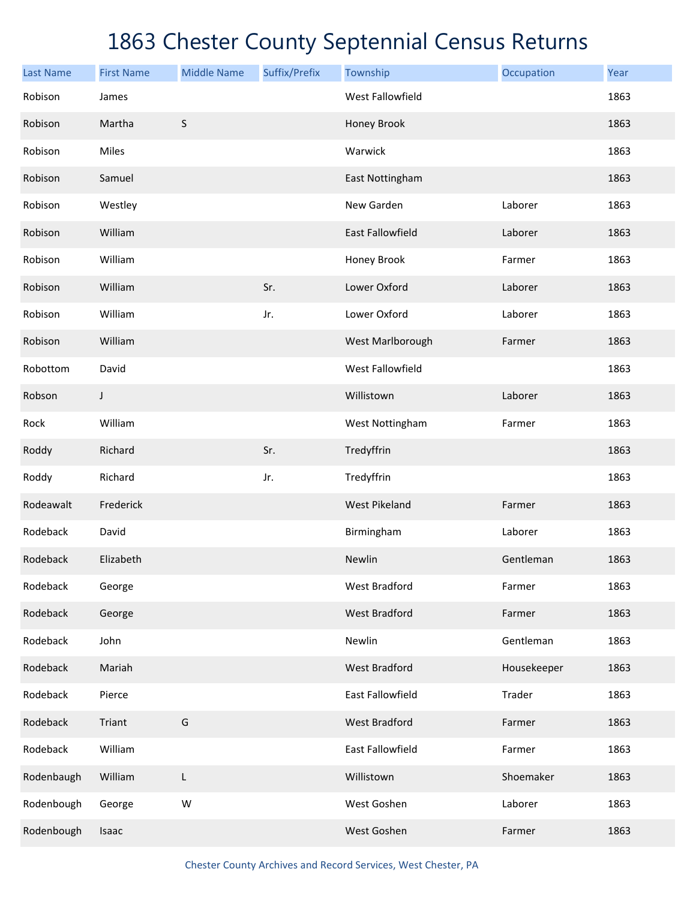| <b>Last Name</b> | <b>First Name</b> | <b>Middle Name</b> | Suffix/Prefix | Township                | Occupation  | Year |
|------------------|-------------------|--------------------|---------------|-------------------------|-------------|------|
| Robison          | James             |                    |               | <b>West Fallowfield</b> |             | 1863 |
| Robison          | Martha            | $\sf S$            |               | Honey Brook             |             | 1863 |
| Robison          | Miles             |                    |               | Warwick                 |             | 1863 |
| Robison          | Samuel            |                    |               | East Nottingham         |             | 1863 |
| Robison          | Westley           |                    |               | New Garden              | Laborer     | 1863 |
| Robison          | William           |                    |               | <b>East Fallowfield</b> | Laborer     | 1863 |
| Robison          | William           |                    |               | Honey Brook             | Farmer      | 1863 |
| Robison          | William           |                    | Sr.           | Lower Oxford            | Laborer     | 1863 |
| Robison          | William           |                    | Jr.           | Lower Oxford            | Laborer     | 1863 |
| Robison          | William           |                    |               | West Marlborough        | Farmer      | 1863 |
| Robottom         | David             |                    |               | West Fallowfield        |             | 1863 |
| Robson           | J                 |                    |               | Willistown              | Laborer     | 1863 |
| Rock             | William           |                    |               | West Nottingham         | Farmer      | 1863 |
| Roddy            | Richard           |                    | Sr.           | Tredyffrin              |             | 1863 |
| Roddy            | Richard           |                    | Jr.           | Tredyffrin              |             | 1863 |
| Rodeawalt        | Frederick         |                    |               | <b>West Pikeland</b>    | Farmer      | 1863 |
| Rodeback         | David             |                    |               | Birmingham              | Laborer     | 1863 |
| Rodeback         | Elizabeth         |                    |               | Newlin                  | Gentleman   | 1863 |
| Rodeback         | George            |                    |               | <b>West Bradford</b>    | Farmer      | 1863 |
| Rodeback         | George            |                    |               | <b>West Bradford</b>    | Farmer      | 1863 |
| Rodeback         | John              |                    |               | Newlin                  | Gentleman   | 1863 |
| Rodeback         | Mariah            |                    |               | <b>West Bradford</b>    | Housekeeper | 1863 |
| Rodeback         | Pierce            |                    |               | East Fallowfield        | Trader      | 1863 |
| Rodeback         | Triant            | G                  |               | <b>West Bradford</b>    | Farmer      | 1863 |
| Rodeback         | William           |                    |               | East Fallowfield        | Farmer      | 1863 |
| Rodenbaugh       | William           | L                  |               | Willistown              | Shoemaker   | 1863 |
| Rodenbough       | George            | W                  |               | West Goshen             | Laborer     | 1863 |
| Rodenbough       | Isaac             |                    |               | West Goshen             | Farmer      | 1863 |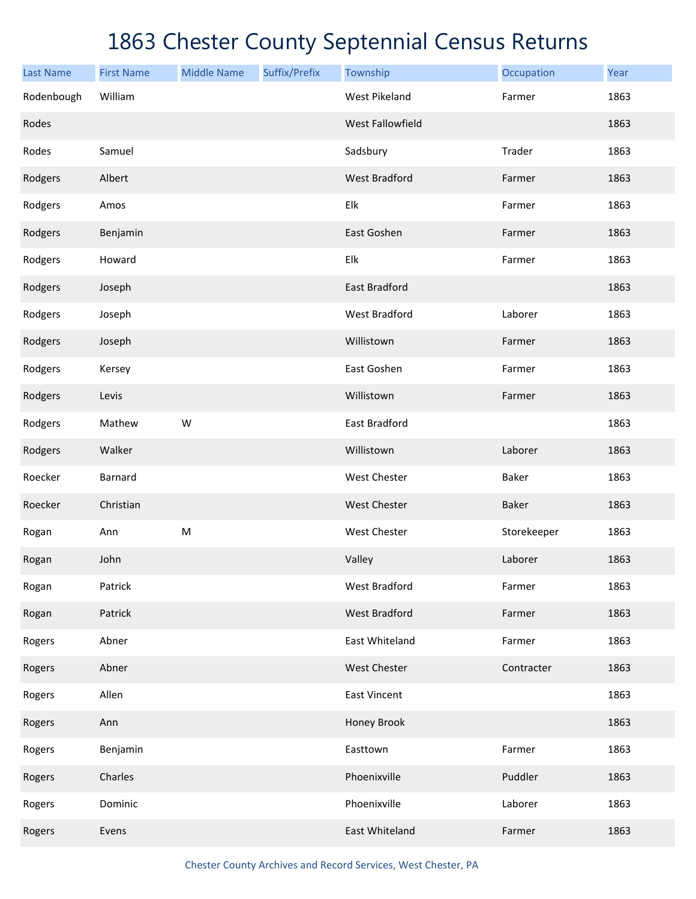| <b>Last Name</b> | <b>First Name</b> | <b>Middle Name</b> | Suffix/Prefix | Township             | Occupation  | Year |
|------------------|-------------------|--------------------|---------------|----------------------|-------------|------|
| Rodenbough       | William           |                    |               | <b>West Pikeland</b> | Farmer      | 1863 |
| Rodes            |                   |                    |               | West Fallowfield     |             | 1863 |
| Rodes            | Samuel            |                    |               | Sadsbury             | Trader      | 1863 |
| Rodgers          | Albert            |                    |               | <b>West Bradford</b> | Farmer      | 1863 |
| Rodgers          | Amos              |                    |               | Elk                  | Farmer      | 1863 |
| Rodgers          | Benjamin          |                    |               | East Goshen          | Farmer      | 1863 |
| Rodgers          | Howard            |                    |               | Elk                  | Farmer      | 1863 |
| Rodgers          | Joseph            |                    |               | East Bradford        |             | 1863 |
| Rodgers          | Joseph            |                    |               | West Bradford        | Laborer     | 1863 |
| Rodgers          | Joseph            |                    |               | Willistown           | Farmer      | 1863 |
| Rodgers          | Kersey            |                    |               | East Goshen          | Farmer      | 1863 |
| Rodgers          | Levis             |                    |               | Willistown           | Farmer      | 1863 |
| Rodgers          | Mathew            | W                  |               | East Bradford        |             | 1863 |
| Rodgers          | Walker            |                    |               | Willistown           | Laborer     | 1863 |
| Roecker          | Barnard           |                    |               | West Chester         | Baker       | 1863 |
| Roecker          | Christian         |                    |               | West Chester         | Baker       | 1863 |
| Rogan            | Ann               | ${\sf M}$          |               | West Chester         | Storekeeper | 1863 |
| Rogan            | John              |                    |               | Valley               | Laborer     | 1863 |
| Rogan            | Patrick           |                    |               | West Bradford        | Farmer      | 1863 |
| Rogan            | Patrick           |                    |               | <b>West Bradford</b> | Farmer      | 1863 |
| Rogers           | Abner             |                    |               | East Whiteland       | Farmer      | 1863 |
| Rogers           | Abner             |                    |               | West Chester         | Contracter  | 1863 |
| Rogers           | Allen             |                    |               | <b>East Vincent</b>  |             | 1863 |
| Rogers           | Ann               |                    |               | Honey Brook          |             | 1863 |
| Rogers           | Benjamin          |                    |               | Easttown             | Farmer      | 1863 |
| Rogers           | Charles           |                    |               | Phoenixville         | Puddler     | 1863 |
| Rogers           | Dominic           |                    |               | Phoenixville         | Laborer     | 1863 |
| Rogers           | Evens             |                    |               | East Whiteland       | Farmer      | 1863 |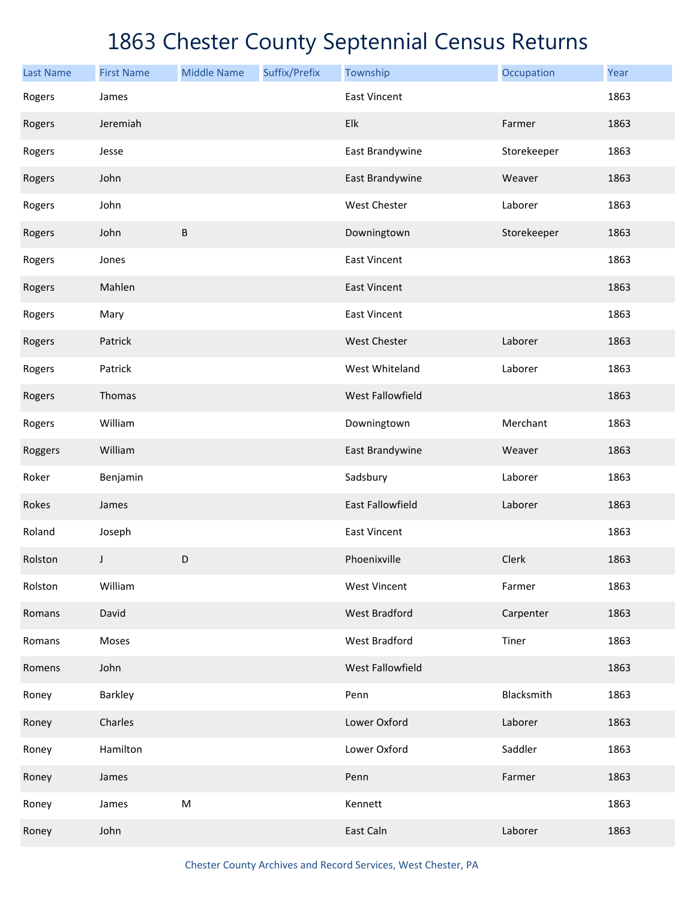| <b>Last Name</b> | <b>First Name</b> | <b>Middle Name</b> | Suffix/Prefix | Township                | Occupation  | Year |
|------------------|-------------------|--------------------|---------------|-------------------------|-------------|------|
| Rogers           | James             |                    |               | <b>East Vincent</b>     |             | 1863 |
| Rogers           | Jeremiah          |                    |               | Elk                     | Farmer      | 1863 |
| Rogers           | Jesse             |                    |               | East Brandywine         | Storekeeper | 1863 |
| Rogers           | John              |                    |               | East Brandywine         | Weaver      | 1863 |
| Rogers           | John              |                    |               | West Chester            | Laborer     | 1863 |
| Rogers           | John              | $\sf B$            |               | Downingtown             | Storekeeper | 1863 |
| Rogers           | Jones             |                    |               | <b>East Vincent</b>     |             | 1863 |
| Rogers           | Mahlen            |                    |               | <b>East Vincent</b>     |             | 1863 |
| Rogers           | Mary              |                    |               | <b>East Vincent</b>     |             | 1863 |
| Rogers           | Patrick           |                    |               | West Chester            | Laborer     | 1863 |
| Rogers           | Patrick           |                    |               | West Whiteland          | Laborer     | 1863 |
| Rogers           | Thomas            |                    |               | West Fallowfield        |             | 1863 |
| Rogers           | William           |                    |               | Downingtown             | Merchant    | 1863 |
| Roggers          | William           |                    |               | East Brandywine         | Weaver      | 1863 |
| Roker            | Benjamin          |                    |               | Sadsbury                | Laborer     | 1863 |
| Rokes            | James             |                    |               | <b>East Fallowfield</b> | Laborer     | 1863 |
| Roland           | Joseph            |                    |               | <b>East Vincent</b>     |             | 1863 |
| Rolston          | J                 | $\mathsf D$        |               | Phoenixville            | Clerk       | 1863 |
| Rolston          | William           |                    |               | <b>West Vincent</b>     | Farmer      | 1863 |
| Romans           | David             |                    |               | <b>West Bradford</b>    | Carpenter   | 1863 |
| Romans           | Moses             |                    |               | West Bradford           | Tiner       | 1863 |
| Romens           | John              |                    |               | West Fallowfield        |             | 1863 |
| Roney            | Barkley           |                    |               | Penn                    | Blacksmith  | 1863 |
| Roney            | Charles           |                    |               | Lower Oxford            | Laborer     | 1863 |
| Roney            | Hamilton          |                    |               | Lower Oxford            | Saddler     | 1863 |
| Roney            | James             |                    |               | Penn                    | Farmer      | 1863 |
| Roney            | James             | M                  |               | Kennett                 |             | 1863 |
| Roney            | John              |                    |               | East Caln               | Laborer     | 1863 |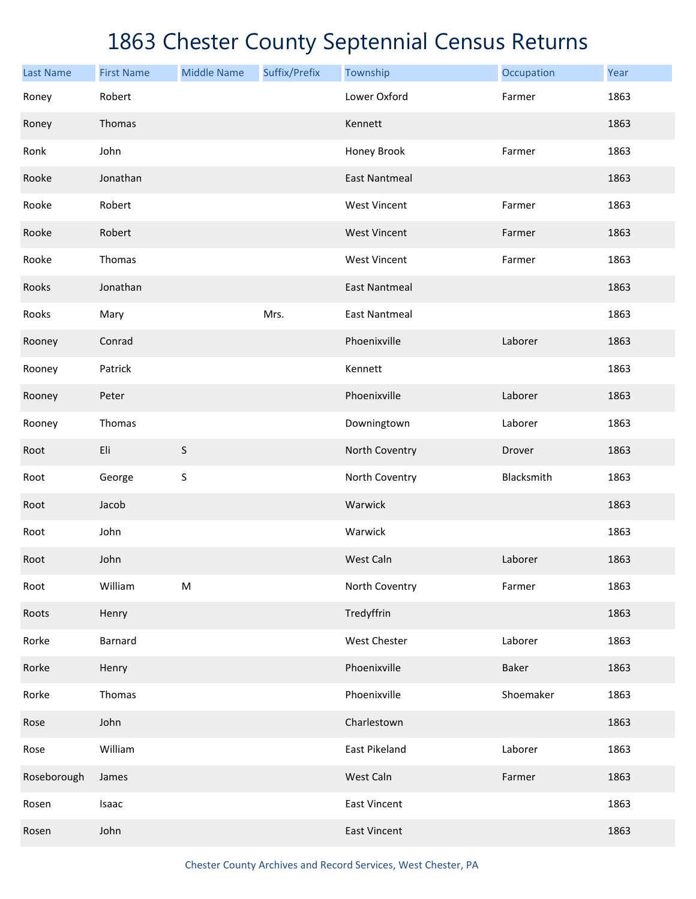| <b>Last Name</b> | <b>First Name</b> | <b>Middle Name</b> | Suffix/Prefix | Township             | Occupation | Year |
|------------------|-------------------|--------------------|---------------|----------------------|------------|------|
| Roney            | Robert            |                    |               | Lower Oxford         | Farmer     | 1863 |
| Roney            | Thomas            |                    |               | Kennett              |            | 1863 |
| Ronk             | John              |                    |               | Honey Brook          | Farmer     | 1863 |
| Rooke            | Jonathan          |                    |               | <b>East Nantmeal</b> |            | 1863 |
| Rooke            | Robert            |                    |               | <b>West Vincent</b>  | Farmer     | 1863 |
| Rooke            | Robert            |                    |               | <b>West Vincent</b>  | Farmer     | 1863 |
| Rooke            | Thomas            |                    |               | <b>West Vincent</b>  | Farmer     | 1863 |
| Rooks            | Jonathan          |                    |               | <b>East Nantmeal</b> |            | 1863 |
| Rooks            | Mary              |                    | Mrs.          | <b>East Nantmeal</b> |            | 1863 |
| Rooney           | Conrad            |                    |               | Phoenixville         | Laborer    | 1863 |
| Rooney           | Patrick           |                    |               | Kennett              |            | 1863 |
| Rooney           | Peter             |                    |               | Phoenixville         | Laborer    | 1863 |
| Rooney           | Thomas            |                    |               | Downingtown          | Laborer    | 1863 |
| Root             | Eli               | $\sf S$            |               | North Coventry       | Drover     | 1863 |
| Root             | George            | S                  |               | North Coventry       | Blacksmith | 1863 |
| Root             | Jacob             |                    |               | Warwick              |            | 1863 |
| Root             | John              |                    |               | Warwick              |            | 1863 |
| Root             | John              |                    |               | West Caln            | Laborer    | 1863 |
| Root             | William           | M                  |               | North Coventry       | Farmer     | 1863 |
| Roots            | Henry             |                    |               | Tredyffrin           |            | 1863 |
| Rorke            | <b>Barnard</b>    |                    |               | West Chester         | Laborer    | 1863 |
| Rorke            | Henry             |                    |               | Phoenixville         | Baker      | 1863 |
| Rorke            | Thomas            |                    |               | Phoenixville         | Shoemaker  | 1863 |
| Rose             | John              |                    |               | Charlestown          |            | 1863 |
| Rose             | William           |                    |               | East Pikeland        | Laborer    | 1863 |
| Roseborough      | James             |                    |               | West Caln            | Farmer     | 1863 |
| Rosen            | Isaac             |                    |               | East Vincent         |            | 1863 |
| Rosen            | John              |                    |               | <b>East Vincent</b>  |            | 1863 |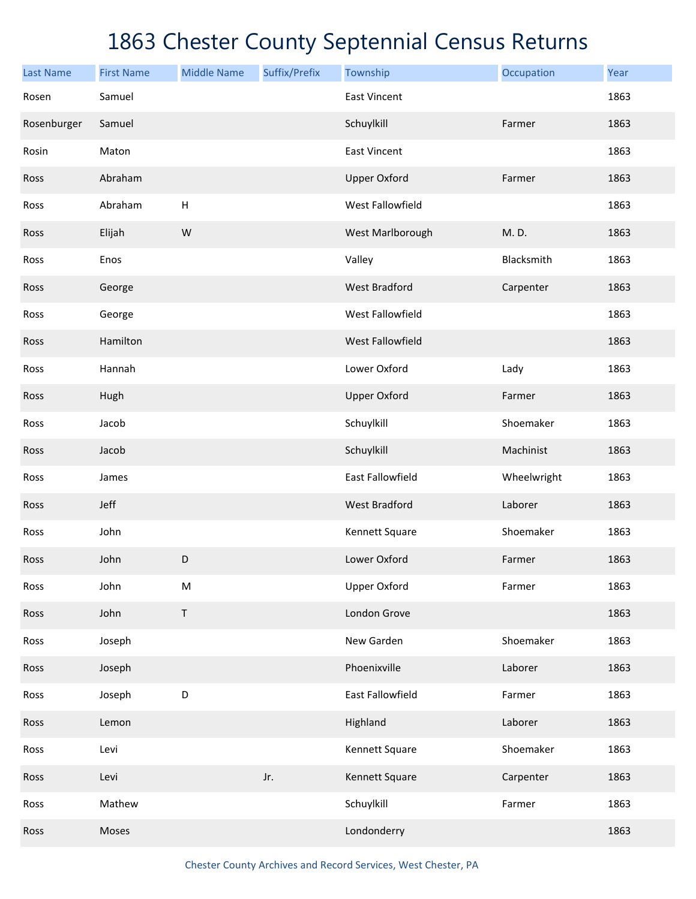| <b>Last Name</b> | <b>First Name</b> | <b>Middle Name</b> | Suffix/Prefix | Township             | Occupation  | Year |
|------------------|-------------------|--------------------|---------------|----------------------|-------------|------|
| Rosen            | Samuel            |                    |               | <b>East Vincent</b>  |             | 1863 |
| Rosenburger      | Samuel            |                    |               | Schuylkill           | Farmer      | 1863 |
| Rosin            | Maton             |                    |               | <b>East Vincent</b>  |             | 1863 |
| Ross             | Abraham           |                    |               | <b>Upper Oxford</b>  | Farmer      | 1863 |
| Ross             | Abraham           | H                  |               | West Fallowfield     |             | 1863 |
| Ross             | Elijah            | ${\sf W}$          |               | West Marlborough     | M.D.        | 1863 |
| Ross             | Enos              |                    |               | Valley               | Blacksmith  | 1863 |
| Ross             | George            |                    |               | <b>West Bradford</b> | Carpenter   | 1863 |
| Ross             | George            |                    |               | West Fallowfield     |             | 1863 |
| Ross             | Hamilton          |                    |               | West Fallowfield     |             | 1863 |
| Ross             | Hannah            |                    |               | Lower Oxford         | Lady        | 1863 |
| Ross             | Hugh              |                    |               | <b>Upper Oxford</b>  | Farmer      | 1863 |
| Ross             | Jacob             |                    |               | Schuylkill           | Shoemaker   | 1863 |
| Ross             | Jacob             |                    |               | Schuylkill           | Machinist   | 1863 |
| Ross             | James             |                    |               | East Fallowfield     | Wheelwright | 1863 |
| Ross             | Jeff              |                    |               | <b>West Bradford</b> | Laborer     | 1863 |
| Ross             | John              |                    |               | Kennett Square       | Shoemaker   | 1863 |
| Ross             | John              | D                  |               | Lower Oxford         | Farmer      | 1863 |
| Ross             | John              | ${\sf M}$          |               | <b>Upper Oxford</b>  | Farmer      | 1863 |
| Ross             | John              | $\sf T$            |               | London Grove         |             | 1863 |
| Ross             | Joseph            |                    |               | New Garden           | Shoemaker   | 1863 |
| Ross             | Joseph            |                    |               | Phoenixville         | Laborer     | 1863 |
| Ross             | Joseph            | D                  |               | East Fallowfield     | Farmer      | 1863 |
| Ross             | Lemon             |                    |               | Highland             | Laborer     | 1863 |
| Ross             | Levi              |                    |               | Kennett Square       | Shoemaker   | 1863 |
| Ross             | Levi              |                    | Jr.           | Kennett Square       | Carpenter   | 1863 |
| Ross             | Mathew            |                    |               | Schuylkill           | Farmer      | 1863 |
| Ross             | Moses             |                    |               | Londonderry          |             | 1863 |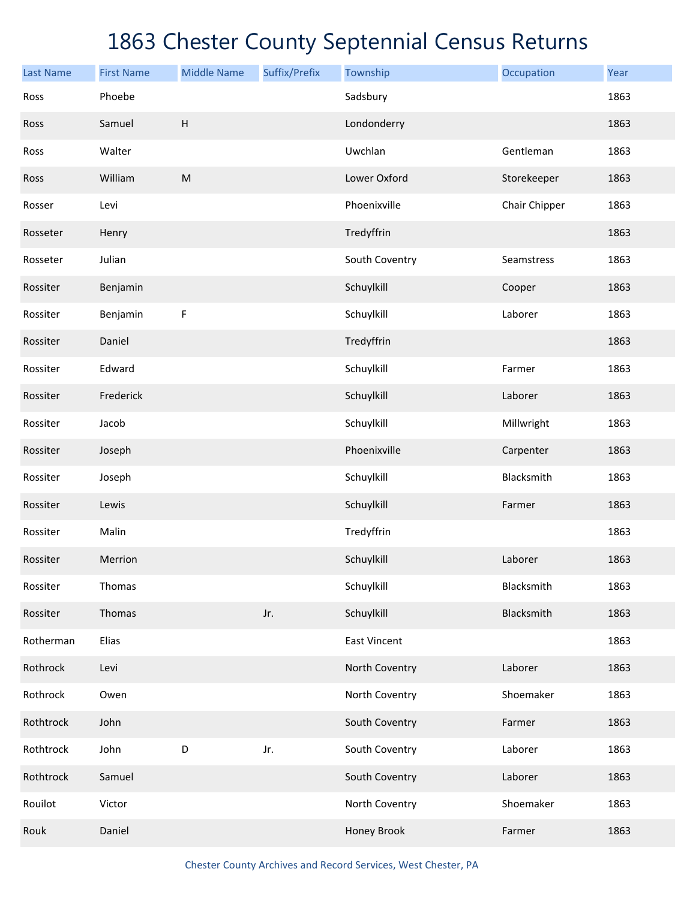| <b>Last Name</b> | <b>First Name</b> | <b>Middle Name</b>                                                                                         | Suffix/Prefix | Township            | Occupation    | Year |
|------------------|-------------------|------------------------------------------------------------------------------------------------------------|---------------|---------------------|---------------|------|
| Ross             | Phoebe            |                                                                                                            |               | Sadsbury            |               | 1863 |
| Ross             | Samuel            | $\boldsymbol{\mathsf{H}}$                                                                                  |               | Londonderry         |               | 1863 |
| Ross             | Walter            |                                                                                                            |               | Uwchlan             | Gentleman     | 1863 |
| Ross             | William           | $\mathsf{M}% _{T}=\mathsf{M}_{T}\!\left( a,b\right) ,\ \mathsf{M}_{T}=\mathsf{M}_{T}\!\left( a,b\right) ,$ |               | Lower Oxford        | Storekeeper   | 1863 |
| Rosser           | Levi              |                                                                                                            |               | Phoenixville        | Chair Chipper | 1863 |
| Rosseter         | Henry             |                                                                                                            |               | Tredyffrin          |               | 1863 |
| Rosseter         | Julian            |                                                                                                            |               | South Coventry      | Seamstress    | 1863 |
| Rossiter         | Benjamin          |                                                                                                            |               | Schuylkill          | Cooper        | 1863 |
| Rossiter         | Benjamin          | $\mathsf F$                                                                                                |               | Schuylkill          | Laborer       | 1863 |
| Rossiter         | Daniel            |                                                                                                            |               | Tredyffrin          |               | 1863 |
| Rossiter         | Edward            |                                                                                                            |               | Schuylkill          | Farmer        | 1863 |
| Rossiter         | Frederick         |                                                                                                            |               | Schuylkill          | Laborer       | 1863 |
| Rossiter         | Jacob             |                                                                                                            |               | Schuylkill          | Millwright    | 1863 |
| Rossiter         | Joseph            |                                                                                                            |               | Phoenixville        | Carpenter     | 1863 |
| Rossiter         | Joseph            |                                                                                                            |               | Schuylkill          | Blacksmith    | 1863 |
| Rossiter         | Lewis             |                                                                                                            |               | Schuylkill          | Farmer        | 1863 |
| Rossiter         | Malin             |                                                                                                            |               | Tredyffrin          |               | 1863 |
| Rossiter         | Merrion           |                                                                                                            |               | Schuylkill          | Laborer       | 1863 |
| Rossiter         | Thomas            |                                                                                                            |               | Schuylkill          | Blacksmith    | 1863 |
| Rossiter         | Thomas            |                                                                                                            | Jr.           | Schuylkill          | Blacksmith    | 1863 |
| Rotherman        | Elias             |                                                                                                            |               | <b>East Vincent</b> |               | 1863 |
| Rothrock         | Levi              |                                                                                                            |               | North Coventry      | Laborer       | 1863 |
| Rothrock         | Owen              |                                                                                                            |               | North Coventry      | Shoemaker     | 1863 |
| Rothtrock        | John              |                                                                                                            |               | South Coventry      | Farmer        | 1863 |
| Rothtrock        | John              | $\mathsf D$                                                                                                | Jr.           | South Coventry      | Laborer       | 1863 |
| Rothtrock        | Samuel            |                                                                                                            |               | South Coventry      | Laborer       | 1863 |
| Rouilot          | Victor            |                                                                                                            |               | North Coventry      | Shoemaker     | 1863 |
| Rouk             | Daniel            |                                                                                                            |               | Honey Brook         | Farmer        | 1863 |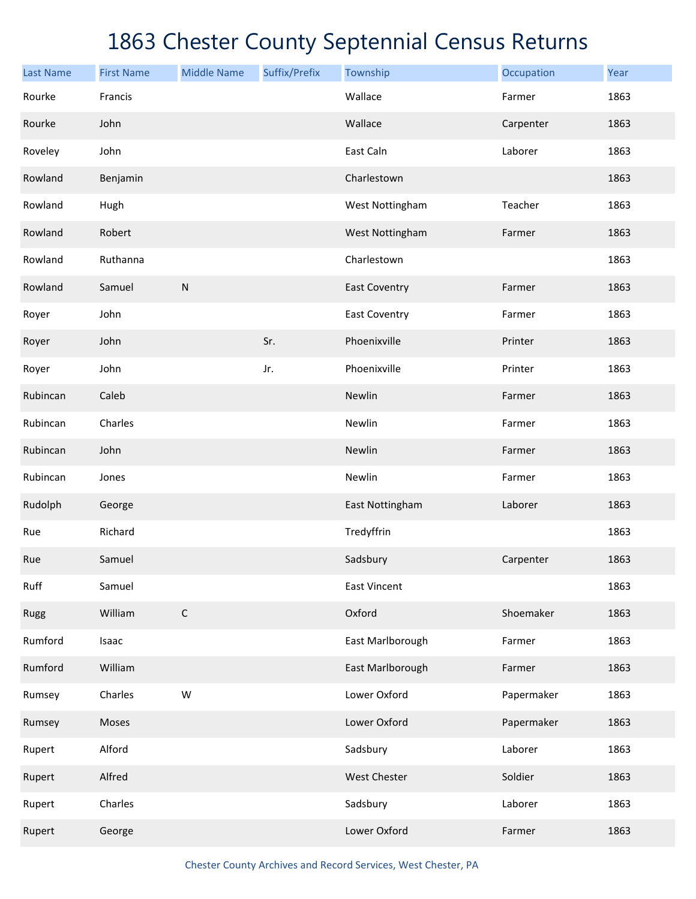| <b>Last Name</b> | <b>First Name</b> | <b>Middle Name</b> | Suffix/Prefix | Township             | Occupation | Year |
|------------------|-------------------|--------------------|---------------|----------------------|------------|------|
| Rourke           | Francis           |                    |               | Wallace              | Farmer     | 1863 |
| Rourke           | John              |                    |               | Wallace              | Carpenter  | 1863 |
| Roveley          | John              |                    |               | East Caln            | Laborer    | 1863 |
| Rowland          | Benjamin          |                    |               | Charlestown          |            | 1863 |
| Rowland          | Hugh              |                    |               | West Nottingham      | Teacher    | 1863 |
| Rowland          | Robert            |                    |               | West Nottingham      | Farmer     | 1863 |
| Rowland          | Ruthanna          |                    |               | Charlestown          |            | 1863 |
| Rowland          | Samuel            | ${\sf N}$          |               | <b>East Coventry</b> | Farmer     | 1863 |
| Royer            | John              |                    |               | <b>East Coventry</b> | Farmer     | 1863 |
| Royer            | John              |                    | Sr.           | Phoenixville         | Printer    | 1863 |
| Royer            | John              |                    | Jr.           | Phoenixville         | Printer    | 1863 |
| Rubincan         | Caleb             |                    |               | Newlin               | Farmer     | 1863 |
| Rubincan         | Charles           |                    |               | Newlin               | Farmer     | 1863 |
| Rubincan         | John              |                    |               | Newlin               | Farmer     | 1863 |
| Rubincan         | Jones             |                    |               | Newlin               | Farmer     | 1863 |
| Rudolph          | George            |                    |               | East Nottingham      | Laborer    | 1863 |
| Rue              | Richard           |                    |               | Tredyffrin           |            | 1863 |
| Rue              | Samuel            |                    |               | Sadsbury             | Carpenter  | 1863 |
| Ruff             | Samuel            |                    |               | East Vincent         |            | 1863 |
| Rugg             | William           | $\mathsf C$        |               | Oxford               | Shoemaker  | 1863 |
| Rumford          | Isaac             |                    |               | East Marlborough     | Farmer     | 1863 |
| Rumford          | William           |                    |               | East Marlborough     | Farmer     | 1863 |
| Rumsey           | Charles           | ${\sf W}$          |               | Lower Oxford         | Papermaker | 1863 |
| Rumsey           | Moses             |                    |               | Lower Oxford         | Papermaker | 1863 |
| Rupert           | Alford            |                    |               | Sadsbury             | Laborer    | 1863 |
| Rupert           | Alfred            |                    |               | West Chester         | Soldier    | 1863 |
| Rupert           | Charles           |                    |               | Sadsbury             | Laborer    | 1863 |
| Rupert           | George            |                    |               | Lower Oxford         | Farmer     | 1863 |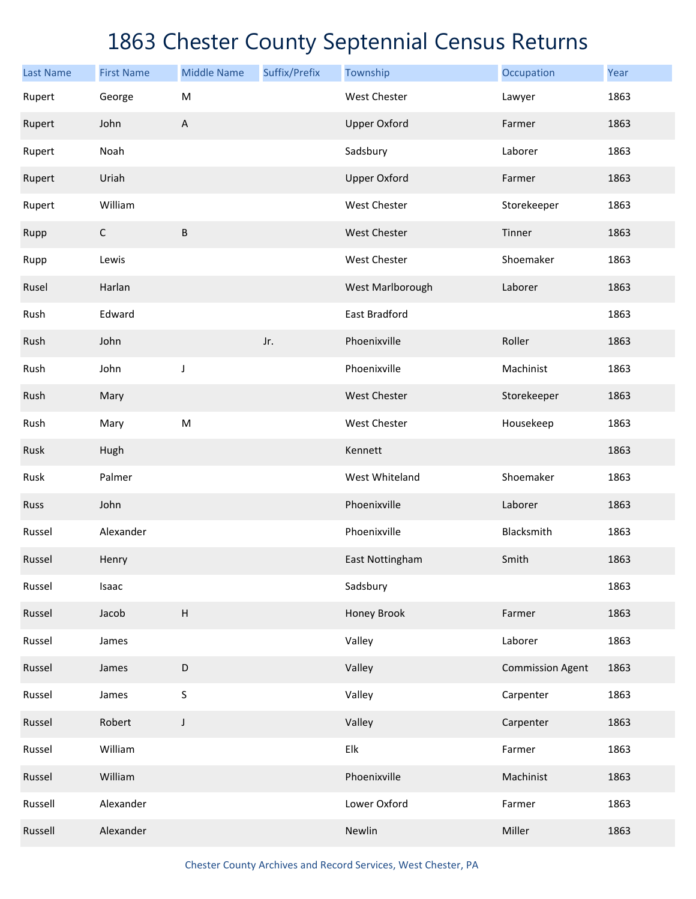| <b>Last Name</b> | <b>First Name</b> | <b>Middle Name</b> | Suffix/Prefix | Township            | Occupation              | Year |
|------------------|-------------------|--------------------|---------------|---------------------|-------------------------|------|
| Rupert           | George            | M                  |               | <b>West Chester</b> | Lawyer                  | 1863 |
| Rupert           | John              | A                  |               | <b>Upper Oxford</b> | Farmer                  | 1863 |
| Rupert           | Noah              |                    |               | Sadsbury            | Laborer                 | 1863 |
| Rupert           | Uriah             |                    |               | <b>Upper Oxford</b> | Farmer                  | 1863 |
| Rupert           | William           |                    |               | West Chester        | Storekeeper             | 1863 |
| Rupp             | $\mathsf C$       | B                  |               | West Chester        | Tinner                  | 1863 |
| Rupp             | Lewis             |                    |               | West Chester        | Shoemaker               | 1863 |
| Rusel            | Harlan            |                    |               | West Marlborough    | Laborer                 | 1863 |
| Rush             | Edward            |                    |               | East Bradford       |                         | 1863 |
| Rush             | John              |                    | Jr.           | Phoenixville        | Roller                  | 1863 |
| Rush             | John              | J                  |               | Phoenixville        | Machinist               | 1863 |
| Rush             | Mary              |                    |               | West Chester        | Storekeeper             | 1863 |
| Rush             | Mary              | ${\sf M}$          |               | West Chester        | Housekeep               | 1863 |
| Rusk             | Hugh              |                    |               | Kennett             |                         | 1863 |
| Rusk             | Palmer            |                    |               | West Whiteland      | Shoemaker               | 1863 |
| Russ             | John              |                    |               | Phoenixville        | Laborer                 | 1863 |
| Russel           | Alexander         |                    |               | Phoenixville        | Blacksmith              | 1863 |
| Russel           | Henry             |                    |               | East Nottingham     | Smith                   | 1863 |
| Russel           | Isaac             |                    |               | Sadsbury            |                         | 1863 |
| Russel           | Jacob             | $\sf H$            |               | Honey Brook         | Farmer                  | 1863 |
| Russel           | James             |                    |               | Valley              | Laborer                 | 1863 |
| Russel           | James             | $\mathsf D$        |               | Valley              | <b>Commission Agent</b> | 1863 |
| Russel           | James             | $\sf S$            |               | Valley              | Carpenter               | 1863 |
| Russel           | Robert            | J                  |               | Valley              | Carpenter               | 1863 |
| Russel           | William           |                    |               | Elk                 | Farmer                  | 1863 |
| Russel           | William           |                    |               | Phoenixville        | Machinist               | 1863 |
| Russell          | Alexander         |                    |               | Lower Oxford        | Farmer                  | 1863 |
| Russell          | Alexander         |                    |               | Newlin              | Miller                  | 1863 |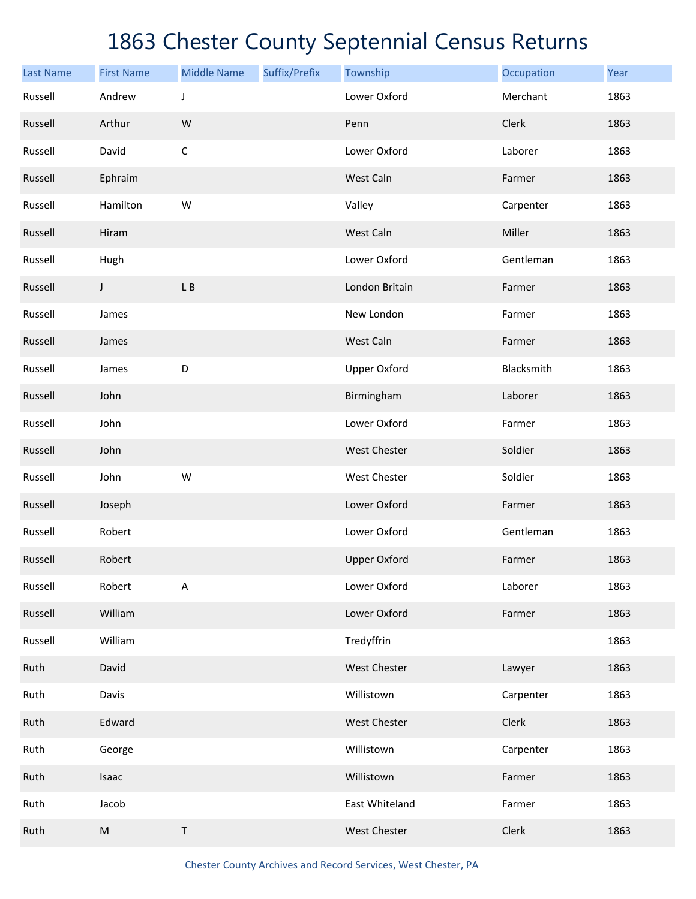| <b>Last Name</b> | <b>First Name</b> | <b>Middle Name</b> | Suffix/Prefix | Township            | Occupation | Year |
|------------------|-------------------|--------------------|---------------|---------------------|------------|------|
| Russell          | Andrew            | J                  |               | Lower Oxford        | Merchant   | 1863 |
| Russell          | Arthur            | W                  |               | Penn                | Clerk      | 1863 |
| Russell          | David             | $\mathsf C$        |               | Lower Oxford        | Laborer    | 1863 |
| Russell          | Ephraim           |                    |               | West Caln           | Farmer     | 1863 |
| Russell          | Hamilton          | W                  |               | Valley              | Carpenter  | 1863 |
| Russell          | Hiram             |                    |               | West Caln           | Miller     | 1863 |
| Russell          | Hugh              |                    |               | Lower Oxford        | Gentleman  | 1863 |
| Russell          | J                 | L B                |               | London Britain      | Farmer     | 1863 |
| Russell          | James             |                    |               | New London          | Farmer     | 1863 |
| Russell          | James             |                    |               | West Caln           | Farmer     | 1863 |
| Russell          | James             | D                  |               | <b>Upper Oxford</b> | Blacksmith | 1863 |
| Russell          | John              |                    |               | Birmingham          | Laborer    | 1863 |
| Russell          | John              |                    |               | Lower Oxford        | Farmer     | 1863 |
| Russell          | John              |                    |               | <b>West Chester</b> | Soldier    | 1863 |
| Russell          | John              | W                  |               | West Chester        | Soldier    | 1863 |
| Russell          | Joseph            |                    |               | Lower Oxford        | Farmer     | 1863 |
| Russell          | Robert            |                    |               | Lower Oxford        | Gentleman  | 1863 |
| Russell          | Robert            |                    |               | <b>Upper Oxford</b> | Farmer     | 1863 |
| Russell          | Robert            | A                  |               | Lower Oxford        | Laborer    | 1863 |
| Russell          | William           |                    |               | Lower Oxford        | Farmer     | 1863 |
| Russell          | William           |                    |               | Tredyffrin          |            | 1863 |
| Ruth             | David             |                    |               | West Chester        | Lawyer     | 1863 |
| Ruth             | Davis             |                    |               | Willistown          | Carpenter  | 1863 |
| Ruth             | Edward            |                    |               | West Chester        | Clerk      | 1863 |
| Ruth             | George            |                    |               | Willistown          | Carpenter  | 1863 |
| Ruth             | Isaac             |                    |               | Willistown          | Farmer     | 1863 |
| Ruth             | Jacob             |                    |               | East Whiteland      | Farmer     | 1863 |
| Ruth             | ${\sf M}$         | T                  |               | West Chester        | Clerk      | 1863 |